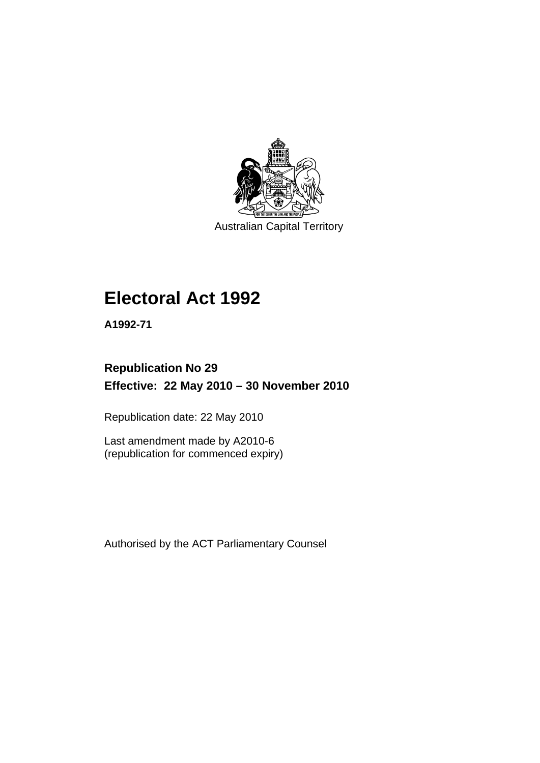

Australian Capital Territory

# **[Electoral Act 1992](#page-18-0)**

**A1992-71** 

# **Republication No 29 Effective: 22 May 2010 – 30 November 2010**

Republication date: 22 May 2010

Last amendment made by A2010-6 (republication for commenced expiry)

Authorised by the ACT Parliamentary Counsel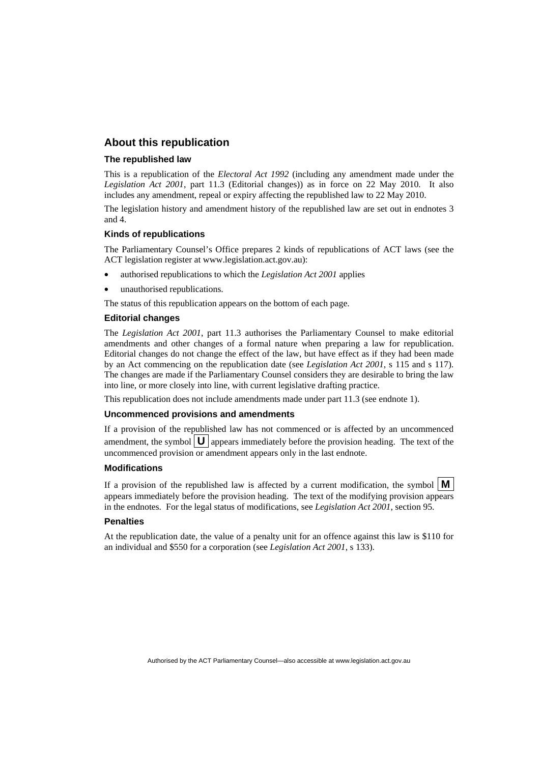#### **About this republication**

#### **The republished law**

This is a republication of the *Electoral Act 1992* (including any amendment made under the *Legislation Act 2001*, part 11.3 (Editorial changes)) as in force on 22 May 2010*.* It also includes any amendment, repeal or expiry affecting the republished law to 22 May 2010.

The legislation history and amendment history of the republished law are set out in endnotes 3 and 4.

#### **Kinds of republications**

The Parliamentary Counsel's Office prepares 2 kinds of republications of ACT laws (see the ACT legislation register at www.legislation.act.gov.au):

- authorised republications to which the *Legislation Act 2001* applies
- unauthorised republications.

The status of this republication appears on the bottom of each page.

#### **Editorial changes**

The *Legislation Act 2001*, part 11.3 authorises the Parliamentary Counsel to make editorial amendments and other changes of a formal nature when preparing a law for republication. Editorial changes do not change the effect of the law, but have effect as if they had been made by an Act commencing on the republication date (see *Legislation Act 2001*, s 115 and s 117). The changes are made if the Parliamentary Counsel considers they are desirable to bring the law into line, or more closely into line, with current legislative drafting practice.

This republication does not include amendments made under part 11.3 (see endnote 1).

#### **Uncommenced provisions and amendments**

If a provision of the republished law has not commenced or is affected by an uncommenced amendment, the symbol  $\mathbf{U}$  appears immediately before the provision heading. The text of the uncommenced provision or amendment appears only in the last endnote.

#### **Modifications**

If a provision of the republished law is affected by a current modification, the symbol  $\mathbf{M}$ appears immediately before the provision heading. The text of the modifying provision appears in the endnotes. For the legal status of modifications, see *Legislation Act 2001*, section 95.

#### **Penalties**

At the republication date, the value of a penalty unit for an offence against this law is \$110 for an individual and \$550 for a corporation (see *Legislation Act 2001*, s 133).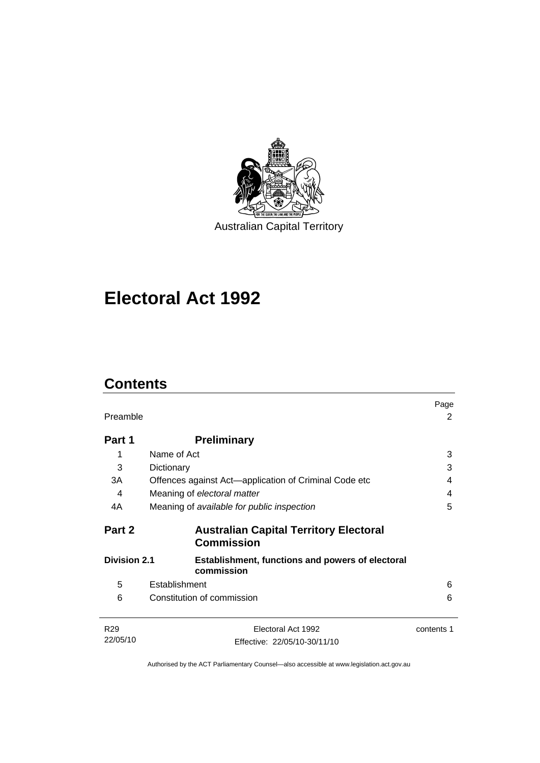

# **[Electoral Act 1992](#page-18-0)**

# **Contents**

| Preamble            |                                                                    |            |
|---------------------|--------------------------------------------------------------------|------------|
| Part 1              | <b>Preliminary</b>                                                 |            |
| 1                   | Name of Act                                                        | 3          |
| 3                   | Dictionary                                                         | 3          |
| 3A                  | Offences against Act—application of Criminal Code etc              | 4          |
| 4                   | Meaning of electoral matter                                        | 4          |
| 4A                  | Meaning of available for public inspection                         | 5          |
| Part 2              | <b>Australian Capital Territory Electoral</b><br><b>Commission</b> |            |
| <b>Division 2.1</b> | Establishment, functions and powers of electoral<br>commission     |            |
| 5                   | Establishment                                                      | 6          |
| 6                   | Constitution of commission                                         | 6          |
| R <sub>29</sub>     | Electoral Act 1992                                                 | contents 1 |
| 22/05/10            | Effective: 22/05/10-30/11/10                                       |            |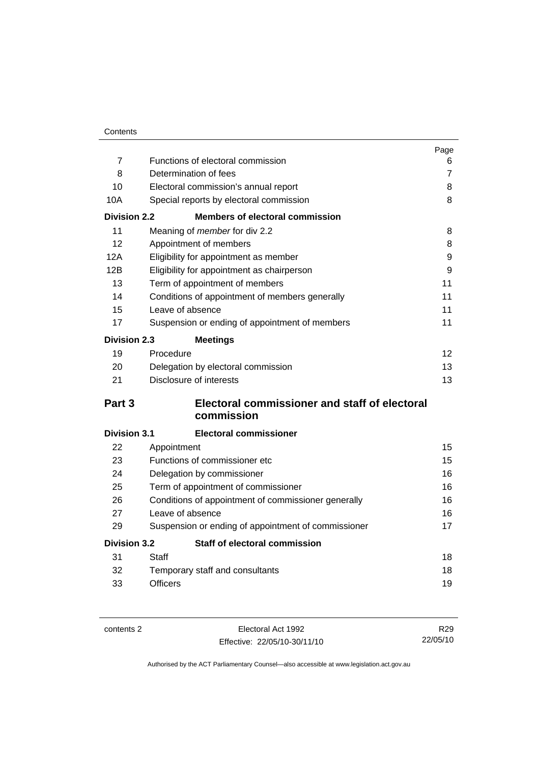| Contents |
|----------|
|          |

|                     |                                                     | Page           |
|---------------------|-----------------------------------------------------|----------------|
| $\overline{7}$      | Functions of electoral commission                   | 6              |
| 8                   | Determination of fees                               | $\overline{7}$ |
| 10                  | Electoral commission's annual report                | 8              |
| 10A                 | Special reports by electoral commission             | 8              |
| <b>Division 2.2</b> | <b>Members of electoral commission</b>              |                |
| 11                  | Meaning of member for div 2.2                       | 8              |
| 12                  | Appointment of members                              | 8              |
| 12A                 | Eligibility for appointment as member               | 9              |
| 12B                 | Eligibility for appointment as chairperson          | 9              |
| 13                  | Term of appointment of members                      | 11             |
| 14                  | Conditions of appointment of members generally      | 11             |
| 15                  | Leave of absence                                    | 11             |
| 17                  | Suspension or ending of appointment of members      | 11             |
| <b>Division 2.3</b> | <b>Meetings</b>                                     |                |
| 19                  | Procedure                                           | 12             |
| 20                  | Delegation by electoral commission                  | 13             |
| 21                  | Disclosure of interests                             | 13             |
| Part 3              | Electoral commissioner and staff of electoral       |                |
|                     | commission                                          |                |
| <b>Division 3.1</b> | <b>Electoral commissioner</b>                       |                |
| 22                  | Appointment                                         | 15             |
| 23                  | Functions of commissioner etc                       | 15             |
| 24                  | Delegation by commissioner                          | 16             |
| 25                  | Term of appointment of commissioner                 | 16             |
| 26                  | Conditions of appointment of commissioner generally | 16             |
| 27                  | Leave of absence                                    | 16             |
| 29                  | Suspension or ending of appointment of commissioner | 17             |
| <b>Division 3.2</b> | Staff of electoral commission                       |                |
| 31                  | Staff                                               | 18             |
| 32                  | Temporary staff and consultants                     | 18             |
| 33                  | <b>Officers</b>                                     | 19             |

contents 2 Electoral Act 1992 Effective: 22/05/10-30/11/10

R29 22/05/10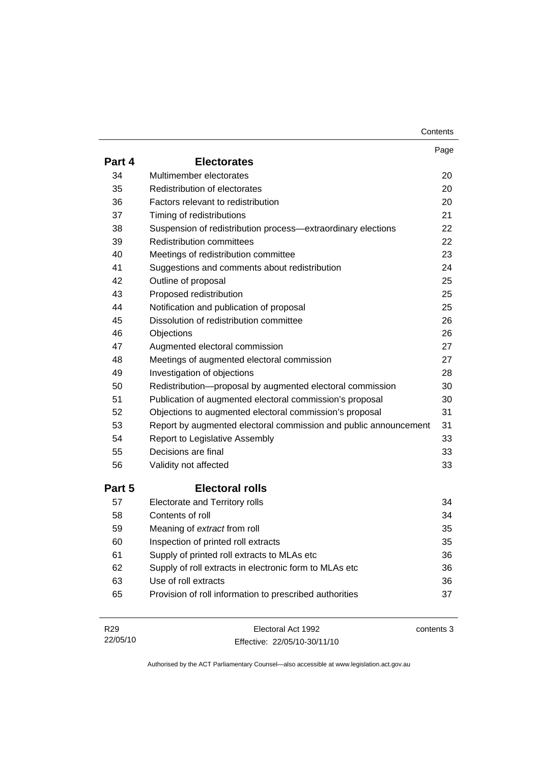| Contents |
|----------|
|----------|

|                 |                                                                  | Page       |
|-----------------|------------------------------------------------------------------|------------|
| Part 4          | <b>Electorates</b>                                               |            |
| 34              | Multimember electorates                                          | 20         |
| 35              | Redistribution of electorates                                    | 20         |
| 36              | Factors relevant to redistribution                               | 20         |
| 37              | Timing of redistributions                                        | 21         |
| 38              | Suspension of redistribution process-extraordinary elections     | 22         |
| 39              | <b>Redistribution committees</b>                                 | 22         |
| 40              | Meetings of redistribution committee                             | 23         |
| 41              | Suggestions and comments about redistribution                    | 24         |
| 42              | Outline of proposal                                              | 25         |
| 43              | Proposed redistribution                                          | 25         |
| 44              | Notification and publication of proposal                         | 25         |
| 45              | Dissolution of redistribution committee                          | 26         |
| 46              | Objections                                                       | 26         |
| 47              | Augmented electoral commission                                   | 27         |
| 48              | Meetings of augmented electoral commission                       | 27         |
| 49              | Investigation of objections                                      | 28         |
| 50              | Redistribution-proposal by augmented electoral commission        | 30         |
| 51              | Publication of augmented electoral commission's proposal         | 30         |
| 52              | Objections to augmented electoral commission's proposal          | 31         |
| 53              | Report by augmented electoral commission and public announcement | 31         |
| 54              | Report to Legislative Assembly                                   | 33         |
| 55              | Decisions are final                                              | 33         |
| 56              | Validity not affected                                            | 33         |
| Part 5          | <b>Electoral rolls</b>                                           |            |
| 57              | Electorate and Territory rolls                                   | 34         |
| 58              | Contents of roll                                                 | 34         |
| 59              | Meaning of extract from roll                                     | 35         |
| 60              | Inspection of printed roll extracts                              | 35         |
| 61              | Supply of printed roll extracts to MLAs etc                      | 36         |
| 62              | Supply of roll extracts in electronic form to MLAs etc           | 36         |
| 63              | Use of roll extracts                                             | 36         |
| 65              | Provision of roll information to prescribed authorities          | 37         |
| R <sub>29</sub> | Electoral Act 1992                                               | contents 3 |

Effective: 22/05/10-30/11/10

22/05/10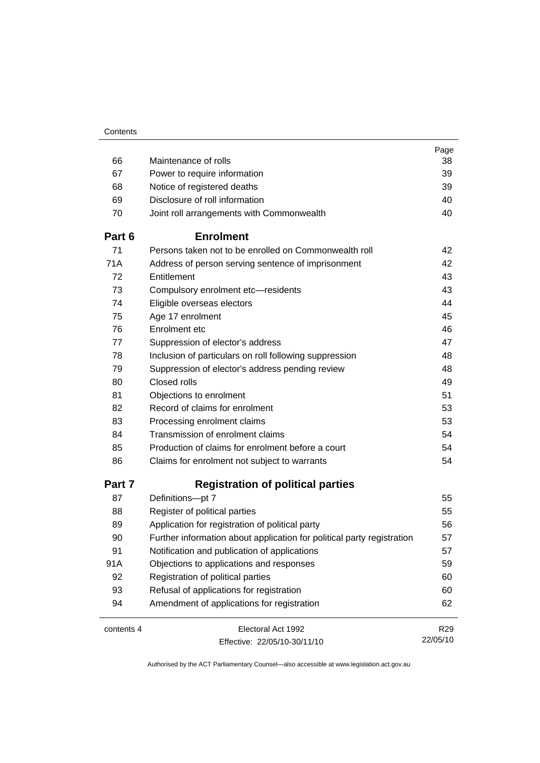|            |                                                                        | Page            |
|------------|------------------------------------------------------------------------|-----------------|
| 66         | Maintenance of rolls                                                   | 38              |
| 67         | Power to require information                                           | 39              |
| 68         | Notice of registered deaths                                            | 39              |
| 69         | Disclosure of roll information                                         | 40              |
| 70         | Joint roll arrangements with Commonwealth                              | 40              |
| Part 6     | <b>Enrolment</b>                                                       |                 |
| 71         | Persons taken not to be enrolled on Commonwealth roll                  | 42              |
| 71A        | Address of person serving sentence of imprisonment                     | 42              |
| 72         | Entitlement                                                            | 43              |
| 73         | Compulsory enrolment etc-residents                                     | 43              |
| 74         | Eligible overseas electors                                             | 44              |
| 75         | Age 17 enrolment                                                       | 45              |
| 76         | Enrolment etc                                                          | 46              |
| 77         | Suppression of elector's address                                       | 47              |
| 78         | Inclusion of particulars on roll following suppression                 | 48              |
| 79         | Suppression of elector's address pending review                        | 48              |
| 80         | Closed rolls                                                           | 49              |
| 81         | Objections to enrolment                                                | 51              |
| 82         | Record of claims for enrolment                                         | 53              |
| 83         | Processing enrolment claims                                            | 53              |
| 84         | Transmission of enrolment claims                                       | 54              |
| 85         | Production of claims for enrolment before a court                      | 54              |
| 86         | Claims for enrolment not subject to warrants                           | 54              |
| Part 7     | <b>Registration of political parties</b>                               |                 |
| 87         | Definitions-pt 7                                                       | 55              |
| 88         | Register of political parties                                          | 55              |
| 89         | Application for registration of political party                        | 56              |
| 90         | Further information about application for political party registration | 57              |
| 91         | Notification and publication of applications                           | 57              |
| 91A        | Objections to applications and responses                               | 59              |
| 92         | Registration of political parties                                      | 60              |
| 93         | Refusal of applications for registration                               | 60              |
| 94         | Amendment of applications for registration                             | 62              |
| contents 4 | Electoral Act 1992                                                     | R <sub>29</sub> |
|            | Effective: 22/05/10-30/11/10                                           | 22/05/10        |
|            |                                                                        |                 |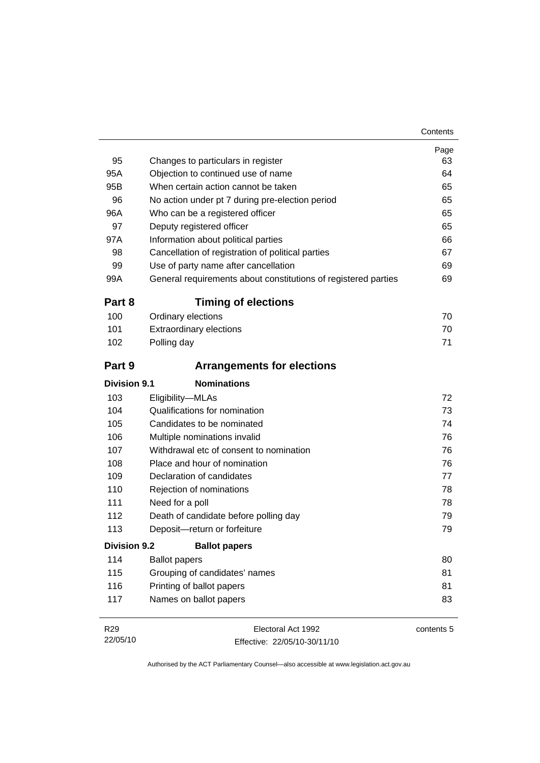| 95                  | Changes to particulars in register                             | Page<br>63 |
|---------------------|----------------------------------------------------------------|------------|
| 95A                 | Objection to continued use of name                             | 64         |
| 95B                 | When certain action cannot be taken                            | 65         |
| 96                  | No action under pt 7 during pre-election period                | 65         |
| 96A                 | Who can be a registered officer                                | 65         |
| 97                  | Deputy registered officer                                      | 65         |
| 97A                 | Information about political parties                            | 66         |
| 98                  | Cancellation of registration of political parties              | 67         |
| 99                  | Use of party name after cancellation                           | 69         |
| 99A                 | General requirements about constitutions of registered parties | 69         |
| Part 8              | <b>Timing of elections</b>                                     |            |
| 100                 | Ordinary elections                                             | 70         |
| 101                 | <b>Extraordinary elections</b>                                 | 70         |
| 102                 | Polling day                                                    | 71         |
| Part 9              | <b>Arrangements for elections</b>                              |            |
| <b>Division 9.1</b> | <b>Nominations</b>                                             |            |
| 103                 | Eligibility-MLAs                                               | 72         |
| 104                 | Qualifications for nomination                                  | 73         |
| 105                 | Candidates to be nominated                                     | 74         |
| 106                 | Multiple nominations invalid                                   | 76         |
| 107                 | Withdrawal etc of consent to nomination                        | 76         |
| 108                 | Place and hour of nomination                                   | 76         |
| 109                 | Declaration of candidates                                      | 77         |
| 110                 | Rejection of nominations                                       | 78         |
| 111                 | Need for a poll                                                | 78         |
| 112                 | Death of candidate before polling day                          | 79         |
| 113                 | Deposit-return or forfeiture                                   | 79         |
| <b>Division 9.2</b> | <b>Ballot papers</b>                                           |            |
| 114                 | <b>Ballot papers</b>                                           | 80         |
| 115                 | Grouping of candidates' names                                  | 81         |
| 116                 | Printing of ballot papers                                      | 81         |
| 117                 | Names on ballot papers                                         | 83         |
| R <sub>29</sub>     | Electoral Act 1992                                             | contents 5 |

22/05/10 Effective: 22/05/10-30/11/10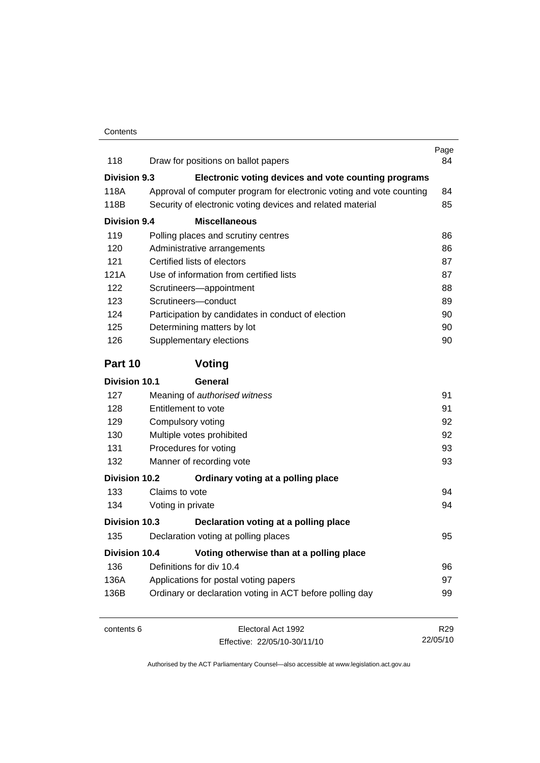| 118                  | Draw for positions on ballot papers                                  | Page<br>84      |
|----------------------|----------------------------------------------------------------------|-----------------|
| <b>Division 9.3</b>  | Electronic voting devices and vote counting programs                 |                 |
| 118A                 | Approval of computer program for electronic voting and vote counting | 84              |
| 118B                 | Security of electronic voting devices and related material           | 85              |
| <b>Division 9.4</b>  | <b>Miscellaneous</b>                                                 |                 |
| 119                  | Polling places and scrutiny centres                                  | 86              |
| 120                  | Administrative arrangements                                          | 86              |
| 121                  | Certified lists of electors                                          | 87              |
| 121A                 | Use of information from certified lists                              | 87              |
| 122                  | Scrutineers-appointment                                              | 88              |
| 123                  | Scrutineers-conduct                                                  | 89              |
| 124                  | Participation by candidates in conduct of election                   | 90              |
| 125                  | Determining matters by lot                                           | 90              |
| 126                  | Supplementary elections                                              | 90              |
| Part 10              | Voting                                                               |                 |
| <b>Division 10.1</b> | General                                                              |                 |
| 127                  | Meaning of authorised witness                                        | 91              |
| 128                  | Entitlement to vote                                                  | 91              |
| 129                  | Compulsory voting                                                    | 92              |
| 130                  | Multiple votes prohibited                                            | 92              |
| 131                  | Procedures for voting                                                | 93              |
| 132                  | Manner of recording vote                                             | 93              |
| <b>Division 10.2</b> | Ordinary voting at a polling place                                   |                 |
| 133                  | Claims to vote                                                       | 94              |
| 134                  | Voting in private                                                    | 94              |
| Division 10.3        | Declaration voting at a polling place                                |                 |
| 135                  | Declaration voting at polling places                                 | 95              |
| <b>Division 10.4</b> | Voting otherwise than at a polling place                             |                 |
| 136                  | Definitions for div 10.4                                             | 96              |
| 136A                 | Applications for postal voting papers                                | 97              |
| 136B                 | Ordinary or declaration voting in ACT before polling day             | 99              |
| contents 6           | Electoral Act 1992                                                   | R <sub>29</sub> |
|                      | Effective: 22/05/10-30/11/10                                         | 22/05/10        |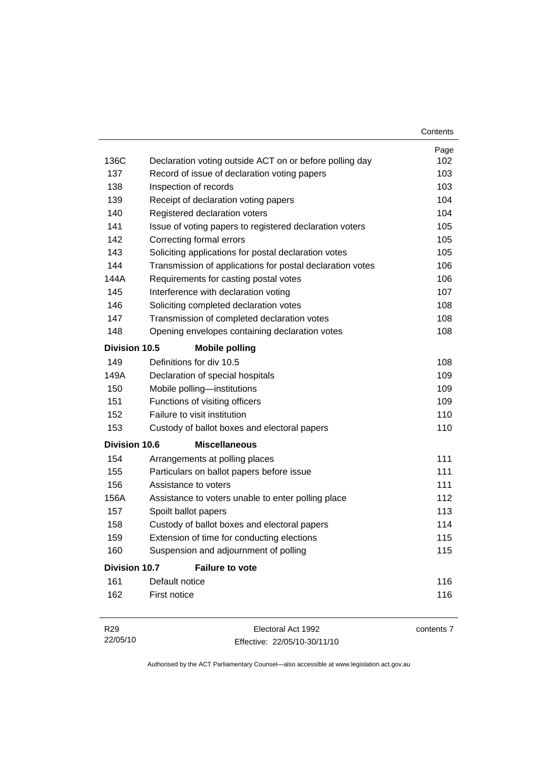|                      |                                                           | Contents   |
|----------------------|-----------------------------------------------------------|------------|
|                      |                                                           | Page       |
| 136C                 | Declaration voting outside ACT on or before polling day   | 102        |
| 137                  | Record of issue of declaration voting papers              | 103        |
| 138                  | Inspection of records                                     | 103        |
| 139                  | Receipt of declaration voting papers                      | 104        |
| 140                  | Registered declaration voters                             | 104        |
| 141                  | Issue of voting papers to registered declaration voters   | 105        |
| 142                  | Correcting formal errors                                  | 105        |
| 143                  | Soliciting applications for postal declaration votes      | 105        |
| 144                  | Transmission of applications for postal declaration votes | 106        |
| 144A                 | Requirements for casting postal votes                     | 106        |
| 145                  | Interference with declaration voting                      | 107        |
| 146                  | Soliciting completed declaration votes                    | 108        |
| 147                  | Transmission of completed declaration votes               | 108        |
| 148                  | Opening envelopes containing declaration votes            | 108        |
| Division 10.5        | <b>Mobile polling</b>                                     |            |
| 149                  | Definitions for div 10.5                                  | 108        |
| 149A                 | Declaration of special hospitals                          | 109        |
| 150                  | Mobile polling-institutions                               | 109        |
| 151                  | Functions of visiting officers                            | 109        |
| 152                  | Failure to visit institution                              | 110        |
| 153                  | Custody of ballot boxes and electoral papers              | 110        |
| <b>Division 10.6</b> | <b>Miscellaneous</b>                                      |            |
| 154                  | Arrangements at polling places                            | 111        |
| 155                  | Particulars on ballot papers before issue                 | 111        |
| 156                  | Assistance to voters                                      | 111        |
| 156A                 | Assistance to voters unable to enter polling place        | 112        |
| 157                  | Spoilt ballot papers                                      | 113        |
| 158                  | Custody of ballot boxes and electoral papers              | 114        |
| 159                  | Extension of time for conducting elections                | 115        |
| 160                  | Suspension and adjournment of polling                     | 115        |
| <b>Division 10.7</b> | <b>Failure to vote</b>                                    |            |
| 161                  | Default notice                                            | 116        |
| 162                  | First notice                                              | 116        |
| R <sub>29</sub>      | Electoral Act 1992                                        | contents 7 |

Effective: 22/05/10-30/11/10

22/05/10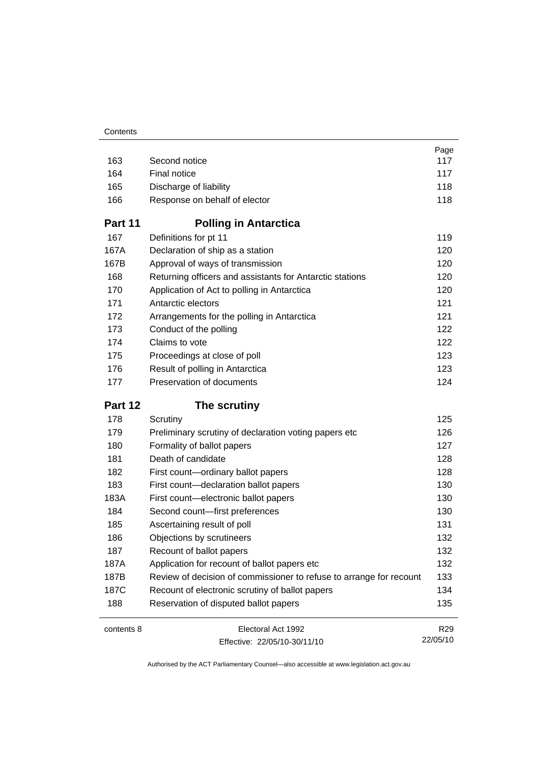|            |                                                                     | Page                        |
|------------|---------------------------------------------------------------------|-----------------------------|
| 163        | Second notice                                                       | 117                         |
| 164        | Final notice                                                        | 117                         |
| 165        | Discharge of liability                                              | 118                         |
| 166        | Response on behalf of elector                                       | 118                         |
| Part 11    | <b>Polling in Antarctica</b>                                        |                             |
| 167        | Definitions for pt 11                                               | 119                         |
| 167A       | Declaration of ship as a station                                    | 120                         |
| 167B       | Approval of ways of transmission                                    | 120                         |
| 168        | Returning officers and assistants for Antarctic stations            | 120                         |
| 170        | Application of Act to polling in Antarctica                         | 120                         |
| 171        | Antarctic electors                                                  | 121                         |
| 172        | Arrangements for the polling in Antarctica                          | 121                         |
| 173        | Conduct of the polling                                              | 122                         |
| 174        | Claims to vote                                                      | 122                         |
| 175        | Proceedings at close of poll                                        | 123                         |
| 176        | Result of polling in Antarctica                                     | 123                         |
| 177        | Preservation of documents                                           | 124                         |
| Part 12    | The scrutiny                                                        |                             |
| 178        | Scrutiny                                                            | 125                         |
| 179        | Preliminary scrutiny of declaration voting papers etc               | 126                         |
| 180        | Formality of ballot papers                                          | 127                         |
| 181        | Death of candidate                                                  | 128                         |
| 182        | First count-ordinary ballot papers                                  | 128                         |
| 183        | First count-declaration ballot papers                               | 130                         |
| 183A       |                                                                     |                             |
|            | First count-electronic ballot papers                                | 130                         |
| 184        | Second count-first preferences                                      | 130                         |
| 185        | Ascertaining result of poll                                         | 131                         |
| 186        | Objections by scrutineers                                           | 132                         |
| 187        | Recount of ballot papers                                            | 132                         |
| 187A       | Application for recount of ballot papers etc                        | 132                         |
| 187B       | Review of decision of commissioner to refuse to arrange for recount | 133                         |
| 187C       | Recount of electronic scrutiny of ballot papers                     | 134                         |
| 188        | Reservation of disputed ballot papers                               | 135                         |
| contents 8 | Electoral Act 1992                                                  | R <sub>29</sub><br>22/05/10 |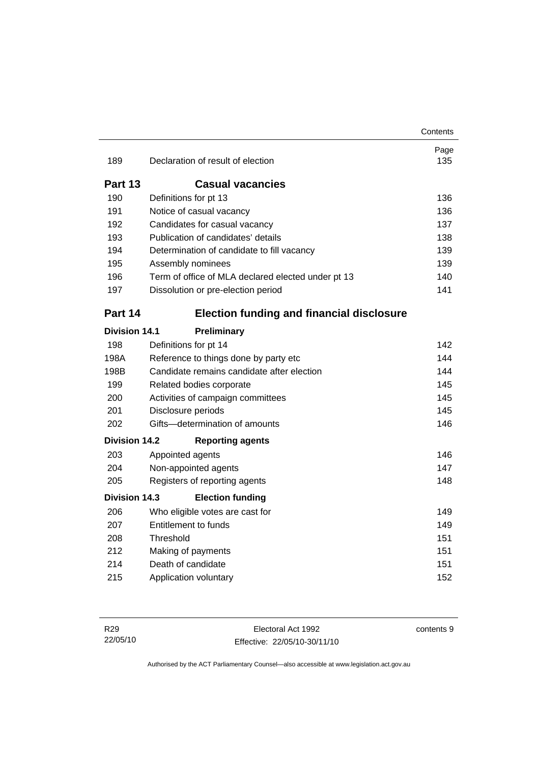|                      |                                                    | Contents    |
|----------------------|----------------------------------------------------|-------------|
| 189                  | Declaration of result of election                  | Page<br>135 |
| Part 13              | <b>Casual vacancies</b>                            |             |
| 190                  | Definitions for pt 13                              | 136         |
| 191                  | Notice of casual vacancy                           | 136         |
| 192                  | Candidates for casual vacancy                      | 137         |
| 193                  | Publication of candidates' details                 | 138         |
| 194                  | Determination of candidate to fill vacancy         | 139         |
| 195                  | Assembly nominees                                  | 139         |
| 196                  | Term of office of MLA declared elected under pt 13 | 140         |
| 197                  | Dissolution or pre-election period                 | 141         |
| Part 14              | <b>Election funding and financial disclosure</b>   |             |
| <b>Division 14.1</b> | Preliminary                                        |             |
| 198                  | Definitions for pt 14                              | 142         |
| 198A                 | Reference to things done by party etc              | 144         |
| 198B                 | Candidate remains candidate after election         | 144         |
| 199                  | Related bodies corporate                           | 145         |
| 200                  | Activities of campaign committees                  | 145         |
| 201                  | Disclosure periods                                 | 145         |
| 202                  | Gifts-determination of amounts                     | 146         |
| <b>Division 14.2</b> | <b>Reporting agents</b>                            |             |
| 203                  | Appointed agents                                   | 146         |
| 204                  | Non-appointed agents                               | 147         |
| 205                  | Registers of reporting agents                      | 148         |
| Division 14.3        | <b>Election funding</b>                            |             |
| 206                  | Who eligible votes are cast for                    | 149         |
| 207                  | <b>Entitlement to funds</b>                        | 149         |
| 208                  | Threshold                                          | 151         |
| 212                  | Making of payments                                 | 151         |
| 214                  | Death of candidate                                 | 151         |
| 215                  | Application voluntary                              | 152         |

contents 9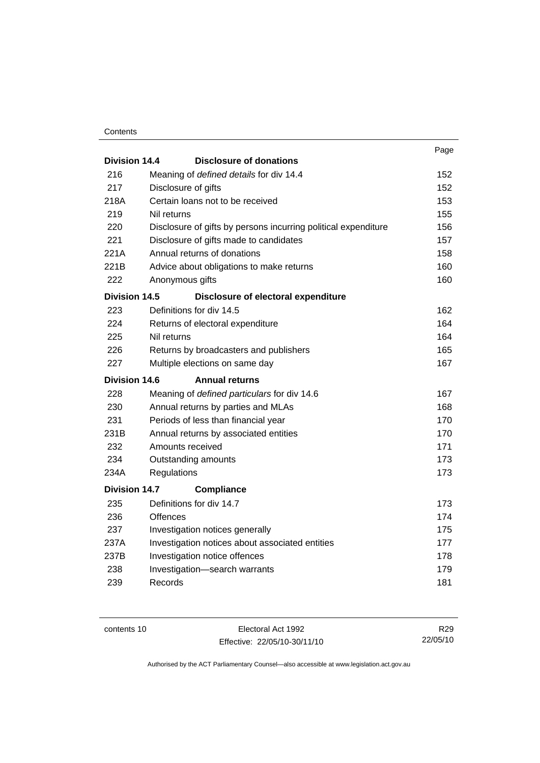#### **Contents**

|                      |                                                                | Page |
|----------------------|----------------------------------------------------------------|------|
| Division 14.4        | <b>Disclosure of donations</b>                                 |      |
| 216                  | Meaning of defined details for div 14.4                        | 152  |
| 217                  | Disclosure of gifts                                            | 152  |
| 218A                 | Certain loans not to be received                               | 153  |
| 219                  | Nil returns                                                    | 155  |
| 220                  | Disclosure of gifts by persons incurring political expenditure | 156  |
| 221                  | Disclosure of gifts made to candidates                         | 157  |
| 221A                 | Annual returns of donations                                    | 158  |
| 221B                 | Advice about obligations to make returns                       | 160  |
| 222                  | Anonymous gifts                                                | 160  |
| <b>Division 14.5</b> | Disclosure of electoral expenditure                            |      |
| 223                  | Definitions for div 14.5                                       | 162  |
| 224                  | Returns of electoral expenditure                               | 164  |
| 225                  | Nil returns                                                    | 164  |
| 226                  | Returns by broadcasters and publishers                         | 165  |
| 227                  | Multiple elections on same day                                 | 167  |
| <b>Division 14.6</b> | <b>Annual returns</b>                                          |      |
| 228                  | Meaning of defined particulars for div 14.6                    | 167  |
| 230                  | Annual returns by parties and MLAs                             | 168  |
| 231                  | Periods of less than financial year                            | 170  |
| 231B                 | Annual returns by associated entities                          | 170  |
| 232                  | Amounts received                                               | 171  |
| 234                  | Outstanding amounts                                            | 173  |
| 234A                 | Regulations                                                    | 173  |
| <b>Division 14.7</b> | <b>Compliance</b>                                              |      |
| 235                  | Definitions for div 14.7                                       | 173  |
| 236                  | Offences                                                       | 174  |
| 237                  | Investigation notices generally                                | 175  |
| 237A                 | Investigation notices about associated entities                | 177  |
| 237B                 | Investigation notice offences                                  | 178  |
| 238                  | Investigation-search warrants                                  | 179  |
| 239                  | Records                                                        | 181  |
|                      |                                                                |      |

contents 10 Electoral Act 1992 Effective: 22/05/10-30/11/10

R29 22/05/10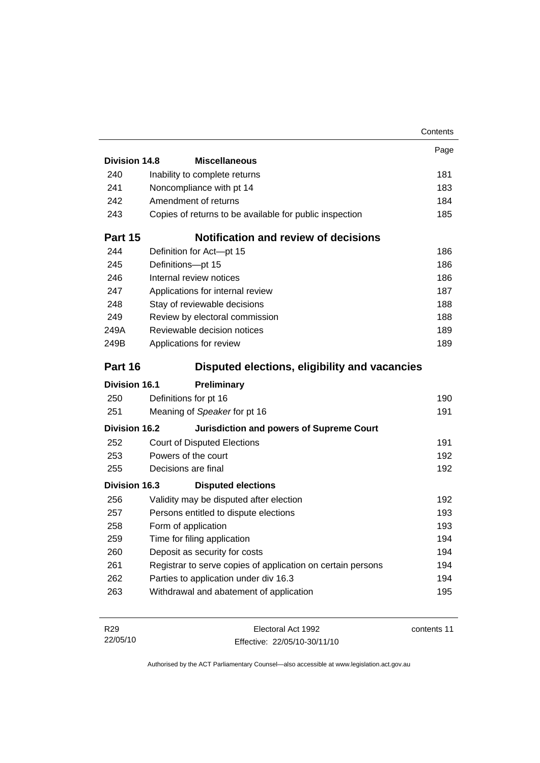|                      |                                                             | Contents    |
|----------------------|-------------------------------------------------------------|-------------|
|                      |                                                             | Page        |
| Division 14.8        | <b>Miscellaneous</b>                                        |             |
| 240                  | Inability to complete returns                               | 181         |
| 241                  | Noncompliance with pt 14                                    | 183         |
| 242                  | Amendment of returns                                        | 184         |
| 243                  | Copies of returns to be available for public inspection     | 185         |
| Part 15              | <b>Notification and review of decisions</b>                 |             |
| 244                  | Definition for Act-pt 15                                    | 186         |
| 245                  | Definitions-pt 15                                           | 186         |
| 246                  | Internal review notices                                     | 186         |
| 247                  | Applications for internal review                            | 187         |
| 248                  | Stay of reviewable decisions                                | 188         |
| 249                  | Review by electoral commission                              | 188         |
| 249A                 | Reviewable decision notices                                 | 189         |
| 249B                 | Applications for review                                     | 189         |
| Part 16              | Disputed elections, eligibility and vacancies               |             |
| <b>Division 16.1</b> | Preliminary                                                 |             |
| 250                  | Definitions for pt 16                                       | 190         |
| 251                  | Meaning of Speaker for pt 16                                | 191         |
| <b>Division 16.2</b> | <b>Jurisdiction and powers of Supreme Court</b>             |             |
| 252                  | <b>Court of Disputed Elections</b>                          | 191         |
| 253                  | Powers of the court                                         | 192         |
| 255                  | Decisions are final                                         | 192         |
| Division 16.3        | <b>Disputed elections</b>                                   |             |
| 256                  | Validity may be disputed after election                     | 192         |
| 257                  | Persons entitled to dispute elections                       | 193         |
| 258                  | Form of application                                         | 193         |
| 259                  | Time for filing application                                 | 194         |
| 260                  | Deposit as security for costs                               | 194         |
| 261                  | Registrar to serve copies of application on certain persons | 194         |
| 262                  | Parties to application under div 16.3                       | 194         |
| 263                  | Withdrawal and abatement of application                     | 195         |
|                      |                                                             |             |
| R <sub>29</sub>      | Electoral Act 1992                                          | contents 11 |

Effective: 22/05/10-30/11/10

22/05/10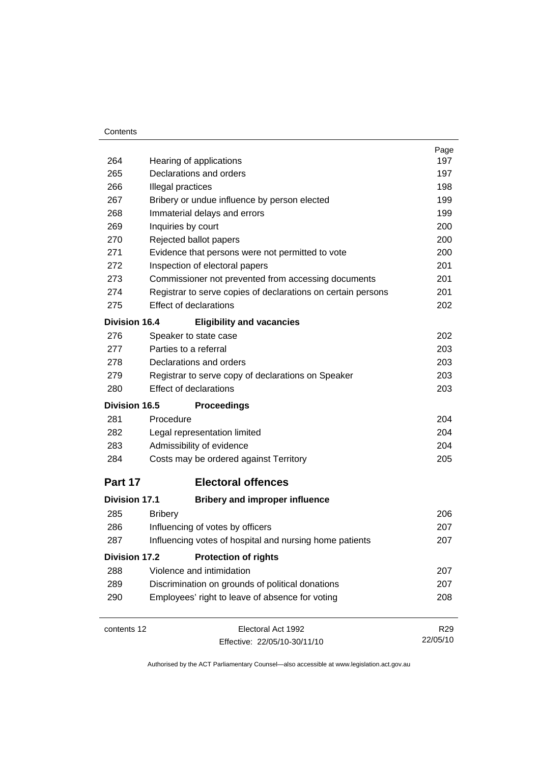#### **Contents**

|                      |                |                                                              | Page            |  |  |
|----------------------|----------------|--------------------------------------------------------------|-----------------|--|--|
| 264                  |                | Hearing of applications                                      | 197             |  |  |
| 265                  |                | Declarations and orders                                      | 197             |  |  |
| 266                  |                | Illegal practices                                            |                 |  |  |
| 267                  |                | Bribery or undue influence by person elected                 |                 |  |  |
| 268                  |                | Immaterial delays and errors                                 | 199             |  |  |
| 269                  |                | Inquiries by court                                           | 200             |  |  |
| 270                  |                | Rejected ballot papers                                       | 200             |  |  |
| 271                  |                | Evidence that persons were not permitted to vote             | 200             |  |  |
| 272                  |                | Inspection of electoral papers                               | 201             |  |  |
| 273                  |                | Commissioner not prevented from accessing documents          | 201             |  |  |
| 274                  |                | Registrar to serve copies of declarations on certain persons | 201             |  |  |
| 275                  |                | <b>Effect of declarations</b>                                | 202             |  |  |
| <b>Division 16.4</b> |                | <b>Eligibility and vacancies</b>                             |                 |  |  |
| 276                  |                | Speaker to state case                                        | 202             |  |  |
| 277                  |                | Parties to a referral                                        | 203             |  |  |
| 278                  |                | Declarations and orders                                      | 203             |  |  |
| 279                  |                | Registrar to serve copy of declarations on Speaker           | 203             |  |  |
| 280                  |                | Effect of declarations                                       | 203             |  |  |
| <b>Division 16.5</b> |                | <b>Proceedings</b>                                           |                 |  |  |
| 281                  | Procedure      |                                                              | 204             |  |  |
| 282                  |                | Legal representation limited                                 | 204             |  |  |
| 283                  |                | Admissibility of evidence                                    | 204             |  |  |
| 284                  |                | Costs may be ordered against Territory                       | 205             |  |  |
| Part 17              |                | <b>Electoral offences</b>                                    |                 |  |  |
|                      |                |                                                              |                 |  |  |
| <b>Division 17.1</b> |                | <b>Bribery and improper influence</b>                        |                 |  |  |
| 285                  | <b>Bribery</b> |                                                              | 206             |  |  |
| 286                  |                | Influencing of votes by officers                             | 207             |  |  |
| 287                  |                | Influencing votes of hospital and nursing home patients      | 207             |  |  |
| <b>Division 17.2</b> |                | <b>Protection of rights</b>                                  |                 |  |  |
| 288                  |                | Violence and intimidation                                    | 207             |  |  |
| 289                  |                | Discrimination on grounds of political donations             | 207             |  |  |
| 290                  |                | Employees' right to leave of absence for voting              | 208             |  |  |
|                      |                |                                                              |                 |  |  |
| contents 12          |                | Electoral Act 1992                                           | R <sub>29</sub> |  |  |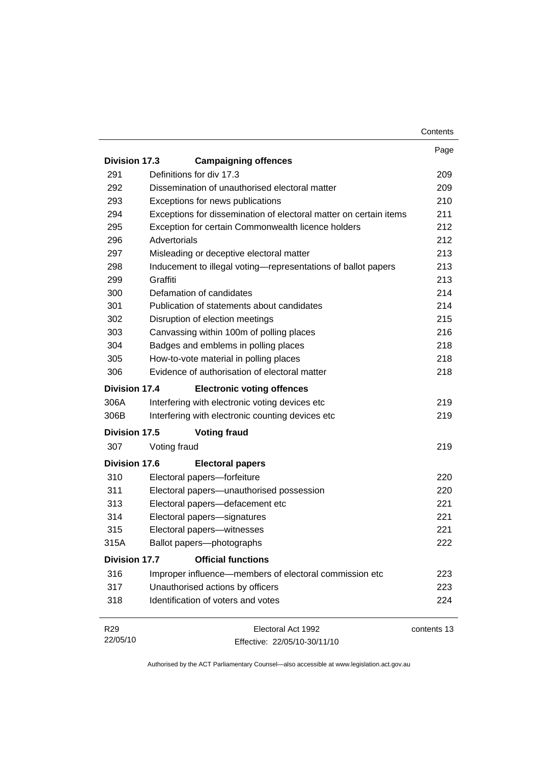|                      |                                                                   | Contents    |
|----------------------|-------------------------------------------------------------------|-------------|
|                      |                                                                   | Page        |
| <b>Division 17.3</b> | <b>Campaigning offences</b>                                       |             |
| 291                  | Definitions for div 17.3                                          | 209         |
| 292                  | Dissemination of unauthorised electoral matter                    | 209         |
| 293                  | Exceptions for news publications                                  | 210         |
| 294                  | Exceptions for dissemination of electoral matter on certain items | 211         |
| 295                  | Exception for certain Commonwealth licence holders                | 212         |
| 296                  | Advertorials                                                      | 212         |
| 297                  | Misleading or deceptive electoral matter                          | 213         |
| 298                  | Inducement to illegal voting-representations of ballot papers     | 213         |
| 299                  | Graffiti                                                          | 213         |
| 300                  | Defamation of candidates                                          | 214         |
| 301                  | Publication of statements about candidates                        | 214         |
| 302                  | Disruption of election meetings                                   | 215         |
| 303                  | Canvassing within 100m of polling places                          | 216         |
| 304                  | Badges and emblems in polling places                              | 218         |
| 305                  | How-to-vote material in polling places                            | 218         |
| 306                  | Evidence of authorisation of electoral matter                     | 218         |
| <b>Division 17.4</b> | <b>Electronic voting offences</b>                                 |             |
| 306A                 | Interfering with electronic voting devices etc                    | 219         |
| 306B                 | Interfering with electronic counting devices etc                  | 219         |
| <b>Division 17.5</b> | <b>Voting fraud</b>                                               |             |
| 307                  | Voting fraud                                                      | 219         |
| <b>Division 17.6</b> | <b>Electoral papers</b>                                           |             |
| 310                  | Electoral papers-forfeiture                                       | 220         |
| 311                  | Electoral papers-unauthorised possession                          | 220         |
| 313                  | Electoral papers-defacement etc                                   | 221         |
| 314                  | Electoral papers-signatures                                       | 221         |
| 315                  | Electoral papers-witnesses                                        | 221         |
| 315A                 | Ballot papers-photographs                                         | 222         |
| <b>Division 17.7</b> | <b>Official functions</b>                                         |             |
| 316                  | Improper influence—members of electoral commission etc            | 223         |
| 317                  | Unauthorised actions by officers                                  | 223         |
| 318                  | Identification of voters and votes                                | 224         |
| R <sub>29</sub>      | Electoral Act 1992                                                | contents 13 |
| 22/05/10             | Effective: 22/05/10-30/11/10                                      |             |

Effective: 22/05/10-30/11/10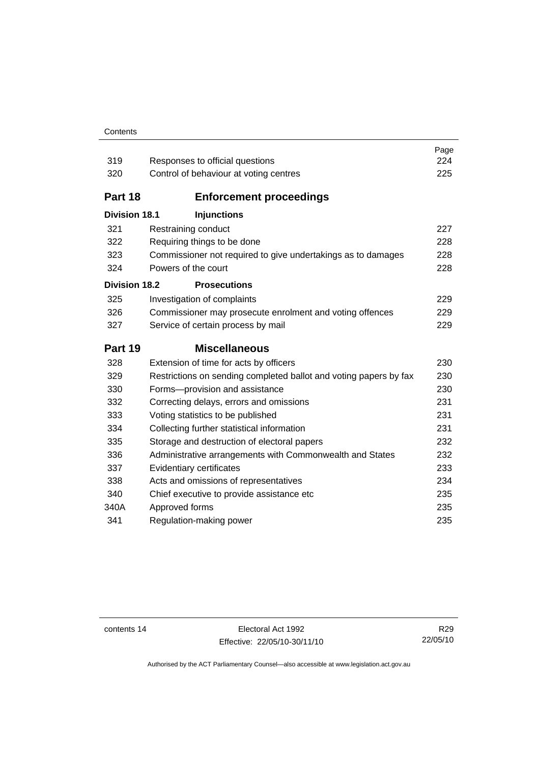#### **Contents**

| 319                  | Responses to official questions                                   | Page<br>224 |
|----------------------|-------------------------------------------------------------------|-------------|
| 320                  | Control of behaviour at voting centres                            | 225         |
|                      |                                                                   |             |
| Part 18              | <b>Enforcement proceedings</b>                                    |             |
| <b>Division 18.1</b> | <b>Injunctions</b>                                                |             |
| 321                  | Restraining conduct                                               | 227         |
| 322                  | Requiring things to be done                                       | 228         |
| 323                  | Commissioner not required to give undertakings as to damages      | 228         |
| 324                  | Powers of the court                                               | 228         |
| <b>Division 18.2</b> | <b>Prosecutions</b>                                               |             |
| 325                  | Investigation of complaints                                       | 229         |
| 326                  | Commissioner may prosecute enrolment and voting offences          | 229         |
| 327                  | Service of certain process by mail                                | 229         |
|                      |                                                                   |             |
| Part 19              | <b>Miscellaneous</b>                                              |             |
| 328                  | Extension of time for acts by officers                            | 230         |
| 329                  | Restrictions on sending completed ballot and voting papers by fax | 230         |
| 330                  | Forms-provision and assistance                                    | 230         |
| 332                  | Correcting delays, errors and omissions                           | 231         |
| 333                  | Voting statistics to be published                                 | 231         |
| 334                  | Collecting further statistical information                        | 231         |
| 335                  | Storage and destruction of electoral papers                       | 232         |
| 336                  | Administrative arrangements with Commonwealth and States          | 232         |
| 337                  | Evidentiary certificates                                          | 233         |
| 338                  | Acts and omissions of representatives                             | 234         |
| 340                  | Chief executive to provide assistance etc                         | 235         |
| 340A                 | Approved forms                                                    | 235         |
| 341                  | Regulation-making power                                           | 235         |

contents 14 Electoral Act 1992 Effective: 22/05/10-30/11/10

R29 22/05/10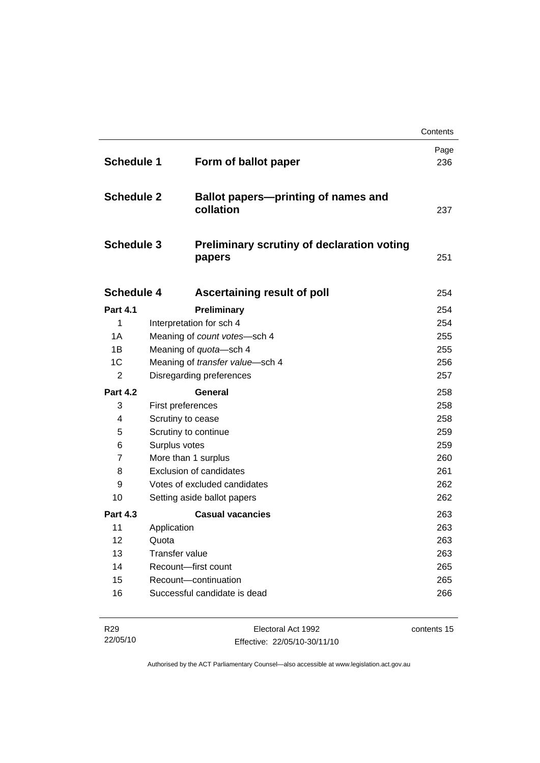|                   |                                 |                                                                                                                        | Contents    |
|-------------------|---------------------------------|------------------------------------------------------------------------------------------------------------------------|-------------|
| <b>Schedule 1</b> |                                 | Form of ballot paper                                                                                                   | Page<br>236 |
| <b>Schedule 2</b> |                                 | <b>Ballot papers-printing of names and</b><br>collation<br><b>Preliminary scrutiny of declaration voting</b><br>papers |             |
| <b>Schedule 3</b> |                                 |                                                                                                                        |             |
| <b>Schedule 4</b> |                                 | Ascertaining result of poll                                                                                            | 254         |
| <b>Part 4.1</b>   | Preliminary                     |                                                                                                                        | 254         |
| 1                 | Interpretation for sch 4        |                                                                                                                        | 254         |
| 1A                | Meaning of count votes-sch 4    |                                                                                                                        | 255         |
| 1B                | Meaning of quota-sch 4          |                                                                                                                        | 255         |
| 1C                | Meaning of transfer value-sch 4 |                                                                                                                        | 256         |
| $\overline{2}$    | Disregarding preferences        |                                                                                                                        | 257         |
| <b>Part 4.2</b>   | General                         |                                                                                                                        | 258         |
| 3                 | First preferences               |                                                                                                                        | 258         |
| 4                 | Scrutiny to cease               |                                                                                                                        | 258         |
| 5                 | Scrutiny to continue            |                                                                                                                        | 259         |
| 6                 | Surplus votes                   |                                                                                                                        | 259         |
| $\overline{7}$    | More than 1 surplus             |                                                                                                                        | 260         |
| 8                 | Exclusion of candidates         |                                                                                                                        | 261         |
| 9                 | Votes of excluded candidates    |                                                                                                                        | 262         |
| 10                | Setting aside ballot papers     |                                                                                                                        | 262         |
| <b>Part 4.3</b>   |                                 | <b>Casual vacancies</b>                                                                                                | 263         |
| 11                | Application                     |                                                                                                                        | 263         |
| $12 \overline{ }$ | Quota                           |                                                                                                                        | 263         |
| 13                | <b>Transfer value</b>           |                                                                                                                        | 263         |
| 14                | Recount-first count             |                                                                                                                        | 265         |
| 15                | Recount-continuation            |                                                                                                                        | 265         |
| 16                | Successful candidate is dead    |                                                                                                                        | 266         |

| R <sub>29</sub> | Electoral Act 1992           | contents 15 |
|-----------------|------------------------------|-------------|
| 22/05/10        | Effective: 22/05/10-30/11/10 |             |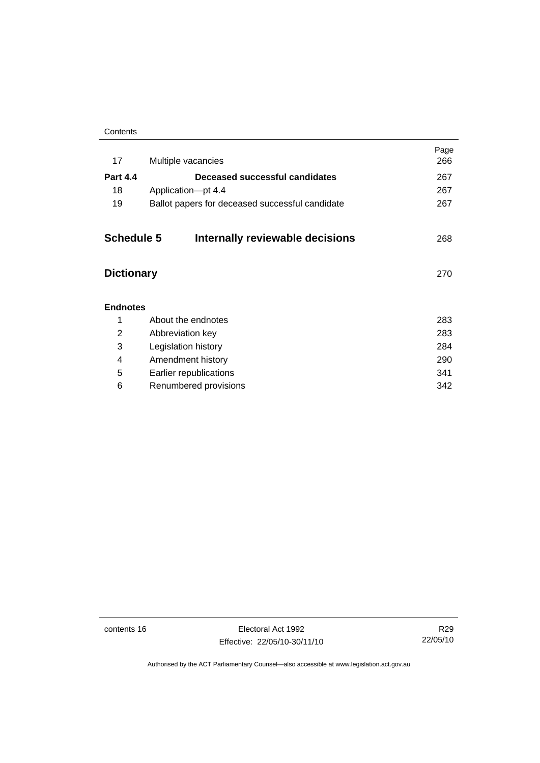| Contents |
|----------|
|----------|

| 17                | Multiple vacancies                              | Page<br>266 |
|-------------------|-------------------------------------------------|-------------|
| <b>Part 4.4</b>   | Deceased successful candidates                  | 267         |
| 18                | Application-pt 4.4                              | 267         |
| 19                | Ballot papers for deceased successful candidate | 267         |
| <b>Schedule 5</b> | Internally reviewable decisions                 | 268         |
| <b>Dictionary</b> |                                                 | 270         |
| <b>Endnotes</b>   |                                                 |             |
| 1                 | About the endnotes                              | 283         |
| 2                 | Abbreviation key                                | 283         |
| 3                 | Legislation history                             | 284         |
| 4                 | Amendment history                               | 290         |
| 5                 | Earlier republications                          | 341         |
| 6                 | Renumbered provisions                           | 342         |
|                   |                                                 |             |

contents 16 Electoral Act 1992 Effective: 22/05/10-30/11/10

R29 22/05/10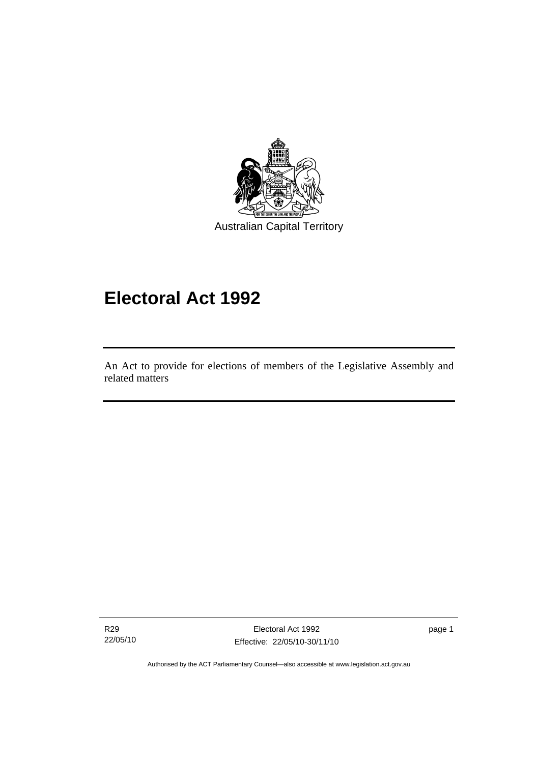<span id="page-18-0"></span>

# **Electoral Act 1992**

An Act to provide for elections of members of the Legislative Assembly and related matters

R29 22/05/10

I

Electoral Act 1992 Effective: 22/05/10-30/11/10 page 1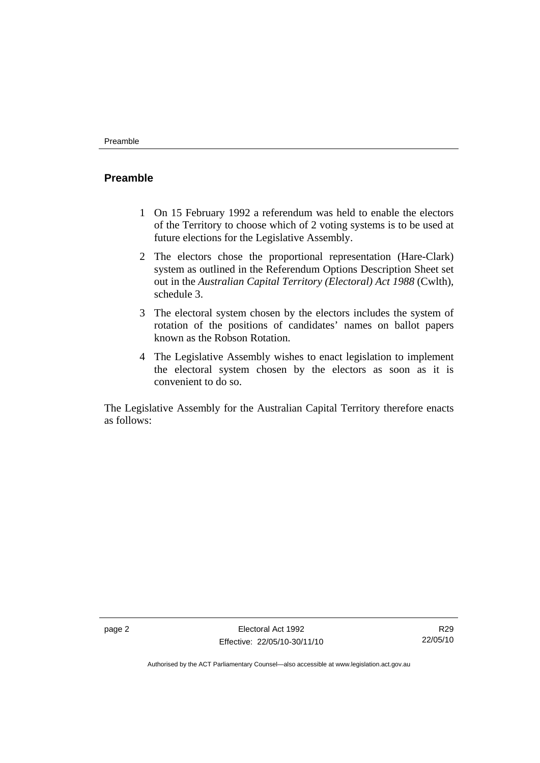#### <span id="page-19-0"></span>**Preamble**

- 1 On 15 February 1992 a referendum was held to enable the electors of the Territory to choose which of 2 voting systems is to be used at future elections for the Legislative Assembly.
- 2 The electors chose the proportional representation (Hare-Clark) system as outlined in the Referendum Options Description Sheet set out in the *Australian Capital Territory (Electoral) Act 1988* (Cwlth), schedule 3.
- 3 The electoral system chosen by the electors includes the system of rotation of the positions of candidates' names on ballot papers known as the Robson Rotation.
- 4 The Legislative Assembly wishes to enact legislation to implement the electoral system chosen by the electors as soon as it is convenient to do so.

The Legislative Assembly for the Australian Capital Territory therefore enacts as follows:

R29 22/05/10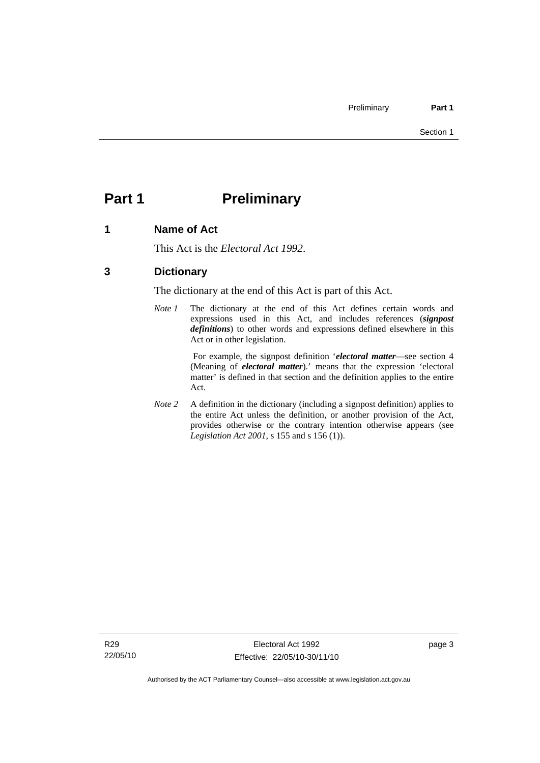# <span id="page-20-0"></span>**Part 1** Preliminary

#### **1 Name of Act**

This Act is the *Electoral Act 1992*.

## **3 Dictionary**

The dictionary at the end of this Act is part of this Act.

*Note 1* The dictionary at the end of this Act defines certain words and expressions used in this Act, and includes references (*signpost definitions*) to other words and expressions defined elsewhere in this Act or in other legislation.

> For example, the signpost definition '*electoral matter*—see section 4 (Meaning of *electoral matter*).' means that the expression 'electoral matter' is defined in that section and the definition applies to the entire Act.

*Note 2* A definition in the dictionary (including a signpost definition) applies to the entire Act unless the definition, or another provision of the Act, provides otherwise or the contrary intention otherwise appears (see *Legislation Act 2001*, s 155 and s 156 (1)).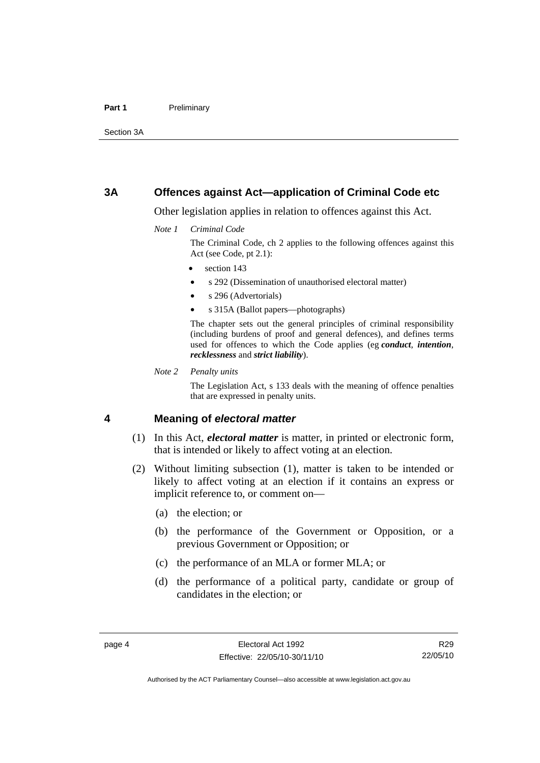#### <span id="page-21-0"></span>Part 1 **Preliminary**

Section 3A

#### **3A Offences against Act—application of Criminal Code etc**

Other legislation applies in relation to offences against this Act.

*Note 1 Criminal Code*

The Criminal Code, ch 2 applies to the following offences against this Act (see Code, pt 2.1):

- section 143
- s 292 (Dissemination of unauthorised electoral matter)
- s 296 (Advertorials)
- s 315A (Ballot papers—photographs)

The chapter sets out the general principles of criminal responsibility (including burdens of proof and general defences), and defines terms used for offences to which the Code applies (eg *conduct*, *intention*, *recklessness* and *strict liability*).

*Note 2 Penalty units* 

The Legislation Act, s 133 deals with the meaning of offence penalties that are expressed in penalty units.

#### **4 Meaning of** *electoral matter*

- (1) In this Act, *electoral matter* is matter, in printed or electronic form, that is intended or likely to affect voting at an election.
- (2) Without limiting subsection (1), matter is taken to be intended or likely to affect voting at an election if it contains an express or implicit reference to, or comment on—
	- (a) the election; or
	- (b) the performance of the Government or Opposition, or a previous Government or Opposition; or
	- (c) the performance of an MLA or former MLA; or
	- (d) the performance of a political party, candidate or group of candidates in the election; or

R29 22/05/10

Authorised by the ACT Parliamentary Counsel—also accessible at www.legislation.act.gov.au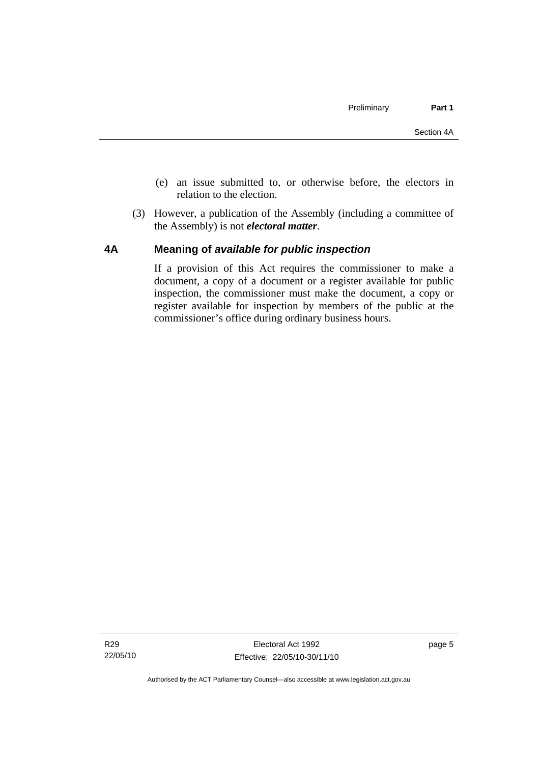- <span id="page-22-0"></span> (e) an issue submitted to, or otherwise before, the electors in relation to the election.
- (3) However, a publication of the Assembly (including a committee of the Assembly) is not *electoral matter*.

#### **4A Meaning of** *available for public inspection*

If a provision of this Act requires the commissioner to make a document, a copy of a document or a register available for public inspection, the commissioner must make the document, a copy or register available for inspection by members of the public at the commissioner's office during ordinary business hours.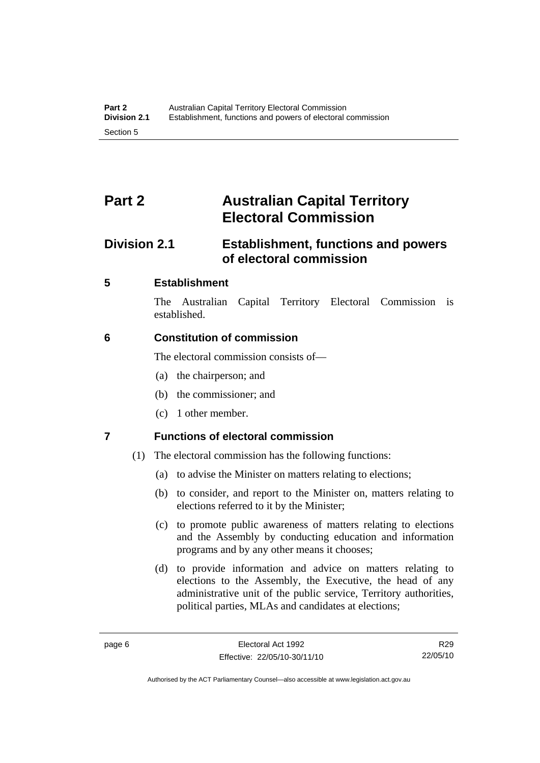# <span id="page-23-0"></span>**Part 2 Australian Capital Territory Electoral Commission**

# **Division 2.1 Establishment, functions and powers of electoral commission**

## **5 Establishment**

The Australian Capital Territory Electoral Commission is established.

## **6 Constitution of commission**

The electoral commission consists of—

- (a) the chairperson; and
- (b) the commissioner; and
- (c) 1 other member.

## **7 Functions of electoral commission**

- (1) The electoral commission has the following functions:
	- (a) to advise the Minister on matters relating to elections;
	- (b) to consider, and report to the Minister on, matters relating to elections referred to it by the Minister;
	- (c) to promote public awareness of matters relating to elections and the Assembly by conducting education and information programs and by any other means it chooses;
	- (d) to provide information and advice on matters relating to elections to the Assembly, the Executive, the head of any administrative unit of the public service, Territory authorities, political parties, MLAs and candidates at elections;

R29 22/05/10

Authorised by the ACT Parliamentary Counsel—also accessible at www.legislation.act.gov.au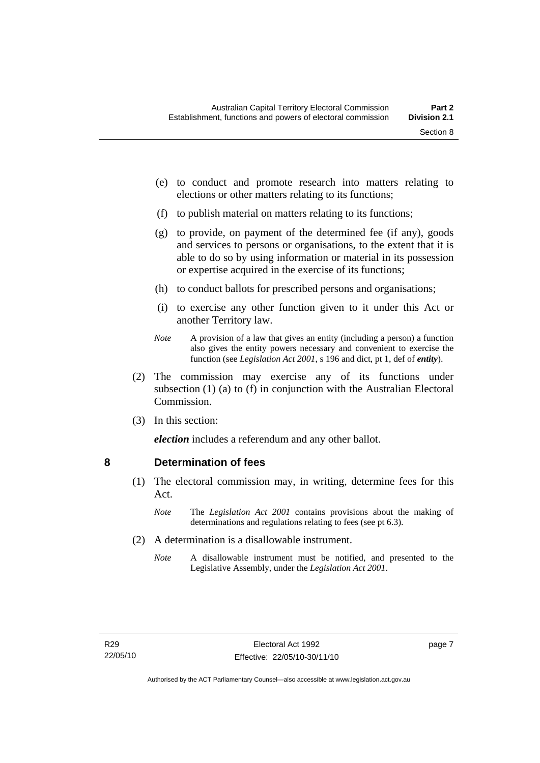- <span id="page-24-0"></span> (e) to conduct and promote research into matters relating to elections or other matters relating to its functions;
- (f) to publish material on matters relating to its functions;
- (g) to provide, on payment of the determined fee (if any), goods and services to persons or organisations, to the extent that it is able to do so by using information or material in its possession or expertise acquired in the exercise of its functions;
- (h) to conduct ballots for prescribed persons and organisations;
- (i) to exercise any other function given to it under this Act or another Territory law.
- *Note* A provision of a law that gives an entity (including a person) a function also gives the entity powers necessary and convenient to exercise the function (see *Legislation Act 2001*, s 196 and dict, pt 1, def of *entity*).
- (2) The commission may exercise any of its functions under subsection (1) (a) to (f) in conjunction with the Australian Electoral Commission.
- (3) In this section:

*election* includes a referendum and any other ballot.

#### **8 Determination of fees**

- (1) The electoral commission may, in writing, determine fees for this Act.
	- *Note* The *Legislation Act 2001* contains provisions about the making of determinations and regulations relating to fees (see pt 6.3).
- (2) A determination is a disallowable instrument.
	- *Note* A disallowable instrument must be notified, and presented to the Legislative Assembly, under the *Legislation Act 2001*.

page 7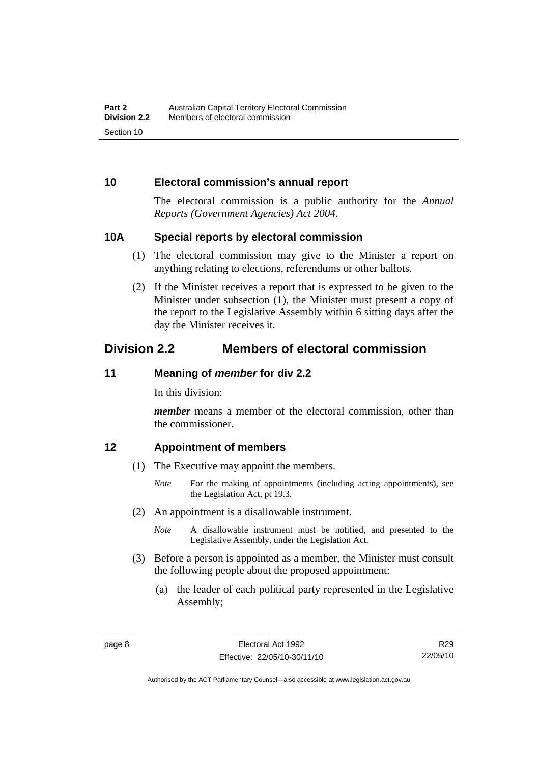#### <span id="page-25-0"></span>**10 Electoral commission's annual report**

The electoral commission is a public authority for the *Annual Reports (Government Agencies) Act 2004*.

#### **10A Special reports by electoral commission**

- (1) The electoral commission may give to the Minister a report on anything relating to elections, referendums or other ballots.
- (2) If the Minister receives a report that is expressed to be given to the Minister under subsection (1), the Minister must present a copy of the report to the Legislative Assembly within 6 sitting days after the day the Minister receives it.

# **Division 2.2 Members of electoral commission**

#### **11 Meaning of** *member* **for div 2.2**

In this division:

*member* means a member of the electoral commission, other than the commissioner.

#### **12 Appointment of members**

- (1) The Executive may appoint the members.
	- *Note* For the making of appointments (including acting appointments), see the Legislation Act, pt 19.3.
- (2) An appointment is a disallowable instrument.
	- *Note* A disallowable instrument must be notified, and presented to the Legislative Assembly, under the Legislation Act.
- (3) Before a person is appointed as a member, the Minister must consult the following people about the proposed appointment:
	- (a) the leader of each political party represented in the Legislative Assembly;

R29 22/05/10

Authorised by the ACT Parliamentary Counsel—also accessible at www.legislation.act.gov.au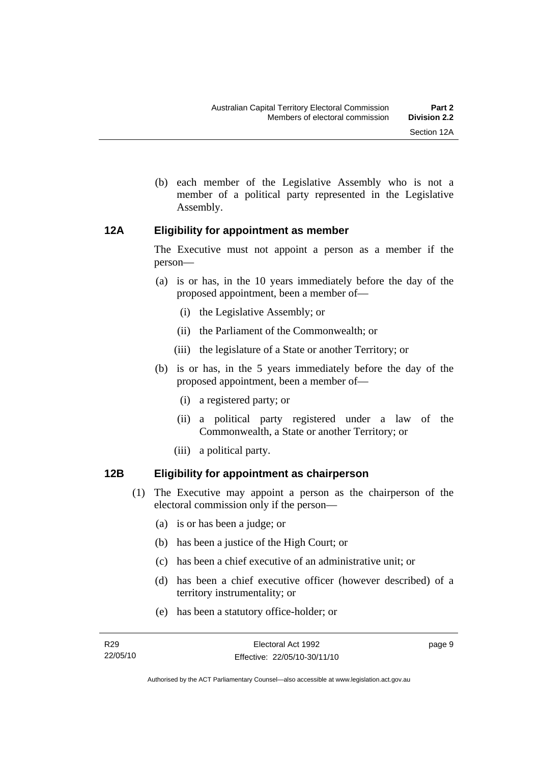- 
- <span id="page-26-0"></span> (b) each member of the Legislative Assembly who is not a member of a political party represented in the Legislative Assembly.

## **12A Eligibility for appointment as member**

The Executive must not appoint a person as a member if the person—

- (a) is or has, in the 10 years immediately before the day of the proposed appointment, been a member of—
	- (i) the Legislative Assembly; or
	- (ii) the Parliament of the Commonwealth; or
	- (iii) the legislature of a State or another Territory; or
- (b) is or has, in the 5 years immediately before the day of the proposed appointment, been a member of—
	- (i) a registered party; or
	- (ii) a political party registered under a law of the Commonwealth, a State or another Territory; or
	- (iii) a political party.

## **12B Eligibility for appointment as chairperson**

- (1) The Executive may appoint a person as the chairperson of the electoral commission only if the person—
	- (a) is or has been a judge; or
	- (b) has been a justice of the High Court; or
	- (c) has been a chief executive of an administrative unit; or
	- (d) has been a chief executive officer (however described) of a territory instrumentality; or
	- (e) has been a statutory office-holder; or

page 9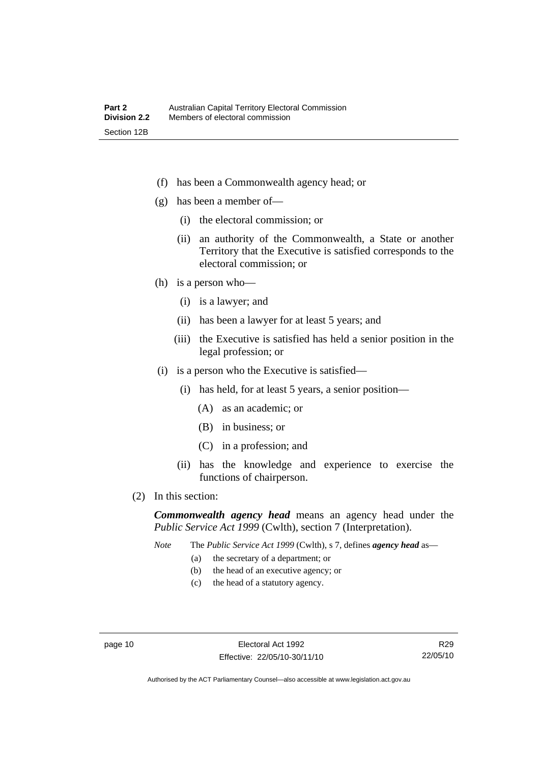- (f) has been a Commonwealth agency head; or
- (g) has been a member of—
	- (i) the electoral commission; or
	- (ii) an authority of the Commonwealth, a State or another Territory that the Executive is satisfied corresponds to the electoral commission; or
- (h) is a person who—
	- (i) is a lawyer; and
	- (ii) has been a lawyer for at least 5 years; and
	- (iii) the Executive is satisfied has held a senior position in the legal profession; or
- (i) is a person who the Executive is satisfied—
	- (i) has held, for at least 5 years, a senior position—
		- (A) as an academic; or
		- (B) in business; or
		- (C) in a profession; and
	- (ii) has the knowledge and experience to exercise the functions of chairperson.
- (2) In this section:

*Commonwealth agency head* means an agency head under the *Public Service Act 1999* (Cwlth), section 7 (Interpretation).

*Note* The *Public Service Act 1999* (Cwlth), s 7, defines *agency head* as—

- (a) the secretary of a department; or
- (b) the head of an executive agency; or
- (c) the head of a statutory agency.

R29 22/05/10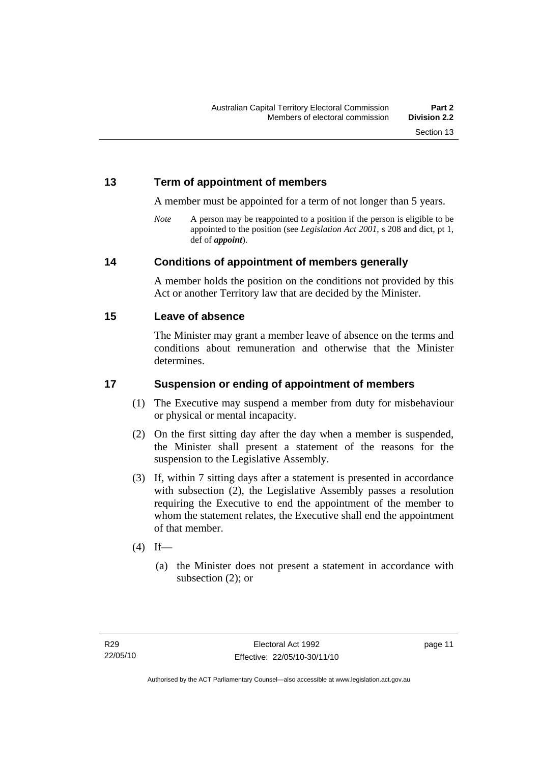## <span id="page-28-0"></span>**13 Term of appointment of members**

A member must be appointed for a term of not longer than 5 years.

*Note* A person may be reappointed to a position if the person is eligible to be appointed to the position (see *Legislation Act 2001*, s 208 and dict, pt 1, def of *appoint*).

#### **14 Conditions of appointment of members generally**

A member holds the position on the conditions not provided by this Act or another Territory law that are decided by the Minister.

#### **15 Leave of absence**

The Minister may grant a member leave of absence on the terms and conditions about remuneration and otherwise that the Minister determines.

## **17 Suspension or ending of appointment of members**

- (1) The Executive may suspend a member from duty for misbehaviour or physical or mental incapacity.
- (2) On the first sitting day after the day when a member is suspended, the Minister shall present a statement of the reasons for the suspension to the Legislative Assembly.
- (3) If, within 7 sitting days after a statement is presented in accordance with subsection (2), the Legislative Assembly passes a resolution requiring the Executive to end the appointment of the member to whom the statement relates, the Executive shall end the appointment of that member.
- $(4)$  If—
	- (a) the Minister does not present a statement in accordance with subsection (2); or

page 11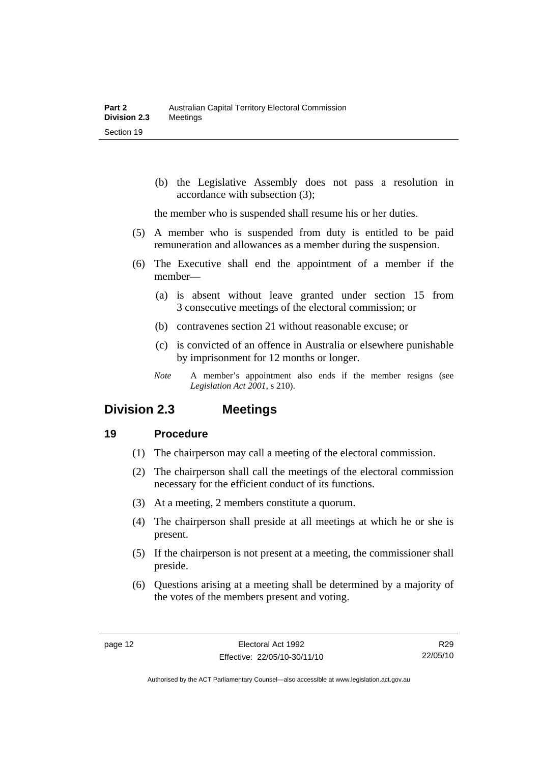<span id="page-29-0"></span> (b) the Legislative Assembly does not pass a resolution in accordance with subsection (3);

the member who is suspended shall resume his or her duties.

- (5) A member who is suspended from duty is entitled to be paid remuneration and allowances as a member during the suspension.
- (6) The Executive shall end the appointment of a member if the member—
	- (a) is absent without leave granted under section 15 from 3 consecutive meetings of the electoral commission; or
	- (b) contravenes section 21 without reasonable excuse; or
	- (c) is convicted of an offence in Australia or elsewhere punishable by imprisonment for 12 months or longer.
	- *Note* A member's appointment also ends if the member resigns (see *Legislation Act 2001*, s 210).

## **Division 2.3 Meetings**

#### **19 Procedure**

- (1) The chairperson may call a meeting of the electoral commission.
- (2) The chairperson shall call the meetings of the electoral commission necessary for the efficient conduct of its functions.
- (3) At a meeting, 2 members constitute a quorum.
- (4) The chairperson shall preside at all meetings at which he or she is present.
- (5) If the chairperson is not present at a meeting, the commissioner shall preside.
- (6) Questions arising at a meeting shall be determined by a majority of the votes of the members present and voting.

R29 22/05/10

Authorised by the ACT Parliamentary Counsel—also accessible at www.legislation.act.gov.au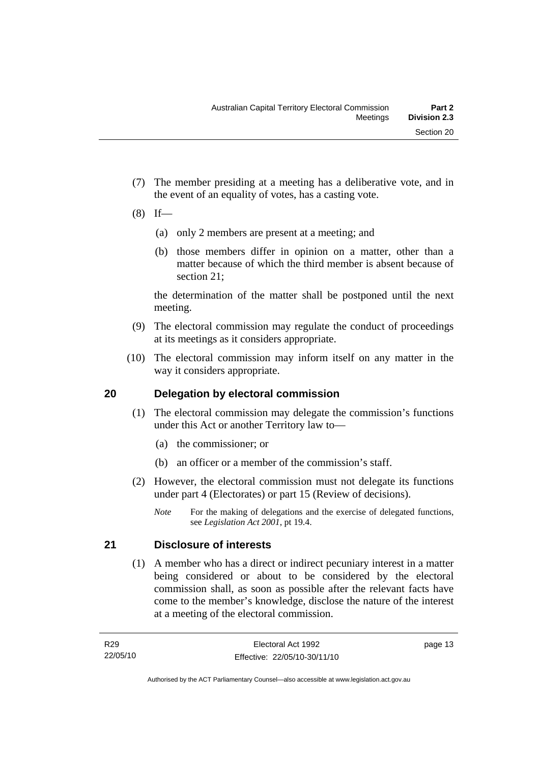- <span id="page-30-0"></span> (7) The member presiding at a meeting has a deliberative vote, and in the event of an equality of votes, has a casting vote.
- $(8)$  If—
	- (a) only 2 members are present at a meeting; and
	- (b) those members differ in opinion on a matter, other than a matter because of which the third member is absent because of section 21;

the determination of the matter shall be postponed until the next meeting.

- (9) The electoral commission may regulate the conduct of proceedings at its meetings as it considers appropriate.
- (10) The electoral commission may inform itself on any matter in the way it considers appropriate.

## **20 Delegation by electoral commission**

- (1) The electoral commission may delegate the commission's functions under this Act or another Territory law to—
	- (a) the commissioner; or
	- (b) an officer or a member of the commission's staff.
- (2) However, the electoral commission must not delegate its functions under part 4 (Electorates) or part 15 (Review of decisions).
	- *Note* For the making of delegations and the exercise of delegated functions, see *Legislation Act 2001*, pt 19.4.

## **21 Disclosure of interests**

 (1) A member who has a direct or indirect pecuniary interest in a matter being considered or about to be considered by the electoral commission shall, as soon as possible after the relevant facts have come to the member's knowledge, disclose the nature of the interest at a meeting of the electoral commission.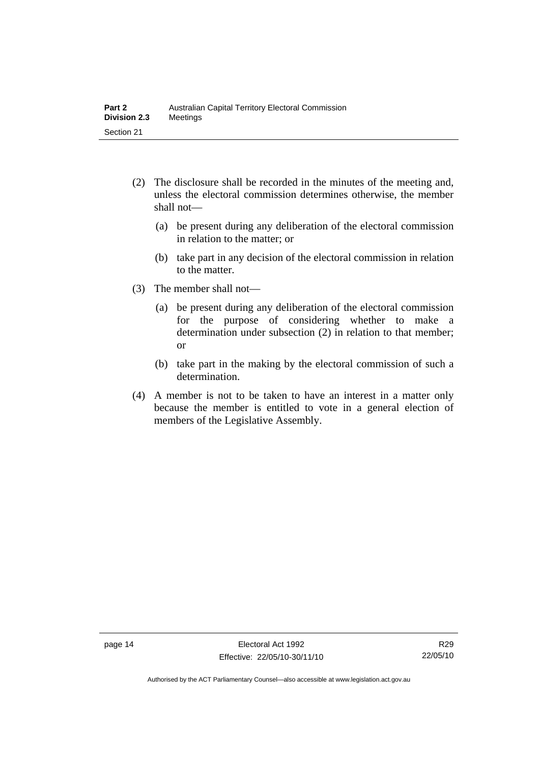- (2) The disclosure shall be recorded in the minutes of the meeting and, unless the electoral commission determines otherwise, the member shall not—
	- (a) be present during any deliberation of the electoral commission in relation to the matter; or
	- (b) take part in any decision of the electoral commission in relation to the matter.
- (3) The member shall not—
	- (a) be present during any deliberation of the electoral commission for the purpose of considering whether to make a determination under subsection (2) in relation to that member; or
	- (b) take part in the making by the electoral commission of such a determination.
- (4) A member is not to be taken to have an interest in a matter only because the member is entitled to vote in a general election of members of the Legislative Assembly.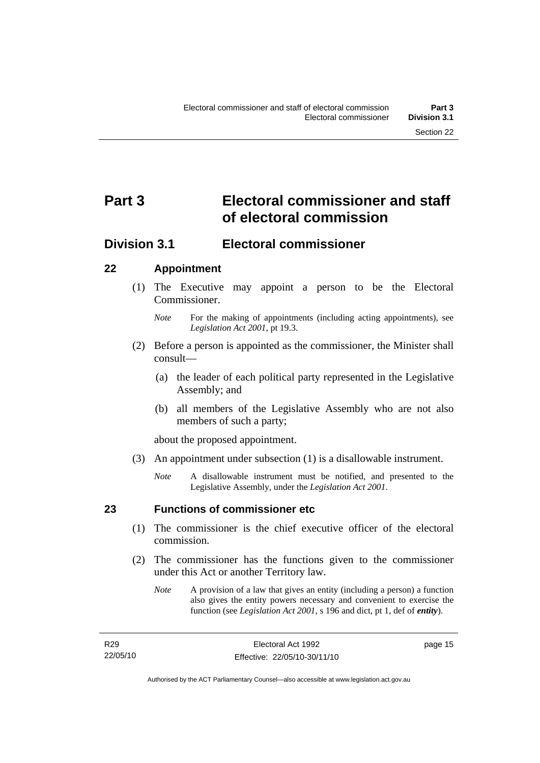# <span id="page-32-0"></span>**Part 3 Electoral commissioner and staff of electoral commission**

## **Division 3.1 Electoral commissioner**

## **22 Appointment**

- (1) The Executive may appoint a person to be the Electoral Commissioner.
	- *Note* For the making of appointments (including acting appointments), see *Legislation Act 2001*, pt 19.3.
- (2) Before a person is appointed as the commissioner, the Minister shall consult—
	- (a) the leader of each political party represented in the Legislative Assembly; and
	- (b) all members of the Legislative Assembly who are not also members of such a party;

about the proposed appointment.

- (3) An appointment under subsection (1) is a disallowable instrument.
	- *Note* A disallowable instrument must be notified, and presented to the Legislative Assembly, under the *Legislation Act 2001*.

## **23 Functions of commissioner etc**

- (1) The commissioner is the chief executive officer of the electoral commission.
- (2) The commissioner has the functions given to the commissioner under this Act or another Territory law.
	- *Note* A provision of a law that gives an entity (including a person) a function also gives the entity powers necessary and convenient to exercise the function (see *Legislation Act 2001*, s 196 and dict, pt 1, def of *entity*).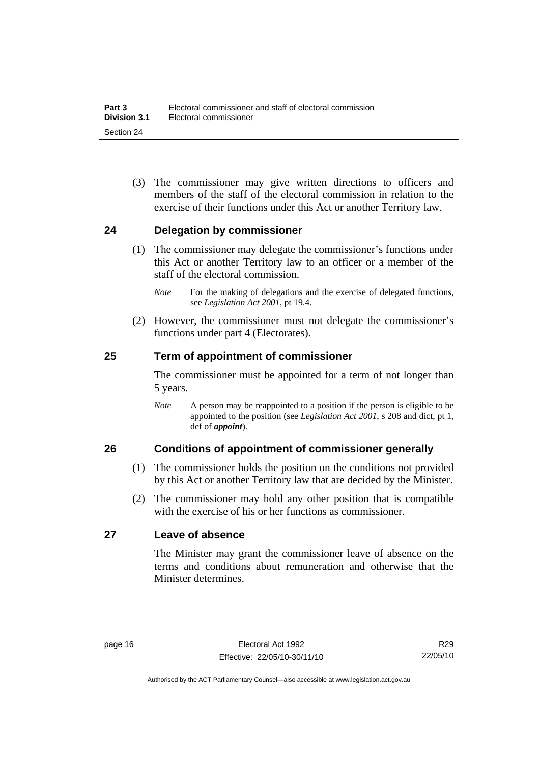<span id="page-33-0"></span> (3) The commissioner may give written directions to officers and members of the staff of the electoral commission in relation to the exercise of their functions under this Act or another Territory law.

#### **24 Delegation by commissioner**

- (1) The commissioner may delegate the commissioner's functions under this Act or another Territory law to an officer or a member of the staff of the electoral commission.
	- *Note* For the making of delegations and the exercise of delegated functions, see *Legislation Act 2001*, pt 19.4.
- (2) However, the commissioner must not delegate the commissioner's functions under part 4 (Electorates).

#### **25 Term of appointment of commissioner**

The commissioner must be appointed for a term of not longer than 5 years.

*Note* A person may be reappointed to a position if the person is eligible to be appointed to the position (see *Legislation Act 2001*, s 208 and dict, pt 1, def of *appoint*).

#### **26 Conditions of appointment of commissioner generally**

- (1) The commissioner holds the position on the conditions not provided by this Act or another Territory law that are decided by the Minister.
- (2) The commissioner may hold any other position that is compatible with the exercise of his or her functions as commissioner.

#### **27 Leave of absence**

The Minister may grant the commissioner leave of absence on the terms and conditions about remuneration and otherwise that the Minister determines.

R29 22/05/10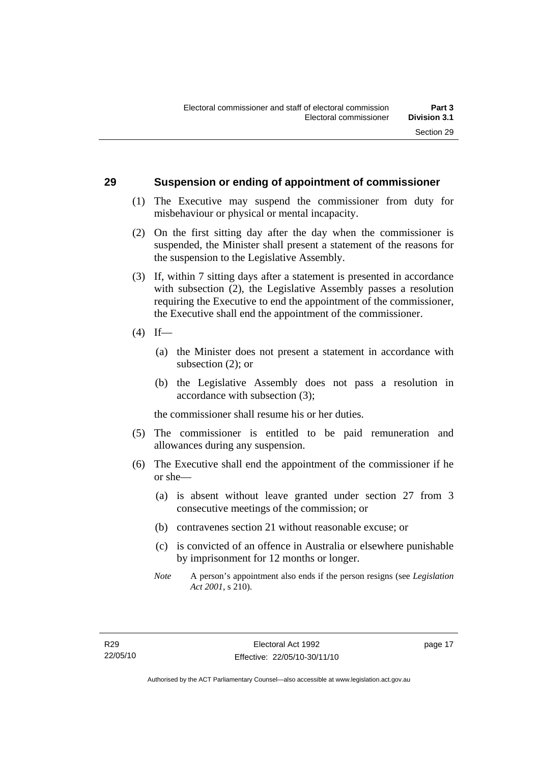#### <span id="page-34-0"></span>**29 Suspension or ending of appointment of commissioner**

- (1) The Executive may suspend the commissioner from duty for misbehaviour or physical or mental incapacity.
- (2) On the first sitting day after the day when the commissioner is suspended, the Minister shall present a statement of the reasons for the suspension to the Legislative Assembly.
- (3) If, within 7 sitting days after a statement is presented in accordance with subsection (2), the Legislative Assembly passes a resolution requiring the Executive to end the appointment of the commissioner, the Executive shall end the appointment of the commissioner.
- $(4)$  If—
	- (a) the Minister does not present a statement in accordance with subsection (2); or
	- (b) the Legislative Assembly does not pass a resolution in accordance with subsection (3);

the commissioner shall resume his or her duties.

- (5) The commissioner is entitled to be paid remuneration and allowances during any suspension.
- (6) The Executive shall end the appointment of the commissioner if he or she—
	- (a) is absent without leave granted under section 27 from 3 consecutive meetings of the commission; or
	- (b) contravenes section 21 without reasonable excuse; or
	- (c) is convicted of an offence in Australia or elsewhere punishable by imprisonment for 12 months or longer.
	- *Note* A person's appointment also ends if the person resigns (see *Legislation Act 2001*, s 210).

page 17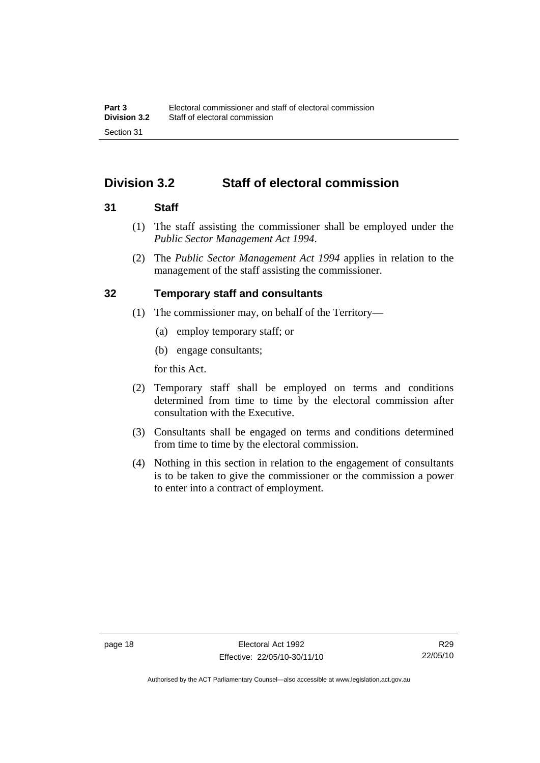# <span id="page-35-0"></span>**Division 3.2 Staff of electoral commission**

#### **31 Staff**

- (1) The staff assisting the commissioner shall be employed under the *Public Sector Management Act 1994*.
- (2) The *Public Sector Management Act 1994* applies in relation to the management of the staff assisting the commissioner.

#### **32 Temporary staff and consultants**

- (1) The commissioner may, on behalf of the Territory—
	- (a) employ temporary staff; or
	- (b) engage consultants;

for this Act.

- (2) Temporary staff shall be employed on terms and conditions determined from time to time by the electoral commission after consultation with the Executive.
- (3) Consultants shall be engaged on terms and conditions determined from time to time by the electoral commission.
- (4) Nothing in this section in relation to the engagement of consultants is to be taken to give the commissioner or the commission a power to enter into a contract of employment.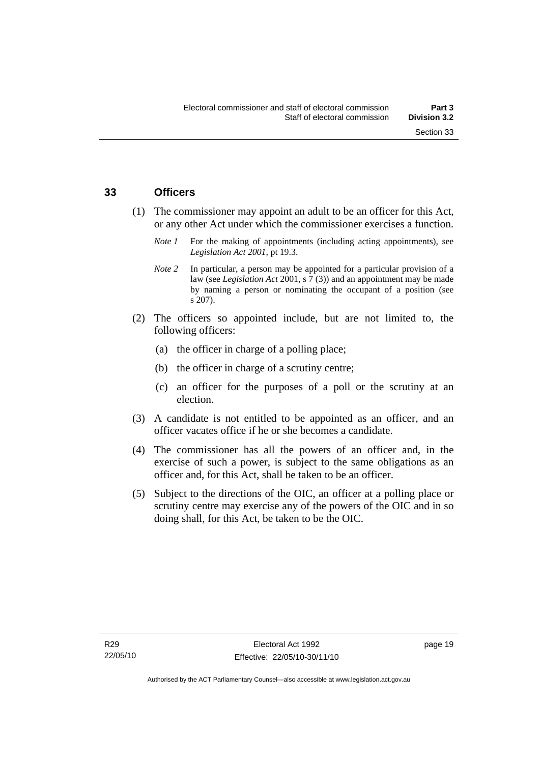# **33 Officers**

- (1) The commissioner may appoint an adult to be an officer for this Act, or any other Act under which the commissioner exercises a function.
	- *Note 1* For the making of appointments (including acting appointments), see *Legislation Act 2001*, pt 19.3.
	- *Note 2* In particular, a person may be appointed for a particular provision of a law (see *Legislation Act* 2001, s 7 (3)) and an appointment may be made by naming a person or nominating the occupant of a position (see s 207).
- (2) The officers so appointed include, but are not limited to, the following officers:
	- (a) the officer in charge of a polling place;
	- (b) the officer in charge of a scrutiny centre;
	- (c) an officer for the purposes of a poll or the scrutiny at an election.
- (3) A candidate is not entitled to be appointed as an officer, and an officer vacates office if he or she becomes a candidate.
- (4) The commissioner has all the powers of an officer and, in the exercise of such a power, is subject to the same obligations as an officer and, for this Act, shall be taken to be an officer.
- (5) Subject to the directions of the OIC, an officer at a polling place or scrutiny centre may exercise any of the powers of the OIC and in so doing shall, for this Act, be taken to be the OIC.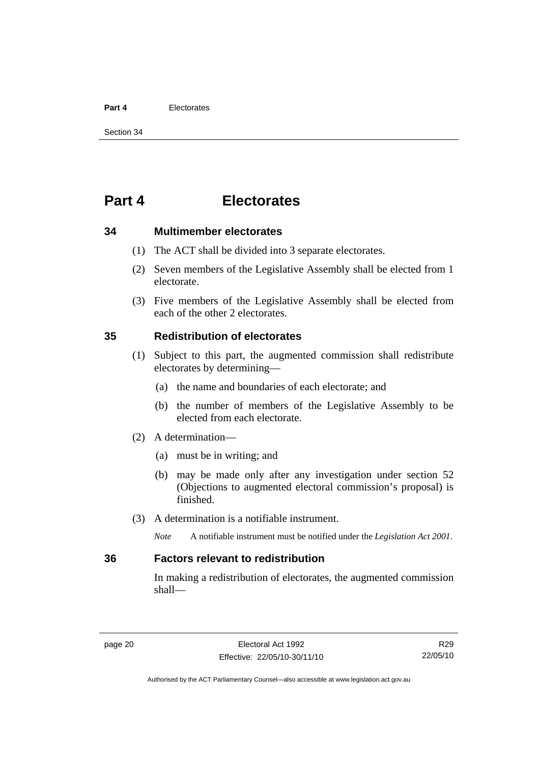#### **Part 4** Electorates

Section 34

# **Part 4 Electorates**

**34 Multimember electorates** 

- (1) The ACT shall be divided into 3 separate electorates.
- (2) Seven members of the Legislative Assembly shall be elected from 1 electorate.
- (3) Five members of the Legislative Assembly shall be elected from each of the other 2 electorates.

# **35 Redistribution of electorates**

- (1) Subject to this part, the augmented commission shall redistribute electorates by determining—
	- (a) the name and boundaries of each electorate; and
	- (b) the number of members of the Legislative Assembly to be elected from each electorate.
- (2) A determination—
	- (a) must be in writing; and
	- (b) may be made only after any investigation under section 52 (Objections to augmented electoral commission's proposal) is finished.
- (3) A determination is a notifiable instrument.

*Note* A notifiable instrument must be notified under the *Legislation Act 2001*.

# **36 Factors relevant to redistribution**

In making a redistribution of electorates, the augmented commission shall—

R29 22/05/10

Authorised by the ACT Parliamentary Counsel—also accessible at www.legislation.act.gov.au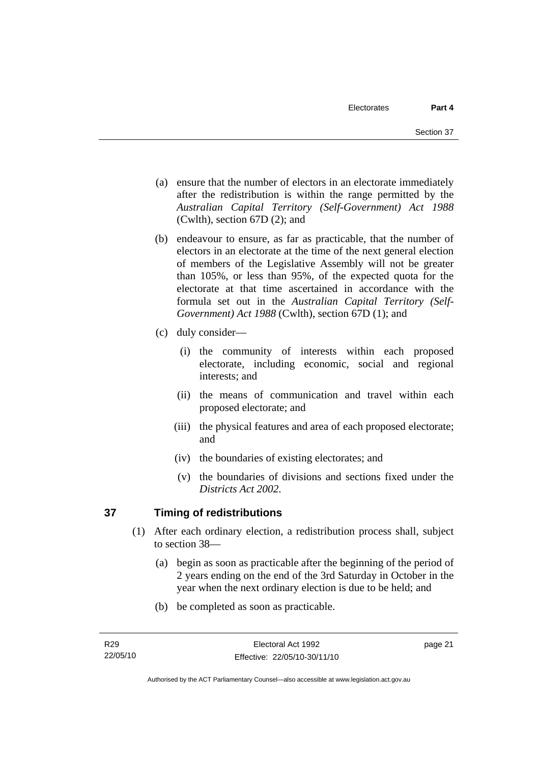- (a) ensure that the number of electors in an electorate immediately after the redistribution is within the range permitted by the *Australian Capital Territory (Self-Government) Act 1988*  (Cwlth), section 67D (2); and
- (b) endeavour to ensure, as far as practicable, that the number of electors in an electorate at the time of the next general election of members of the Legislative Assembly will not be greater than 105%, or less than 95%, of the expected quota for the electorate at that time ascertained in accordance with the formula set out in the *Australian Capital Territory (Self-Government) Act 1988* (Cwlth), section 67D (1); and
- (c) duly consider—
	- (i) the community of interests within each proposed electorate, including economic, social and regional interests; and
	- (ii) the means of communication and travel within each proposed electorate; and
	- (iii) the physical features and area of each proposed electorate; and
	- (iv) the boundaries of existing electorates; and
	- (v) the boundaries of divisions and sections fixed under the *Districts Act 2002*.

# **37 Timing of redistributions**

- (1) After each ordinary election, a redistribution process shall, subject to section 38—
	- (a) begin as soon as practicable after the beginning of the period of 2 years ending on the end of the 3rd Saturday in October in the year when the next ordinary election is due to be held; and
	- (b) be completed as soon as practicable.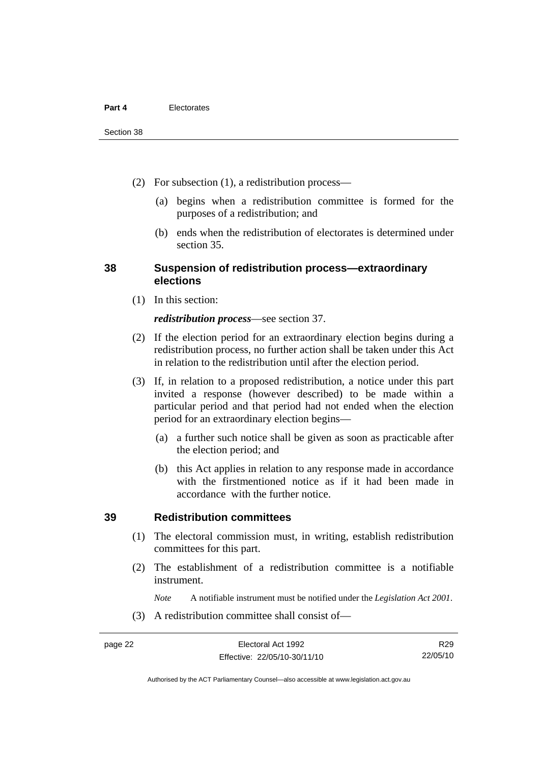- (2) For subsection (1), a redistribution process—
	- (a) begins when a redistribution committee is formed for the purposes of a redistribution; and
	- (b) ends when the redistribution of electorates is determined under section 35.

# **38 Suspension of redistribution process—extraordinary elections**

(1) In this section:

#### *redistribution process*—see section 37.

- (2) If the election period for an extraordinary election begins during a redistribution process, no further action shall be taken under this Act in relation to the redistribution until after the election period.
- (3) If, in relation to a proposed redistribution, a notice under this part invited a response (however described) to be made within a particular period and that period had not ended when the election period for an extraordinary election begins—
	- (a) a further such notice shall be given as soon as practicable after the election period; and
	- (b) this Act applies in relation to any response made in accordance with the firstmentioned notice as if it had been made in accordance with the further notice.

#### **39 Redistribution committees**

- (1) The electoral commission must, in writing, establish redistribution committees for this part.
- (2) The establishment of a redistribution committee is a notifiable instrument.

*Note* A notifiable instrument must be notified under the *Legislation Act 2001*.

(3) A redistribution committee shall consist of—

Authorised by the ACT Parliamentary Counsel—also accessible at www.legislation.act.gov.au

R29 22/05/10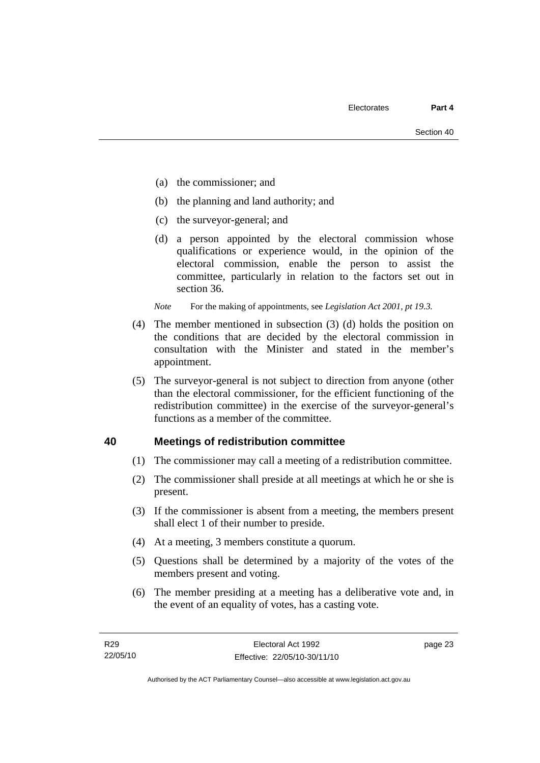- (a) the commissioner; and
- (b) the planning and land authority; and
- (c) the surveyor-general; and
- (d) a person appointed by the electoral commission whose qualifications or experience would, in the opinion of the electoral commission, enable the person to assist the committee, particularly in relation to the factors set out in section 36.

*Note* For the making of appointments, see *Legislation Act 2001, pt 19.3.* 

- (4) The member mentioned in subsection (3) (d) holds the position on the conditions that are decided by the electoral commission in consultation with the Minister and stated in the member's appointment.
- (5) The surveyor-general is not subject to direction from anyone (other than the electoral commissioner, for the efficient functioning of the redistribution committee) in the exercise of the surveyor-general's functions as a member of the committee.

# **40 Meetings of redistribution committee**

- (1) The commissioner may call a meeting of a redistribution committee.
- (2) The commissioner shall preside at all meetings at which he or she is present.
- (3) If the commissioner is absent from a meeting, the members present shall elect 1 of their number to preside.
- (4) At a meeting, 3 members constitute a quorum.
- (5) Questions shall be determined by a majority of the votes of the members present and voting.
- (6) The member presiding at a meeting has a deliberative vote and, in the event of an equality of votes, has a casting vote.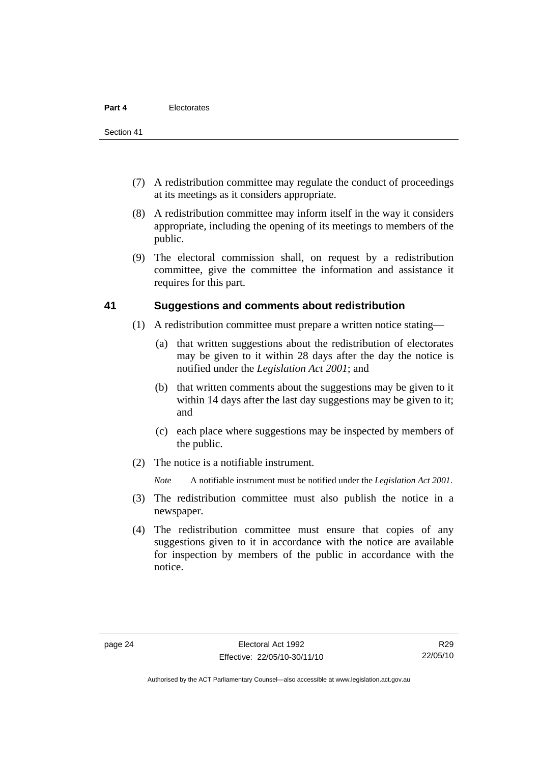- (7) A redistribution committee may regulate the conduct of proceedings at its meetings as it considers appropriate.
- (8) A redistribution committee may inform itself in the way it considers appropriate, including the opening of its meetings to members of the public.
- (9) The electoral commission shall, on request by a redistribution committee, give the committee the information and assistance it requires for this part.

## **41 Suggestions and comments about redistribution**

- (1) A redistribution committee must prepare a written notice stating—
	- (a) that written suggestions about the redistribution of electorates may be given to it within 28 days after the day the notice is notified under the *Legislation Act 2001*; and
	- (b) that written comments about the suggestions may be given to it within 14 days after the last day suggestions may be given to it; and
	- (c) each place where suggestions may be inspected by members of the public.
- (2) The notice is a notifiable instrument.

*Note* A notifiable instrument must be notified under the *Legislation Act 2001*.

- (3) The redistribution committee must also publish the notice in a newspaper.
- (4) The redistribution committee must ensure that copies of any suggestions given to it in accordance with the notice are available for inspection by members of the public in accordance with the notice.

Authorised by the ACT Parliamentary Counsel—also accessible at www.legislation.act.gov.au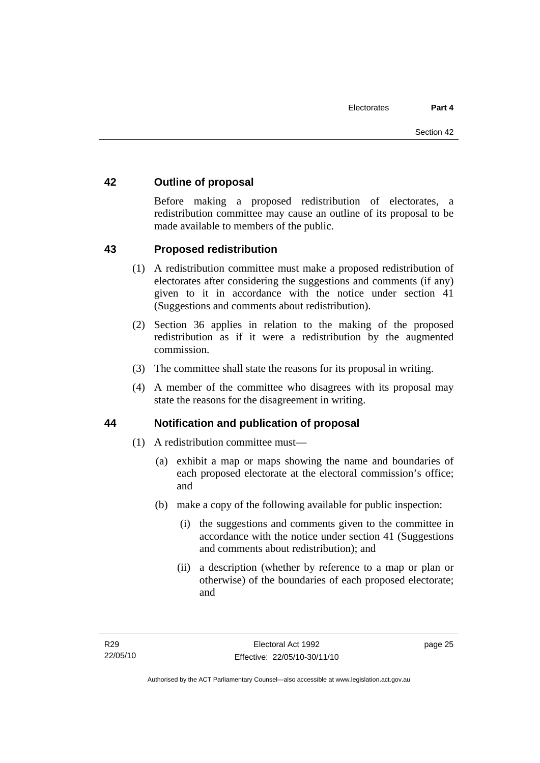# **42 Outline of proposal**

Before making a proposed redistribution of electorates, a redistribution committee may cause an outline of its proposal to be made available to members of the public.

# **43 Proposed redistribution**

- (1) A redistribution committee must make a proposed redistribution of electorates after considering the suggestions and comments (if any) given to it in accordance with the notice under section 41 (Suggestions and comments about redistribution).
- (2) Section 36 applies in relation to the making of the proposed redistribution as if it were a redistribution by the augmented commission.
- (3) The committee shall state the reasons for its proposal in writing.
- (4) A member of the committee who disagrees with its proposal may state the reasons for the disagreement in writing.

# **44 Notification and publication of proposal**

- (1) A redistribution committee must—
	- (a) exhibit a map or maps showing the name and boundaries of each proposed electorate at the electoral commission's office; and
	- (b) make a copy of the following available for public inspection:
		- (i) the suggestions and comments given to the committee in accordance with the notice under section 41 (Suggestions and comments about redistribution); and
		- (ii) a description (whether by reference to a map or plan or otherwise) of the boundaries of each proposed electorate; and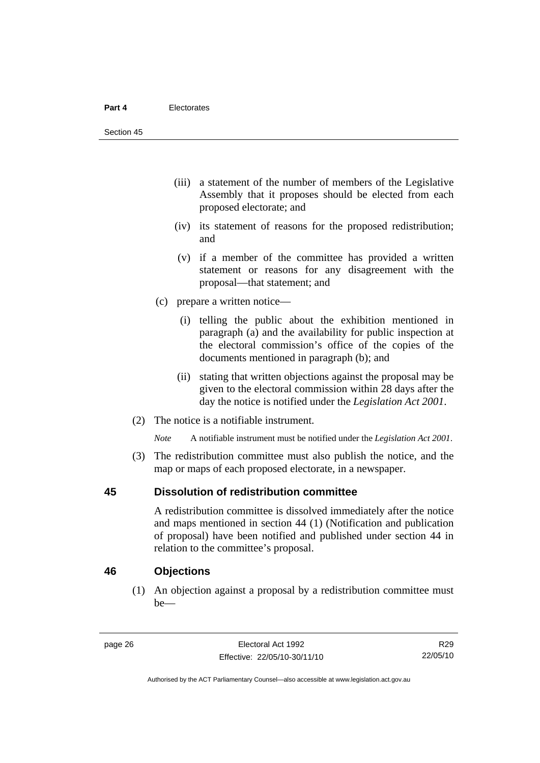- (iii) a statement of the number of members of the Legislative Assembly that it proposes should be elected from each proposed electorate; and
- (iv) its statement of reasons for the proposed redistribution; and
- (v) if a member of the committee has provided a written statement or reasons for any disagreement with the proposal—that statement; and
- (c) prepare a written notice—
	- (i) telling the public about the exhibition mentioned in paragraph (a) and the availability for public inspection at the electoral commission's office of the copies of the documents mentioned in paragraph (b); and
	- (ii) stating that written objections against the proposal may be given to the electoral commission within 28 days after the day the notice is notified under the *Legislation Act 2001*.
- (2) The notice is a notifiable instrument.

*Note* A notifiable instrument must be notified under the *Legislation Act 2001*.

 (3) The redistribution committee must also publish the notice, and the map or maps of each proposed electorate, in a newspaper.

# **45 Dissolution of redistribution committee**

A redistribution committee is dissolved immediately after the notice and maps mentioned in section 44 (1) (Notification and publication of proposal) have been notified and published under section 44 in relation to the committee's proposal.

# **46 Objections**

 (1) An objection against a proposal by a redistribution committee must be—

R29 22/05/10

Authorised by the ACT Parliamentary Counsel—also accessible at www.legislation.act.gov.au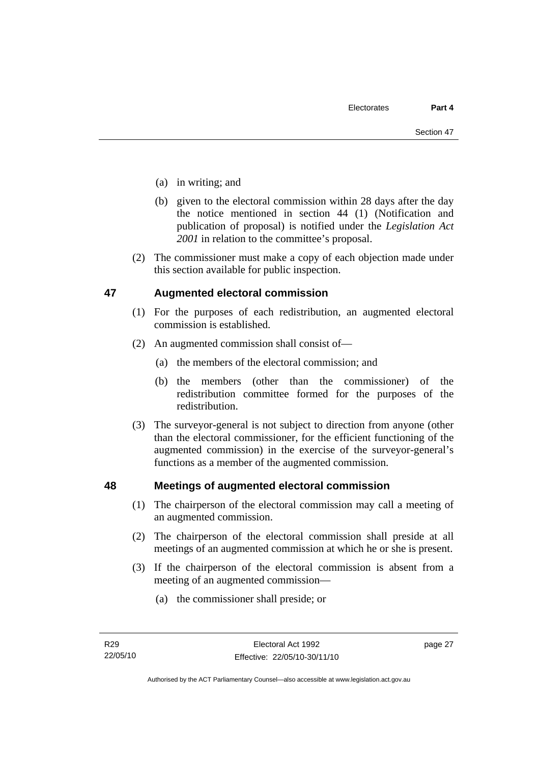- (a) in writing; and
- (b) given to the electoral commission within 28 days after the day the notice mentioned in section 44 (1) (Notification and publication of proposal) is notified under the *Legislation Act 2001* in relation to the committee's proposal.
- (2) The commissioner must make a copy of each objection made under this section available for public inspection.

# **47 Augmented electoral commission**

- (1) For the purposes of each redistribution, an augmented electoral commission is established.
- (2) An augmented commission shall consist of—
	- (a) the members of the electoral commission; and
	- (b) the members (other than the commissioner) of the redistribution committee formed for the purposes of the redistribution.
- (3) The surveyor-general is not subject to direction from anyone (other than the electoral commissioner, for the efficient functioning of the augmented commission) in the exercise of the surveyor-general's functions as a member of the augmented commission.

# **48 Meetings of augmented electoral commission**

- (1) The chairperson of the electoral commission may call a meeting of an augmented commission.
- (2) The chairperson of the electoral commission shall preside at all meetings of an augmented commission at which he or she is present.
- (3) If the chairperson of the electoral commission is absent from a meeting of an augmented commission—
	- (a) the commissioner shall preside; or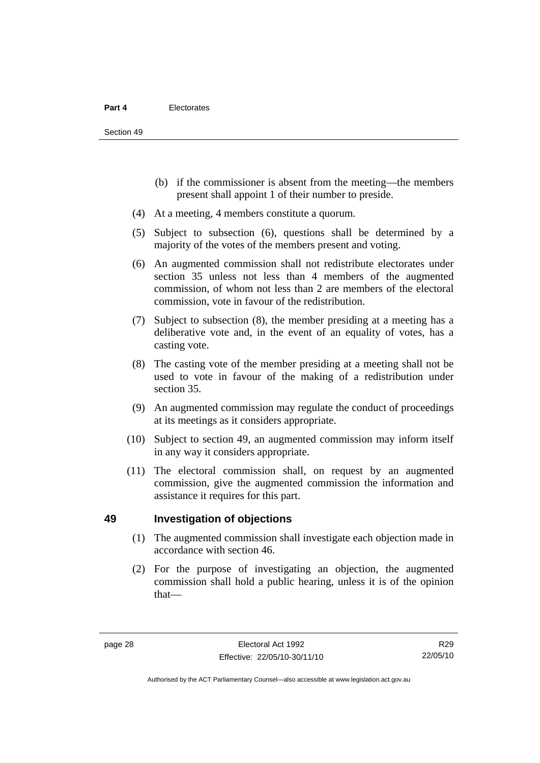- (b) if the commissioner is absent from the meeting—the members present shall appoint 1 of their number to preside.
- (4) At a meeting, 4 members constitute a quorum.
- (5) Subject to subsection (6), questions shall be determined by a majority of the votes of the members present and voting.
- (6) An augmented commission shall not redistribute electorates under section 35 unless not less than 4 members of the augmented commission, of whom not less than 2 are members of the electoral commission, vote in favour of the redistribution.
- (7) Subject to subsection (8), the member presiding at a meeting has a deliberative vote and, in the event of an equality of votes, has a casting vote.
- (8) The casting vote of the member presiding at a meeting shall not be used to vote in favour of the making of a redistribution under section 35.
- (9) An augmented commission may regulate the conduct of proceedings at its meetings as it considers appropriate.
- (10) Subject to section 49, an augmented commission may inform itself in any way it considers appropriate.
- (11) The electoral commission shall, on request by an augmented commission, give the augmented commission the information and assistance it requires for this part.

# **49 Investigation of objections**

- (1) The augmented commission shall investigate each objection made in accordance with section 46.
- (2) For the purpose of investigating an objection, the augmented commission shall hold a public hearing, unless it is of the opinion that—

R29 22/05/10

Authorised by the ACT Parliamentary Counsel—also accessible at www.legislation.act.gov.au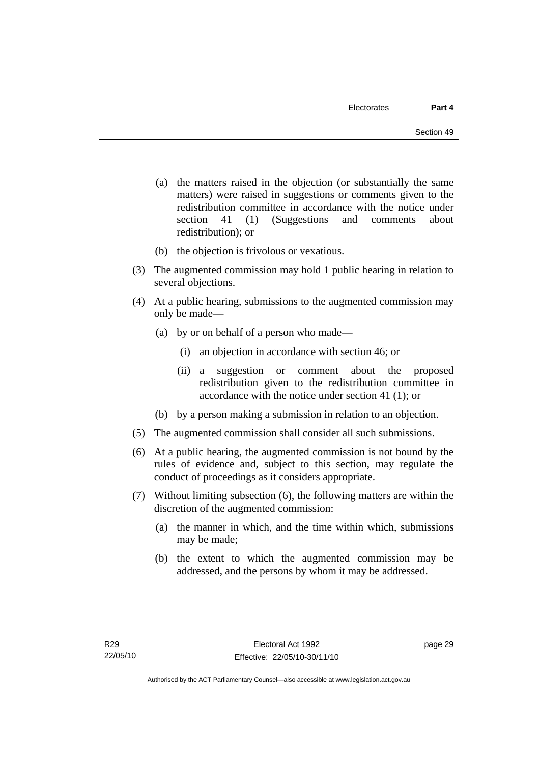- (a) the matters raised in the objection (or substantially the same matters) were raised in suggestions or comments given to the redistribution committee in accordance with the notice under section 41 (1) (Suggestions and comments about redistribution); or
- (b) the objection is frivolous or vexatious.
- (3) The augmented commission may hold 1 public hearing in relation to several objections.
- (4) At a public hearing, submissions to the augmented commission may only be made—
	- (a) by or on behalf of a person who made—
		- (i) an objection in accordance with section 46; or
		- (ii) a suggestion or comment about the proposed redistribution given to the redistribution committee in accordance with the notice under section 41 (1); or
	- (b) by a person making a submission in relation to an objection.
- (5) The augmented commission shall consider all such submissions.
- (6) At a public hearing, the augmented commission is not bound by the rules of evidence and, subject to this section, may regulate the conduct of proceedings as it considers appropriate.
- (7) Without limiting subsection (6), the following matters are within the discretion of the augmented commission:
	- (a) the manner in which, and the time within which, submissions may be made;
	- (b) the extent to which the augmented commission may be addressed, and the persons by whom it may be addressed.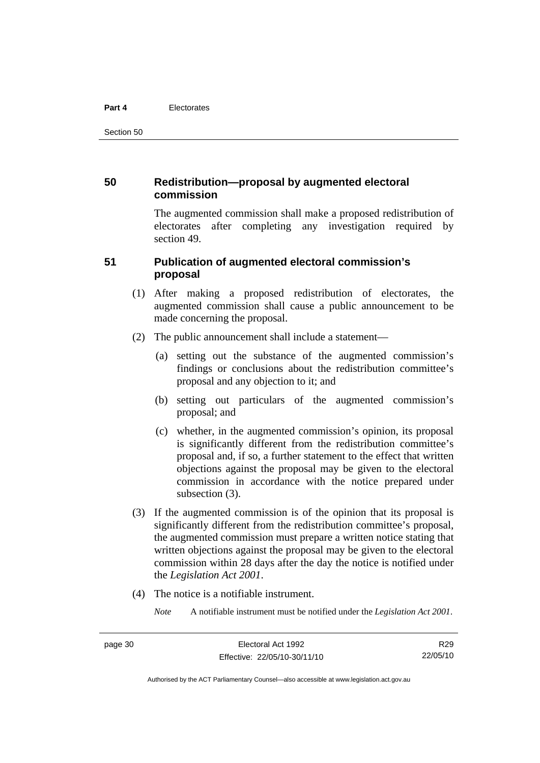#### **Part 4** Electorates

Section 50

# **50 Redistribution—proposal by augmented electoral commission**

The augmented commission shall make a proposed redistribution of electorates after completing any investigation required by section 49.

# **51 Publication of augmented electoral commission's proposal**

- (1) After making a proposed redistribution of electorates, the augmented commission shall cause a public announcement to be made concerning the proposal.
- (2) The public announcement shall include a statement—
	- (a) setting out the substance of the augmented commission's findings or conclusions about the redistribution committee's proposal and any objection to it; and
	- (b) setting out particulars of the augmented commission's proposal; and
	- (c) whether, in the augmented commission's opinion, its proposal is significantly different from the redistribution committee's proposal and, if so, a further statement to the effect that written objections against the proposal may be given to the electoral commission in accordance with the notice prepared under subsection  $(3)$ .
- (3) If the augmented commission is of the opinion that its proposal is significantly different from the redistribution committee's proposal, the augmented commission must prepare a written notice stating that written objections against the proposal may be given to the electoral commission within 28 days after the day the notice is notified under the *Legislation Act 2001*.
- (4) The notice is a notifiable instrument.

*Note* A notifiable instrument must be notified under the *Legislation Act 2001*.

Authorised by the ACT Parliamentary Counsel—also accessible at www.legislation.act.gov.au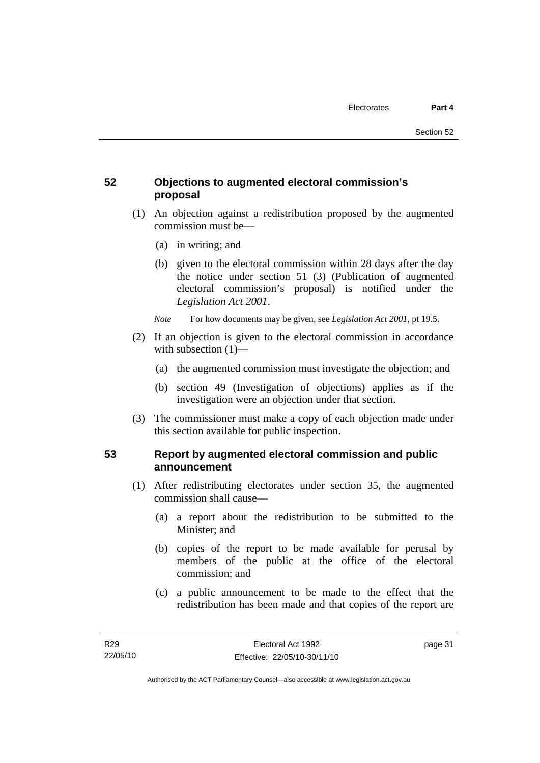# **52 Objections to augmented electoral commission's proposal**

- (1) An objection against a redistribution proposed by the augmented commission must be—
	- (a) in writing; and
	- (b) given to the electoral commission within 28 days after the day the notice under section 51 (3) (Publication of augmented electoral commission's proposal) is notified under the *Legislation Act 2001*.
	- *Note* For how documents may be given, see *Legislation Act 2001*, pt 19.5.
- (2) If an objection is given to the electoral commission in accordance with subsection (1)—
	- (a) the augmented commission must investigate the objection; and
	- (b) section 49 (Investigation of objections) applies as if the investigation were an objection under that section.
- (3) The commissioner must make a copy of each objection made under this section available for public inspection.

# **53 Report by augmented electoral commission and public announcement**

- (1) After redistributing electorates under section 35, the augmented commission shall cause—
	- (a) a report about the redistribution to be submitted to the Minister; and
	- (b) copies of the report to be made available for perusal by members of the public at the office of the electoral commission; and
	- (c) a public announcement to be made to the effect that the redistribution has been made and that copies of the report are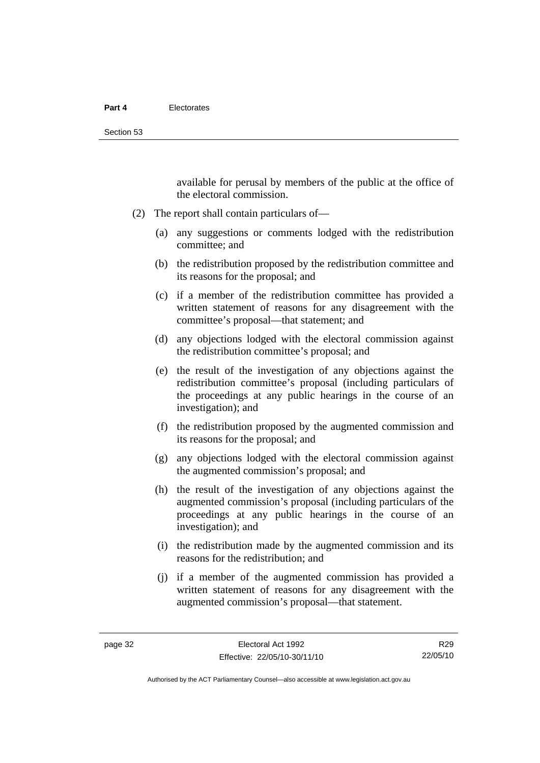available for perusal by members of the public at the office of the electoral commission.

- (2) The report shall contain particulars of—
	- (a) any suggestions or comments lodged with the redistribution committee; and
	- (b) the redistribution proposed by the redistribution committee and its reasons for the proposal; and
	- (c) if a member of the redistribution committee has provided a written statement of reasons for any disagreement with the committee's proposal—that statement; and
	- (d) any objections lodged with the electoral commission against the redistribution committee's proposal; and
	- (e) the result of the investigation of any objections against the redistribution committee's proposal (including particulars of the proceedings at any public hearings in the course of an investigation); and
	- (f) the redistribution proposed by the augmented commission and its reasons for the proposal; and
	- (g) any objections lodged with the electoral commission against the augmented commission's proposal; and
	- (h) the result of the investigation of any objections against the augmented commission's proposal (including particulars of the proceedings at any public hearings in the course of an investigation); and
	- (i) the redistribution made by the augmented commission and its reasons for the redistribution; and
	- (j) if a member of the augmented commission has provided a written statement of reasons for any disagreement with the augmented commission's proposal—that statement.

Authorised by the ACT Parliamentary Counsel—also accessible at www.legislation.act.gov.au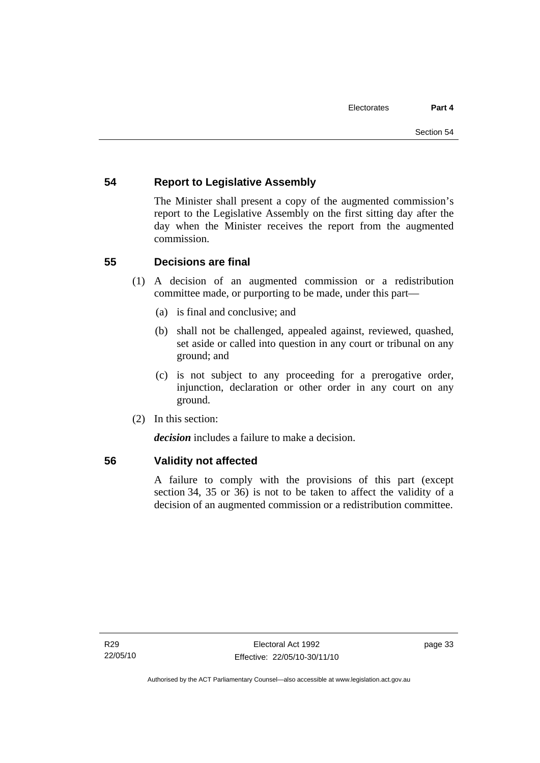# **54 Report to Legislative Assembly**

The Minister shall present a copy of the augmented commission's report to the Legislative Assembly on the first sitting day after the day when the Minister receives the report from the augmented commission.

# **55 Decisions are final**

- (1) A decision of an augmented commission or a redistribution committee made, or purporting to be made, under this part—
	- (a) is final and conclusive; and
	- (b) shall not be challenged, appealed against, reviewed, quashed, set aside or called into question in any court or tribunal on any ground; and
	- (c) is not subject to any proceeding for a prerogative order, injunction, declaration or other order in any court on any ground.
- (2) In this section:

*decision* includes a failure to make a decision.

# **56 Validity not affected**

A failure to comply with the provisions of this part (except section 34, 35 or 36) is not to be taken to affect the validity of a decision of an augmented commission or a redistribution committee.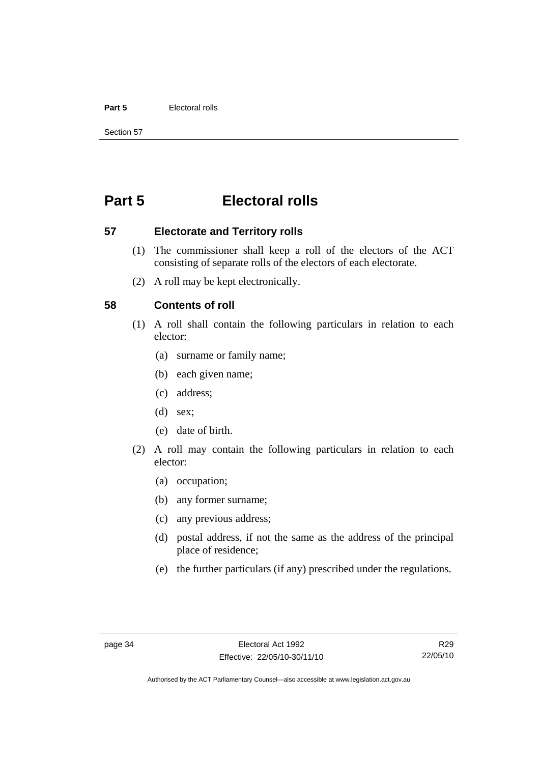#### **Part 5** Electoral rolls

Section 57

# **Part 5 Electoral rolls**

**57 Electorate and Territory rolls** 

- (1) The commissioner shall keep a roll of the electors of the ACT consisting of separate rolls of the electors of each electorate.
- (2) A roll may be kept electronically.

## **58 Contents of roll**

- (1) A roll shall contain the following particulars in relation to each elector:
	- (a) surname or family name;
	- (b) each given name;
	- (c) address;
	- (d) sex;
	- (e) date of birth.
- (2) A roll may contain the following particulars in relation to each elector:
	- (a) occupation;
	- (b) any former surname;
	- (c) any previous address;
	- (d) postal address, if not the same as the address of the principal place of residence;
	- (e) the further particulars (if any) prescribed under the regulations.

R29 22/05/10

Authorised by the ACT Parliamentary Counsel—also accessible at www.legislation.act.gov.au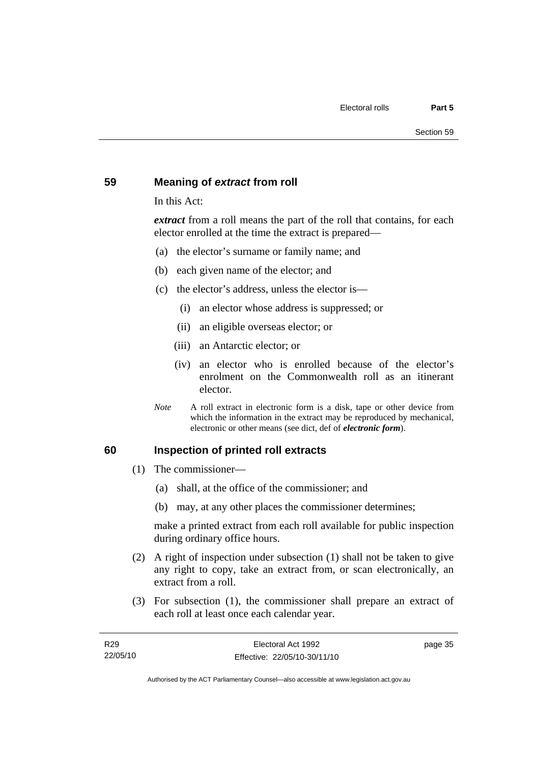# **59 Meaning of** *extract* **from roll**

In this Act:

*extract* from a roll means the part of the roll that contains, for each elector enrolled at the time the extract is prepared—

- (a) the elector's surname or family name; and
- (b) each given name of the elector; and
- (c) the elector's address, unless the elector is—
	- (i) an elector whose address is suppressed; or
	- (ii) an eligible overseas elector; or
	- (iii) an Antarctic elector; or
	- (iv) an elector who is enrolled because of the elector's enrolment on the Commonwealth roll as an itinerant elector.
- *Note* A roll extract in electronic form is a disk, tape or other device from which the information in the extract may be reproduced by mechanical, electronic or other means (see dict, def of *electronic form*).

#### **60 Inspection of printed roll extracts**

- (1) The commissioner—
	- (a) shall, at the office of the commissioner; and
	- (b) may, at any other places the commissioner determines;

make a printed extract from each roll available for public inspection during ordinary office hours.

- (2) A right of inspection under subsection (1) shall not be taken to give any right to copy, take an extract from, or scan electronically, an extract from a roll.
- (3) For subsection (1), the commissioner shall prepare an extract of each roll at least once each calendar year.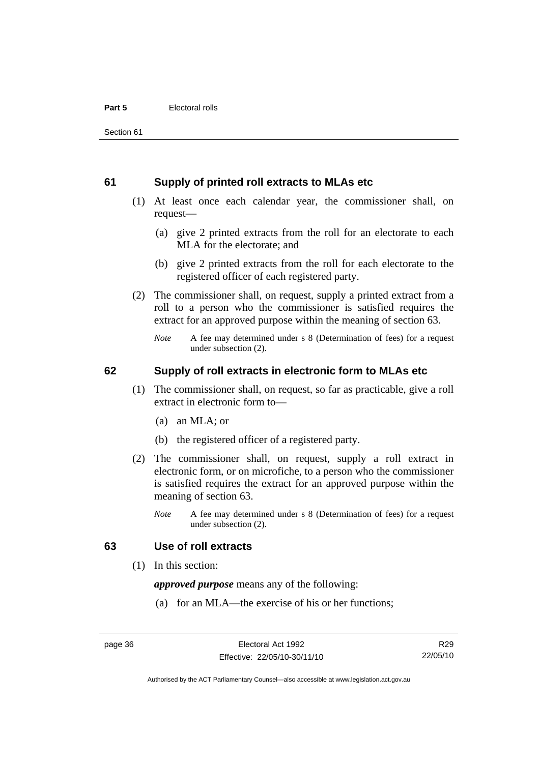## **61 Supply of printed roll extracts to MLAs etc**

- (1) At least once each calendar year, the commissioner shall, on request—
	- (a) give 2 printed extracts from the roll for an electorate to each MLA for the electorate; and
	- (b) give 2 printed extracts from the roll for each electorate to the registered officer of each registered party.
- (2) The commissioner shall, on request, supply a printed extract from a roll to a person who the commissioner is satisfied requires the extract for an approved purpose within the meaning of section 63.
	- *Note* A fee may determined under s 8 (Determination of fees) for a request under subsection (2).

# **62 Supply of roll extracts in electronic form to MLAs etc**

- (1) The commissioner shall, on request, so far as practicable, give a roll extract in electronic form to—
	- (a) an MLA; or
	- (b) the registered officer of a registered party.
- (2) The commissioner shall, on request, supply a roll extract in electronic form, or on microfiche, to a person who the commissioner is satisfied requires the extract for an approved purpose within the meaning of section 63.
	- *Note* A fee may determined under s 8 (Determination of fees) for a request under subsection (2).

# **63 Use of roll extracts**

(1) In this section:

*approved purpose* means any of the following:

(a) for an MLA—the exercise of his or her functions;

R29 22/05/10

Authorised by the ACT Parliamentary Counsel—also accessible at www.legislation.act.gov.au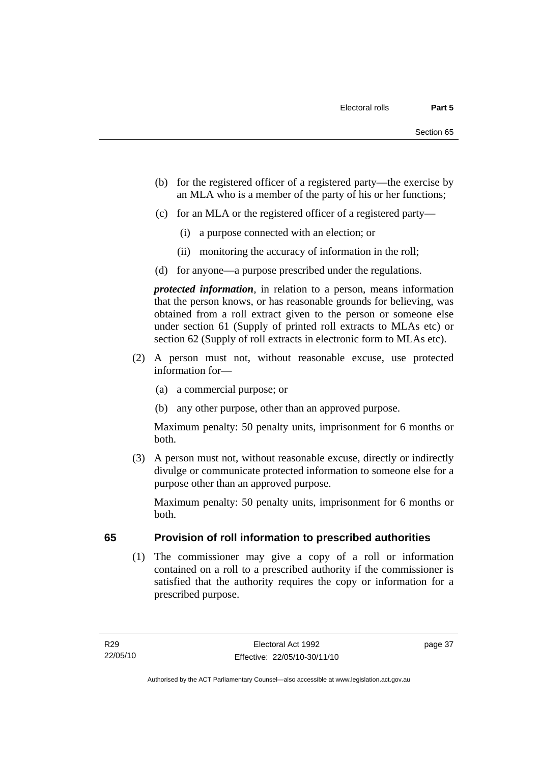- (b) for the registered officer of a registered party—the exercise by an MLA who is a member of the party of his or her functions;
- (c) for an MLA or the registered officer of a registered party—
	- (i) a purpose connected with an election; or
	- (ii) monitoring the accuracy of information in the roll;
- (d) for anyone—a purpose prescribed under the regulations.

*protected information*, in relation to a person, means information that the person knows, or has reasonable grounds for believing, was obtained from a roll extract given to the person or someone else under section 61 (Supply of printed roll extracts to MLAs etc) or section 62 (Supply of roll extracts in electronic form to MLAs etc).

- (2) A person must not, without reasonable excuse, use protected information for—
	- (a) a commercial purpose; or
	- (b) any other purpose, other than an approved purpose.

Maximum penalty: 50 penalty units, imprisonment for 6 months or both.

 (3) A person must not, without reasonable excuse, directly or indirectly divulge or communicate protected information to someone else for a purpose other than an approved purpose.

Maximum penalty: 50 penalty units, imprisonment for 6 months or both.

# **65 Provision of roll information to prescribed authorities**

 (1) The commissioner may give a copy of a roll or information contained on a roll to a prescribed authority if the commissioner is satisfied that the authority requires the copy or information for a prescribed purpose.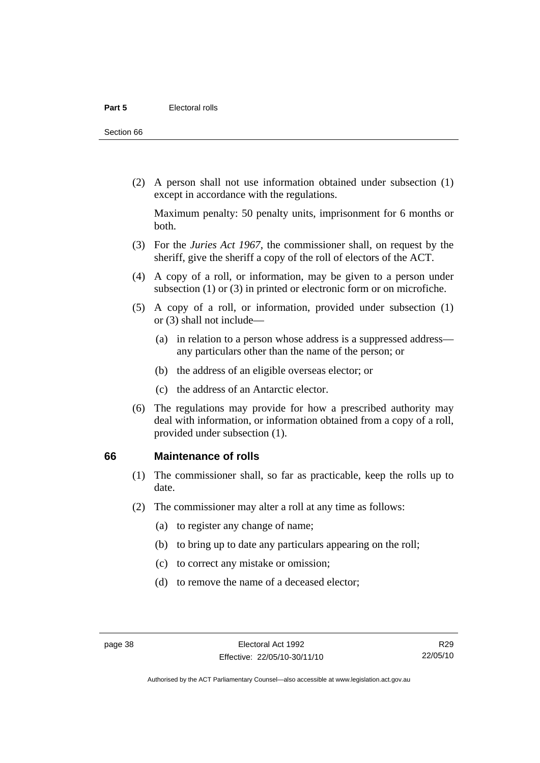Section 66

 (2) A person shall not use information obtained under subsection (1) except in accordance with the regulations.

Maximum penalty: 50 penalty units, imprisonment for 6 months or both.

- (3) For the *Juries Act 1967*, the commissioner shall, on request by the sheriff, give the sheriff a copy of the roll of electors of the ACT.
- (4) A copy of a roll, or information, may be given to a person under subsection (1) or (3) in printed or electronic form or on microfiche.
- (5) A copy of a roll, or information, provided under subsection (1) or (3) shall not include—
	- (a) in relation to a person whose address is a suppressed address any particulars other than the name of the person; or
	- (b) the address of an eligible overseas elector; or
	- (c) the address of an Antarctic elector.
- (6) The regulations may provide for how a prescribed authority may deal with information, or information obtained from a copy of a roll, provided under subsection (1).

#### **66 Maintenance of rolls**

- (1) The commissioner shall, so far as practicable, keep the rolls up to date.
- (2) The commissioner may alter a roll at any time as follows:
	- (a) to register any change of name;
	- (b) to bring up to date any particulars appearing on the roll;
	- (c) to correct any mistake or omission;
	- (d) to remove the name of a deceased elector;

Authorised by the ACT Parliamentary Counsel—also accessible at www.legislation.act.gov.au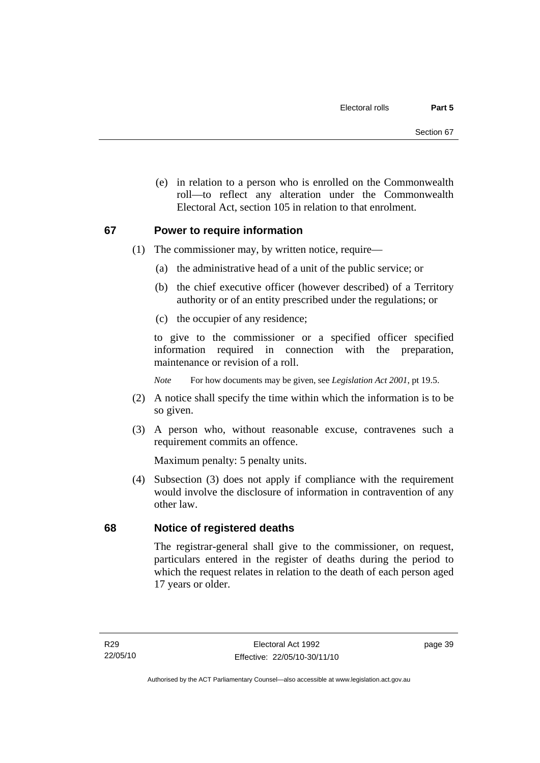(e) in relation to a person who is enrolled on the Commonwealth roll—to reflect any alteration under the Commonwealth Electoral Act, section 105 in relation to that enrolment.

# **67 Power to require information**

- (1) The commissioner may, by written notice, require—
	- (a) the administrative head of a unit of the public service; or
	- (b) the chief executive officer (however described) of a Territory authority or of an entity prescribed under the regulations; or
	- (c) the occupier of any residence;

to give to the commissioner or a specified officer specified information required in connection with the preparation, maintenance or revision of a roll.

*Note* For how documents may be given, see *Legislation Act 2001*, pt 19.5.

- (2) A notice shall specify the time within which the information is to be so given.
- (3) A person who, without reasonable excuse, contravenes such a requirement commits an offence.

Maximum penalty: 5 penalty units.

 (4) Subsection (3) does not apply if compliance with the requirement would involve the disclosure of information in contravention of any other law.

# **68 Notice of registered deaths**

The registrar-general shall give to the commissioner, on request, particulars entered in the register of deaths during the period to which the request relates in relation to the death of each person aged 17 years or older.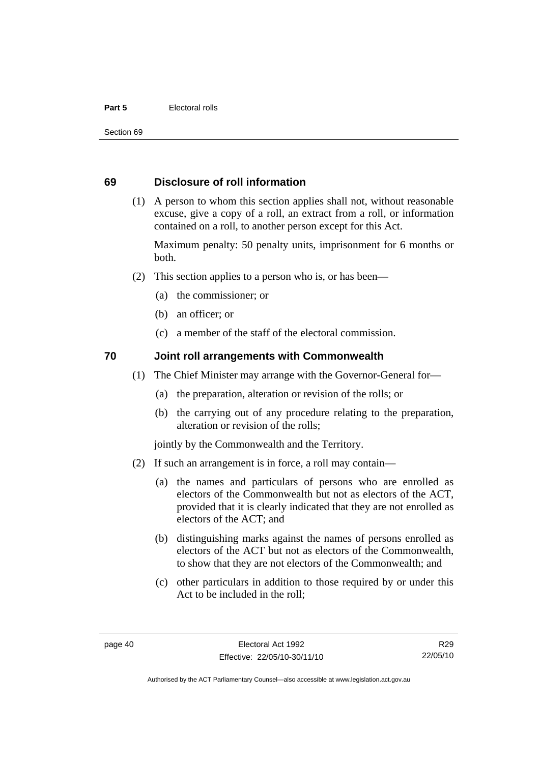#### **Part 5** Electoral rolls

Section 69

# **69 Disclosure of roll information**

 (1) A person to whom this section applies shall not, without reasonable excuse, give a copy of a roll, an extract from a roll, or information contained on a roll, to another person except for this Act.

Maximum penalty: 50 penalty units, imprisonment for 6 months or both.

- (2) This section applies to a person who is, or has been—
	- (a) the commissioner; or
	- (b) an officer; or
	- (c) a member of the staff of the electoral commission.

# **70 Joint roll arrangements with Commonwealth**

- (1) The Chief Minister may arrange with the Governor-General for—
	- (a) the preparation, alteration or revision of the rolls; or
	- (b) the carrying out of any procedure relating to the preparation, alteration or revision of the rolls;

jointly by the Commonwealth and the Territory.

- (2) If such an arrangement is in force, a roll may contain—
	- (a) the names and particulars of persons who are enrolled as electors of the Commonwealth but not as electors of the ACT, provided that it is clearly indicated that they are not enrolled as electors of the ACT; and
	- (b) distinguishing marks against the names of persons enrolled as electors of the ACT but not as electors of the Commonwealth, to show that they are not electors of the Commonwealth; and
	- (c) other particulars in addition to those required by or under this Act to be included in the roll;

R29 22/05/10

Authorised by the ACT Parliamentary Counsel—also accessible at www.legislation.act.gov.au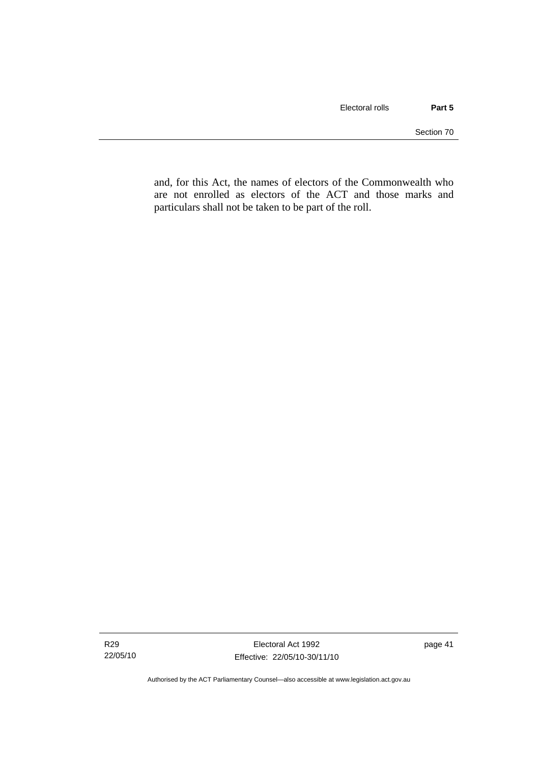and, for this Act, the names of electors of the Commonwealth who are not enrolled as electors of the ACT and those marks and particulars shall not be taken to be part of the roll.

Authorised by the ACT Parliamentary Counsel—also accessible at www.legislation.act.gov.au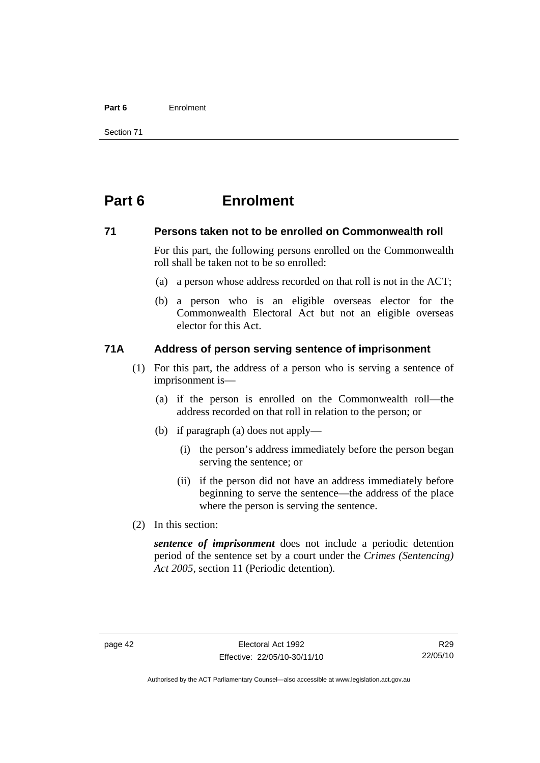#### **Part 6** Enrolment

Section 71

# **Part 6 Enrolment**

## **71 Persons taken not to be enrolled on Commonwealth roll**

For this part, the following persons enrolled on the Commonwealth roll shall be taken not to be so enrolled:

- (a) a person whose address recorded on that roll is not in the ACT;
- (b) a person who is an eligible overseas elector for the Commonwealth Electoral Act but not an eligible overseas elector for this Act.

## **71A Address of person serving sentence of imprisonment**

- (1) For this part, the address of a person who is serving a sentence of imprisonment is—
	- (a) if the person is enrolled on the Commonwealth roll—the address recorded on that roll in relation to the person; or
	- (b) if paragraph (a) does not apply—
		- (i) the person's address immediately before the person began serving the sentence; or
		- (ii) if the person did not have an address immediately before beginning to serve the sentence—the address of the place where the person is serving the sentence.
- (2) In this section:

*sentence of imprisonment* does not include a periodic detention period of the sentence set by a court under the *Crimes (Sentencing) Act 2005*, section 11 (Periodic detention).

R29 22/05/10

Authorised by the ACT Parliamentary Counsel—also accessible at www.legislation.act.gov.au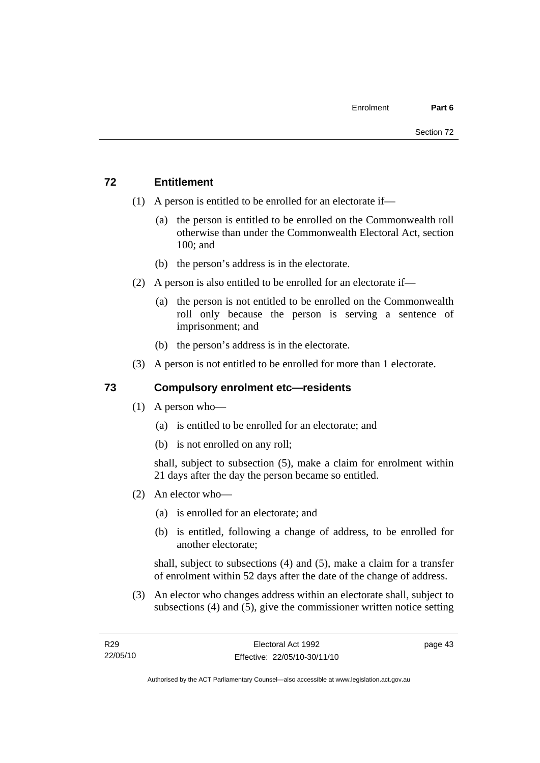# **72 Entitlement**

- (1) A person is entitled to be enrolled for an electorate if—
	- (a) the person is entitled to be enrolled on the Commonwealth roll otherwise than under the Commonwealth Electoral Act, section 100; and
	- (b) the person's address is in the electorate.
- (2) A person is also entitled to be enrolled for an electorate if—
	- (a) the person is not entitled to be enrolled on the Commonwealth roll only because the person is serving a sentence of imprisonment; and
	- (b) the person's address is in the electorate.
- (3) A person is not entitled to be enrolled for more than 1 electorate.

# **73 Compulsory enrolment etc—residents**

- (1) A person who—
	- (a) is entitled to be enrolled for an electorate; and
	- (b) is not enrolled on any roll;

shall, subject to subsection (5), make a claim for enrolment within 21 days after the day the person became so entitled.

- (2) An elector who—
	- (a) is enrolled for an electorate; and
	- (b) is entitled, following a change of address, to be enrolled for another electorate;

shall, subject to subsections (4) and (5), make a claim for a transfer of enrolment within 52 days after the date of the change of address.

 (3) An elector who changes address within an electorate shall, subject to subsections (4) and (5), give the commissioner written notice setting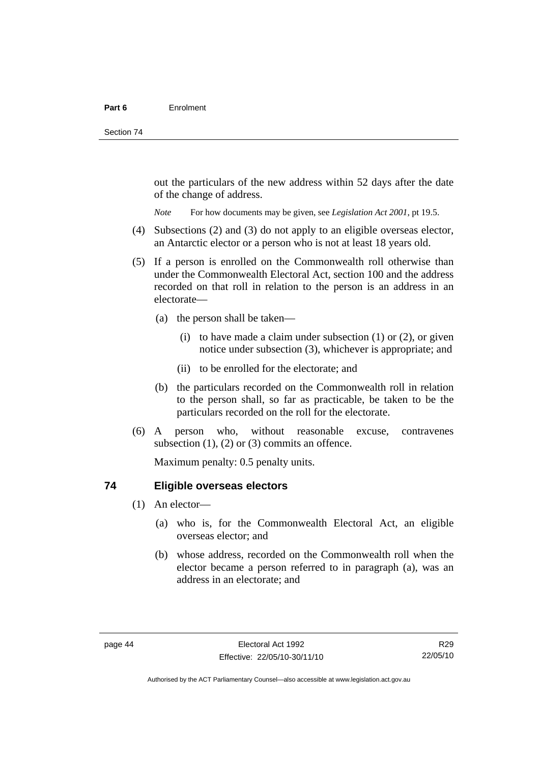out the particulars of the new address within 52 days after the date of the change of address.

*Note* For how documents may be given, see *Legislation Act 2001*, pt 19.5.

- (4) Subsections (2) and (3) do not apply to an eligible overseas elector, an Antarctic elector or a person who is not at least 18 years old.
- (5) If a person is enrolled on the Commonwealth roll otherwise than under the Commonwealth Electoral Act, section 100 and the address recorded on that roll in relation to the person is an address in an electorate—
	- (a) the person shall be taken—
		- (i) to have made a claim under subsection  $(1)$  or  $(2)$ , or given notice under subsection (3), whichever is appropriate; and
		- (ii) to be enrolled for the electorate; and
	- (b) the particulars recorded on the Commonwealth roll in relation to the person shall, so far as practicable, be taken to be the particulars recorded on the roll for the electorate.
- (6) A person who, without reasonable excuse, contravenes subsection  $(1)$ ,  $(2)$  or  $(3)$  commits an offence.

Maximum penalty: 0.5 penalty units.

# **74 Eligible overseas electors**

- (1) An elector—
	- (a) who is, for the Commonwealth Electoral Act, an eligible overseas elector; and
	- (b) whose address, recorded on the Commonwealth roll when the elector became a person referred to in paragraph (a), was an address in an electorate; and

R29 22/05/10

Authorised by the ACT Parliamentary Counsel—also accessible at www.legislation.act.gov.au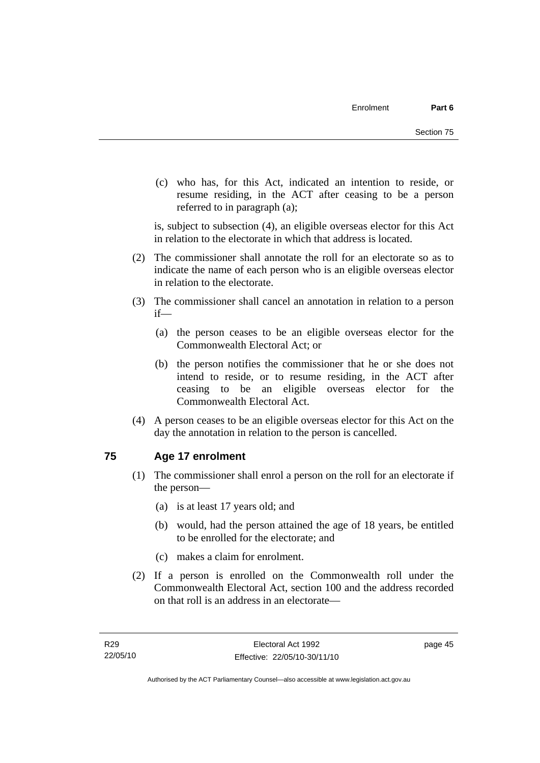(c) who has, for this Act, indicated an intention to reside, or resume residing, in the ACT after ceasing to be a person referred to in paragraph (a);

is, subject to subsection (4), an eligible overseas elector for this Act in relation to the electorate in which that address is located.

- (2) The commissioner shall annotate the roll for an electorate so as to indicate the name of each person who is an eligible overseas elector in relation to the electorate.
- (3) The commissioner shall cancel an annotation in relation to a person if—
	- (a) the person ceases to be an eligible overseas elector for the Commonwealth Electoral Act; or
	- (b) the person notifies the commissioner that he or she does not intend to reside, or to resume residing, in the ACT after ceasing to be an eligible overseas elector for the Commonwealth Electoral Act.
- (4) A person ceases to be an eligible overseas elector for this Act on the day the annotation in relation to the person is cancelled.

# **75 Age 17 enrolment**

- (1) The commissioner shall enrol a person on the roll for an electorate if the person—
	- (a) is at least 17 years old; and
	- (b) would, had the person attained the age of 18 years, be entitled to be enrolled for the electorate; and
	- (c) makes a claim for enrolment.
- (2) If a person is enrolled on the Commonwealth roll under the Commonwealth Electoral Act, section 100 and the address recorded on that roll is an address in an electorate—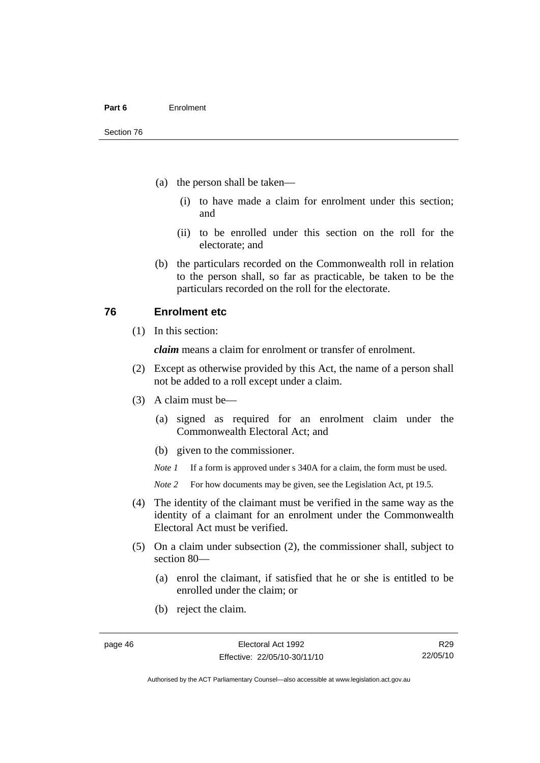- (a) the person shall be taken—
	- (i) to have made a claim for enrolment under this section; and
	- (ii) to be enrolled under this section on the roll for the electorate; and
- (b) the particulars recorded on the Commonwealth roll in relation to the person shall, so far as practicable, be taken to be the particulars recorded on the roll for the electorate.

# **76 Enrolment etc**

(1) In this section:

*claim* means a claim for enrolment or transfer of enrolment.

- (2) Except as otherwise provided by this Act, the name of a person shall not be added to a roll except under a claim.
- (3) A claim must be—
	- (a) signed as required for an enrolment claim under the Commonwealth Electoral Act; and
	- (b) given to the commissioner.

*Note 1* If a form is approved under s 340A for a claim, the form must be used.

- *Note* 2 For how documents may be given, see the Legislation Act, pt 19.5.
- (4) The identity of the claimant must be verified in the same way as the identity of a claimant for an enrolment under the Commonwealth Electoral Act must be verified.
- (5) On a claim under subsection (2), the commissioner shall, subject to section 80—
	- (a) enrol the claimant, if satisfied that he or she is entitled to be enrolled under the claim; or
	- (b) reject the claim.

R29 22/05/10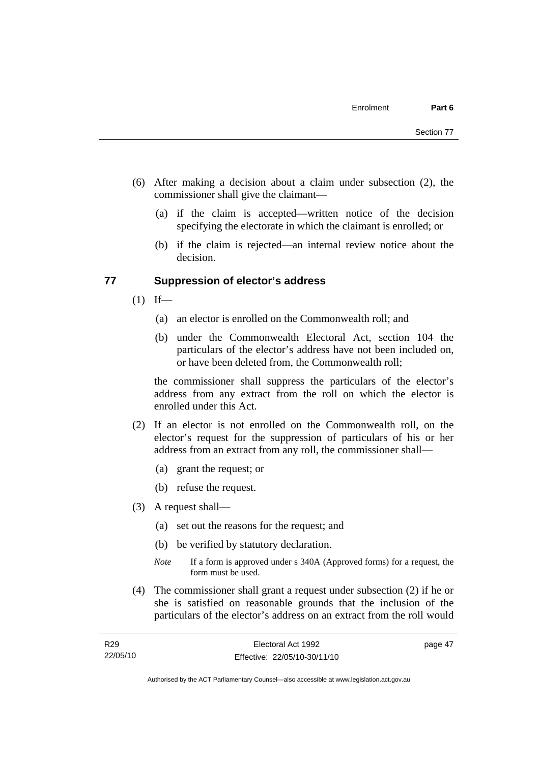- (6) After making a decision about a claim under subsection (2), the commissioner shall give the claimant—
	- (a) if the claim is accepted—written notice of the decision specifying the electorate in which the claimant is enrolled; or
	- (b) if the claim is rejected—an internal review notice about the decision.

## **77 Suppression of elector's address**

- $(1)$  If—
	- (a) an elector is enrolled on the Commonwealth roll; and
	- (b) under the Commonwealth Electoral Act, section 104 the particulars of the elector's address have not been included on, or have been deleted from, the Commonwealth roll;

the commissioner shall suppress the particulars of the elector's address from any extract from the roll on which the elector is enrolled under this Act.

- (2) If an elector is not enrolled on the Commonwealth roll, on the elector's request for the suppression of particulars of his or her address from an extract from any roll, the commissioner shall—
	- (a) grant the request; or
	- (b) refuse the request.
- (3) A request shall—
	- (a) set out the reasons for the request; and
	- (b) be verified by statutory declaration.
	- *Note* If a form is approved under s 340A (Approved forms) for a request, the form must be used.
- (4) The commissioner shall grant a request under subsection (2) if he or she is satisfied on reasonable grounds that the inclusion of the particulars of the elector's address on an extract from the roll would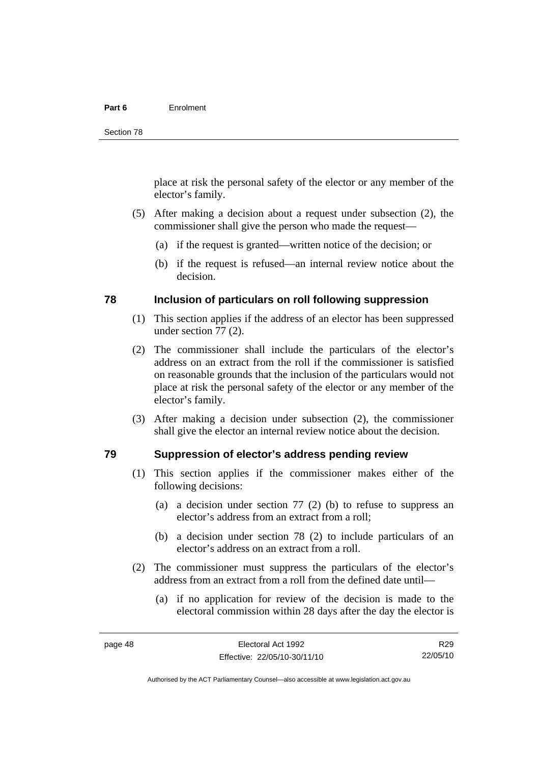#### **Part 6** Enrolment

place at risk the personal safety of the elector or any member of the elector's family.

- (5) After making a decision about a request under subsection (2), the commissioner shall give the person who made the request—
	- (a) if the request is granted—written notice of the decision; or
	- (b) if the request is refused—an internal review notice about the decision.

# **78 Inclusion of particulars on roll following suppression**

- (1) This section applies if the address of an elector has been suppressed under section 77 (2).
- (2) The commissioner shall include the particulars of the elector's address on an extract from the roll if the commissioner is satisfied on reasonable grounds that the inclusion of the particulars would not place at risk the personal safety of the elector or any member of the elector's family.
- (3) After making a decision under subsection (2), the commissioner shall give the elector an internal review notice about the decision.

# **79 Suppression of elector's address pending review**

- (1) This section applies if the commissioner makes either of the following decisions:
	- (a) a decision under section 77 (2) (b) to refuse to suppress an elector's address from an extract from a roll;
	- (b) a decision under section 78 (2) to include particulars of an elector's address on an extract from a roll.
- (2) The commissioner must suppress the particulars of the elector's address from an extract from a roll from the defined date until—
	- (a) if no application for review of the decision is made to the electoral commission within 28 days after the day the elector is

R29 22/05/10

Authorised by the ACT Parliamentary Counsel—also accessible at www.legislation.act.gov.au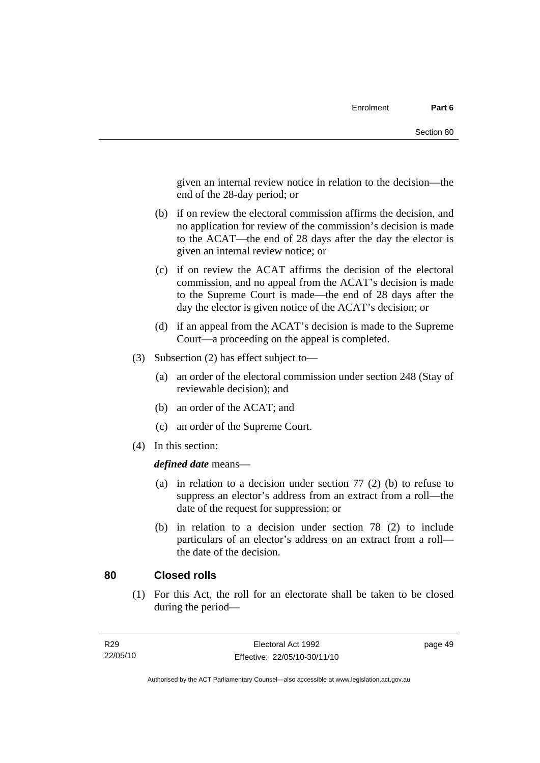given an internal review notice in relation to the decision—the end of the 28-day period; or

- (b) if on review the electoral commission affirms the decision, and no application for review of the commission's decision is made to the ACAT—the end of 28 days after the day the elector is given an internal review notice; or
- (c) if on review the ACAT affirms the decision of the electoral commission, and no appeal from the ACAT's decision is made to the Supreme Court is made—the end of 28 days after the day the elector is given notice of the ACAT's decision; or
- (d) if an appeal from the ACAT's decision is made to the Supreme Court—a proceeding on the appeal is completed.
- (3) Subsection (2) has effect subject to—
	- (a) an order of the electoral commission under section 248 (Stay of reviewable decision); and
	- (b) an order of the ACAT; and
	- (c) an order of the Supreme Court.
- (4) In this section:

*defined date* means—

- (a) in relation to a decision under section 77 (2) (b) to refuse to suppress an elector's address from an extract from a roll—the date of the request for suppression; or
- (b) in relation to a decision under section 78 (2) to include particulars of an elector's address on an extract from a roll the date of the decision.

# **80 Closed rolls**

 (1) For this Act, the roll for an electorate shall be taken to be closed during the period—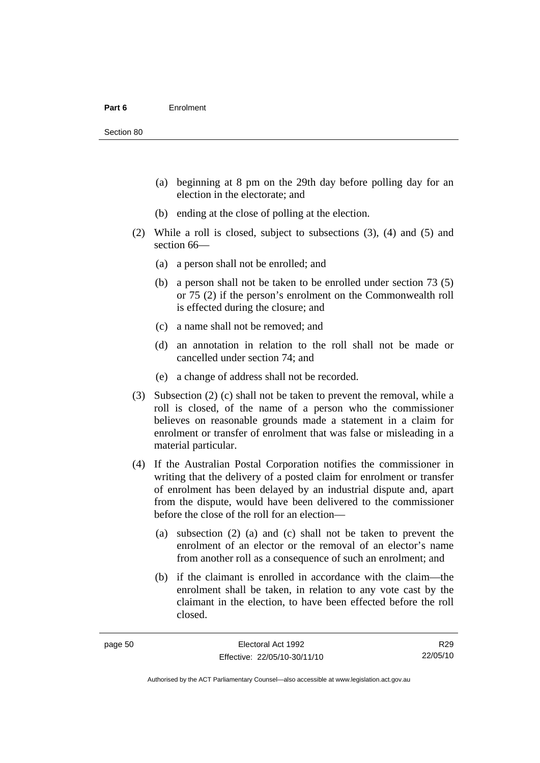Section 80

- (a) beginning at 8 pm on the 29th day before polling day for an election in the electorate; and
- (b) ending at the close of polling at the election.
- (2) While a roll is closed, subject to subsections (3), (4) and (5) and section 66—
	- (a) a person shall not be enrolled; and
	- (b) a person shall not be taken to be enrolled under section 73 (5) or 75 (2) if the person's enrolment on the Commonwealth roll is effected during the closure; and
	- (c) a name shall not be removed; and
	- (d) an annotation in relation to the roll shall not be made or cancelled under section 74; and
	- (e) a change of address shall not be recorded.
- (3) Subsection (2) (c) shall not be taken to prevent the removal, while a roll is closed, of the name of a person who the commissioner believes on reasonable grounds made a statement in a claim for enrolment or transfer of enrolment that was false or misleading in a material particular.
- (4) If the Australian Postal Corporation notifies the commissioner in writing that the delivery of a posted claim for enrolment or transfer of enrolment has been delayed by an industrial dispute and, apart from the dispute, would have been delivered to the commissioner before the close of the roll for an election—
	- (a) subsection (2) (a) and (c) shall not be taken to prevent the enrolment of an elector or the removal of an elector's name from another roll as a consequence of such an enrolment; and
	- (b) if the claimant is enrolled in accordance with the claim—the enrolment shall be taken, in relation to any vote cast by the claimant in the election, to have been effected before the roll closed.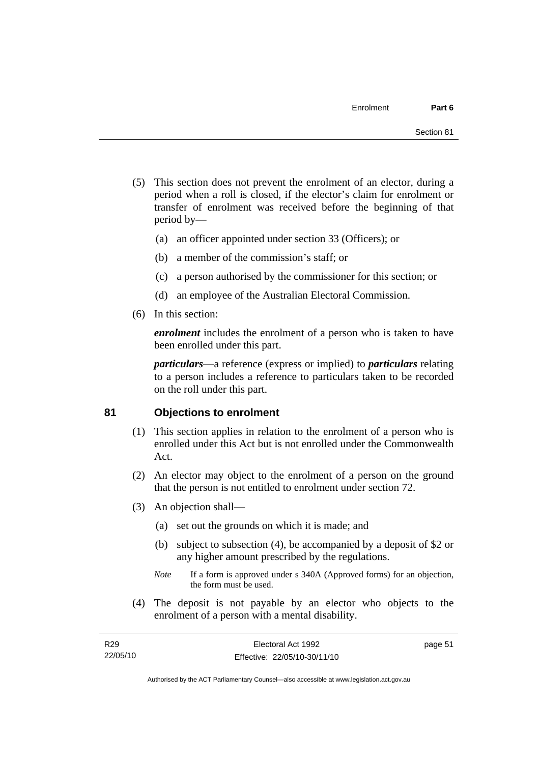- (5) This section does not prevent the enrolment of an elector, during a period when a roll is closed, if the elector's claim for enrolment or transfer of enrolment was received before the beginning of that period by—
	- (a) an officer appointed under section 33 (Officers); or
	- (b) a member of the commission's staff; or
	- (c) a person authorised by the commissioner for this section; or
	- (d) an employee of the Australian Electoral Commission.
- (6) In this section:

*enrolment* includes the enrolment of a person who is taken to have been enrolled under this part.

*particulars*—a reference (express or implied) to *particulars* relating to a person includes a reference to particulars taken to be recorded on the roll under this part.

# **81 Objections to enrolment**

- (1) This section applies in relation to the enrolment of a person who is enrolled under this Act but is not enrolled under the Commonwealth Act.
- (2) An elector may object to the enrolment of a person on the ground that the person is not entitled to enrolment under section 72.
- (3) An objection shall—
	- (a) set out the grounds on which it is made; and
	- (b) subject to subsection (4), be accompanied by a deposit of \$2 or any higher amount prescribed by the regulations.
	- *Note* If a form is approved under s 340A (Approved forms) for an objection, the form must be used.
- (4) The deposit is not payable by an elector who objects to the enrolment of a person with a mental disability.

Authorised by the ACT Parliamentary Counsel—also accessible at www.legislation.act.gov.au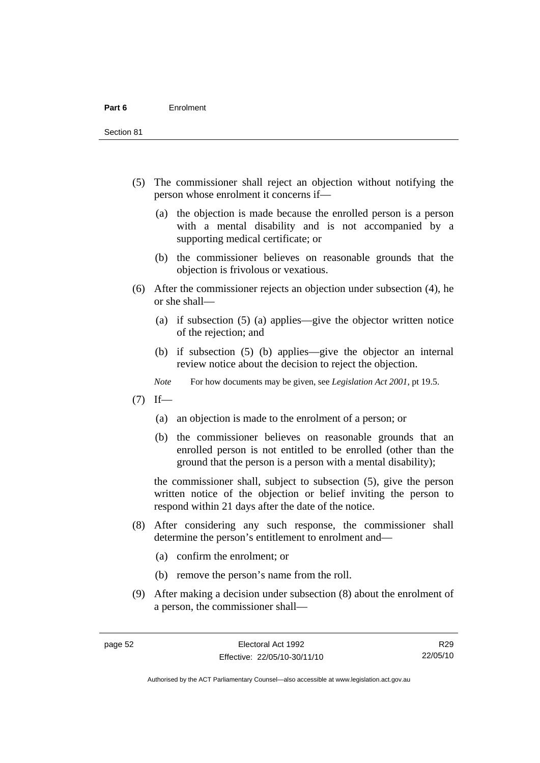Section 81

- (5) The commissioner shall reject an objection without notifying the person whose enrolment it concerns if—
	- (a) the objection is made because the enrolled person is a person with a mental disability and is not accompanied by a supporting medical certificate; or
	- (b) the commissioner believes on reasonable grounds that the objection is frivolous or vexatious.
- (6) After the commissioner rejects an objection under subsection (4), he or she shall—
	- (a) if subsection (5) (a) applies—give the objector written notice of the rejection; and
	- (b) if subsection (5) (b) applies—give the objector an internal review notice about the decision to reject the objection.
	- *Note* For how documents may be given, see *Legislation Act 2001*, pt 19.5.
- $(7)$  If—
	- (a) an objection is made to the enrolment of a person; or
	- (b) the commissioner believes on reasonable grounds that an enrolled person is not entitled to be enrolled (other than the ground that the person is a person with a mental disability);

the commissioner shall, subject to subsection (5), give the person written notice of the objection or belief inviting the person to respond within 21 days after the date of the notice.

- (8) After considering any such response, the commissioner shall determine the person's entitlement to enrolment and—
	- (a) confirm the enrolment; or
	- (b) remove the person's name from the roll.
- (9) After making a decision under subsection (8) about the enrolment of a person, the commissioner shall—

Authorised by the ACT Parliamentary Counsel—also accessible at www.legislation.act.gov.au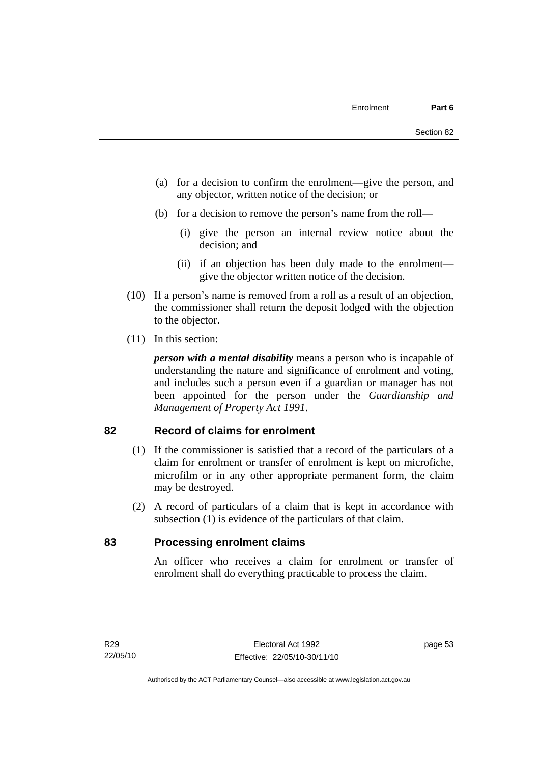- (a) for a decision to confirm the enrolment—give the person, and any objector, written notice of the decision; or
- (b) for a decision to remove the person's name from the roll—
	- (i) give the person an internal review notice about the decision; and
	- (ii) if an objection has been duly made to the enrolment give the objector written notice of the decision.
- (10) If a person's name is removed from a roll as a result of an objection, the commissioner shall return the deposit lodged with the objection to the objector.
- (11) In this section:

*person with a mental disability* means a person who is incapable of understanding the nature and significance of enrolment and voting, and includes such a person even if a guardian or manager has not been appointed for the person under the *Guardianship and Management of Property Act 1991*.

# **82 Record of claims for enrolment**

- (1) If the commissioner is satisfied that a record of the particulars of a claim for enrolment or transfer of enrolment is kept on microfiche, microfilm or in any other appropriate permanent form, the claim may be destroyed.
- (2) A record of particulars of a claim that is kept in accordance with subsection (1) is evidence of the particulars of that claim.

# **83 Processing enrolment claims**

An officer who receives a claim for enrolment or transfer of enrolment shall do everything practicable to process the claim.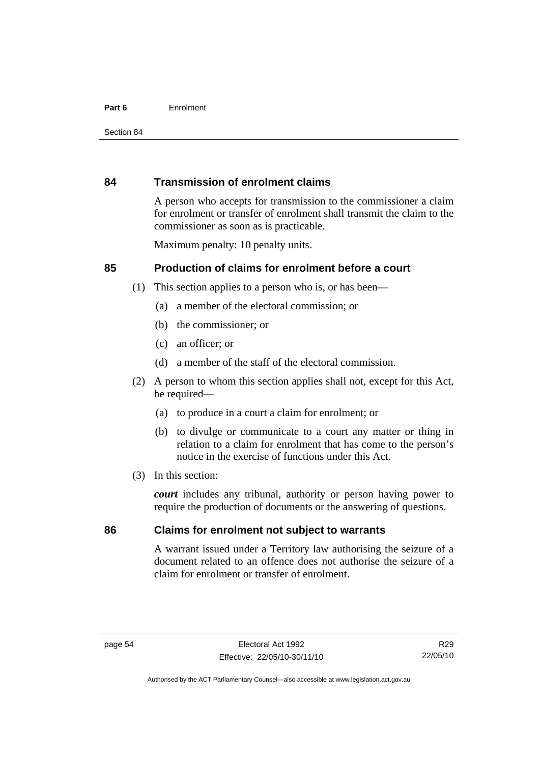#### **Part 6** Enrolment

# **84 Transmission of enrolment claims**

A person who accepts for transmission to the commissioner a claim for enrolment or transfer of enrolment shall transmit the claim to the commissioner as soon as is practicable.

Maximum penalty: 10 penalty units.

# **85 Production of claims for enrolment before a court**

- (1) This section applies to a person who is, or has been—
	- (a) a member of the electoral commission; or
	- (b) the commissioner; or
	- (c) an officer; or
	- (d) a member of the staff of the electoral commission.
- (2) A person to whom this section applies shall not, except for this Act, be required-
	- (a) to produce in a court a claim for enrolment; or
	- (b) to divulge or communicate to a court any matter or thing in relation to a claim for enrolment that has come to the person's notice in the exercise of functions under this Act.
- (3) In this section:

*court* includes any tribunal, authority or person having power to require the production of documents or the answering of questions.

# **86 Claims for enrolment not subject to warrants**

A warrant issued under a Territory law authorising the seizure of a document related to an offence does not authorise the seizure of a claim for enrolment or transfer of enrolment.

R29 22/05/10

Authorised by the ACT Parliamentary Counsel—also accessible at www.legislation.act.gov.au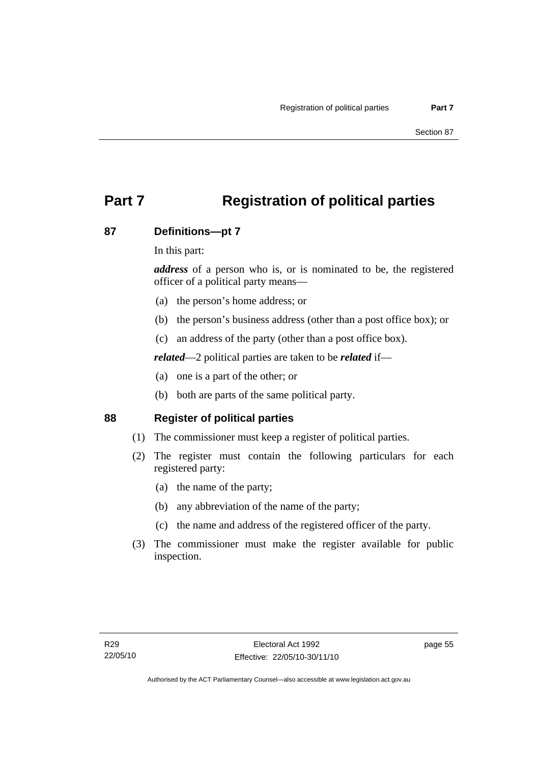# **Part 7 Registration of political parties**

## **87 Definitions—pt 7**

In this part:

*address* of a person who is, or is nominated to be, the registered officer of a political party means—

- (a) the person's home address; or
- (b) the person's business address (other than a post office box); or
- (c) an address of the party (other than a post office box).

*related*—2 political parties are taken to be *related* if—

- (a) one is a part of the other; or
- (b) both are parts of the same political party.

### **88 Register of political parties**

- (1) The commissioner must keep a register of political parties.
- (2) The register must contain the following particulars for each registered party:
	- (a) the name of the party;
	- (b) any abbreviation of the name of the party;
	- (c) the name and address of the registered officer of the party.
- (3) The commissioner must make the register available for public inspection.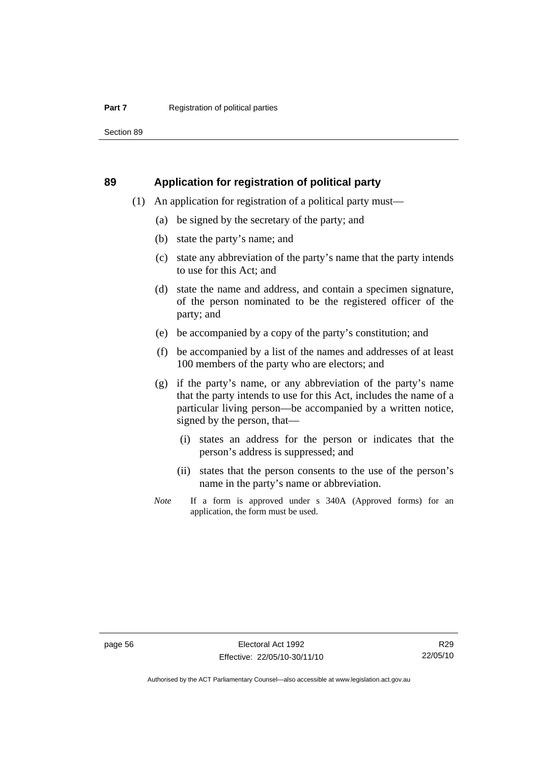Section 89

#### **89 Application for registration of political party**

- (1) An application for registration of a political party must—
	- (a) be signed by the secretary of the party; and
	- (b) state the party's name; and
	- (c) state any abbreviation of the party's name that the party intends to use for this Act; and
	- (d) state the name and address, and contain a specimen signature, of the person nominated to be the registered officer of the party; and
	- (e) be accompanied by a copy of the party's constitution; and
	- (f) be accompanied by a list of the names and addresses of at least 100 members of the party who are electors; and
	- (g) if the party's name, or any abbreviation of the party's name that the party intends to use for this Act, includes the name of a particular living person—be accompanied by a written notice, signed by the person, that—
		- (i) states an address for the person or indicates that the person's address is suppressed; and
		- (ii) states that the person consents to the use of the person's name in the party's name or abbreviation.
	- *Note* If a form is approved under s 340A (Approved forms) for an application, the form must be used.

R29 22/05/10

Authorised by the ACT Parliamentary Counsel—also accessible at www.legislation.act.gov.au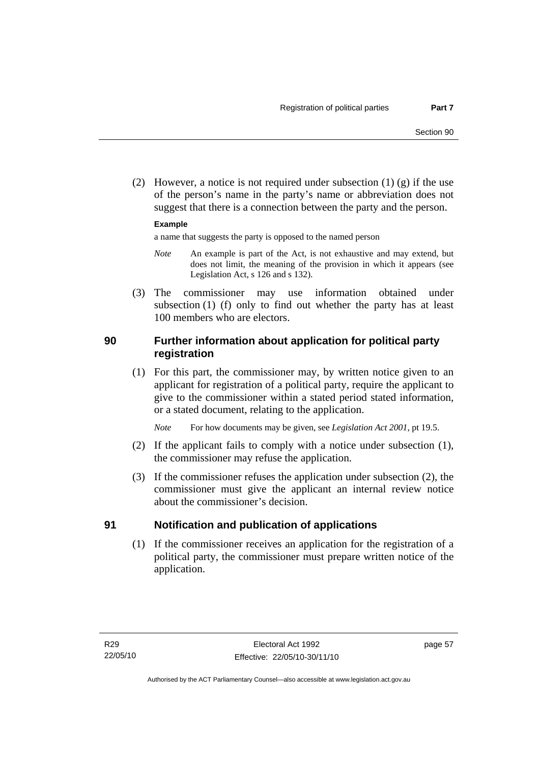(2) However, a notice is not required under subsection  $(1)$   $(g)$  if the use of the person's name in the party's name or abbreviation does not suggest that there is a connection between the party and the person.

#### **Example**

a name that suggests the party is opposed to the named person

- *Note* An example is part of the Act, is not exhaustive and may extend, but does not limit, the meaning of the provision in which it appears (see Legislation Act, s 126 and s 132).
- (3) The commissioner may use information obtained under subsection (1) (f) only to find out whether the party has at least 100 members who are electors.

## **90 Further information about application for political party registration**

 (1) For this part, the commissioner may, by written notice given to an applicant for registration of a political party, require the applicant to give to the commissioner within a stated period stated information, or a stated document, relating to the application.

*Note* For how documents may be given, see *Legislation Act 2001*, pt 19.5.

- (2) If the applicant fails to comply with a notice under subsection (1), the commissioner may refuse the application.
- (3) If the commissioner refuses the application under subsection (2), the commissioner must give the applicant an internal review notice about the commissioner's decision.

### **91 Notification and publication of applications**

 (1) If the commissioner receives an application for the registration of a political party, the commissioner must prepare written notice of the application.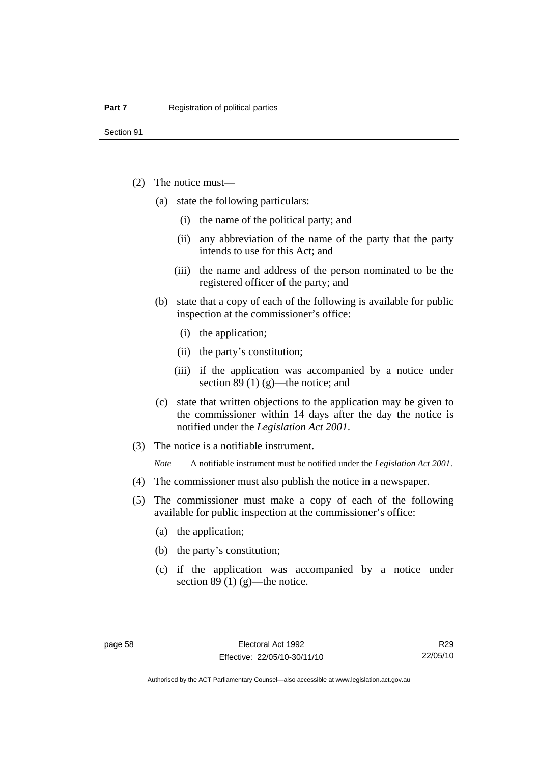Section 91

- (2) The notice must—
	- (a) state the following particulars:
		- (i) the name of the political party; and
		- (ii) any abbreviation of the name of the party that the party intends to use for this Act; and
		- (iii) the name and address of the person nominated to be the registered officer of the party; and
	- (b) state that a copy of each of the following is available for public inspection at the commissioner's office:
		- (i) the application;
		- (ii) the party's constitution;
		- (iii) if the application was accompanied by a notice under section 89 (1) (g)—the notice; and
	- (c) state that written objections to the application may be given to the commissioner within 14 days after the day the notice is notified under the *Legislation Act 2001*.
- (3) The notice is a notifiable instrument.

*Note* A notifiable instrument must be notified under the *Legislation Act 2001*.

- (4) The commissioner must also publish the notice in a newspaper.
- (5) The commissioner must make a copy of each of the following available for public inspection at the commissioner's office:
	- (a) the application;
	- (b) the party's constitution;
	- (c) if the application was accompanied by a notice under section 89 $(1)$  $(g)$ —the notice.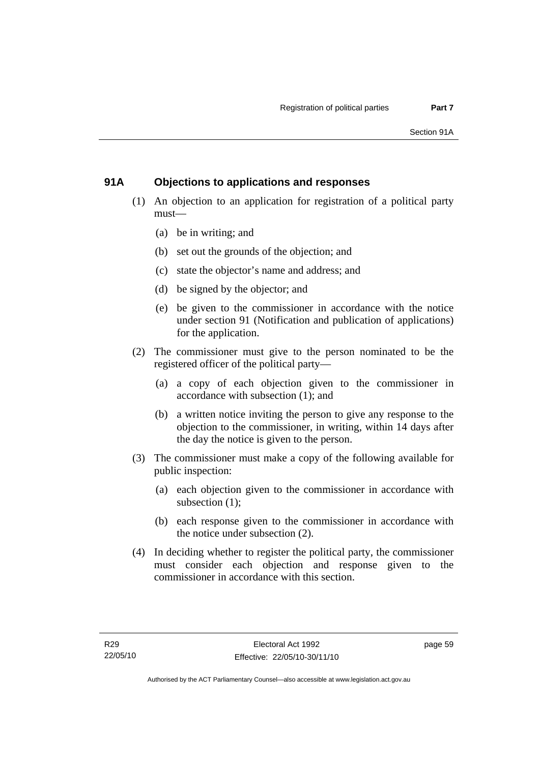## **91A Objections to applications and responses**

- (1) An objection to an application for registration of a political party must—
	- (a) be in writing; and
	- (b) set out the grounds of the objection; and
	- (c) state the objector's name and address; and
	- (d) be signed by the objector; and
	- (e) be given to the commissioner in accordance with the notice under section 91 (Notification and publication of applications) for the application.
- (2) The commissioner must give to the person nominated to be the registered officer of the political party—
	- (a) a copy of each objection given to the commissioner in accordance with subsection (1); and
	- (b) a written notice inviting the person to give any response to the objection to the commissioner, in writing, within 14 days after the day the notice is given to the person.
- (3) The commissioner must make a copy of the following available for public inspection:
	- (a) each objection given to the commissioner in accordance with subsection (1);
	- (b) each response given to the commissioner in accordance with the notice under subsection (2).
- (4) In deciding whether to register the political party, the commissioner must consider each objection and response given to the commissioner in accordance with this section.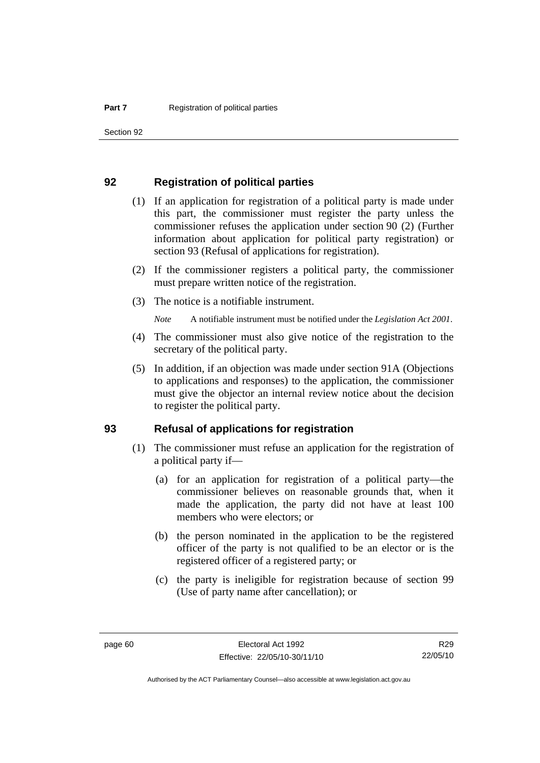Section 92

#### **92 Registration of political parties**

- (1) If an application for registration of a political party is made under this part, the commissioner must register the party unless the commissioner refuses the application under section 90 (2) (Further information about application for political party registration) or section 93 (Refusal of applications for registration).
- (2) If the commissioner registers a political party, the commissioner must prepare written notice of the registration.
- (3) The notice is a notifiable instrument.

*Note* A notifiable instrument must be notified under the *Legislation Act 2001*.

- (4) The commissioner must also give notice of the registration to the secretary of the political party.
- (5) In addition, if an objection was made under section 91A (Objections to applications and responses) to the application, the commissioner must give the objector an internal review notice about the decision to register the political party.

### **93 Refusal of applications for registration**

- (1) The commissioner must refuse an application for the registration of a political party if—
	- (a) for an application for registration of a political party—the commissioner believes on reasonable grounds that, when it made the application, the party did not have at least 100 members who were electors; or
	- (b) the person nominated in the application to be the registered officer of the party is not qualified to be an elector or is the registered officer of a registered party; or
	- (c) the party is ineligible for registration because of section 99 (Use of party name after cancellation); or

Authorised by the ACT Parliamentary Counsel—also accessible at www.legislation.act.gov.au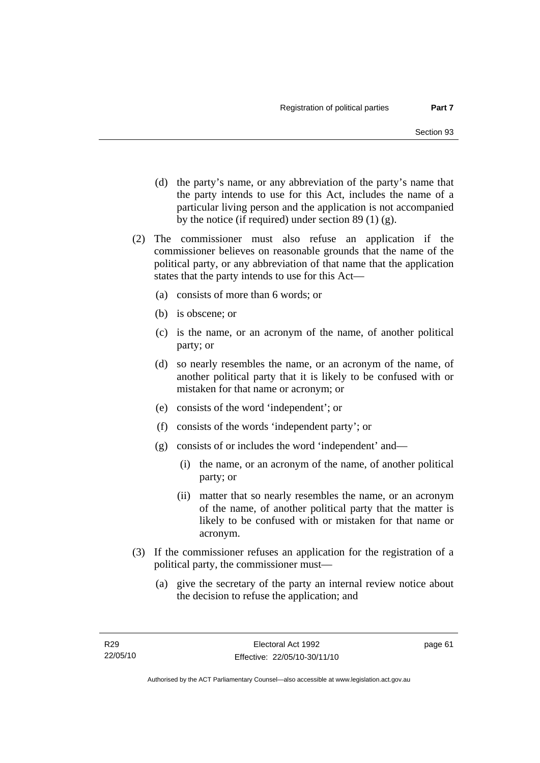- (d) the party's name, or any abbreviation of the party's name that the party intends to use for this Act, includes the name of a particular living person and the application is not accompanied by the notice (if required) under section 89 (1) (g).
- (2) The commissioner must also refuse an application if the commissioner believes on reasonable grounds that the name of the political party, or any abbreviation of that name that the application states that the party intends to use for this Act—
	- (a) consists of more than 6 words; or
	- (b) is obscene; or
	- (c) is the name, or an acronym of the name, of another political party; or
	- (d) so nearly resembles the name, or an acronym of the name, of another political party that it is likely to be confused with or mistaken for that name or acronym; or
	- (e) consists of the word 'independent'; or
	- (f) consists of the words 'independent party'; or
	- (g) consists of or includes the word 'independent' and—
		- (i) the name, or an acronym of the name, of another political party; or
		- (ii) matter that so nearly resembles the name, or an acronym of the name, of another political party that the matter is likely to be confused with or mistaken for that name or acronym.
- (3) If the commissioner refuses an application for the registration of a political party, the commissioner must—
	- (a) give the secretary of the party an internal review notice about the decision to refuse the application; and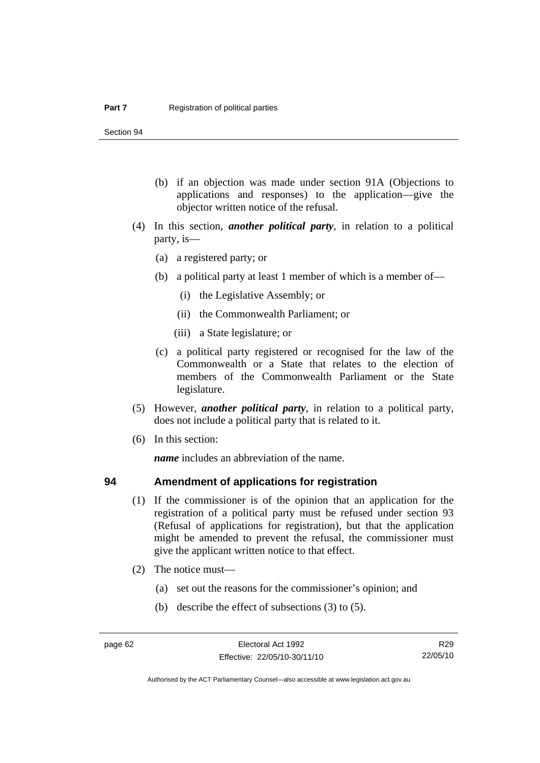Section 94

- (b) if an objection was made under section 91A (Objections to applications and responses) to the application—give the objector written notice of the refusal.
- (4) In this section, *another political party*, in relation to a political party, is—
	- (a) a registered party; or
	- (b) a political party at least 1 member of which is a member of—
		- (i) the Legislative Assembly; or
		- (ii) the Commonwealth Parliament; or
		- (iii) a State legislature; or
	- (c) a political party registered or recognised for the law of the Commonwealth or a State that relates to the election of members of the Commonwealth Parliament or the State legislature.
- (5) However, *another political party*, in relation to a political party, does not include a political party that is related to it.
- (6) In this section:

*name* includes an abbreviation of the name.

### **94 Amendment of applications for registration**

- (1) If the commissioner is of the opinion that an application for the registration of a political party must be refused under section 93 (Refusal of applications for registration), but that the application might be amended to prevent the refusal, the commissioner must give the applicant written notice to that effect.
- (2) The notice must—
	- (a) set out the reasons for the commissioner's opinion; and
	- (b) describe the effect of subsections (3) to (5).

Authorised by the ACT Parliamentary Counsel—also accessible at www.legislation.act.gov.au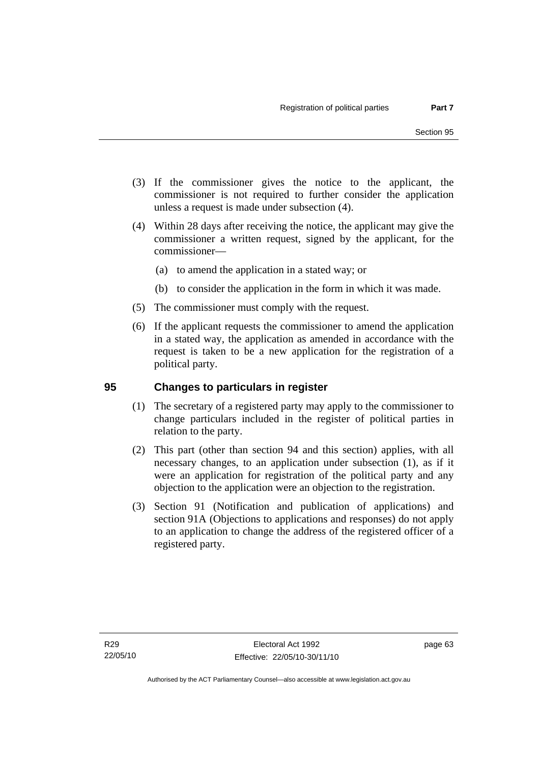- (3) If the commissioner gives the notice to the applicant, the commissioner is not required to further consider the application unless a request is made under subsection (4).
- (4) Within 28 days after receiving the notice, the applicant may give the commissioner a written request, signed by the applicant, for the commissioner—
	- (a) to amend the application in a stated way; or
	- (b) to consider the application in the form in which it was made.
- (5) The commissioner must comply with the request.
- (6) If the applicant requests the commissioner to amend the application in a stated way, the application as amended in accordance with the request is taken to be a new application for the registration of a political party.

## **95 Changes to particulars in register**

- (1) The secretary of a registered party may apply to the commissioner to change particulars included in the register of political parties in relation to the party.
- (2) This part (other than section 94 and this section) applies, with all necessary changes, to an application under subsection (1), as if it were an application for registration of the political party and any objection to the application were an objection to the registration.
- (3) Section 91 (Notification and publication of applications) and section 91A (Objections to applications and responses) do not apply to an application to change the address of the registered officer of a registered party.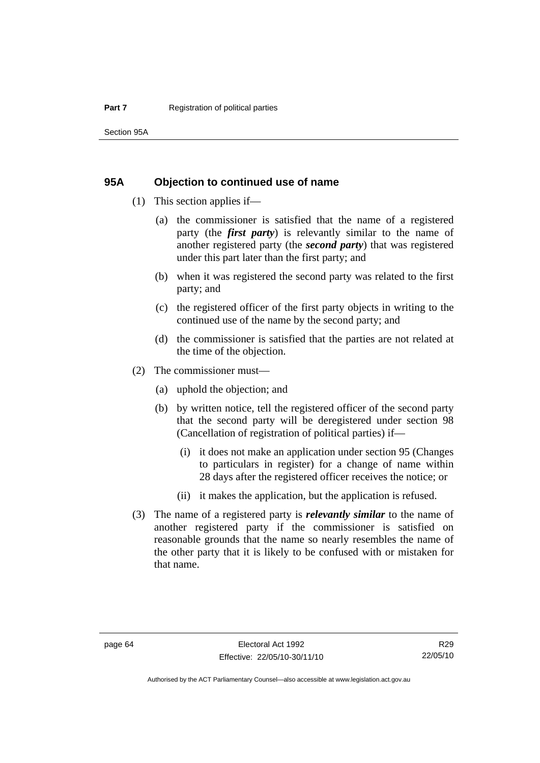#### **95A Objection to continued use of name**

- (1) This section applies if—
	- (a) the commissioner is satisfied that the name of a registered party (the *first party*) is relevantly similar to the name of another registered party (the *second party*) that was registered under this part later than the first party; and
	- (b) when it was registered the second party was related to the first party; and
	- (c) the registered officer of the first party objects in writing to the continued use of the name by the second party; and
	- (d) the commissioner is satisfied that the parties are not related at the time of the objection.
- (2) The commissioner must—
	- (a) uphold the objection; and
	- (b) by written notice, tell the registered officer of the second party that the second party will be deregistered under section 98 (Cancellation of registration of political parties) if—
		- (i) it does not make an application under section 95 (Changes to particulars in register) for a change of name within 28 days after the registered officer receives the notice; or
		- (ii) it makes the application, but the application is refused.
- (3) The name of a registered party is *relevantly similar* to the name of another registered party if the commissioner is satisfied on reasonable grounds that the name so nearly resembles the name of the other party that it is likely to be confused with or mistaken for that name.

Authorised by the ACT Parliamentary Counsel—also accessible at www.legislation.act.gov.au

R29 22/05/10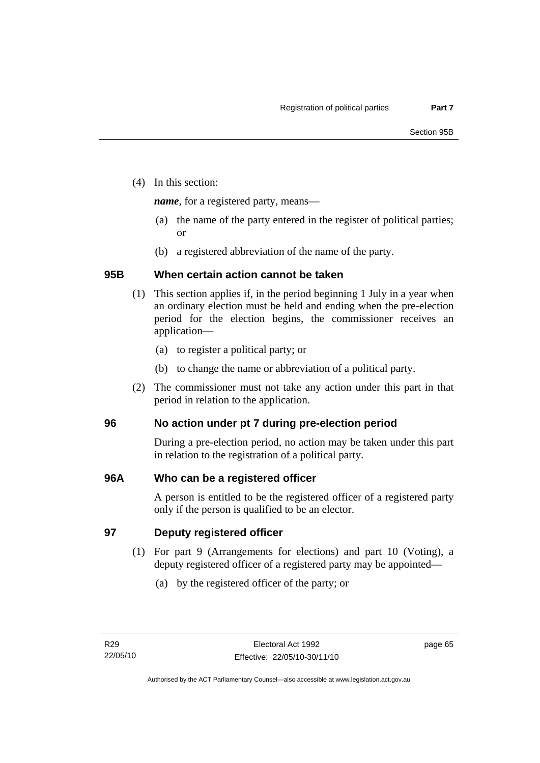(4) In this section:

*name*, for a registered party, means—

- (a) the name of the party entered in the register of political parties; or
- (b) a registered abbreviation of the name of the party.

## **95B When certain action cannot be taken**

- (1) This section applies if, in the period beginning 1 July in a year when an ordinary election must be held and ending when the pre-election period for the election begins, the commissioner receives an application—
	- (a) to register a political party; or
	- (b) to change the name or abbreviation of a political party.
- (2) The commissioner must not take any action under this part in that period in relation to the application.

## **96 No action under pt 7 during pre-election period**

During a pre-election period, no action may be taken under this part in relation to the registration of a political party.

## **96A Who can be a registered officer**

A person is entitled to be the registered officer of a registered party only if the person is qualified to be an elector.

## **97 Deputy registered officer**

- (1) For part 9 (Arrangements for elections) and part 10 (Voting), a deputy registered officer of a registered party may be appointed—
	- (a) by the registered officer of the party; or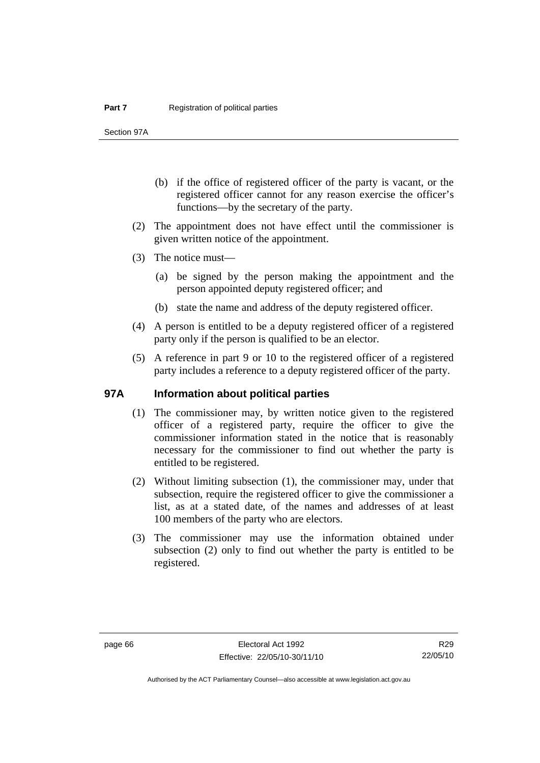Section 97A

- (b) if the office of registered officer of the party is vacant, or the registered officer cannot for any reason exercise the officer's functions—by the secretary of the party.
- (2) The appointment does not have effect until the commissioner is given written notice of the appointment.
- (3) The notice must—
	- (a) be signed by the person making the appointment and the person appointed deputy registered officer; and
	- (b) state the name and address of the deputy registered officer.
- (4) A person is entitled to be a deputy registered officer of a registered party only if the person is qualified to be an elector.
- (5) A reference in part 9 or 10 to the registered officer of a registered party includes a reference to a deputy registered officer of the party.

#### **97A Information about political parties**

- (1) The commissioner may, by written notice given to the registered officer of a registered party, require the officer to give the commissioner information stated in the notice that is reasonably necessary for the commissioner to find out whether the party is entitled to be registered.
- (2) Without limiting subsection (1), the commissioner may, under that subsection, require the registered officer to give the commissioner a list, as at a stated date, of the names and addresses of at least 100 members of the party who are electors.
- (3) The commissioner may use the information obtained under subsection (2) only to find out whether the party is entitled to be registered.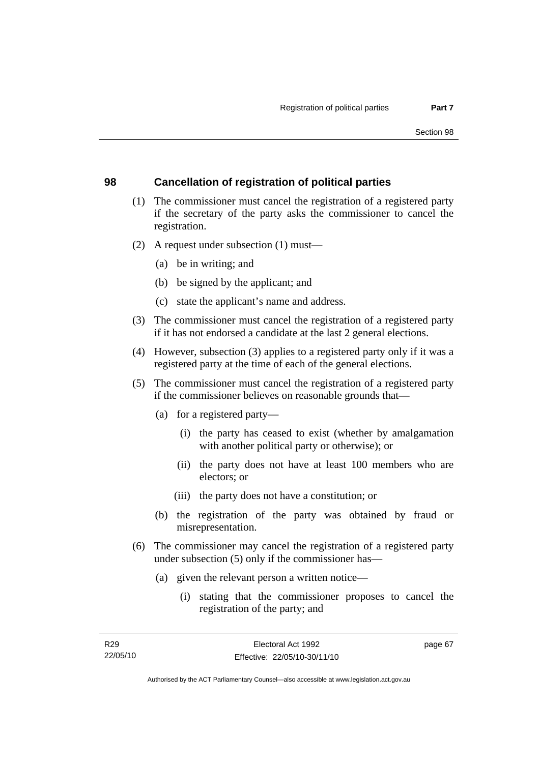## **98 Cancellation of registration of political parties**

- (1) The commissioner must cancel the registration of a registered party if the secretary of the party asks the commissioner to cancel the registration.
- (2) A request under subsection (1) must—
	- (a) be in writing; and
	- (b) be signed by the applicant; and
	- (c) state the applicant's name and address.
- (3) The commissioner must cancel the registration of a registered party if it has not endorsed a candidate at the last 2 general elections.
- (4) However, subsection (3) applies to a registered party only if it was a registered party at the time of each of the general elections.
- (5) The commissioner must cancel the registration of a registered party if the commissioner believes on reasonable grounds that—
	- (a) for a registered party—
		- (i) the party has ceased to exist (whether by amalgamation with another political party or otherwise); or
		- (ii) the party does not have at least 100 members who are electors; or
		- (iii) the party does not have a constitution; or
	- (b) the registration of the party was obtained by fraud or misrepresentation.
- (6) The commissioner may cancel the registration of a registered party under subsection (5) only if the commissioner has—
	- (a) given the relevant person a written notice—
		- (i) stating that the commissioner proposes to cancel the registration of the party; and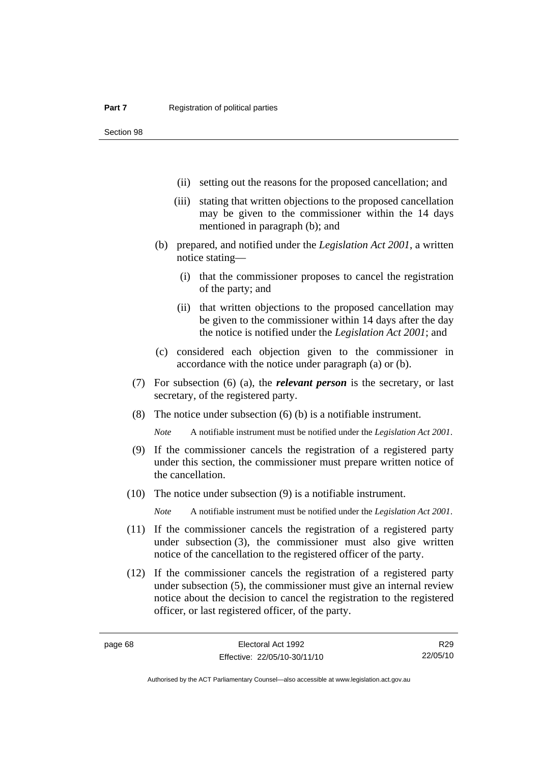- (ii) setting out the reasons for the proposed cancellation; and
- (iii) stating that written objections to the proposed cancellation may be given to the commissioner within the 14 days mentioned in paragraph (b); and
- (b) prepared, and notified under the *Legislation Act 2001*, a written notice stating—
	- (i) that the commissioner proposes to cancel the registration of the party; and
	- (ii) that written objections to the proposed cancellation may be given to the commissioner within 14 days after the day the notice is notified under the *Legislation Act 2001*; and
- (c) considered each objection given to the commissioner in accordance with the notice under paragraph (a) or (b).
- (7) For subsection (6) (a), the *relevant person* is the secretary, or last secretary, of the registered party.
- (8) The notice under subsection (6) (b) is a notifiable instrument.

*Note* A notifiable instrument must be notified under the *Legislation Act 2001*.

- (9) If the commissioner cancels the registration of a registered party under this section, the commissioner must prepare written notice of the cancellation.
- (10) The notice under subsection (9) is a notifiable instrument.

*Note* A notifiable instrument must be notified under the *Legislation Act 2001*.

- (11) If the commissioner cancels the registration of a registered party under subsection (3), the commissioner must also give written notice of the cancellation to the registered officer of the party.
- (12) If the commissioner cancels the registration of a registered party under subsection (5), the commissioner must give an internal review notice about the decision to cancel the registration to the registered officer, or last registered officer, of the party.

R29 22/05/10

Authorised by the ACT Parliamentary Counsel—also accessible at www.legislation.act.gov.au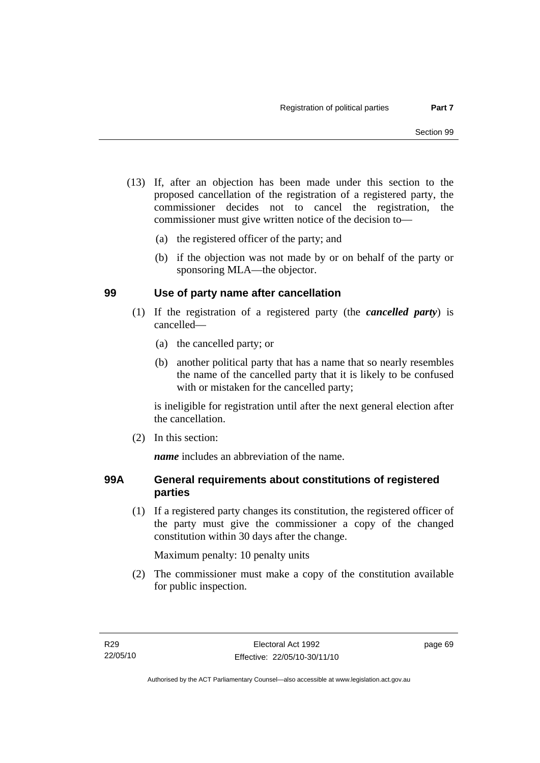- (13) If, after an objection has been made under this section to the proposed cancellation of the registration of a registered party, the commissioner decides not to cancel the registration, the commissioner must give written notice of the decision to—
	- (a) the registered officer of the party; and
	- (b) if the objection was not made by or on behalf of the party or sponsoring MLA—the objector.

## **99 Use of party name after cancellation**

- (1) If the registration of a registered party (the *cancelled party*) is cancelled—
	- (a) the cancelled party; or
	- (b) another political party that has a name that so nearly resembles the name of the cancelled party that it is likely to be confused with or mistaken for the cancelled party;

is ineligible for registration until after the next general election after the cancellation.

(2) In this section:

*name* includes an abbreviation of the name.

## **99A General requirements about constitutions of registered parties**

 (1) If a registered party changes its constitution, the registered officer of the party must give the commissioner a copy of the changed constitution within 30 days after the change.

Maximum penalty: 10 penalty units

 (2) The commissioner must make a copy of the constitution available for public inspection.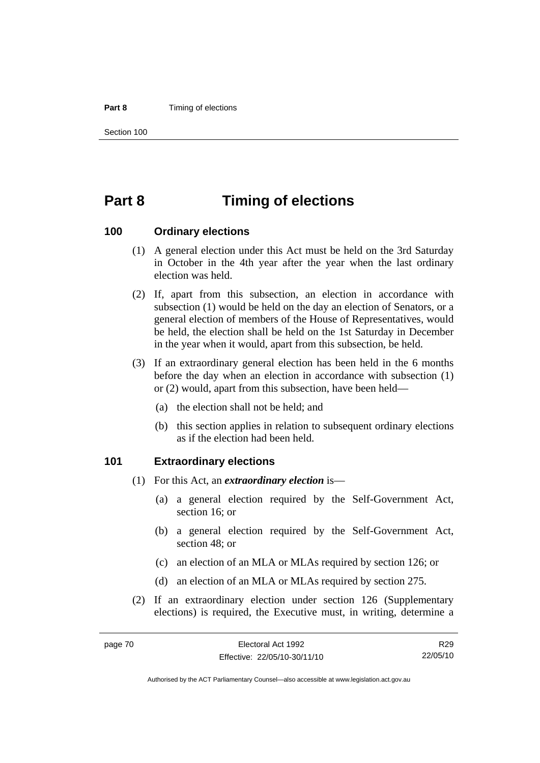#### **Part 8 Timing of elections**

Section 100

# **Part 8 Timing of elections**

#### **100 Ordinary elections**

- (1) A general election under this Act must be held on the 3rd Saturday in October in the 4th year after the year when the last ordinary election was held.
- (2) If, apart from this subsection, an election in accordance with subsection (1) would be held on the day an election of Senators, or a general election of members of the House of Representatives, would be held, the election shall be held on the 1st Saturday in December in the year when it would, apart from this subsection, be held.
- (3) If an extraordinary general election has been held in the 6 months before the day when an election in accordance with subsection (1) or (2) would, apart from this subsection, have been held—
	- (a) the election shall not be held; and
	- (b) this section applies in relation to subsequent ordinary elections as if the election had been held.

### **101 Extraordinary elections**

- (1) For this Act, an *extraordinary election* is—
	- (a) a general election required by the Self-Government Act, section 16; or
	- (b) a general election required by the Self-Government Act, section 48; or
	- (c) an election of an MLA or MLAs required by section 126; or
	- (d) an election of an MLA or MLAs required by section 275.
- (2) If an extraordinary election under section 126 (Supplementary elections) is required, the Executive must, in writing, determine a

R29 22/05/10

Authorised by the ACT Parliamentary Counsel—also accessible at www.legislation.act.gov.au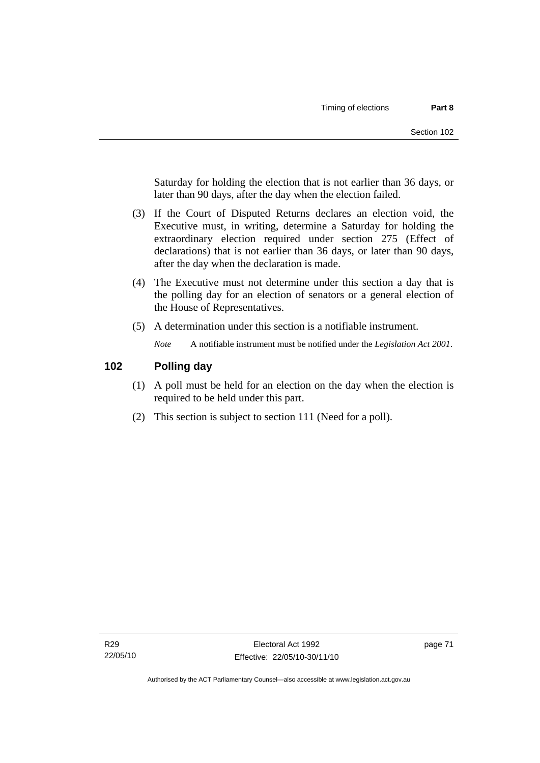Saturday for holding the election that is not earlier than 36 days, or later than 90 days, after the day when the election failed.

- (3) If the Court of Disputed Returns declares an election void, the Executive must, in writing, determine a Saturday for holding the extraordinary election required under section 275 (Effect of declarations) that is not earlier than 36 days, or later than 90 days, after the day when the declaration is made.
- (4) The Executive must not determine under this section a day that is the polling day for an election of senators or a general election of the House of Representatives.
- (5) A determination under this section is a notifiable instrument.

*Note* A notifiable instrument must be notified under the *Legislation Act 2001*.

## **102 Polling day**

- (1) A poll must be held for an election on the day when the election is required to be held under this part.
- (2) This section is subject to section 111 (Need for a poll).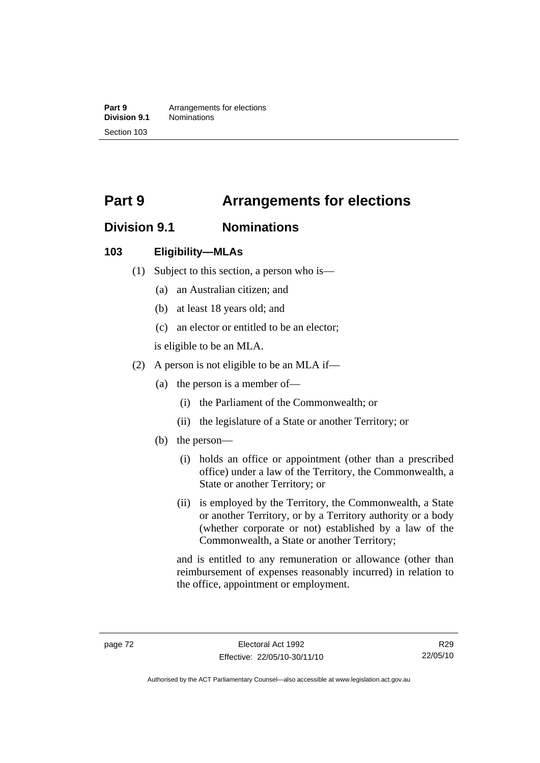**Part 9 Arrangements for elections**<br>**Division 9.1 Nominations Division 9.1** Nominations Section 103

# **Part 9 Arrangements for elections**

# **Division 9.1 Nominations**

## **103 Eligibility—MLAs**

- (1) Subject to this section, a person who is—
	- (a) an Australian citizen; and
	- (b) at least 18 years old; and
	- (c) an elector or entitled to be an elector;

is eligible to be an MLA.

- (2) A person is not eligible to be an MLA if—
	- (a) the person is a member of—
		- (i) the Parliament of the Commonwealth; or
		- (ii) the legislature of a State or another Territory; or
	- (b) the person—
		- (i) holds an office or appointment (other than a prescribed office) under a law of the Territory, the Commonwealth, a State or another Territory; or
		- (ii) is employed by the Territory, the Commonwealth, a State or another Territory, or by a Territory authority or a body (whether corporate or not) established by a law of the Commonwealth, a State or another Territory;

and is entitled to any remuneration or allowance (other than reimbursement of expenses reasonably incurred) in relation to the office, appointment or employment.

R29 22/05/10

Authorised by the ACT Parliamentary Counsel—also accessible at www.legislation.act.gov.au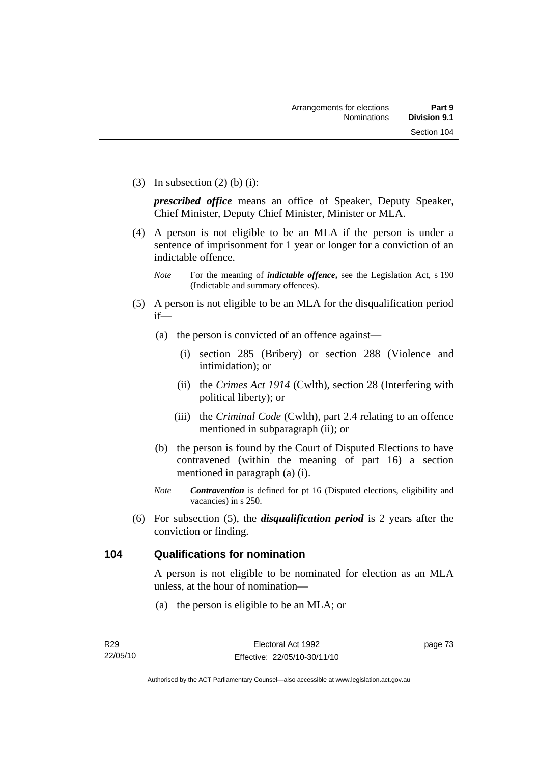(3) In subsection  $(2)$  (b) (i):

*prescribed office* means an office of Speaker, Deputy Speaker, Chief Minister, Deputy Chief Minister, Minister or MLA.

 (4) A person is not eligible to be an MLA if the person is under a sentence of imprisonment for 1 year or longer for a conviction of an indictable offence.

- (5) A person is not eligible to be an MLA for the disqualification period if—
	- (a) the person is convicted of an offence against—
		- (i) section 285 (Bribery) or section 288 (Violence and intimidation); or
		- (ii) the *Crimes Act 1914* (Cwlth), section 28 (Interfering with political liberty); or
		- (iii) the *Criminal Code* (Cwlth), part 2.4 relating to an offence mentioned in subparagraph (ii); or
	- (b) the person is found by the Court of Disputed Elections to have contravened (within the meaning of part 16) a section mentioned in paragraph (a) (i).
	- *Note Contravention* is defined for pt 16 (Disputed elections, eligibility and vacancies) in s 250.
- (6) For subsection (5), the *disqualification period* is 2 years after the conviction or finding.

### **104 Qualifications for nomination**

A person is not eligible to be nominated for election as an MLA unless, at the hour of nomination—

(a) the person is eligible to be an MLA; or

*Note* For the meaning of *indictable offence*, see the Legislation Act, s 190 (Indictable and summary offences).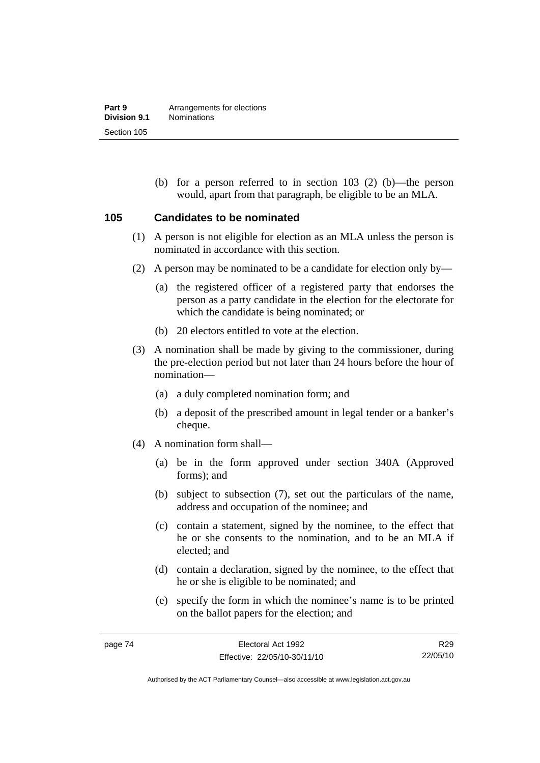(b) for a person referred to in section 103 (2) (b)—the person would, apart from that paragraph, be eligible to be an MLA.

### **105 Candidates to be nominated**

- (1) A person is not eligible for election as an MLA unless the person is nominated in accordance with this section.
- (2) A person may be nominated to be a candidate for election only by—
	- (a) the registered officer of a registered party that endorses the person as a party candidate in the election for the electorate for which the candidate is being nominated; or
	- (b) 20 electors entitled to vote at the election.
- (3) A nomination shall be made by giving to the commissioner, during the pre-election period but not later than 24 hours before the hour of nomination—
	- (a) a duly completed nomination form; and
	- (b) a deposit of the prescribed amount in legal tender or a banker's cheque.
- (4) A nomination form shall—
	- (a) be in the form approved under section 340A (Approved forms); and
	- (b) subject to subsection (7), set out the particulars of the name, address and occupation of the nominee; and
	- (c) contain a statement, signed by the nominee, to the effect that he or she consents to the nomination, and to be an MLA if elected; and
	- (d) contain a declaration, signed by the nominee, to the effect that he or she is eligible to be nominated; and
	- (e) specify the form in which the nominee's name is to be printed on the ballot papers for the election; and

R29 22/05/10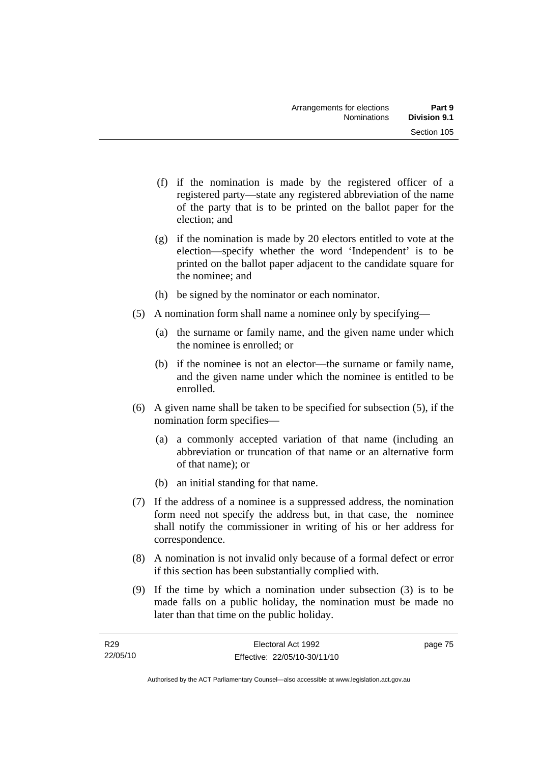- (f) if the nomination is made by the registered officer of a registered party—state any registered abbreviation of the name of the party that is to be printed on the ballot paper for the election; and
- (g) if the nomination is made by 20 electors entitled to vote at the election—specify whether the word 'Independent' is to be printed on the ballot paper adjacent to the candidate square for the nominee; and
- (h) be signed by the nominator or each nominator.
- (5) A nomination form shall name a nominee only by specifying—
	- (a) the surname or family name, and the given name under which the nominee is enrolled; or
	- (b) if the nominee is not an elector—the surname or family name, and the given name under which the nominee is entitled to be enrolled.
- (6) A given name shall be taken to be specified for subsection (5), if the nomination form specifies—
	- (a) a commonly accepted variation of that name (including an abbreviation or truncation of that name or an alternative form of that name); or
	- (b) an initial standing for that name.
- (7) If the address of a nominee is a suppressed address, the nomination form need not specify the address but, in that case, the nominee shall notify the commissioner in writing of his or her address for correspondence.
- (8) A nomination is not invalid only because of a formal defect or error if this section has been substantially complied with.
- (9) If the time by which a nomination under subsection (3) is to be made falls on a public holiday, the nomination must be made no later than that time on the public holiday.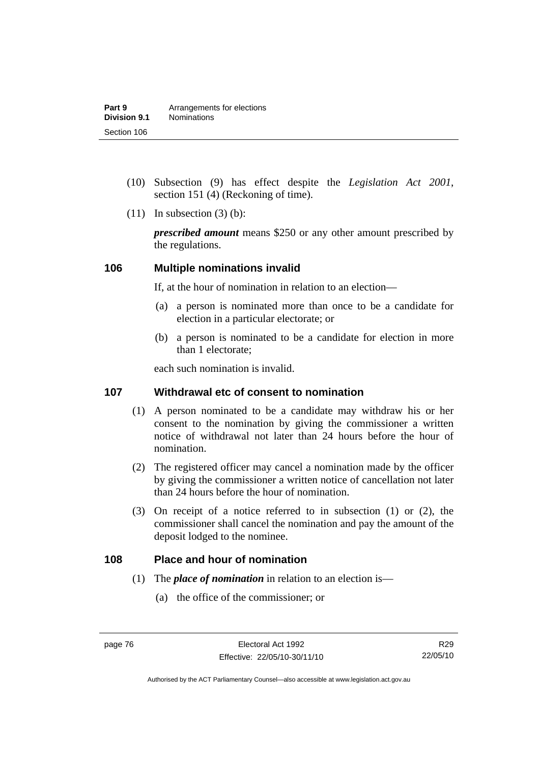- (10) Subsection (9) has effect despite the *Legislation Act 2001*, section 151 (4) (Reckoning of time).
- $(11)$  In subsection  $(3)$  (b):

*prescribed amount* means \$250 or any other amount prescribed by the regulations.

### **106 Multiple nominations invalid**

If, at the hour of nomination in relation to an election—

- (a) a person is nominated more than once to be a candidate for election in a particular electorate; or
- (b) a person is nominated to be a candidate for election in more than 1 electorate;

each such nomination is invalid.

## **107 Withdrawal etc of consent to nomination**

- (1) A person nominated to be a candidate may withdraw his or her consent to the nomination by giving the commissioner a written notice of withdrawal not later than 24 hours before the hour of nomination.
- (2) The registered officer may cancel a nomination made by the officer by giving the commissioner a written notice of cancellation not later than 24 hours before the hour of nomination.
- (3) On receipt of a notice referred to in subsection (1) or (2), the commissioner shall cancel the nomination and pay the amount of the deposit lodged to the nominee.

### **108 Place and hour of nomination**

- (1) The *place of nomination* in relation to an election is—
	- (a) the office of the commissioner; or

Authorised by the ACT Parliamentary Counsel—also accessible at www.legislation.act.gov.au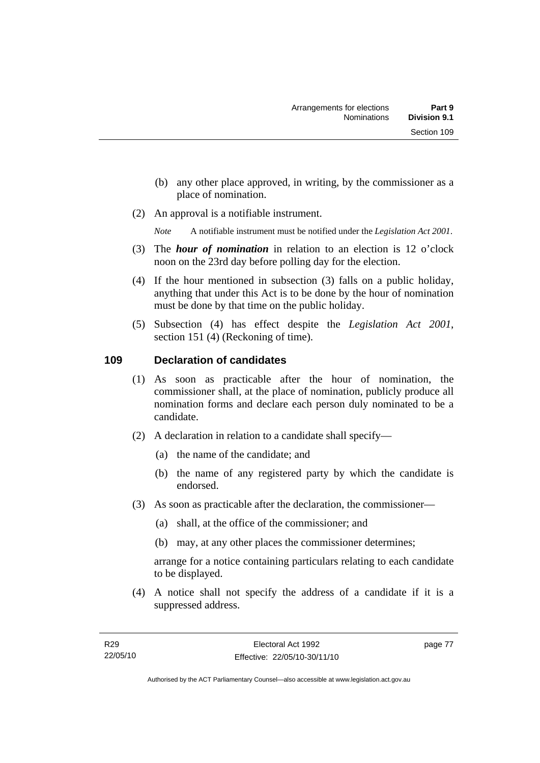- (b) any other place approved, in writing, by the commissioner as a place of nomination.
- (2) An approval is a notifiable instrument.

*Note* A notifiable instrument must be notified under the *Legislation Act 2001*.

- (3) The *hour of nomination* in relation to an election is 12 o'clock noon on the 23rd day before polling day for the election.
- (4) If the hour mentioned in subsection (3) falls on a public holiday, anything that under this Act is to be done by the hour of nomination must be done by that time on the public holiday.
- (5) Subsection (4) has effect despite the *Legislation Act 2001*, section 151 (4) (Reckoning of time).

## **109 Declaration of candidates**

- (1) As soon as practicable after the hour of nomination, the commissioner shall, at the place of nomination, publicly produce all nomination forms and declare each person duly nominated to be a candidate.
- (2) A declaration in relation to a candidate shall specify—
	- (a) the name of the candidate; and
	- (b) the name of any registered party by which the candidate is endorsed.
- (3) As soon as practicable after the declaration, the commissioner—
	- (a) shall, at the office of the commissioner; and
	- (b) may, at any other places the commissioner determines;

arrange for a notice containing particulars relating to each candidate to be displayed.

 (4) A notice shall not specify the address of a candidate if it is a suppressed address.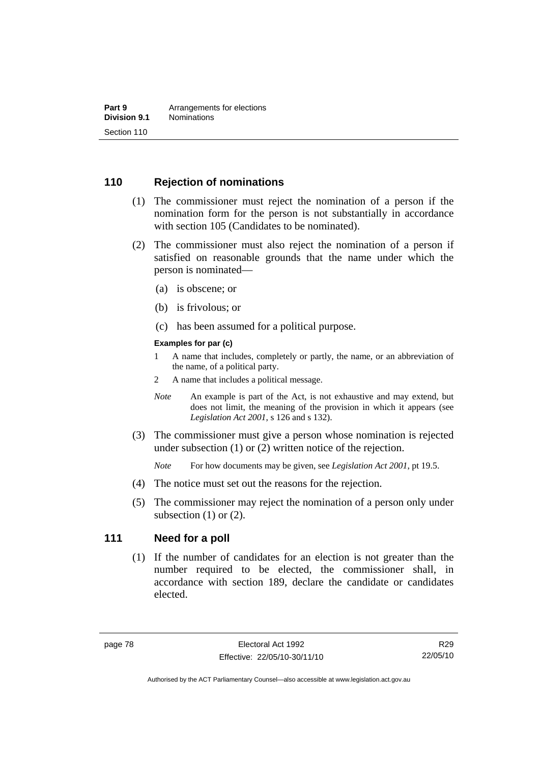## **110 Rejection of nominations**

- (1) The commissioner must reject the nomination of a person if the nomination form for the person is not substantially in accordance with section 105 (Candidates to be nominated).
- (2) The commissioner must also reject the nomination of a person if satisfied on reasonable grounds that the name under which the person is nominated—
	- (a) is obscene; or
	- (b) is frivolous; or
	- (c) has been assumed for a political purpose.

#### **Examples for par (c)**

- 1 A name that includes, completely or partly, the name, or an abbreviation of the name, of a political party.
- 2 A name that includes a political message.
- *Note* An example is part of the Act, is not exhaustive and may extend, but does not limit, the meaning of the provision in which it appears (see *Legislation Act 2001*, s 126 and s 132).
- (3) The commissioner must give a person whose nomination is rejected under subsection (1) or (2) written notice of the rejection.

*Note* For how documents may be given, see *Legislation Act 2001*, pt 19.5.

- (4) The notice must set out the reasons for the rejection.
- (5) The commissioner may reject the nomination of a person only under subsection  $(1)$  or  $(2)$ .

### **111 Need for a poll**

 (1) If the number of candidates for an election is not greater than the number required to be elected, the commissioner shall, in accordance with section 189, declare the candidate or candidates elected.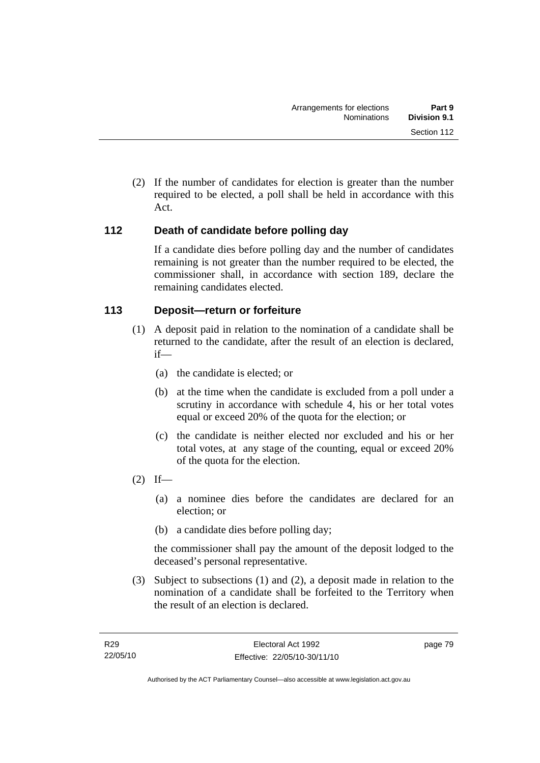(2) If the number of candidates for election is greater than the number required to be elected, a poll shall be held in accordance with this Act.

## **112 Death of candidate before polling day**

If a candidate dies before polling day and the number of candidates remaining is not greater than the number required to be elected, the commissioner shall, in accordance with section 189, declare the remaining candidates elected.

## **113 Deposit—return or forfeiture**

- (1) A deposit paid in relation to the nomination of a candidate shall be returned to the candidate, after the result of an election is declared, if—
	- (a) the candidate is elected; or
	- (b) at the time when the candidate is excluded from a poll under a scrutiny in accordance with schedule 4, his or her total votes equal or exceed 20% of the quota for the election; or
	- (c) the candidate is neither elected nor excluded and his or her total votes, at any stage of the counting, equal or exceed 20% of the quota for the election.
- $(2)$  If—
	- (a) a nominee dies before the candidates are declared for an election; or
	- (b) a candidate dies before polling day;

the commissioner shall pay the amount of the deposit lodged to the deceased's personal representative.

 (3) Subject to subsections (1) and (2), a deposit made in relation to the nomination of a candidate shall be forfeited to the Territory when the result of an election is declared.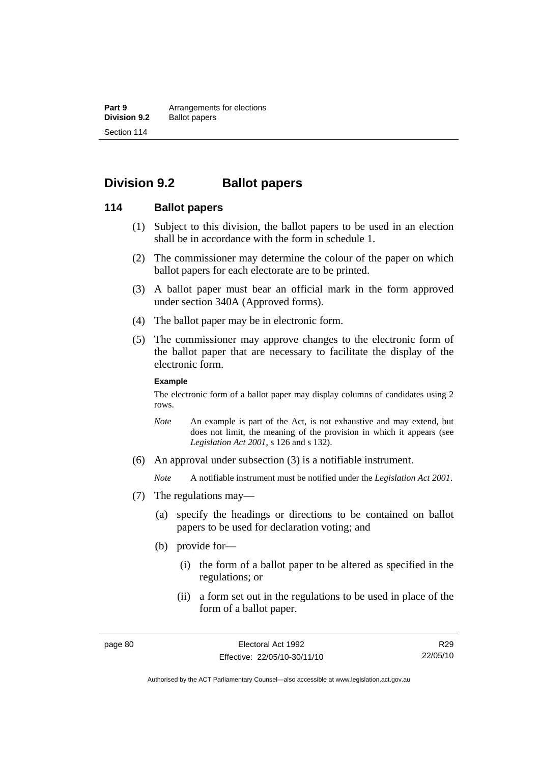**Part 9 Arrangements for elections**<br>**Division 9.2 Ballot papers Ballot papers** Section 114

# **Division 9.2 Ballot papers**

### **114 Ballot papers**

- (1) Subject to this division, the ballot papers to be used in an election shall be in accordance with the form in schedule 1.
- (2) The commissioner may determine the colour of the paper on which ballot papers for each electorate are to be printed.
- (3) A ballot paper must bear an official mark in the form approved under section 340A (Approved forms).
- (4) The ballot paper may be in electronic form.
- (5) The commissioner may approve changes to the electronic form of the ballot paper that are necessary to facilitate the display of the electronic form.

#### **Example**

The electronic form of a ballot paper may display columns of candidates using 2 rows.

- *Note* An example is part of the Act, is not exhaustive and may extend, but does not limit, the meaning of the provision in which it appears (see *Legislation Act 2001*, s 126 and s 132).
- (6) An approval under subsection (3) is a notifiable instrument.

*Note* A notifiable instrument must be notified under the *Legislation Act 2001*.

- (7) The regulations may—
	- (a) specify the headings or directions to be contained on ballot papers to be used for declaration voting; and
	- (b) provide for—
		- (i) the form of a ballot paper to be altered as specified in the regulations; or
		- (ii) a form set out in the regulations to be used in place of the form of a ballot paper.

Authorised by the ACT Parliamentary Counsel—also accessible at www.legislation.act.gov.au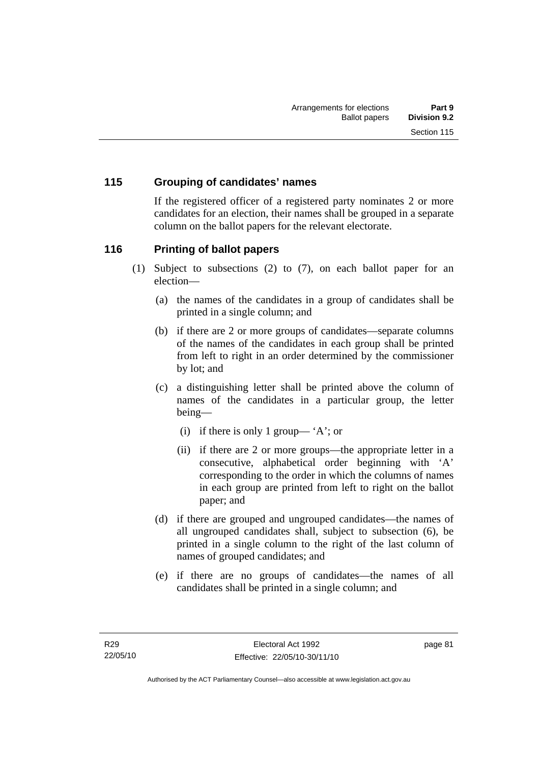## **115 Grouping of candidates' names**

If the registered officer of a registered party nominates 2 or more candidates for an election, their names shall be grouped in a separate column on the ballot papers for the relevant electorate.

## **116 Printing of ballot papers**

- (1) Subject to subsections (2) to (7), on each ballot paper for an election—
	- (a) the names of the candidates in a group of candidates shall be printed in a single column; and
	- (b) if there are 2 or more groups of candidates—separate columns of the names of the candidates in each group shall be printed from left to right in an order determined by the commissioner by lot; and
	- (c) a distinguishing letter shall be printed above the column of names of the candidates in a particular group, the letter being—
		- (i) if there is only 1 group— 'A'; or
		- (ii) if there are 2 or more groups—the appropriate letter in a consecutive, alphabetical order beginning with 'A' corresponding to the order in which the columns of names in each group are printed from left to right on the ballot paper; and
	- (d) if there are grouped and ungrouped candidates—the names of all ungrouped candidates shall, subject to subsection (6), be printed in a single column to the right of the last column of names of grouped candidates; and
	- (e) if there are no groups of candidates—the names of all candidates shall be printed in a single column; and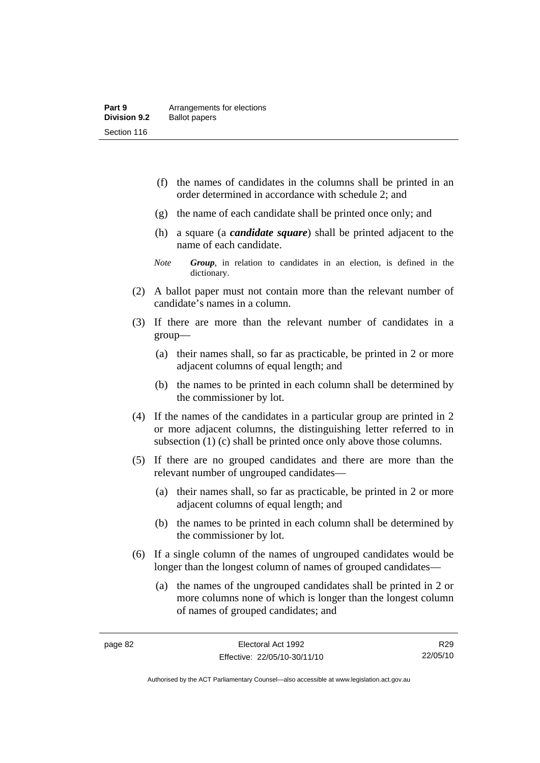- (f) the names of candidates in the columns shall be printed in an order determined in accordance with schedule 2; and
- (g) the name of each candidate shall be printed once only; and
- (h) a square (a *candidate square*) shall be printed adjacent to the name of each candidate.
- *Note Group*, in relation to candidates in an election, is defined in the dictionary.
- (2) A ballot paper must not contain more than the relevant number of candidate's names in a column.
- (3) If there are more than the relevant number of candidates in a group—
	- (a) their names shall, so far as practicable, be printed in 2 or more adjacent columns of equal length; and
	- (b) the names to be printed in each column shall be determined by the commissioner by lot.
- (4) If the names of the candidates in a particular group are printed in 2 or more adjacent columns, the distinguishing letter referred to in subsection (1) (c) shall be printed once only above those columns.
- (5) If there are no grouped candidates and there are more than the relevant number of ungrouped candidates—
	- (a) their names shall, so far as practicable, be printed in 2 or more adjacent columns of equal length; and
	- (b) the names to be printed in each column shall be determined by the commissioner by lot.
- (6) If a single column of the names of ungrouped candidates would be longer than the longest column of names of grouped candidates—
	- (a) the names of the ungrouped candidates shall be printed in 2 or more columns none of which is longer than the longest column of names of grouped candidates; and

R29 22/05/10

Authorised by the ACT Parliamentary Counsel—also accessible at www.legislation.act.gov.au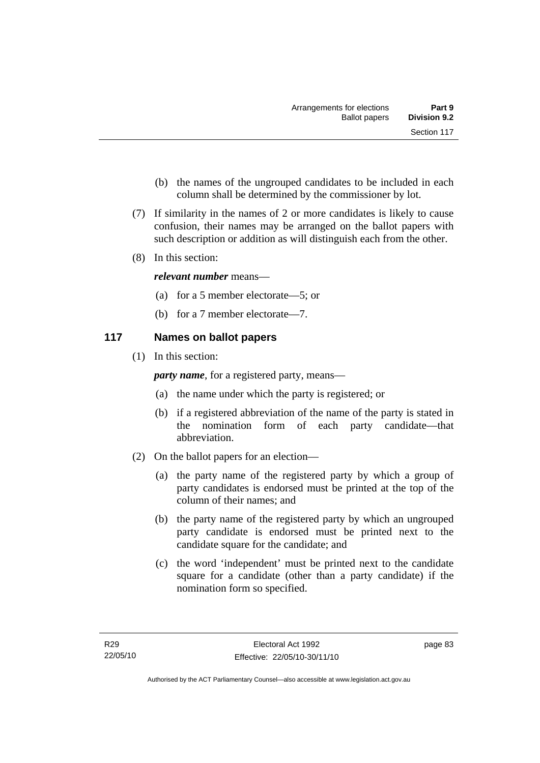- (b) the names of the ungrouped candidates to be included in each column shall be determined by the commissioner by lot.
- (7) If similarity in the names of 2 or more candidates is likely to cause confusion, their names may be arranged on the ballot papers with such description or addition as will distinguish each from the other.
- (8) In this section:

## *relevant number* means—

- (a) for a 5 member electorate—5; or
- (b) for a 7 member electorate—7.

## **117 Names on ballot papers**

(1) In this section:

*party name*, for a registered party, means—

- (a) the name under which the party is registered; or
- (b) if a registered abbreviation of the name of the party is stated in the nomination form of each party candidate—that abbreviation.
- (2) On the ballot papers for an election—
	- (a) the party name of the registered party by which a group of party candidates is endorsed must be printed at the top of the column of their names; and
	- (b) the party name of the registered party by which an ungrouped party candidate is endorsed must be printed next to the candidate square for the candidate; and
	- (c) the word 'independent' must be printed next to the candidate square for a candidate (other than a party candidate) if the nomination form so specified.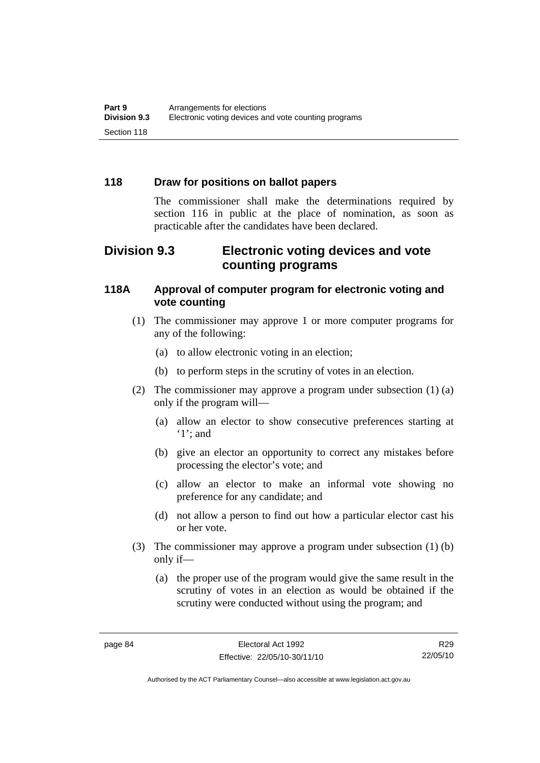## **118 Draw for positions on ballot papers**

The commissioner shall make the determinations required by section 116 in public at the place of nomination, as soon as practicable after the candidates have been declared.

# **Division 9.3 Electronic voting devices and vote counting programs**

## **118A Approval of computer program for electronic voting and vote counting**

- (1) The commissioner may approve 1 or more computer programs for any of the following:
	- (a) to allow electronic voting in an election;
	- (b) to perform steps in the scrutiny of votes in an election.
- (2) The commissioner may approve a program under subsection (1) (a) only if the program will—
	- (a) allow an elector to show consecutive preferences starting at '1'; and
	- (b) give an elector an opportunity to correct any mistakes before processing the elector's vote; and
	- (c) allow an elector to make an informal vote showing no preference for any candidate; and
	- (d) not allow a person to find out how a particular elector cast his or her vote.
- (3) The commissioner may approve a program under subsection (1) (b) only if—
	- (a) the proper use of the program would give the same result in the scrutiny of votes in an election as would be obtained if the scrutiny were conducted without using the program; and

R29 22/05/10

Authorised by the ACT Parliamentary Counsel—also accessible at www.legislation.act.gov.au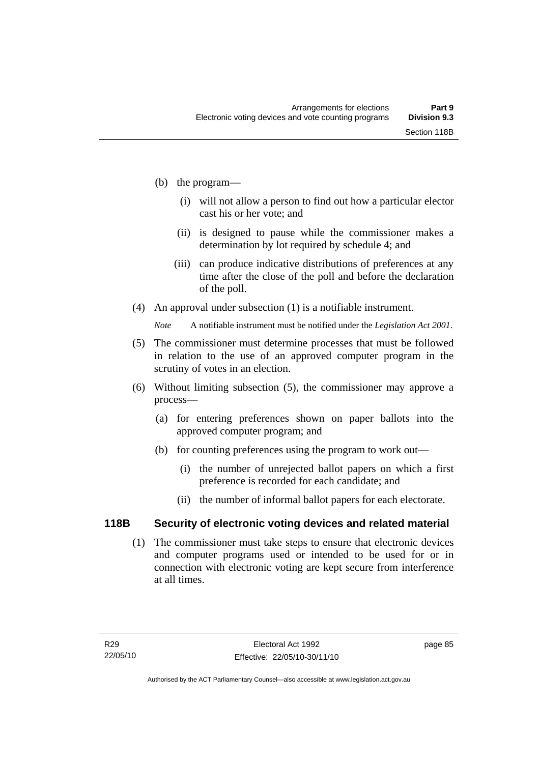- (b) the program—
	- (i) will not allow a person to find out how a particular elector cast his or her vote; and
	- (ii) is designed to pause while the commissioner makes a determination by lot required by schedule 4; and
	- (iii) can produce indicative distributions of preferences at any time after the close of the poll and before the declaration of the poll.
- (4) An approval under subsection (1) is a notifiable instrument.

*Note* A notifiable instrument must be notified under the *Legislation Act 2001*.

- (5) The commissioner must determine processes that must be followed in relation to the use of an approved computer program in the scrutiny of votes in an election.
- (6) Without limiting subsection (5), the commissioner may approve a process—
	- (a) for entering preferences shown on paper ballots into the approved computer program; and
	- (b) for counting preferences using the program to work out—
		- (i) the number of unrejected ballot papers on which a first preference is recorded for each candidate; and
		- (ii) the number of informal ballot papers for each electorate.

## **118B Security of electronic voting devices and related material**

 (1) The commissioner must take steps to ensure that electronic devices and computer programs used or intended to be used for or in connection with electronic voting are kept secure from interference at all times.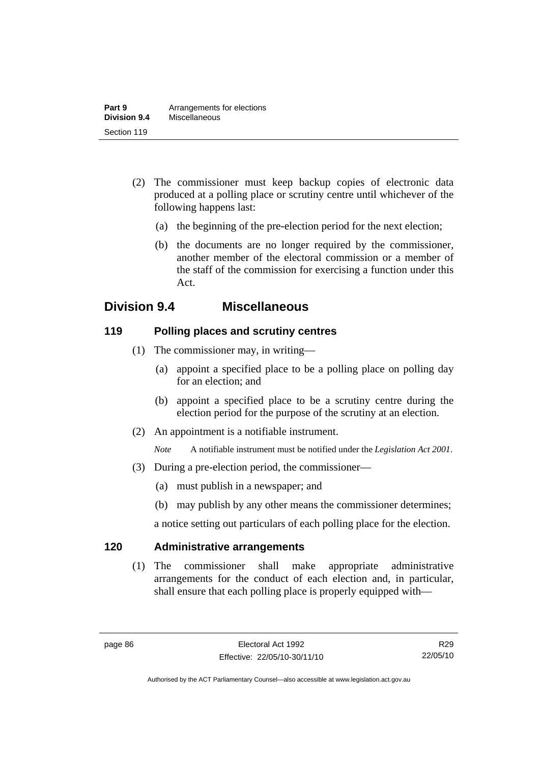- (2) The commissioner must keep backup copies of electronic data produced at a polling place or scrutiny centre until whichever of the following happens last:
	- (a) the beginning of the pre-election period for the next election;
	- (b) the documents are no longer required by the commissioner, another member of the electoral commission or a member of the staff of the commission for exercising a function under this Act.

# **Division 9.4 Miscellaneous**

## **119 Polling places and scrutiny centres**

- (1) The commissioner may, in writing—
	- (a) appoint a specified place to be a polling place on polling day for an election; and
	- (b) appoint a specified place to be a scrutiny centre during the election period for the purpose of the scrutiny at an election.
- (2) An appointment is a notifiable instrument.

*Note* A notifiable instrument must be notified under the *Legislation Act 2001*.

- (3) During a pre-election period, the commissioner—
	- (a) must publish in a newspaper; and
	- (b) may publish by any other means the commissioner determines;

a notice setting out particulars of each polling place for the election.

## **120 Administrative arrangements**

 (1) The commissioner shall make appropriate administrative arrangements for the conduct of each election and, in particular, shall ensure that each polling place is properly equipped with—

R29 22/05/10

Authorised by the ACT Parliamentary Counsel—also accessible at www.legislation.act.gov.au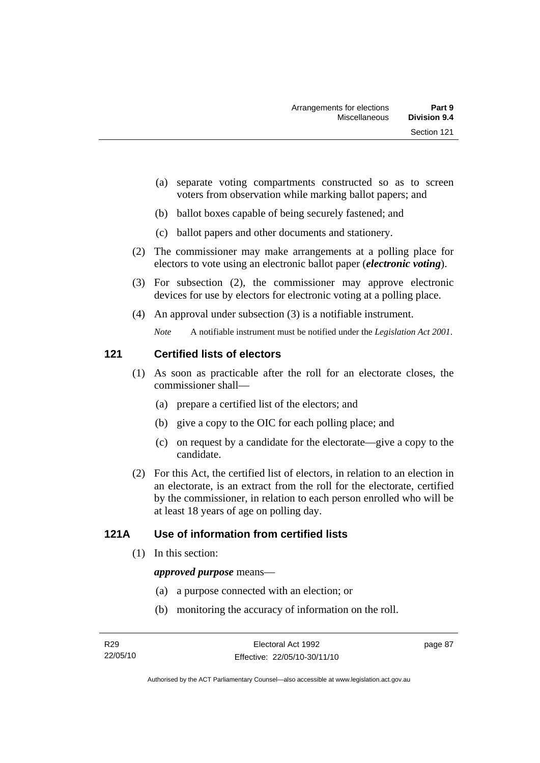- (a) separate voting compartments constructed so as to screen voters from observation while marking ballot papers; and
- (b) ballot boxes capable of being securely fastened; and
- (c) ballot papers and other documents and stationery.
- (2) The commissioner may make arrangements at a polling place for electors to vote using an electronic ballot paper (*electronic voting*).
- (3) For subsection (2), the commissioner may approve electronic devices for use by electors for electronic voting at a polling place.
- (4) An approval under subsection (3) is a notifiable instrument.

*Note* A notifiable instrument must be notified under the *Legislation Act 2001*.

## **121 Certified lists of electors**

- (1) As soon as practicable after the roll for an electorate closes, the commissioner shall—
	- (a) prepare a certified list of the electors; and
	- (b) give a copy to the OIC for each polling place; and
	- (c) on request by a candidate for the electorate—give a copy to the candidate.
- (2) For this Act, the certified list of electors, in relation to an election in an electorate, is an extract from the roll for the electorate, certified by the commissioner, in relation to each person enrolled who will be at least 18 years of age on polling day.

## **121A Use of information from certified lists**

(1) In this section:

### *approved purpose* means—

- (a) a purpose connected with an election; or
- (b) monitoring the accuracy of information on the roll.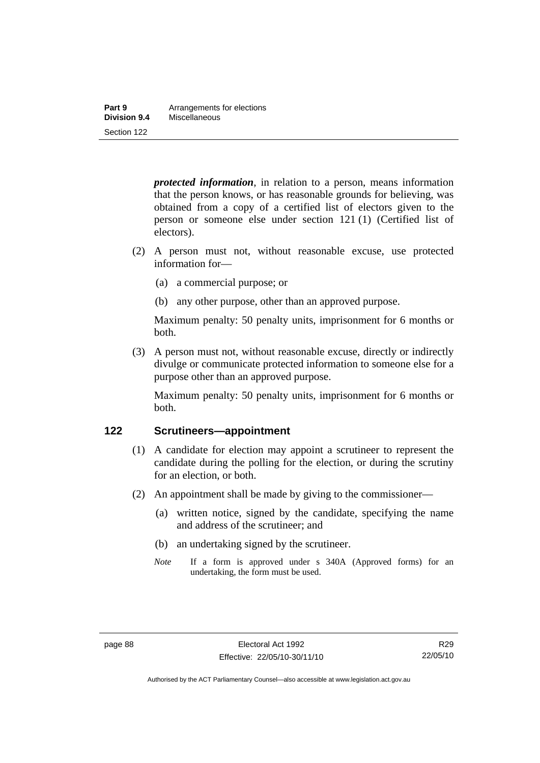| Part 9       | Arrangements for elections |
|--------------|----------------------------|
| Division 9.4 | Miscellaneous              |
| Section 122  |                            |

*protected information*, in relation to a person, means information that the person knows, or has reasonable grounds for believing, was obtained from a copy of a certified list of electors given to the person or someone else under section 121 (1) (Certified list of electors).

- (2) A person must not, without reasonable excuse, use protected information for—
	- (a) a commercial purpose; or
	- (b) any other purpose, other than an approved purpose.

Maximum penalty: 50 penalty units, imprisonment for 6 months or both.

 (3) A person must not, without reasonable excuse, directly or indirectly divulge or communicate protected information to someone else for a purpose other than an approved purpose.

Maximum penalty: 50 penalty units, imprisonment for 6 months or both.

### **122 Scrutineers—appointment**

- (1) A candidate for election may appoint a scrutineer to represent the candidate during the polling for the election, or during the scrutiny for an election, or both.
- (2) An appointment shall be made by giving to the commissioner—
	- (a) written notice, signed by the candidate, specifying the name and address of the scrutineer; and
	- (b) an undertaking signed by the scrutineer.
	- *Note* If a form is approved under s 340A (Approved forms) for an undertaking, the form must be used.

Authorised by the ACT Parliamentary Counsel—also accessible at www.legislation.act.gov.au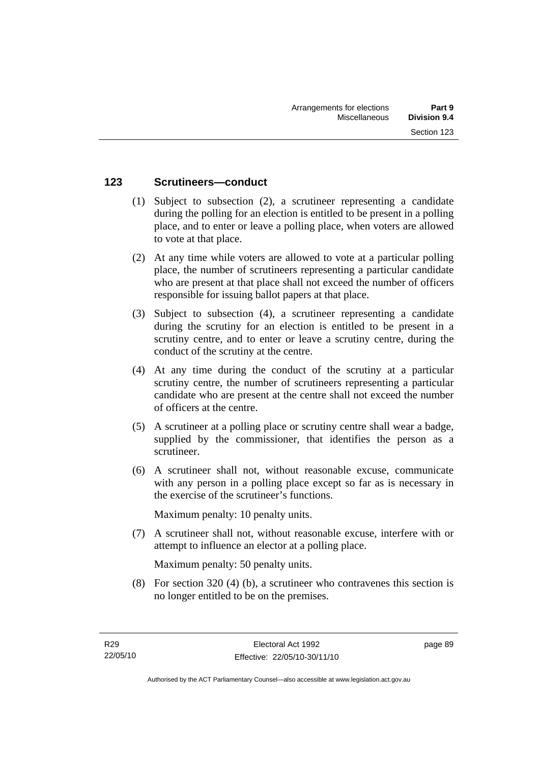## **123 Scrutineers—conduct**

- (1) Subject to subsection (2), a scrutineer representing a candidate during the polling for an election is entitled to be present in a polling place, and to enter or leave a polling place, when voters are allowed to vote at that place.
- (2) At any time while voters are allowed to vote at a particular polling place, the number of scrutineers representing a particular candidate who are present at that place shall not exceed the number of officers responsible for issuing ballot papers at that place.
- (3) Subject to subsection (4), a scrutineer representing a candidate during the scrutiny for an election is entitled to be present in a scrutiny centre, and to enter or leave a scrutiny centre, during the conduct of the scrutiny at the centre.
- (4) At any time during the conduct of the scrutiny at a particular scrutiny centre, the number of scrutineers representing a particular candidate who are present at the centre shall not exceed the number of officers at the centre.
- (5) A scrutineer at a polling place or scrutiny centre shall wear a badge, supplied by the commissioner, that identifies the person as a scrutineer.
- (6) A scrutineer shall not, without reasonable excuse, communicate with any person in a polling place except so far as is necessary in the exercise of the scrutineer's functions.

Maximum penalty: 10 penalty units.

 (7) A scrutineer shall not, without reasonable excuse, interfere with or attempt to influence an elector at a polling place.

Maximum penalty: 50 penalty units.

 (8) For section 320 (4) (b), a scrutineer who contravenes this section is no longer entitled to be on the premises.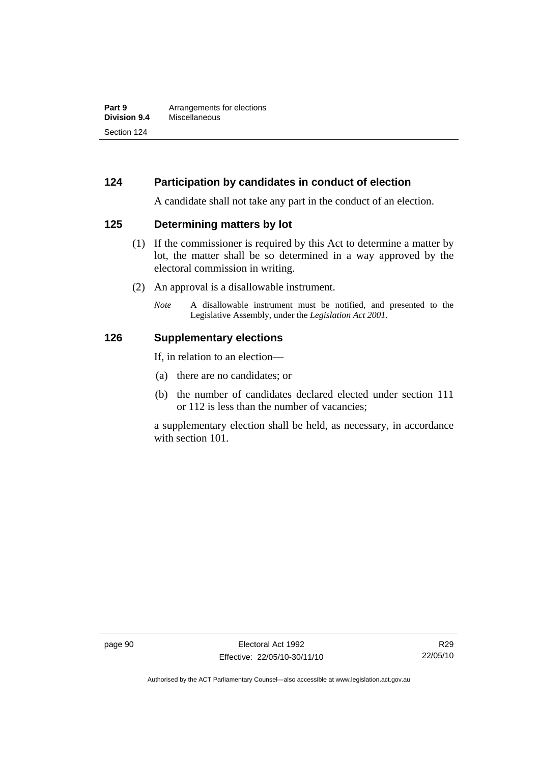## **124 Participation by candidates in conduct of election**

A candidate shall not take any part in the conduct of an election.

### **125 Determining matters by lot**

- (1) If the commissioner is required by this Act to determine a matter by lot, the matter shall be so determined in a way approved by the electoral commission in writing.
- (2) An approval is a disallowable instrument.
	- *Note* A disallowable instrument must be notified, and presented to the Legislative Assembly, under the *Legislation Act 2001*.

### **126 Supplementary elections**

If, in relation to an election—

- (a) there are no candidates; or
- (b) the number of candidates declared elected under section 111 or 112 is less than the number of vacancies;

a supplementary election shall be held, as necessary, in accordance with section 101.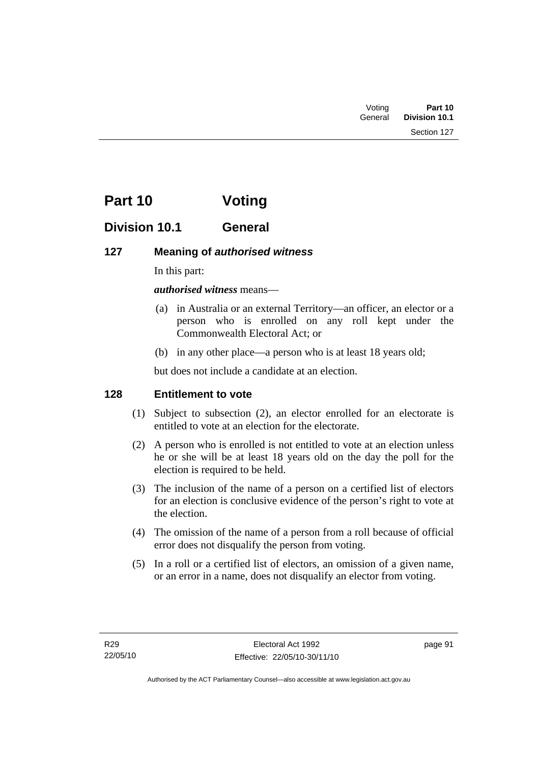| Voting  | Part 10       |
|---------|---------------|
| General | Division 10.1 |
|         | Section 127   |

# **Part 10 Voting**

# **Division 10.1 General**

# **127 Meaning of** *authorised witness*

In this part:

*authorised witness* means—

- (a) in Australia or an external Territory—an officer, an elector or a person who is enrolled on any roll kept under the Commonwealth Electoral Act; or
- (b) in any other place—a person who is at least 18 years old;

but does not include a candidate at an election.

# **128 Entitlement to vote**

- (1) Subject to subsection (2), an elector enrolled for an electorate is entitled to vote at an election for the electorate.
- (2) A person who is enrolled is not entitled to vote at an election unless he or she will be at least 18 years old on the day the poll for the election is required to be held.
- (3) The inclusion of the name of a person on a certified list of electors for an election is conclusive evidence of the person's right to vote at the election.
- (4) The omission of the name of a person from a roll because of official error does not disqualify the person from voting.
- (5) In a roll or a certified list of electors, an omission of a given name, or an error in a name, does not disqualify an elector from voting.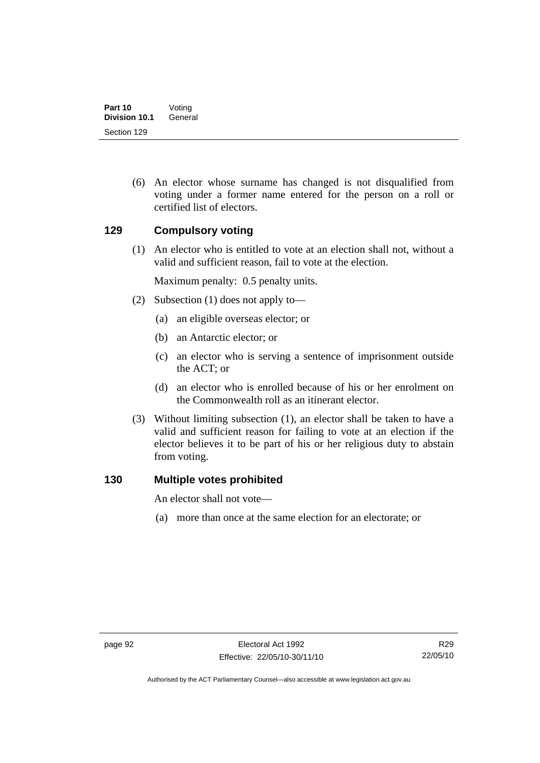(6) An elector whose surname has changed is not disqualified from voting under a former name entered for the person on a roll or certified list of electors.

## **129 Compulsory voting**

 (1) An elector who is entitled to vote at an election shall not, without a valid and sufficient reason, fail to vote at the election.

Maximum penalty: 0.5 penalty units.

- (2) Subsection (1) does not apply to—
	- (a) an eligible overseas elector; or
	- (b) an Antarctic elector; or
	- (c) an elector who is serving a sentence of imprisonment outside the ACT; or
	- (d) an elector who is enrolled because of his or her enrolment on the Commonwealth roll as an itinerant elector.
- (3) Without limiting subsection (1), an elector shall be taken to have a valid and sufficient reason for failing to vote at an election if the elector believes it to be part of his or her religious duty to abstain from voting.

### **130 Multiple votes prohibited**

An elector shall not vote—

(a) more than once at the same election for an electorate; or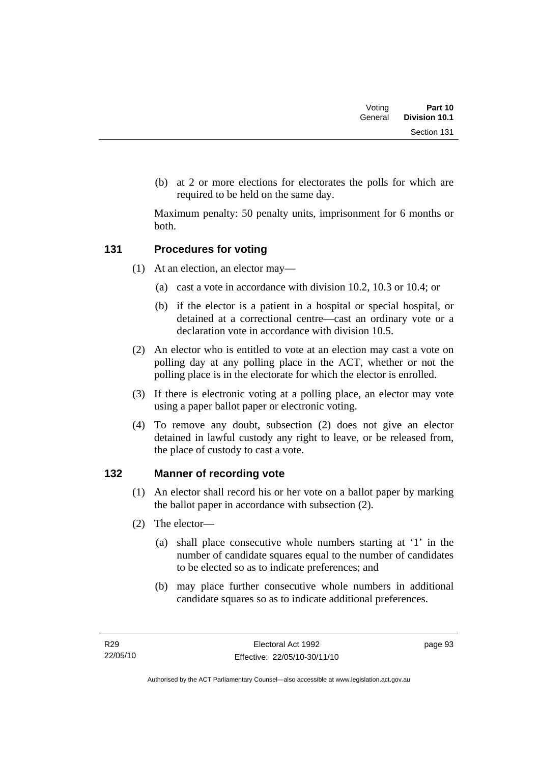| Voting  | Part 10              |
|---------|----------------------|
| General | <b>Division 10.1</b> |
|         | Section 131          |

 (b) at 2 or more elections for electorates the polls for which are required to be held on the same day.

Maximum penalty: 50 penalty units, imprisonment for 6 months or both.

# **131 Procedures for voting**

- (1) At an election, an elector may—
	- (a) cast a vote in accordance with division 10.2, 10.3 or 10.4; or
	- (b) if the elector is a patient in a hospital or special hospital, or detained at a correctional centre—cast an ordinary vote or a declaration vote in accordance with division 10.5.
- (2) An elector who is entitled to vote at an election may cast a vote on polling day at any polling place in the ACT, whether or not the polling place is in the electorate for which the elector is enrolled.
- (3) If there is electronic voting at a polling place, an elector may vote using a paper ballot paper or electronic voting.
- (4) To remove any doubt, subsection (2) does not give an elector detained in lawful custody any right to leave, or be released from, the place of custody to cast a vote.

# **132 Manner of recording vote**

- (1) An elector shall record his or her vote on a ballot paper by marking the ballot paper in accordance with subsection (2).
- (2) The elector—
	- (a) shall place consecutive whole numbers starting at '1' in the number of candidate squares equal to the number of candidates to be elected so as to indicate preferences; and
	- (b) may place further consecutive whole numbers in additional candidate squares so as to indicate additional preferences.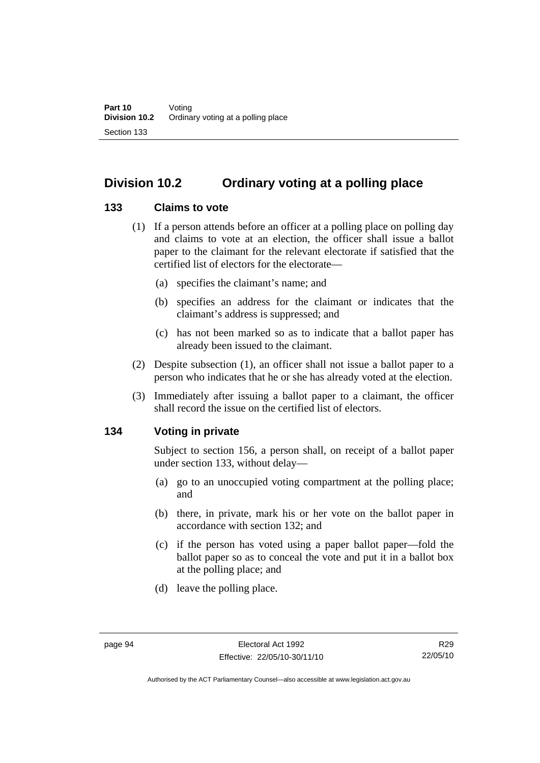# **Division 10.2 Ordinary voting at a polling place**

## **133 Claims to vote**

- (1) If a person attends before an officer at a polling place on polling day and claims to vote at an election, the officer shall issue a ballot paper to the claimant for the relevant electorate if satisfied that the certified list of electors for the electorate—
	- (a) specifies the claimant's name; and
	- (b) specifies an address for the claimant or indicates that the claimant's address is suppressed; and
	- (c) has not been marked so as to indicate that a ballot paper has already been issued to the claimant.
- (2) Despite subsection (1), an officer shall not issue a ballot paper to a person who indicates that he or she has already voted at the election.
- (3) Immediately after issuing a ballot paper to a claimant, the officer shall record the issue on the certified list of electors.

# **134 Voting in private**

Subject to section 156, a person shall, on receipt of a ballot paper under section 133, without delay—

- (a) go to an unoccupied voting compartment at the polling place; and
- (b) there, in private, mark his or her vote on the ballot paper in accordance with section 132; and
- (c) if the person has voted using a paper ballot paper—fold the ballot paper so as to conceal the vote and put it in a ballot box at the polling place; and
- (d) leave the polling place.

Authorised by the ACT Parliamentary Counsel—also accessible at www.legislation.act.gov.au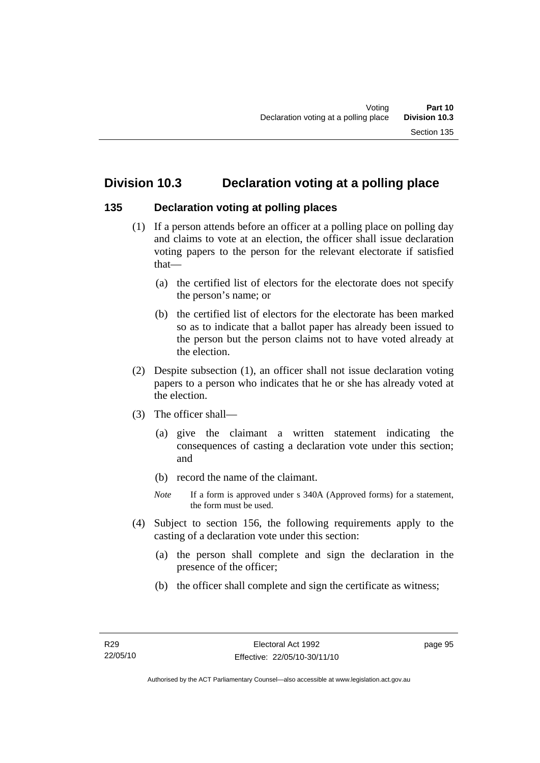# **Division 10.3 Declaration voting at a polling place**

### **135 Declaration voting at polling places**

- (1) If a person attends before an officer at a polling place on polling day and claims to vote at an election, the officer shall issue declaration voting papers to the person for the relevant electorate if satisfied that—
	- (a) the certified list of electors for the electorate does not specify the person's name; or
	- (b) the certified list of electors for the electorate has been marked so as to indicate that a ballot paper has already been issued to the person but the person claims not to have voted already at the election.
- (2) Despite subsection (1), an officer shall not issue declaration voting papers to a person who indicates that he or she has already voted at the election.
- (3) The officer shall—
	- (a) give the claimant a written statement indicating the consequences of casting a declaration vote under this section; and
	- (b) record the name of the claimant.
	- *Note* If a form is approved under s 340A (Approved forms) for a statement, the form must be used.
- (4) Subject to section 156, the following requirements apply to the casting of a declaration vote under this section:
	- (a) the person shall complete and sign the declaration in the presence of the officer;
	- (b) the officer shall complete and sign the certificate as witness;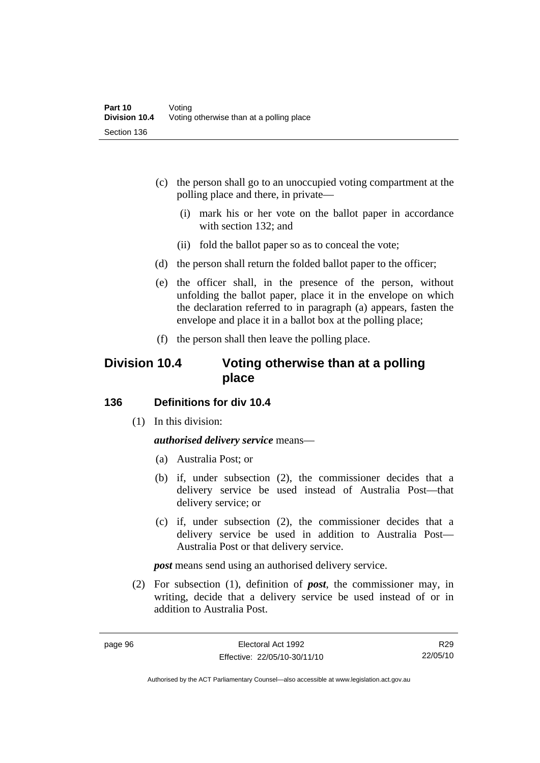- (c) the person shall go to an unoccupied voting compartment at the polling place and there, in private—
	- (i) mark his or her vote on the ballot paper in accordance with section 132; and
	- (ii) fold the ballot paper so as to conceal the vote;
- (d) the person shall return the folded ballot paper to the officer;
- (e) the officer shall, in the presence of the person, without unfolding the ballot paper, place it in the envelope on which the declaration referred to in paragraph (a) appears, fasten the envelope and place it in a ballot box at the polling place;
- (f) the person shall then leave the polling place.

# **Division 10.4 Voting otherwise than at a polling place**

### **136 Definitions for div 10.4**

(1) In this division:

### *authorised delivery service* means—

- (a) Australia Post; or
- (b) if, under subsection (2), the commissioner decides that a delivery service be used instead of Australia Post—that delivery service; or
- (c) if, under subsection (2), the commissioner decides that a delivery service be used in addition to Australia Post— Australia Post or that delivery service.

*post* means send using an authorised delivery service.

 (2) For subsection (1), definition of *post*, the commissioner may, in writing, decide that a delivery service be used instead of or in addition to Australia Post.

R29 22/05/10

Authorised by the ACT Parliamentary Counsel—also accessible at www.legislation.act.gov.au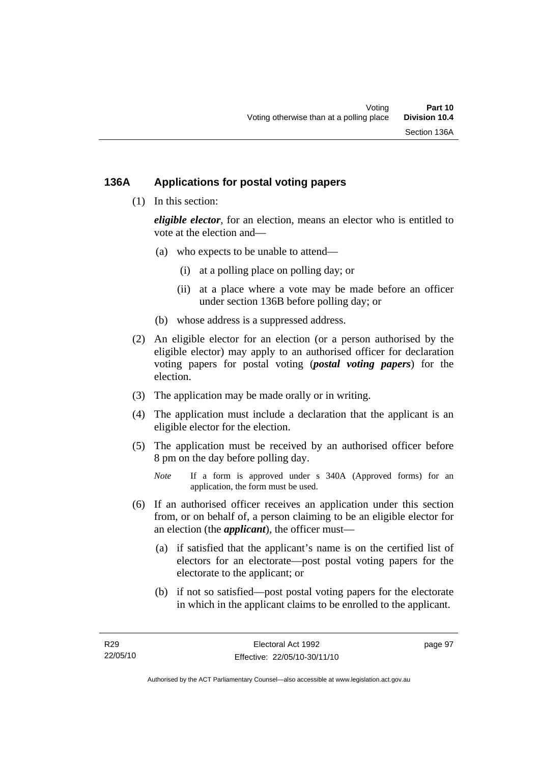## **136A Applications for postal voting papers**

(1) In this section:

*eligible elector*, for an election, means an elector who is entitled to vote at the election and—

- (a) who expects to be unable to attend—
	- (i) at a polling place on polling day; or
	- (ii) at a place where a vote may be made before an officer under section 136B before polling day; or
- (b) whose address is a suppressed address.
- (2) An eligible elector for an election (or a person authorised by the eligible elector) may apply to an authorised officer for declaration voting papers for postal voting (*postal voting papers*) for the election.
- (3) The application may be made orally or in writing.
- (4) The application must include a declaration that the applicant is an eligible elector for the election.
- (5) The application must be received by an authorised officer before 8 pm on the day before polling day.
	- *Note* If a form is approved under s 340A (Approved forms) for an application, the form must be used.
- (6) If an authorised officer receives an application under this section from, or on behalf of, a person claiming to be an eligible elector for an election (the *applicant*), the officer must—
	- (a) if satisfied that the applicant's name is on the certified list of electors for an electorate—post postal voting papers for the electorate to the applicant; or
	- (b) if not so satisfied—post postal voting papers for the electorate in which in the applicant claims to be enrolled to the applicant.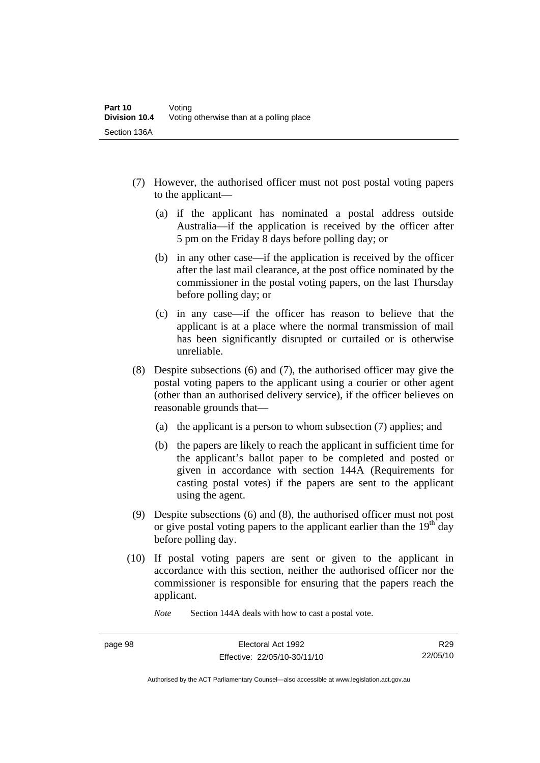- (7) However, the authorised officer must not post postal voting papers to the applicant—
	- (a) if the applicant has nominated a postal address outside Australia—if the application is received by the officer after 5 pm on the Friday 8 days before polling day; or
	- (b) in any other case—if the application is received by the officer after the last mail clearance, at the post office nominated by the commissioner in the postal voting papers, on the last Thursday before polling day; or
	- (c) in any case—if the officer has reason to believe that the applicant is at a place where the normal transmission of mail has been significantly disrupted or curtailed or is otherwise unreliable.
- (8) Despite subsections (6) and (7), the authorised officer may give the postal voting papers to the applicant using a courier or other agent (other than an authorised delivery service), if the officer believes on reasonable grounds that—
	- (a) the applicant is a person to whom subsection (7) applies; and
	- (b) the papers are likely to reach the applicant in sufficient time for the applicant's ballot paper to be completed and posted or given in accordance with section 144A (Requirements for casting postal votes) if the papers are sent to the applicant using the agent.
- (9) Despite subsections (6) and (8), the authorised officer must not post or give postal voting papers to the applicant earlier than the  $19<sup>th</sup>$  day before polling day.
- (10) If postal voting papers are sent or given to the applicant in accordance with this section, neither the authorised officer nor the commissioner is responsible for ensuring that the papers reach the applicant.

*Note* Section 144A deals with how to cast a postal vote.

Authorised by the ACT Parliamentary Counsel—also accessible at www.legislation.act.gov.au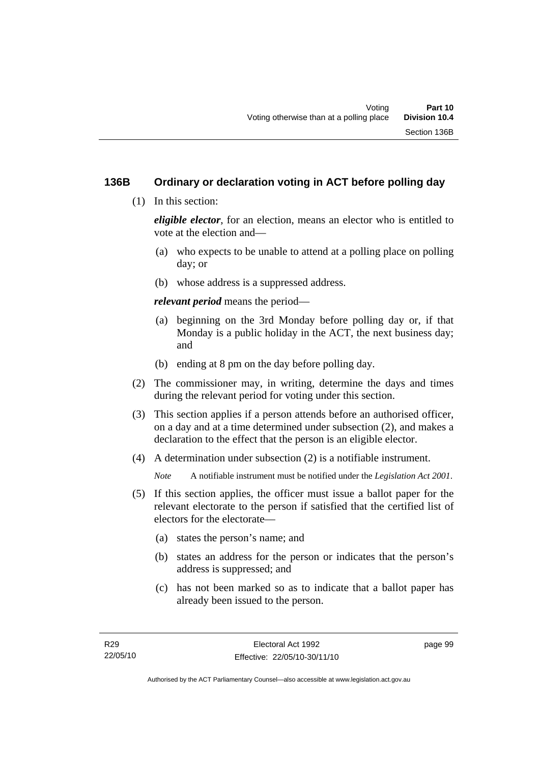# **136B Ordinary or declaration voting in ACT before polling day**

(1) In this section:

*eligible elector*, for an election, means an elector who is entitled to vote at the election and—

- (a) who expects to be unable to attend at a polling place on polling day; or
- (b) whose address is a suppressed address.

*relevant period* means the period—

- (a) beginning on the 3rd Monday before polling day or, if that Monday is a public holiday in the ACT, the next business day; and
- (b) ending at 8 pm on the day before polling day.
- (2) The commissioner may, in writing, determine the days and times during the relevant period for voting under this section.
- (3) This section applies if a person attends before an authorised officer, on a day and at a time determined under subsection (2), and makes a declaration to the effect that the person is an eligible elector.
- (4) A determination under subsection (2) is a notifiable instrument.

*Note* A notifiable instrument must be notified under the *Legislation Act 2001*.

- (5) If this section applies, the officer must issue a ballot paper for the relevant electorate to the person if satisfied that the certified list of electors for the electorate—
	- (a) states the person's name; and
	- (b) states an address for the person or indicates that the person's address is suppressed; and
	- (c) has not been marked so as to indicate that a ballot paper has already been issued to the person.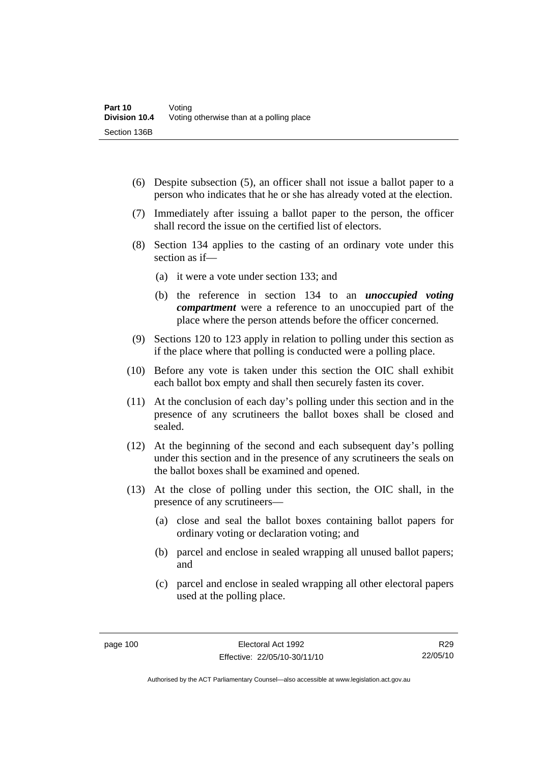- (6) Despite subsection (5), an officer shall not issue a ballot paper to a person who indicates that he or she has already voted at the election.
- (7) Immediately after issuing a ballot paper to the person, the officer shall record the issue on the certified list of electors.
- (8) Section 134 applies to the casting of an ordinary vote under this section as if—
	- (a) it were a vote under section 133; and
	- (b) the reference in section 134 to an *unoccupied voting compartment* were a reference to an unoccupied part of the place where the person attends before the officer concerned.
- (9) Sections 120 to 123 apply in relation to polling under this section as if the place where that polling is conducted were a polling place.
- (10) Before any vote is taken under this section the OIC shall exhibit each ballot box empty and shall then securely fasten its cover.
- (11) At the conclusion of each day's polling under this section and in the presence of any scrutineers the ballot boxes shall be closed and sealed.
- (12) At the beginning of the second and each subsequent day's polling under this section and in the presence of any scrutineers the seals on the ballot boxes shall be examined and opened.
- (13) At the close of polling under this section, the OIC shall, in the presence of any scrutineers—
	- (a) close and seal the ballot boxes containing ballot papers for ordinary voting or declaration voting; and
	- (b) parcel and enclose in sealed wrapping all unused ballot papers; and
	- (c) parcel and enclose in sealed wrapping all other electoral papers used at the polling place.

R29 22/05/10

Authorised by the ACT Parliamentary Counsel—also accessible at www.legislation.act.gov.au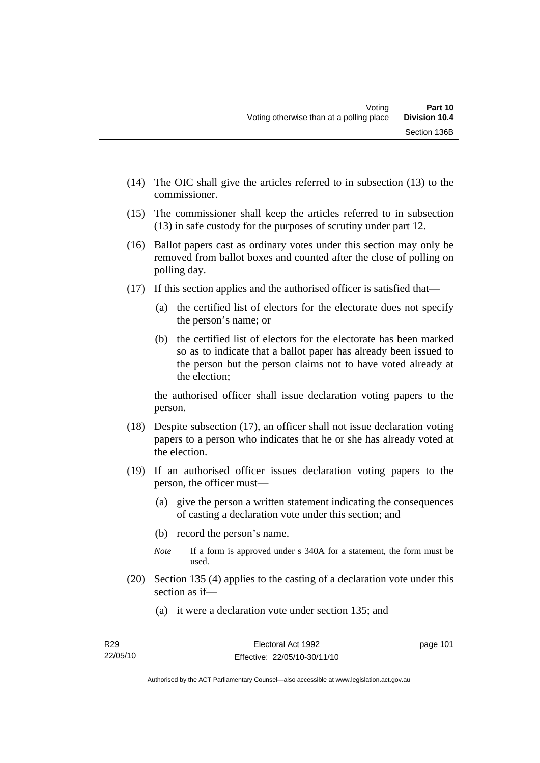- (14) The OIC shall give the articles referred to in subsection (13) to the commissioner.
- (15) The commissioner shall keep the articles referred to in subsection (13) in safe custody for the purposes of scrutiny under part 12.
- (16) Ballot papers cast as ordinary votes under this section may only be removed from ballot boxes and counted after the close of polling on polling day.
- (17) If this section applies and the authorised officer is satisfied that—
	- (a) the certified list of electors for the electorate does not specify the person's name; or
	- (b) the certified list of electors for the electorate has been marked so as to indicate that a ballot paper has already been issued to the person but the person claims not to have voted already at the election;

the authorised officer shall issue declaration voting papers to the person.

- (18) Despite subsection (17), an officer shall not issue declaration voting papers to a person who indicates that he or she has already voted at the election.
- (19) If an authorised officer issues declaration voting papers to the person, the officer must—
	- (a) give the person a written statement indicating the consequences of casting a declaration vote under this section; and
	- (b) record the person's name.
	- *Note* If a form is approved under s 340A for a statement, the form must be used.
- (20) Section 135 (4) applies to the casting of a declaration vote under this section as if—
	- (a) it were a declaration vote under section 135; and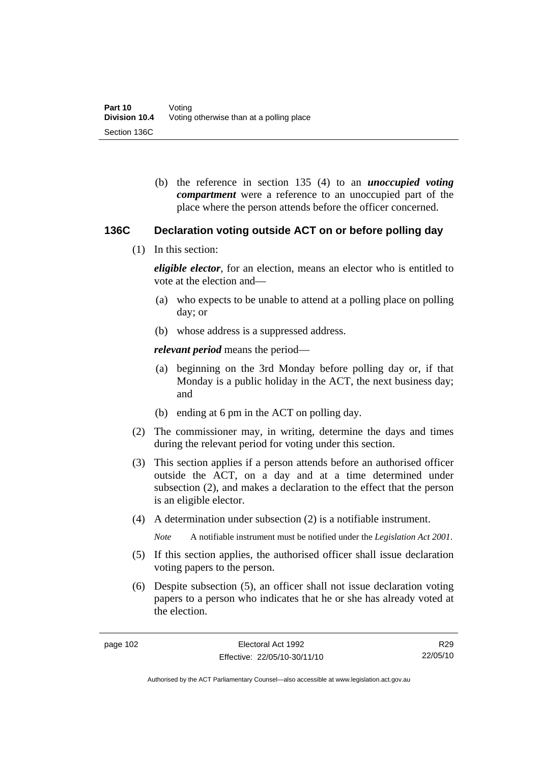(b) the reference in section 135 (4) to an *unoccupied voting compartment* were a reference to an unoccupied part of the place where the person attends before the officer concerned.

### **136C Declaration voting outside ACT on or before polling day**

(1) In this section:

*eligible elector*, for an election, means an elector who is entitled to vote at the election and—

- (a) who expects to be unable to attend at a polling place on polling day; or
- (b) whose address is a suppressed address.

*relevant period* means the period—

- (a) beginning on the 3rd Monday before polling day or, if that Monday is a public holiday in the ACT, the next business day; and
- (b) ending at 6 pm in the ACT on polling day.
- (2) The commissioner may, in writing, determine the days and times during the relevant period for voting under this section.
- (3) This section applies if a person attends before an authorised officer outside the ACT, on a day and at a time determined under subsection (2), and makes a declaration to the effect that the person is an eligible elector.
- (4) A determination under subsection (2) is a notifiable instrument.

*Note* A notifiable instrument must be notified under the *Legislation Act 2001*.

- (5) If this section applies, the authorised officer shall issue declaration voting papers to the person.
- (6) Despite subsection (5), an officer shall not issue declaration voting papers to a person who indicates that he or she has already voted at the election.

R29 22/05/10

Authorised by the ACT Parliamentary Counsel—also accessible at www.legislation.act.gov.au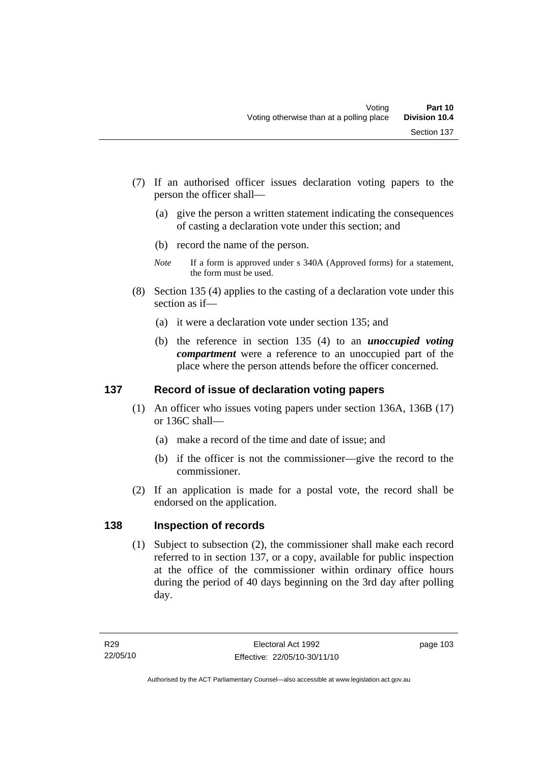- (7) If an authorised officer issues declaration voting papers to the person the officer shall—
	- (a) give the person a written statement indicating the consequences of casting a declaration vote under this section; and
	- (b) record the name of the person.
	- *Note* If a form is approved under s 340A (Approved forms) for a statement, the form must be used.
- (8) Section 135 (4) applies to the casting of a declaration vote under this section as if—
	- (a) it were a declaration vote under section 135; and
	- (b) the reference in section 135 (4) to an *unoccupied voting compartment* were a reference to an unoccupied part of the place where the person attends before the officer concerned.

# **137 Record of issue of declaration voting papers**

- (1) An officer who issues voting papers under section 136A, 136B (17) or 136C shall—
	- (a) make a record of the time and date of issue; and
	- (b) if the officer is not the commissioner—give the record to the commissioner.
- (2) If an application is made for a postal vote, the record shall be endorsed on the application.

# **138 Inspection of records**

 (1) Subject to subsection (2), the commissioner shall make each record referred to in section 137, or a copy, available for public inspection at the office of the commissioner within ordinary office hours during the period of 40 days beginning on the 3rd day after polling day.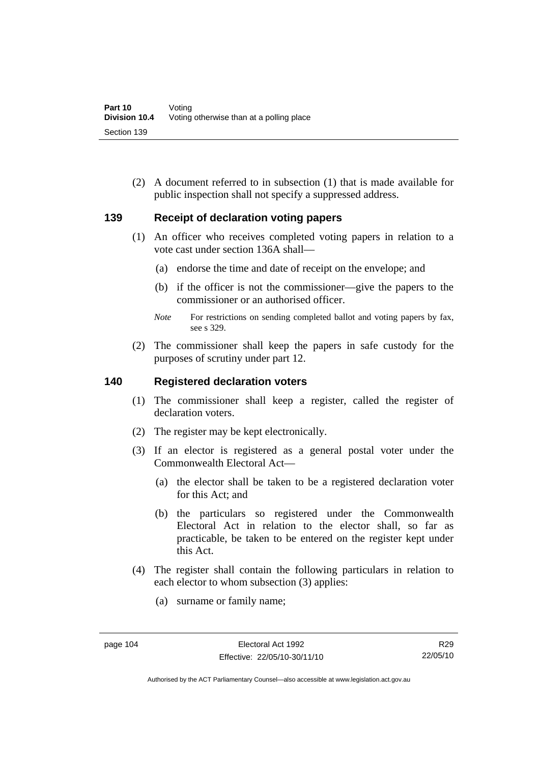(2) A document referred to in subsection (1) that is made available for public inspection shall not specify a suppressed address.

### **139 Receipt of declaration voting papers**

- (1) An officer who receives completed voting papers in relation to a vote cast under section 136A shall—
	- (a) endorse the time and date of receipt on the envelope; and
	- (b) if the officer is not the commissioner—give the papers to the commissioner or an authorised officer.
	- *Note* For restrictions on sending completed ballot and voting papers by fax, see s 329.
- (2) The commissioner shall keep the papers in safe custody for the purposes of scrutiny under part 12.

#### **140 Registered declaration voters**

- (1) The commissioner shall keep a register, called the register of declaration voters.
- (2) The register may be kept electronically.
- (3) If an elector is registered as a general postal voter under the Commonwealth Electoral Act—
	- (a) the elector shall be taken to be a registered declaration voter for this Act; and
	- (b) the particulars so registered under the Commonwealth Electoral Act in relation to the elector shall, so far as practicable, be taken to be entered on the register kept under this Act.
- (4) The register shall contain the following particulars in relation to each elector to whom subsection (3) applies:
	- (a) surname or family name;

Authorised by the ACT Parliamentary Counsel—also accessible at www.legislation.act.gov.au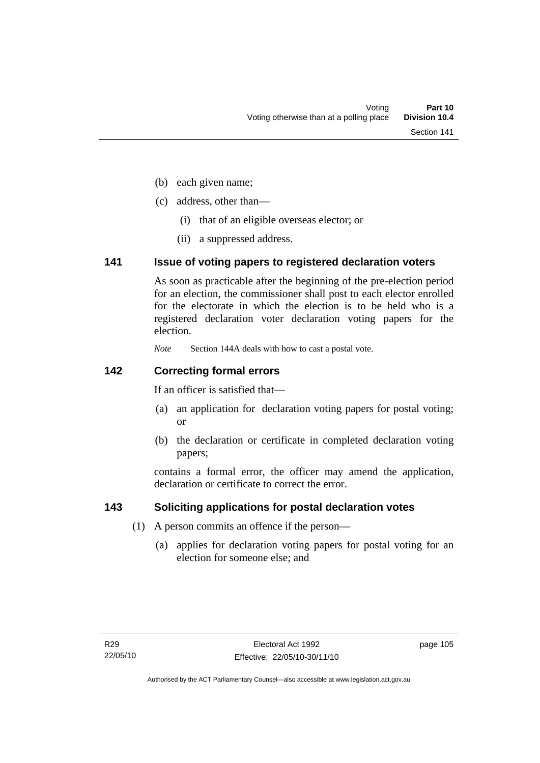- (b) each given name;
- (c) address, other than—
	- (i) that of an eligible overseas elector; or
	- (ii) a suppressed address.

### **141 Issue of voting papers to registered declaration voters**

As soon as practicable after the beginning of the pre-election period for an election, the commissioner shall post to each elector enrolled for the electorate in which the election is to be held who is a registered declaration voter declaration voting papers for the election.

*Note* Section 144A deals with how to cast a postal vote.

## **142 Correcting formal errors**

If an officer is satisfied that—

- (a) an application for declaration voting papers for postal voting; or
- (b) the declaration or certificate in completed declaration voting papers;

contains a formal error, the officer may amend the application, declaration or certificate to correct the error.

# **143 Soliciting applications for postal declaration votes**

- (1) A person commits an offence if the person—
	- (a) applies for declaration voting papers for postal voting for an election for someone else; and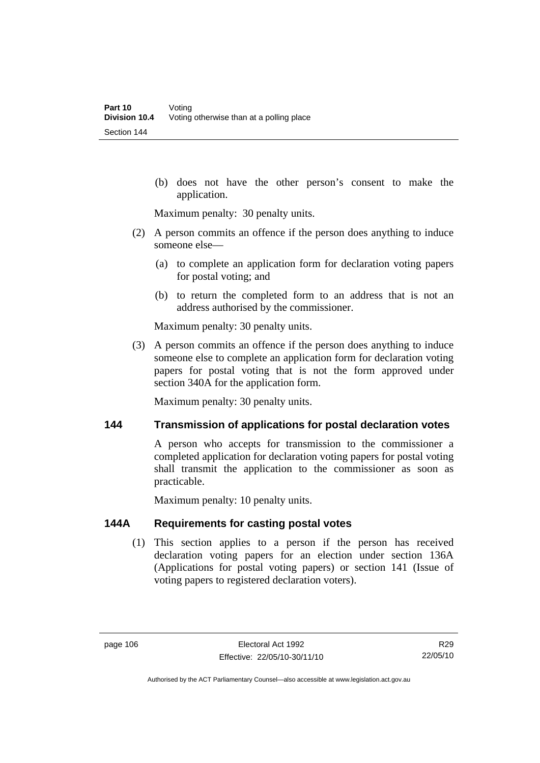(b) does not have the other person's consent to make the application.

Maximum penalty: 30 penalty units.

- (2) A person commits an offence if the person does anything to induce someone else—
	- (a) to complete an application form for declaration voting papers for postal voting; and
	- (b) to return the completed form to an address that is not an address authorised by the commissioner.

Maximum penalty: 30 penalty units.

 (3) A person commits an offence if the person does anything to induce someone else to complete an application form for declaration voting papers for postal voting that is not the form approved under section 340A for the application form.

Maximum penalty: 30 penalty units.

### **144 Transmission of applications for postal declaration votes**

A person who accepts for transmission to the commissioner a completed application for declaration voting papers for postal voting shall transmit the application to the commissioner as soon as practicable.

Maximum penalty: 10 penalty units.

## **144A Requirements for casting postal votes**

 (1) This section applies to a person if the person has received declaration voting papers for an election under section 136A (Applications for postal voting papers) or section 141 (Issue of voting papers to registered declaration voters).

R29 22/05/10

Authorised by the ACT Parliamentary Counsel—also accessible at www.legislation.act.gov.au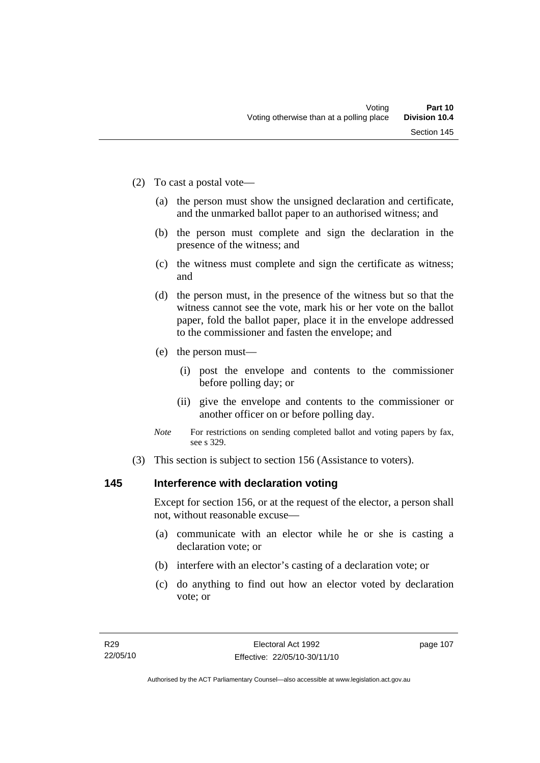- (2) To cast a postal vote—
	- (a) the person must show the unsigned declaration and certificate, and the unmarked ballot paper to an authorised witness; and
	- (b) the person must complete and sign the declaration in the presence of the witness; and
	- (c) the witness must complete and sign the certificate as witness; and
	- (d) the person must, in the presence of the witness but so that the witness cannot see the vote, mark his or her vote on the ballot paper, fold the ballot paper, place it in the envelope addressed to the commissioner and fasten the envelope; and
	- (e) the person must—
		- (i) post the envelope and contents to the commissioner before polling day; or
		- (ii) give the envelope and contents to the commissioner or another officer on or before polling day.
	- *Note* For restrictions on sending completed ballot and voting papers by fax, see s 329.
- (3) This section is subject to section 156 (Assistance to voters).

# **145 Interference with declaration voting**

Except for section 156, or at the request of the elector, a person shall not, without reasonable excuse—

- (a) communicate with an elector while he or she is casting a declaration vote; or
- (b) interfere with an elector's casting of a declaration vote; or
- (c) do anything to find out how an elector voted by declaration vote; or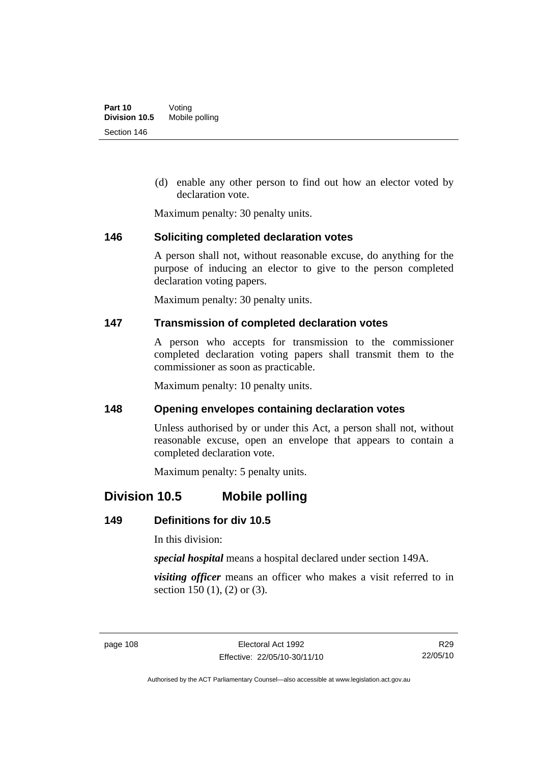(d) enable any other person to find out how an elector voted by declaration vote.

Maximum penalty: 30 penalty units.

### **146 Soliciting completed declaration votes**

A person shall not, without reasonable excuse, do anything for the purpose of inducing an elector to give to the person completed declaration voting papers.

Maximum penalty: 30 penalty units.

### **147 Transmission of completed declaration votes**

A person who accepts for transmission to the commissioner completed declaration voting papers shall transmit them to the commissioner as soon as practicable.

Maximum penalty: 10 penalty units.

### **148 Opening envelopes containing declaration votes**

Unless authorised by or under this Act, a person shall not, without reasonable excuse, open an envelope that appears to contain a completed declaration vote.

Maximum penalty: 5 penalty units.

# **Division 10.5 Mobile polling**

# **149 Definitions for div 10.5**

In this division:

*special hospital* means a hospital declared under section 149A.

*visiting officer* means an officer who makes a visit referred to in section 150 (1), (2) or (3).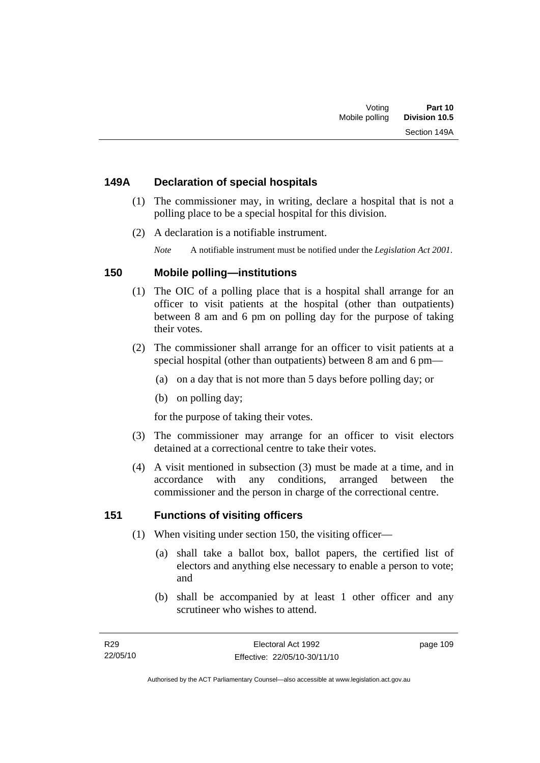# **149A Declaration of special hospitals**

- (1) The commissioner may, in writing, declare a hospital that is not a polling place to be a special hospital for this division.
- (2) A declaration is a notifiable instrument.

*Note* A notifiable instrument must be notified under the *Legislation Act 2001*.

# **150 Mobile polling—institutions**

- (1) The OIC of a polling place that is a hospital shall arrange for an officer to visit patients at the hospital (other than outpatients) between 8 am and 6 pm on polling day for the purpose of taking their votes.
- (2) The commissioner shall arrange for an officer to visit patients at a special hospital (other than outpatients) between 8 am and 6 pm—
	- (a) on a day that is not more than 5 days before polling day; or
	- (b) on polling day;

for the purpose of taking their votes.

- (3) The commissioner may arrange for an officer to visit electors detained at a correctional centre to take their votes.
- (4) A visit mentioned in subsection (3) must be made at a time, and in accordance with any conditions, arranged between the commissioner and the person in charge of the correctional centre.

# **151 Functions of visiting officers**

- (1) When visiting under section 150, the visiting officer—
	- (a) shall take a ballot box, ballot papers, the certified list of electors and anything else necessary to enable a person to vote; and
	- (b) shall be accompanied by at least 1 other officer and any scrutineer who wishes to attend.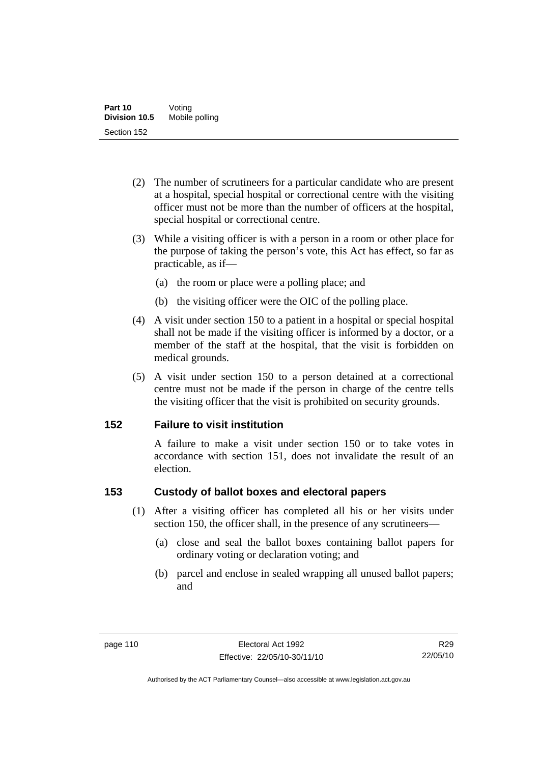- (2) The number of scrutineers for a particular candidate who are present at a hospital, special hospital or correctional centre with the visiting officer must not be more than the number of officers at the hospital, special hospital or correctional centre.
- (3) While a visiting officer is with a person in a room or other place for the purpose of taking the person's vote, this Act has effect, so far as practicable, as if—
	- (a) the room or place were a polling place; and
	- (b) the visiting officer were the OIC of the polling place.
- (4) A visit under section 150 to a patient in a hospital or special hospital shall not be made if the visiting officer is informed by a doctor, or a member of the staff at the hospital, that the visit is forbidden on medical grounds.
- (5) A visit under section 150 to a person detained at a correctional centre must not be made if the person in charge of the centre tells the visiting officer that the visit is prohibited on security grounds.

# **152 Failure to visit institution**

A failure to make a visit under section 150 or to take votes in accordance with section 151, does not invalidate the result of an election.

# **153 Custody of ballot boxes and electoral papers**

- (1) After a visiting officer has completed all his or her visits under section 150, the officer shall, in the presence of any scrutineers—
	- (a) close and seal the ballot boxes containing ballot papers for ordinary voting or declaration voting; and
	- (b) parcel and enclose in sealed wrapping all unused ballot papers; and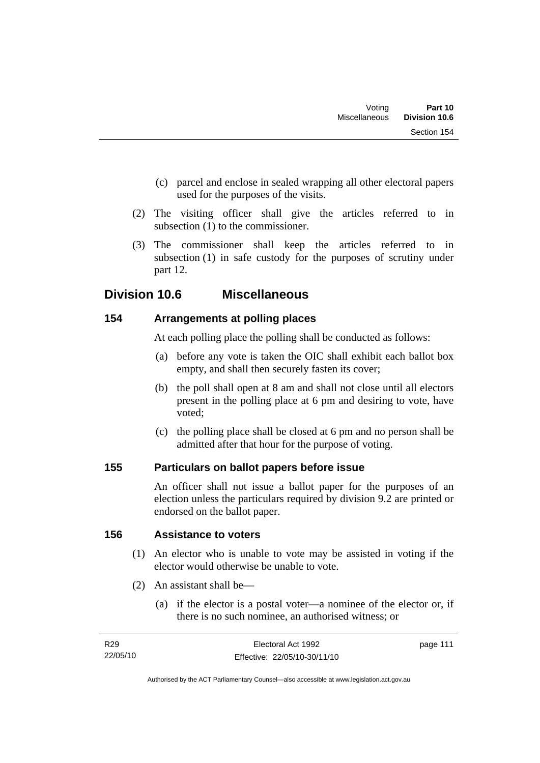- (c) parcel and enclose in sealed wrapping all other electoral papers used for the purposes of the visits.
- (2) The visiting officer shall give the articles referred to in subsection (1) to the commissioner.
- (3) The commissioner shall keep the articles referred to in subsection (1) in safe custody for the purposes of scrutiny under part 12.

# **Division 10.6 Miscellaneous**

# **154 Arrangements at polling places**

At each polling place the polling shall be conducted as follows:

- (a) before any vote is taken the OIC shall exhibit each ballot box empty, and shall then securely fasten its cover;
- (b) the poll shall open at 8 am and shall not close until all electors present in the polling place at 6 pm and desiring to vote, have voted;
- (c) the polling place shall be closed at 6 pm and no person shall be admitted after that hour for the purpose of voting.

# **155 Particulars on ballot papers before issue**

An officer shall not issue a ballot paper for the purposes of an election unless the particulars required by division 9.2 are printed or endorsed on the ballot paper.

# **156 Assistance to voters**

- (1) An elector who is unable to vote may be assisted in voting if the elector would otherwise be unable to vote.
- (2) An assistant shall be—
	- (a) if the elector is a postal voter—a nominee of the elector or, if there is no such nominee, an authorised witness; or

| R29      | Electoral Act 1992           | page 111 |
|----------|------------------------------|----------|
| 22/05/10 | Effective: 22/05/10-30/11/10 |          |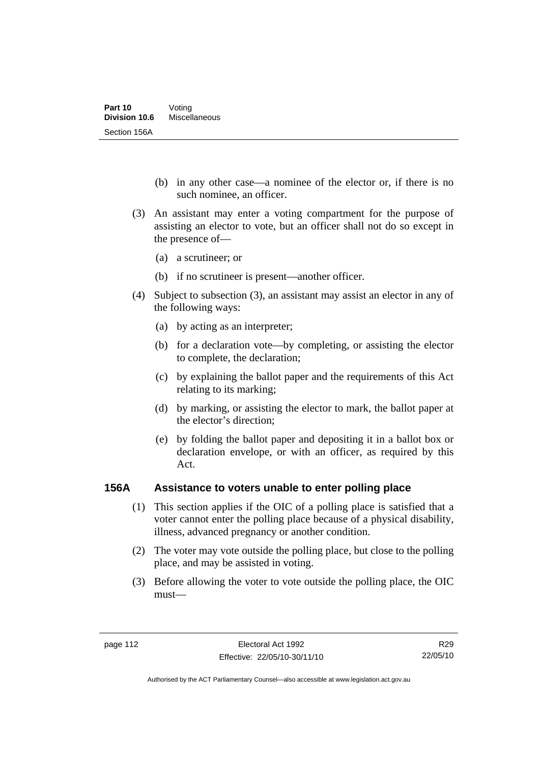- (b) in any other case—a nominee of the elector or, if there is no such nominee, an officer.
- (3) An assistant may enter a voting compartment for the purpose of assisting an elector to vote, but an officer shall not do so except in the presence of—
	- (a) a scrutineer; or
	- (b) if no scrutineer is present—another officer.
- (4) Subject to subsection (3), an assistant may assist an elector in any of the following ways:
	- (a) by acting as an interpreter;
	- (b) for a declaration vote—by completing, or assisting the elector to complete, the declaration;
	- (c) by explaining the ballot paper and the requirements of this Act relating to its marking;
	- (d) by marking, or assisting the elector to mark, the ballot paper at the elector's direction;
	- (e) by folding the ballot paper and depositing it in a ballot box or declaration envelope, or with an officer, as required by this Act.

### **156A Assistance to voters unable to enter polling place**

- (1) This section applies if the OIC of a polling place is satisfied that a voter cannot enter the polling place because of a physical disability, illness, advanced pregnancy or another condition.
- (2) The voter may vote outside the polling place, but close to the polling place, and may be assisted in voting.
- (3) Before allowing the voter to vote outside the polling place, the OIC must—

R29 22/05/10

Authorised by the ACT Parliamentary Counsel—also accessible at www.legislation.act.gov.au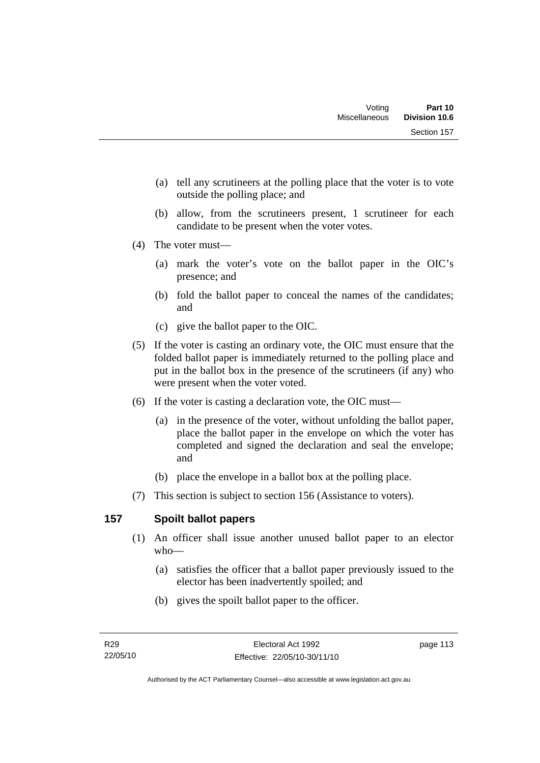- (a) tell any scrutineers at the polling place that the voter is to vote outside the polling place; and
- (b) allow, from the scrutineers present, 1 scrutineer for each candidate to be present when the voter votes.
- (4) The voter must—
	- (a) mark the voter's vote on the ballot paper in the OIC's presence; and
	- (b) fold the ballot paper to conceal the names of the candidates; and
	- (c) give the ballot paper to the OIC.
- (5) If the voter is casting an ordinary vote, the OIC must ensure that the folded ballot paper is immediately returned to the polling place and put in the ballot box in the presence of the scrutineers (if any) who were present when the voter voted.
- (6) If the voter is casting a declaration vote, the OIC must—
	- (a) in the presence of the voter, without unfolding the ballot paper, place the ballot paper in the envelope on which the voter has completed and signed the declaration and seal the envelope; and
	- (b) place the envelope in a ballot box at the polling place.
- (7) This section is subject to section 156 (Assistance to voters).

# **157 Spoilt ballot papers**

- (1) An officer shall issue another unused ballot paper to an elector who—
	- (a) satisfies the officer that a ballot paper previously issued to the elector has been inadvertently spoiled; and
	- (b) gives the spoilt ballot paper to the officer.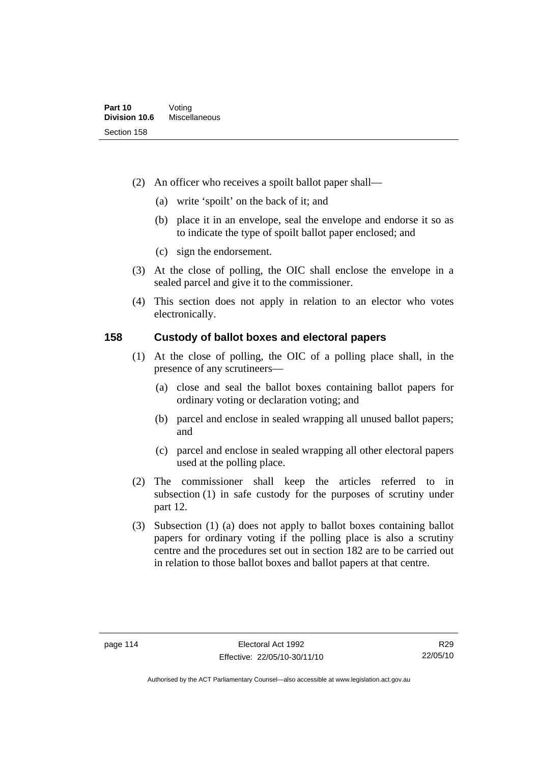- (2) An officer who receives a spoilt ballot paper shall—
	- (a) write 'spoilt' on the back of it; and
	- (b) place it in an envelope, seal the envelope and endorse it so as to indicate the type of spoilt ballot paper enclosed; and
	- (c) sign the endorsement.
- (3) At the close of polling, the OIC shall enclose the envelope in a sealed parcel and give it to the commissioner.
- (4) This section does not apply in relation to an elector who votes electronically.

## **158 Custody of ballot boxes and electoral papers**

- (1) At the close of polling, the OIC of a polling place shall, in the presence of any scrutineers—
	- (a) close and seal the ballot boxes containing ballot papers for ordinary voting or declaration voting; and
	- (b) parcel and enclose in sealed wrapping all unused ballot papers; and
	- (c) parcel and enclose in sealed wrapping all other electoral papers used at the polling place.
- (2) The commissioner shall keep the articles referred to in subsection (1) in safe custody for the purposes of scrutiny under part 12.
- (3) Subsection (1) (a) does not apply to ballot boxes containing ballot papers for ordinary voting if the polling place is also a scrutiny centre and the procedures set out in section 182 are to be carried out in relation to those ballot boxes and ballot papers at that centre.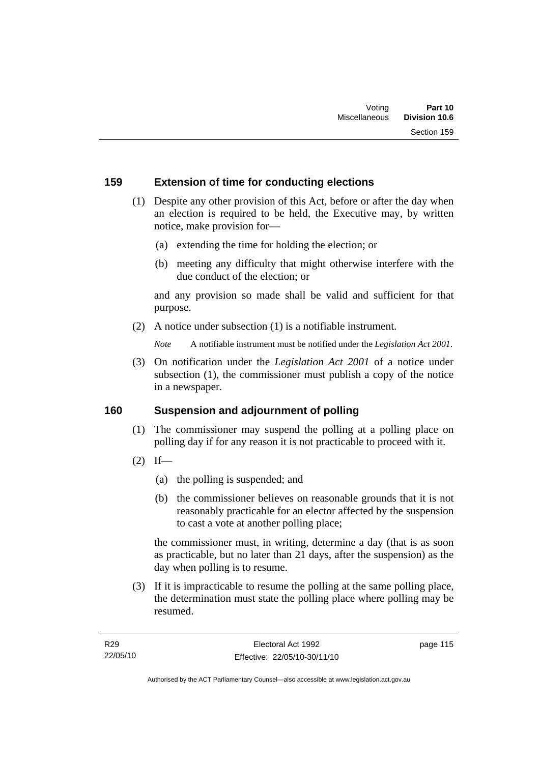# **159 Extension of time for conducting elections**

- (1) Despite any other provision of this Act, before or after the day when an election is required to be held, the Executive may, by written notice, make provision for—
	- (a) extending the time for holding the election; or
	- (b) meeting any difficulty that might otherwise interfere with the due conduct of the election; or

and any provision so made shall be valid and sufficient for that purpose.

(2) A notice under subsection (1) is a notifiable instrument.

*Note* A notifiable instrument must be notified under the *Legislation Act 2001*.

 (3) On notification under the *Legislation Act 2001* of a notice under subsection (1), the commissioner must publish a copy of the notice in a newspaper.

### **160 Suspension and adjournment of polling**

- (1) The commissioner may suspend the polling at a polling place on polling day if for any reason it is not practicable to proceed with it.
- $(2)$  If—
	- (a) the polling is suspended; and
	- (b) the commissioner believes on reasonable grounds that it is not reasonably practicable for an elector affected by the suspension to cast a vote at another polling place;

the commissioner must, in writing, determine a day (that is as soon as practicable, but no later than 21 days, after the suspension) as the day when polling is to resume.

 (3) If it is impracticable to resume the polling at the same polling place, the determination must state the polling place where polling may be resumed.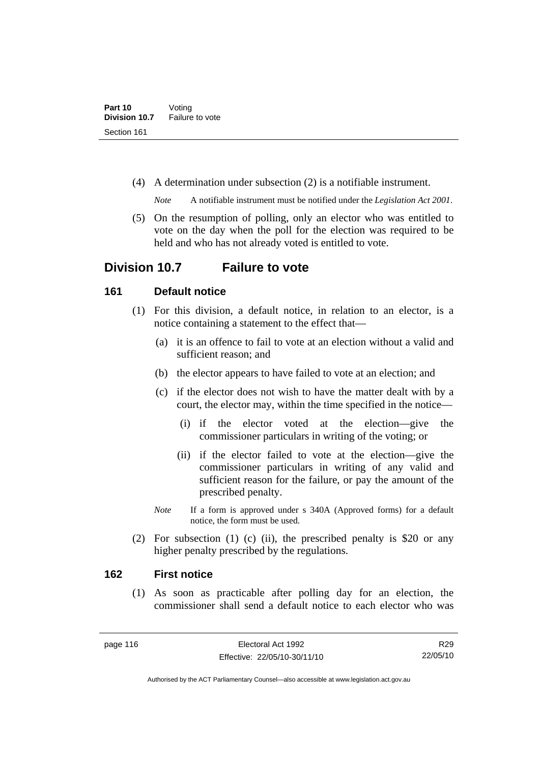(4) A determination under subsection (2) is a notifiable instrument.

*Note* A notifiable instrument must be notified under the *Legislation Act 2001*.

 (5) On the resumption of polling, only an elector who was entitled to vote on the day when the poll for the election was required to be held and who has not already voted is entitled to vote.

# **Division 10.7 Failure to vote**

## **161 Default notice**

- (1) For this division, a default notice, in relation to an elector, is a notice containing a statement to the effect that—
	- (a) it is an offence to fail to vote at an election without a valid and sufficient reason; and
	- (b) the elector appears to have failed to vote at an election; and
	- (c) if the elector does not wish to have the matter dealt with by a court, the elector may, within the time specified in the notice—
		- (i) if the elector voted at the election—give the commissioner particulars in writing of the voting; or
		- (ii) if the elector failed to vote at the election—give the commissioner particulars in writing of any valid and sufficient reason for the failure, or pay the amount of the prescribed penalty.
	- *Note* If a form is approved under s 340A (Approved forms) for a default notice, the form must be used.
- (2) For subsection (1) (c) (ii), the prescribed penalty is \$20 or any higher penalty prescribed by the regulations.

### **162 First notice**

 (1) As soon as practicable after polling day for an election, the commissioner shall send a default notice to each elector who was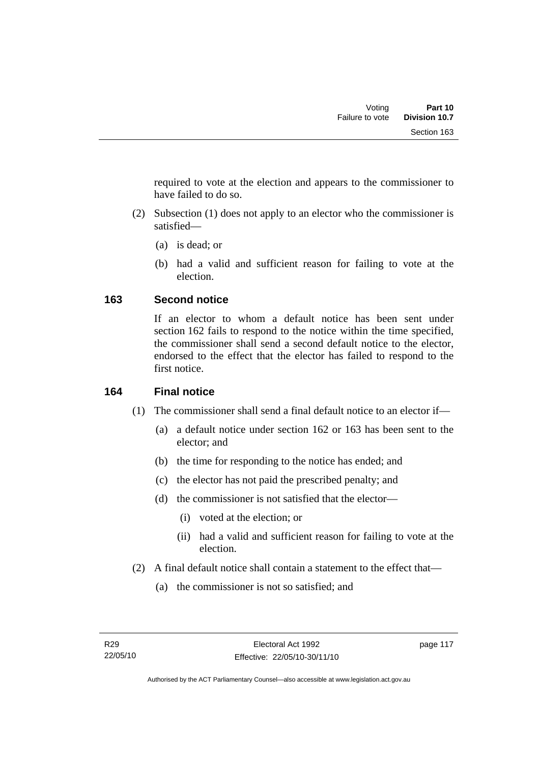required to vote at the election and appears to the commissioner to have failed to do so.

- (2) Subsection (1) does not apply to an elector who the commissioner is satisfied—
	- (a) is dead; or
	- (b) had a valid and sufficient reason for failing to vote at the election.

# **163 Second notice**

If an elector to whom a default notice has been sent under section 162 fails to respond to the notice within the time specified, the commissioner shall send a second default notice to the elector, endorsed to the effect that the elector has failed to respond to the first notice.

# **164 Final notice**

- (1) The commissioner shall send a final default notice to an elector if—
	- (a) a default notice under section 162 or 163 has been sent to the elector; and
	- (b) the time for responding to the notice has ended; and
	- (c) the elector has not paid the prescribed penalty; and
	- (d) the commissioner is not satisfied that the elector—
		- (i) voted at the election; or
		- (ii) had a valid and sufficient reason for failing to vote at the election.
- (2) A final default notice shall contain a statement to the effect that—
	- (a) the commissioner is not so satisfied; and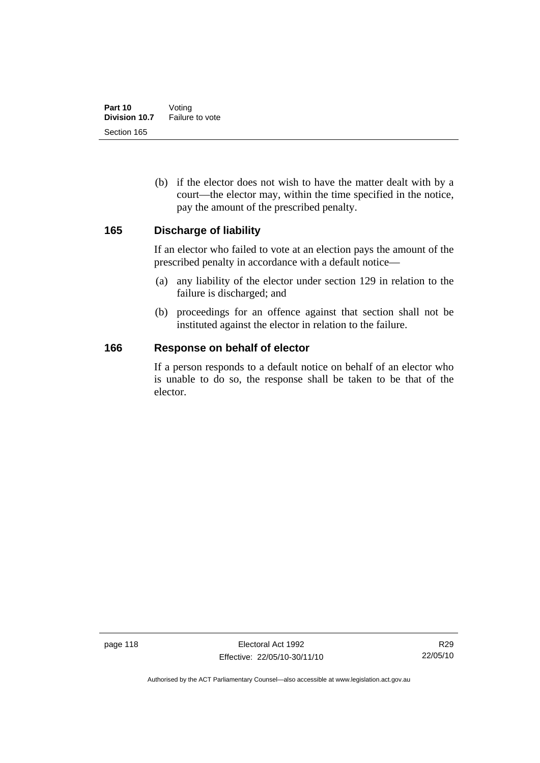(b) if the elector does not wish to have the matter dealt with by a court—the elector may, within the time specified in the notice, pay the amount of the prescribed penalty.

### **165 Discharge of liability**

If an elector who failed to vote at an election pays the amount of the prescribed penalty in accordance with a default notice—

- (a) any liability of the elector under section 129 in relation to the failure is discharged; and
- (b) proceedings for an offence against that section shall not be instituted against the elector in relation to the failure.

### **166 Response on behalf of elector**

If a person responds to a default notice on behalf of an elector who is unable to do so, the response shall be taken to be that of the elector.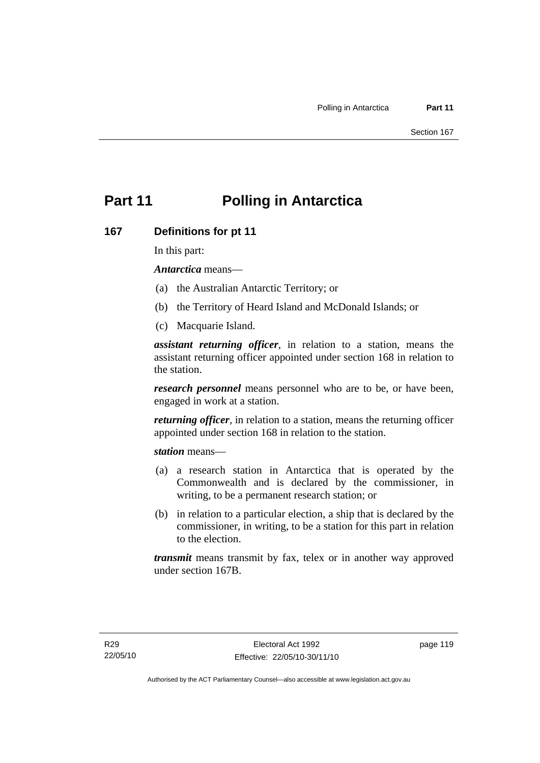# **Part 11 Polling in Antarctica**

### **167 Definitions for pt 11**

In this part:

*Antarctica* means—

- (a) the Australian Antarctic Territory; or
- (b) the Territory of Heard Island and McDonald Islands; or
- (c) Macquarie Island.

*assistant returning officer*, in relation to a station, means the assistant returning officer appointed under section 168 in relation to the station.

*research personnel* means personnel who are to be, or have been, engaged in work at a station.

*returning officer*, in relation to a station, means the returning officer appointed under section 168 in relation to the station.

*station* means—

- (a) a research station in Antarctica that is operated by the Commonwealth and is declared by the commissioner, in writing, to be a permanent research station; or
- (b) in relation to a particular election, a ship that is declared by the commissioner, in writing, to be a station for this part in relation to the election.

*transmit* means transmit by fax, telex or in another way approved under section 167B.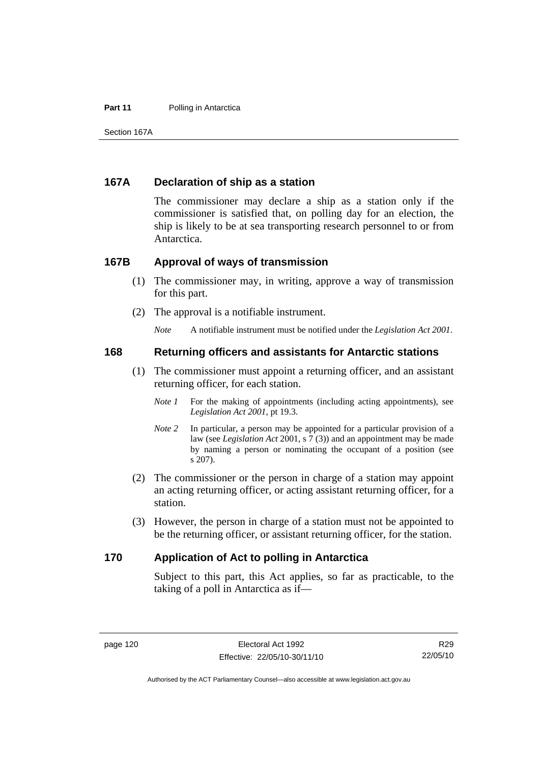#### **Part 11** Polling in Antarctica

Section 167A

### **167A Declaration of ship as a station**

The commissioner may declare a ship as a station only if the commissioner is satisfied that, on polling day for an election, the ship is likely to be at sea transporting research personnel to or from Antarctica.

### **167B Approval of ways of transmission**

- (1) The commissioner may, in writing, approve a way of transmission for this part.
- (2) The approval is a notifiable instrument.

*Note* A notifiable instrument must be notified under the *Legislation Act 2001*.

### **168 Returning officers and assistants for Antarctic stations**

- (1) The commissioner must appoint a returning officer, and an assistant returning officer, for each station.
	- *Note 1* For the making of appointments (including acting appointments), see *Legislation Act 2001*, pt 19.3.
	- *Note 2* In particular, a person may be appointed for a particular provision of a law (see *Legislation Act* 2001, s 7 (3)) and an appointment may be made by naming a person or nominating the occupant of a position (see s 207).
- (2) The commissioner or the person in charge of a station may appoint an acting returning officer, or acting assistant returning officer, for a station.
- (3) However, the person in charge of a station must not be appointed to be the returning officer, or assistant returning officer, for the station.

#### **170 Application of Act to polling in Antarctica**

Subject to this part, this Act applies, so far as practicable, to the taking of a poll in Antarctica as if—

Authorised by the ACT Parliamentary Counsel—also accessible at www.legislation.act.gov.au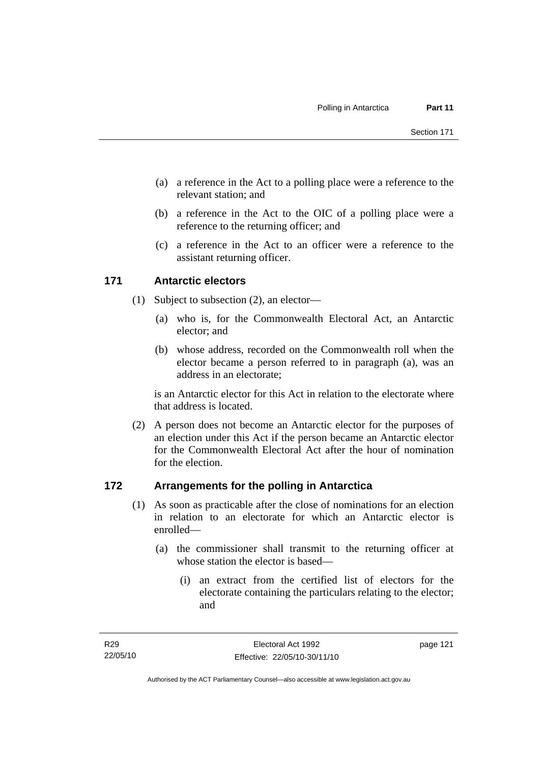- (a) a reference in the Act to a polling place were a reference to the relevant station; and
- (b) a reference in the Act to the OIC of a polling place were a reference to the returning officer; and
- (c) a reference in the Act to an officer were a reference to the assistant returning officer.

# **171 Antarctic electors**

- (1) Subject to subsection (2), an elector—
	- (a) who is, for the Commonwealth Electoral Act, an Antarctic elector; and
	- (b) whose address, recorded on the Commonwealth roll when the elector became a person referred to in paragraph (a), was an address in an electorate;

is an Antarctic elector for this Act in relation to the electorate where that address is located.

 (2) A person does not become an Antarctic elector for the purposes of an election under this Act if the person became an Antarctic elector for the Commonwealth Electoral Act after the hour of nomination for the election.

# **172 Arrangements for the polling in Antarctica**

- (1) As soon as practicable after the close of nominations for an election in relation to an electorate for which an Antarctic elector is enrolled—
	- (a) the commissioner shall transmit to the returning officer at whose station the elector is based—
		- (i) an extract from the certified list of electors for the electorate containing the particulars relating to the elector; and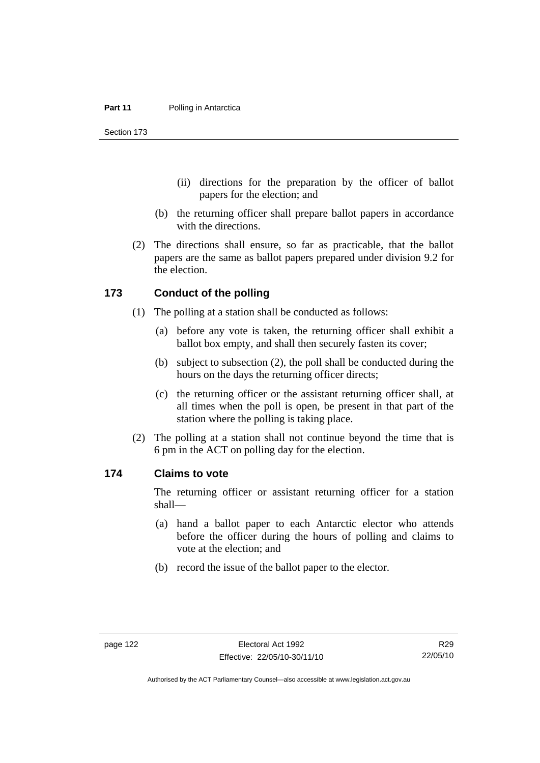Section 173

- (ii) directions for the preparation by the officer of ballot papers for the election; and
- (b) the returning officer shall prepare ballot papers in accordance with the directions.
- (2) The directions shall ensure, so far as practicable, that the ballot papers are the same as ballot papers prepared under division 9.2 for the election.

### **173 Conduct of the polling**

- (1) The polling at a station shall be conducted as follows:
	- (a) before any vote is taken, the returning officer shall exhibit a ballot box empty, and shall then securely fasten its cover;
	- (b) subject to subsection (2), the poll shall be conducted during the hours on the days the returning officer directs;
	- (c) the returning officer or the assistant returning officer shall, at all times when the poll is open, be present in that part of the station where the polling is taking place.
- (2) The polling at a station shall not continue beyond the time that is 6 pm in the ACT on polling day for the election.

#### **174 Claims to vote**

The returning officer or assistant returning officer for a station shall—

- (a) hand a ballot paper to each Antarctic elector who attends before the officer during the hours of polling and claims to vote at the election; and
- (b) record the issue of the ballot paper to the elector.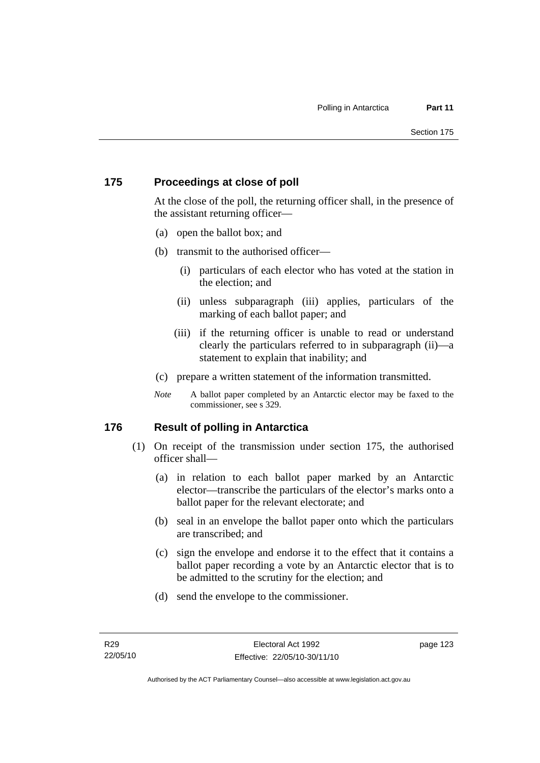# **175 Proceedings at close of poll**

At the close of the poll, the returning officer shall, in the presence of the assistant returning officer—

- (a) open the ballot box; and
- (b) transmit to the authorised officer—
	- (i) particulars of each elector who has voted at the station in the election; and
	- (ii) unless subparagraph (iii) applies, particulars of the marking of each ballot paper; and
	- (iii) if the returning officer is unable to read or understand clearly the particulars referred to in subparagraph (ii)—a statement to explain that inability; and
- (c) prepare a written statement of the information transmitted.
- *Note* A ballot paper completed by an Antarctic elector may be faxed to the commissioner, see s 329.

# **176 Result of polling in Antarctica**

- (1) On receipt of the transmission under section 175, the authorised officer shall—
	- (a) in relation to each ballot paper marked by an Antarctic elector—transcribe the particulars of the elector's marks onto a ballot paper for the relevant electorate; and
	- (b) seal in an envelope the ballot paper onto which the particulars are transcribed; and
	- (c) sign the envelope and endorse it to the effect that it contains a ballot paper recording a vote by an Antarctic elector that is to be admitted to the scrutiny for the election; and
	- (d) send the envelope to the commissioner.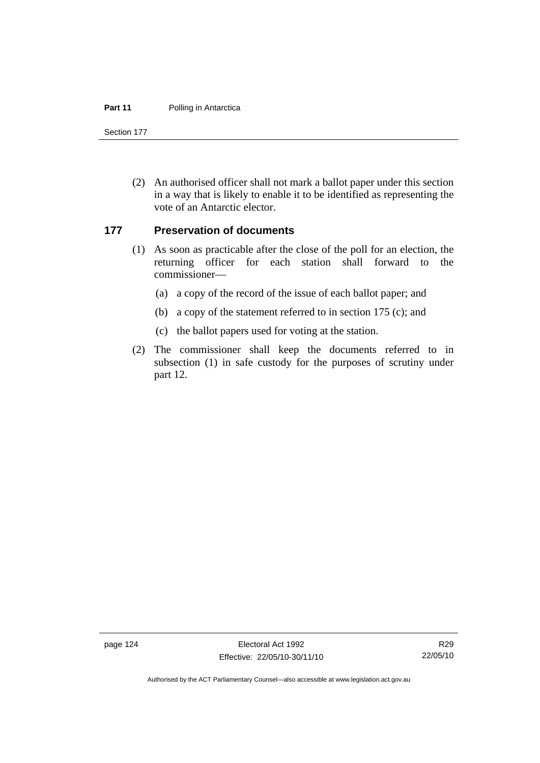#### **Part 11** Polling in Antarctica

Section 177

 (2) An authorised officer shall not mark a ballot paper under this section in a way that is likely to enable it to be identified as representing the vote of an Antarctic elector.

### **177 Preservation of documents**

- (1) As soon as practicable after the close of the poll for an election, the returning officer for each station shall forward to the commissioner—
	- (a) a copy of the record of the issue of each ballot paper; and
	- (b) a copy of the statement referred to in section 175 (c); and
	- (c) the ballot papers used for voting at the station.
- (2) The commissioner shall keep the documents referred to in subsection (1) in safe custody for the purposes of scrutiny under part 12.

page 124 Electoral Act 1992 Effective: 22/05/10-30/11/10

Authorised by the ACT Parliamentary Counsel—also accessible at www.legislation.act.gov.au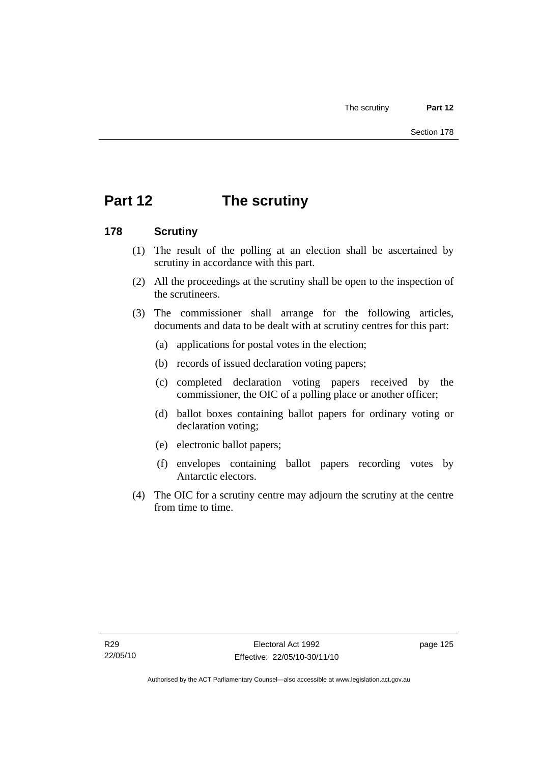# **Part 12 The scrutiny**

## **178 Scrutiny**

- (1) The result of the polling at an election shall be ascertained by scrutiny in accordance with this part.
- (2) All the proceedings at the scrutiny shall be open to the inspection of the scrutineers.
- (3) The commissioner shall arrange for the following articles, documents and data to be dealt with at scrutiny centres for this part:
	- (a) applications for postal votes in the election;
	- (b) records of issued declaration voting papers;
	- (c) completed declaration voting papers received by the commissioner, the OIC of a polling place or another officer;
	- (d) ballot boxes containing ballot papers for ordinary voting or declaration voting;
	- (e) electronic ballot papers;
	- (f) envelopes containing ballot papers recording votes by Antarctic electors.
- (4) The OIC for a scrutiny centre may adjourn the scrutiny at the centre from time to time.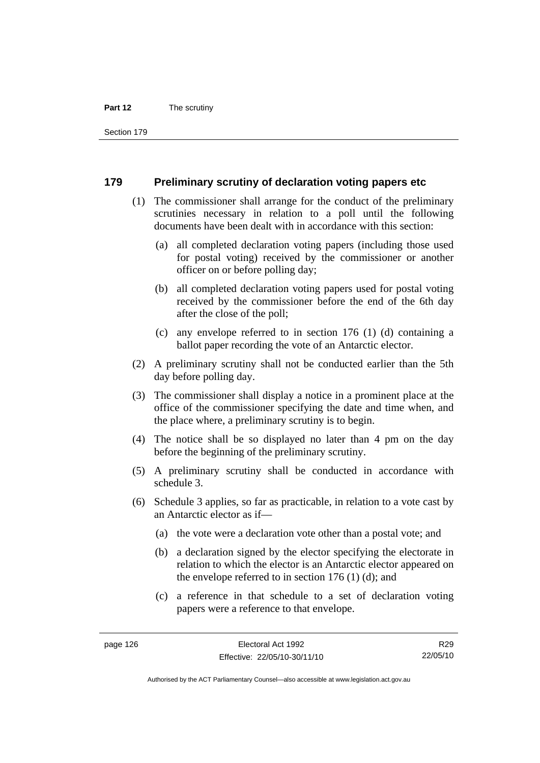#### **Part 12** The scrutiny

Section 179

### **179 Preliminary scrutiny of declaration voting papers etc**

- (1) The commissioner shall arrange for the conduct of the preliminary scrutinies necessary in relation to a poll until the following documents have been dealt with in accordance with this section:
	- (a) all completed declaration voting papers (including those used for postal voting) received by the commissioner or another officer on or before polling day;
	- (b) all completed declaration voting papers used for postal voting received by the commissioner before the end of the 6th day after the close of the poll;
	- (c) any envelope referred to in section 176 (1) (d) containing a ballot paper recording the vote of an Antarctic elector.
- (2) A preliminary scrutiny shall not be conducted earlier than the 5th day before polling day.
- (3) The commissioner shall display a notice in a prominent place at the office of the commissioner specifying the date and time when, and the place where, a preliminary scrutiny is to begin.
- (4) The notice shall be so displayed no later than 4 pm on the day before the beginning of the preliminary scrutiny.
- (5) A preliminary scrutiny shall be conducted in accordance with schedule 3.
- (6) Schedule 3 applies, so far as practicable, in relation to a vote cast by an Antarctic elector as if—
	- (a) the vote were a declaration vote other than a postal vote; and
	- (b) a declaration signed by the elector specifying the electorate in relation to which the elector is an Antarctic elector appeared on the envelope referred to in section 176 (1) (d); and
	- (c) a reference in that schedule to a set of declaration voting papers were a reference to that envelope.

R29 22/05/10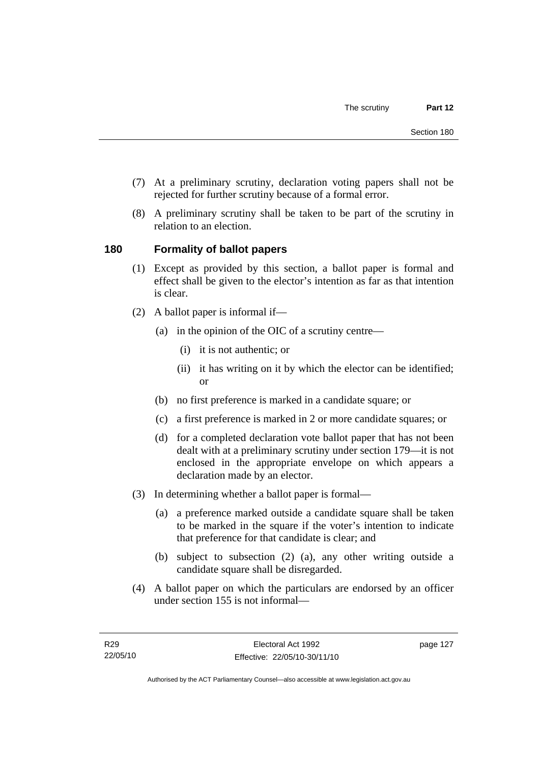- (7) At a preliminary scrutiny, declaration voting papers shall not be rejected for further scrutiny because of a formal error.
- (8) A preliminary scrutiny shall be taken to be part of the scrutiny in relation to an election.

## **180 Formality of ballot papers**

- (1) Except as provided by this section, a ballot paper is formal and effect shall be given to the elector's intention as far as that intention is clear.
- (2) A ballot paper is informal if—
	- (a) in the opinion of the OIC of a scrutiny centre—
		- (i) it is not authentic; or
		- (ii) it has writing on it by which the elector can be identified; or
	- (b) no first preference is marked in a candidate square; or
	- (c) a first preference is marked in 2 or more candidate squares; or
	- (d) for a completed declaration vote ballot paper that has not been dealt with at a preliminary scrutiny under section 179—it is not enclosed in the appropriate envelope on which appears a declaration made by an elector.
- (3) In determining whether a ballot paper is formal—
	- (a) a preference marked outside a candidate square shall be taken to be marked in the square if the voter's intention to indicate that preference for that candidate is clear; and
	- (b) subject to subsection (2) (a), any other writing outside a candidate square shall be disregarded.
- (4) A ballot paper on which the particulars are endorsed by an officer under section 155 is not informal—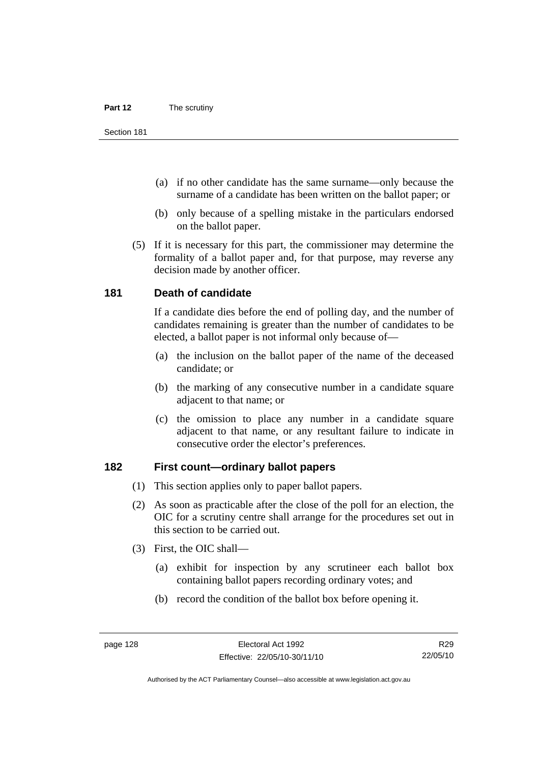- (a) if no other candidate has the same surname—only because the surname of a candidate has been written on the ballot paper; or
- (b) only because of a spelling mistake in the particulars endorsed on the ballot paper.
- (5) If it is necessary for this part, the commissioner may determine the formality of a ballot paper and, for that purpose, may reverse any decision made by another officer.

### **181 Death of candidate**

If a candidate dies before the end of polling day, and the number of candidates remaining is greater than the number of candidates to be elected, a ballot paper is not informal only because of—

- (a) the inclusion on the ballot paper of the name of the deceased candidate; or
- (b) the marking of any consecutive number in a candidate square adjacent to that name; or
- (c) the omission to place any number in a candidate square adjacent to that name, or any resultant failure to indicate in consecutive order the elector's preferences.

## **182 First count—ordinary ballot papers**

- (1) This section applies only to paper ballot papers.
- (2) As soon as practicable after the close of the poll for an election, the OIC for a scrutiny centre shall arrange for the procedures set out in this section to be carried out.
- (3) First, the OIC shall—
	- (a) exhibit for inspection by any scrutineer each ballot box containing ballot papers recording ordinary votes; and
	- (b) record the condition of the ballot box before opening it.

R29 22/05/10

Authorised by the ACT Parliamentary Counsel—also accessible at www.legislation.act.gov.au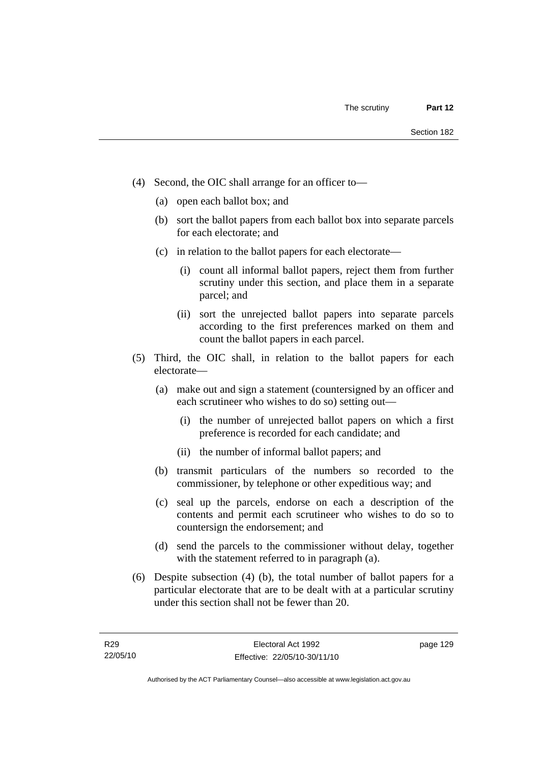- (4) Second, the OIC shall arrange for an officer to—
	- (a) open each ballot box; and
	- (b) sort the ballot papers from each ballot box into separate parcels for each electorate; and
	- (c) in relation to the ballot papers for each electorate—
		- (i) count all informal ballot papers, reject them from further scrutiny under this section, and place them in a separate parcel; and
		- (ii) sort the unrejected ballot papers into separate parcels according to the first preferences marked on them and count the ballot papers in each parcel.
- (5) Third, the OIC shall, in relation to the ballot papers for each electorate—
	- (a) make out and sign a statement (countersigned by an officer and each scrutineer who wishes to do so) setting out—
		- (i) the number of unrejected ballot papers on which a first preference is recorded for each candidate; and
		- (ii) the number of informal ballot papers; and
	- (b) transmit particulars of the numbers so recorded to the commissioner, by telephone or other expeditious way; and
	- (c) seal up the parcels, endorse on each a description of the contents and permit each scrutineer who wishes to do so to countersign the endorsement; and
	- (d) send the parcels to the commissioner without delay, together with the statement referred to in paragraph (a).
- (6) Despite subsection (4) (b), the total number of ballot papers for a particular electorate that are to be dealt with at a particular scrutiny under this section shall not be fewer than 20.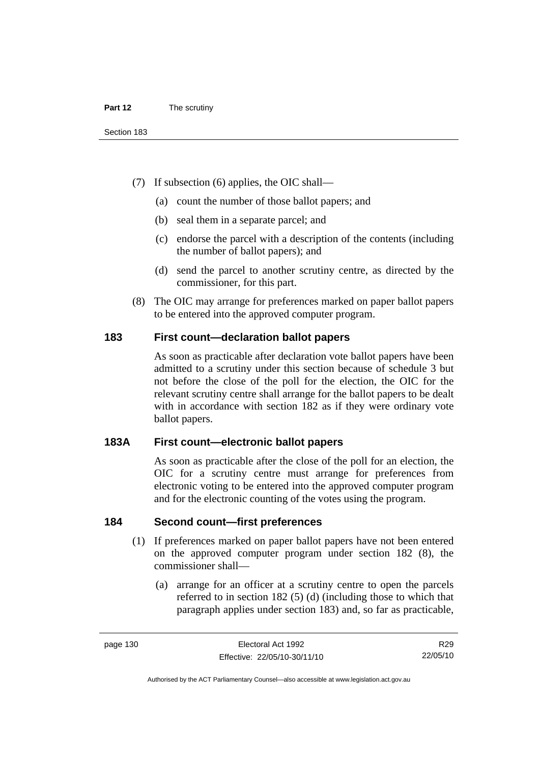- (7) If subsection (6) applies, the OIC shall—
	- (a) count the number of those ballot papers; and
	- (b) seal them in a separate parcel; and
	- (c) endorse the parcel with a description of the contents (including the number of ballot papers); and
	- (d) send the parcel to another scrutiny centre, as directed by the commissioner, for this part.
- (8) The OIC may arrange for preferences marked on paper ballot papers to be entered into the approved computer program.

#### **183 First count—declaration ballot papers**

As soon as practicable after declaration vote ballot papers have been admitted to a scrutiny under this section because of schedule 3 but not before the close of the poll for the election, the OIC for the relevant scrutiny centre shall arrange for the ballot papers to be dealt with in accordance with section 182 as if they were ordinary vote ballot papers.

## **183A First count—electronic ballot papers**

As soon as practicable after the close of the poll for an election, the OIC for a scrutiny centre must arrange for preferences from electronic voting to be entered into the approved computer program and for the electronic counting of the votes using the program.

#### **184 Second count—first preferences**

- (1) If preferences marked on paper ballot papers have not been entered on the approved computer program under section 182 (8), the commissioner shall—
	- (a) arrange for an officer at a scrutiny centre to open the parcels referred to in section 182 (5) (d) (including those to which that paragraph applies under section 183) and, so far as practicable,

R29 22/05/10

Authorised by the ACT Parliamentary Counsel—also accessible at www.legislation.act.gov.au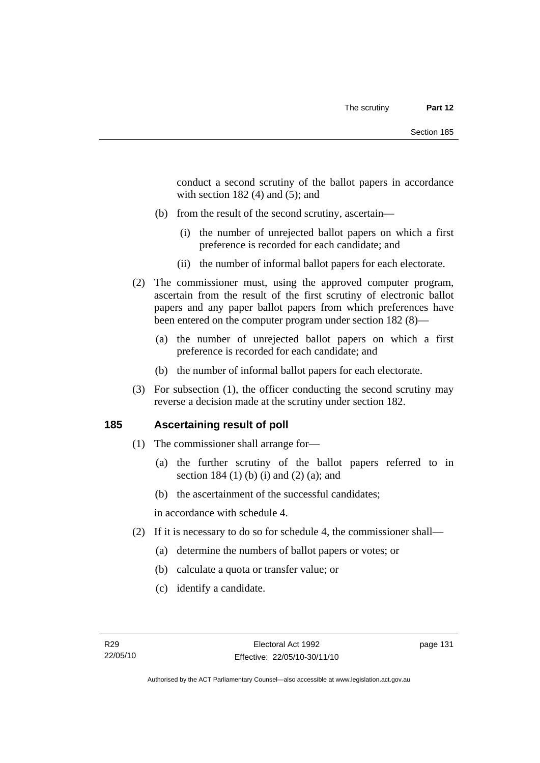conduct a second scrutiny of the ballot papers in accordance with section  $182(4)$  and  $(5)$ ; and

- (b) from the result of the second scrutiny, ascertain—
	- (i) the number of unrejected ballot papers on which a first preference is recorded for each candidate; and
	- (ii) the number of informal ballot papers for each electorate.
- (2) The commissioner must, using the approved computer program, ascertain from the result of the first scrutiny of electronic ballot papers and any paper ballot papers from which preferences have been entered on the computer program under section 182 (8)—
	- (a) the number of unrejected ballot papers on which a first preference is recorded for each candidate; and
	- (b) the number of informal ballot papers for each electorate.
- (3) For subsection (1), the officer conducting the second scrutiny may reverse a decision made at the scrutiny under section 182.

## **185 Ascertaining result of poll**

- (1) The commissioner shall arrange for—
	- (a) the further scrutiny of the ballot papers referred to in section 184 (1) (b) (i) and (2) (a); and
	- (b) the ascertainment of the successful candidates;

in accordance with schedule 4.

- (2) If it is necessary to do so for schedule 4, the commissioner shall—
	- (a) determine the numbers of ballot papers or votes; or
	- (b) calculate a quota or transfer value; or
	- (c) identify a candidate.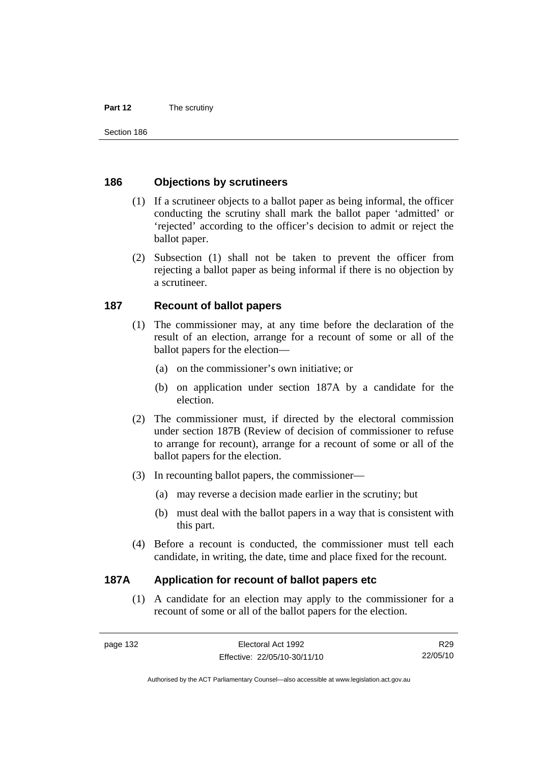#### **Part 12** The scrutiny

Section 186

### **186 Objections by scrutineers**

- (1) If a scrutineer objects to a ballot paper as being informal, the officer conducting the scrutiny shall mark the ballot paper 'admitted' or 'rejected' according to the officer's decision to admit or reject the ballot paper.
- (2) Subsection (1) shall not be taken to prevent the officer from rejecting a ballot paper as being informal if there is no objection by a scrutineer.

## **187 Recount of ballot papers**

- (1) The commissioner may, at any time before the declaration of the result of an election, arrange for a recount of some or all of the ballot papers for the election—
	- (a) on the commissioner's own initiative; or
	- (b) on application under section 187A by a candidate for the election.
- (2) The commissioner must, if directed by the electoral commission under section 187B (Review of decision of commissioner to refuse to arrange for recount), arrange for a recount of some or all of the ballot papers for the election.
- (3) In recounting ballot papers, the commissioner—
	- (a) may reverse a decision made earlier in the scrutiny; but
	- (b) must deal with the ballot papers in a way that is consistent with this part.
- (4) Before a recount is conducted, the commissioner must tell each candidate, in writing, the date, time and place fixed for the recount.

## **187A Application for recount of ballot papers etc**

 (1) A candidate for an election may apply to the commissioner for a recount of some or all of the ballot papers for the election.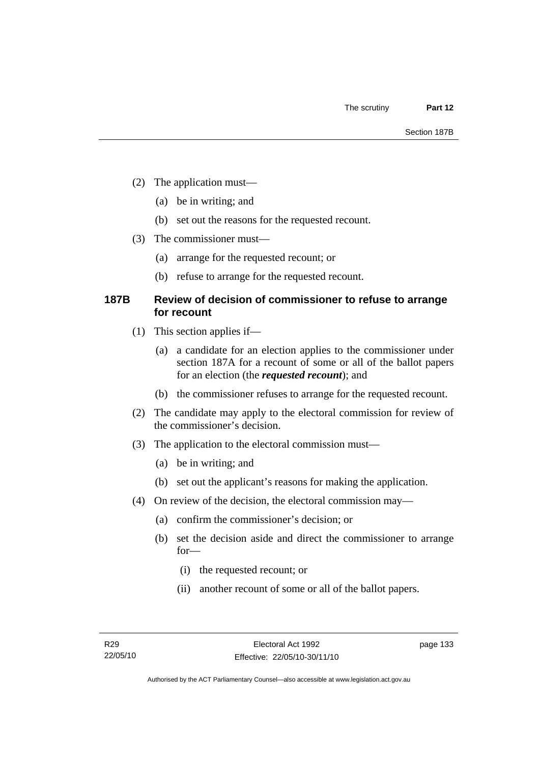- (2) The application must—
	- (a) be in writing; and
	- (b) set out the reasons for the requested recount.
- (3) The commissioner must—
	- (a) arrange for the requested recount; or
	- (b) refuse to arrange for the requested recount.

## **187B Review of decision of commissioner to refuse to arrange for recount**

- (1) This section applies if—
	- (a) a candidate for an election applies to the commissioner under section 187A for a recount of some or all of the ballot papers for an election (the *requested recount*); and
	- (b) the commissioner refuses to arrange for the requested recount.
- (2) The candidate may apply to the electoral commission for review of the commissioner's decision.
- (3) The application to the electoral commission must—
	- (a) be in writing; and
	- (b) set out the applicant's reasons for making the application.
- (4) On review of the decision, the electoral commission may—
	- (a) confirm the commissioner's decision; or
	- (b) set the decision aside and direct the commissioner to arrange for—
		- (i) the requested recount; or
		- (ii) another recount of some or all of the ballot papers.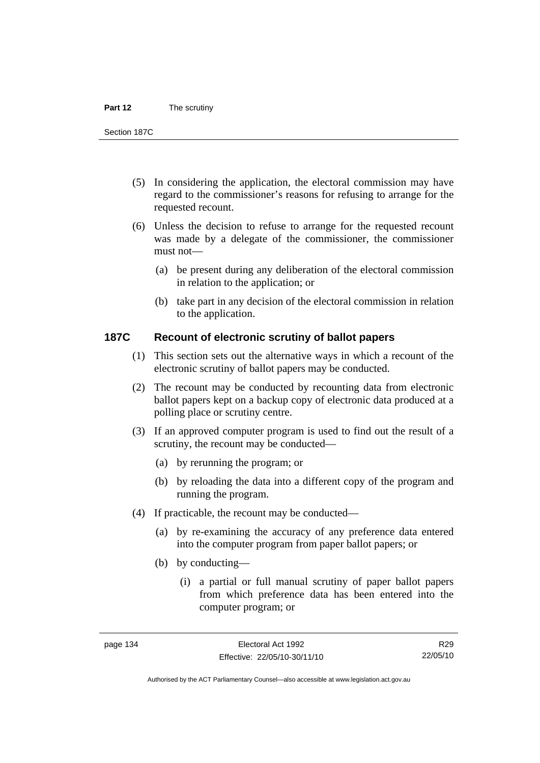#### **Part 12** The scrutiny

Section 187C

- (5) In considering the application, the electoral commission may have regard to the commissioner's reasons for refusing to arrange for the requested recount.
- (6) Unless the decision to refuse to arrange for the requested recount was made by a delegate of the commissioner, the commissioner must not—
	- (a) be present during any deliberation of the electoral commission in relation to the application; or
	- (b) take part in any decision of the electoral commission in relation to the application.

#### **187C Recount of electronic scrutiny of ballot papers**

- (1) This section sets out the alternative ways in which a recount of the electronic scrutiny of ballot papers may be conducted.
- (2) The recount may be conducted by recounting data from electronic ballot papers kept on a backup copy of electronic data produced at a polling place or scrutiny centre.
- (3) If an approved computer program is used to find out the result of a scrutiny, the recount may be conducted—
	- (a) by rerunning the program; or
	- (b) by reloading the data into a different copy of the program and running the program.
- (4) If practicable, the recount may be conducted—
	- (a) by re-examining the accuracy of any preference data entered into the computer program from paper ballot papers; or
	- (b) by conducting—
		- (i) a partial or full manual scrutiny of paper ballot papers from which preference data has been entered into the computer program; or

R29 22/05/10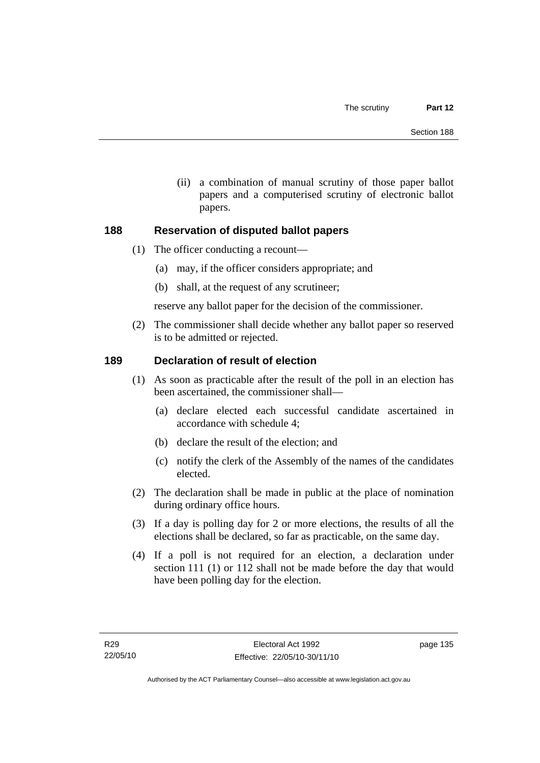(ii) a combination of manual scrutiny of those paper ballot papers and a computerised scrutiny of electronic ballot papers.

## **188 Reservation of disputed ballot papers**

- (1) The officer conducting a recount—
	- (a) may, if the officer considers appropriate; and
	- (b) shall, at the request of any scrutineer;

reserve any ballot paper for the decision of the commissioner.

 (2) The commissioner shall decide whether any ballot paper so reserved is to be admitted or rejected.

## **189 Declaration of result of election**

- (1) As soon as practicable after the result of the poll in an election has been ascertained, the commissioner shall—
	- (a) declare elected each successful candidate ascertained in accordance with schedule 4;
	- (b) declare the result of the election; and
	- (c) notify the clerk of the Assembly of the names of the candidates elected.
- (2) The declaration shall be made in public at the place of nomination during ordinary office hours.
- (3) If a day is polling day for 2 or more elections, the results of all the elections shall be declared, so far as practicable, on the same day.
- (4) If a poll is not required for an election, a declaration under section 111 (1) or 112 shall not be made before the day that would have been polling day for the election.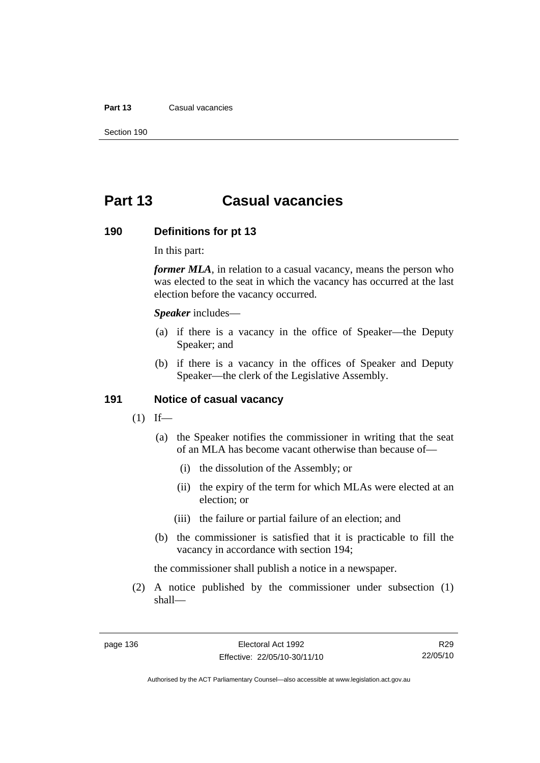#### **Part 13** Casual vacancies

Section 190

## **Part 13 Casual vacancies**

#### **190 Definitions for pt 13**

In this part:

*former MLA*, in relation to a casual vacancy, means the person who was elected to the seat in which the vacancy has occurred at the last election before the vacancy occurred.

*Speaker* includes—

- (a) if there is a vacancy in the office of Speaker—the Deputy Speaker; and
- (b) if there is a vacancy in the offices of Speaker and Deputy Speaker—the clerk of the Legislative Assembly.

#### **191 Notice of casual vacancy**

- $(1)$  If—
	- (a) the Speaker notifies the commissioner in writing that the seat of an MLA has become vacant otherwise than because of—
		- (i) the dissolution of the Assembly; or
		- (ii) the expiry of the term for which MLAs were elected at an election; or
		- (iii) the failure or partial failure of an election; and
	- (b) the commissioner is satisfied that it is practicable to fill the vacancy in accordance with section 194;

the commissioner shall publish a notice in a newspaper.

 (2) A notice published by the commissioner under subsection (1) shall—

R29 22/05/10

Authorised by the ACT Parliamentary Counsel—also accessible at www.legislation.act.gov.au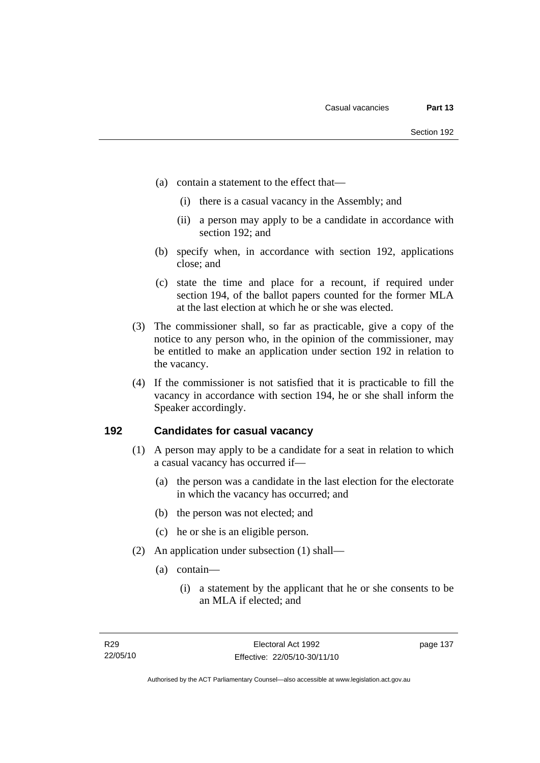- (a) contain a statement to the effect that—
	- (i) there is a casual vacancy in the Assembly; and
	- (ii) a person may apply to be a candidate in accordance with section 192; and
- (b) specify when, in accordance with section 192, applications close; and
- (c) state the time and place for a recount, if required under section 194, of the ballot papers counted for the former MLA at the last election at which he or she was elected.
- (3) The commissioner shall, so far as practicable, give a copy of the notice to any person who, in the opinion of the commissioner, may be entitled to make an application under section 192 in relation to the vacancy.
- (4) If the commissioner is not satisfied that it is practicable to fill the vacancy in accordance with section 194, he or she shall inform the Speaker accordingly.

### **192 Candidates for casual vacancy**

- (1) A person may apply to be a candidate for a seat in relation to which a casual vacancy has occurred if—
	- (a) the person was a candidate in the last election for the electorate in which the vacancy has occurred; and
	- (b) the person was not elected; and
	- (c) he or she is an eligible person.
- (2) An application under subsection (1) shall—
	- (a) contain—
		- (i) a statement by the applicant that he or she consents to be an MLA if elected; and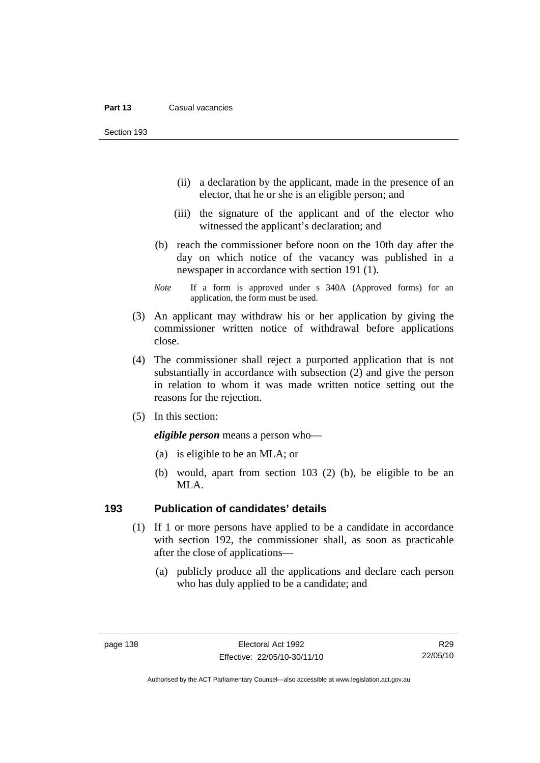Section 193

- (ii) a declaration by the applicant, made in the presence of an elector, that he or she is an eligible person; and
- (iii) the signature of the applicant and of the elector who witnessed the applicant's declaration; and
- (b) reach the commissioner before noon on the 10th day after the day on which notice of the vacancy was published in a newspaper in accordance with section 191 (1).
- *Note* If a form is approved under s 340A (Approved forms) for an application, the form must be used.
- (3) An applicant may withdraw his or her application by giving the commissioner written notice of withdrawal before applications close.
- (4) The commissioner shall reject a purported application that is not substantially in accordance with subsection (2) and give the person in relation to whom it was made written notice setting out the reasons for the rejection.
- (5) In this section:

*eligible person* means a person who—

- (a) is eligible to be an MLA; or
- (b) would, apart from section 103 (2) (b), be eligible to be an MLA.

#### **193 Publication of candidates' details**

- (1) If 1 or more persons have applied to be a candidate in accordance with section 192, the commissioner shall, as soon as practicable after the close of applications—
	- (a) publicly produce all the applications and declare each person who has duly applied to be a candidate; and

R29 22/05/10

Authorised by the ACT Parliamentary Counsel—also accessible at www.legislation.act.gov.au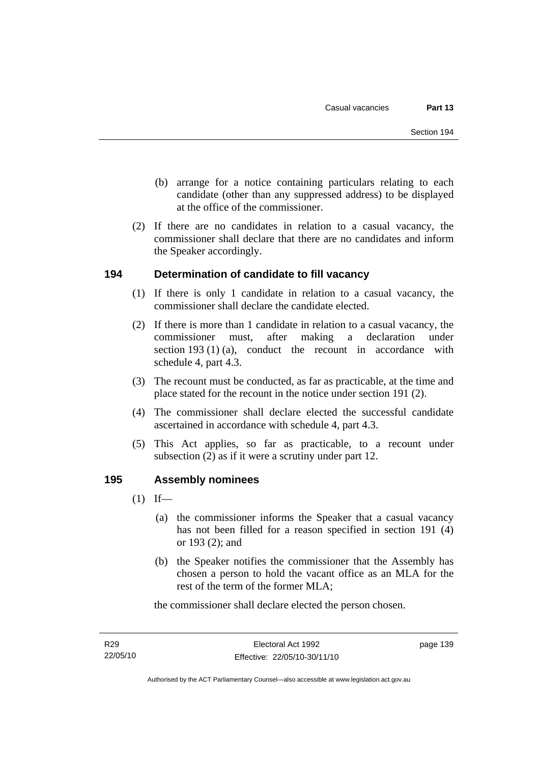- (b) arrange for a notice containing particulars relating to each candidate (other than any suppressed address) to be displayed at the office of the commissioner.
- (2) If there are no candidates in relation to a casual vacancy, the commissioner shall declare that there are no candidates and inform the Speaker accordingly.

## **194 Determination of candidate to fill vacancy**

- (1) If there is only 1 candidate in relation to a casual vacancy, the commissioner shall declare the candidate elected.
- (2) If there is more than 1 candidate in relation to a casual vacancy, the commissioner must, after making a declaration under section 193 (1) (a), conduct the recount in accordance with schedule 4, part 4.3.
- (3) The recount must be conducted, as far as practicable, at the time and place stated for the recount in the notice under section 191 (2).
- (4) The commissioner shall declare elected the successful candidate ascertained in accordance with schedule 4, part 4.3.
- (5) This Act applies, so far as practicable, to a recount under subsection (2) as if it were a scrutiny under part 12.

## **195 Assembly nominees**

- $(1)$  If—
	- (a) the commissioner informs the Speaker that a casual vacancy has not been filled for a reason specified in section 191 (4) or 193 (2); and
	- (b) the Speaker notifies the commissioner that the Assembly has chosen a person to hold the vacant office as an MLA for the rest of the term of the former MLA;

the commissioner shall declare elected the person chosen.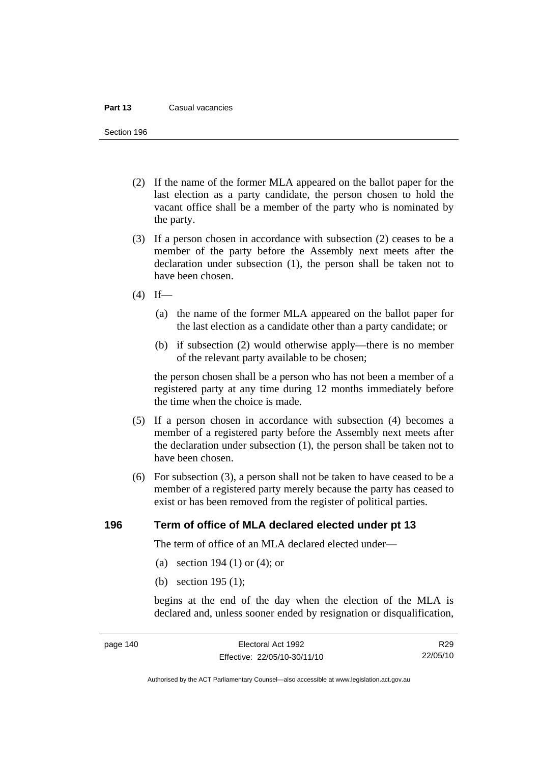#### **Part 13** Casual vacancies

Section 196

- (2) If the name of the former MLA appeared on the ballot paper for the last election as a party candidate, the person chosen to hold the vacant office shall be a member of the party who is nominated by the party.
- (3) If a person chosen in accordance with subsection (2) ceases to be a member of the party before the Assembly next meets after the declaration under subsection (1), the person shall be taken not to have been chosen.
- $(4)$  If—
	- (a) the name of the former MLA appeared on the ballot paper for the last election as a candidate other than a party candidate; or
	- (b) if subsection (2) would otherwise apply—there is no member of the relevant party available to be chosen;

the person chosen shall be a person who has not been a member of a registered party at any time during 12 months immediately before the time when the choice is made.

- (5) If a person chosen in accordance with subsection (4) becomes a member of a registered party before the Assembly next meets after the declaration under subsection (1), the person shall be taken not to have been chosen.
- (6) For subsection (3), a person shall not be taken to have ceased to be a member of a registered party merely because the party has ceased to exist or has been removed from the register of political parties.

#### **196 Term of office of MLA declared elected under pt 13**

The term of office of an MLA declared elected under—

- (a) section 194 (1) or (4); or
- (b) section 195 (1);

begins at the end of the day when the election of the MLA is declared and, unless sooner ended by resignation or disqualification,

R29 22/05/10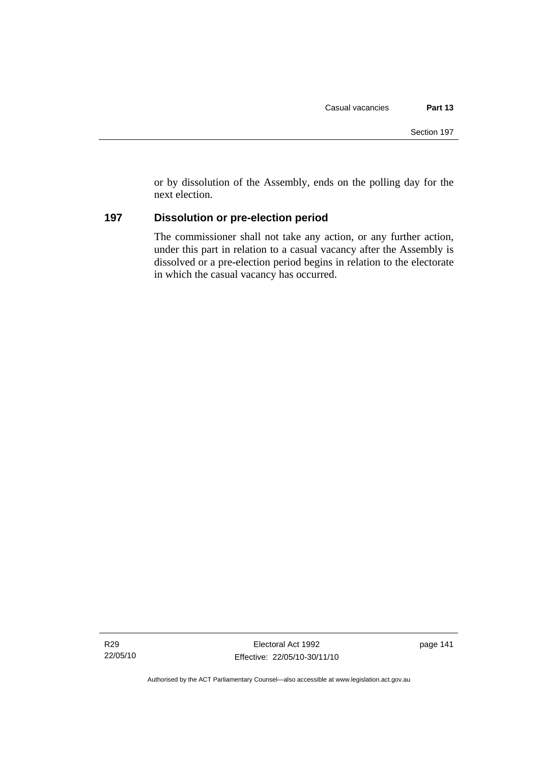or by dissolution of the Assembly, ends on the polling day for the next election.

## **197 Dissolution or pre-election period**

The commissioner shall not take any action, or any further action, under this part in relation to a casual vacancy after the Assembly is dissolved or a pre-election period begins in relation to the electorate in which the casual vacancy has occurred.

page 141

Authorised by the ACT Parliamentary Counsel—also accessible at www.legislation.act.gov.au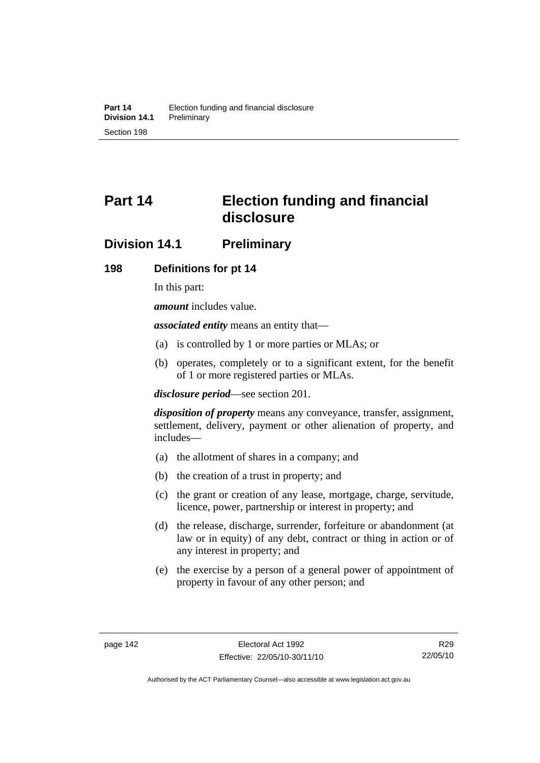# **Part 14 Election funding and financial disclosure**

## **Division 14.1 Preliminary**

## **198 Definitions for pt 14**

In this part:

*amount* includes value.

*associated entity* means an entity that—

- (a) is controlled by 1 or more parties or MLAs; or
- (b) operates, completely or to a significant extent, for the benefit of 1 or more registered parties or MLAs.

*disclosure period*—see section 201.

*disposition of property* means any conveyance, transfer, assignment, settlement, delivery, payment or other alienation of property, and includes—

- (a) the allotment of shares in a company; and
- (b) the creation of a trust in property; and
- (c) the grant or creation of any lease, mortgage, charge, servitude, licence, power, partnership or interest in property; and
- (d) the release, discharge, surrender, forfeiture or abandonment (at law or in equity) of any debt, contract or thing in action or of any interest in property; and
- (e) the exercise by a person of a general power of appointment of property in favour of any other person; and

R29 22/05/10

Authorised by the ACT Parliamentary Counsel—also accessible at www.legislation.act.gov.au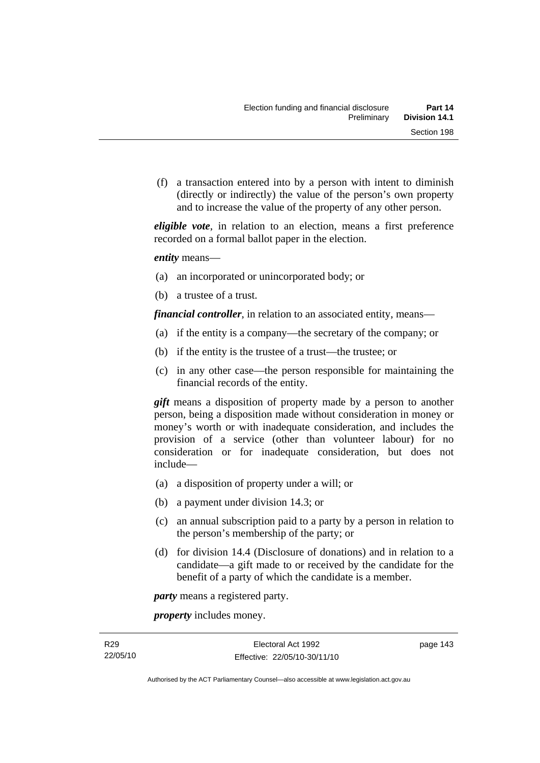(f) a transaction entered into by a person with intent to diminish (directly or indirectly) the value of the person's own property and to increase the value of the property of any other person.

*eligible vote*, in relation to an election, means a first preference recorded on a formal ballot paper in the election.

*entity* means—

- (a) an incorporated or unincorporated body; or
- (b) a trustee of a trust.

*financial controller*, in relation to an associated entity, means—

- (a) if the entity is a company—the secretary of the company; or
- (b) if the entity is the trustee of a trust—the trustee; or
- (c) in any other case—the person responsible for maintaining the financial records of the entity.

*gift* means a disposition of property made by a person to another person, being a disposition made without consideration in money or money's worth or with inadequate consideration, and includes the provision of a service (other than volunteer labour) for no consideration or for inadequate consideration, but does not include—

- (a) a disposition of property under a will; or
- (b) a payment under division 14.3; or
- (c) an annual subscription paid to a party by a person in relation to the person's membership of the party; or
- (d) for division 14.4 (Disclosure of donations) and in relation to a candidate—a gift made to or received by the candidate for the benefit of a party of which the candidate is a member.

*party* means a registered party.

*property* includes money.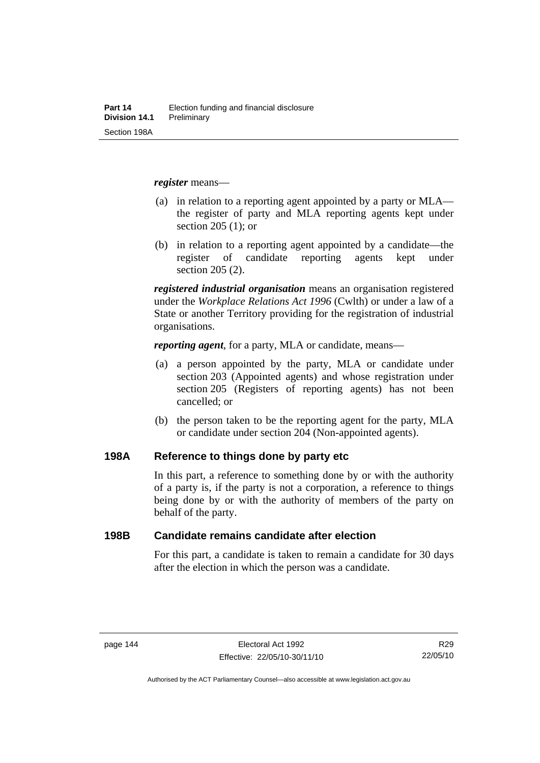*register* means—

- (a) in relation to a reporting agent appointed by a party or MLA the register of party and MLA reporting agents kept under section 205 (1); or
- (b) in relation to a reporting agent appointed by a candidate—the register of candidate reporting agents kept under section 205 (2).

*registered industrial organisation* means an organisation registered under the *Workplace Relations Act 1996* (Cwlth) or under a law of a State or another Territory providing for the registration of industrial organisations.

*reporting agent*, for a party, MLA or candidate, means—

- (a) a person appointed by the party, MLA or candidate under section 203 (Appointed agents) and whose registration under section 205 (Registers of reporting agents) has not been cancelled; or
- (b) the person taken to be the reporting agent for the party, MLA or candidate under section 204 (Non-appointed agents).

#### **198A Reference to things done by party etc**

In this part, a reference to something done by or with the authority of a party is, if the party is not a corporation, a reference to things being done by or with the authority of members of the party on behalf of the party.

#### **198B Candidate remains candidate after election**

For this part, a candidate is taken to remain a candidate for 30 days after the election in which the person was a candidate.

R29 22/05/10

Authorised by the ACT Parliamentary Counsel—also accessible at www.legislation.act.gov.au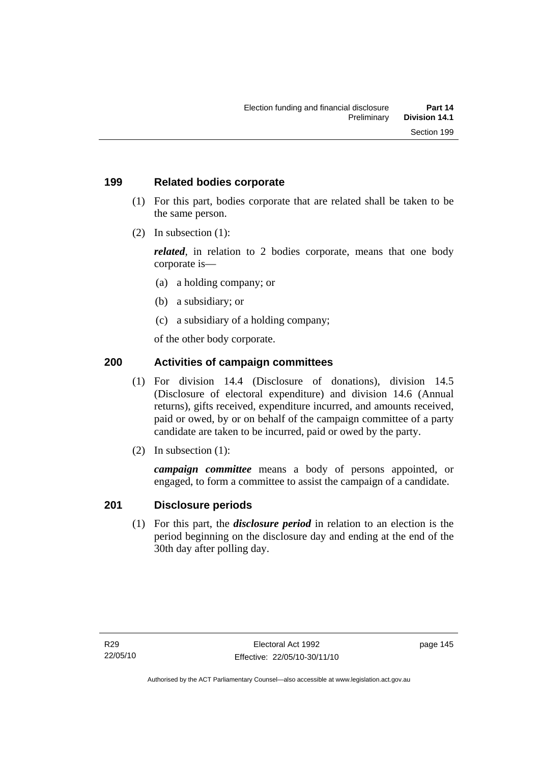## **199 Related bodies corporate**

- (1) For this part, bodies corporate that are related shall be taken to be the same person.
- (2) In subsection (1):

*related*, in relation to 2 bodies corporate, means that one body corporate is—

- (a) a holding company; or
- (b) a subsidiary; or
- (c) a subsidiary of a holding company;

of the other body corporate.

## **200 Activities of campaign committees**

- (1) For division 14.4 (Disclosure of donations), division 14.5 (Disclosure of electoral expenditure) and division 14.6 (Annual returns), gifts received, expenditure incurred, and amounts received, paid or owed, by or on behalf of the campaign committee of a party candidate are taken to be incurred, paid or owed by the party.
- (2) In subsection (1):

*campaign committee* means a body of persons appointed, or engaged, to form a committee to assist the campaign of a candidate.

## **201 Disclosure periods**

 (1) For this part, the *disclosure period* in relation to an election is the period beginning on the disclosure day and ending at the end of the 30th day after polling day.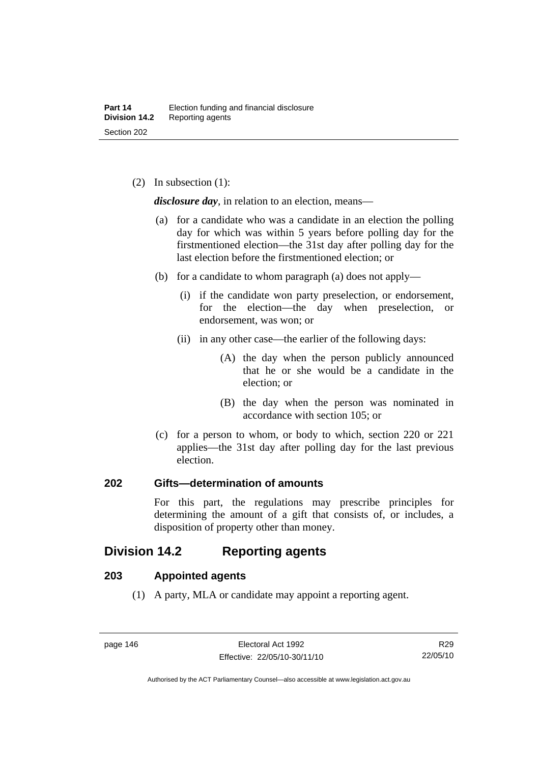(2) In subsection (1):

*disclosure day*, in relation to an election, means—

- (a) for a candidate who was a candidate in an election the polling day for which was within 5 years before polling day for the firstmentioned election—the 31st day after polling day for the last election before the firstmentioned election; or
- (b) for a candidate to whom paragraph (a) does not apply—
	- (i) if the candidate won party preselection, or endorsement, for the election—the day when preselection, or endorsement, was won; or
	- (ii) in any other case—the earlier of the following days:
		- (A) the day when the person publicly announced that he or she would be a candidate in the election; or
		- (B) the day when the person was nominated in accordance with section 105; or
- (c) for a person to whom, or body to which, section 220 or 221 applies—the 31st day after polling day for the last previous election.

## **202 Gifts—determination of amounts**

For this part, the regulations may prescribe principles for determining the amount of a gift that consists of, or includes, a disposition of property other than money.

## **Division 14.2 Reporting agents**

## **203 Appointed agents**

(1) A party, MLA or candidate may appoint a reporting agent.

Authorised by the ACT Parliamentary Counsel—also accessible at www.legislation.act.gov.au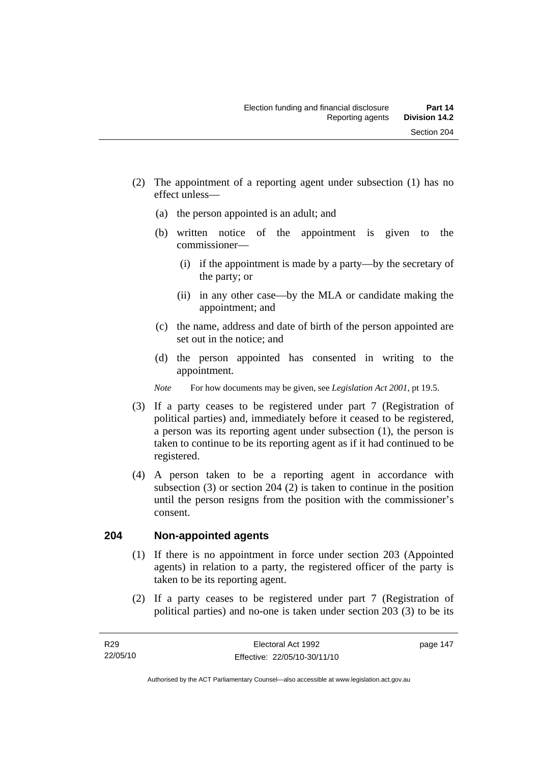- (2) The appointment of a reporting agent under subsection (1) has no effect unless—
	- (a) the person appointed is an adult; and
	- (b) written notice of the appointment is given to the commissioner—
		- (i) if the appointment is made by a party—by the secretary of the party; or
		- (ii) in any other case—by the MLA or candidate making the appointment; and
	- (c) the name, address and date of birth of the person appointed are set out in the notice; and
	- (d) the person appointed has consented in writing to the appointment.
	- *Note* For how documents may be given, see *Legislation Act 2001*, pt 19.5.
- (3) If a party ceases to be registered under part 7 (Registration of political parties) and, immediately before it ceased to be registered, a person was its reporting agent under subsection (1), the person is taken to continue to be its reporting agent as if it had continued to be registered.
- (4) A person taken to be a reporting agent in accordance with subsection (3) or section 204 (2) is taken to continue in the position until the person resigns from the position with the commissioner's consent.

## **204 Non-appointed agents**

- (1) If there is no appointment in force under section 203 (Appointed agents) in relation to a party, the registered officer of the party is taken to be its reporting agent.
- (2) If a party ceases to be registered under part 7 (Registration of political parties) and no-one is taken under section 203 (3) to be its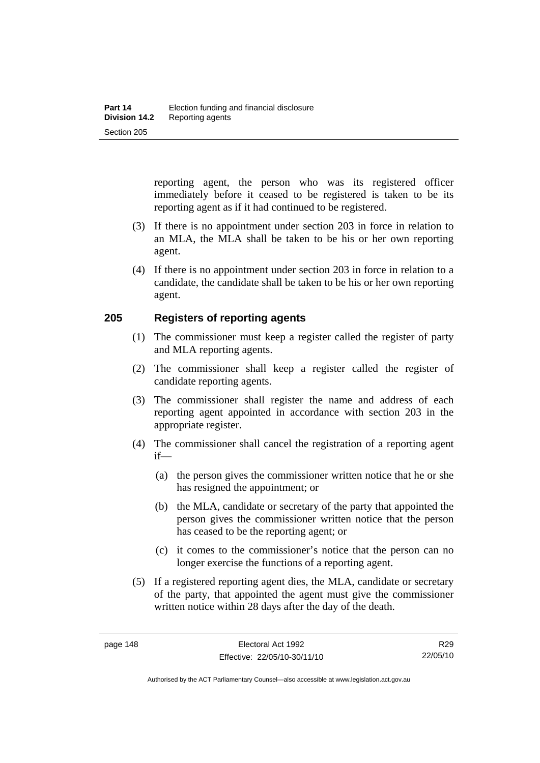reporting agent, the person who was its registered officer immediately before it ceased to be registered is taken to be its reporting agent as if it had continued to be registered.

- (3) If there is no appointment under section 203 in force in relation to an MLA, the MLA shall be taken to be his or her own reporting agent.
- (4) If there is no appointment under section 203 in force in relation to a candidate, the candidate shall be taken to be his or her own reporting agent.

## **205 Registers of reporting agents**

- (1) The commissioner must keep a register called the register of party and MLA reporting agents.
- (2) The commissioner shall keep a register called the register of candidate reporting agents.
- (3) The commissioner shall register the name and address of each reporting agent appointed in accordance with section 203 in the appropriate register.
- (4) The commissioner shall cancel the registration of a reporting agent if—
	- (a) the person gives the commissioner written notice that he or she has resigned the appointment; or
	- (b) the MLA, candidate or secretary of the party that appointed the person gives the commissioner written notice that the person has ceased to be the reporting agent; or
	- (c) it comes to the commissioner's notice that the person can no longer exercise the functions of a reporting agent.
- (5) If a registered reporting agent dies, the MLA, candidate or secretary of the party, that appointed the agent must give the commissioner written notice within 28 days after the day of the death.

R29 22/05/10

Authorised by the ACT Parliamentary Counsel—also accessible at www.legislation.act.gov.au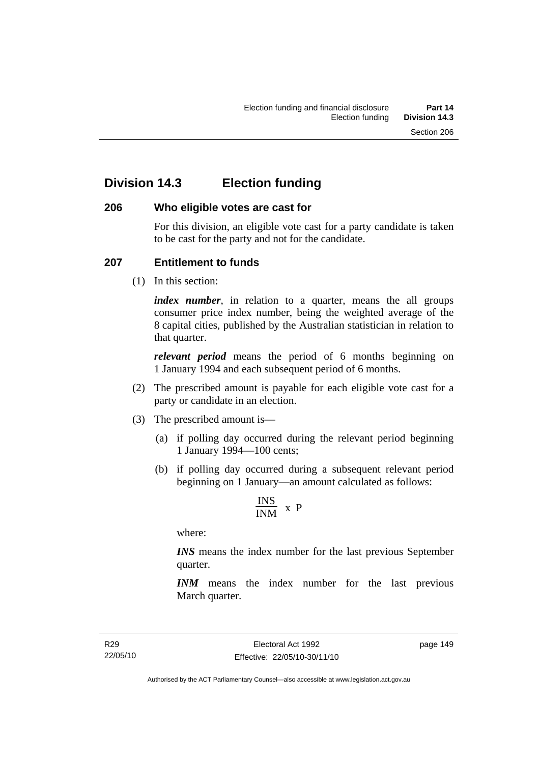## **Division 14.3 Election funding**

## **206 Who eligible votes are cast for**

For this division, an eligible vote cast for a party candidate is taken to be cast for the party and not for the candidate.

## **207 Entitlement to funds**

(1) In this section:

*index number*, in relation to a quarter, means the all groups consumer price index number, being the weighted average of the 8 capital cities, published by the Australian statistician in relation to that quarter.

*relevant period* means the period of 6 months beginning on 1 January 1994 and each subsequent period of 6 months.

- (2) The prescribed amount is payable for each eligible vote cast for a party or candidate in an election.
- (3) The prescribed amount is—
	- (a) if polling day occurred during the relevant period beginning 1 January 1994—100 cents;
	- (b) if polling day occurred during a subsequent relevant period beginning on 1 January—an amount calculated as follows:

$$
\frac{INS}{INM} \times P
$$

where:

*INS* means the index number for the last previous September quarter.

*INM* means the index number for the last previous March quarter.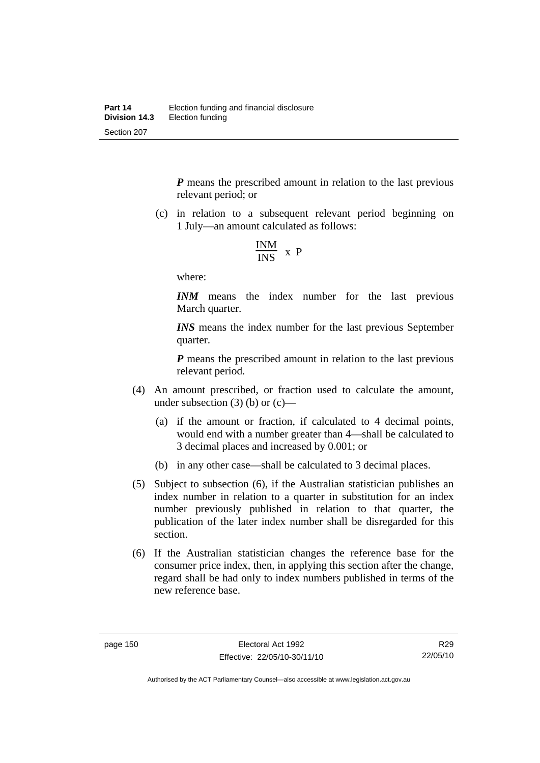*P* means the prescribed amount in relation to the last previous relevant period; or

 (c) in relation to a subsequent relevant period beginning on 1 July—an amount calculated as follows:

$$
\frac{INM}{INS} \times P
$$

where:

*INM* means the index number for the last previous March quarter.

*INS* means the index number for the last previous September quarter.

*P* means the prescribed amount in relation to the last previous relevant period.

- (4) An amount prescribed, or fraction used to calculate the amount, under subsection  $(3)$  (b) or  $(c)$ —
	- (a) if the amount or fraction, if calculated to 4 decimal points, would end with a number greater than 4—shall be calculated to 3 decimal places and increased by 0.001; or
	- (b) in any other case—shall be calculated to 3 decimal places.
- (5) Subject to subsection (6), if the Australian statistician publishes an index number in relation to a quarter in substitution for an index number previously published in relation to that quarter, the publication of the later index number shall be disregarded for this section.
- (6) If the Australian statistician changes the reference base for the consumer price index, then, in applying this section after the change, regard shall be had only to index numbers published in terms of the new reference base.

R29 22/05/10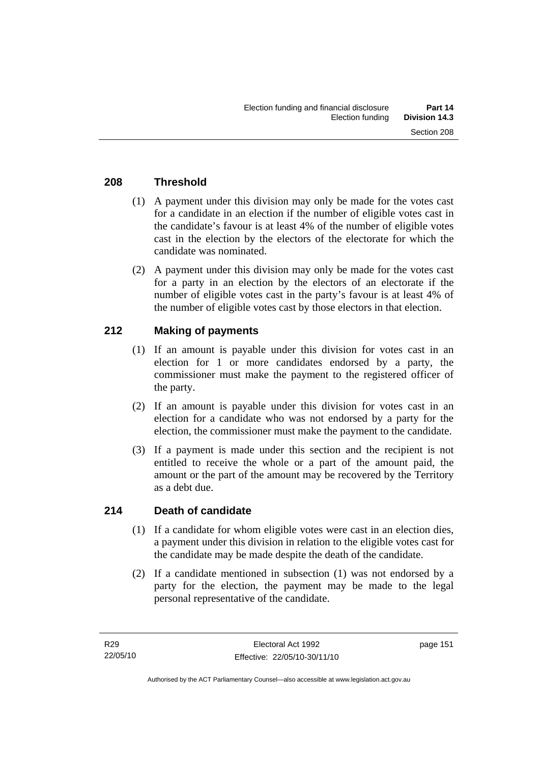## **208 Threshold**

- (1) A payment under this division may only be made for the votes cast for a candidate in an election if the number of eligible votes cast in the candidate's favour is at least 4% of the number of eligible votes cast in the election by the electors of the electorate for which the candidate was nominated.
- (2) A payment under this division may only be made for the votes cast for a party in an election by the electors of an electorate if the number of eligible votes cast in the party's favour is at least 4% of the number of eligible votes cast by those electors in that election.

## **212 Making of payments**

- (1) If an amount is payable under this division for votes cast in an election for 1 or more candidates endorsed by a party, the commissioner must make the payment to the registered officer of the party.
- (2) If an amount is payable under this division for votes cast in an election for a candidate who was not endorsed by a party for the election, the commissioner must make the payment to the candidate.
- (3) If a payment is made under this section and the recipient is not entitled to receive the whole or a part of the amount paid, the amount or the part of the amount may be recovered by the Territory as a debt due.

## **214 Death of candidate**

- (1) If a candidate for whom eligible votes were cast in an election dies, a payment under this division in relation to the eligible votes cast for the candidate may be made despite the death of the candidate.
- (2) If a candidate mentioned in subsection (1) was not endorsed by a party for the election, the payment may be made to the legal personal representative of the candidate.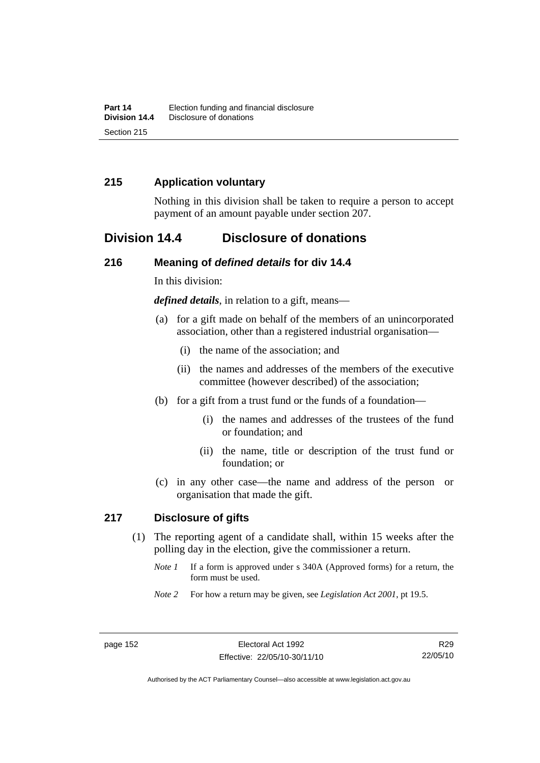## **215 Application voluntary**

Nothing in this division shall be taken to require a person to accept payment of an amount payable under section 207.

## **Division 14.4 Disclosure of donations**

### **216 Meaning of** *defined details* **for div 14.4**

In this division:

*defined details*, in relation to a gift, means—

- (a) for a gift made on behalf of the members of an unincorporated association, other than a registered industrial organisation—
	- (i) the name of the association; and
	- (ii) the names and addresses of the members of the executive committee (however described) of the association;
- (b) for a gift from a trust fund or the funds of a foundation—
	- (i) the names and addresses of the trustees of the fund or foundation; and
	- (ii) the name, title or description of the trust fund or foundation; or
- (c) in any other case—the name and address of the person or organisation that made the gift.

#### **217 Disclosure of gifts**

- (1) The reporting agent of a candidate shall, within 15 weeks after the polling day in the election, give the commissioner a return.
	- *Note 1* If a form is approved under s 340A (Approved forms) for a return, the form must be used.
	- *Note 2* For how a return may be given, see *Legislation Act 2001*, pt 19.5.

Authorised by the ACT Parliamentary Counsel—also accessible at www.legislation.act.gov.au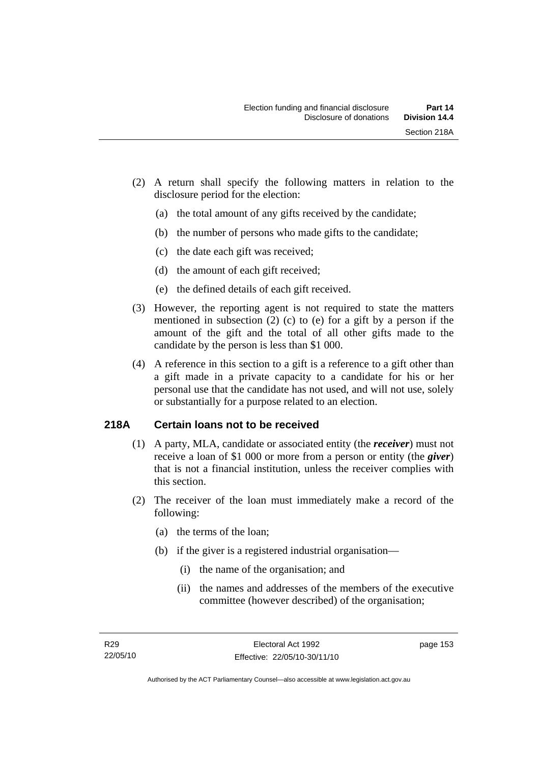- (2) A return shall specify the following matters in relation to the disclosure period for the election:
	- (a) the total amount of any gifts received by the candidate;
	- (b) the number of persons who made gifts to the candidate;
	- (c) the date each gift was received;
	- (d) the amount of each gift received;
	- (e) the defined details of each gift received.
- (3) However, the reporting agent is not required to state the matters mentioned in subsection (2) (c) to (e) for a gift by a person if the amount of the gift and the total of all other gifts made to the candidate by the person is less than \$1 000.
- (4) A reference in this section to a gift is a reference to a gift other than a gift made in a private capacity to a candidate for his or her personal use that the candidate has not used, and will not use, solely or substantially for a purpose related to an election.

## **218A Certain loans not to be received**

- (1) A party, MLA, candidate or associated entity (the *receiver*) must not receive a loan of \$1 000 or more from a person or entity (the *giver*) that is not a financial institution, unless the receiver complies with this section.
- (2) The receiver of the loan must immediately make a record of the following:
	- (a) the terms of the loan;
	- (b) if the giver is a registered industrial organisation—
		- (i) the name of the organisation; and
		- (ii) the names and addresses of the members of the executive committee (however described) of the organisation;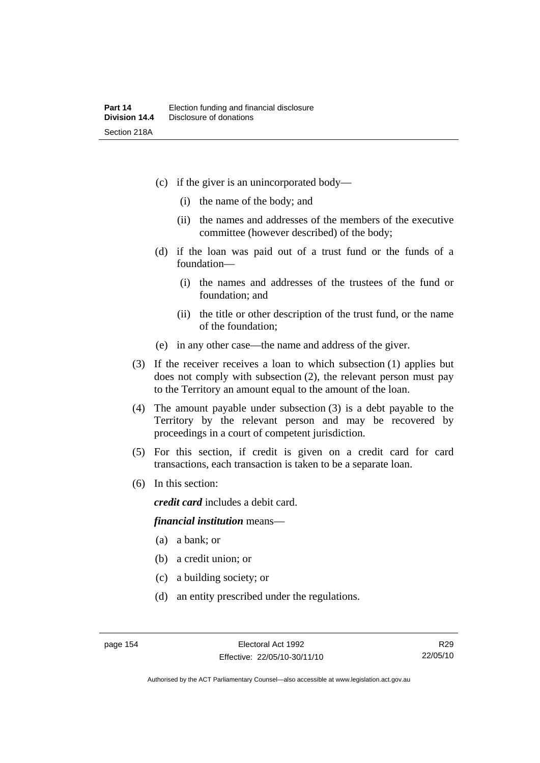- (c) if the giver is an unincorporated body—
	- (i) the name of the body; and
	- (ii) the names and addresses of the members of the executive committee (however described) of the body;
- (d) if the loan was paid out of a trust fund or the funds of a foundation—
	- (i) the names and addresses of the trustees of the fund or foundation; and
	- (ii) the title or other description of the trust fund, or the name of the foundation;
- (e) in any other case—the name and address of the giver.
- (3) If the receiver receives a loan to which subsection (1) applies but does not comply with subsection (2), the relevant person must pay to the Territory an amount equal to the amount of the loan.
- (4) The amount payable under subsection (3) is a debt payable to the Territory by the relevant person and may be recovered by proceedings in a court of competent jurisdiction.
- (5) For this section, if credit is given on a credit card for card transactions, each transaction is taken to be a separate loan.
- (6) In this section:

*credit card* includes a debit card.

#### *financial institution* means—

- (a) a bank; or
- (b) a credit union; or
- (c) a building society; or
- (d) an entity prescribed under the regulations.

Authorised by the ACT Parliamentary Counsel—also accessible at www.legislation.act.gov.au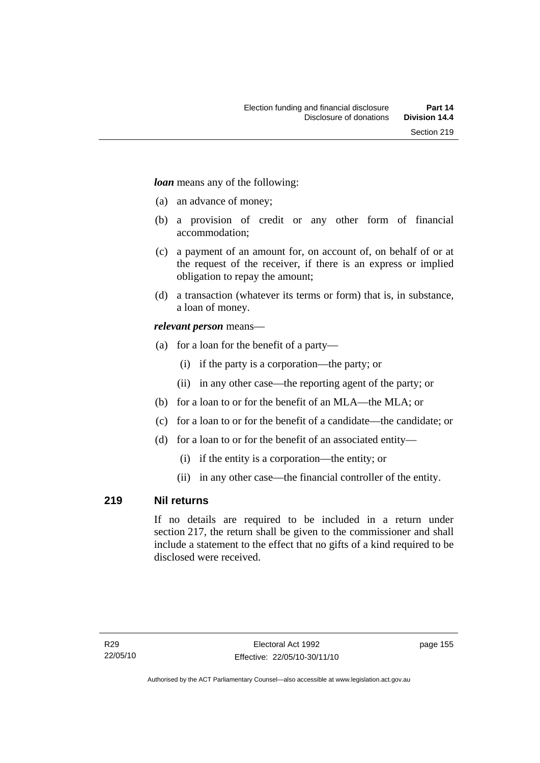*loan* means any of the following:

- (a) an advance of money;
- (b) a provision of credit or any other form of financial accommodation;
- (c) a payment of an amount for, on account of, on behalf of or at the request of the receiver, if there is an express or implied obligation to repay the amount;
- (d) a transaction (whatever its terms or form) that is, in substance, a loan of money.

## *relevant person* means—

- (a) for a loan for the benefit of a party—
	- (i) if the party is a corporation—the party; or
	- (ii) in any other case—the reporting agent of the party; or
- (b) for a loan to or for the benefit of an MLA—the MLA; or
- (c) for a loan to or for the benefit of a candidate—the candidate; or
- (d) for a loan to or for the benefit of an associated entity—
	- (i) if the entity is a corporation—the entity; or
	- (ii) in any other case—the financial controller of the entity.

## **219 Nil returns**

If no details are required to be included in a return under section 217, the return shall be given to the commissioner and shall include a statement to the effect that no gifts of a kind required to be disclosed were received.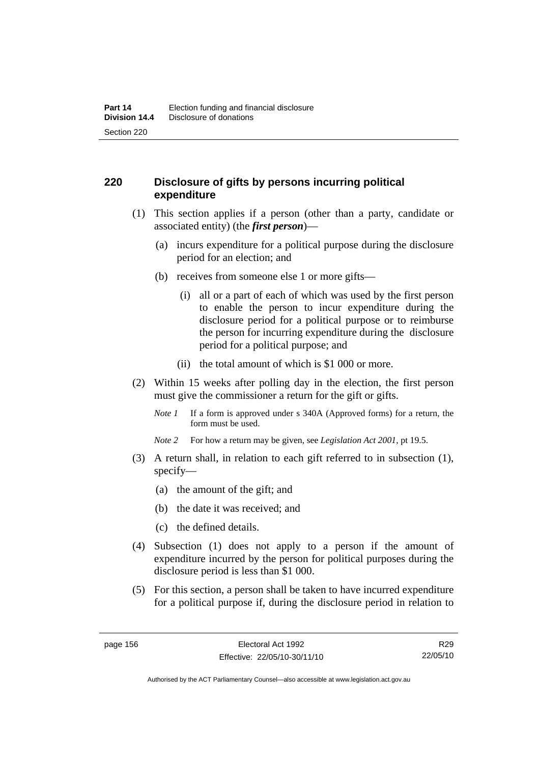## **220 Disclosure of gifts by persons incurring political expenditure**

- (1) This section applies if a person (other than a party, candidate or associated entity) (the *first person*)—
	- (a) incurs expenditure for a political purpose during the disclosure period for an election; and
	- (b) receives from someone else 1 or more gifts—
		- (i) all or a part of each of which was used by the first person to enable the person to incur expenditure during the disclosure period for a political purpose or to reimburse the person for incurring expenditure during the disclosure period for a political purpose; and
		- (ii) the total amount of which is \$1 000 or more.
- (2) Within 15 weeks after polling day in the election, the first person must give the commissioner a return for the gift or gifts.
	- *Note 1* If a form is approved under s 340A (Approved forms) for a return, the form must be used.
	- *Note 2* For how a return may be given, see *Legislation Act 2001*, pt 19.5.
- (3) A return shall, in relation to each gift referred to in subsection (1), specify—
	- (a) the amount of the gift; and
	- (b) the date it was received; and
	- (c) the defined details.
- (4) Subsection (1) does not apply to a person if the amount of expenditure incurred by the person for political purposes during the disclosure period is less than \$1 000.
- (5) For this section, a person shall be taken to have incurred expenditure for a political purpose if, during the disclosure period in relation to

R29 22/05/10

Authorised by the ACT Parliamentary Counsel—also accessible at www.legislation.act.gov.au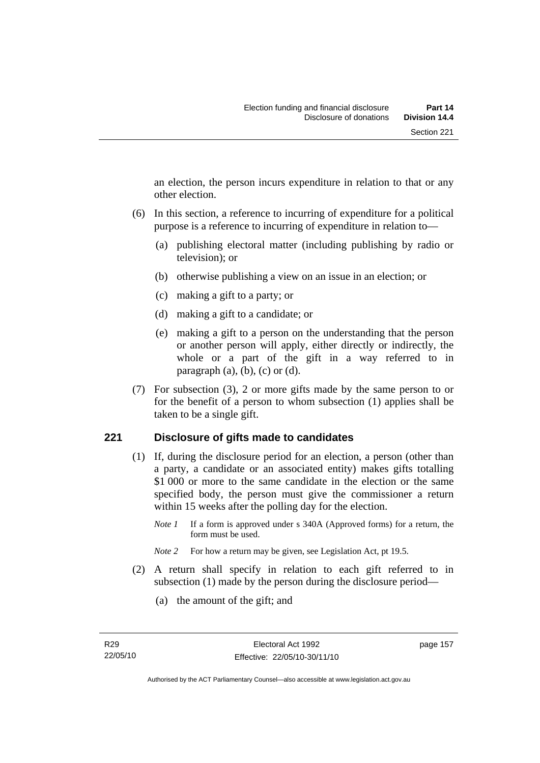an election, the person incurs expenditure in relation to that or any other election.

- (6) In this section, a reference to incurring of expenditure for a political purpose is a reference to incurring of expenditure in relation to—
	- (a) publishing electoral matter (including publishing by radio or television); or
	- (b) otherwise publishing a view on an issue in an election; or
	- (c) making a gift to a party; or
	- (d) making a gift to a candidate; or
	- (e) making a gift to a person on the understanding that the person or another person will apply, either directly or indirectly, the whole or a part of the gift in a way referred to in paragraph  $(a)$ ,  $(b)$ ,  $(c)$  or  $(d)$ .
- (7) For subsection (3), 2 or more gifts made by the same person to or for the benefit of a person to whom subsection (1) applies shall be taken to be a single gift.

## **221 Disclosure of gifts made to candidates**

- (1) If, during the disclosure period for an election, a person (other than a party, a candidate or an associated entity) makes gifts totalling \$1 000 or more to the same candidate in the election or the same specified body, the person must give the commissioner a return within 15 weeks after the polling day for the election.
	- *Note 1* If a form is approved under s 340A (Approved forms) for a return, the form must be used.
	- *Note* 2 For how a return may be given, see Legislation Act, pt 19.5.
- (2) A return shall specify in relation to each gift referred to in subsection (1) made by the person during the disclosure period—
	- (a) the amount of the gift; and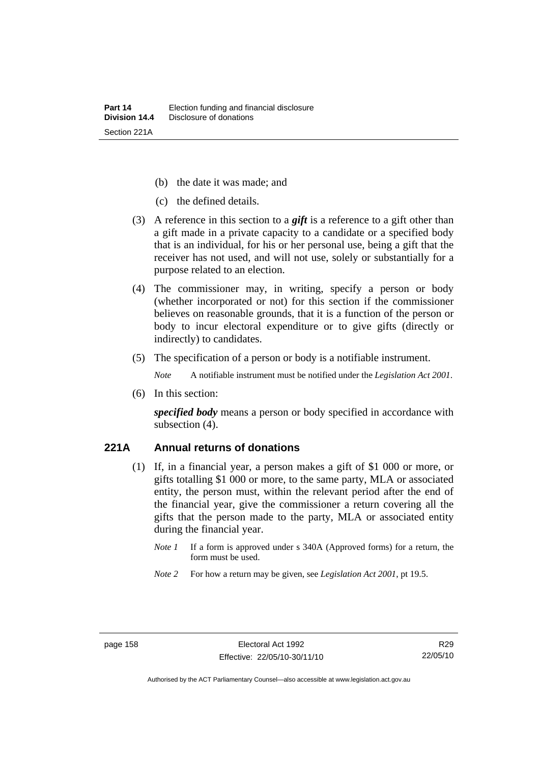- (b) the date it was made; and
- (c) the defined details.
- (3) A reference in this section to a *gift* is a reference to a gift other than a gift made in a private capacity to a candidate or a specified body that is an individual, for his or her personal use, being a gift that the receiver has not used, and will not use, solely or substantially for a purpose related to an election.
- (4) The commissioner may, in writing, specify a person or body (whether incorporated or not) for this section if the commissioner believes on reasonable grounds, that it is a function of the person or body to incur electoral expenditure or to give gifts (directly or indirectly) to candidates.
- (5) The specification of a person or body is a notifiable instrument.

*Note* A notifiable instrument must be notified under the *Legislation Act 2001*.

(6) In this section:

*specified body* means a person or body specified in accordance with subsection (4).

#### **221A Annual returns of donations**

- (1) If, in a financial year, a person makes a gift of \$1 000 or more, or gifts totalling \$1 000 or more, to the same party, MLA or associated entity, the person must, within the relevant period after the end of the financial year, give the commissioner a return covering all the gifts that the person made to the party, MLA or associated entity during the financial year.
	- *Note 1* If a form is approved under s 340A (Approved forms) for a return, the form must be used.
	- *Note 2* For how a return may be given, see *Legislation Act 2001*, pt 19.5.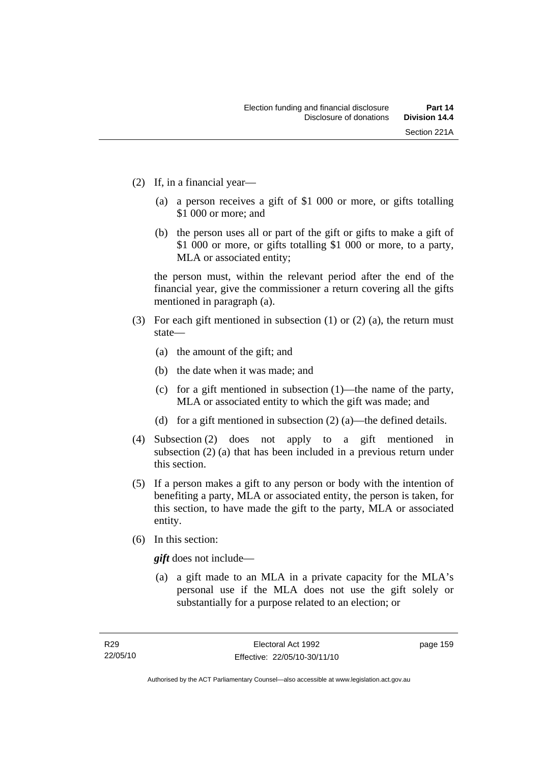- (2) If, in a financial year—
	- (a) a person receives a gift of \$1 000 or more, or gifts totalling \$1 000 or more; and
	- (b) the person uses all or part of the gift or gifts to make a gift of \$1 000 or more, or gifts totalling \$1 000 or more, to a party, MLA or associated entity;

the person must, within the relevant period after the end of the financial year, give the commissioner a return covering all the gifts mentioned in paragraph (a).

- (3) For each gift mentioned in subsection (1) or (2) (a), the return must state—
	- (a) the amount of the gift; and
	- (b) the date when it was made; and
	- (c) for a gift mentioned in subsection (1)—the name of the party, MLA or associated entity to which the gift was made; and
	- (d) for a gift mentioned in subsection (2) (a)—the defined details.
- (4) Subsection (2) does not apply to a gift mentioned in subsection (2) (a) that has been included in a previous return under this section.
- (5) If a person makes a gift to any person or body with the intention of benefiting a party, MLA or associated entity, the person is taken, for this section, to have made the gift to the party, MLA or associated entity.
- (6) In this section:

*gift* does not include—

 (a) a gift made to an MLA in a private capacity for the MLA's personal use if the MLA does not use the gift solely or substantially for a purpose related to an election; or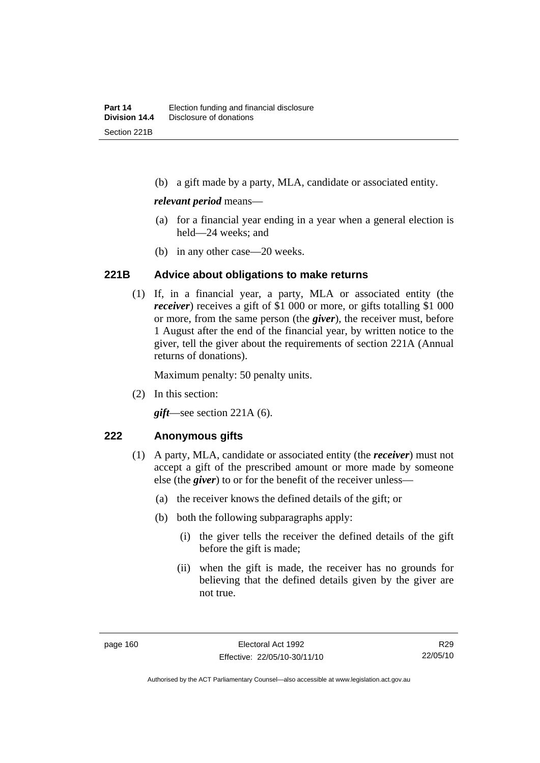(b) a gift made by a party, MLA, candidate or associated entity.

#### *relevant period* means—

- (a) for a financial year ending in a year when a general election is held—24 weeks; and
- (b) in any other case—20 weeks.

#### **221B Advice about obligations to make returns**

 (1) If, in a financial year, a party, MLA or associated entity (the *receiver*) receives a gift of \$1 000 or more, or gifts totalling \$1 000 or more, from the same person (the *giver*), the receiver must, before 1 August after the end of the financial year, by written notice to the giver, tell the giver about the requirements of section 221A (Annual returns of donations).

Maximum penalty: 50 penalty units.

(2) In this section:

*gift*—see section 221A (6).

## **222 Anonymous gifts**

- (1) A party, MLA, candidate or associated entity (the *receiver*) must not accept a gift of the prescribed amount or more made by someone else (the *giver*) to or for the benefit of the receiver unless—
	- (a) the receiver knows the defined details of the gift; or
	- (b) both the following subparagraphs apply:
		- (i) the giver tells the receiver the defined details of the gift before the gift is made;
		- (ii) when the gift is made, the receiver has no grounds for believing that the defined details given by the giver are not true.

Authorised by the ACT Parliamentary Counsel—also accessible at www.legislation.act.gov.au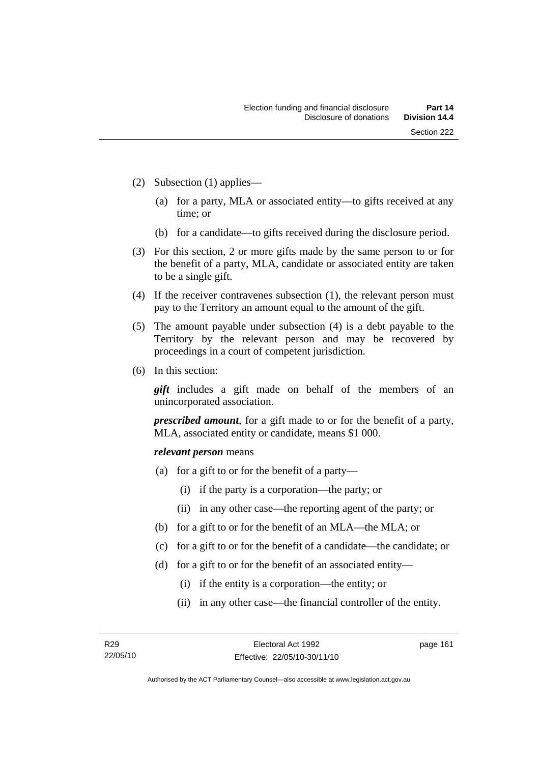- (2) Subsection (1) applies—
	- (a) for a party, MLA or associated entity—to gifts received at any time; or
	- (b) for a candidate—to gifts received during the disclosure period.
- (3) For this section, 2 or more gifts made by the same person to or for the benefit of a party, MLA, candidate or associated entity are taken to be a single gift.
- (4) If the receiver contravenes subsection (1), the relevant person must pay to the Territory an amount equal to the amount of the gift.
- (5) The amount payable under subsection (4) is a debt payable to the Territory by the relevant person and may be recovered by proceedings in a court of competent jurisdiction.
- (6) In this section:

*gift* includes a gift made on behalf of the members of an unincorporated association.

*prescribed amount*, for a gift made to or for the benefit of a party, MLA, associated entity or candidate, means \$1 000.

#### *relevant person* means

- (a) for a gift to or for the benefit of a party—
	- (i) if the party is a corporation—the party; or
	- (ii) in any other case—the reporting agent of the party; or
- (b) for a gift to or for the benefit of an MLA—the MLA; or
- (c) for a gift to or for the benefit of a candidate—the candidate; or
- (d) for a gift to or for the benefit of an associated entity—
	- (i) if the entity is a corporation—the entity; or
	- (ii) in any other case—the financial controller of the entity.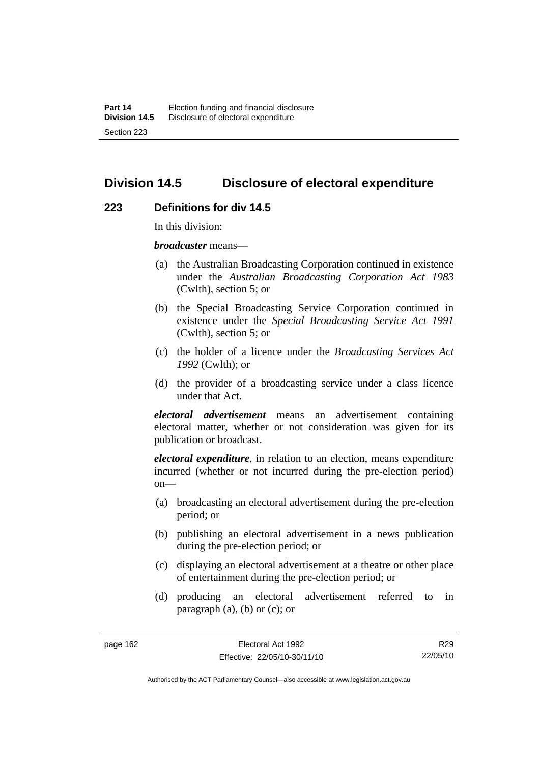## **Division 14.5 Disclosure of electoral expenditure**

#### **223 Definitions for div 14.5**

In this division:

*broadcaster* means—

- (a) the Australian Broadcasting Corporation continued in existence under the *Australian Broadcasting Corporation Act 1983* (Cwlth), section 5; or
- (b) the Special Broadcasting Service Corporation continued in existence under the *Special Broadcasting Service Act 1991*  (Cwlth), section 5; or
- (c) the holder of a licence under the *Broadcasting Services Act 1992* (Cwlth); or
- (d) the provider of a broadcasting service under a class licence under that Act.

*electoral advertisement* means an advertisement containing electoral matter, whether or not consideration was given for its publication or broadcast.

*electoral expenditure*, in relation to an election, means expenditure incurred (whether or not incurred during the pre-election period)  $on$ —

- (a) broadcasting an electoral advertisement during the pre-election period; or
- (b) publishing an electoral advertisement in a news publication during the pre-election period; or
- (c) displaying an electoral advertisement at a theatre or other place of entertainment during the pre-election period; or
- (d) producing an electoral advertisement referred to in paragraph  $(a)$ ,  $(b)$  or  $(c)$ ; or

R29 22/05/10

Authorised by the ACT Parliamentary Counsel—also accessible at www.legislation.act.gov.au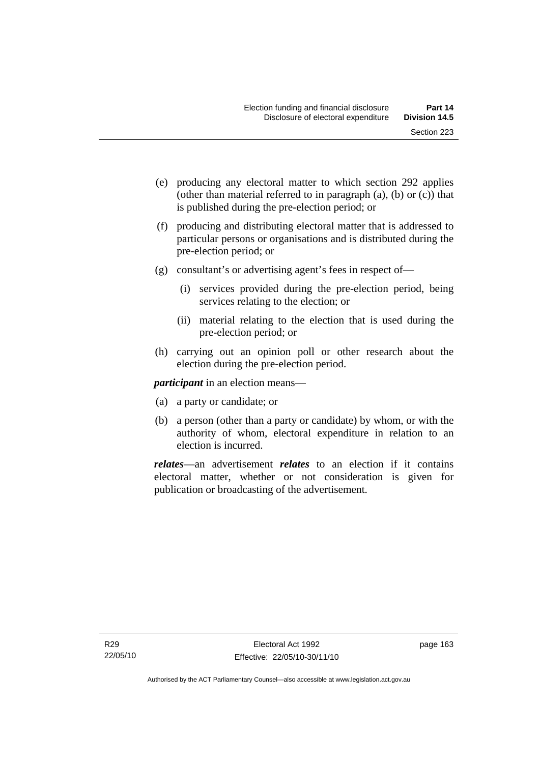- (e) producing any electoral matter to which section 292 applies (other than material referred to in paragraph (a), (b) or (c)) that is published during the pre-election period; or
- (f) producing and distributing electoral matter that is addressed to particular persons or organisations and is distributed during the pre-election period; or
- (g) consultant's or advertising agent's fees in respect of—
	- (i) services provided during the pre-election period, being services relating to the election; or
	- (ii) material relating to the election that is used during the pre-election period; or
- (h) carrying out an opinion poll or other research about the election during the pre-election period.

*participant* in an election means—

- (a) a party or candidate; or
- (b) a person (other than a party or candidate) by whom, or with the authority of whom, electoral expenditure in relation to an election is incurred.

*relates*—an advertisement *relates* to an election if it contains electoral matter, whether or not consideration is given for publication or broadcasting of the advertisement.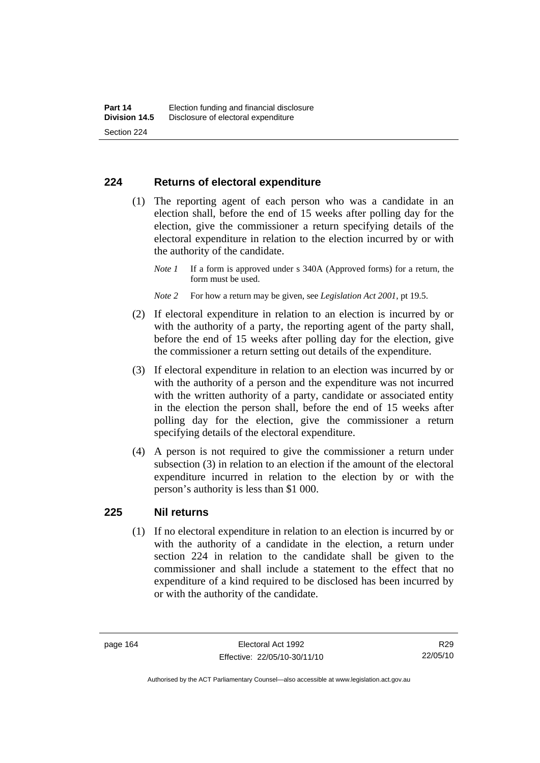#### **224 Returns of electoral expenditure**

 (1) The reporting agent of each person who was a candidate in an election shall, before the end of 15 weeks after polling day for the election, give the commissioner a return specifying details of the electoral expenditure in relation to the election incurred by or with the authority of the candidate.

- *Note 2* For how a return may be given, see *Legislation Act 2001*, pt 19.5.
- (2) If electoral expenditure in relation to an election is incurred by or with the authority of a party, the reporting agent of the party shall, before the end of 15 weeks after polling day for the election, give the commissioner a return setting out details of the expenditure.
- (3) If electoral expenditure in relation to an election was incurred by or with the authority of a person and the expenditure was not incurred with the written authority of a party, candidate or associated entity in the election the person shall, before the end of 15 weeks after polling day for the election, give the commissioner a return specifying details of the electoral expenditure.
- (4) A person is not required to give the commissioner a return under subsection (3) in relation to an election if the amount of the electoral expenditure incurred in relation to the election by or with the person's authority is less than \$1 000.

#### **225 Nil returns**

 (1) If no electoral expenditure in relation to an election is incurred by or with the authority of a candidate in the election, a return under section 224 in relation to the candidate shall be given to the commissioner and shall include a statement to the effect that no expenditure of a kind required to be disclosed has been incurred by or with the authority of the candidate.

*Note 1* If a form is approved under s 340A (Approved forms) for a return, the form must be used.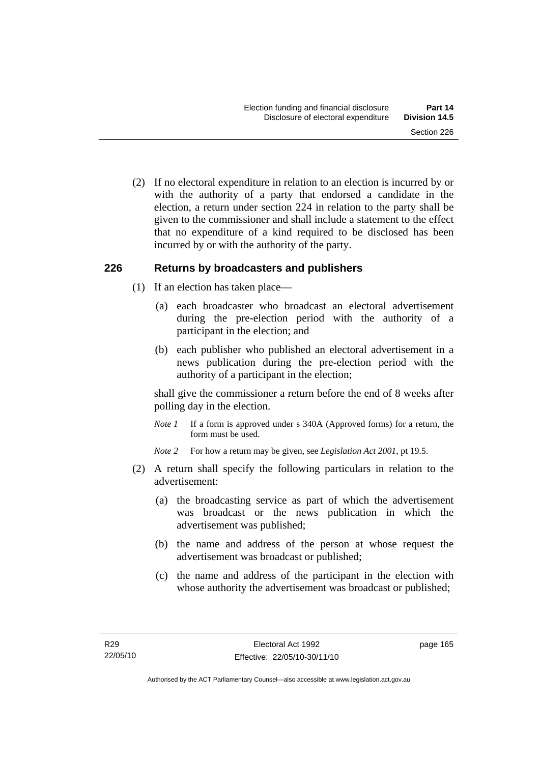(2) If no electoral expenditure in relation to an election is incurred by or with the authority of a party that endorsed a candidate in the election, a return under section 224 in relation to the party shall be given to the commissioner and shall include a statement to the effect that no expenditure of a kind required to be disclosed has been incurred by or with the authority of the party.

#### **226 Returns by broadcasters and publishers**

- (1) If an election has taken place—
	- (a) each broadcaster who broadcast an electoral advertisement during the pre-election period with the authority of a participant in the election; and
	- (b) each publisher who published an electoral advertisement in a news publication during the pre-election period with the authority of a participant in the election;

shall give the commissioner a return before the end of 8 weeks after polling day in the election.

*Note 1* If a form is approved under s 340A (Approved forms) for a return, the form must be used.

*Note 2* For how a return may be given, see *Legislation Act 2001*, pt 19.5.

- (2) A return shall specify the following particulars in relation to the advertisement:
	- (a) the broadcasting service as part of which the advertisement was broadcast or the news publication in which the advertisement was published;
	- (b) the name and address of the person at whose request the advertisement was broadcast or published;
	- (c) the name and address of the participant in the election with whose authority the advertisement was broadcast or published;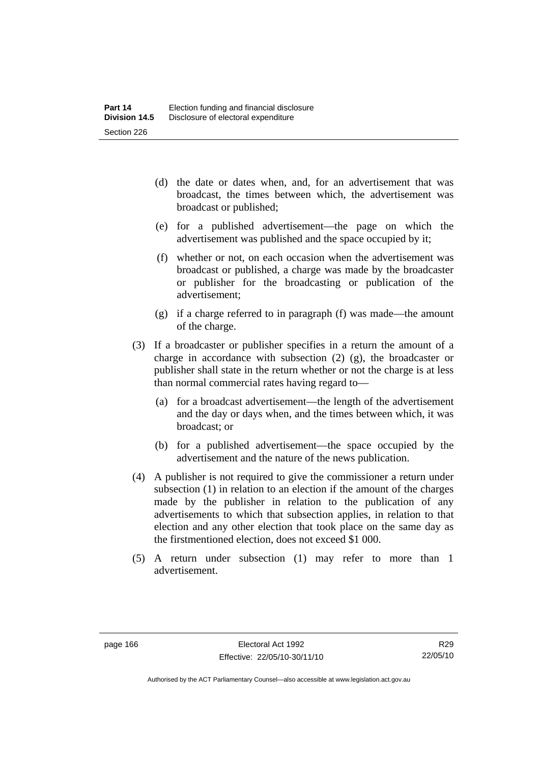- (d) the date or dates when, and, for an advertisement that was broadcast, the times between which, the advertisement was broadcast or published;
- (e) for a published advertisement—the page on which the advertisement was published and the space occupied by it;
- (f) whether or not, on each occasion when the advertisement was broadcast or published, a charge was made by the broadcaster or publisher for the broadcasting or publication of the advertisement;
- (g) if a charge referred to in paragraph (f) was made—the amount of the charge.
- (3) If a broadcaster or publisher specifies in a return the amount of a charge in accordance with subsection (2) (g), the broadcaster or publisher shall state in the return whether or not the charge is at less than normal commercial rates having regard to—
	- (a) for a broadcast advertisement—the length of the advertisement and the day or days when, and the times between which, it was broadcast; or
	- (b) for a published advertisement—the space occupied by the advertisement and the nature of the news publication.
- (4) A publisher is not required to give the commissioner a return under subsection (1) in relation to an election if the amount of the charges made by the publisher in relation to the publication of any advertisements to which that subsection applies, in relation to that election and any other election that took place on the same day as the firstmentioned election, does not exceed \$1 000.
- (5) A return under subsection (1) may refer to more than 1 advertisement.

Authorised by the ACT Parliamentary Counsel—also accessible at www.legislation.act.gov.au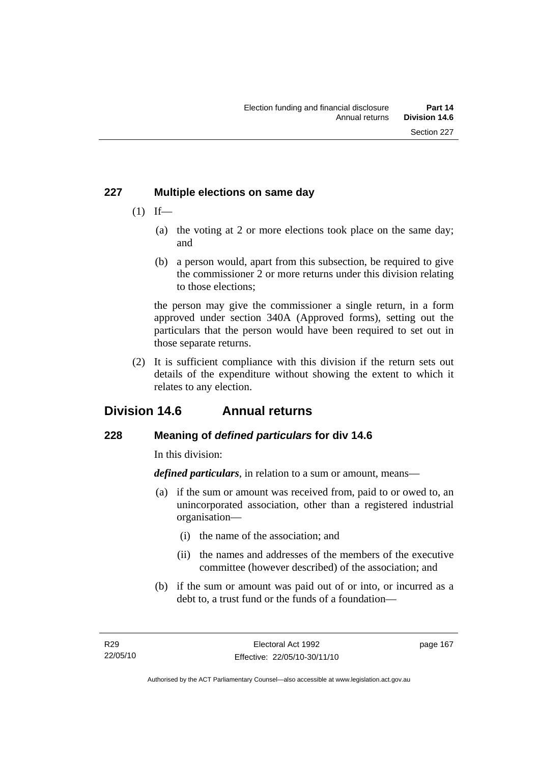## **227 Multiple elections on same day**

- $(1)$  If—
	- (a) the voting at 2 or more elections took place on the same day; and
	- (b) a person would, apart from this subsection, be required to give the commissioner 2 or more returns under this division relating to those elections;

the person may give the commissioner a single return, in a form approved under section 340A (Approved forms), setting out the particulars that the person would have been required to set out in those separate returns.

 (2) It is sufficient compliance with this division if the return sets out details of the expenditure without showing the extent to which it relates to any election.

# **Division 14.6 Annual returns**

## **228 Meaning of** *defined particulars* **for div 14.6**

In this division:

*defined particulars*, in relation to a sum or amount, means—

- (a) if the sum or amount was received from, paid to or owed to, an unincorporated association, other than a registered industrial organisation—
	- (i) the name of the association; and
	- (ii) the names and addresses of the members of the executive committee (however described) of the association; and
- (b) if the sum or amount was paid out of or into, or incurred as a debt to, a trust fund or the funds of a foundation—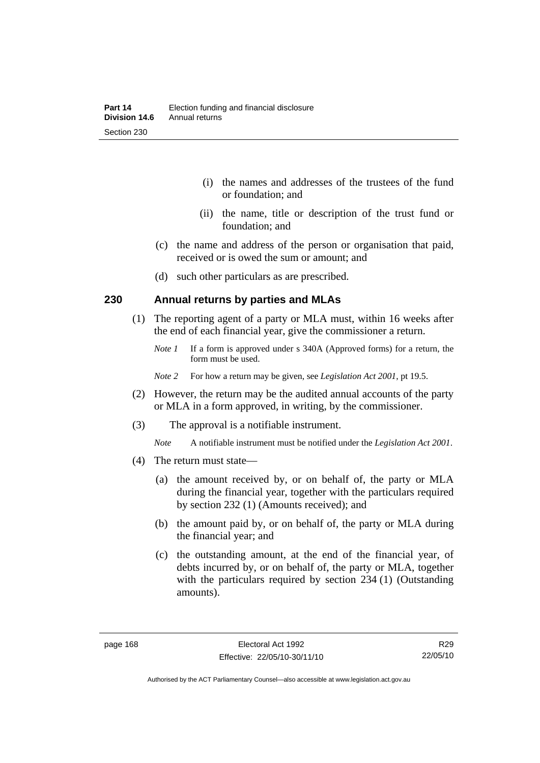- (i) the names and addresses of the trustees of the fund or foundation; and
- (ii) the name, title or description of the trust fund or foundation; and
- (c) the name and address of the person or organisation that paid, received or is owed the sum or amount; and
- (d) such other particulars as are prescribed.

#### **230 Annual returns by parties and MLAs**

- (1) The reporting agent of a party or MLA must, within 16 weeks after the end of each financial year, give the commissioner a return.
	- *Note 1* If a form is approved under s 340A (Approved forms) for a return, the form must be used.
	- *Note 2* For how a return may be given, see *Legislation Act 2001*, pt 19.5.
- (2) However, the return may be the audited annual accounts of the party or MLA in a form approved, in writing, by the commissioner.
- (3) The approval is a notifiable instrument.
	- *Note* A notifiable instrument must be notified under the *Legislation Act 2001*.
- (4) The return must state—
	- (a) the amount received by, or on behalf of, the party or MLA during the financial year, together with the particulars required by section 232 (1) (Amounts received); and
	- (b) the amount paid by, or on behalf of, the party or MLA during the financial year; and
	- (c) the outstanding amount, at the end of the financial year, of debts incurred by, or on behalf of, the party or MLA, together with the particulars required by section 234 (1) (Outstanding amounts).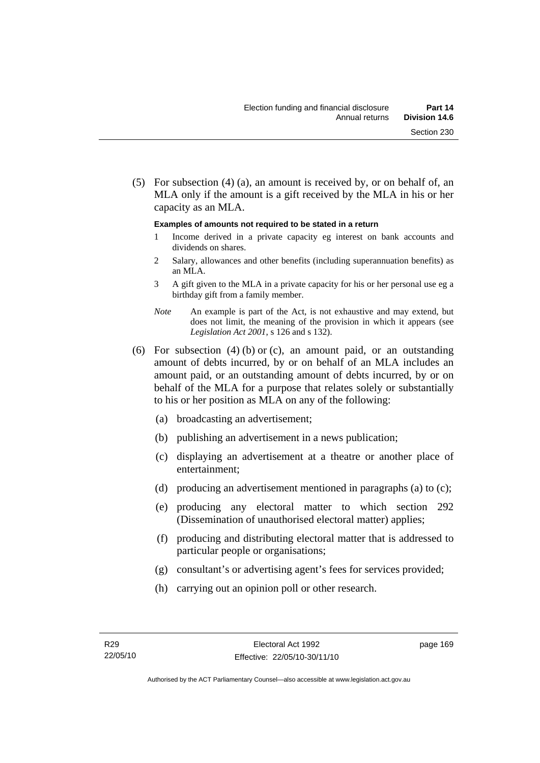(5) For subsection (4) (a), an amount is received by, or on behalf of, an MLA only if the amount is a gift received by the MLA in his or her capacity as an MLA.

#### **Examples of amounts not required to be stated in a return**

- 1 Income derived in a private capacity eg interest on bank accounts and dividends on shares.
- 2 Salary, allowances and other benefits (including superannuation benefits) as an MLA.
- 3 A gift given to the MLA in a private capacity for his or her personal use eg a birthday gift from a family member.
- *Note* An example is part of the Act, is not exhaustive and may extend, but does not limit, the meaning of the provision in which it appears (see *Legislation Act 2001*, s 126 and s 132).
- (6) For subsection (4) (b) or (c), an amount paid, or an outstanding amount of debts incurred, by or on behalf of an MLA includes an amount paid, or an outstanding amount of debts incurred, by or on behalf of the MLA for a purpose that relates solely or substantially to his or her position as MLA on any of the following:
	- (a) broadcasting an advertisement;
	- (b) publishing an advertisement in a news publication;
	- (c) displaying an advertisement at a theatre or another place of entertainment;
	- (d) producing an advertisement mentioned in paragraphs (a) to (c);
	- (e) producing any electoral matter to which section 292 (Dissemination of unauthorised electoral matter) applies;
	- (f) producing and distributing electoral matter that is addressed to particular people or organisations;
	- (g) consultant's or advertising agent's fees for services provided;
	- (h) carrying out an opinion poll or other research.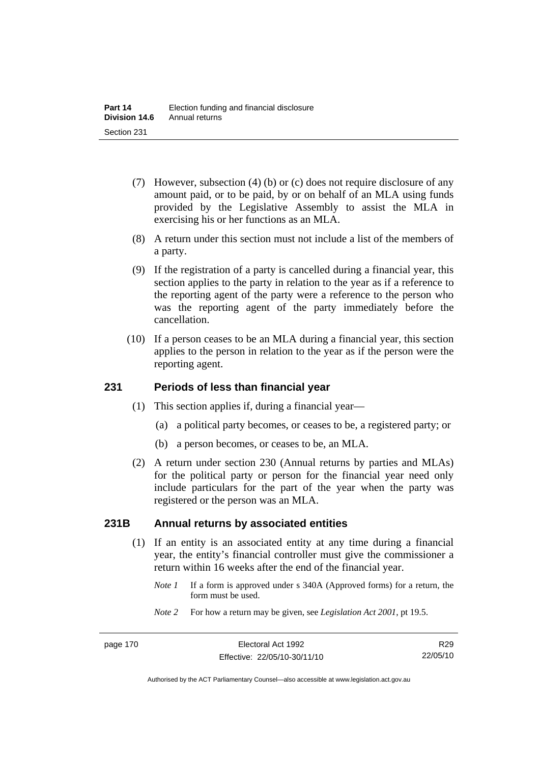- (7) However, subsection (4) (b) or (c) does not require disclosure of any amount paid, or to be paid, by or on behalf of an MLA using funds provided by the Legislative Assembly to assist the MLA in exercising his or her functions as an MLA.
- (8) A return under this section must not include a list of the members of a party.
- (9) If the registration of a party is cancelled during a financial year, this section applies to the party in relation to the year as if a reference to the reporting agent of the party were a reference to the person who was the reporting agent of the party immediately before the cancellation.
- (10) If a person ceases to be an MLA during a financial year, this section applies to the person in relation to the year as if the person were the reporting agent.

#### **231 Periods of less than financial year**

- (1) This section applies if, during a financial year—
	- (a) a political party becomes, or ceases to be, a registered party; or
	- (b) a person becomes, or ceases to be, an MLA.
- (2) A return under section 230 (Annual returns by parties and MLAs) for the political party or person for the financial year need only include particulars for the part of the year when the party was registered or the person was an MLA.

#### **231B Annual returns by associated entities**

- (1) If an entity is an associated entity at any time during a financial year, the entity's financial controller must give the commissioner a return within 16 weeks after the end of the financial year.
	- *Note 1* If a form is approved under s 340A (Approved forms) for a return, the form must be used.
	- *Note 2* For how a return may be given, see *Legislation Act 2001*, pt 19.5.

Authorised by the ACT Parliamentary Counsel—also accessible at www.legislation.act.gov.au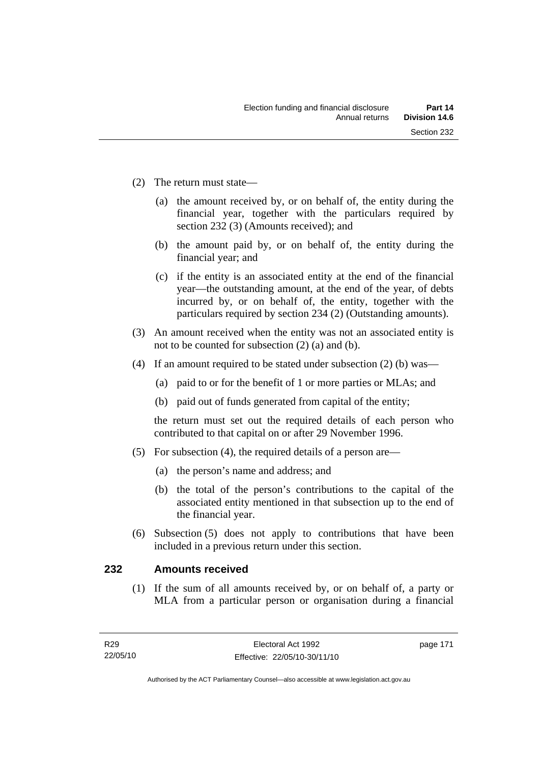- (2) The return must state—
	- (a) the amount received by, or on behalf of, the entity during the financial year, together with the particulars required by section 232 (3) (Amounts received); and
	- (b) the amount paid by, or on behalf of, the entity during the financial year; and
	- (c) if the entity is an associated entity at the end of the financial year—the outstanding amount, at the end of the year, of debts incurred by, or on behalf of, the entity, together with the particulars required by section 234 (2) (Outstanding amounts).
- (3) An amount received when the entity was not an associated entity is not to be counted for subsection (2) (a) and (b).
- (4) If an amount required to be stated under subsection (2) (b) was—
	- (a) paid to or for the benefit of 1 or more parties or MLAs; and
	- (b) paid out of funds generated from capital of the entity;

the return must set out the required details of each person who contributed to that capital on or after 29 November 1996.

- (5) For subsection (4), the required details of a person are—
	- (a) the person's name and address; and
	- (b) the total of the person's contributions to the capital of the associated entity mentioned in that subsection up to the end of the financial year.
- (6) Subsection (5) does not apply to contributions that have been included in a previous return under this section.

#### **232 Amounts received**

 (1) If the sum of all amounts received by, or on behalf of, a party or MLA from a particular person or organisation during a financial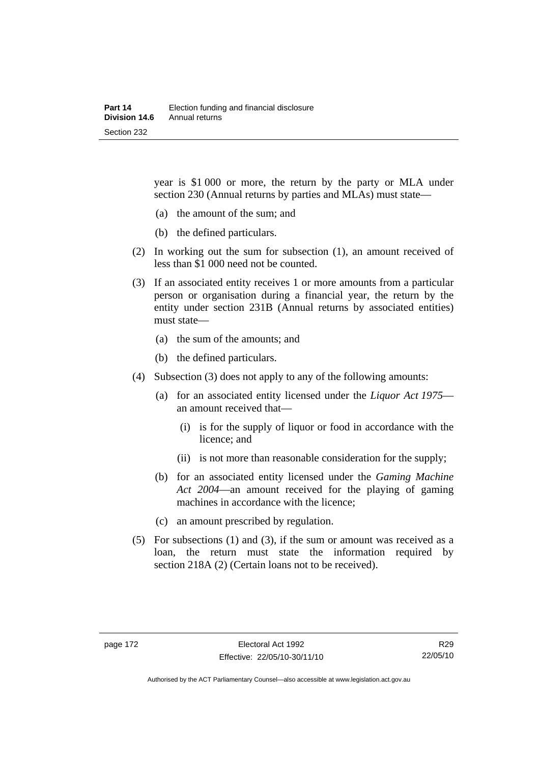year is \$1 000 or more, the return by the party or MLA under section 230 (Annual returns by parties and MLAs) must state—

- (a) the amount of the sum; and
- (b) the defined particulars.
- (2) In working out the sum for subsection (1), an amount received of less than \$1 000 need not be counted.
- (3) If an associated entity receives 1 or more amounts from a particular person or organisation during a financial year, the return by the entity under section 231B (Annual returns by associated entities) must state—
	- (a) the sum of the amounts; and
	- (b) the defined particulars.
- (4) Subsection (3) does not apply to any of the following amounts:
	- (a) for an associated entity licensed under the *Liquor Act 1975* an amount received that—
		- (i) is for the supply of liquor or food in accordance with the licence; and
		- (ii) is not more than reasonable consideration for the supply;
	- (b) for an associated entity licensed under the *Gaming Machine Act 2004*—an amount received for the playing of gaming machines in accordance with the licence;
	- (c) an amount prescribed by regulation.
- (5) For subsections (1) and (3), if the sum or amount was received as a loan, the return must state the information required by section 218A (2) (Certain loans not to be received).

Authorised by the ACT Parliamentary Counsel—also accessible at www.legislation.act.gov.au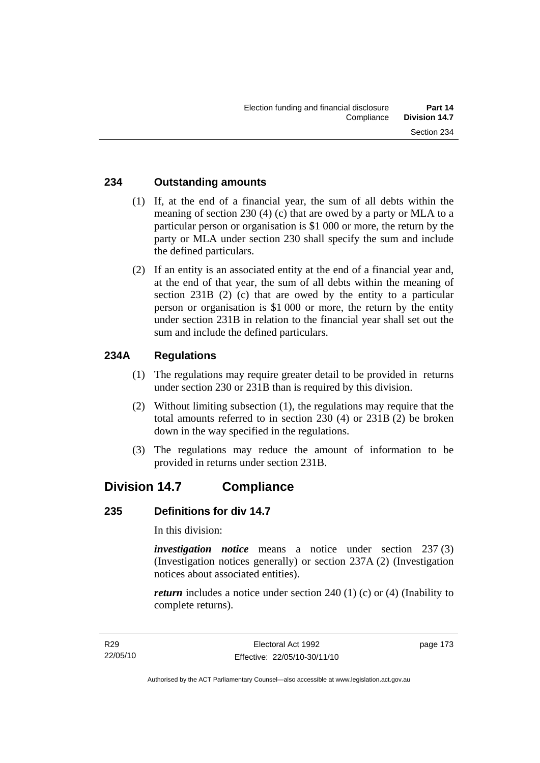#### **234 Outstanding amounts**

- (1) If, at the end of a financial year, the sum of all debts within the meaning of section 230 (4) (c) that are owed by a party or MLA to a particular person or organisation is \$1 000 or more, the return by the party or MLA under section 230 shall specify the sum and include the defined particulars.
- (2) If an entity is an associated entity at the end of a financial year and, at the end of that year, the sum of all debts within the meaning of section 231B (2) (c) that are owed by the entity to a particular person or organisation is \$1 000 or more, the return by the entity under section 231B in relation to the financial year shall set out the sum and include the defined particulars.

## **234A Regulations**

- (1) The regulations may require greater detail to be provided in returns under section 230 or 231B than is required by this division.
- (2) Without limiting subsection (1), the regulations may require that the total amounts referred to in section 230 (4) or 231B (2) be broken down in the way specified in the regulations.
- (3) The regulations may reduce the amount of information to be provided in returns under section 231B.

# **Division 14.7 Compliance**

#### **235 Definitions for div 14.7**

In this division:

*investigation notice* means a notice under section 237 (3) (Investigation notices generally) or section 237A (2) (Investigation notices about associated entities).

*return* includes a notice under section 240 (1) (c) or (4) (Inability to complete returns).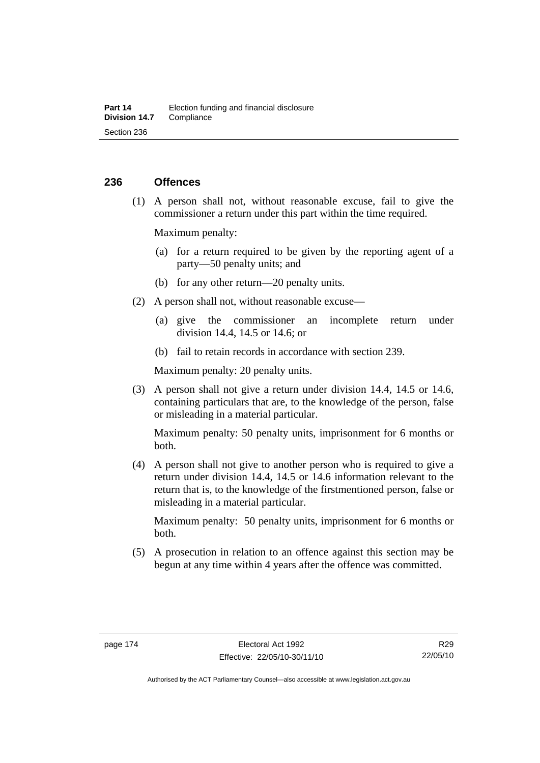#### **236 Offences**

 (1) A person shall not, without reasonable excuse, fail to give the commissioner a return under this part within the time required.

Maximum penalty:

- (a) for a return required to be given by the reporting agent of a party—50 penalty units; and
- (b) for any other return—20 penalty units.
- (2) A person shall not, without reasonable excuse—
	- (a) give the commissioner an incomplete return under division 14.4, 14.5 or 14.6; or
	- (b) fail to retain records in accordance with section 239.

Maximum penalty: 20 penalty units.

 (3) A person shall not give a return under division 14.4, 14.5 or 14.6, containing particulars that are, to the knowledge of the person, false or misleading in a material particular.

Maximum penalty: 50 penalty units, imprisonment for 6 months or both.

 (4) A person shall not give to another person who is required to give a return under division 14.4, 14.5 or 14.6 information relevant to the return that is, to the knowledge of the firstmentioned person, false or misleading in a material particular.

Maximum penalty: 50 penalty units, imprisonment for 6 months or both.

 (5) A prosecution in relation to an offence against this section may be begun at any time within 4 years after the offence was committed.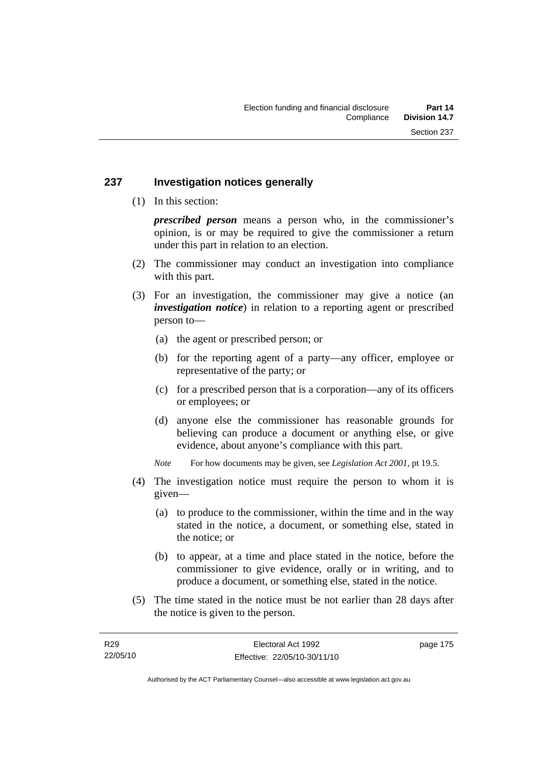#### **237 Investigation notices generally**

(1) In this section:

*prescribed person* means a person who, in the commissioner's opinion, is or may be required to give the commissioner a return under this part in relation to an election.

- (2) The commissioner may conduct an investigation into compliance with this part.
- (3) For an investigation, the commissioner may give a notice (an *investigation notice*) in relation to a reporting agent or prescribed person to—
	- (a) the agent or prescribed person; or
	- (b) for the reporting agent of a party—any officer, employee or representative of the party; or
	- (c) for a prescribed person that is a corporation—any of its officers or employees; or
	- (d) anyone else the commissioner has reasonable grounds for believing can produce a document or anything else, or give evidence, about anyone's compliance with this part.
	- *Note* For how documents may be given, see *Legislation Act 2001*, pt 19.5.
- (4) The investigation notice must require the person to whom it is given—
	- (a) to produce to the commissioner, within the time and in the way stated in the notice, a document, or something else, stated in the notice; or
	- (b) to appear, at a time and place stated in the notice, before the commissioner to give evidence, orally or in writing, and to produce a document, or something else, stated in the notice.
- (5) The time stated in the notice must be not earlier than 28 days after the notice is given to the person.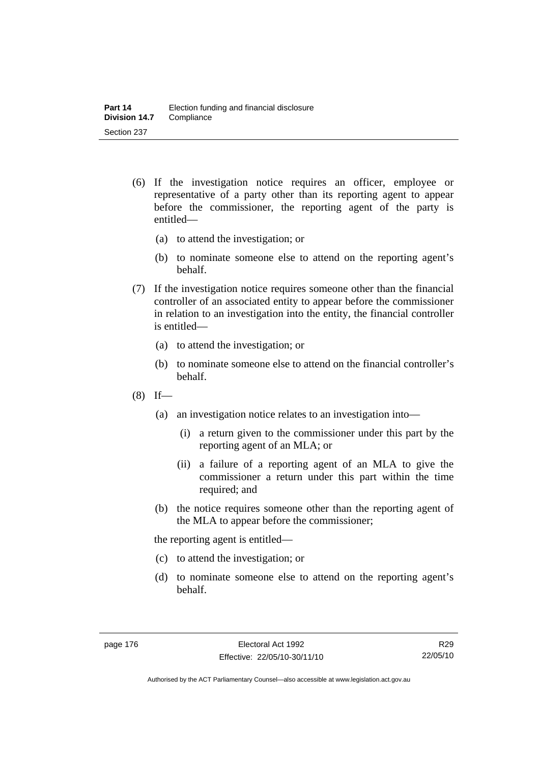- (6) If the investigation notice requires an officer, employee or representative of a party other than its reporting agent to appear before the commissioner, the reporting agent of the party is entitled—
	- (a) to attend the investigation; or
	- (b) to nominate someone else to attend on the reporting agent's behalf.
- (7) If the investigation notice requires someone other than the financial controller of an associated entity to appear before the commissioner in relation to an investigation into the entity, the financial controller is entitled—
	- (a) to attend the investigation; or
	- (b) to nominate someone else to attend on the financial controller's behalf.
- $(8)$  If—
	- (a) an investigation notice relates to an investigation into—
		- (i) a return given to the commissioner under this part by the reporting agent of an MLA; or
		- (ii) a failure of a reporting agent of an MLA to give the commissioner a return under this part within the time required; and
	- (b) the notice requires someone other than the reporting agent of the MLA to appear before the commissioner;

the reporting agent is entitled—

- (c) to attend the investigation; or
- (d) to nominate someone else to attend on the reporting agent's behalf.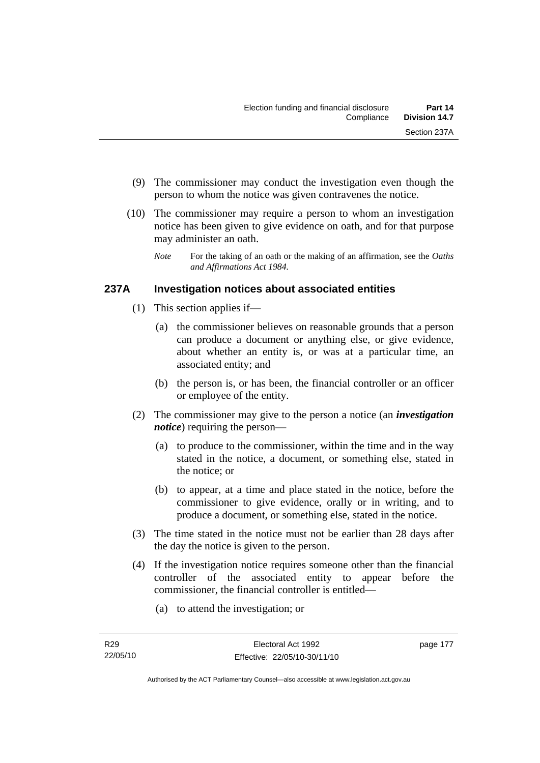- (9) The commissioner may conduct the investigation even though the person to whom the notice was given contravenes the notice.
- (10) The commissioner may require a person to whom an investigation notice has been given to give evidence on oath, and for that purpose may administer an oath.
	- *Note* For the taking of an oath or the making of an affirmation, see the *Oaths and Affirmations Act 1984.*

## **237A Investigation notices about associated entities**

- (1) This section applies if—
	- (a) the commissioner believes on reasonable grounds that a person can produce a document or anything else, or give evidence, about whether an entity is, or was at a particular time, an associated entity; and
	- (b) the person is, or has been, the financial controller or an officer or employee of the entity.
- (2) The commissioner may give to the person a notice (an *investigation notice*) requiring the person—
	- (a) to produce to the commissioner, within the time and in the way stated in the notice, a document, or something else, stated in the notice; or
	- (b) to appear, at a time and place stated in the notice, before the commissioner to give evidence, orally or in writing, and to produce a document, or something else, stated in the notice.
- (3) The time stated in the notice must not be earlier than 28 days after the day the notice is given to the person.
- (4) If the investigation notice requires someone other than the financial controller of the associated entity to appear before the commissioner, the financial controller is entitled—
	- (a) to attend the investigation; or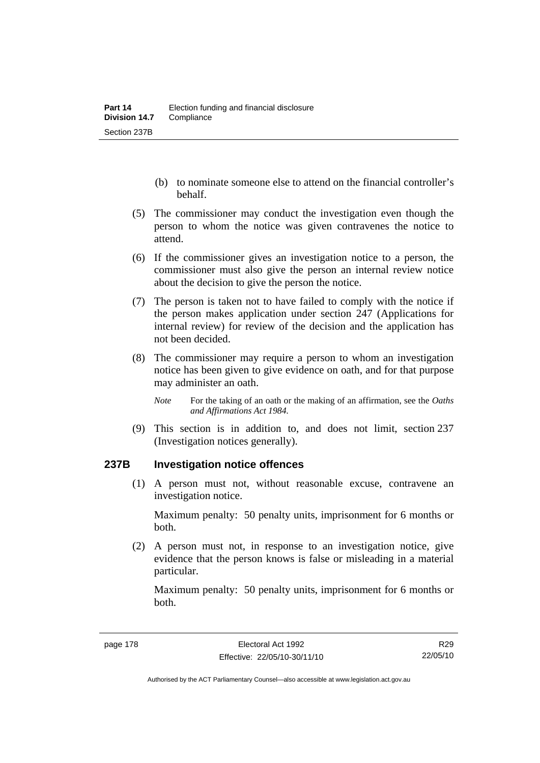- (b) to nominate someone else to attend on the financial controller's behalf.
- (5) The commissioner may conduct the investigation even though the person to whom the notice was given contravenes the notice to attend.
- (6) If the commissioner gives an investigation notice to a person, the commissioner must also give the person an internal review notice about the decision to give the person the notice.
- (7) The person is taken not to have failed to comply with the notice if the person makes application under section 247 (Applications for internal review) for review of the decision and the application has not been decided.
- (8) The commissioner may require a person to whom an investigation notice has been given to give evidence on oath, and for that purpose may administer an oath.
	- *Note* For the taking of an oath or the making of an affirmation, see the *Oaths and Affirmations Act 1984.*
- (9) This section is in addition to, and does not limit, section 237 (Investigation notices generally).

#### **237B Investigation notice offences**

 (1) A person must not, without reasonable excuse, contravene an investigation notice.

Maximum penalty: 50 penalty units, imprisonment for 6 months or both.

 (2) A person must not, in response to an investigation notice, give evidence that the person knows is false or misleading in a material particular.

Maximum penalty: 50 penalty units, imprisonment for 6 months or both.

R29 22/05/10

Authorised by the ACT Parliamentary Counsel—also accessible at www.legislation.act.gov.au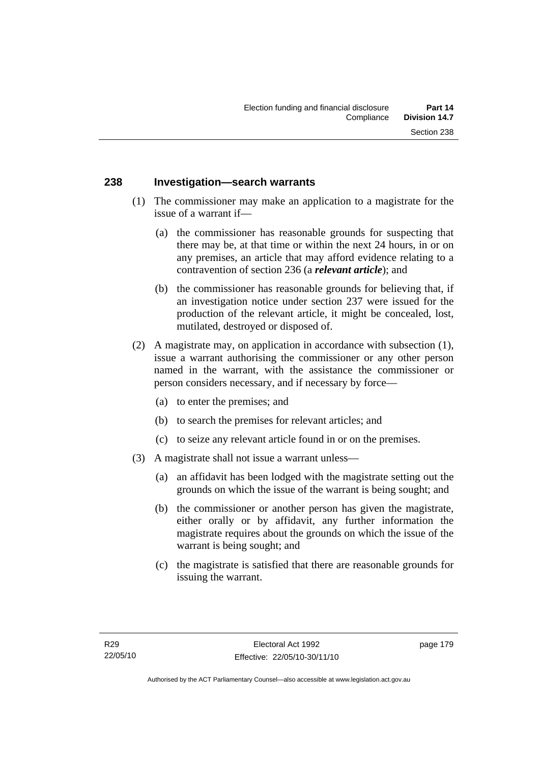#### **238 Investigation—search warrants**

- (1) The commissioner may make an application to a magistrate for the issue of a warrant if—
	- (a) the commissioner has reasonable grounds for suspecting that there may be, at that time or within the next 24 hours, in or on any premises, an article that may afford evidence relating to a contravention of section 236 (a *relevant article*); and
	- (b) the commissioner has reasonable grounds for believing that, if an investigation notice under section 237 were issued for the production of the relevant article, it might be concealed, lost, mutilated, destroyed or disposed of.
- (2) A magistrate may, on application in accordance with subsection (1), issue a warrant authorising the commissioner or any other person named in the warrant, with the assistance the commissioner or person considers necessary, and if necessary by force—
	- (a) to enter the premises; and
	- (b) to search the premises for relevant articles; and
	- (c) to seize any relevant article found in or on the premises.
- (3) A magistrate shall not issue a warrant unless—
	- (a) an affidavit has been lodged with the magistrate setting out the grounds on which the issue of the warrant is being sought; and
	- (b) the commissioner or another person has given the magistrate, either orally or by affidavit, any further information the magistrate requires about the grounds on which the issue of the warrant is being sought; and
	- (c) the magistrate is satisfied that there are reasonable grounds for issuing the warrant.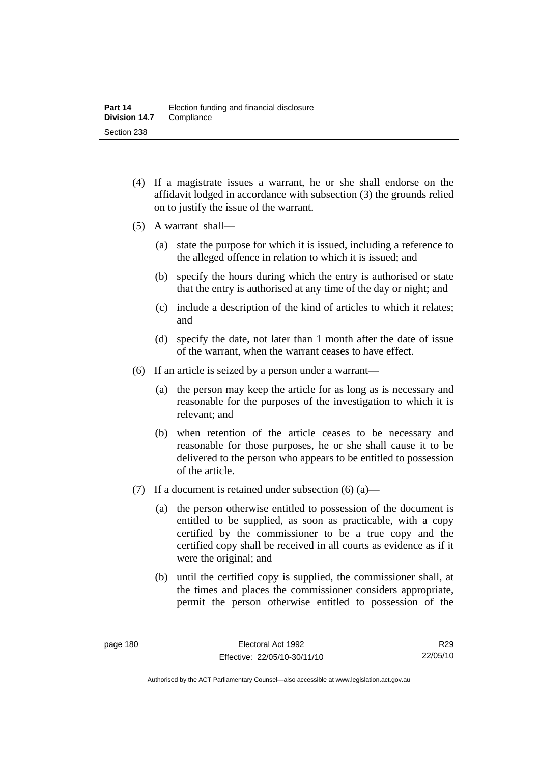- (4) If a magistrate issues a warrant, he or she shall endorse on the affidavit lodged in accordance with subsection (3) the grounds relied on to justify the issue of the warrant.
- (5) A warrant shall—
	- (a) state the purpose for which it is issued, including a reference to the alleged offence in relation to which it is issued; and
	- (b) specify the hours during which the entry is authorised or state that the entry is authorised at any time of the day or night; and
	- (c) include a description of the kind of articles to which it relates; and
	- (d) specify the date, not later than 1 month after the date of issue of the warrant, when the warrant ceases to have effect.
- (6) If an article is seized by a person under a warrant—
	- (a) the person may keep the article for as long as is necessary and reasonable for the purposes of the investigation to which it is relevant; and
	- (b) when retention of the article ceases to be necessary and reasonable for those purposes, he or she shall cause it to be delivered to the person who appears to be entitled to possession of the article.
- (7) If a document is retained under subsection  $(6)$  (a)—
	- (a) the person otherwise entitled to possession of the document is entitled to be supplied, as soon as practicable, with a copy certified by the commissioner to be a true copy and the certified copy shall be received in all courts as evidence as if it were the original; and
	- (b) until the certified copy is supplied, the commissioner shall, at the times and places the commissioner considers appropriate, permit the person otherwise entitled to possession of the

R29 22/05/10

Authorised by the ACT Parliamentary Counsel—also accessible at www.legislation.act.gov.au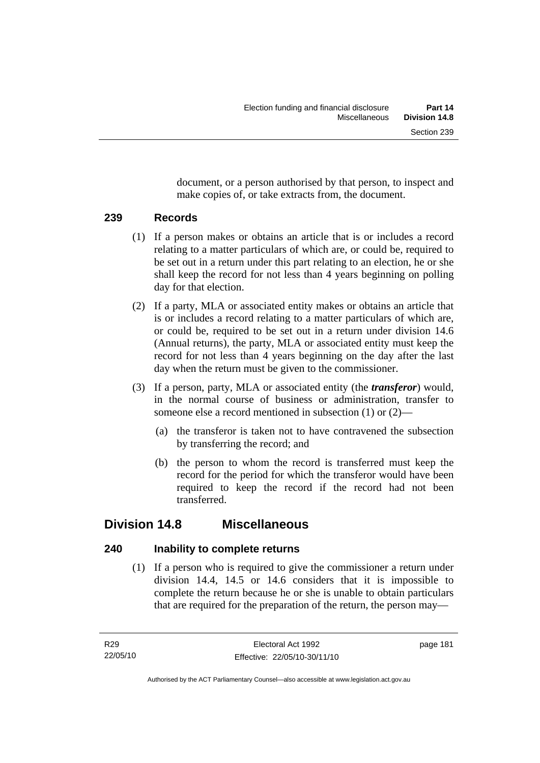document, or a person authorised by that person, to inspect and make copies of, or take extracts from, the document.

## **239 Records**

- (1) If a person makes or obtains an article that is or includes a record relating to a matter particulars of which are, or could be, required to be set out in a return under this part relating to an election, he or she shall keep the record for not less than 4 years beginning on polling day for that election.
- (2) If a party, MLA or associated entity makes or obtains an article that is or includes a record relating to a matter particulars of which are, or could be, required to be set out in a return under division 14.6 (Annual returns), the party, MLA or associated entity must keep the record for not less than 4 years beginning on the day after the last day when the return must be given to the commissioner.
- (3) If a person, party, MLA or associated entity (the *transferor*) would, in the normal course of business or administration, transfer to someone else a record mentioned in subsection (1) or (2)—
	- (a) the transferor is taken not to have contravened the subsection by transferring the record; and
	- (b) the person to whom the record is transferred must keep the record for the period for which the transferor would have been required to keep the record if the record had not been transferred.

# **Division 14.8 Miscellaneous**

## **240 Inability to complete returns**

 (1) If a person who is required to give the commissioner a return under division 14.4, 14.5 or 14.6 considers that it is impossible to complete the return because he or she is unable to obtain particulars that are required for the preparation of the return, the person may—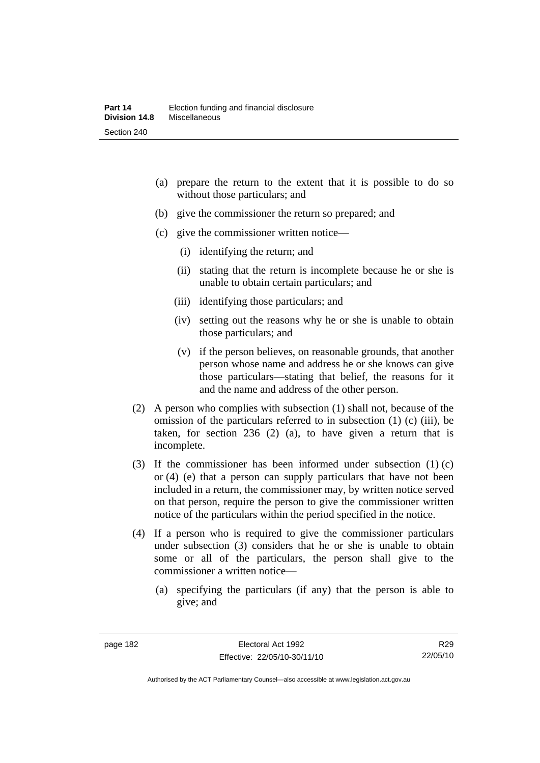- (a) prepare the return to the extent that it is possible to do so without those particulars; and
- (b) give the commissioner the return so prepared; and
- (c) give the commissioner written notice—
	- (i) identifying the return; and
	- (ii) stating that the return is incomplete because he or she is unable to obtain certain particulars; and
	- (iii) identifying those particulars; and
	- (iv) setting out the reasons why he or she is unable to obtain those particulars; and
	- (v) if the person believes, on reasonable grounds, that another person whose name and address he or she knows can give those particulars—stating that belief, the reasons for it and the name and address of the other person.
- (2) A person who complies with subsection (1) shall not, because of the omission of the particulars referred to in subsection (1) (c) (iii), be taken, for section 236 (2) (a), to have given a return that is incomplete.
- (3) If the commissioner has been informed under subsection (1) (c) or (4) (e) that a person can supply particulars that have not been included in a return, the commissioner may, by written notice served on that person, require the person to give the commissioner written notice of the particulars within the period specified in the notice.
- (4) If a person who is required to give the commissioner particulars under subsection (3) considers that he or she is unable to obtain some or all of the particulars, the person shall give to the commissioner a written notice—
	- (a) specifying the particulars (if any) that the person is able to give; and

R29 22/05/10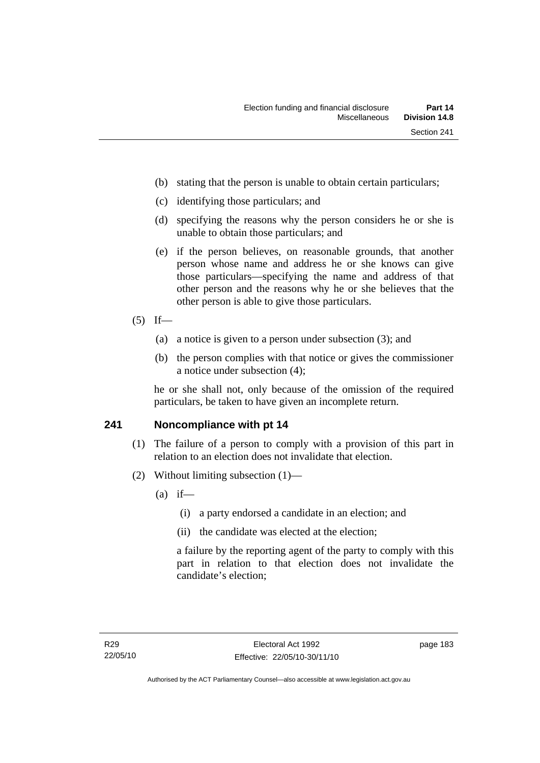- (b) stating that the person is unable to obtain certain particulars;
- (c) identifying those particulars; and
- (d) specifying the reasons why the person considers he or she is unable to obtain those particulars; and
- (e) if the person believes, on reasonable grounds, that another person whose name and address he or she knows can give those particulars—specifying the name and address of that other person and the reasons why he or she believes that the other person is able to give those particulars.
- $(5)$  If—
	- (a) a notice is given to a person under subsection (3); and
	- (b) the person complies with that notice or gives the commissioner a notice under subsection (4);

he or she shall not, only because of the omission of the required particulars, be taken to have given an incomplete return.

#### **241 Noncompliance with pt 14**

- (1) The failure of a person to comply with a provision of this part in relation to an election does not invalidate that election.
- (2) Without limiting subsection (1)—
	- $(a)$  if—
		- (i) a party endorsed a candidate in an election; and
		- (ii) the candidate was elected at the election;

a failure by the reporting agent of the party to comply with this part in relation to that election does not invalidate the candidate's election;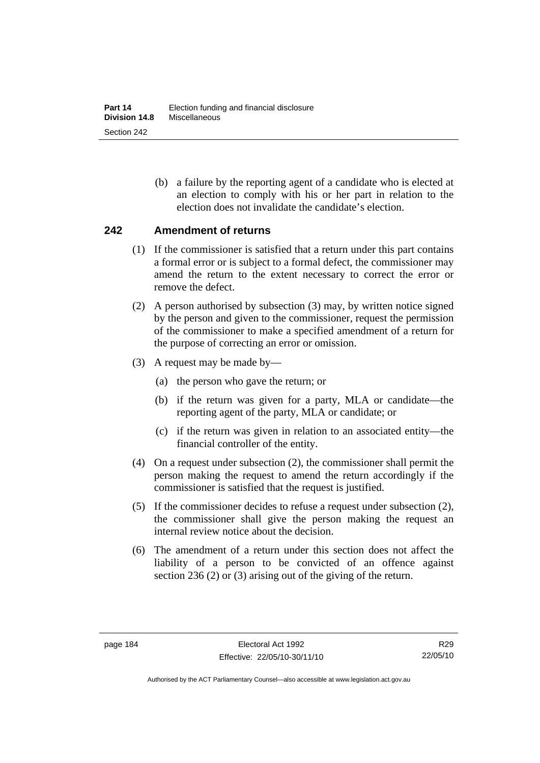(b) a failure by the reporting agent of a candidate who is elected at an election to comply with his or her part in relation to the election does not invalidate the candidate's election.

#### **242 Amendment of returns**

- (1) If the commissioner is satisfied that a return under this part contains a formal error or is subject to a formal defect, the commissioner may amend the return to the extent necessary to correct the error or remove the defect.
- (2) A person authorised by subsection (3) may, by written notice signed by the person and given to the commissioner, request the permission of the commissioner to make a specified amendment of a return for the purpose of correcting an error or omission.
- (3) A request may be made by—
	- (a) the person who gave the return; or
	- (b) if the return was given for a party, MLA or candidate—the reporting agent of the party, MLA or candidate; or
	- (c) if the return was given in relation to an associated entity—the financial controller of the entity.
- (4) On a request under subsection (2), the commissioner shall permit the person making the request to amend the return accordingly if the commissioner is satisfied that the request is justified.
- (5) If the commissioner decides to refuse a request under subsection (2), the commissioner shall give the person making the request an internal review notice about the decision.
- (6) The amendment of a return under this section does not affect the liability of a person to be convicted of an offence against section 236 (2) or (3) arising out of the giving of the return.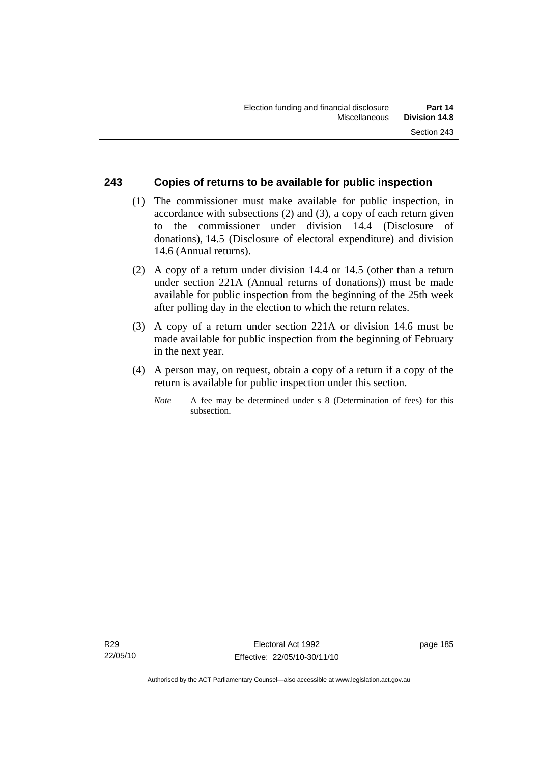#### **243 Copies of returns to be available for public inspection**

- (1) The commissioner must make available for public inspection, in accordance with subsections (2) and (3), a copy of each return given to the commissioner under division 14.4 (Disclosure of donations), 14.5 (Disclosure of electoral expenditure) and division 14.6 (Annual returns).
- (2) A copy of a return under division 14.4 or 14.5 (other than a return under section 221A (Annual returns of donations)) must be made available for public inspection from the beginning of the 25th week after polling day in the election to which the return relates.
- (3) A copy of a return under section 221A or division 14.6 must be made available for public inspection from the beginning of February in the next year.
- (4) A person may, on request, obtain a copy of a return if a copy of the return is available for public inspection under this section.
	- *Note* A fee may be determined under s 8 (Determination of fees) for this subsection.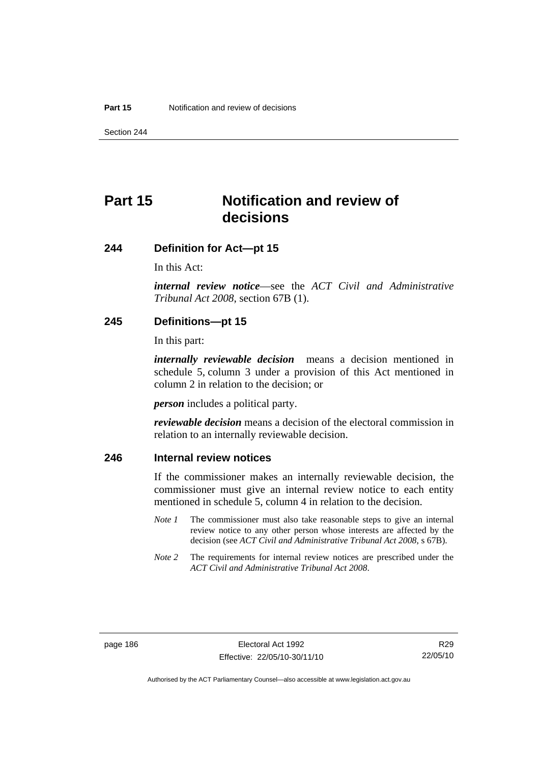Section 244

# **Part 15 Notification and review of decisions**

#### **244 Definition for Act—pt 15**

In this Act:

*internal review notice*—see the *ACT Civil and Administrative Tribunal Act 2008*, section 67B (1).

#### **245 Definitions—pt 15**

In this part:

*internally reviewable decision* means a decision mentioned in schedule 5, column 3 under a provision of this Act mentioned in column 2 in relation to the decision; or

*person* includes a political party.

*reviewable decision* means a decision of the electoral commission in relation to an internally reviewable decision.

#### **246 Internal review notices**

If the commissioner makes an internally reviewable decision, the commissioner must give an internal review notice to each entity mentioned in schedule 5, column 4 in relation to the decision.

- *Note 1* The commissioner must also take reasonable steps to give an internal review notice to any other person whose interests are affected by the decision (see *ACT Civil and Administrative Tribunal Act 2008*, s 67B).
- *Note* 2 The requirements for internal review notices are prescribed under the *ACT Civil and Administrative Tribunal Act 2008*.

Authorised by the ACT Parliamentary Counsel—also accessible at www.legislation.act.gov.au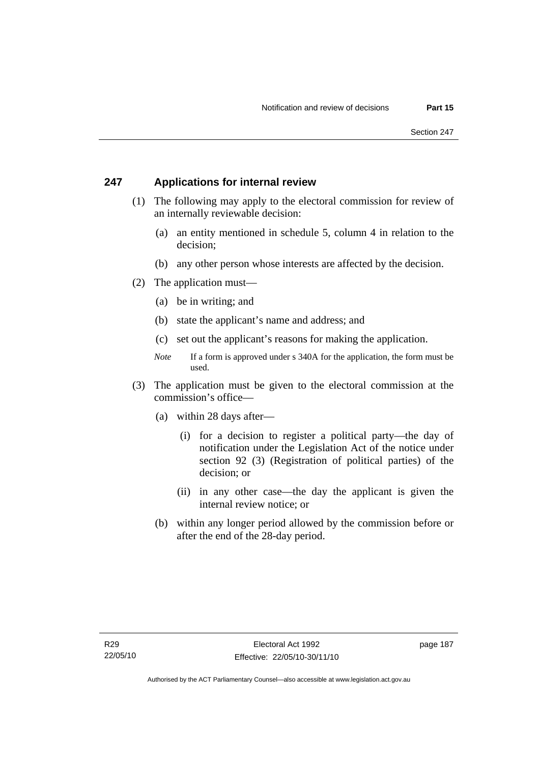#### **247 Applications for internal review**

- (1) The following may apply to the electoral commission for review of an internally reviewable decision:
	- (a) an entity mentioned in schedule 5, column 4 in relation to the decision;
	- (b) any other person whose interests are affected by the decision.
- (2) The application must—
	- (a) be in writing; and
	- (b) state the applicant's name and address; and
	- (c) set out the applicant's reasons for making the application.
	- *Note* If a form is approved under s 340A for the application, the form must be used.
- (3) The application must be given to the electoral commission at the commission's office—
	- (a) within 28 days after—
		- (i) for a decision to register a political party—the day of notification under the Legislation Act of the notice under section 92 (3) (Registration of political parties) of the decision; or
		- (ii) in any other case—the day the applicant is given the internal review notice; or
	- (b) within any longer period allowed by the commission before or after the end of the 28-day period.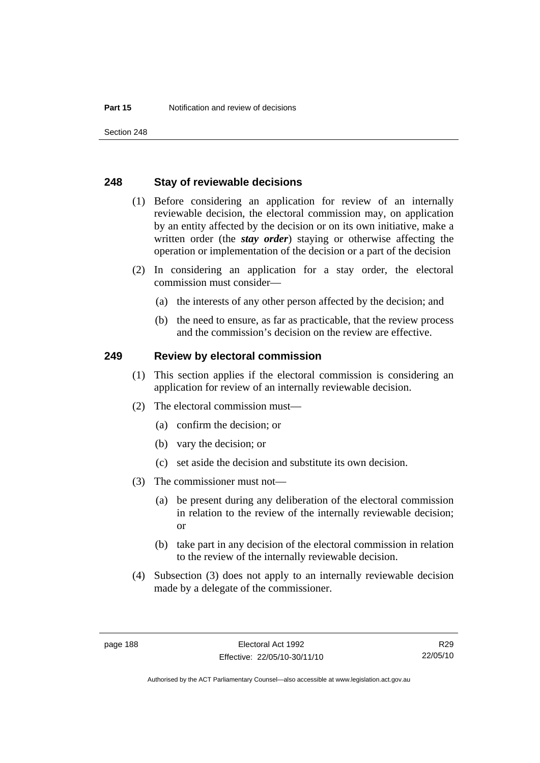Section 248

#### **248 Stay of reviewable decisions**

- (1) Before considering an application for review of an internally reviewable decision, the electoral commission may, on application by an entity affected by the decision or on its own initiative, make a written order (the *stay order*) staying or otherwise affecting the operation or implementation of the decision or a part of the decision
- (2) In considering an application for a stay order, the electoral commission must consider—
	- (a) the interests of any other person affected by the decision; and
	- (b) the need to ensure, as far as practicable, that the review process and the commission's decision on the review are effective.

#### **249 Review by electoral commission**

- (1) This section applies if the electoral commission is considering an application for review of an internally reviewable decision.
- (2) The electoral commission must—
	- (a) confirm the decision; or
	- (b) vary the decision; or
	- (c) set aside the decision and substitute its own decision.
- (3) The commissioner must not—
	- (a) be present during any deliberation of the electoral commission in relation to the review of the internally reviewable decision; or
	- (b) take part in any decision of the electoral commission in relation to the review of the internally reviewable decision.
- (4) Subsection (3) does not apply to an internally reviewable decision made by a delegate of the commissioner.

R29 22/05/10

Authorised by the ACT Parliamentary Counsel—also accessible at www.legislation.act.gov.au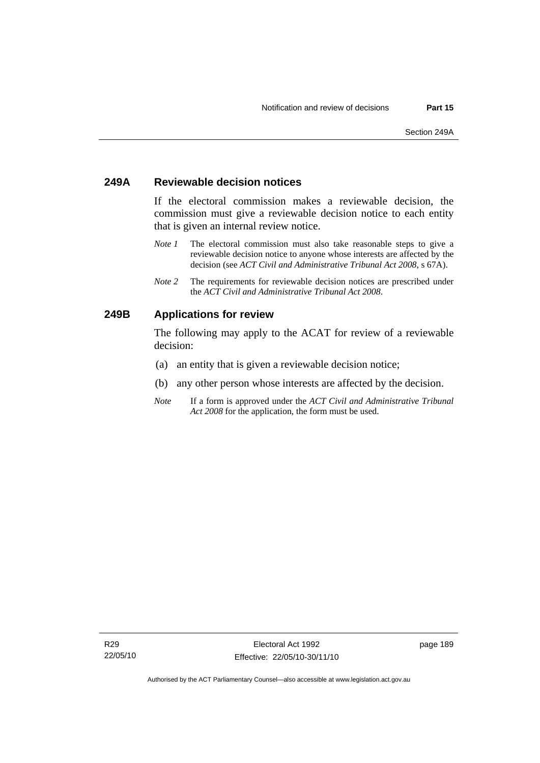#### **249A Reviewable decision notices**

If the electoral commission makes a reviewable decision, the commission must give a reviewable decision notice to each entity that is given an internal review notice.

- *Note 1* The electoral commission must also take reasonable steps to give a reviewable decision notice to anyone whose interests are affected by the decision (see *ACT Civil and Administrative Tribunal Act 2008*, s 67A).
- *Note 2* The requirements for reviewable decision notices are prescribed under the *ACT Civil and Administrative Tribunal Act 2008*.

#### **249B Applications for review**

The following may apply to the ACAT for review of a reviewable decision:

- (a) an entity that is given a reviewable decision notice;
- (b) any other person whose interests are affected by the decision.
- *Note* If a form is approved under the *ACT Civil and Administrative Tribunal Act 2008* for the application, the form must be used.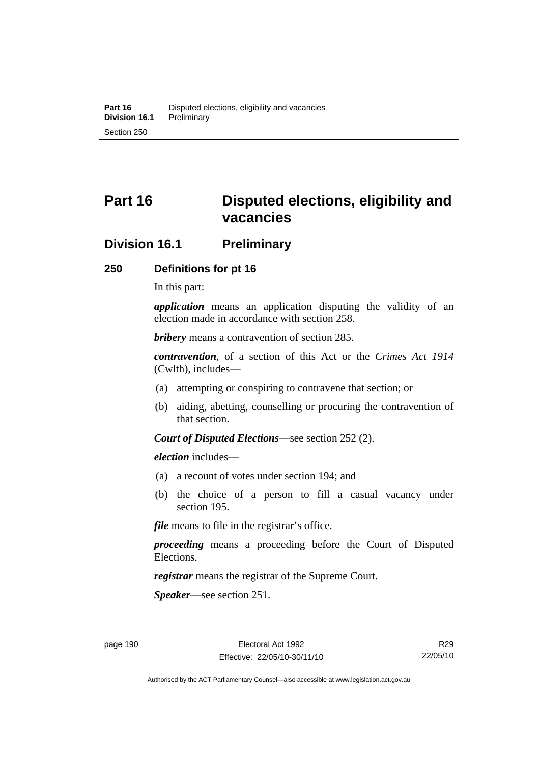# **Part 16 Disputed elections, eligibility and vacancies**

## **Division 16.1 Preliminary**

#### **250 Definitions for pt 16**

In this part:

*application* means an application disputing the validity of an election made in accordance with section 258.

*bribery* means a contravention of section 285.

*contravention*, of a section of this Act or the *Crimes Act 1914* (Cwlth), includes—

- (a) attempting or conspiring to contravene that section; or
- (b) aiding, abetting, counselling or procuring the contravention of that section.

*Court of Disputed Elections*—see section 252 (2).

*election* includes—

- (a) a recount of votes under section 194; and
- (b) the choice of a person to fill a casual vacancy under section 195.

*file* means to file in the registrar's office.

*proceeding* means a proceeding before the Court of Disputed Elections.

*registrar* means the registrar of the Supreme Court.

*Speaker*—see section 251.

R29 22/05/10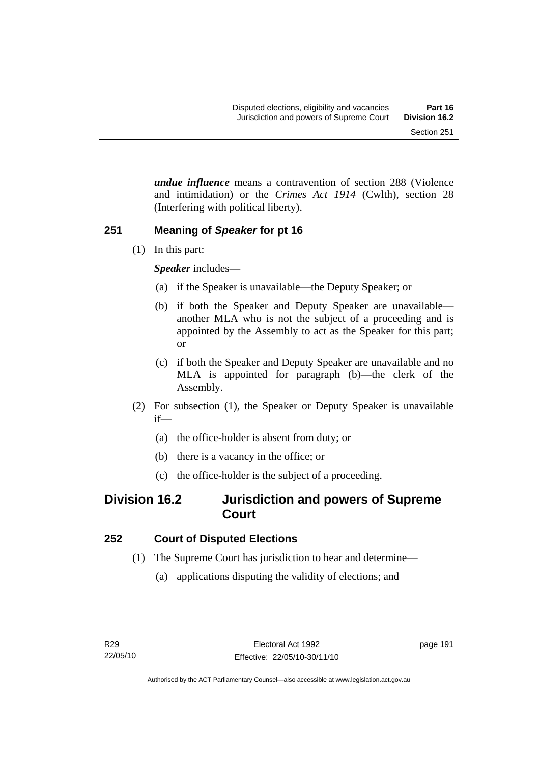*undue influence* means a contravention of section 288 (Violence and intimidation) or the *Crimes Act 1914* (Cwlth), section 28 (Interfering with political liberty).

#### **251 Meaning of** *Speaker* **for pt 16**

(1) In this part:

*Speaker* includes—

- (a) if the Speaker is unavailable—the Deputy Speaker; or
- (b) if both the Speaker and Deputy Speaker are unavailable another MLA who is not the subject of a proceeding and is appointed by the Assembly to act as the Speaker for this part; or
- (c) if both the Speaker and Deputy Speaker are unavailable and no MLA is appointed for paragraph (b)—the clerk of the Assembly.
- (2) For subsection (1), the Speaker or Deputy Speaker is unavailable if—
	- (a) the office-holder is absent from duty; or
	- (b) there is a vacancy in the office; or
	- (c) the office-holder is the subject of a proceeding.

# **Division 16.2 Jurisdiction and powers of Supreme Court**

## **252 Court of Disputed Elections**

- (1) The Supreme Court has jurisdiction to hear and determine—
	- (a) applications disputing the validity of elections; and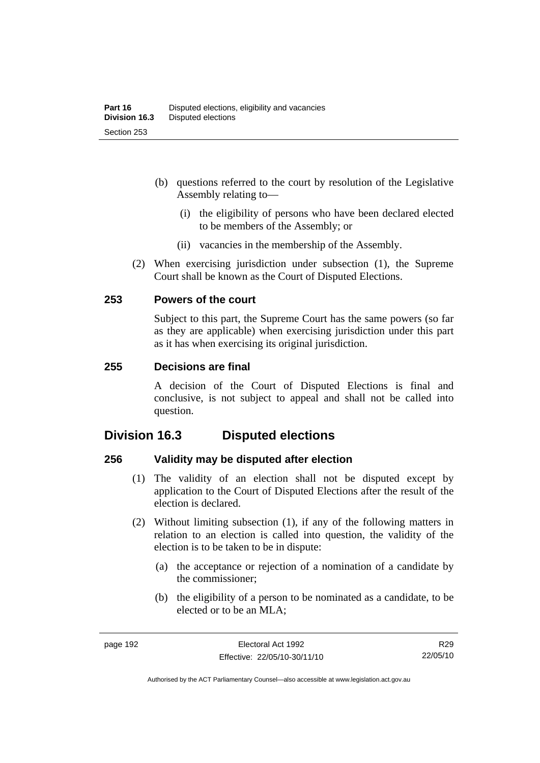- (b) questions referred to the court by resolution of the Legislative Assembly relating to—
	- (i) the eligibility of persons who have been declared elected to be members of the Assembly; or
	- (ii) vacancies in the membership of the Assembly.
- (2) When exercising jurisdiction under subsection (1), the Supreme Court shall be known as the Court of Disputed Elections.

#### **253 Powers of the court**

Subject to this part, the Supreme Court has the same powers (so far as they are applicable) when exercising jurisdiction under this part as it has when exercising its original jurisdiction.

#### **255 Decisions are final**

A decision of the Court of Disputed Elections is final and conclusive, is not subject to appeal and shall not be called into question.

# **Division 16.3 Disputed elections**

#### **256 Validity may be disputed after election**

- (1) The validity of an election shall not be disputed except by application to the Court of Disputed Elections after the result of the election is declared.
- (2) Without limiting subsection (1), if any of the following matters in relation to an election is called into question, the validity of the election is to be taken to be in dispute:
	- (a) the acceptance or rejection of a nomination of a candidate by the commissioner;
	- (b) the eligibility of a person to be nominated as a candidate, to be elected or to be an MLA;

Authorised by the ACT Parliamentary Counsel—also accessible at www.legislation.act.gov.au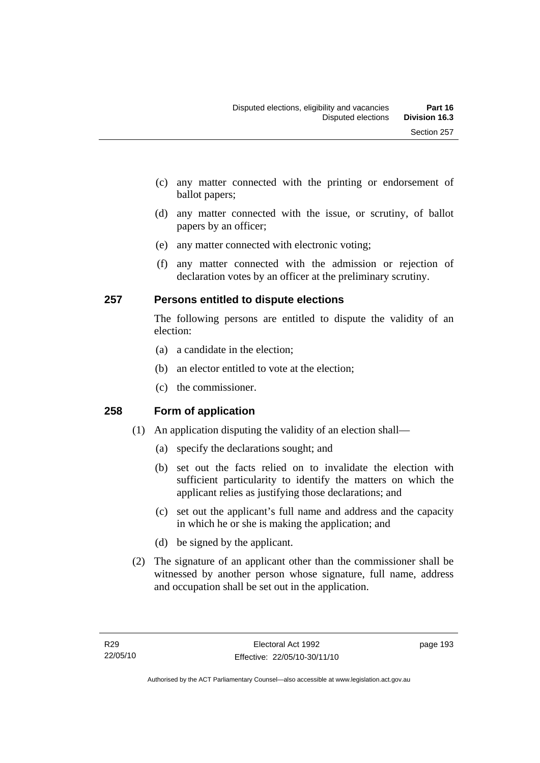- (c) any matter connected with the printing or endorsement of ballot papers;
- (d) any matter connected with the issue, or scrutiny, of ballot papers by an officer;
- (e) any matter connected with electronic voting;
- (f) any matter connected with the admission or rejection of declaration votes by an officer at the preliminary scrutiny.

## **257 Persons entitled to dispute elections**

The following persons are entitled to dispute the validity of an election:

- (a) a candidate in the election;
- (b) an elector entitled to vote at the election;
- (c) the commissioner.

## **258 Form of application**

- (1) An application disputing the validity of an election shall—
	- (a) specify the declarations sought; and
	- (b) set out the facts relied on to invalidate the election with sufficient particularity to identify the matters on which the applicant relies as justifying those declarations; and
	- (c) set out the applicant's full name and address and the capacity in which he or she is making the application; and
	- (d) be signed by the applicant.
- (2) The signature of an applicant other than the commissioner shall be witnessed by another person whose signature, full name, address and occupation shall be set out in the application.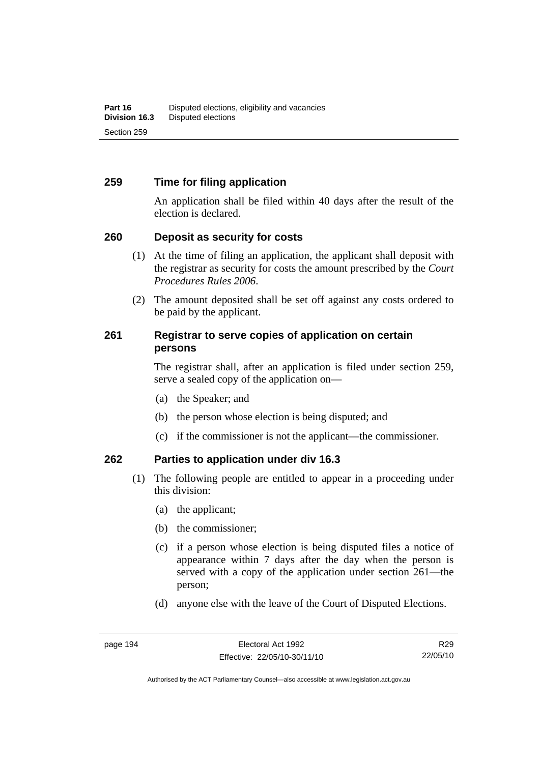#### **259 Time for filing application**

An application shall be filed within 40 days after the result of the election is declared.

#### **260 Deposit as security for costs**

- (1) At the time of filing an application, the applicant shall deposit with the registrar as security for costs the amount prescribed by the *Court Procedures Rules 2006*.
- (2) The amount deposited shall be set off against any costs ordered to be paid by the applicant.

#### **261 Registrar to serve copies of application on certain persons**

The registrar shall, after an application is filed under section 259, serve a sealed copy of the application on—

- (a) the Speaker; and
- (b) the person whose election is being disputed; and
- (c) if the commissioner is not the applicant—the commissioner.

#### **262 Parties to application under div 16.3**

- (1) The following people are entitled to appear in a proceeding under this division:
	- (a) the applicant;
	- (b) the commissioner;
	- (c) if a person whose election is being disputed files a notice of appearance within 7 days after the day when the person is served with a copy of the application under section 261—the person;
	- (d) anyone else with the leave of the Court of Disputed Elections.

R29 22/05/10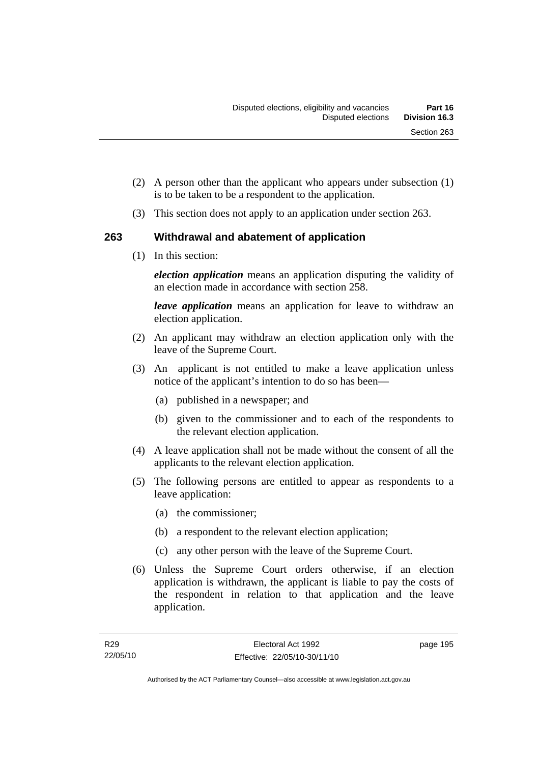- (2) A person other than the applicant who appears under subsection (1) is to be taken to be a respondent to the application.
- (3) This section does not apply to an application under section 263.

## **263 Withdrawal and abatement of application**

(1) In this section:

*election application* means an application disputing the validity of an election made in accordance with section 258.

*leave application* means an application for leave to withdraw an election application.

- (2) An applicant may withdraw an election application only with the leave of the Supreme Court.
- (3) An applicant is not entitled to make a leave application unless notice of the applicant's intention to do so has been—
	- (a) published in a newspaper; and
	- (b) given to the commissioner and to each of the respondents to the relevant election application.
- (4) A leave application shall not be made without the consent of all the applicants to the relevant election application.
- (5) The following persons are entitled to appear as respondents to a leave application:
	- (a) the commissioner;
	- (b) a respondent to the relevant election application;
	- (c) any other person with the leave of the Supreme Court.
- (6) Unless the Supreme Court orders otherwise, if an election application is withdrawn, the applicant is liable to pay the costs of the respondent in relation to that application and the leave application.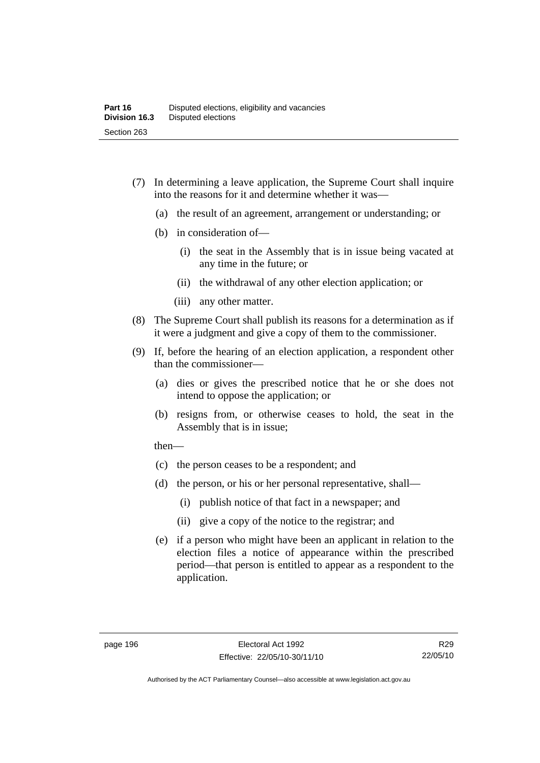- (7) In determining a leave application, the Supreme Court shall inquire into the reasons for it and determine whether it was—
	- (a) the result of an agreement, arrangement or understanding; or
	- (b) in consideration of—
		- (i) the seat in the Assembly that is in issue being vacated at any time in the future; or
		- (ii) the withdrawal of any other election application; or
		- (iii) any other matter.
- (8) The Supreme Court shall publish its reasons for a determination as if it were a judgment and give a copy of them to the commissioner.
- (9) If, before the hearing of an election application, a respondent other than the commissioner—
	- (a) dies or gives the prescribed notice that he or she does not intend to oppose the application; or
	- (b) resigns from, or otherwise ceases to hold, the seat in the Assembly that is in issue;

then—

- (c) the person ceases to be a respondent; and
- (d) the person, or his or her personal representative, shall—
	- (i) publish notice of that fact in a newspaper; and
	- (ii) give a copy of the notice to the registrar; and
- (e) if a person who might have been an applicant in relation to the election files a notice of appearance within the prescribed period—that person is entitled to appear as a respondent to the application.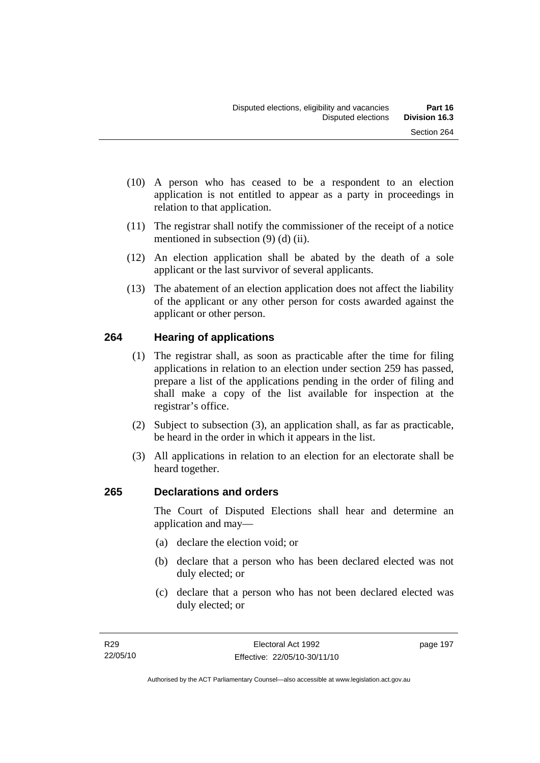- (10) A person who has ceased to be a respondent to an election application is not entitled to appear as a party in proceedings in relation to that application.
- (11) The registrar shall notify the commissioner of the receipt of a notice mentioned in subsection (9) (d) (ii).
- (12) An election application shall be abated by the death of a sole applicant or the last survivor of several applicants.
- (13) The abatement of an election application does not affect the liability of the applicant or any other person for costs awarded against the applicant or other person.

## **264 Hearing of applications**

- (1) The registrar shall, as soon as practicable after the time for filing applications in relation to an election under section 259 has passed, prepare a list of the applications pending in the order of filing and shall make a copy of the list available for inspection at the registrar's office.
- (2) Subject to subsection (3), an application shall, as far as practicable, be heard in the order in which it appears in the list.
- (3) All applications in relation to an election for an electorate shall be heard together.

## **265 Declarations and orders**

The Court of Disputed Elections shall hear and determine an application and may—

- (a) declare the election void; or
- (b) declare that a person who has been declared elected was not duly elected; or
- (c) declare that a person who has not been declared elected was duly elected; or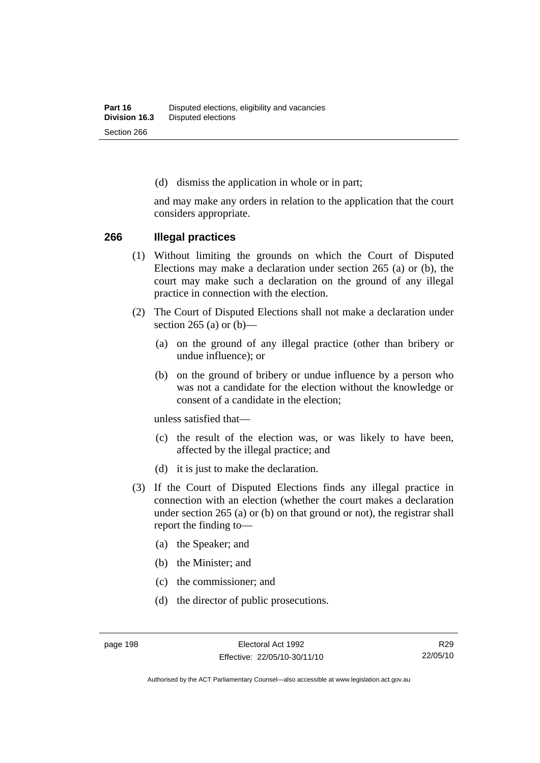(d) dismiss the application in whole or in part;

and may make any orders in relation to the application that the court considers appropriate.

#### **266 Illegal practices**

- (1) Without limiting the grounds on which the Court of Disputed Elections may make a declaration under section 265 (a) or (b), the court may make such a declaration on the ground of any illegal practice in connection with the election.
- (2) The Court of Disputed Elections shall not make a declaration under section 265 (a) or  $(b)$ —
	- (a) on the ground of any illegal practice (other than bribery or undue influence); or
	- (b) on the ground of bribery or undue influence by a person who was not a candidate for the election without the knowledge or consent of a candidate in the election;

unless satisfied that—

- (c) the result of the election was, or was likely to have been, affected by the illegal practice; and
- (d) it is just to make the declaration.
- (3) If the Court of Disputed Elections finds any illegal practice in connection with an election (whether the court makes a declaration under section 265 (a) or (b) on that ground or not), the registrar shall report the finding to—
	- (a) the Speaker; and
	- (b) the Minister; and
	- (c) the commissioner; and
	- (d) the director of public prosecutions.

Authorised by the ACT Parliamentary Counsel—also accessible at www.legislation.act.gov.au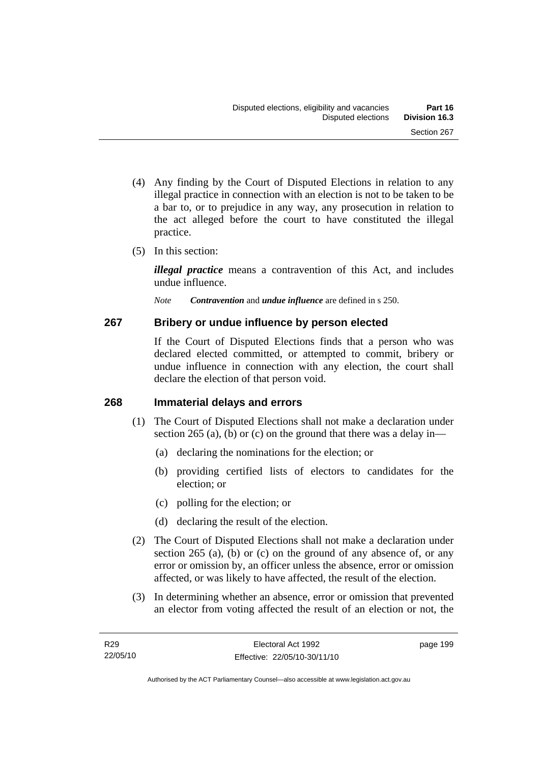- (4) Any finding by the Court of Disputed Elections in relation to any illegal practice in connection with an election is not to be taken to be a bar to, or to prejudice in any way, any prosecution in relation to the act alleged before the court to have constituted the illegal practice.
- (5) In this section:

*illegal practice* means a contravention of this Act, and includes undue influence.

*Note Contravention* and *undue influence* are defined in s 250.

### **267 Bribery or undue influence by person elected**

If the Court of Disputed Elections finds that a person who was declared elected committed, or attempted to commit, bribery or undue influence in connection with any election, the court shall declare the election of that person void.

### **268 Immaterial delays and errors**

- (1) The Court of Disputed Elections shall not make a declaration under section 265 (a), (b) or (c) on the ground that there was a delay in—
	- (a) declaring the nominations for the election; or
	- (b) providing certified lists of electors to candidates for the election; or
	- (c) polling for the election; or
	- (d) declaring the result of the election.
- (2) The Court of Disputed Elections shall not make a declaration under section 265 (a), (b) or (c) on the ground of any absence of, or any error or omission by, an officer unless the absence, error or omission affected, or was likely to have affected, the result of the election.
- (3) In determining whether an absence, error or omission that prevented an elector from voting affected the result of an election or not, the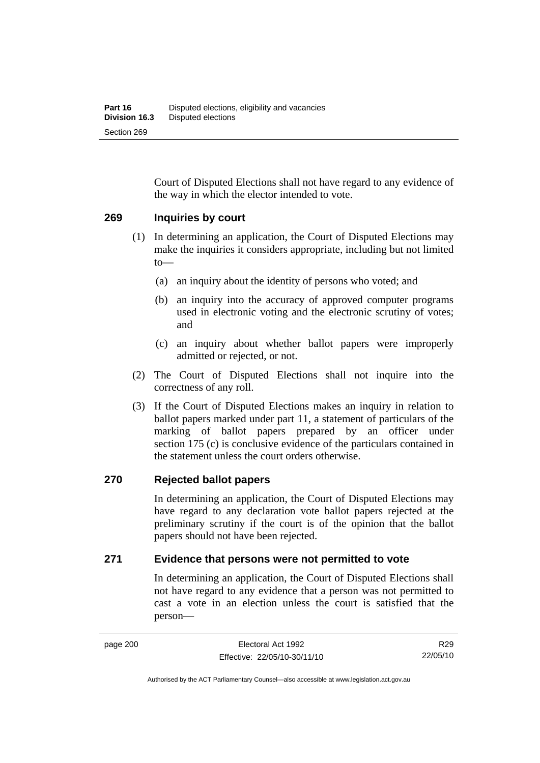Court of Disputed Elections shall not have regard to any evidence of the way in which the elector intended to vote.

### **269 Inquiries by court**

- (1) In determining an application, the Court of Disputed Elections may make the inquiries it considers appropriate, including but not limited to—
	- (a) an inquiry about the identity of persons who voted; and
	- (b) an inquiry into the accuracy of approved computer programs used in electronic voting and the electronic scrutiny of votes; and
	- (c) an inquiry about whether ballot papers were improperly admitted or rejected, or not.
- (2) The Court of Disputed Elections shall not inquire into the correctness of any roll.
- (3) If the Court of Disputed Elections makes an inquiry in relation to ballot papers marked under part 11, a statement of particulars of the marking of ballot papers prepared by an officer under section 175 (c) is conclusive evidence of the particulars contained in the statement unless the court orders otherwise.

### **270 Rejected ballot papers**

In determining an application, the Court of Disputed Elections may have regard to any declaration vote ballot papers rejected at the preliminary scrutiny if the court is of the opinion that the ballot papers should not have been rejected.

### **271 Evidence that persons were not permitted to vote**

In determining an application, the Court of Disputed Elections shall not have regard to any evidence that a person was not permitted to cast a vote in an election unless the court is satisfied that the person—

R29 22/05/10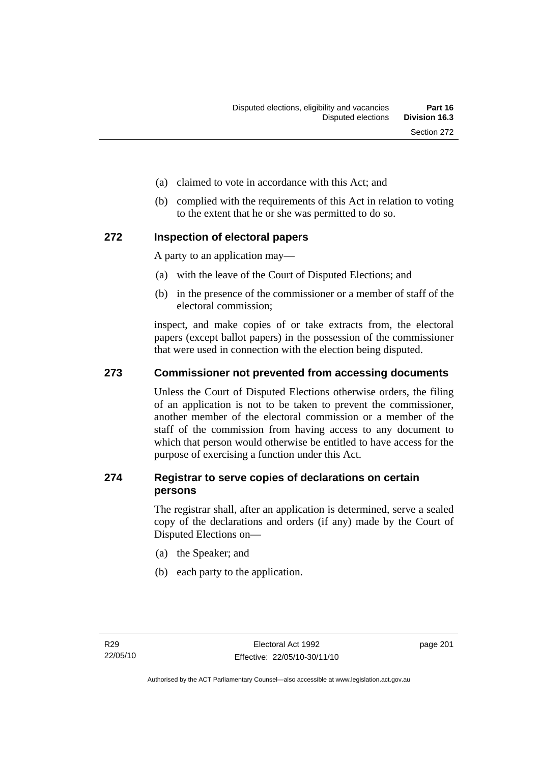- (a) claimed to vote in accordance with this Act; and
- (b) complied with the requirements of this Act in relation to voting to the extent that he or she was permitted to do so.

### **272 Inspection of electoral papers**

A party to an application may—

- (a) with the leave of the Court of Disputed Elections; and
- (b) in the presence of the commissioner or a member of staff of the electoral commission;

inspect, and make copies of or take extracts from, the electoral papers (except ballot papers) in the possession of the commissioner that were used in connection with the election being disputed.

### **273 Commissioner not prevented from accessing documents**

Unless the Court of Disputed Elections otherwise orders, the filing of an application is not to be taken to prevent the commissioner, another member of the electoral commission or a member of the staff of the commission from having access to any document to which that person would otherwise be entitled to have access for the purpose of exercising a function under this Act.

### **274 Registrar to serve copies of declarations on certain persons**

The registrar shall, after an application is determined, serve a sealed copy of the declarations and orders (if any) made by the Court of Disputed Elections on—

- (a) the Speaker; and
- (b) each party to the application.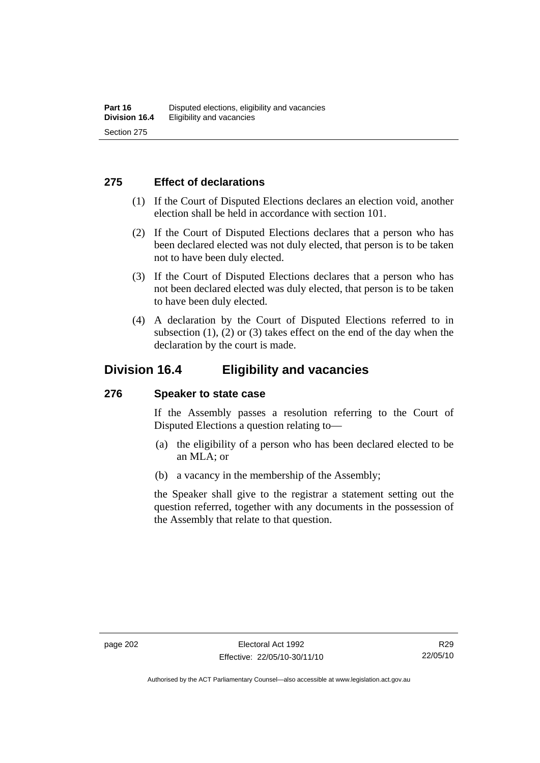### **275 Effect of declarations**

- (1) If the Court of Disputed Elections declares an election void, another election shall be held in accordance with section 101.
- (2) If the Court of Disputed Elections declares that a person who has been declared elected was not duly elected, that person is to be taken not to have been duly elected.
- (3) If the Court of Disputed Elections declares that a person who has not been declared elected was duly elected, that person is to be taken to have been duly elected.
- (4) A declaration by the Court of Disputed Elections referred to in subsection  $(1)$ ,  $(2)$  or  $(3)$  takes effect on the end of the day when the declaration by the court is made.

## **Division 16.4 Eligibility and vacancies**

### **276 Speaker to state case**

If the Assembly passes a resolution referring to the Court of Disputed Elections a question relating to—

- (a) the eligibility of a person who has been declared elected to be an MLA; or
- (b) a vacancy in the membership of the Assembly;

the Speaker shall give to the registrar a statement setting out the question referred, together with any documents in the possession of the Assembly that relate to that question.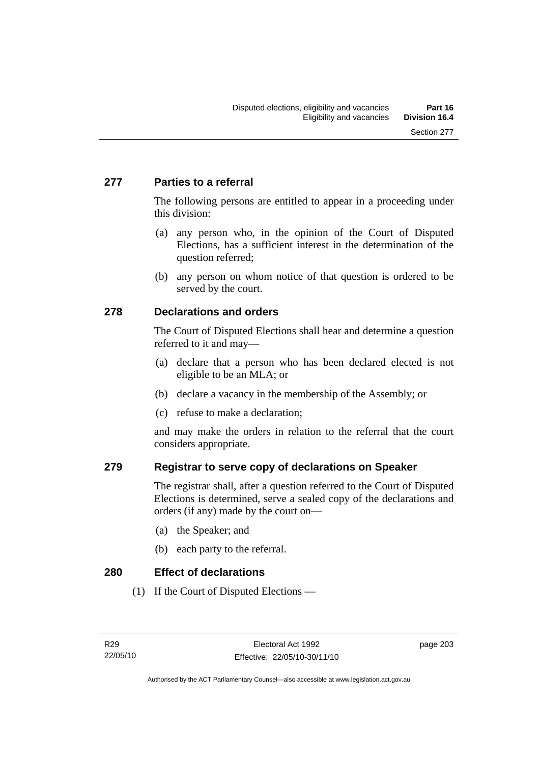### **277 Parties to a referral**

The following persons are entitled to appear in a proceeding under this division:

- (a) any person who, in the opinion of the Court of Disputed Elections, has a sufficient interest in the determination of the question referred;
- (b) any person on whom notice of that question is ordered to be served by the court.

### **278 Declarations and orders**

The Court of Disputed Elections shall hear and determine a question referred to it and may—

- (a) declare that a person who has been declared elected is not eligible to be an MLA; or
- (b) declare a vacancy in the membership of the Assembly; or
- (c) refuse to make a declaration;

and may make the orders in relation to the referral that the court considers appropriate.

### **279 Registrar to serve copy of declarations on Speaker**

The registrar shall, after a question referred to the Court of Disputed Elections is determined, serve a sealed copy of the declarations and orders (if any) made by the court on—

- (a) the Speaker; and
- (b) each party to the referral.

**280 Effect of declarations** 

(1) If the Court of Disputed Elections —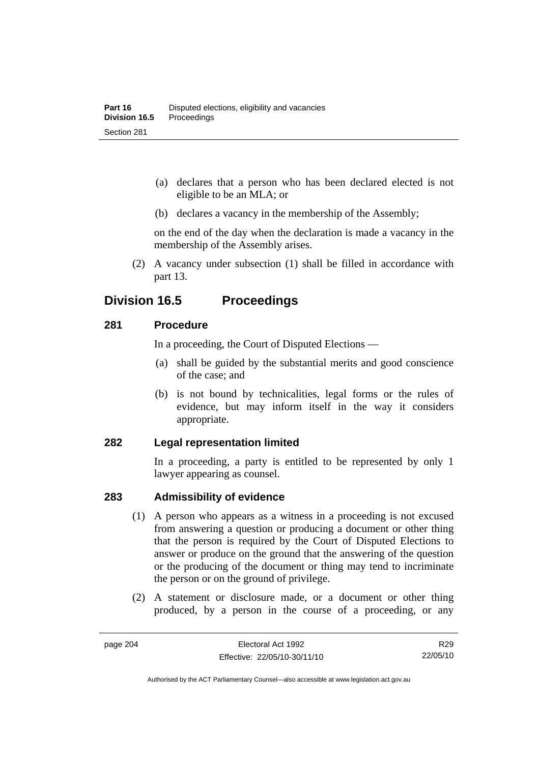- (a) declares that a person who has been declared elected is not eligible to be an MLA; or
- (b) declares a vacancy in the membership of the Assembly;

on the end of the day when the declaration is made a vacancy in the membership of the Assembly arises.

 (2) A vacancy under subsection (1) shall be filled in accordance with part 13.

## **Division 16.5 Proceedings**

### **281 Procedure**

In a proceeding, the Court of Disputed Elections —

- (a) shall be guided by the substantial merits and good conscience of the case; and
- (b) is not bound by technicalities, legal forms or the rules of evidence, but may inform itself in the way it considers appropriate.

### **282 Legal representation limited**

In a proceeding, a party is entitled to be represented by only 1 lawyer appearing as counsel.

### **283 Admissibility of evidence**

- (1) A person who appears as a witness in a proceeding is not excused from answering a question or producing a document or other thing that the person is required by the Court of Disputed Elections to answer or produce on the ground that the answering of the question or the producing of the document or thing may tend to incriminate the person or on the ground of privilege.
- (2) A statement or disclosure made, or a document or other thing produced, by a person in the course of a proceeding, or any

Authorised by the ACT Parliamentary Counsel—also accessible at www.legislation.act.gov.au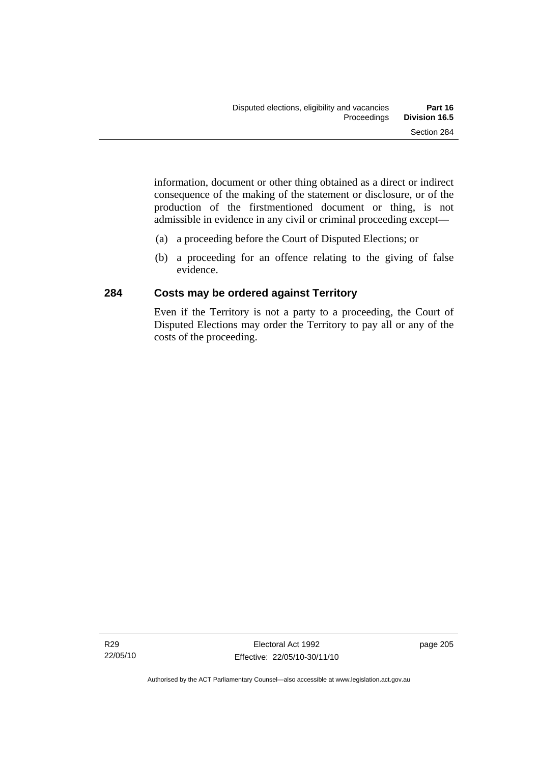information, document or other thing obtained as a direct or indirect consequence of the making of the statement or disclosure, or of the production of the firstmentioned document or thing, is not admissible in evidence in any civil or criminal proceeding except—

- (a) a proceeding before the Court of Disputed Elections; or
- (b) a proceeding for an offence relating to the giving of false evidence.

### **284 Costs may be ordered against Territory**

Even if the Territory is not a party to a proceeding, the Court of Disputed Elections may order the Territory to pay all or any of the costs of the proceeding.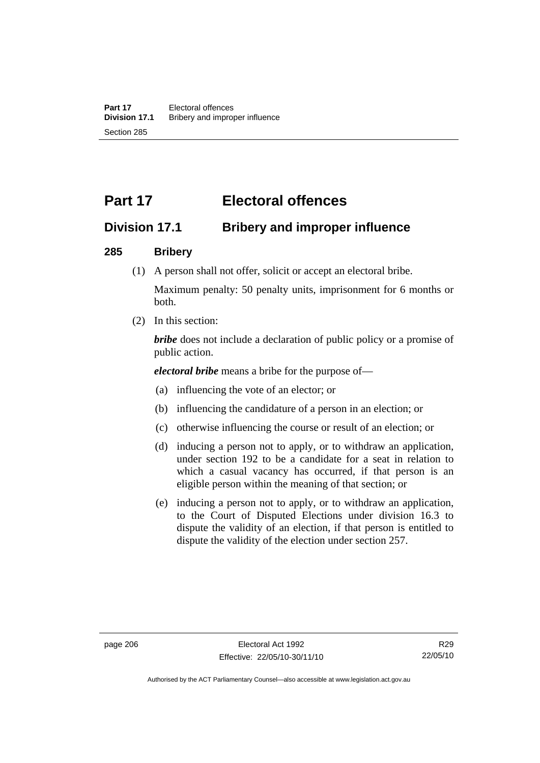# **Part 17 Electoral offences**

## **Division 17.1 Bribery and improper influence**

### **285 Bribery**

(1) A person shall not offer, solicit or accept an electoral bribe.

Maximum penalty: 50 penalty units, imprisonment for 6 months or both.

(2) In this section:

*bribe* does not include a declaration of public policy or a promise of public action.

*electoral bribe* means a bribe for the purpose of—

- (a) influencing the vote of an elector; or
- (b) influencing the candidature of a person in an election; or
- (c) otherwise influencing the course or result of an election; or
- (d) inducing a person not to apply, or to withdraw an application, under section 192 to be a candidate for a seat in relation to which a casual vacancy has occurred, if that person is an eligible person within the meaning of that section; or
- (e) inducing a person not to apply, or to withdraw an application, to the Court of Disputed Elections under division 16.3 to dispute the validity of an election, if that person is entitled to dispute the validity of the election under section 257.

Authorised by the ACT Parliamentary Counsel—also accessible at www.legislation.act.gov.au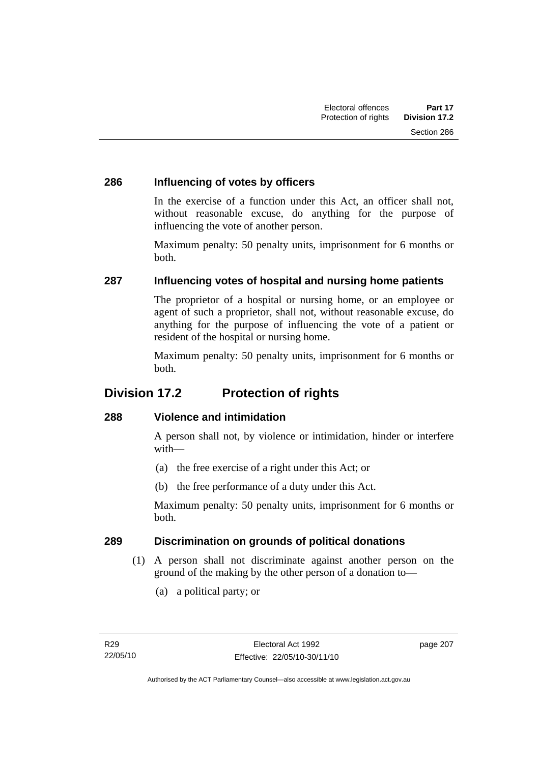### **286 Influencing of votes by officers**

In the exercise of a function under this Act, an officer shall not, without reasonable excuse, do anything for the purpose of influencing the vote of another person.

Maximum penalty: 50 penalty units, imprisonment for 6 months or both.

### **287 Influencing votes of hospital and nursing home patients**

The proprietor of a hospital or nursing home, or an employee or agent of such a proprietor, shall not, without reasonable excuse, do anything for the purpose of influencing the vote of a patient or resident of the hospital or nursing home.

Maximum penalty: 50 penalty units, imprisonment for 6 months or both.

## **Division 17.2 Protection of rights**

### **288 Violence and intimidation**

A person shall not, by violence or intimidation, hinder or interfere with—

- (a) the free exercise of a right under this Act; or
- (b) the free performance of a duty under this Act.

Maximum penalty: 50 penalty units, imprisonment for 6 months or both.

### **289 Discrimination on grounds of political donations**

- (1) A person shall not discriminate against another person on the ground of the making by the other person of a donation to—
	- (a) a political party; or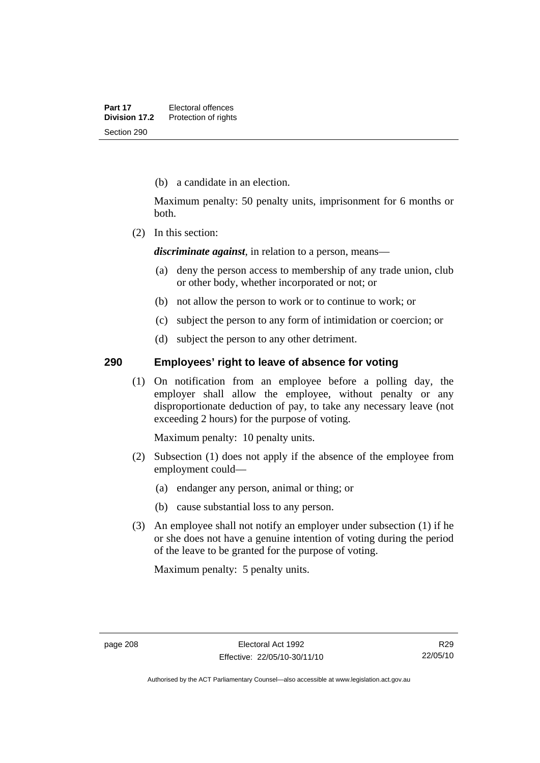(b) a candidate in an election.

Maximum penalty: 50 penalty units, imprisonment for 6 months or both.

(2) In this section:

*discriminate against*, in relation to a person, means—

- (a) deny the person access to membership of any trade union, club or other body, whether incorporated or not; or
- (b) not allow the person to work or to continue to work; or
- (c) subject the person to any form of intimidation or coercion; or
- (d) subject the person to any other detriment.

### **290 Employees' right to leave of absence for voting**

 (1) On notification from an employee before a polling day, the employer shall allow the employee, without penalty or any disproportionate deduction of pay, to take any necessary leave (not exceeding 2 hours) for the purpose of voting.

Maximum penalty: 10 penalty units.

- (2) Subsection (1) does not apply if the absence of the employee from employment could—
	- (a) endanger any person, animal or thing; or
	- (b) cause substantial loss to any person.
- (3) An employee shall not notify an employer under subsection (1) if he or she does not have a genuine intention of voting during the period of the leave to be granted for the purpose of voting.

Maximum penalty: 5 penalty units.

R29 22/05/10

Authorised by the ACT Parliamentary Counsel—also accessible at www.legislation.act.gov.au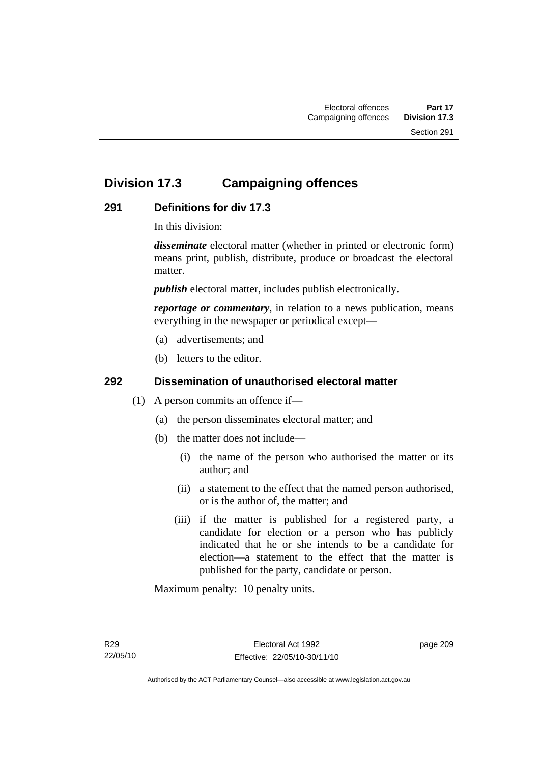# **Division 17.3 Campaigning offences**

### **291 Definitions for div 17.3**

In this division:

*disseminate* electoral matter (whether in printed or electronic form) means print, publish, distribute, produce or broadcast the electoral matter.

*publish* electoral matter, includes publish electronically.

*reportage or commentary*, in relation to a news publication, means everything in the newspaper or periodical except—

- (a) advertisements; and
- (b) letters to the editor.

### **292 Dissemination of unauthorised electoral matter**

- (1) A person commits an offence if—
	- (a) the person disseminates electoral matter; and
	- (b) the matter does not include—
		- (i) the name of the person who authorised the matter or its author; and
		- (ii) a statement to the effect that the named person authorised, or is the author of, the matter; and
		- (iii) if the matter is published for a registered party, a candidate for election or a person who has publicly indicated that he or she intends to be a candidate for election—a statement to the effect that the matter is published for the party, candidate or person.

Maximum penalty: 10 penalty units.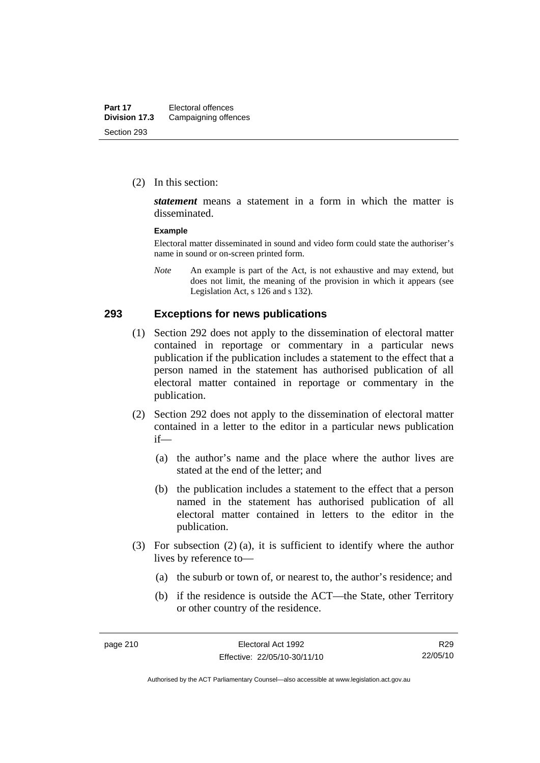(2) In this section:

*statement* means a statement in a form in which the matter is disseminated.

#### **Example**

Electoral matter disseminated in sound and video form could state the authoriser's name in sound or on-screen printed form.

*Note* An example is part of the Act, is not exhaustive and may extend, but does not limit, the meaning of the provision in which it appears (see Legislation Act, s 126 and s 132).

#### **293 Exceptions for news publications**

- (1) Section 292 does not apply to the dissemination of electoral matter contained in reportage or commentary in a particular news publication if the publication includes a statement to the effect that a person named in the statement has authorised publication of all electoral matter contained in reportage or commentary in the publication.
- (2) Section 292 does not apply to the dissemination of electoral matter contained in a letter to the editor in a particular news publication if—
	- (a) the author's name and the place where the author lives are stated at the end of the letter; and
	- (b) the publication includes a statement to the effect that a person named in the statement has authorised publication of all electoral matter contained in letters to the editor in the publication.
- (3) For subsection (2) (a), it is sufficient to identify where the author lives by reference to—
	- (a) the suburb or town of, or nearest to, the author's residence; and
	- (b) if the residence is outside the ACT—the State, other Territory or other country of the residence.

R29 22/05/10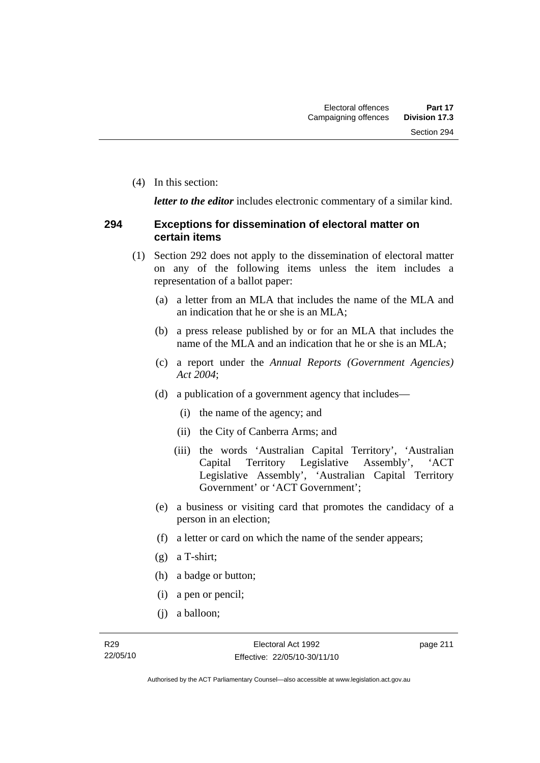(4) In this section:

*letter to the editor* includes electronic commentary of a similar kind.

### **294 Exceptions for dissemination of electoral matter on certain items**

- (1) Section 292 does not apply to the dissemination of electoral matter on any of the following items unless the item includes a representation of a ballot paper:
	- (a) a letter from an MLA that includes the name of the MLA and an indication that he or she is an MLA;
	- (b) a press release published by or for an MLA that includes the name of the MLA and an indication that he or she is an MLA;
	- (c) a report under the *Annual Reports (Government Agencies) Act 2004*;
	- (d) a publication of a government agency that includes—
		- (i) the name of the agency; and
		- (ii) the City of Canberra Arms; and
		- (iii) the words 'Australian Capital Territory', 'Australian Capital Territory Legislative Assembly', 'ACT Legislative Assembly', 'Australian Capital Territory Government' or 'ACT Government';
	- (e) a business or visiting card that promotes the candidacy of a person in an election;
	- (f) a letter or card on which the name of the sender appears;
	- (g) a T-shirt;
	- (h) a badge or button;
	- (i) a pen or pencil;
	- (j) a balloon;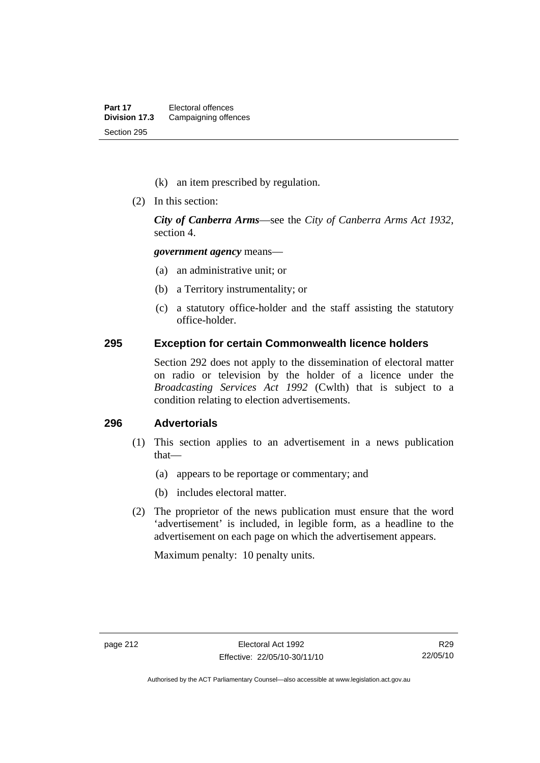- (k) an item prescribed by regulation.
- (2) In this section:

*City of Canberra Arms*—see the *City of Canberra Arms Act 1932*, section 4.

*government agency* means—

- (a) an administrative unit; or
- (b) a Territory instrumentality; or
- (c) a statutory office-holder and the staff assisting the statutory office-holder.

#### **295 Exception for certain Commonwealth licence holders**

Section 292 does not apply to the dissemination of electoral matter on radio or television by the holder of a licence under the *Broadcasting Services Act 1992* (Cwlth) that is subject to a condition relating to election advertisements.

### **296 Advertorials**

- (1) This section applies to an advertisement in a news publication that—
	- (a) appears to be reportage or commentary; and
	- (b) includes electoral matter.
- (2) The proprietor of the news publication must ensure that the word 'advertisement' is included, in legible form, as a headline to the advertisement on each page on which the advertisement appears.

Maximum penalty: 10 penalty units.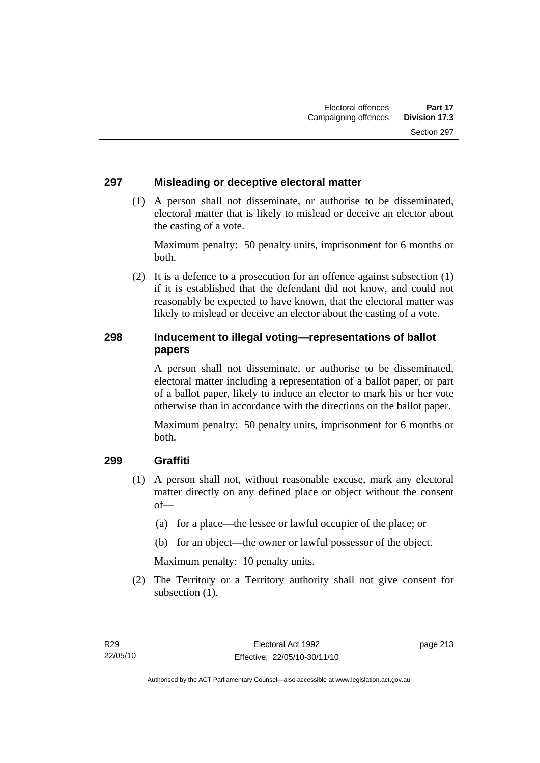### **297 Misleading or deceptive electoral matter**

 (1) A person shall not disseminate, or authorise to be disseminated, electoral matter that is likely to mislead or deceive an elector about the casting of a vote.

Maximum penalty: 50 penalty units, imprisonment for 6 months or both.

 (2) It is a defence to a prosecution for an offence against subsection (1) if it is established that the defendant did not know, and could not reasonably be expected to have known, that the electoral matter was likely to mislead or deceive an elector about the casting of a vote.

### **298 Inducement to illegal voting—representations of ballot papers**

A person shall not disseminate, or authorise to be disseminated, electoral matter including a representation of a ballot paper, or part of a ballot paper, likely to induce an elector to mark his or her vote otherwise than in accordance with the directions on the ballot paper.

Maximum penalty: 50 penalty units, imprisonment for 6 months or both.

### **299 Graffiti**

- (1) A person shall not, without reasonable excuse, mark any electoral matter directly on any defined place or object without the consent of—
	- (a) for a place—the lessee or lawful occupier of the place; or
	- (b) for an object—the owner or lawful possessor of the object.

Maximum penalty: 10 penalty units.

 (2) The Territory or a Territory authority shall not give consent for subsection  $(1)$ .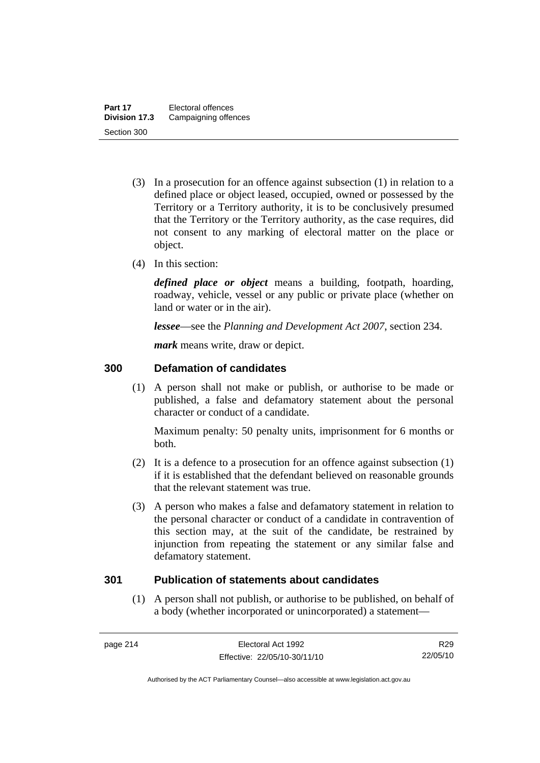- (3) In a prosecution for an offence against subsection (1) in relation to a defined place or object leased, occupied, owned or possessed by the Territory or a Territory authority, it is to be conclusively presumed that the Territory or the Territory authority, as the case requires, did not consent to any marking of electoral matter on the place or object.
- (4) In this section:

*defined place or object* means a building, footpath, hoarding, roadway, vehicle, vessel or any public or private place (whether on land or water or in the air).

*lessee*—see the *Planning and Development Act 2007*, section 234.

*mark* means write, draw or depict.

### **300 Defamation of candidates**

 (1) A person shall not make or publish, or authorise to be made or published, a false and defamatory statement about the personal character or conduct of a candidate.

Maximum penalty: 50 penalty units, imprisonment for 6 months or both.

- (2) It is a defence to a prosecution for an offence against subsection (1) if it is established that the defendant believed on reasonable grounds that the relevant statement was true.
- (3) A person who makes a false and defamatory statement in relation to the personal character or conduct of a candidate in contravention of this section may, at the suit of the candidate, be restrained by injunction from repeating the statement or any similar false and defamatory statement.

### **301 Publication of statements about candidates**

 (1) A person shall not publish, or authorise to be published, on behalf of a body (whether incorporated or unincorporated) a statement—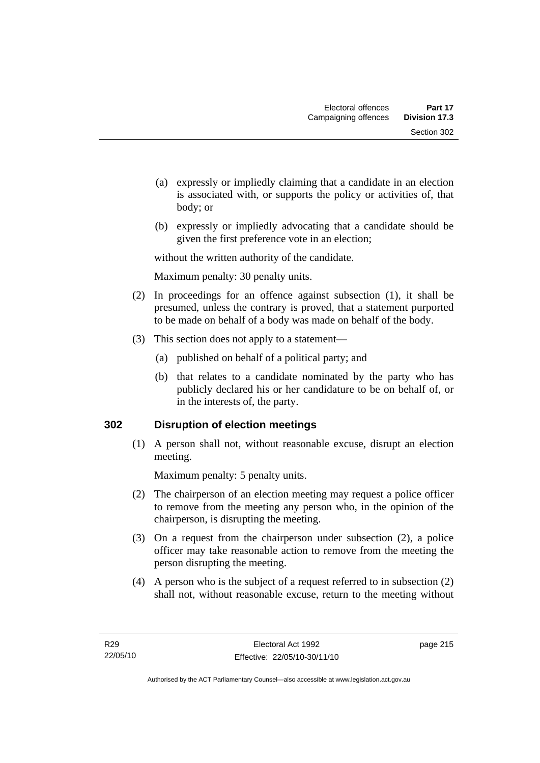- (a) expressly or impliedly claiming that a candidate in an election is associated with, or supports the policy or activities of, that body; or
- (b) expressly or impliedly advocating that a candidate should be given the first preference vote in an election;

without the written authority of the candidate.

Maximum penalty: 30 penalty units.

- (2) In proceedings for an offence against subsection (1), it shall be presumed, unless the contrary is proved, that a statement purported to be made on behalf of a body was made on behalf of the body.
- (3) This section does not apply to a statement—
	- (a) published on behalf of a political party; and
	- (b) that relates to a candidate nominated by the party who has publicly declared his or her candidature to be on behalf of, or in the interests of, the party.

### **302 Disruption of election meetings**

 (1) A person shall not, without reasonable excuse, disrupt an election meeting.

Maximum penalty: 5 penalty units.

- (2) The chairperson of an election meeting may request a police officer to remove from the meeting any person who, in the opinion of the chairperson, is disrupting the meeting.
- (3) On a request from the chairperson under subsection (2), a police officer may take reasonable action to remove from the meeting the person disrupting the meeting.
- (4) A person who is the subject of a request referred to in subsection (2) shall not, without reasonable excuse, return to the meeting without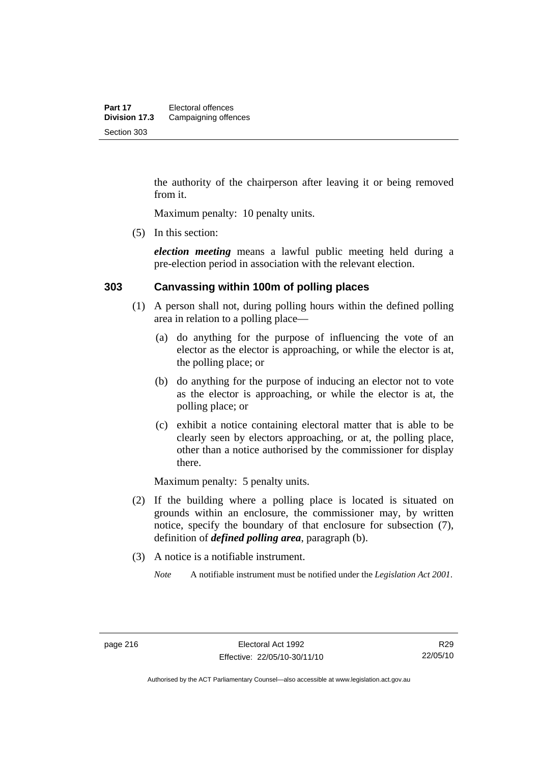the authority of the chairperson after leaving it or being removed from it.

Maximum penalty: 10 penalty units.

(5) In this section:

*election meeting* means a lawful public meeting held during a pre-election period in association with the relevant election.

### **303 Canvassing within 100m of polling places**

- (1) A person shall not, during polling hours within the defined polling area in relation to a polling place—
	- (a) do anything for the purpose of influencing the vote of an elector as the elector is approaching, or while the elector is at, the polling place; or
	- (b) do anything for the purpose of inducing an elector not to vote as the elector is approaching, or while the elector is at, the polling place; or
	- (c) exhibit a notice containing electoral matter that is able to be clearly seen by electors approaching, or at, the polling place, other than a notice authorised by the commissioner for display there.

Maximum penalty: 5 penalty units.

- (2) If the building where a polling place is located is situated on grounds within an enclosure, the commissioner may, by written notice, specify the boundary of that enclosure for subsection (7), definition of *defined polling area*, paragraph (b).
- (3) A notice is a notifiable instrument.

*Note* A notifiable instrument must be notified under the *Legislation Act 2001*.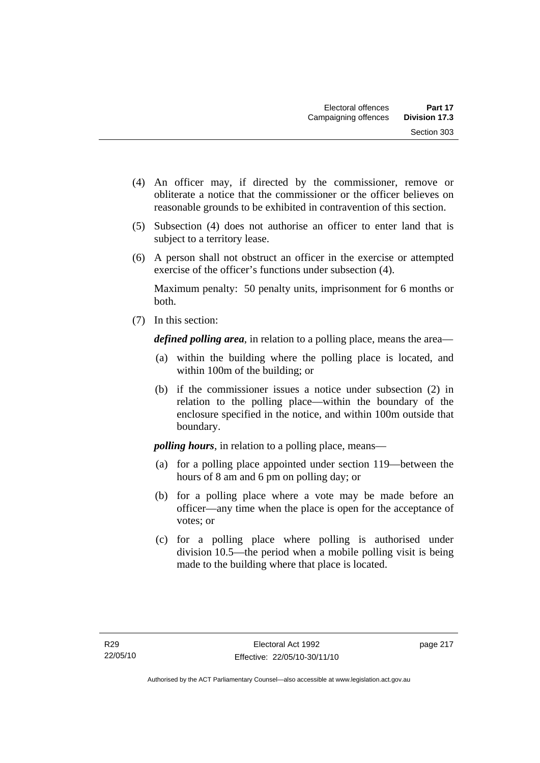- (4) An officer may, if directed by the commissioner, remove or obliterate a notice that the commissioner or the officer believes on reasonable grounds to be exhibited in contravention of this section.
- (5) Subsection (4) does not authorise an officer to enter land that is subject to a territory lease.
- (6) A person shall not obstruct an officer in the exercise or attempted exercise of the officer's functions under subsection (4).

Maximum penalty: 50 penalty units, imprisonment for 6 months or both.

(7) In this section:

*defined polling area*, in relation to a polling place, means the area—

- (a) within the building where the polling place is located, and within 100m of the building; or
- (b) if the commissioner issues a notice under subsection (2) in relation to the polling place—within the boundary of the enclosure specified in the notice, and within 100m outside that boundary.

*polling hours*, in relation to a polling place, means—

- (a) for a polling place appointed under section 119—between the hours of 8 am and 6 pm on polling day; or
- (b) for a polling place where a vote may be made before an officer—any time when the place is open for the acceptance of votes; or
- (c) for a polling place where polling is authorised under division 10.5—the period when a mobile polling visit is being made to the building where that place is located.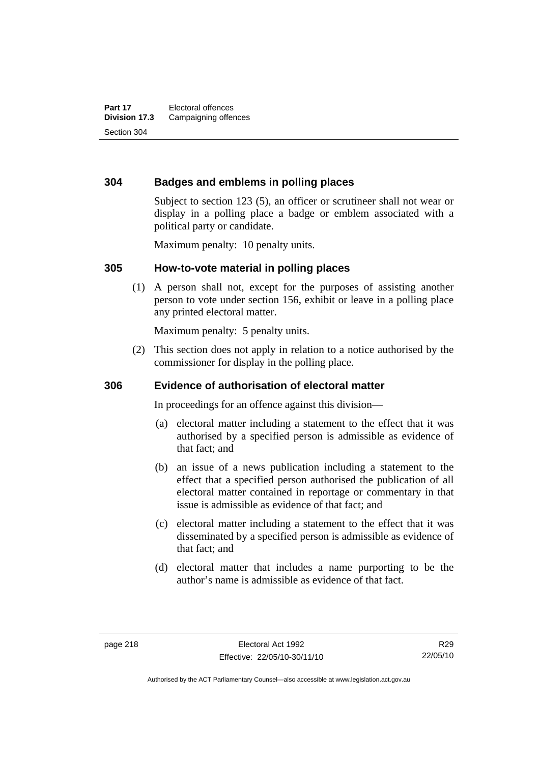### **304 Badges and emblems in polling places**

Subject to section 123 (5), an officer or scrutineer shall not wear or display in a polling place a badge or emblem associated with a political party or candidate.

Maximum penalty: 10 penalty units.

#### **305 How-to-vote material in polling places**

 (1) A person shall not, except for the purposes of assisting another person to vote under section 156, exhibit or leave in a polling place any printed electoral matter.

Maximum penalty: 5 penalty units.

 (2) This section does not apply in relation to a notice authorised by the commissioner for display in the polling place.

### **306 Evidence of authorisation of electoral matter**

In proceedings for an offence against this division—

- (a) electoral matter including a statement to the effect that it was authorised by a specified person is admissible as evidence of that fact; and
- (b) an issue of a news publication including a statement to the effect that a specified person authorised the publication of all electoral matter contained in reportage or commentary in that issue is admissible as evidence of that fact; and
- (c) electoral matter including a statement to the effect that it was disseminated by a specified person is admissible as evidence of that fact; and
- (d) electoral matter that includes a name purporting to be the author's name is admissible as evidence of that fact.

Authorised by the ACT Parliamentary Counsel—also accessible at www.legislation.act.gov.au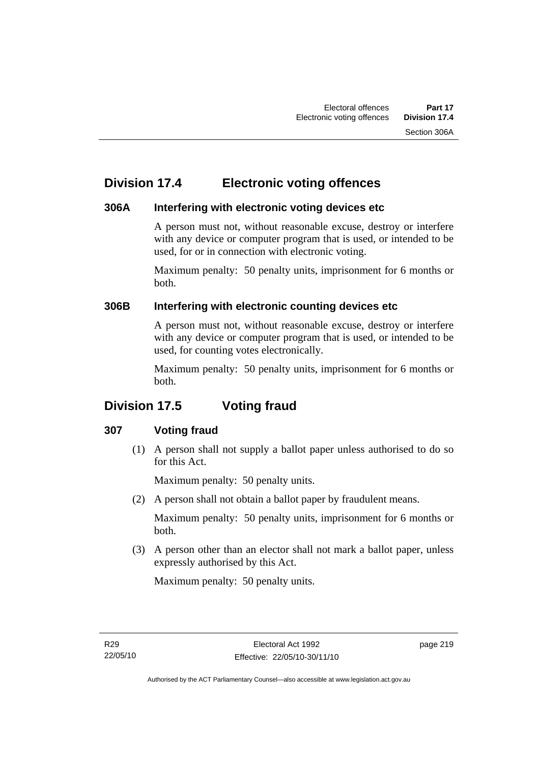# **Division 17.4 Electronic voting offences**

### **306A Interfering with electronic voting devices etc**

A person must not, without reasonable excuse, destroy or interfere with any device or computer program that is used, or intended to be used, for or in connection with electronic voting.

Maximum penalty: 50 penalty units, imprisonment for 6 months or both.

### **306B Interfering with electronic counting devices etc**

A person must not, without reasonable excuse, destroy or interfere with any device or computer program that is used, or intended to be used, for counting votes electronically.

Maximum penalty: 50 penalty units, imprisonment for 6 months or both.

# **Division 17.5 Voting fraud**

### **307 Voting fraud**

 (1) A person shall not supply a ballot paper unless authorised to do so for this Act.

Maximum penalty: 50 penalty units.

(2) A person shall not obtain a ballot paper by fraudulent means.

Maximum penalty: 50 penalty units, imprisonment for 6 months or both.

 (3) A person other than an elector shall not mark a ballot paper, unless expressly authorised by this Act.

Maximum penalty: 50 penalty units.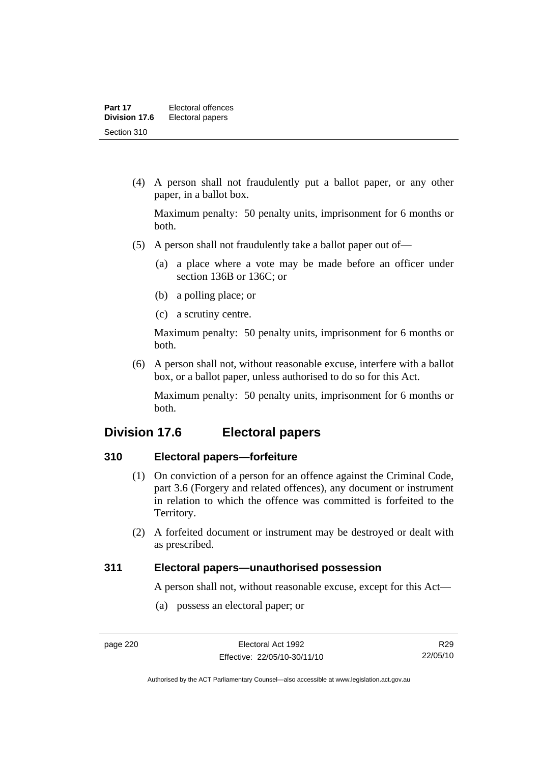(4) A person shall not fraudulently put a ballot paper, or any other paper, in a ballot box.

Maximum penalty: 50 penalty units, imprisonment for 6 months or both.

- (5) A person shall not fraudulently take a ballot paper out of—
	- (a) a place where a vote may be made before an officer under section 136B or 136C; or
	- (b) a polling place; or
	- (c) a scrutiny centre.

Maximum penalty: 50 penalty units, imprisonment for 6 months or both.

 (6) A person shall not, without reasonable excuse, interfere with a ballot box, or a ballot paper, unless authorised to do so for this Act.

Maximum penalty: 50 penalty units, imprisonment for 6 months or both.

## **Division 17.6 Electoral papers**

### **310 Electoral papers—forfeiture**

- (1) On conviction of a person for an offence against the Criminal Code, part 3.6 (Forgery and related offences), any document or instrument in relation to which the offence was committed is forfeited to the Territory.
- (2) A forfeited document or instrument may be destroyed or dealt with as prescribed.

### **311 Electoral papers—unauthorised possession**

A person shall not, without reasonable excuse, except for this Act—

(a) possess an electoral paper; or

R29 22/05/10

Authorised by the ACT Parliamentary Counsel—also accessible at www.legislation.act.gov.au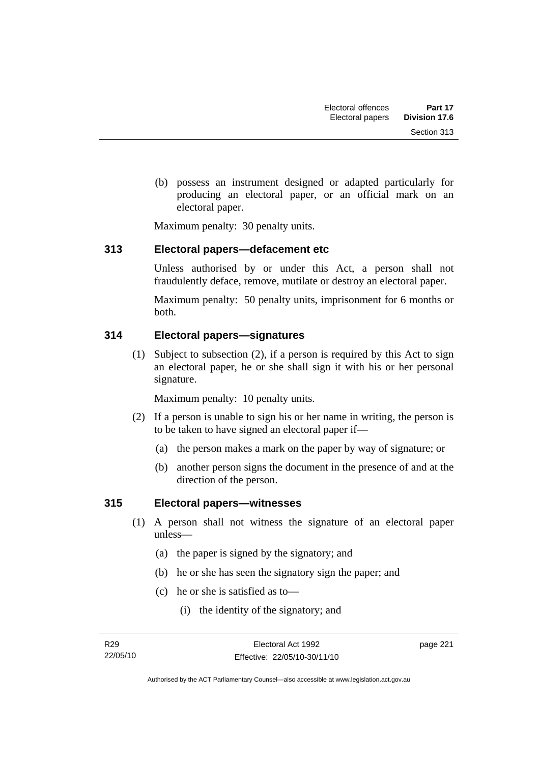(b) possess an instrument designed or adapted particularly for producing an electoral paper, or an official mark on an electoral paper.

Maximum penalty: 30 penalty units.

### **313 Electoral papers—defacement etc**

Unless authorised by or under this Act, a person shall not fraudulently deface, remove, mutilate or destroy an electoral paper.

Maximum penalty: 50 penalty units, imprisonment for 6 months or both.

### **314 Electoral papers—signatures**

 (1) Subject to subsection (2), if a person is required by this Act to sign an electoral paper, he or she shall sign it with his or her personal signature.

Maximum penalty: 10 penalty units.

- (2) If a person is unable to sign his or her name in writing, the person is to be taken to have signed an electoral paper if—
	- (a) the person makes a mark on the paper by way of signature; or
	- (b) another person signs the document in the presence of and at the direction of the person.

### **315 Electoral papers—witnesses**

- (1) A person shall not witness the signature of an electoral paper unless—
	- (a) the paper is signed by the signatory; and
	- (b) he or she has seen the signatory sign the paper; and
	- (c) he or she is satisfied as to—
		- (i) the identity of the signatory; and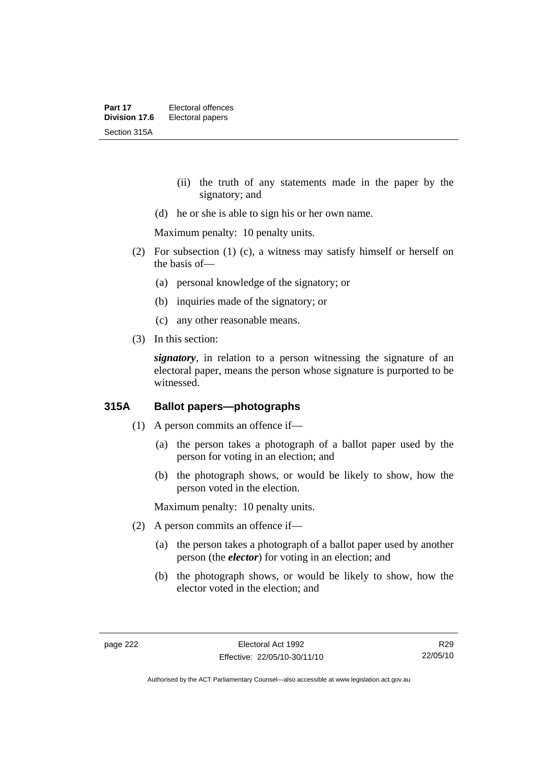- (ii) the truth of any statements made in the paper by the signatory; and
- (d) he or she is able to sign his or her own name.

Maximum penalty: 10 penalty units.

- (2) For subsection (1) (c), a witness may satisfy himself or herself on the basis of—
	- (a) personal knowledge of the signatory; or
	- (b) inquiries made of the signatory; or
	- (c) any other reasonable means.
- (3) In this section:

*signatory*, in relation to a person witnessing the signature of an electoral paper, means the person whose signature is purported to be witnessed.

### **315A Ballot papers—photographs**

- (1) A person commits an offence if—
	- (a) the person takes a photograph of a ballot paper used by the person for voting in an election; and
	- (b) the photograph shows, or would be likely to show, how the person voted in the election.

Maximum penalty: 10 penalty units.

- (2) A person commits an offence if—
	- (a) the person takes a photograph of a ballot paper used by another person (the *elector*) for voting in an election; and
	- (b) the photograph shows, or would be likely to show, how the elector voted in the election; and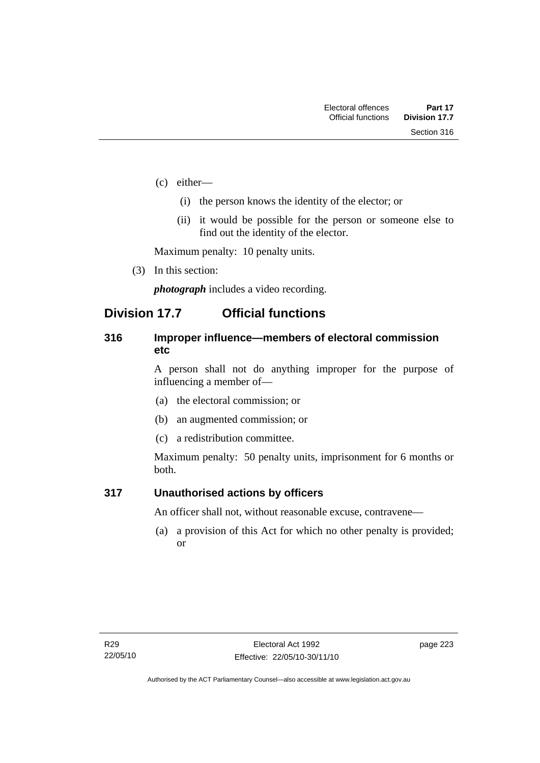- (c) either—
	- (i) the person knows the identity of the elector; or
	- (ii) it would be possible for the person or someone else to find out the identity of the elector.

Maximum penalty: 10 penalty units.

(3) In this section:

*photograph* includes a video recording.

## **Division 17.7 Official functions**

### **316 Improper influence—members of electoral commission etc**

A person shall not do anything improper for the purpose of influencing a member of—

- (a) the electoral commission; or
- (b) an augmented commission; or
- (c) a redistribution committee.

Maximum penalty: 50 penalty units, imprisonment for 6 months or both.

### **317 Unauthorised actions by officers**

An officer shall not, without reasonable excuse, contravene—

 (a) a provision of this Act for which no other penalty is provided; or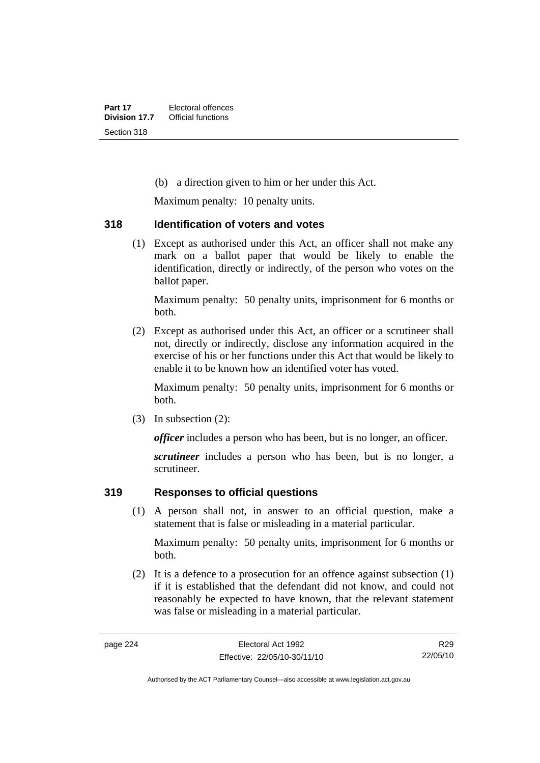(b) a direction given to him or her under this Act.

Maximum penalty: 10 penalty units.

### **318 Identification of voters and votes**

 (1) Except as authorised under this Act, an officer shall not make any mark on a ballot paper that would be likely to enable the identification, directly or indirectly, of the person who votes on the ballot paper.

Maximum penalty: 50 penalty units, imprisonment for 6 months or both.

 (2) Except as authorised under this Act, an officer or a scrutineer shall not, directly or indirectly, disclose any information acquired in the exercise of his or her functions under this Act that would be likely to enable it to be known how an identified voter has voted.

Maximum penalty: 50 penalty units, imprisonment for 6 months or both.

(3) In subsection (2):

*officer* includes a person who has been, but is no longer, an officer.

*scrutineer* includes a person who has been, but is no longer, a scrutineer.

### **319 Responses to official questions**

 (1) A person shall not, in answer to an official question, make a statement that is false or misleading in a material particular.

Maximum penalty: 50 penalty units, imprisonment for 6 months or both.

 (2) It is a defence to a prosecution for an offence against subsection (1) if it is established that the defendant did not know, and could not reasonably be expected to have known, that the relevant statement was false or misleading in a material particular.

R29 22/05/10

Authorised by the ACT Parliamentary Counsel—also accessible at www.legislation.act.gov.au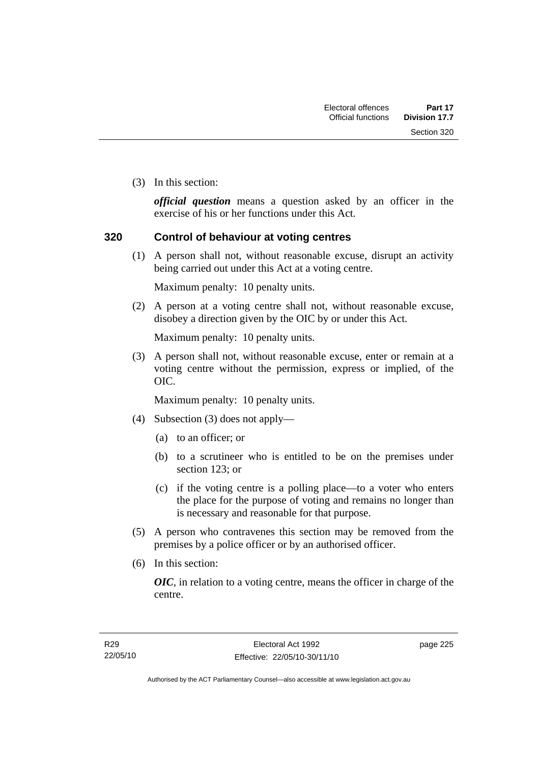Section 320

(3) In this section:

*official question* means a question asked by an officer in the exercise of his or her functions under this Act.

### **320 Control of behaviour at voting centres**

 (1) A person shall not, without reasonable excuse, disrupt an activity being carried out under this Act at a voting centre.

Maximum penalty: 10 penalty units.

 (2) A person at a voting centre shall not, without reasonable excuse, disobey a direction given by the OIC by or under this Act.

Maximum penalty: 10 penalty units.

 (3) A person shall not, without reasonable excuse, enter or remain at a voting centre without the permission, express or implied, of the OIC.

Maximum penalty: 10 penalty units.

- (4) Subsection (3) does not apply—
	- (a) to an officer; or
	- (b) to a scrutineer who is entitled to be on the premises under section 123; or
	- (c) if the voting centre is a polling place—to a voter who enters the place for the purpose of voting and remains no longer than is necessary and reasonable for that purpose.
- (5) A person who contravenes this section may be removed from the premises by a police officer or by an authorised officer.
- (6) In this section:

*OIC*, in relation to a voting centre, means the officer in charge of the centre.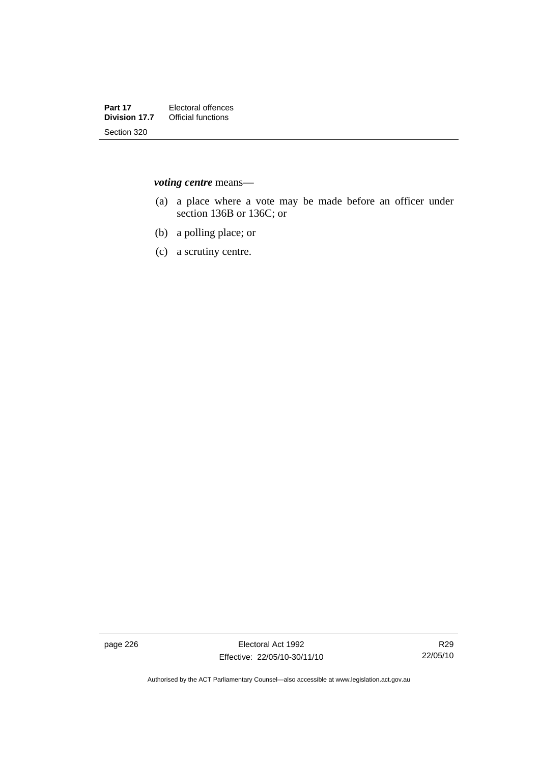*voting centre* means—

- (a) a place where a vote may be made before an officer under section 136B or 136C; or
- (b) a polling place; or
- (c) a scrutiny centre.

page 226 **Electoral Act 1992** Effective: 22/05/10-30/11/10

Authorised by the ACT Parliamentary Counsel—also accessible at www.legislation.act.gov.au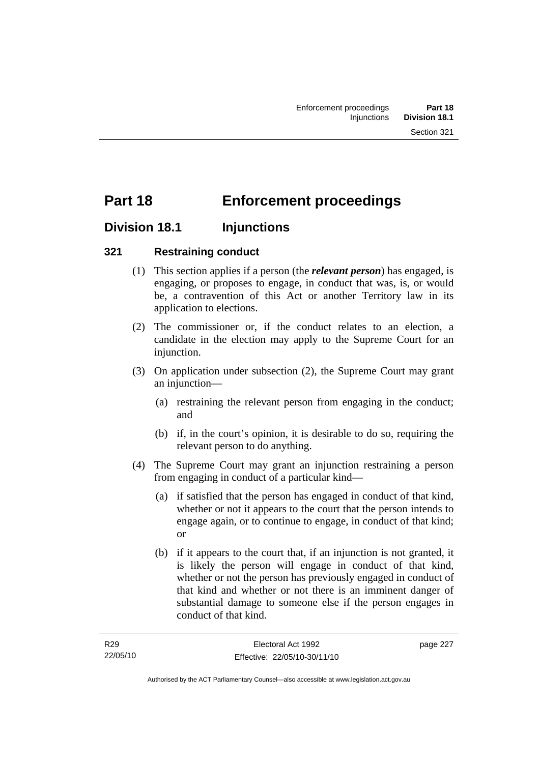# **Part 18 Enforcement proceedings**

## **Division 18.1 Injunctions**

### **321 Restraining conduct**

- (1) This section applies if a person (the *relevant person*) has engaged, is engaging, or proposes to engage, in conduct that was, is, or would be, a contravention of this Act or another Territory law in its application to elections.
- (2) The commissioner or, if the conduct relates to an election, a candidate in the election may apply to the Supreme Court for an injunction.
- (3) On application under subsection (2), the Supreme Court may grant an injunction—
	- (a) restraining the relevant person from engaging in the conduct; and
	- (b) if, in the court's opinion, it is desirable to do so, requiring the relevant person to do anything.
- (4) The Supreme Court may grant an injunction restraining a person from engaging in conduct of a particular kind—
	- (a) if satisfied that the person has engaged in conduct of that kind, whether or not it appears to the court that the person intends to engage again, or to continue to engage, in conduct of that kind; or
	- (b) if it appears to the court that, if an injunction is not granted, it is likely the person will engage in conduct of that kind, whether or not the person has previously engaged in conduct of that kind and whether or not there is an imminent danger of substantial damage to someone else if the person engages in conduct of that kind.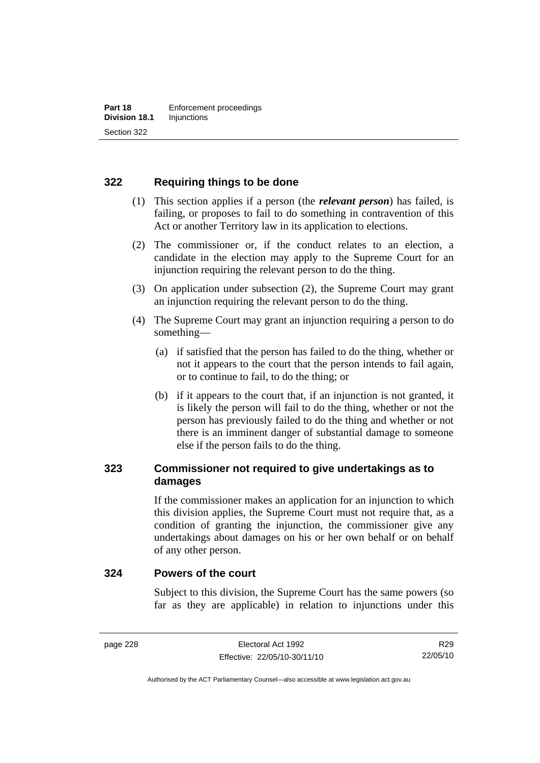### **322 Requiring things to be done**

- (1) This section applies if a person (the *relevant person*) has failed, is failing, or proposes to fail to do something in contravention of this Act or another Territory law in its application to elections.
- (2) The commissioner or, if the conduct relates to an election, a candidate in the election may apply to the Supreme Court for an injunction requiring the relevant person to do the thing.
- (3) On application under subsection (2), the Supreme Court may grant an injunction requiring the relevant person to do the thing.
- (4) The Supreme Court may grant an injunction requiring a person to do something—
	- (a) if satisfied that the person has failed to do the thing, whether or not it appears to the court that the person intends to fail again, or to continue to fail, to do the thing; or
	- (b) if it appears to the court that, if an injunction is not granted, it is likely the person will fail to do the thing, whether or not the person has previously failed to do the thing and whether or not there is an imminent danger of substantial damage to someone else if the person fails to do the thing.

### **323 Commissioner not required to give undertakings as to damages**

If the commissioner makes an application for an injunction to which this division applies, the Supreme Court must not require that, as a condition of granting the injunction, the commissioner give any undertakings about damages on his or her own behalf or on behalf of any other person.

#### **324 Powers of the court**

Subject to this division, the Supreme Court has the same powers (so far as they are applicable) in relation to injunctions under this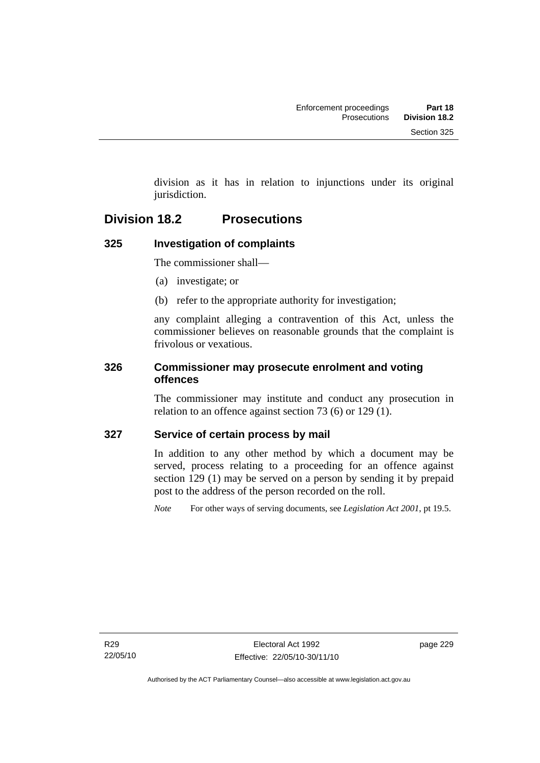division as it has in relation to injunctions under its original jurisdiction.

## **Division 18.2 Prosecutions**

### **325 Investigation of complaints**

The commissioner shall—

- (a) investigate; or
- (b) refer to the appropriate authority for investigation;

any complaint alleging a contravention of this Act, unless the commissioner believes on reasonable grounds that the complaint is frivolous or vexatious.

### **326 Commissioner may prosecute enrolment and voting offences**

The commissioner may institute and conduct any prosecution in relation to an offence against section 73 (6) or 129 (1).

### **327 Service of certain process by mail**

In addition to any other method by which a document may be served, process relating to a proceeding for an offence against section 129 (1) may be served on a person by sending it by prepaid post to the address of the person recorded on the roll.

*Note* For other ways of serving documents, see *Legislation Act 2001*, pt 19.5.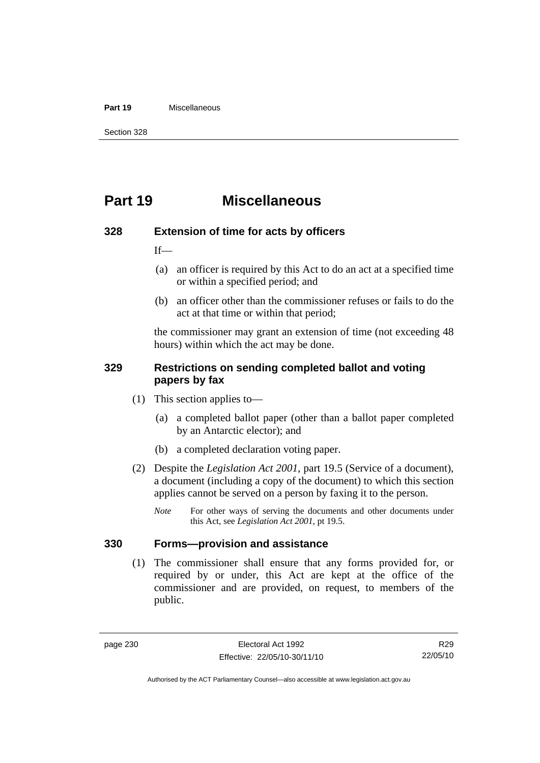#### **Part 19** Miscellaneous

Section 328

## **Part 19 Miscellaneous**

#### **328 Extension of time for acts by officers**

If—

- (a) an officer is required by this Act to do an act at a specified time or within a specified period; and
- (b) an officer other than the commissioner refuses or fails to do the act at that time or within that period;

the commissioner may grant an extension of time (not exceeding 48 hours) within which the act may be done.

### **329 Restrictions on sending completed ballot and voting papers by fax**

- (1) This section applies to—
	- (a) a completed ballot paper (other than a ballot paper completed by an Antarctic elector); and
	- (b) a completed declaration voting paper.
- (2) Despite the *Legislation Act 2001*, part 19.5 (Service of a document), a document (including a copy of the document) to which this section applies cannot be served on a person by faxing it to the person.
	- *Note* For other ways of serving the documents and other documents under this Act, see *Legislation Act 2001*, pt 19.5.

### **330 Forms—provision and assistance**

 (1) The commissioner shall ensure that any forms provided for, or required by or under, this Act are kept at the office of the commissioner and are provided, on request, to members of the public.

Authorised by the ACT Parliamentary Counsel—also accessible at www.legislation.act.gov.au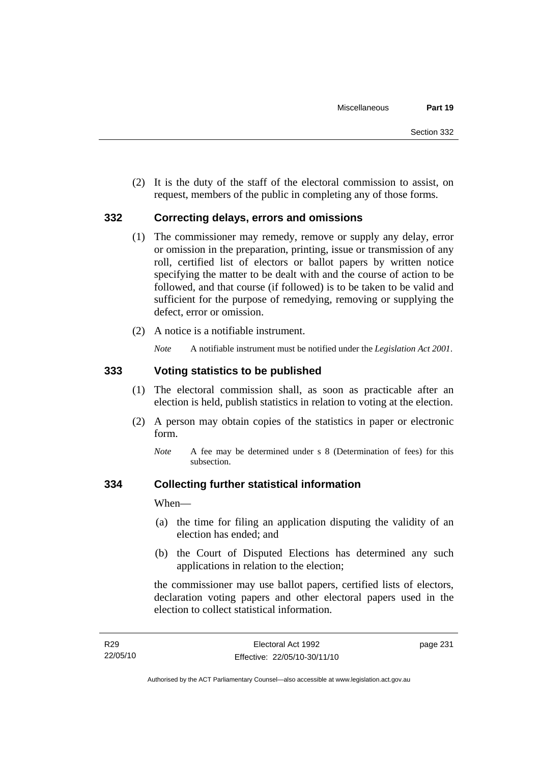(2) It is the duty of the staff of the electoral commission to assist, on request, members of the public in completing any of those forms.

### **332 Correcting delays, errors and omissions**

- (1) The commissioner may remedy, remove or supply any delay, error or omission in the preparation, printing, issue or transmission of any roll, certified list of electors or ballot papers by written notice specifying the matter to be dealt with and the course of action to be followed, and that course (if followed) is to be taken to be valid and sufficient for the purpose of remedying, removing or supplying the defect, error or omission.
- (2) A notice is a notifiable instrument.

*Note* A notifiable instrument must be notified under the *Legislation Act 2001*.

### **333 Voting statistics to be published**

- (1) The electoral commission shall, as soon as practicable after an election is held, publish statistics in relation to voting at the election.
- (2) A person may obtain copies of the statistics in paper or electronic form.
	- *Note* A fee may be determined under s 8 (Determination of fees) for this subsection.

### **334 Collecting further statistical information**

When—

- (a) the time for filing an application disputing the validity of an election has ended; and
- (b) the Court of Disputed Elections has determined any such applications in relation to the election;

the commissioner may use ballot papers, certified lists of electors, declaration voting papers and other electoral papers used in the election to collect statistical information.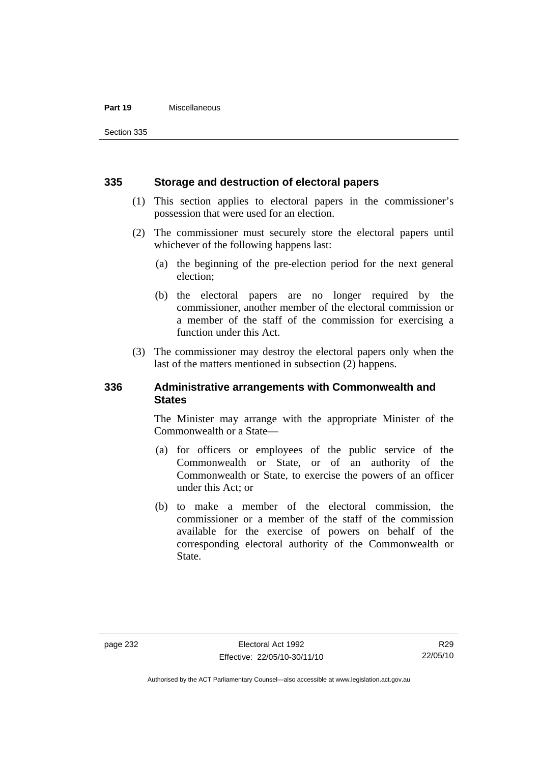#### **Part 19** Miscellaneous

Section 335

#### **335 Storage and destruction of electoral papers**

- (1) This section applies to electoral papers in the commissioner's possession that were used for an election.
- (2) The commissioner must securely store the electoral papers until whichever of the following happens last:
	- (a) the beginning of the pre-election period for the next general election;
	- (b) the electoral papers are no longer required by the commissioner, another member of the electoral commission or a member of the staff of the commission for exercising a function under this Act.
- (3) The commissioner may destroy the electoral papers only when the last of the matters mentioned in subsection (2) happens.

### **336 Administrative arrangements with Commonwealth and States**

The Minister may arrange with the appropriate Minister of the Commonwealth or a State—

- (a) for officers or employees of the public service of the Commonwealth or State, or of an authority of the Commonwealth or State, to exercise the powers of an officer under this Act; or
- (b) to make a member of the electoral commission, the commissioner or a member of the staff of the commission available for the exercise of powers on behalf of the corresponding electoral authority of the Commonwealth or State.

Authorised by the ACT Parliamentary Counsel—also accessible at www.legislation.act.gov.au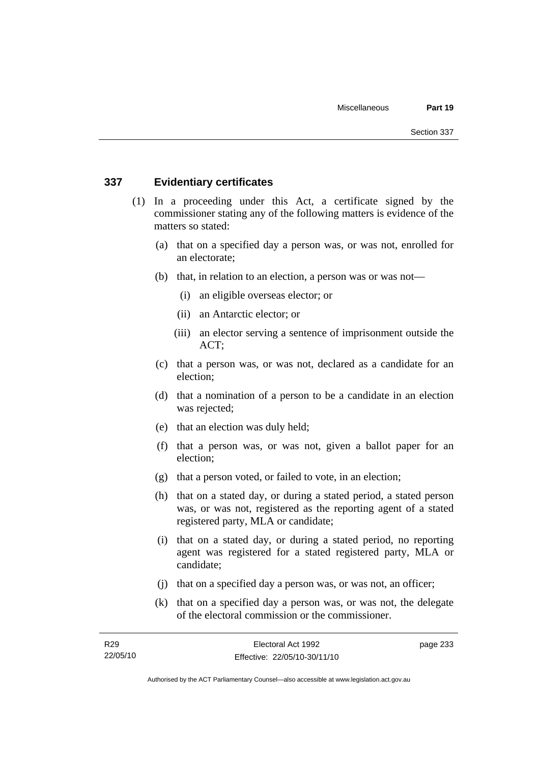### **337 Evidentiary certificates**

- (1) In a proceeding under this Act, a certificate signed by the commissioner stating any of the following matters is evidence of the matters so stated:
	- (a) that on a specified day a person was, or was not, enrolled for an electorate;
	- (b) that, in relation to an election, a person was or was not—
		- (i) an eligible overseas elector; or
		- (ii) an Antarctic elector; or
		- (iii) an elector serving a sentence of imprisonment outside the ACT;
	- (c) that a person was, or was not, declared as a candidate for an election;
	- (d) that a nomination of a person to be a candidate in an election was rejected;
	- (e) that an election was duly held;
	- (f) that a person was, or was not, given a ballot paper for an election;
	- (g) that a person voted, or failed to vote, in an election;
	- (h) that on a stated day, or during a stated period, a stated person was, or was not, registered as the reporting agent of a stated registered party, MLA or candidate;
	- (i) that on a stated day, or during a stated period, no reporting agent was registered for a stated registered party, MLA or candidate;
	- (j) that on a specified day a person was, or was not, an officer;
	- (k) that on a specified day a person was, or was not, the delegate of the electoral commission or the commissioner.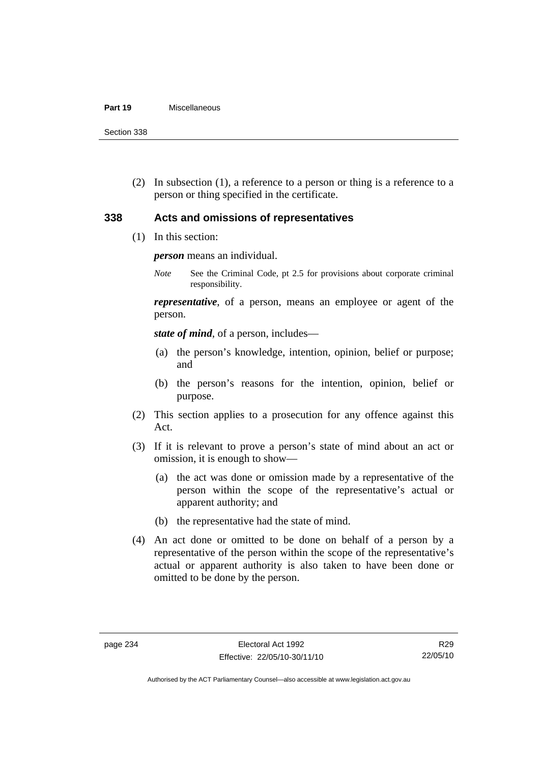#### **Part 19** Miscellaneous

Section 338

 (2) In subsection (1), a reference to a person or thing is a reference to a person or thing specified in the certificate.

### **338 Acts and omissions of representatives**

(1) In this section:

*person* means an individual.

*Note* See the Criminal Code, pt 2.5 for provisions about corporate criminal responsibility.

*representative*, of a person, means an employee or agent of the person.

*state of mind*, of a person, includes—

- (a) the person's knowledge, intention, opinion, belief or purpose; and
- (b) the person's reasons for the intention, opinion, belief or purpose.
- (2) This section applies to a prosecution for any offence against this Act.
- (3) If it is relevant to prove a person's state of mind about an act or omission, it is enough to show—
	- (a) the act was done or omission made by a representative of the person within the scope of the representative's actual or apparent authority; and
	- (b) the representative had the state of mind.
- (4) An act done or omitted to be done on behalf of a person by a representative of the person within the scope of the representative's actual or apparent authority is also taken to have been done or omitted to be done by the person.

Authorised by the ACT Parliamentary Counsel—also accessible at www.legislation.act.gov.au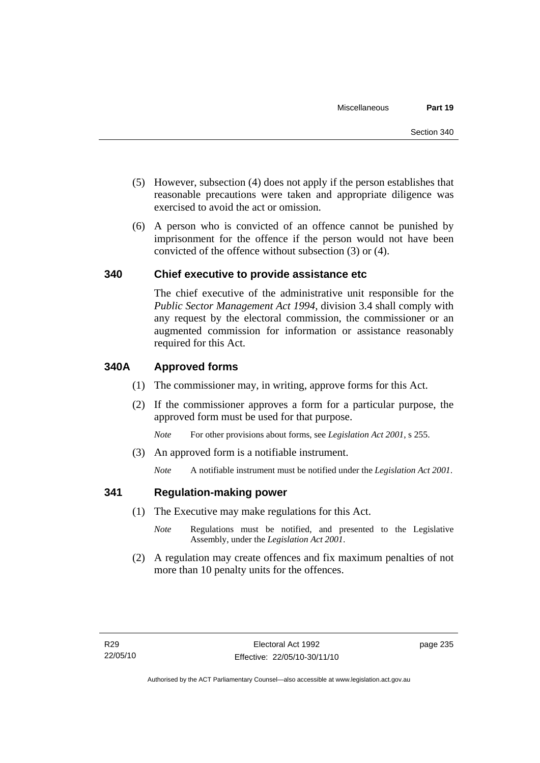- (5) However, subsection (4) does not apply if the person establishes that reasonable precautions were taken and appropriate diligence was exercised to avoid the act or omission.
- (6) A person who is convicted of an offence cannot be punished by imprisonment for the offence if the person would not have been convicted of the offence without subsection (3) or (4).

#### **340 Chief executive to provide assistance etc**

The chief executive of the administrative unit responsible for the *Public Sector Management Act 1994*, division 3.4 shall comply with any request by the electoral commission, the commissioner or an augmented commission for information or assistance reasonably required for this Act.

#### **340A Approved forms**

- (1) The commissioner may, in writing, approve forms for this Act.
- (2) If the commissioner approves a form for a particular purpose, the approved form must be used for that purpose.

*Note* For other provisions about forms, see *Legislation Act 2001*, s 255.

(3) An approved form is a notifiable instrument.

*Note* A notifiable instrument must be notified under the *Legislation Act 2001*.

#### **341 Regulation-making power**

- (1) The Executive may make regulations for this Act.
	- *Note* **Regulations** must be notified, and presented to the Legislative Assembly, under the *Legislation Act 2001*.
- (2) A regulation may create offences and fix maximum penalties of not more than 10 penalty units for the offences.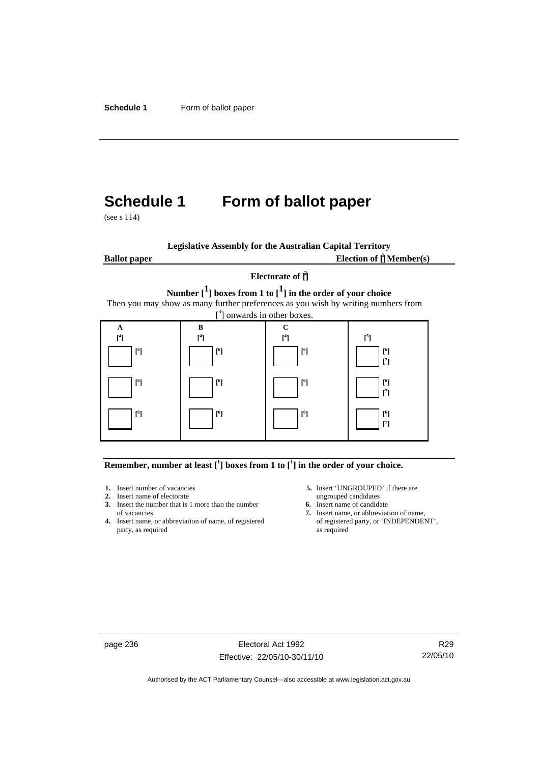# **Schedule 1 Form of ballot paper**

(see s 114)

|                     | <b>Legislative Assembly for the Australian Capital Territory</b>                                                                                                                                            |                                          |                                         |
|---------------------|-------------------------------------------------------------------------------------------------------------------------------------------------------------------------------------------------------------|------------------------------------------|-----------------------------------------|
| <b>Ballot</b> paper |                                                                                                                                                                                                             |                                          | Election of $\prod_{i=1}^{n}$ Member(s) |
|                     |                                                                                                                                                                                                             | Electorate of $\hat{\Pi}$                |                                         |
|                     | Number $\begin{bmatrix} 1 \end{bmatrix}$ boxes from 1 to $\begin{bmatrix} 1 \end{bmatrix}$ in the order of your choice<br>Then you may show as many further preferences as you wish by writing numbers from | $\int_{0}^{3}$ ] onwards in other boxes. |                                         |
| A                   | R                                                                                                                                                                                                           | C                                        |                                         |
| $\mathsf{I}^4$      | $[$ <sup>4</sup> ]                                                                                                                                                                                          | $\lceil$ <sup>4</sup>                    | $[^{5}]$                                |
| $[^6]$              | [ <sup>6</sup> ]                                                                                                                                                                                            | $[^6]$                                   | $[^6]$<br>$[^7]$                        |
| $\mathsf{I}^6$      | [ <sup>6</sup> ]                                                                                                                                                                                            | $[^6]$                                   | $[^6]$<br>$\lceil$ <sup>7</sup>         |
| [f]                 | $\lceil^6\rceil$                                                                                                                                                                                            | $[^6]$                                   | $[^6]$<br>٢٦                            |

#### **Remember, number at least**  $\begin{bmatrix} 1 \end{bmatrix}$  boxes from 1 to  $\begin{bmatrix} 1 \end{bmatrix}$  in the order of your choice.

- 
- 
- **2.** Insert name of electorate ungrouped candidates<br> **3.** Insert the number that is 1 more than the number<br> **6.** Insert name of candidate **3.** Insert the number that is 1 more than the number
- **4.** Insert name, or abbreviation of name, of registered of registered party, as required party, as required
- **1.** Insert number of vacancies **5.** Insert 'UNGROUPED' if there are **2.** Insert name of electorate **1.** Insert name of electorate
	-
	- of vacancies **7.** Insert name, or abbreviation of name, or abbreviation of name, or abbreviation of name, or registered **7.** Insert name, or **TNDEPENDENT**,

page 236 Electoral Act 1992 Effective: 22/05/10-30/11/10

R29 22/05/10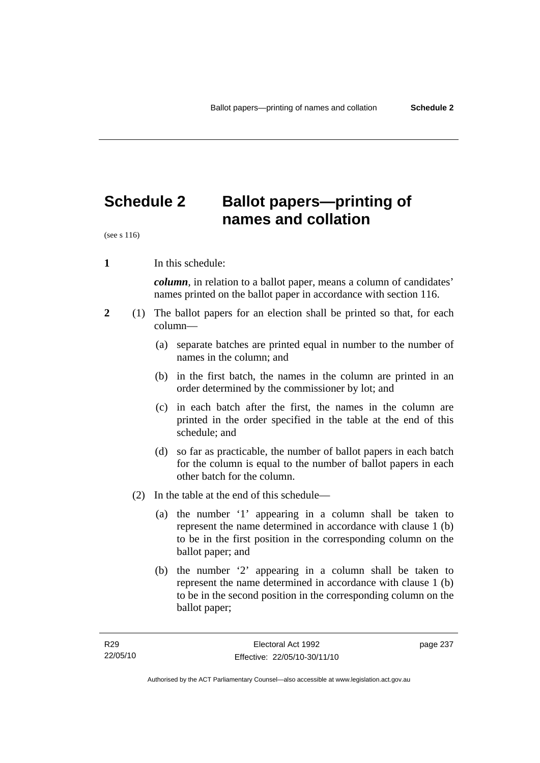# **Schedule 2 Ballot papers—printing of names and collation**

(see s 116)

**1** In this schedule:

*column*, in relation to a ballot paper, means a column of candidates' names printed on the ballot paper in accordance with section 116.

- **2** (1) The ballot papers for an election shall be printed so that, for each column—
	- (a) separate batches are printed equal in number to the number of names in the column; and
	- (b) in the first batch, the names in the column are printed in an order determined by the commissioner by lot; and
	- (c) in each batch after the first, the names in the column are printed in the order specified in the table at the end of this schedule; and
	- (d) so far as practicable, the number of ballot papers in each batch for the column is equal to the number of ballot papers in each other batch for the column.
	- (2) In the table at the end of this schedule—
		- (a) the number '1' appearing in a column shall be taken to represent the name determined in accordance with clause 1 (b) to be in the first position in the corresponding column on the ballot paper; and
		- (b) the number '2' appearing in a column shall be taken to represent the name determined in accordance with clause 1 (b) to be in the second position in the corresponding column on the ballot paper;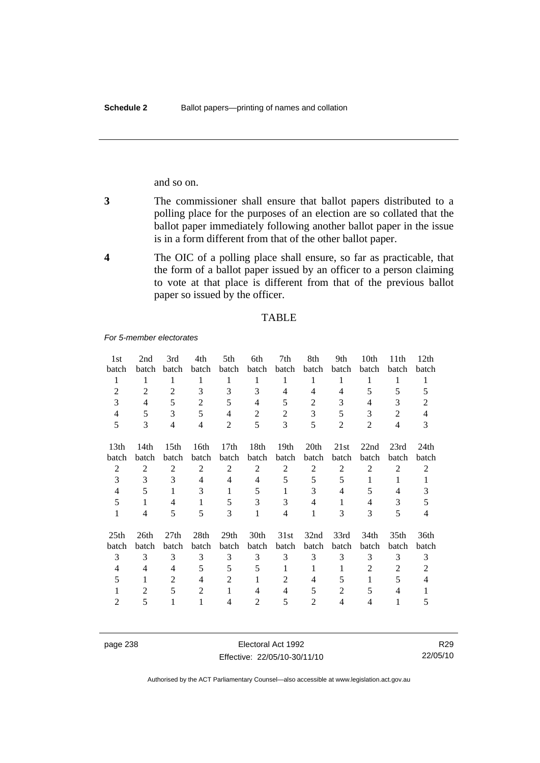and so on.

- **3** The commissioner shall ensure that ballot papers distributed to a polling place for the purposes of an election are so collated that the ballot paper immediately following another ballot paper in the issue is in a form different from that of the other ballot paper.
- **4** The OIC of a polling place shall ensure, so far as practicable, that the form of a ballot paper issued by an officer to a person claiming to vote at that place is different from that of the previous ballot paper so issued by the officer.

#### TABLE

*For 5-member electorates*

| 1st              | 2nd   | 3rd              | 4th            | 5th              | 6th            | 7th              | 8th            | 9th   | 10th  | 11 <sup>th</sup> | 12th  |
|------------------|-------|------------------|----------------|------------------|----------------|------------------|----------------|-------|-------|------------------|-------|
| batch            | batch | batch            | batch          | batch            | batch          | batch            | batch          | batch | batch | batch            | batch |
| 1                | 1     | 1                | 1              | 1                | 1              | 1                | 1              | 1     | 1     | 1                | 1     |
| $\overline{2}$   | 2     | 2                | 3              | 3                | 3              | 4                | 4              | 4     | 5     | 5                | 5     |
| 3                | 4     | 5                | $\overline{2}$ | 5                | 4              | 5                | 2              | 3     | 4     | 3                | 2     |
| 4                | 5     | 3                | 5              | 4                | 2              | 2                | 3              | 5     | 3     | 2                | 4     |
| 5                | 3     | 4                | 4              | 2                | 5              | 3                | 5              | 2     | 2     | 4                | 3     |
| 13 <sub>th</sub> | 14th  | 15 <sub>th</sub> | 16th           | 17 <sub>th</sub> | 18th           | 19 <sub>th</sub> | 20th           | 21st  | 22nd  | 23rd             | 24th  |
| batch            | batch | batch            | batch          | batch            | batch          | batch            | batch          | batch | batch | batch            | batch |
| 2                | 2     | 2                | $\overline{2}$ | $\overline{2}$   | $\overline{2}$ | 2                | $\overline{2}$ | 2     | 2     | 2                | 2     |
| 3                | 3     | 3                | 4              | 4                | 4              | 5                | 5              | 5     | 1     | 1                | 1     |
| 4                | 5     | 1                | 3              | 1                | 5              | 1                | 3              | 4     | 5     | 4                | 3     |
| 5                | 1     | 4                | 1              | 5                | 3              | 3                | 4              | 1     | 4     | 3                | 5     |
| 1                | 4     | 5                | 5              | 3                | 1              | 4                | 1              | 3     | 3     | 5                | 4     |
| 25 <sub>th</sub> | 26th  | 27 <sub>th</sub> | 28th           | 29 <sub>th</sub> | 30th           | 31st             | 32nd           | 33rd  | 34th  | 35 <sub>th</sub> | 36th  |
| batch            | batch | batch            | batch          | batch            | batch          | batch            | batch          | batch | batch | batch            | batch |
| 3                | 3     | 3                | 3              | 3                | 3              | 3                | 3              | 3     | 3     | 3                | 3     |
| 4                | 4     | 4                | 5              | 5                | 5              | 1                | 1              | 1     | 2     | 2                | 2     |
| 5                | 1     | 2                | 4              | 2                |                | $\overline{2}$   | 4              | 5     | 1     | 5                | 4     |
|                  | 2     | 5                | $\overline{2}$ |                  | $\overline{4}$ | 4                | 5              | 2     | 5     | 4                |       |
| $\mathfrak{D}$   | 5     | 1                |                | 4                | $\overline{2}$ | 5                | $\mathfrak{D}$ | 4     | 4     | 1                | 5     |

page 238 Electoral Act 1992 Effective: 22/05/10-30/11/10

R29 22/05/10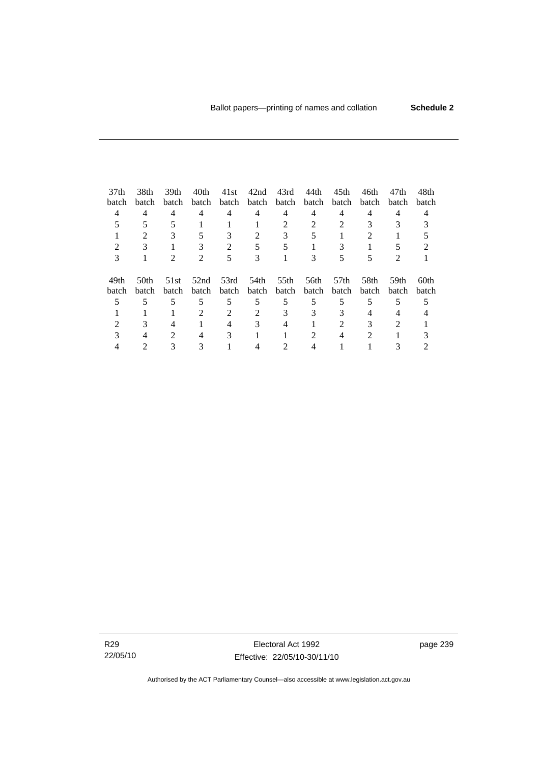| 37 <sub>th</sub> | 38th                        | 39th                        | 40th                        | 41st  | 42nd  | 43rd  | 44th  | 45 <sub>th</sub> | 46th         | 47th           | 48th  |
|------------------|-----------------------------|-----------------------------|-----------------------------|-------|-------|-------|-------|------------------|--------------|----------------|-------|
| batch            | batch                       | batch                       | batch                       | batch | batch | batch | batch | batch            | <b>batch</b> | <b>batch</b>   | batch |
| 4                | 4                           | 4                           | 4                           | 4     | 4     | 4     | 4     | 4                | 4            | 4              |       |
|                  |                             |                             |                             |       |       |       |       |                  |              |                |       |
|                  | $\mathcal{D}_{\mathcal{L}}$ | 3                           | 5                           | 3     |       | 3     |       |                  | 2            |                |       |
|                  |                             |                             |                             |       |       |       |       |                  |              |                |       |
|                  |                             | $\mathcal{D}_{\mathcal{L}}$ | $\mathcal{D}_{\mathcal{A}}$ | 5     | 3     |       | 3     |                  |              | $\mathfrak{D}$ |       |
| 49th             | 50th                        | 51st                        | 52nd                        | 53rd  | 54th  | 55th  | 56th  | 57 <sub>th</sub> | 58th         | 59th           | 60th  |
| batch            | <b>batch</b>                | batch                       | batch                       | batch | batch | batch | batch | batch            | batch        | batch          | batch |
|                  |                             | 5                           | 5                           | 5     | 5     | 5     | 5     |                  |              |                |       |
|                  |                             |                             | 2                           | 2     |       | 3     | 3     |                  |              |                |       |
|                  |                             | 4                           |                             |       |       |       |       |                  |              |                |       |
|                  |                             | $\mathcal{D}_{\mathcal{L}}$ | 4                           | 3     |       |       | 2     |                  | 2            |                |       |
|                  |                             |                             |                             |       |       |       |       |                  |              |                |       |

R29 22/05/10

Electoral Act 1992 Effective: 22/05/10-30/11/10 page 239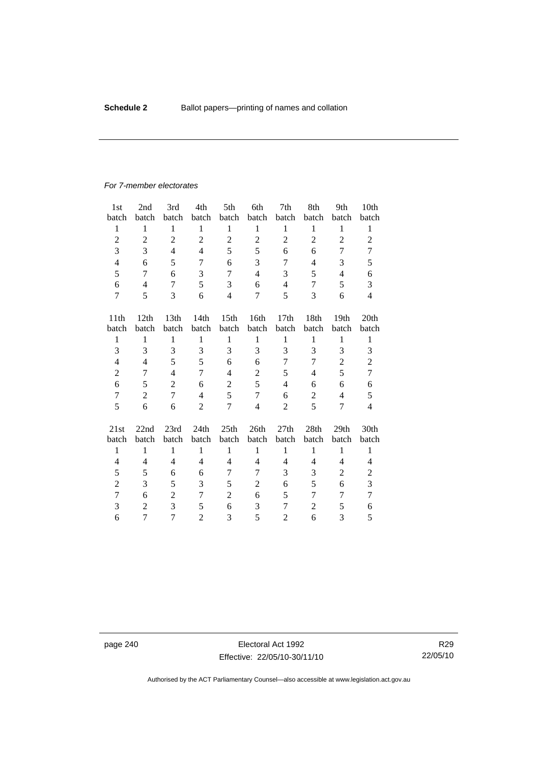#### *For 7-member electorates*

| 1 <sub>st</sub> | 2nd              | 3rd            | 4th            | 5th              | 6th            | 7th            | 8th            | 9th              | 10 <sub>th</sub> |
|-----------------|------------------|----------------|----------------|------------------|----------------|----------------|----------------|------------------|------------------|
| batch           | batch            | batch          | batch          | batch            | batch          | batch          | batch          | batch            | batch            |
| 1               | 1                | 1              | $\mathbf{1}$   | $\mathbf{1}$     | 1              | $\mathbf{1}$   | $\,1$          | $\mathbf{1}$     | 1                |
| $\overline{c}$  | $\mathfrak{2}$   | $\overline{c}$ | $\overline{c}$ | $\overline{2}$   | $\mathfrak{2}$ | $\overline{2}$ | $\overline{2}$ | $\overline{2}$   | $\mathbf{2}$     |
| 3               | 3                | $\overline{4}$ | $\overline{4}$ | 5                | 5              | 6              | 6              | 7                | 7                |
| $\overline{4}$  | 6                | 5              | 7              | 6                | 3              | 7              | 4              | 3                | 5                |
| 5               | 7                | 6              | 3              | 7                | $\overline{4}$ | 3              | 5              | $\overline{4}$   | 6                |
| 6               | $\overline{4}$   | 7              | 5              | 3                | 6              | 4              | 7              | 5                | 3                |
| 7               | 5                | 3              | 6              | 4                | 7              | 5              | 3              | 6                | $\overline{4}$   |
|                 |                  |                |                |                  |                |                |                |                  |                  |
| 11th            | 12th             | 13th           | 14th           | 15 <sup>th</sup> | 16th           | 17th           | 18th           | 19 <sub>th</sub> | 20th             |
| batch           | batch            | batch          | batch          | batch            | batch          | batch          | batch          | batch            | batch            |
| $\mathbf{1}$    | $\mathbf{1}$     | $\mathbf{1}$   | $\mathbf{1}$   | $\mathbf{1}$     | $\mathbf{1}$   | $\mathbf{1}$   | $\,1$          | $\mathbf{1}$     | $\mathbf{1}$     |
| 3               | 3                | 3              | 3              | 3                | 3              | 3              | 3              | 3                | 3                |
| 4               | $\overline{4}$   | 5              | 5              | 6                | 6              | 7              | 7              | $\overline{2}$   | $\overline{c}$   |
| $\overline{c}$  | 7                | $\overline{4}$ | 7              | 4                | $\overline{c}$ | 5              | $\overline{4}$ | 5                | $\overline{7}$   |
| 6               | 5                | $\overline{2}$ | 6              | $\overline{c}$   | 5              | 4              | 6              | 6                | 6                |
| $\tau$          | $\boldsymbol{2}$ | 7              | $\overline{4}$ | 5                | 7              | 6              | $\mathfrak 2$  | $\overline{4}$   | 5                |
| 5               | 6                | 6              | $\overline{c}$ | 7                | $\overline{4}$ | $\overline{2}$ | 5              | 7                | $\overline{4}$   |
| 21st            | 22nd             | 23rd           | 24th           | 25th             | 26th           | 27th           | 28th           | 29 <sub>th</sub> | 30th             |
| batch           | batch            | batch          | batch          | batch            | batch          | batch          | batch          | batch            | batch            |
| $\mathbf{1}$    | $\mathbf{1}$     | $\mathbf{1}$   | $\mathbf{1}$   | 1                | $\mathbf{1}$   | $\mathbf{1}$   | $\mathbf{1}$   | $\mathbf{1}$     | $\mathbf{1}$     |
| 4               | 4                | $\overline{4}$ | 4              | 4                | 4              | 4              | 4              | 4                | 4                |
| 5               | 5                | 6              | 6              | 7                | 7              | 3              | 3              | $\mathfrak{2}$   | $\overline{c}$   |
| $\overline{c}$  | 3                | 5              | 3              | 5                | $\overline{2}$ | 6              | 5              | 6                | 3                |
|                 |                  |                |                |                  |                |                |                |                  |                  |
| 7               | 6                | $\overline{2}$ | 7              | $\overline{c}$   | 6              | 5              | 7              | 7                | $\tau$           |
| 3               | $\overline{2}$   | $\overline{3}$ | 5              | 6                | 3              | 7              | $\overline{c}$ | 5                | 6                |
| 6               | 7                | 7              | $\overline{2}$ | 3                | 5              | $\overline{2}$ | 6              | 3                | 5                |

page 240 **Electoral Act 1992** Effective: 22/05/10-30/11/10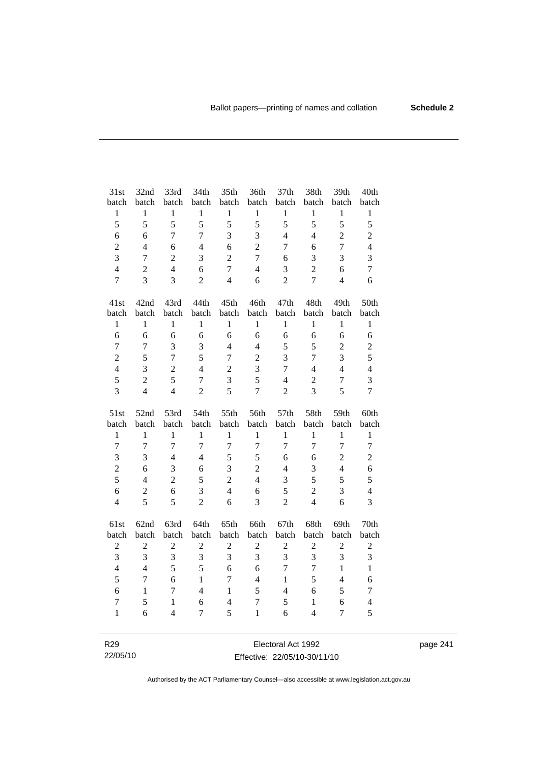| 31st                    | 32nd                     | 33rd           | 34th           | 35th           | 36th             | 37th             | 38th           | 39th           | 40th             |
|-------------------------|--------------------------|----------------|----------------|----------------|------------------|------------------|----------------|----------------|------------------|
| batch                   | batch                    | batch          | batch          | batch          | batch            | batch            | batch          | batch          | batch            |
| $\,1$                   | $\mathbf{1}$             | $\mathbf{1}$   | $\mathbf{1}$   | $\mathbf{1}$   | $\,1$            | $\mathbf{1}$     | $\mathbf{1}$   | $\mathbf{1}$   | $\mathbf{1}$     |
| 5                       | 5                        | 5              | 5              | 5              | 5                | 5                | 5              | 5              | 5                |
| 6                       | 6                        | $\overline{7}$ | $\overline{7}$ | 3              | 3                | $\overline{4}$   | $\overline{4}$ | $\overline{c}$ | $\overline{c}$   |
| $\overline{c}$          | $\overline{4}$           | 6              | $\overline{4}$ | 6              | $\overline{2}$   | $\overline{7}$   | 6              | $\overline{7}$ | $\overline{4}$   |
| 3                       | $\overline{7}$           | $\overline{2}$ | 3              | $\overline{2}$ | $\overline{7}$   | 6                | 3              | 3              | 3                |
| $\overline{\mathbf{4}}$ | $\overline{2}$           | $\overline{4}$ | 6              | $\overline{7}$ | $\overline{4}$   | 3                | $\overline{2}$ | 6              | $\tau$           |
| $\overline{7}$          | 3                        | 3              | $\overline{2}$ | $\overline{4}$ | 6                | $\overline{2}$   | $\overline{7}$ | $\overline{4}$ | 6                |
| 41st                    | 42nd                     | 43rd           | 44th           | 45th           | 46th             | 47th             | 48th           | 49th           | 50th             |
| batch                   | batch                    | batch          | batch          | batch          | batch            | batch            | batch          | batch          | batch            |
| $\mathbf{1}$            | $\mathbf{1}$             | $\mathbf{1}$   | $\mathbf{1}$   | $\mathbf{1}$   | $\mathbf{1}$     | $\mathbf{1}$     | $\mathbf{1}$   | $\mathbf{1}$   | $\mathbf{1}$     |
| 6                       | 6                        | 6              | 6              | 6              | 6                | 6                | 6              | 6              | 6                |
| $\boldsymbol{7}$        | $\overline{7}$           | 3              | 3              | $\overline{4}$ | $\overline{4}$   | 5                | 5              | $\overline{2}$ | $\overline{c}$   |
| $\overline{2}$          | 5                        | $\overline{7}$ | 5              | $\overline{7}$ | $\overline{2}$   | 3                | $\overline{7}$ | 3              | 5                |
| $\overline{\mathbf{4}}$ | 3                        | $\overline{c}$ | $\overline{4}$ | $\overline{2}$ | 3                | $\overline{7}$   | $\overline{4}$ | $\overline{4}$ | $\overline{4}$   |
| 5                       | $\overline{2}$           | 5              | $\overline{7}$ | 3              | 5                | $\overline{4}$   | $\sqrt{2}$     | $\overline{7}$ | $\overline{3}$   |
| 3                       | $\overline{4}$           | $\overline{4}$ | $\overline{2}$ | 5              | $\overline{7}$   | $\overline{2}$   | 3              | 5              | $\overline{7}$   |
| 51st                    | 52nd                     | 53rd           | 54th           | 55th           | 56th             | 57th             | 58th           | 59th           | 60th             |
|                         |                          |                |                | batch          | batch            | batch            | batch          | batch          | batch            |
| batch                   | batch                    | batch          | batch          |                |                  |                  |                |                |                  |
| $\,1$                   | $\mathbf{1}$             | $\mathbf{1}$   | $\mathbf{1}$   | $\mathbf{1}$   | $\mathbf{1}$     | $\mathbf{1}$     | $\mathbf{1}$   | $\mathbf{1}$   | $\mathbf{1}$     |
| $\overline{7}$          | $\overline{7}$           | $\overline{7}$ | $\overline{7}$ | $\overline{7}$ | $\boldsymbol{7}$ | $\overline{7}$   | $\overline{7}$ | $\overline{7}$ | $\boldsymbol{7}$ |
| 3                       | 3                        | $\overline{4}$ | $\overline{4}$ | 5              | 5                | 6                | 6              | $\overline{2}$ | $\overline{2}$   |
| $\overline{c}$          | 6                        | $\mathfrak{Z}$ | 6              | 3              | $\overline{c}$   | $\overline{4}$   | 3              | $\overline{4}$ | 6                |
| 5                       | $\overline{\mathcal{L}}$ | $\sqrt{2}$     | 5              | $\overline{2}$ | $\overline{4}$   | 3                | 5              | 5              | 5                |
| 6                       | $\mathbf{2}$             | 6              | 3              | $\overline{4}$ | 6                | 5                | $\overline{2}$ | 3              | $\overline{4}$   |
| $\overline{4}$          | 5                        | 5              | $\overline{2}$ | 6              | 3                | $\overline{2}$   | $\overline{4}$ | 6              | 3                |
| 61st                    | 62nd                     | 63rd           | 64th           | 65th           | 66th             | 67th             | 68th           | 69th           | 70th             |
| batch                   | batch                    | batch          | batch          | batch          | batch            | batch            | batch          | batch          | batch            |
| $\boldsymbol{2}$        | $\sqrt{2}$               | $\sqrt{2}$     | $\overline{c}$ | $\overline{c}$ | $\sqrt{2}$       | $\boldsymbol{2}$ | $\sqrt{2}$     | $\overline{2}$ | $\overline{c}$   |
| 3                       | 3                        | 3              | 3              | 3              | 3                | 3                | 3              | 3              | 3                |
| $\overline{4}$          | $\overline{4}$           | 5              | 5              | 6              | 6                | $\overline{7}$   | $\overline{7}$ | $\mathbf{1}$   | $\mathbf{1}$     |
| 5                       | $\overline{7}$           | 6              | $\mathbf{1}$   | $\overline{7}$ | $\overline{4}$   | $\mathbf{1}$     | 5              | $\overline{4}$ | 6                |
| 6                       | 1                        | $\tau$         | $\overline{4}$ | $\mathbf{1}$   | 5                | $\overline{4}$   | 6              | 5              | $\tau$           |
| $\overline{7}$          | 5                        | 1              | 6              | $\overline{4}$ | $\overline{7}$   | 5                | $\mathbf{1}$   | 6              | $\overline{4}$   |
| $\mathbf{1}$            | 6                        | $\overline{4}$ | 7              | 5              | $\mathbf{1}$     | 6                | $\overline{4}$ | 7              | 5                |

page 241

Effective: 22/05/10-30/11/10

R29 22/05/10

Authorised by the ACT Parliamentary Counsel—also accessible at www.legislation.act.gov.au

Electoral Act 1992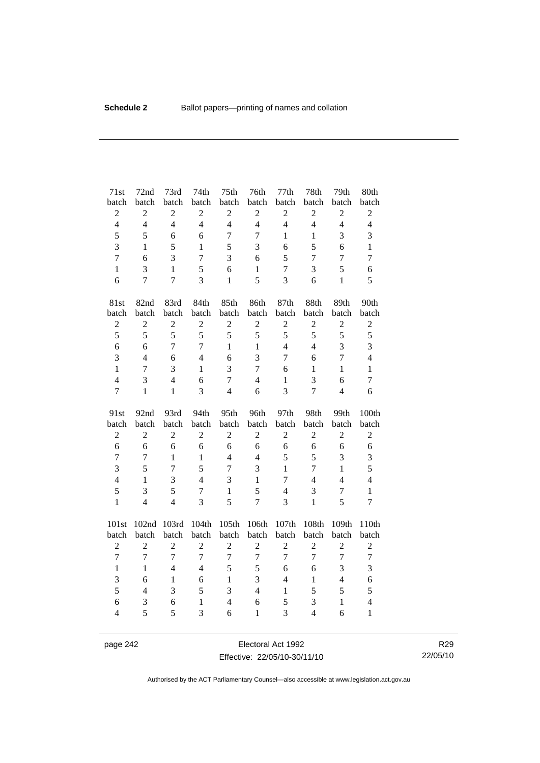| 71st                    | 72nd             | 73rd           | 74th              | 75 <sub>th</sub> | 76th                    | 77th           | 78th           | 79th           | 80th             |
|-------------------------|------------------|----------------|-------------------|------------------|-------------------------|----------------|----------------|----------------|------------------|
| batch                   | batch            | batch          | batch             | batch            | batch                   | batch          | batch          | batch          | batch            |
| $\overline{c}$          | $\sqrt{2}$       | $\overline{c}$ | $\overline{2}$    | $\overline{2}$   | $\sqrt{2}$              | $\overline{c}$ | $\overline{c}$ | $\overline{2}$ | $\overline{c}$   |
| $\overline{\mathbf{4}}$ | $\overline{4}$   | $\overline{4}$ | $\overline{4}$    | $\overline{4}$   | $\overline{4}$          | $\overline{4}$ | $\overline{4}$ | $\overline{4}$ | $\overline{4}$   |
| 5                       | 5                | 6              | 6                 | $\overline{7}$   | $\overline{7}$          | $\mathbf{1}$   | $\mathbf{1}$   | 3              | 3                |
| $\overline{3}$          | $\mathbf{1}$     | 5              | $\mathbf{1}$      | 5                | 3                       | 6              | 5              | 6              | $\mathbf{1}$     |
| 7                       | 6                | 3              | $\overline{7}$    | 3                | 6                       | 5              | 7              | $\overline{7}$ | $\overline{7}$   |
| $\mathbf{1}$            | 3                | $\mathbf{1}$   | 5                 | 6                | $\mathbf{1}$            | $\tau$         | 3              | 5              | 6                |
| 6                       | $\overline{7}$   | $\overline{7}$ | 3                 | $\mathbf{1}$     | 5                       | 3              | 6              | $\mathbf{1}$   | 5                |
| 81st                    | 82nd             | 83rd           | 84th              | 85th             | 86th                    | 87th           | 88th           | 89th           | 90th             |
| batch                   | batch            | batch          | batch             | batch            | batch                   | batch          | batch          | batch          | batch            |
| $\boldsymbol{2}$        | $\overline{2}$   | $\overline{2}$ | $\overline{c}$    | $\overline{2}$   | $\overline{2}$          | $\overline{2}$ | $\overline{2}$ | $\overline{2}$ | $\overline{c}$   |
| 5                       | 5                | 5              | 5                 | 5                | 5                       | 5              | 5              | 5              | 5                |
| $\overline{6}$          | 6                | $\overline{7}$ | $\overline{7}$    | $\mathbf{1}$     | $\mathbf{1}$            | $\overline{4}$ | $\overline{4}$ | 3              | 3                |
| 3                       | $\overline{4}$   | 6              | $\overline{4}$    | 6                | $\overline{\mathbf{3}}$ | $\tau$         | 6              | $\tau$         | $\overline{4}$   |
| $\mathbf{1}$            | $\overline{7}$   | 3              | $\mathbf{1}$      | 3                | $\overline{7}$          | 6              | $\mathbf{1}$   | $\mathbf{1}$   | $\mathbf{1}$     |
| $\overline{4}$          | 3                | $\overline{4}$ | 6                 | $\overline{7}$   | $\overline{4}$          | $\mathbf{1}$   | 3              | 6              | $\overline{7}$   |
| $\overline{7}$          | $\mathbf{1}$     | $\mathbf{1}$   | 3                 | 4                | 6                       | 3              | $\overline{7}$ | $\overline{4}$ | 6                |
|                         |                  |                |                   |                  |                         |                |                |                |                  |
| 91st                    | 92nd             | 93rd           | 94th              | 95th             | 96th                    | 97th           | 98th           | 99th           | 100th            |
| batch                   | batch            | batch          | batch             | batch            | batch                   | batch          | batch          | batch          | batch            |
| $\boldsymbol{2}$        | $\overline{2}$   | $\sqrt{2}$     | $\overline{2}$    | $\overline{2}$   | $\sqrt{2}$              | $\overline{c}$ | $\overline{c}$ | $\mathbf{2}$   | $\mathbf{2}$     |
| 6                       | 6                | 6              | 6                 | 6                | 6                       | 6              | 6              | 6              | 6                |
| $\overline{7}$          | $\overline{7}$   | $\mathbf{1}$   | $\mathbf{1}$      | $\overline{4}$   | $\overline{4}$          | 5              | 5              | 3              | 3                |
| 3                       | 5                | $\overline{7}$ | 5                 | $\overline{7}$   | 3                       | $\mathbf{1}$   | $\overline{7}$ | $\mathbf{1}$   | 5                |
| $\overline{4}$          | $\mathbf{1}$     | 3              | $\overline{4}$    | 3                | $\mathbf{1}$            | $\overline{7}$ | $\overline{4}$ | $\overline{4}$ | $\overline{4}$   |
| 5                       | 3                | 5              | $\overline{7}$    | $\mathbf{1}$     | 5                       | $\overline{4}$ | 3              | $\overline{7}$ | $\mathbf{1}$     |
| $\mathbf{1}$            | $\overline{4}$   | $\overline{4}$ | $\overline{3}$    | 5                | $\overline{7}$          | 3              | $\mathbf{1}$   | 5              | 7                |
| 101st                   | 102nd            | 103rd          | 104th             | 105th            | 106th                   | 107th          | 108th          | 109th          | 110th            |
| batch                   | batch            | batch          | batch             | batch            | batch                   | batch          | batch          | batch          | batch            |
| $\boldsymbol{2}$        | $\boldsymbol{2}$ | $\sqrt{2}$     | $\overline{2}$    | $\boldsymbol{2}$ | $\sqrt{2}$              | $\overline{c}$ | $\overline{2}$ | $\sqrt{2}$     | $\overline{c}$   |
| $\overline{7}$          | $\overline{7}$   | $\overline{7}$ | $\overline{7}$    | $\overline{7}$   | $\overline{7}$          | $\overline{7}$ | $\overline{7}$ | $\overline{7}$ | $\boldsymbol{7}$ |
| $\mathbf{1}$            | $\mathbf{1}$     | $\overline{4}$ | $\overline{4}$    | 5                | 5                       | 6              | 6              | 3              | 3                |
| 3                       | 6                | $\mathbf{1}$   | 6                 | $\mathbf{1}$     | 3                       | $\overline{4}$ | $\mathbf{1}$   | $\overline{4}$ | 6                |
| 5                       | $\overline{4}$   | 3              | 5                 | 3                | $\overline{4}$          | $\mathbf{1}$   | 5              | 5              | 5                |
| 6                       | 3                | 6<br>5         | $\mathbf{1}$<br>3 | $\overline{4}$   | 6                       | 5              | $\mathfrak{Z}$ | $\mathbf{1}$   | $\overline{4}$   |

page 242 **Electoral Act 1992** Effective: 22/05/10-30/11/10

R29 22/05/10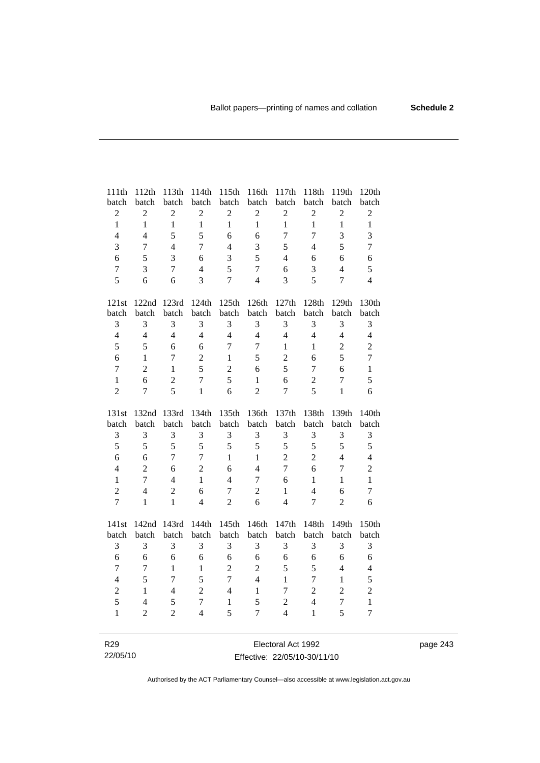| 111th                   | 112th            | 113th          | 114th                   | 115th            | 116th            | $117th\,$        | 118th          | 119th            | 120th            |
|-------------------------|------------------|----------------|-------------------------|------------------|------------------|------------------|----------------|------------------|------------------|
| batch                   | batch            | batch          | batch                   | batch            | batch            | batch            | batch          | batch            | batch            |
| $\overline{c}$          | $\boldsymbol{2}$ | $\mathbf{2}$   | $\sqrt{2}$              | $\boldsymbol{2}$ | $\sqrt{2}$       | $\sqrt{2}$       | $\overline{2}$ | $\overline{c}$   | $\overline{c}$   |
| $\mathbf{1}$            | $\mathbf{1}$     | $\mathbf{1}$   | $\mathbf{1}$            | $\mathbf{1}$     | $\mathbf{1}$     | $\mathbf{1}$     | $\mathbf{1}$   | $\mathbf{1}$     | $\mathbf{1}$     |
| $\overline{4}$          | $\overline{4}$   | 5              | 5                       | 6                | 6                | $\overline{7}$   | $\overline{7}$ | 3                | 3                |
| 3                       | $\boldsymbol{7}$ | $\overline{4}$ | $\overline{7}$          | $\overline{4}$   | 3                | 5                | $\overline{4}$ | 5                | $\boldsymbol{7}$ |
| 6                       | 5                | 3              | 6                       | $\mathfrak{Z}$   | 5                | $\overline{4}$   | 6              | 6                | 6                |
| $\overline{7}$          | 3                | $\overline{7}$ | $\overline{\mathbf{4}}$ | 5                | $\overline{7}$   | 6                | 3              | $\overline{4}$   | 5                |
| 5                       | 6                | 6              | 3                       | $\overline{7}$   | $\overline{4}$   | 3                | 5              | $\overline{7}$   | $\overline{4}$   |
| 121st                   | 122nd            | 123rd          | 124th                   | 125th            | 126th            | 127th            | 128th          | 129th            | 130th            |
| batch                   | batch            | batch          | batch                   | batch            | batch            | batch            | batch          | batch            | batch            |
| 3                       | 3                | 3              | 3                       | 3                | 3                | 3                | 3              | 3                | 3                |
| $\overline{\mathbf{4}}$ | $\overline{4}$   | $\overline{4}$ | $\overline{4}$          | $\overline{4}$   | $\overline{4}$   | $\overline{4}$   | $\overline{4}$ | $\overline{4}$   | $\overline{4}$   |
| 5                       | 5                | 6              | 6                       | $\overline{7}$   | $\boldsymbol{7}$ | $\mathbf{1}$     | $\mathbf{1}$   | $\overline{c}$   | $\overline{2}$   |
| 6                       | $\mathbf{1}$     | $\overline{7}$ | $\overline{c}$          | $\mathbf{1}$     | 5                | $\overline{c}$   | 6              | 5                | $\overline{7}$   |
| $\overline{7}$          | $\overline{2}$   | $\mathbf{1}$   | 5                       | $\overline{2}$   | 6                | 5                | 7              | 6                | $\mathbf{1}$     |
| $\mathbf{1}$            | 6                | $\overline{2}$ | $\overline{7}$          | 5                | $\mathbf{1}$     | 6                | $\overline{2}$ | $\boldsymbol{7}$ | 5                |
| $\overline{2}$          | $\overline{7}$   | 5              | $\mathbf{1}$            | 6                | $\overline{2}$   | $\overline{7}$   | 5              | $\mathbf{1}$     | 6                |
|                         |                  |                |                         |                  |                  |                  |                |                  |                  |
| 131st                   | 132nd            | 133rd          | 134th                   | 135th            | 136th            | 137th            | 138th          | 139th            | 140th            |
| batch                   | batch            | batch          | batch                   | batch            | batch            | batch            | batch          | batch            | batch            |
| 3                       | 3                | 3              | 3                       | 3                | 3                | 3                | 3              | $\mathfrak{Z}$   | $\mathfrak{Z}$   |
| 5                       | 5                | 5              | 5                       | 5                | 5                | 5                | 5              | 5                | 5                |
| 6                       | 6                | $\overline{7}$ | $\overline{7}$          | $\mathbf{1}$     | $\mathbf{1}$     | $\overline{2}$   | $\overline{2}$ | $\overline{4}$   | $\overline{4}$   |
| $\overline{4}$          | $\overline{2}$   | 6              | $\overline{2}$          | 6                | $\overline{4}$   | $\overline{7}$   | 6              | $\overline{7}$   | $\overline{c}$   |
| $\mathbf{1}$            | $\overline{7}$   | $\overline{4}$ | $\mathbf{1}$            | $\overline{4}$   | $\overline{7}$   | 6                | $\mathbf{1}$   | $\mathbf{1}$     | $\mathbf{1}$     |
| $\overline{c}$          | $\overline{4}$   | $\overline{c}$ | 6                       | $\boldsymbol{7}$ | $\overline{c}$   | $\mathbf{1}$     | $\overline{4}$ | 6                | $\tau$           |
| $\overline{7}$          | $\mathbf{1}$     | $\mathbf{1}$   | $\overline{4}$          | $\overline{2}$   | 6                | $\overline{4}$   | $\tau$         | $\overline{2}$   | 6                |
| 141st                   | 142nd            | 143rd          | 144th                   | 145th            | 146th            | 147th            | 148th          | 149th            | 150th            |
| batch                   | batch            | batch          | batch                   | batch            | batch            | batch            | batch          | batch            | batch            |
| 3                       | $\mathfrak{Z}$   | 3              | 3                       | 3                | 3                | 3                | 3              | 3                | 3                |
| 6                       | 6                | 6              | 6                       | 6                | 6                | 6                | 6              | 6                | 6                |
| $\overline{7}$          | $\overline{7}$   | $\mathbf{1}$   | $\mathbf{1}$            | $\overline{2}$   | $\overline{c}$   | 5                | 5              | $\overline{4}$   | $\overline{4}$   |
| $\overline{\mathbf{4}}$ | 5                | $\overline{7}$ | 5                       | $\overline{7}$   | $\overline{4}$   | $\mathbf{1}$     | $\tau$         | $\mathbf{1}$     | 5                |
| $\overline{2}$          | $\mathbf{1}$     | $\overline{4}$ | $\overline{2}$          | $\overline{4}$   | $\mathbf{1}$     | $\tau$           | $\overline{2}$ | $\overline{c}$   | $\mathbf{2}$     |
| 5                       | $\overline{4}$   | 5              | $\overline{7}$          | $\,1$            | 5                | $\boldsymbol{2}$ | $\overline{4}$ | $\boldsymbol{7}$ | $\mathbf{1}$     |
| $\mathbf{1}$            | $\overline{2}$   | $\overline{2}$ | $\overline{4}$          | 5                | $\overline{7}$   | $\overline{4}$   | $\mathbf{1}$   | 5                | $\boldsymbol{7}$ |

page 243

R29 22/05/10

Electoral Act 1992 Effective: 22/05/10-30/11/10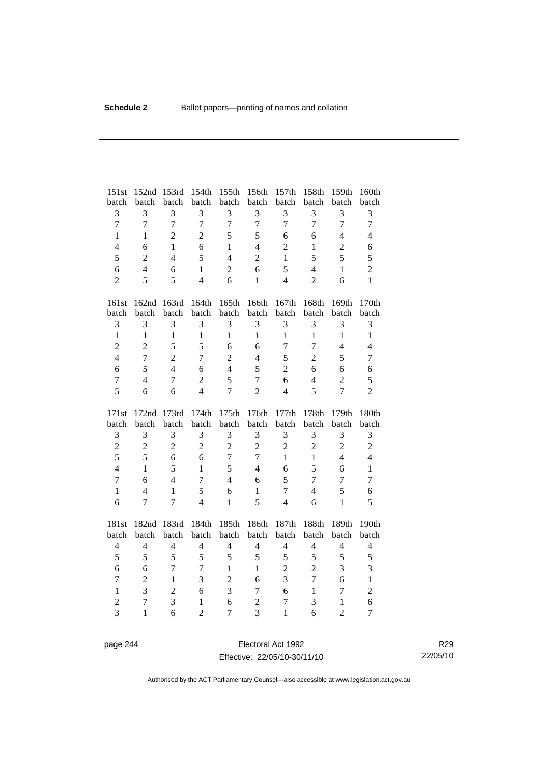| 151st                            | 152nd            | 153rd               | 154th                          | 155th               | 156th                            | 157th          | 158th          | 159th                          | 160th               |
|----------------------------------|------------------|---------------------|--------------------------------|---------------------|----------------------------------|----------------|----------------|--------------------------------|---------------------|
| batch                            | batch            | batch               | batch                          | batch               | batch                            | batch          | batch          | batch                          | batch               |
| 3                                | 3                | 3                   | 3                              | $\mathfrak{Z}$      | 3                                | $\mathfrak{Z}$ | 3              | 3                              | 3                   |
| $\overline{7}$                   | $\overline{7}$   | $\overline{7}$      | $\overline{7}$                 | $\overline{7}$      | $\overline{7}$                   | $\overline{7}$ | $\overline{7}$ | $\overline{7}$                 | $\boldsymbol{7}$    |
| $\mathbf{1}$                     | $\mathbf{1}$     | $\overline{2}$      | $\overline{2}$                 | 5                   | 5                                | 6              | 6              | $\overline{4}$                 | $\overline{4}$      |
| $\overline{\mathcal{L}}$         | 6                | $\mathbf{1}$        | 6                              | $\mathbf{1}$        | $\overline{4}$                   | $\overline{2}$ | $\mathbf{1}$   | $\overline{2}$                 | 6                   |
| 5                                | $\overline{2}$   | $\overline{4}$      | 5                              | $\overline{4}$      | $\overline{2}$                   | $\mathbf{1}$   | 5              | 5                              | 5                   |
| 6                                | $\overline{4}$   | 6                   | $\mathbf{1}$                   | $\sqrt{2}$          | 6                                | 5              | $\overline{4}$ | $\mathbf{1}$                   | $\overline{c}$      |
| $\overline{2}$                   | 5                | 5                   | $\overline{4}$                 | 6                   | $\mathbf{1}$                     | $\overline{4}$ | $\overline{2}$ | 6                              | $\mathbf{1}$        |
| 161st                            | 162nd            | 163rd               | 164th                          | 165th               | 166th                            | 167th          | 168th          | 169th                          | 170th               |
| batch                            | batch            | batch               | batch                          | batch               | batch                            | batch          | batch          | batch                          | batch               |
| 3                                | 3                | 3                   | 3                              | 3                   | 3                                | 3              | 3              | 3                              | 3                   |
| $\mathbf{1}$                     | $\mathbf{1}$     | $\mathbf{1}$        | $\mathbf{1}$                   | $\mathbf{1}$        | $\mathbf{1}$                     | $\mathbf{1}$   | $\mathbf{1}$   | $\mathbf{1}$                   | $\mathbf{1}$        |
| $\overline{c}$                   | $\overline{2}$   | 5                   | 5                              | 6                   | 6                                | $\tau$         | $\overline{7}$ | $\overline{4}$                 | $\overline{4}$      |
| $\overline{\mathbf{4}}$          | $\overline{7}$   | $\overline{2}$      | $\overline{7}$                 | $\overline{2}$      | $\overline{4}$                   | 5              | $\overline{2}$ | 5                              | $\overline{7}$      |
| 6                                | 5                | $\overline{4}$      | 6                              | $\overline{4}$      | 5                                | $\overline{2}$ | 6              | 6                              | 6                   |
| $\overline{7}$                   | $\overline{4}$   | $\tau$              | $\overline{2}$                 | 5                   | $\tau$                           | 6              | $\overline{4}$ | $\overline{2}$                 | 5                   |
| 5                                | 6                | 6                   | $\overline{4}$                 | $\overline{7}$      | $\overline{2}$                   | $\overline{4}$ | 5              | $\overline{7}$                 | $\overline{2}$      |
|                                  |                  |                     |                                |                     |                                  |                |                |                                |                     |
| 171st                            | 172nd            | 173rd               | 174th                          | 175th               | 176th                            | 177th          | 178th          | 179th                          | 180th               |
| batch                            | batch            | batch               | batch                          | batch               | batch                            | batch          | batch          | batch                          | batch               |
| 3                                | 3                | 3                   | 3                              | $\mathfrak{Z}$      | 3                                | $\mathfrak{Z}$ | $\mathfrak{Z}$ | 3                              | 3                   |
| $\overline{c}$                   | $\boldsymbol{2}$ | $\overline{c}$      | $\overline{2}$                 | $\overline{2}$      | $\overline{2}$                   | $\overline{2}$ | $\sqrt{2}$     | $\overline{2}$                 | $\overline{2}$      |
| 5                                | 5                | 6                   | 6                              | $\overline{7}$      | $\overline{7}$                   | $\mathbf{1}$   | $\mathbf{1}$   | $\overline{4}$                 | $\overline{4}$      |
| $\overline{4}$                   | $\mathbf{1}$     | 5                   | $\mathbf{1}$                   | 5                   | $\overline{4}$                   | 6              | 5              | 6                              | $\mathbf{1}$        |
| $\overline{7}$                   | 6                | $\overline{4}$      | 7                              | $\overline{4}$      | 6                                | 5              | $\overline{7}$ | $\overline{7}$                 | $\overline{7}$      |
| $\mathbf{1}$                     | $\overline{4}$   | $\mathbf{1}$        | 5                              | 6                   | $\mathbf{1}$                     | $\tau$         | $\overline{4}$ | 5                              | 6                   |
| 6                                | $\overline{7}$   | $\overline{7}$      | $\overline{4}$                 | $\mathbf{1}$        | 5                                | $\overline{4}$ | 6              | $\mathbf{1}$                   | 5                   |
| 181st                            | 182nd            | 183rd               | 184th                          | 185th               | 186th                            | 187th          | 188th          | 189th                          | 190th               |
| batch                            | batch            | batch               | batch                          | batch               | batch                            | batch          | batch          | batch                          | batch               |
| $\overline{4}$                   | $\overline{4}$   | $\overline{4}$      | $\overline{4}$                 | $\overline{4}$      | $\overline{4}$                   | $\overline{4}$ | $\overline{4}$ | $\overline{4}$                 | $\overline{4}$      |
| 5                                | 5                | 5                   | 5                              | 5                   | 5                                | 5              | 5              | 5                              | 5                   |
| 6                                | 6                | $\overline{7}$      | $\overline{7}$                 | $\mathbf{1}$        | $\mathbf{1}$                     | $\overline{2}$ | $\overline{2}$ | 3                              | 3                   |
| $\overline{7}$                   | $\overline{2}$   | $\mathbf{1}$        | 3                              | $\overline{2}$      | 6                                | 3              | $\overline{7}$ | 6                              | $\mathbf{1}$        |
| $\mathbf{1}$                     | 3                | $\overline{c}$      | 6                              | 3                   | $\tau$                           | 6              | $\mathbf{1}$   | $\overline{7}$                 | $\overline{c}$      |
| $\overline{2}$<br>$\overline{3}$ | $\tau$           | $\overline{3}$<br>6 | $\mathbf{1}$<br>$\overline{2}$ | 6<br>$\overline{7}$ | $\overline{2}$<br>$\overline{3}$ | $\tau$         | 3              | $\mathbf{1}$<br>$\overline{2}$ | 6<br>$\overline{7}$ |

page 244 Electoral Act 1992 Effective: 22/05/10-30/11/10

R29 22/05/10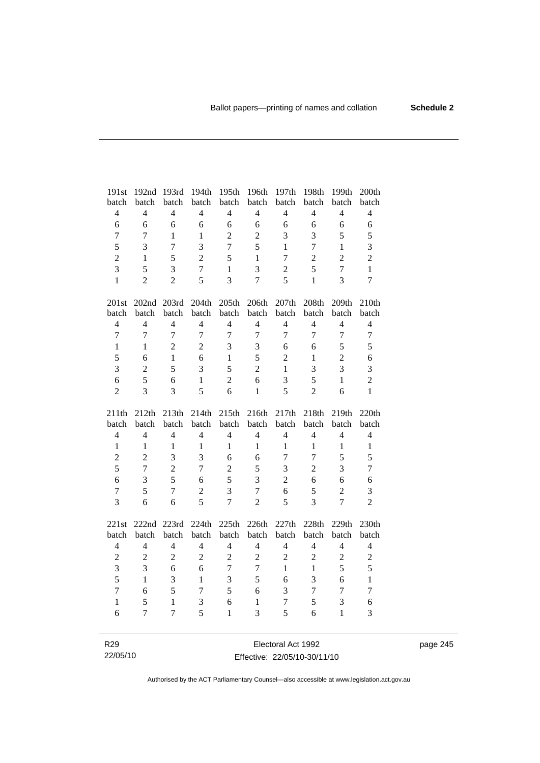| 191st                   | 192nd          | 193rd                          | 194th          | 195th          | 196th                          | 197th          | 198th            | 199th             | 200th          |
|-------------------------|----------------|--------------------------------|----------------|----------------|--------------------------------|----------------|------------------|-------------------|----------------|
| batch                   | batch          | batch                          | batch          | batch          | batch                          | batch          | batch            | batch             | batch          |
| $\overline{4}$          | $\overline{4}$ | $\overline{4}$                 | $\overline{4}$ | $\overline{4}$ | $\overline{4}$                 | $\overline{4}$ | $\overline{4}$   | $\overline{4}$    | $\overline{4}$ |
| $\sqrt{6}$              | 6              | 6                              | 6              | 6              | $\sqrt{6}$                     | 6              | 6                | 6                 | 6              |
| $\overline{7}$          | $\tau$         | $\mathbf{1}$                   | $\mathbf{1}$   | $\overline{2}$ | $\overline{2}$                 | 3              | 3                | 5                 | 5              |
| 5                       | 3              | $\boldsymbol{7}$               | 3              | $\overline{7}$ | 5                              | 1              | $\boldsymbol{7}$ | $\mathbf{1}$      | 3              |
| $\overline{c}$          | 1              | 5                              | $\overline{2}$ | 5              | $\mathbf{1}$                   | $\overline{7}$ | $\overline{c}$   | $\overline{2}$    | $\overline{2}$ |
| $\overline{3}$          | 5              | 3                              | $\overline{7}$ | $\mathbf{1}$   | $\overline{3}$                 | $\sqrt{2}$     | 5                | $\overline{7}$    | $\mathbf{1}$   |
| $\mathbf{1}$            | $\overline{2}$ | $\overline{2}$                 | 5              | $\overline{3}$ | $\overline{7}$                 | 5              | $\mathbf{1}$     | 3                 | $\overline{7}$ |
|                         |                |                                |                |                |                                |                |                  |                   |                |
| 201st                   |                | 202nd 203rd                    | 204th          | 205th          | 206th                          | 207th          | 208th            | 209th             | 210th          |
| batch                   | batch          | batch                          | batch          | batch          | batch                          | batch          | batch            | batch             | batch          |
| $\overline{\mathbf{4}}$ | $\overline{4}$ | $\overline{4}$                 | $\overline{4}$ | $\overline{4}$ | $\overline{4}$                 | $\overline{4}$ | $\overline{4}$   | $\overline{4}$    | $\overline{4}$ |
| $\overline{7}$          | $\overline{7}$ | $\overline{7}$                 | $\overline{7}$ | $\overline{7}$ | $\overline{7}$                 | $\overline{7}$ | $\overline{7}$   | $\overline{7}$    | $\overline{7}$ |
| $\mathbf{1}$            | $\mathbf{1}$   | $\overline{2}$                 | $\overline{2}$ | 3              | 3                              | 6              | 6                | 5                 | 5              |
| 5                       | 6              | $\mathbf{1}$                   | 6              | $\mathbf{1}$   | 5                              | $\mathbf{2}$   | $\mathbf{1}$     | $\sqrt{2}$        | 6              |
| 3                       | $\overline{2}$ | 5                              | 3              | 5              | $\overline{2}$                 | $\mathbf{1}$   | 3                | 3                 | $\overline{3}$ |
| 6                       | 5              | 6                              | $\mathbf{1}$   | $\overline{2}$ | 6                              | 3              | 5                | $\mathbf{1}$      | $\overline{2}$ |
| $\overline{c}$          | 3              | 3                              | 5              | 6              | $\mathbf{1}$                   | 5              | $\overline{2}$   | 6                 | $\mathbf{1}$   |
|                         |                |                                |                |                |                                |                |                  |                   |                |
| 211th                   | 212th          | 213th                          | 214th          | 215th          | 216th                          | 217th          | 218th            | 219th             | 220th          |
| batch                   | batch          | batch                          | batch          | batch          | batch                          | batch          | batch            | batch             | batch          |
| $\overline{4}$          | $\overline{4}$ | $\overline{4}$                 | $\overline{4}$ | $\overline{4}$ | $\overline{4}$                 | $\overline{4}$ | $\overline{4}$   | $\overline{4}$    | $\overline{4}$ |
| $\mathbf{1}$            | $\mathbf{1}$   | $\mathbf{1}$                   | 1              | 1              | $\mathbf{1}$                   | 1              | 1                | $\mathbf{1}$      | $\mathbf{1}$   |
| $\overline{2}$          | $\overline{2}$ | 3                              | 3              | 6              | 6                              | $\tau$         | $\overline{7}$   | 5                 | 5              |
| 5                       | $\overline{7}$ | $\overline{2}$                 | $\overline{7}$ | $\overline{2}$ | 5                              | 3              | $\overline{2}$   | 3                 | $\overline{7}$ |
| 6                       | 3              | 5                              | 6              | 5              | 3                              | $\overline{2}$ | 6                | 6                 | 6              |
| $\overline{7}$          | 5              | $\overline{7}$                 | $\overline{c}$ | 3              | $\overline{7}$                 | 6              | 5                | $\overline{c}$    | 3              |
| 3                       | 6              | 6                              | 5              | $\overline{7}$ | $\overline{2}$                 | 5              | 3                | $\overline{7}$    | $\overline{2}$ |
|                         |                |                                |                |                |                                |                |                  |                   |                |
| 221st                   | 222nd          | 223rd                          | 224th          | 225th          | 226th                          | 227th          | 228th            | 229th             | 230th          |
| batch                   | batch          | batch                          | batch          | batch          | batch                          | batch          | batch            | batch             | batch          |
| $\overline{\mathbf{4}}$ | $\overline{4}$ | $\overline{4}$                 | $\overline{4}$ | $\overline{4}$ | $\overline{4}$                 | $\overline{4}$ | $\overline{4}$   | $\overline{4}$    | $\overline{4}$ |
| $\overline{c}$          | $\overline{c}$ | $\overline{2}$                 | $\overline{2}$ | $\sqrt{2}$     | $\overline{c}$                 | $\sqrt{2}$     | $\overline{2}$   | $\sqrt{2}$        | $\overline{c}$ |
| 3                       | 3              | 6                              | 6              | $\overline{7}$ | $\overline{7}$                 | $\mathbf{1}$   | $\mathbf{1}$     | 5                 | 5              |
| 5                       | $\mathbf{1}$   | 3                              | $\mathbf{1}$   | 3              | 5                              | 6              | $\overline{3}$   | 6                 | $\mathbf{1}$   |
| $\overline{7}$          | 6              | 5                              | $\overline{7}$ | 5              | 6                              | 3              | $\overline{7}$   | $\overline{7}$    | $\overline{7}$ |
| $\mathbf{1}$<br>6       | 5<br>7         | $\mathbf{1}$<br>$\overline{7}$ | 3<br>5         | 6<br>1         | $\mathbf{1}$<br>$\overline{3}$ | 7<br>5         | 5<br>6           | 3<br>$\mathbf{1}$ | 6<br>3         |

R29 22/05/10

Electoral Act 1992 Effective: 22/05/10-30/11/10 page 245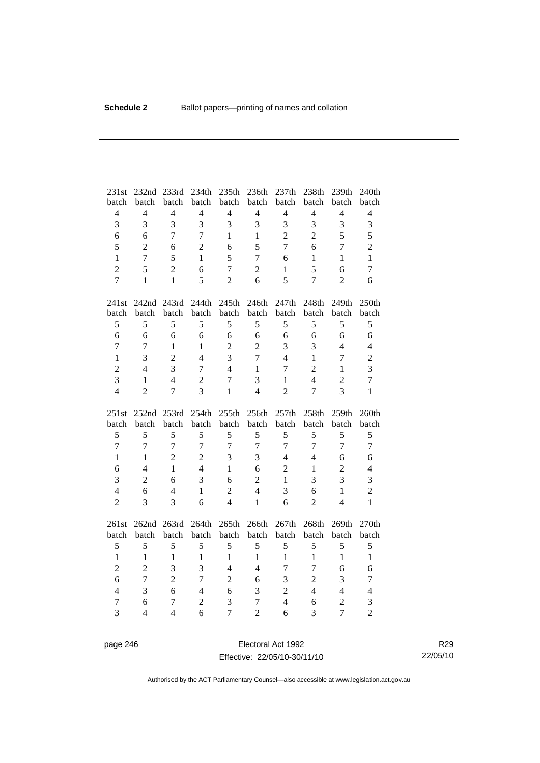| 231st<br>batch | 232nd<br>batch | 233rd<br>batch | 234th<br>batch | 235th<br>batch           | 236th<br>batch | 237th<br>batch | 238th<br>batch | 239th<br>batch | 240th<br>batch |
|----------------|----------------|----------------|----------------|--------------------------|----------------|----------------|----------------|----------------|----------------|
| $\overline{4}$ | $\overline{4}$ | $\overline{4}$ | $\overline{4}$ | $\overline{4}$           | $\overline{4}$ | $\overline{4}$ | $\overline{4}$ | $\overline{4}$ | $\overline{4}$ |
| 3              | 3              | 3              | $\overline{3}$ | 3                        | 3              | 3              | 3              | 3              | 3              |
| 6              | 6              | $\overline{7}$ | $\overline{7}$ | $\mathbf{1}$             | $\mathbf{1}$   | $\overline{2}$ | $\overline{2}$ | 5              | 5              |
| 5              | $\overline{2}$ | 6              | $\overline{2}$ | 6                        | 5              | $\overline{7}$ | 6              | $\overline{7}$ | $\overline{2}$ |
| $\mathbf{1}$   | $\overline{7}$ | 5              | $\mathbf{1}$   | 5                        | $\overline{7}$ | 6              | $\mathbf{1}$   | $\mathbf{1}$   | $\mathbf{1}$   |
| $\overline{2}$ | 5              | $\overline{2}$ | 6              | $\overline{7}$           | $\overline{c}$ | 1              | 5              | 6              | $\overline{7}$ |
| $\overline{7}$ | $\mathbf{1}$   | $\mathbf{1}$   | 5              | $\overline{2}$           | 6              | 5              | $\overline{7}$ | $\overline{2}$ | 6              |
|                |                |                |                |                          |                |                |                |                |                |
| 241st          | 242nd          | 243rd          | 244th          | 245th                    | 246th          | 247th          | 248th          | 249th          | 250th          |
| batch          | batch          | batch          | batch          | batch                    | batch          | batch          | batch          | batch          | batch          |
| 5              | 5              | 5              | 5              | 5                        | 5              | 5              | 5              | 5              | 5              |
| 6              | 6              | 6              | 6              | 6                        | 6              | 6              | 6              | 6              | 6              |
| $\overline{7}$ | $\overline{7}$ | $\mathbf{1}$   | $\mathbf{1}$   | $\sqrt{2}$               | $\overline{2}$ | 3              | 3              | $\overline{4}$ | $\overline{4}$ |
| $\mathbf{1}$   | 3              | $\overline{2}$ | $\overline{4}$ | 3                        | $\overline{7}$ | $\overline{4}$ | $\mathbf{1}$   | $\overline{7}$ | $\overline{c}$ |
| $\overline{2}$ | $\overline{4}$ | 3              | $\overline{7}$ | $\overline{4}$           | $\mathbf{1}$   | 7              | $\overline{2}$ | $\mathbf{1}$   | 3              |
| 3              | 1              | $\overline{4}$ | $\overline{2}$ | $\overline{7}$           | 3              | $\mathbf{1}$   | $\overline{4}$ | $\overline{c}$ | 7              |
| $\overline{4}$ | $\overline{2}$ | $\overline{7}$ | $\overline{3}$ | $\mathbf{1}$             | $\overline{4}$ | $\overline{2}$ | $\overline{7}$ | 3              | $\mathbf{1}$   |
|                |                |                |                |                          |                |                |                |                |                |
| 251st          | 252nd          | 253rd          | 254th          | 255th                    | 256th          | 257th          | 258th          | 259th          | 260th          |
| batch          | batch          | batch          | batch          | batch                    | batch          | batch          | batch          | batch          | batch          |
| 5              | 5              | 5              | 5              | 5                        | 5              | 5              | 5              | 5              | 5              |
| $\overline{7}$ | $\overline{7}$ | $\overline{7}$ | $\overline{7}$ | $\overline{7}$           | $\overline{7}$ | $\overline{7}$ | $\overline{7}$ | $\overline{7}$ | $\overline{7}$ |
| $\mathbf{1}$   | $\mathbf{1}$   | $\overline{2}$ | $\overline{2}$ | 3                        | 3              | $\overline{4}$ | $\overline{4}$ | 6              | 6              |
| 6              | $\overline{4}$ | $\mathbf{1}$   | $\overline{4}$ | $\mathbf{1}$             | 6              | $\overline{2}$ | $\mathbf{1}$   | $\overline{2}$ | $\overline{4}$ |
| 3              | $\overline{2}$ | 6              | 3              | 6                        | $\overline{2}$ | 1              | 3              | 3              | 3              |
| $\overline{4}$ | 6              | $\overline{4}$ | $\mathbf{1}$   | $\overline{2}$           | $\overline{4}$ | 3              | 6              | $\mathbf{1}$   | $\overline{c}$ |
| $\overline{2}$ | 3              | 3              | 6              | $\overline{\mathcal{L}}$ | $\mathbf{1}$   | 6              | $\overline{2}$ | $\overline{4}$ | $\mathbf{1}$   |
| 261st          | 262nd 263rd    |                | 264th          | 265th                    | 266th          | 267th          | 268th          | 269th          | 270th          |
|                | batch          | batch          | batch          | batch                    | batch          | batch          |                | batch          | batch          |
| batch<br>5     | 5              | 5              | 5              | 5                        | 5              | 5              | batch<br>5     | 5              | 5              |
| $\mathbf{1}$   | $\mathbf{1}$   | $\mathbf{1}$   | $\mathbf{1}$   | $\mathbf{1}$             | $\mathbf{1}$   | $\mathbf{1}$   | $\mathbf{1}$   | $\mathbf{1}$   | $\mathbf{1}$   |
| $\overline{c}$ | $\overline{2}$ | $\overline{3}$ | 3              | $\overline{4}$           | $\overline{4}$ | 7              | $\tau$         | 6              | 6              |
| 6              | $\overline{7}$ | $\overline{2}$ | $\overline{7}$ | $\sqrt{2}$               | 6              | 3              | $\overline{2}$ | 3              | $\tau$         |
| $\overline{4}$ | 3              | 6              | $\overline{4}$ | 6                        | 3              | $\overline{2}$ | $\overline{4}$ | $\overline{4}$ | $\overline{4}$ |
| $\tau$         | 6              | $\tau$         | $\overline{2}$ | 3                        | $\tau$         | $\overline{4}$ | 6              | $\overline{2}$ | 3              |

page 246 Electoral Act 1992 Effective: 22/05/10-30/11/10

R29 22/05/10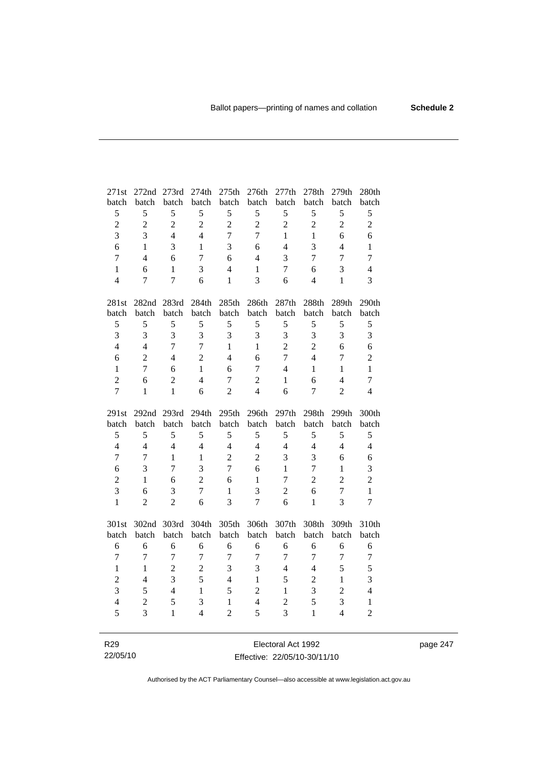| 271st          | 272nd          | 273rd          | 274th          | 275th          | 276th            | 277th          | 278th                   | 279th                    | 280th          |
|----------------|----------------|----------------|----------------|----------------|------------------|----------------|-------------------------|--------------------------|----------------|
| batch          | batch          | batch          | batch          | batch          | batch            | batch          | batch                   | batch                    | batch          |
| 5              | 5              | 5              | 5              | 5              | 5                | 5              | 5                       | 5                        | 5              |
| $\overline{c}$ | $\sqrt{2}$     | $\overline{c}$ | $\overline{2}$ | $\overline{2}$ | $\boldsymbol{2}$ | $\sqrt{2}$     | $\overline{c}$          | $\overline{c}$           | $\overline{c}$ |
| $\overline{3}$ | $\overline{3}$ | $\overline{4}$ | $\overline{4}$ | $\overline{7}$ | $\overline{7}$   | $\mathbf{1}$   | $\mathbf{1}$            | 6                        | 6              |
| 6              | $\mathbf{1}$   | 3              | $\mathbf{1}$   | 3              | 6                | $\overline{4}$ | 3                       | 4                        | $\mathbf{1}$   |
| $\overline{7}$ | $\overline{4}$ | 6              | $\overline{7}$ | 6              | $\overline{4}$   | 3              | 7                       | 7                        | $\overline{7}$ |
| $\mathbf{1}$   | 6              | $\mathbf{1}$   | 3              | $\overline{4}$ | $\mathbf{1}$     | $\tau$         | 6                       | 3                        | $\overline{4}$ |
| $\overline{4}$ | 7              | $\overline{7}$ | 6              | $\mathbf{1}$   | 3                | 6              | $\overline{4}$          | $\mathbf{1}$             | 3              |
|                |                |                |                |                |                  |                |                         |                          |                |
| 281st          | 282nd 283rd    |                | 284th          | 285th          | 286th            | 287th          | 288th                   | 289th                    | 290th          |
| batch          | batch          | batch          | batch          | batch          | batch            | batch          | batch                   | batch                    | batch          |
| 5              | 5              | 5              | 5              | 5              | 5                | $\mathfrak s$  | 5                       | 5                        | 5              |
| $\overline{3}$ | 3              | 3              | $\overline{3}$ | 3              | 3                | 3              | $\overline{\mathbf{3}}$ | 3                        | 3              |
| $\overline{4}$ | $\overline{4}$ | $\overline{7}$ | $\overline{7}$ | $\mathbf{1}$   | $\mathbf{1}$     | $\overline{2}$ | $\overline{c}$          | 6                        | 6              |
| 6              | $\overline{2}$ | $\overline{4}$ | $\overline{2}$ | $\overline{4}$ | 6                | $\overline{7}$ | $\overline{4}$          | 7                        | $\overline{c}$ |
| $\mathbf{1}$   | $\overline{7}$ | 6              | $\mathbf{1}$   | 6              | $\overline{7}$   | $\overline{4}$ | $\mathbf{1}$            | $\mathbf{1}$             | $\mathbf{1}$   |
| $\overline{2}$ | 6              | $\overline{2}$ | $\overline{4}$ | $\overline{7}$ | $\overline{2}$   | $\mathbf{1}$   | 6                       | $\overline{4}$           | $\overline{7}$ |
| $\overline{7}$ | $\mathbf{1}$   | $\mathbf{1}$   | 6              | $\overline{2}$ | $\overline{4}$   | 6              | $\tau$                  | $\overline{2}$           | $\overline{4}$ |
|                |                |                |                |                |                  |                |                         |                          |                |
|                |                |                |                |                |                  |                |                         |                          |                |
| 291st          | 292nd 293rd    |                | 294th          | 295th          | 296th            | 297th          | 298th                   | 299th                    | 300th          |
| batch          | batch          | batch          | batch          | batch          | batch            | batch          | batch                   | batch                    | batch          |
| 5              | 5              | 5              | 5              | 5              | $\sqrt{5}$       | $\mathfrak s$  | 5                       | 5                        | 5              |
| $\overline{4}$ | $\overline{4}$ | $\overline{4}$ | $\overline{4}$ | $\overline{4}$ | $\overline{4}$   | $\overline{4}$ | $\overline{4}$          | $\overline{4}$           | $\overline{4}$ |
| $\overline{7}$ | $\tau$         | $\mathbf{1}$   | $\mathbf{1}$   | $\overline{2}$ | $\overline{c}$   | 3              | 3                       | 6                        | 6              |
| 6              | 3              | $\tau$         | $\overline{3}$ | $\overline{7}$ | 6                | $\mathbf{1}$   | $\tau$                  | $\mathbf{1}$             | 3              |
| $\overline{c}$ | $\mathbf{1}$   | 6              | $\overline{2}$ | 6              | $\mathbf{1}$     | $\overline{7}$ | $\overline{2}$          | $\overline{c}$           | $\overline{c}$ |
| 3              | 6              | 3              | $\overline{7}$ | $\mathbf{1}$   | 3                | $\overline{2}$ | 6                       | $\overline{7}$           | $\mathbf{1}$   |
| $\mathbf{1}$   | $\overline{2}$ | $\overline{2}$ | 6              | $\overline{3}$ | $\overline{7}$   | 6              | $\mathbf{1}$            | $\overline{3}$           | $\overline{7}$ |
|                |                |                |                |                |                  |                |                         |                          |                |
| 301st          | 302nd          | 303rd          | 304th          | 305th          | 306th            | 307th          | 308th                   | 309th                    | 310th          |
| batch          | batch          | batch          | batch          | batch          | batch            | batch          | batch                   | batch                    | batch          |
| 6              | 6              | 6              | 6              | 6              | 6                | 6              | 6                       | 6                        | 6              |
| $\overline{7}$ | $\overline{7}$ | $\overline{7}$ | $\overline{7}$ | $\overline{7}$ | $\boldsymbol{7}$ | $\overline{7}$ | $\boldsymbol{7}$        | $\overline{7}$           | 7              |
| $\mathbf{1}$   | $\mathbf{1}$   | $\overline{c}$ | $\overline{2}$ | $\mathfrak{Z}$ | 3                | $\overline{4}$ | $\overline{4}$          | 5                        | 5              |
| $\overline{c}$ | $\overline{4}$ | $\overline{3}$ | 5              | $\overline{4}$ | $\mathbf{1}$     | 5              | $\overline{c}$          | $\mathbf{1}$             | 3              |
| 3              | 5              | $\overline{4}$ | $\mathbf{1}$   | 5              | $\overline{c}$   | $\mathbf{1}$   | 3                       | $\overline{c}$           | $\overline{4}$ |
| $\overline{4}$ | $\overline{c}$ | 5              | 3              | $\mathbf{1}$   | $\overline{4}$   | $\overline{2}$ | 5                       | 3                        | $\mathbf{1}$   |
| 5              | $\overline{3}$ | $\mathbf{1}$   | $\overline{4}$ | $\overline{2}$ | 5                | $\overline{3}$ | $\mathbf{1}$            | $\overline{\mathcal{L}}$ | $\overline{2}$ |

Electoral Act 1992 Effective: 22/05/10-30/11/10

R29 22/05/10 page 247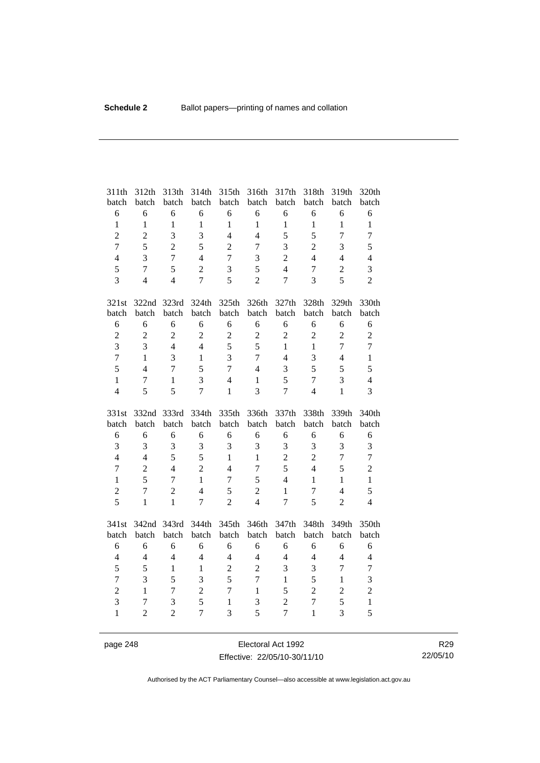| 311th<br>batch                 | 312th<br>batch                   | 313th<br>batch      | 314th<br>batch      | 315th<br>batch                 | 316th<br>batch | 317th<br>batch                   | 318th<br>batch                 | 319th<br>batch      | 320th<br>batch    |
|--------------------------------|----------------------------------|---------------------|---------------------|--------------------------------|----------------|----------------------------------|--------------------------------|---------------------|-------------------|
| 6                              | 6                                | 6                   | 6                   | 6                              | 6              | 6                                | 6                              | 6                   | 6                 |
| $\mathbf{1}$                   | $\mathbf{1}$                     | $\mathbf{1}$        | $\mathbf{1}$        | $\mathbf{1}$                   | $\mathbf{1}$   | $\mathbf{1}$                     | $\mathbf{1}$                   | $\mathbf{1}$        | $\mathbf{1}$      |
| $\overline{c}$                 | $\overline{2}$                   | 3                   | 3                   | $\overline{4}$                 | $\overline{4}$ | 5                                | 5                              | $\overline{7}$      | $\boldsymbol{7}$  |
| $\overline{7}$                 | 5                                | $\overline{2}$      | 5                   | $\overline{2}$                 | $\overline{7}$ | 3                                | $\overline{2}$                 | 3                   | 5                 |
| $\overline{4}$                 | 3                                | $\overline{7}$      | $\overline{4}$      | $\overline{7}$                 | 3              | $\overline{2}$                   | $\overline{4}$                 | $\overline{4}$      | $\overline{4}$    |
| 5                              | $\overline{7}$                   | 5                   | $\overline{2}$      | 3                              | 5              | $\overline{4}$                   | $\overline{7}$                 | $\overline{c}$      | 3                 |
| $\overline{3}$                 | $\overline{4}$                   | $\overline{4}$      | $\overline{7}$      | 5                              | $\overline{2}$ | $\overline{7}$                   | 3                              | 5                   | $\overline{2}$    |
| 321st                          | 322nd                            | 323rd               | 324th               | 325th                          | 326th          | 327th                            | 328th                          | 329th               | 330th             |
| batch                          | batch                            | batch               | batch               | batch                          | batch          | batch                            | batch                          | batch               | batch             |
| 6                              | 6                                | 6                   | 6                   | 6                              | 6              | 6                                | 6                              | 6                   | $\sqrt{6}$        |
| $\overline{c}$                 | $\overline{2}$                   | $\overline{c}$      | $\overline{2}$      | $\overline{2}$                 | $\overline{c}$ | $\overline{2}$                   | $\overline{2}$                 | $\overline{2}$      | $\overline{2}$    |
| 3                              | 3                                | $\overline{4}$      | $\overline{4}$      | 5                              | 5              | $\mathbf{1}$                     | $\mathbf{1}$                   | $\overline{7}$      | $\overline{7}$    |
| $\overline{7}$                 | $\mathbf{1}$                     | 3                   | $\mathbf{1}$        | 3                              | $\overline{7}$ | $\overline{4}$                   | $\overline{\mathbf{3}}$        | $\overline{4}$      | $\,1\,$           |
| 5                              | $\overline{4}$                   | $\overline{7}$      | 5                   | $\overline{7}$                 | $\overline{4}$ | 3                                | 5                              | 5                   | 5                 |
| $\mathbf{1}$                   | 7                                | $\mathbf{1}$        | 3                   | $\overline{4}$                 | $\mathbf{1}$   | 5                                | $\tau$                         | 3                   | $\overline{4}$    |
| $\overline{4}$                 | 5                                | 5                   | $\overline{7}$      | $\mathbf{1}$                   | 3              | $\overline{7}$                   | $\overline{4}$                 | $\mathbf{1}$        | $\overline{3}$    |
|                                |                                  |                     |                     |                                |                |                                  |                                |                     |                   |
| 331st                          | 332nd                            | 333rd               | 334th               | 335th                          | 336th          | 337th                            | 338th                          | 339th               | 340th             |
| batch                          | batch                            | batch               | batch               | batch                          | batch          | batch                            | batch                          | batch               | batch             |
| 6                              | 6                                | 6                   | 6                   | 6                              | 6              | 6                                | 6                              | 6                   | $\sqrt{6}$        |
| 3                              | 3                                | 3                   | 3                   | 3                              | 3              | $\mathfrak{Z}$                   | 3                              | 3                   | 3                 |
| $\overline{4}$                 | $\overline{4}$                   | 5                   | 5                   | $\mathbf{1}$                   | $\mathbf{1}$   | $\overline{2}$                   | $\overline{2}$                 | $\overline{7}$      | $\overline{7}$    |
| $\tau$                         | $\overline{2}$                   | $\overline{4}$      | $\overline{2}$      | $\overline{4}$                 | $\overline{7}$ | 5                                | $\overline{4}$                 | 5                   | $\overline{2}$    |
| $\mathbf{1}$                   | 5                                | 7                   | $\mathbf{1}$        | $\overline{7}$                 | 5              | $\overline{4}$                   | $\mathbf{1}$                   | $\mathbf{1}$        | $\mathbf{1}$      |
| $\overline{c}$                 | $\overline{7}$                   | $\overline{2}$      | $\overline{4}$      | 5                              | $\overline{2}$ | $\mathbf{1}$                     | $\tau$                         | $\overline{4}$      | 5                 |
| 5                              | $\mathbf{1}$                     | $\mathbf{1}$        | $\overline{7}$      | $\overline{2}$                 | $\overline{4}$ | $\overline{7}$                   | 5                              | $\overline{2}$      | $\overline{4}$    |
| 341st                          | 342nd 343rd                      |                     | 344th               | 345th                          | 346th          | 347th                            | 348th                          | 349th               | 350th             |
| batch                          | batch                            | batch               | batch               | batch                          | batch          | batch                            | batch                          | batch               | batch             |
| 6                              | 6                                | 6                   | 6                   | 6                              | 6              | 6                                | 6                              | 6                   | $\sqrt{6}$        |
| $\overline{\mathbf{4}}$        | $\overline{4}$                   | $\overline{4}$      | $\overline{4}$      | $\overline{4}$                 | $\overline{4}$ | $\overline{4}$                   | $\overline{4}$                 | $\overline{4}$      | $\overline{4}$    |
| 5                              | 5                                | $\mathbf{1}$        | $\mathbf{1}$        | $\sqrt{2}$                     | $\overline{2}$ | 3                                | 3                              | $\overline{7}$      | $\overline{7}$    |
| $\overline{7}$                 | 3                                | 5                   | $\overline{3}$      | 5                              | $\overline{7}$ | $\mathbf{1}$                     | 5                              | $\mathbf{1}$        | 3                 |
| $\overline{c}$                 | $\mathbf{1}$                     | $\overline{7}$      | $\overline{c}$      | $\overline{7}$                 | $\mathbf{1}$   | 5                                | $\overline{2}$                 | $\overline{2}$      | $\overline{c}$    |
| $\overline{3}$<br>$\mathbf{1}$ | $\overline{7}$<br>$\overline{2}$ | 3<br>$\overline{2}$ | 5<br>$\overline{7}$ | $\mathbf{1}$<br>$\overline{3}$ | 3<br>5         | $\overline{2}$<br>$\overline{7}$ | $\overline{7}$<br>$\mathbf{1}$ | 5<br>$\overline{3}$ | $\mathbf{1}$<br>5 |

page 248 Electoral Act 1992 Effective: 22/05/10-30/11/10

R29 22/05/10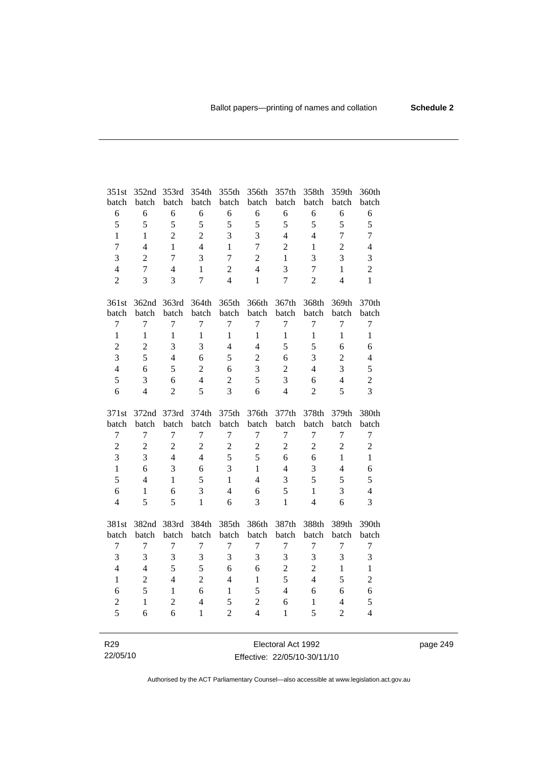| 351st            | 352nd          | 353rd          | 354th          | 355th          | 356th            | 357th          | 358th            | 359th          | 360th            |
|------------------|----------------|----------------|----------------|----------------|------------------|----------------|------------------|----------------|------------------|
| batch            | batch          | batch          | batch          | batch          | batch            | batch          | batch            | batch          | batch            |
| 6                | 6              | 6              | 6              | 6              | 6                | 6              | 6                | 6              | $\sqrt{6}$       |
| 5                | 5              | 5              | 5              | 5              | 5                | 5              | 5                | 5              | 5                |
| $\mathbf{1}$     | $\mathbf{1}$   | $\overline{2}$ | $\overline{2}$ | 3              | 3                | $\overline{4}$ | $\overline{4}$   | $\overline{7}$ | $\overline{7}$   |
| $\overline{7}$   | 4              | $\mathbf{1}$   | $\overline{4}$ | 1              | $\boldsymbol{7}$ | $\overline{2}$ | $\,1$            | $\overline{c}$ | $\overline{4}$   |
| $\overline{3}$   | $\overline{2}$ | $\overline{7}$ | $\overline{3}$ | $\overline{7}$ | $\overline{2}$   | $\mathbf{1}$   | 3                | $\overline{3}$ | 3                |
| $\overline{4}$   | $\overline{7}$ | $\overline{4}$ | $\mathbf{1}$   | $\overline{2}$ | $\overline{4}$   | 3              | $\boldsymbol{7}$ | $\mathbf{1}$   | $\overline{2}$   |
| $\overline{2}$   | 3              | 3              | $\overline{7}$ | $\overline{4}$ | $\mathbf{1}$     | $\overline{7}$ | $\overline{2}$   | $\overline{4}$ | $\mathbf{1}$     |
| 361st            |                | 362nd 363rd    | 364th          | 365th          | 366th            | 367th          | 368th            | 369th          | 370th            |
| batch            | batch          | batch          | batch          | batch          | batch            | batch          | batch            | batch          | batch            |
| $\boldsymbol{7}$ | $\overline{7}$ | 7              | $\tau$         | $\tau$         | $\tau$           | $\overline{7}$ | $\boldsymbol{7}$ | $\overline{7}$ | $\boldsymbol{7}$ |
| $\mathbf{1}$     | $\mathbf{1}$   | $\mathbf{1}$   | $\mathbf{1}$   | $\mathbf{1}$   | $\mathbf{1}$     | $\mathbf{1}$   | $\mathbf{1}$     | $\mathbf{1}$   | $\mathbf{1}$     |
| $\overline{c}$   | $\overline{c}$ | 3              | 3              | $\overline{4}$ | $\overline{4}$   | 5              | 5                | 6              | 6                |
| $\overline{3}$   | 5              | $\overline{4}$ | 6              | 5              | $\overline{c}$   | 6              | 3                | $\overline{c}$ | $\overline{4}$   |
| $\overline{4}$   | 6              | 5              | $\overline{2}$ | 6              | 3                | $\overline{2}$ | $\overline{4}$   | 3              | 5                |
| 5                | 3              | 6              | $\overline{4}$ | $\overline{2}$ | 5                | 3              | 6                | $\overline{4}$ | $\overline{2}$   |
| 6                | $\overline{4}$ | $\overline{2}$ | 5              | $\overline{3}$ | 6                | $\overline{4}$ | $\overline{2}$   | 5              | 3                |
|                  |                |                |                |                |                  |                |                  |                |                  |
| 371st            | 372nd 373rd    |                | 374th          | 375th          | 376th            | 377th          | 378th            | 379th          | 380th            |
| batch            | batch          | batch          | batch          | batch          | batch            | batch          | batch            | batch          | batch            |
| $\boldsymbol{7}$ | $\tau$         | $\overline{7}$ | $\overline{7}$ | 7              | $\tau$           | $\tau$         | $\tau$           | 7              | $\boldsymbol{7}$ |
| $\overline{c}$   | $\overline{2}$ | $\overline{c}$ | $\overline{2}$ | $\overline{2}$ | $\overline{c}$   | $\overline{2}$ | $\overline{2}$   | $\overline{2}$ | $\sqrt{2}$       |
| $\overline{3}$   | 3              | $\overline{4}$ | $\overline{4}$ | 5              | 5                | 6              | 6                | $\mathbf{1}$   | $\mathbf{1}$     |
| $\mathbf{1}$     | 6              | $\overline{3}$ | 6              | 3              | $\mathbf{1}$     | $\overline{4}$ | 3                | $\overline{4}$ | 6                |
| 5                | $\overline{4}$ | $\mathbf{1}$   | 5              | $\mathbf{1}$   | $\overline{4}$   | 3              | 5                | 5              | 5                |
| 6                | $\mathbf{1}$   | 6              | 3              | $\overline{4}$ | 6                | 5              | $\mathbf{1}$     | 3              | $\overline{4}$   |
| $\overline{4}$   | 5              | 5              | $\mathbf{1}$   | 6              | 3                | $\mathbf{1}$   | $\overline{4}$   | 6              | $\overline{3}$   |
| 381st            | 382nd          | 383rd          | 384th          | 385th          | 386th            | 387th          | 388th            | 389th          | 390th            |
| batch            | batch          | batch          | batch          | batch          | batch            | batch          | batch            | batch          | batch            |
| 7                | $\tau$         | $\overline{7}$ | $\overline{7}$ | 7              | $\tau$           | $\tau$         | $\tau$           | $\overline{7}$ | $\boldsymbol{7}$ |
| $\overline{3}$   | 3              | 3              | 3              | 3              | 3                | 3              | 3                | 3              | 3                |
| $\overline{4}$   | $\overline{4}$ | 5              | 5              | 6              | 6                | $\overline{2}$ | $\overline{2}$   | $\mathbf{1}$   | $\mathbf{1}$     |
| $\mathbf{1}$     | $\overline{2}$ | $\overline{4}$ | $\overline{2}$ | $\overline{4}$ | $\mathbf{1}$     | 5              | $\overline{4}$   | 5              | $\overline{c}$   |
| 6                | 5              | $\mathbf{1}$   | 6              | $\mathbf{1}$   | 5                | $\overline{4}$ | 6                | 6              | 6                |
| $\overline{c}$   | $\mathbf{1}$   | $\overline{2}$ | $\overline{4}$ | 5              | $\overline{2}$   | 6              | $\mathbf{1}$     | $\overline{4}$ | 5                |
| 5                | 6              | 6              | $\mathbf{1}$   | $\overline{2}$ | $\overline{4}$   | 1              | 5                | $\overline{2}$ | $\overline{4}$   |

page 249

R29 22/05/10

Electoral Act 1992 Effective: 22/05/10-30/11/10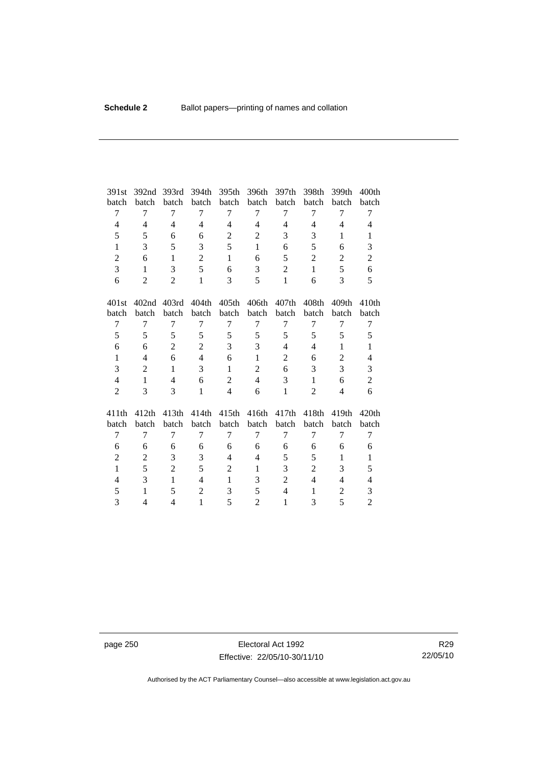| 391st          | 392 <sub>nd</sub> | 393rd          | 394th          | 395th          | 396th          | 397th          | 398th          | 399th          | 400 <sub>th</sub> |
|----------------|-------------------|----------------|----------------|----------------|----------------|----------------|----------------|----------------|-------------------|
| batch          | batch             | batch          | batch          | batch          | batch          | batch          | batch          | batch          | batch             |
| 7              | 7                 | 7              | 7              | 7              | $\tau$         | 7              | 7              | 7              | 7                 |
| 4              | $\overline{4}$    | $\overline{4}$ | 4              | $\overline{4}$ | $\overline{4}$ | $\overline{4}$ | $\overline{4}$ | $\overline{4}$ | $\overline{4}$    |
| 5              | 5                 | 6              | 6              | $\overline{2}$ | $\overline{2}$ | 3              | 3              | 1              | 1                 |
| $\mathbf{1}$   | 3                 | 5              | 3              | 5              | $\mathbf{1}$   | 6              | 5              | 6              | 3                 |
| $\overline{2}$ | 6                 | $\mathbf{1}$   | $\overline{2}$ | $\mathbf{1}$   | 6              | 5              | $\overline{2}$ | $\overline{2}$ | $\overline{2}$    |
| 3              | $\mathbf{1}$      | 3              | 5              | 6              | 3              | $\overline{2}$ | $\mathbf{1}$   | 5              | 6                 |
| 6              | 2                 | $\overline{2}$ | $\mathbf{1}$   | 3              | 5              | $\mathbf{1}$   | 6              | 3              | 5                 |
| 401st          | 402 <sub>nd</sub> | 403rd          | 404th          | 405th          | 406th          | 407th          | 408th          | 409th          | 410 <sub>th</sub> |
| batch          | batch             | batch          | batch          | batch          | batch          | batch          | batch          | batch          | batch             |
| 7              | 7                 | 7              | 7              | 7              | 7              | 7              | 7              | 7              | 7                 |
| 5              | 5                 | 5              | 5              | 5              | 5              | 5              | 5              | 5              | 5                 |
| 6              | 6                 | $\overline{2}$ | $\overline{2}$ | 3              | 3              | $\overline{4}$ | $\overline{4}$ | $\mathbf{1}$   | $\mathbf{1}$      |
| $\mathbf{1}$   | 4                 | 6              | $\overline{4}$ | 6              | $\mathbf{1}$   | $\overline{2}$ | 6              | $\overline{c}$ | $\overline{4}$    |
| 3              | $\overline{2}$    | $\mathbf{1}$   | 3              | $\mathbf{1}$   | $\overline{2}$ | 6              | 3              | 3              | 3                 |
| $\overline{4}$ | $\mathbf{1}$      | $\overline{4}$ | 6              | $\overline{2}$ | $\overline{4}$ | 3              | $\mathbf{1}$   | 6              | $\overline{c}$    |
| $\overline{2}$ | 3                 | 3              | $\mathbf{1}$   | $\overline{4}$ | 6              | $\mathbf{1}$   | $\overline{2}$ | $\overline{4}$ | 6                 |
| 411th          | 412th             | 413th          | 414th          | 415th          | 416th          | 417th          | 418th          | 419th          | 420th             |
| batch          | batch             | batch          | batch          | batch          | batch          | batch          | batch          | batch          | batch             |
| 7              | $\overline{7}$    | 7              | 7              | $\overline{7}$ | 7              | $\overline{7}$ | 7              | 7              | 7                 |
| 6              | 6                 | 6              | 6              | 6              | 6              | 6              | 6              | 6              | 6                 |
| $\overline{2}$ | 2                 | 3              | 3              | $\overline{4}$ | $\overline{4}$ | 5              | 5              | $\mathbf{1}$   | $\mathbf{1}$      |
| $\mathbf{1}$   | 5                 | $\overline{2}$ | 5              | $\overline{2}$ | $\mathbf{1}$   | 3              | $\overline{c}$ | 3              | 5                 |
| 4              | 3                 | $\mathbf{1}$   | $\overline{4}$ | $\mathbf{1}$   | 3              | $\overline{2}$ | $\overline{4}$ | $\overline{4}$ | $\overline{4}$    |
| 5              | $\mathbf{1}$      | 5              | $\overline{2}$ | 3              | 5              | $\overline{4}$ | 1              | $\overline{c}$ | $\mathfrak{Z}$    |
| 3              | $\overline{4}$    | $\overline{4}$ | $\mathbf{1}$   | 5              | $\overline{2}$ | 1              | 3              | 5              | $\overline{2}$    |
|                |                   |                |                |                |                |                |                |                |                   |

page 250 **Electoral Act 1992** Effective: 22/05/10-30/11/10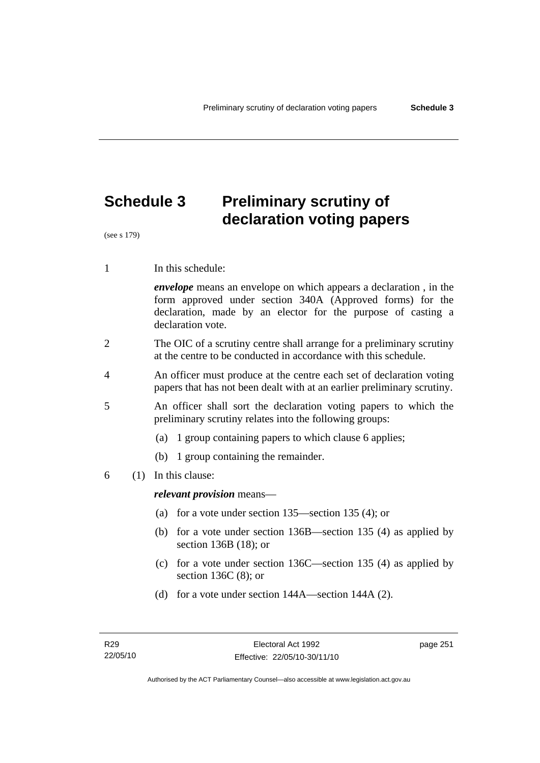# **Schedule 3 Preliminary scrutiny of declaration voting papers**

(see s 179)

1 In this schedule:

*envelope* means an envelope on which appears a declaration , in the form approved under section 340A (Approved forms) for the declaration, made by an elector for the purpose of casting a declaration vote.

- 2 The OIC of a scrutiny centre shall arrange for a preliminary scrutiny at the centre to be conducted in accordance with this schedule.
- 4 An officer must produce at the centre each set of declaration voting papers that has not been dealt with at an earlier preliminary scrutiny.
- 5 An officer shall sort the declaration voting papers to which the preliminary scrutiny relates into the following groups:
	- (a) 1 group containing papers to which clause 6 applies;
	- (b) 1 group containing the remainder.
- 6 (1) In this clause:

*relevant provision* means—

- (a) for a vote under section 135—section 135 (4); or
- (b) for a vote under section 136B—section 135 (4) as applied by section 136B (18); or
- (c) for a vote under section 136C—section 135 (4) as applied by section 136C (8); or
- (d) for a vote under section 144A—section 144A (2).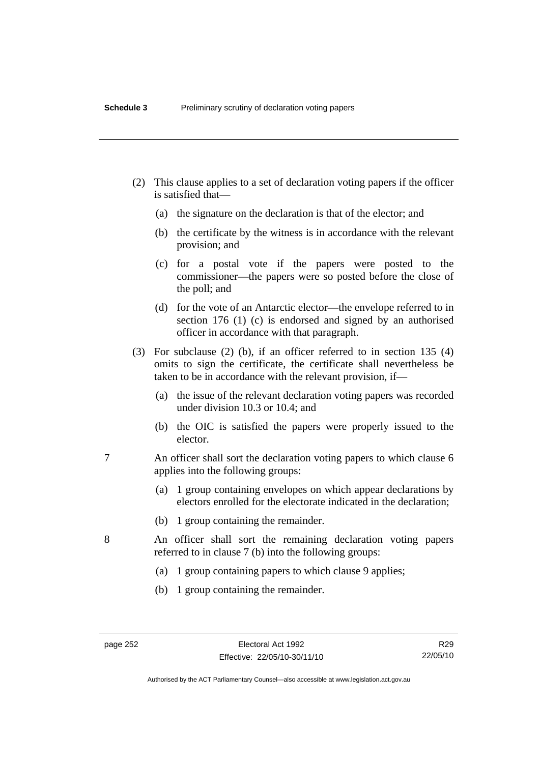- (2) This clause applies to a set of declaration voting papers if the officer is satisfied that—
	- (a) the signature on the declaration is that of the elector; and
	- (b) the certificate by the witness is in accordance with the relevant provision; and
	- (c) for a postal vote if the papers were posted to the commissioner—the papers were so posted before the close of the poll; and
	- (d) for the vote of an Antarctic elector—the envelope referred to in section 176 (1) (c) is endorsed and signed by an authorised officer in accordance with that paragraph.
- (3) For subclause (2) (b), if an officer referred to in section 135 (4) omits to sign the certificate, the certificate shall nevertheless be taken to be in accordance with the relevant provision, if—
	- (a) the issue of the relevant declaration voting papers was recorded under division 10.3 or 10.4; and
	- (b) the OIC is satisfied the papers were properly issued to the elector.
- 7 An officer shall sort the declaration voting papers to which clause 6 applies into the following groups:
	- (a) 1 group containing envelopes on which appear declarations by electors enrolled for the electorate indicated in the declaration;
	- (b) 1 group containing the remainder.
- 8 An officer shall sort the remaining declaration voting papers referred to in clause 7 (b) into the following groups:
	- (a) 1 group containing papers to which clause 9 applies;
	- (b) 1 group containing the remainder.

Authorised by the ACT Parliamentary Counsel—also accessible at www.legislation.act.gov.au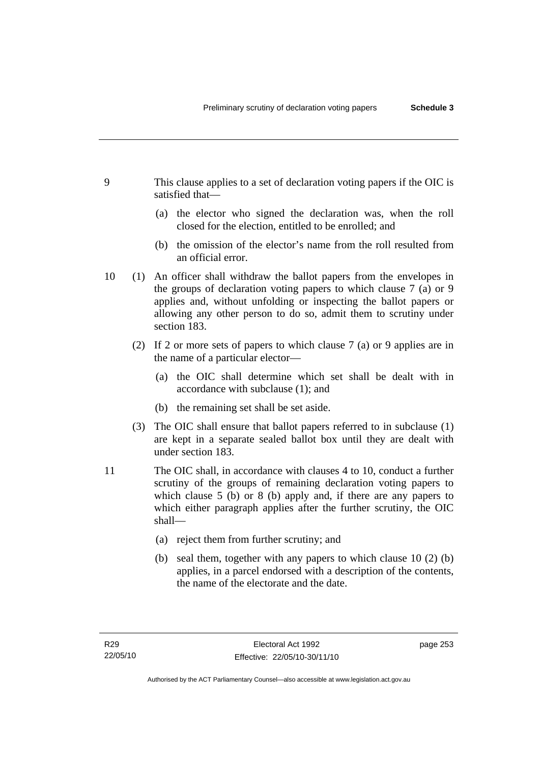- 9 This clause applies to a set of declaration voting papers if the OIC is satisfied that—
	- (a) the elector who signed the declaration was, when the roll closed for the election, entitled to be enrolled; and
	- (b) the omission of the elector's name from the roll resulted from an official error.
- 10 (1) An officer shall withdraw the ballot papers from the envelopes in the groups of declaration voting papers to which clause 7 (a) or 9 applies and, without unfolding or inspecting the ballot papers or allowing any other person to do so, admit them to scrutiny under section 183.
	- (2) If 2 or more sets of papers to which clause 7 (a) or 9 applies are in the name of a particular elector—
		- (a) the OIC shall determine which set shall be dealt with in accordance with subclause (1); and
		- (b) the remaining set shall be set aside.
	- (3) The OIC shall ensure that ballot papers referred to in subclause (1) are kept in a separate sealed ballot box until they are dealt with under section 183.
- 11 The OIC shall, in accordance with clauses 4 to 10, conduct a further scrutiny of the groups of remaining declaration voting papers to which clause 5 (b) or 8 (b) apply and, if there are any papers to which either paragraph applies after the further scrutiny, the OIC shall—
	- (a) reject them from further scrutiny; and
	- (b) seal them, together with any papers to which clause 10 (2) (b) applies, in a parcel endorsed with a description of the contents, the name of the electorate and the date.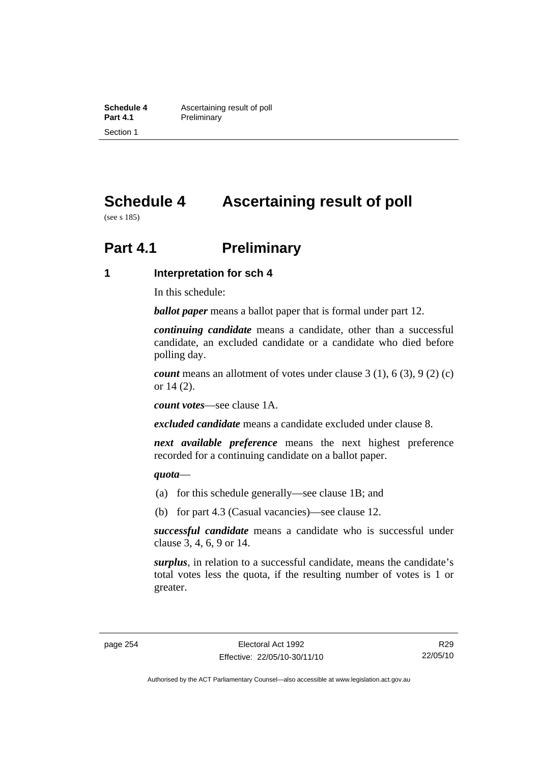**Schedule 4 Ascertaining result of poll**<br>**Part 4.1 Preliminary Preliminary** Section 1

# **Schedule 4 Ascertaining result of poll**

(see s 185)

# **Part 4.1** Preliminary

#### **1 Interpretation for sch 4**

In this schedule:

*ballot paper* means a ballot paper that is formal under part 12.

*continuing candidate* means a candidate, other than a successful candidate, an excluded candidate or a candidate who died before polling day.

*count* means an allotment of votes under clause 3 (1), 6 (3), 9 (2) (c) or 14 (2).

*count votes*—see clause 1A.

*excluded candidate* means a candidate excluded under clause 8.

*next available preference* means the next highest preference recorded for a continuing candidate on a ballot paper.

#### *quota*—

- (a) for this schedule generally—see clause 1B; and
- (b) for part 4.3 (Casual vacancies)—see clause 12.

*successful candidate* means a candidate who is successful under clause 3, 4, 6, 9 or 14.

*surplus*, in relation to a successful candidate, means the candidate's total votes less the quota, if the resulting number of votes is 1 or greater.

Authorised by the ACT Parliamentary Counsel—also accessible at www.legislation.act.gov.au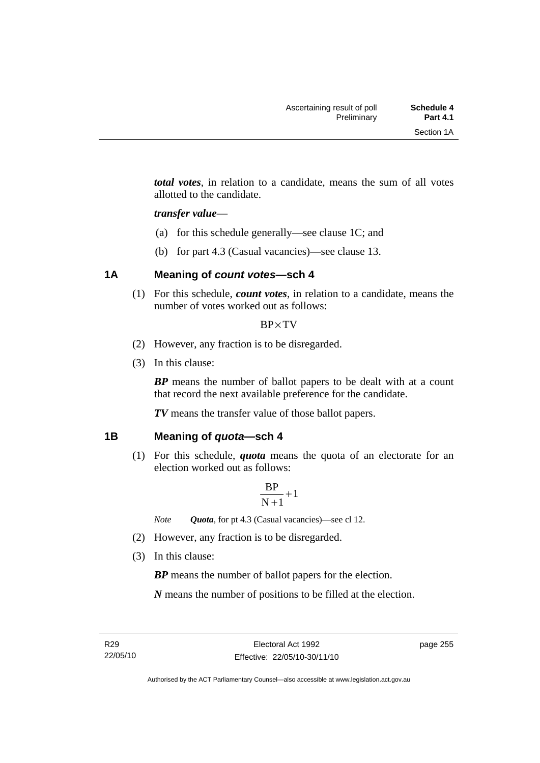*total votes*, in relation to a candidate, means the sum of all votes allotted to the candidate.

#### *transfer value*—

- (a) for this schedule generally—see clause 1C; and
- (b) for part 4.3 (Casual vacancies)—see clause 13.

## **1A Meaning of** *count votes***—sch 4**

 (1) For this schedule, *count votes*, in relation to a candidate, means the number of votes worked out as follows:

#### BP×TV

- (2) However, any fraction is to be disregarded.
- (3) In this clause:

*BP* means the number of ballot papers to be dealt with at a count that record the next available preference for the candidate.

*TV* means the transfer value of those ballot papers.

#### **1B Meaning of** *quota***—sch 4**

 (1) For this schedule, *quota* means the quota of an electorate for an election worked out as follows:

$$
\frac{BP}{N+1}\!+\!1
$$

*Note Quota*, for pt 4.3 (Casual vacancies)—see cl 12.

- (2) However, any fraction is to be disregarded.
- (3) In this clause:

*BP* means the number of ballot papers for the election.

*N* means the number of positions to be filled at the election.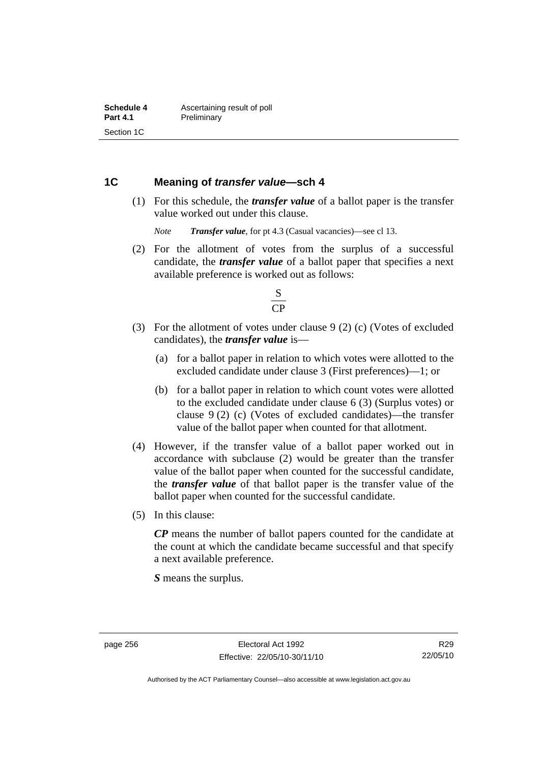#### **1C Meaning of** *transfer value***—sch 4**

 (1) For this schedule, the *transfer value* of a ballot paper is the transfer value worked out under this clause.

*Note Transfer value*, for pt 4.3 (Casual vacancies)—see cl 13.

 (2) For the allotment of votes from the surplus of a successful candidate, the *transfer value* of a ballot paper that specifies a next available preference is worked out as follows:



- (3) For the allotment of votes under clause 9 (2) (c) (Votes of excluded candidates), the *transfer value* is—
	- (a) for a ballot paper in relation to which votes were allotted to the excluded candidate under clause 3 (First preferences)—1; or
	- (b) for a ballot paper in relation to which count votes were allotted to the excluded candidate under clause 6 (3) (Surplus votes) or clause 9 (2) (c) (Votes of excluded candidates)—the transfer value of the ballot paper when counted for that allotment.
- (4) However, if the transfer value of a ballot paper worked out in accordance with subclause (2) would be greater than the transfer value of the ballot paper when counted for the successful candidate, the *transfer value* of that ballot paper is the transfer value of the ballot paper when counted for the successful candidate.
- (5) In this clause:

*CP* means the number of ballot papers counted for the candidate at the count at which the candidate became successful and that specify a next available preference.

*S* means the surplus.

R29 22/05/10

Authorised by the ACT Parliamentary Counsel—also accessible at www.legislation.act.gov.au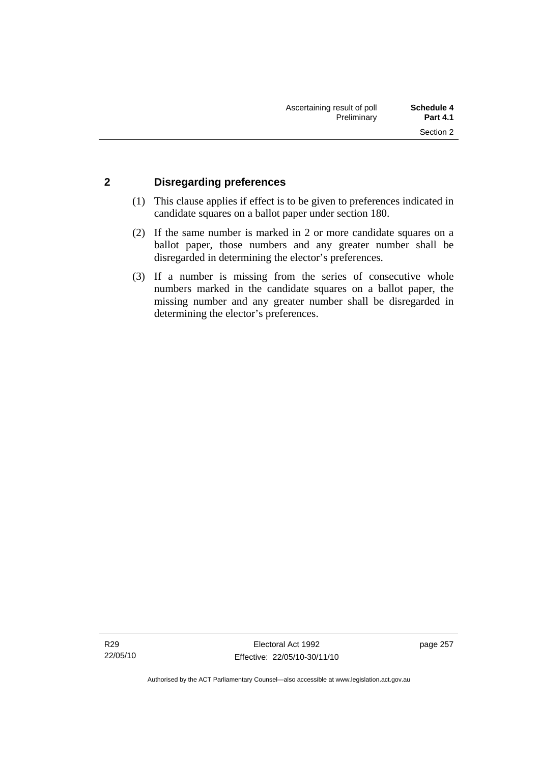## **2 Disregarding preferences**

- (1) This clause applies if effect is to be given to preferences indicated in candidate squares on a ballot paper under section 180.
- (2) If the same number is marked in 2 or more candidate squares on a ballot paper, those numbers and any greater number shall be disregarded in determining the elector's preferences.
- (3) If a number is missing from the series of consecutive whole numbers marked in the candidate squares on a ballot paper, the missing number and any greater number shall be disregarded in determining the elector's preferences.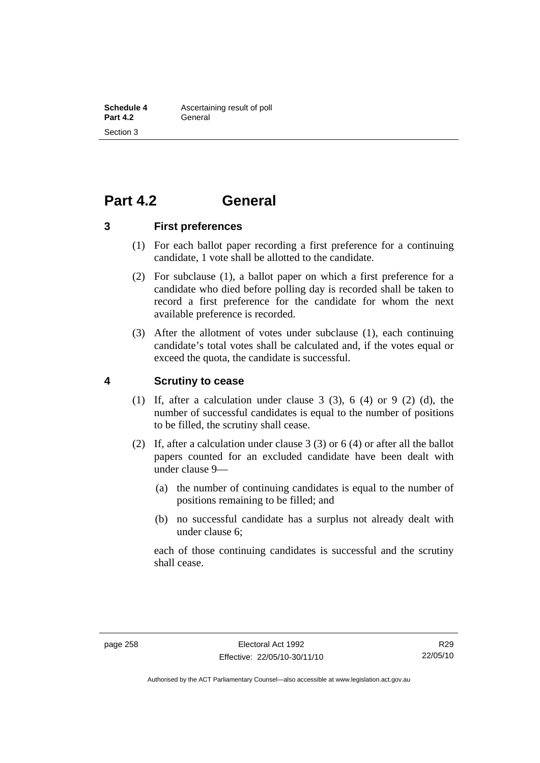# **Part 4.2 General**

**3 First preferences** 

- (1) For each ballot paper recording a first preference for a continuing candidate, 1 vote shall be allotted to the candidate.
- (2) For subclause (1), a ballot paper on which a first preference for a candidate who died before polling day is recorded shall be taken to record a first preference for the candidate for whom the next available preference is recorded.
- (3) After the allotment of votes under subclause (1), each continuing candidate's total votes shall be calculated and, if the votes equal or exceed the quota, the candidate is successful.

## **4 Scrutiny to cease**

- (1) If, after a calculation under clause  $3$  (3),  $6$  (4) or  $9$  (2) (d), the number of successful candidates is equal to the number of positions to be filled, the scrutiny shall cease.
- (2) If, after a calculation under clause 3 (3) or 6 (4) or after all the ballot papers counted for an excluded candidate have been dealt with under clause 9—
	- (a) the number of continuing candidates is equal to the number of positions remaining to be filled; and
	- (b) no successful candidate has a surplus not already dealt with under clause 6;

each of those continuing candidates is successful and the scrutiny shall cease.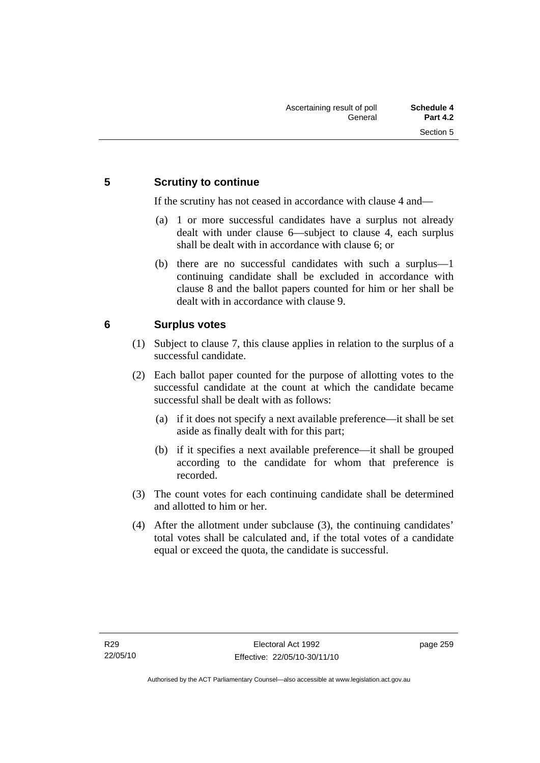## **5 Scrutiny to continue**

If the scrutiny has not ceased in accordance with clause 4 and—

- (a) 1 or more successful candidates have a surplus not already dealt with under clause 6—subject to clause 4, each surplus shall be dealt with in accordance with clause 6; or
- (b) there are no successful candidates with such a surplus—1 continuing candidate shall be excluded in accordance with clause 8 and the ballot papers counted for him or her shall be dealt with in accordance with clause 9.

## **6 Surplus votes**

- (1) Subject to clause 7, this clause applies in relation to the surplus of a successful candidate.
- (2) Each ballot paper counted for the purpose of allotting votes to the successful candidate at the count at which the candidate became successful shall be dealt with as follows:
	- (a) if it does not specify a next available preference—it shall be set aside as finally dealt with for this part;
	- (b) if it specifies a next available preference—it shall be grouped according to the candidate for whom that preference is recorded.
- (3) The count votes for each continuing candidate shall be determined and allotted to him or her.
- (4) After the allotment under subclause (3), the continuing candidates' total votes shall be calculated and, if the total votes of a candidate equal or exceed the quota, the candidate is successful.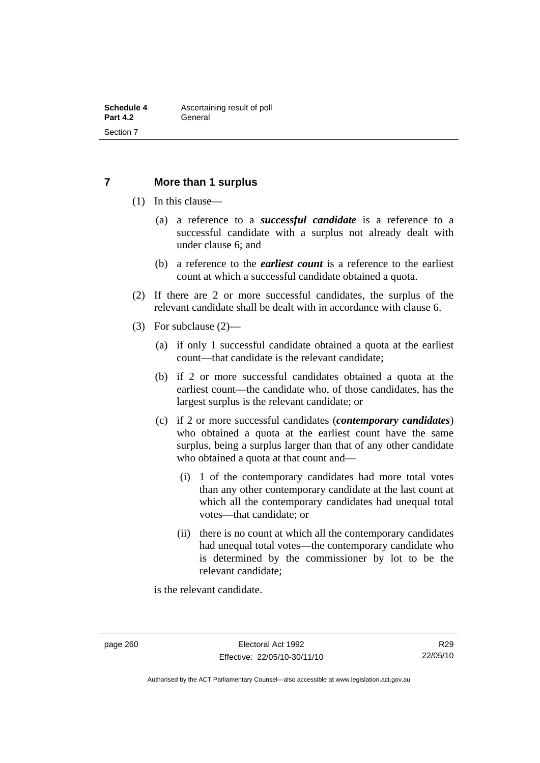#### **7 More than 1 surplus**

- (1) In this clause—
	- (a) a reference to a *successful candidate* is a reference to a successful candidate with a surplus not already dealt with under clause 6; and
	- (b) a reference to the *earliest count* is a reference to the earliest count at which a successful candidate obtained a quota.
- (2) If there are 2 or more successful candidates, the surplus of the relevant candidate shall be dealt with in accordance with clause 6.
- (3) For subclause (2)—
	- (a) if only 1 successful candidate obtained a quota at the earliest count—that candidate is the relevant candidate;
	- (b) if 2 or more successful candidates obtained a quota at the earliest count—the candidate who, of those candidates, has the largest surplus is the relevant candidate; or
	- (c) if 2 or more successful candidates (*contemporary candidates*) who obtained a quota at the earliest count have the same surplus, being a surplus larger than that of any other candidate who obtained a quota at that count and—
		- (i) 1 of the contemporary candidates had more total votes than any other contemporary candidate at the last count at which all the contemporary candidates had unequal total votes—that candidate; or
		- (ii) there is no count at which all the contemporary candidates had unequal total votes—the contemporary candidate who is determined by the commissioner by lot to be the relevant candidate;

is the relevant candidate.

Authorised by the ACT Parliamentary Counsel—also accessible at www.legislation.act.gov.au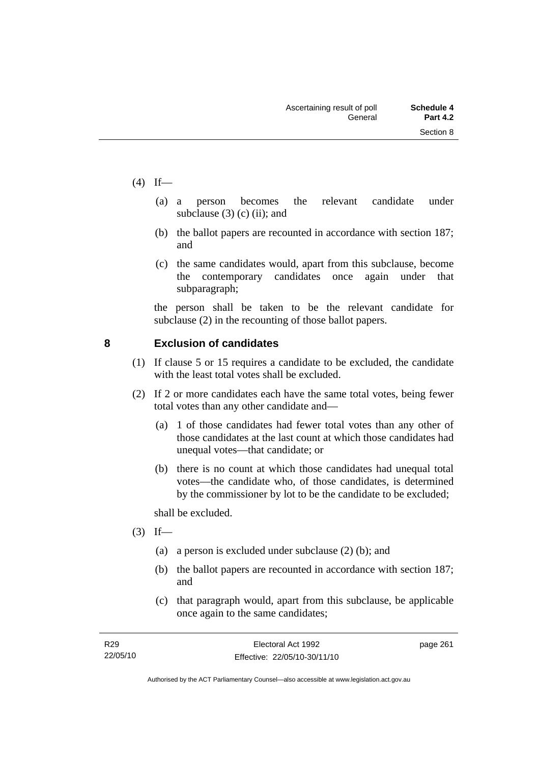- $(4)$  If—
- (a) a person becomes the relevant candidate under subclause  $(3)$  (c) (ii); and
	- (b) the ballot papers are recounted in accordance with section 187; and
	- (c) the same candidates would, apart from this subclause, become the contemporary candidates once again under that subparagraph;

the person shall be taken to be the relevant candidate for subclause (2) in the recounting of those ballot papers.

# **8 Exclusion of candidates**

- (1) If clause 5 or 15 requires a candidate to be excluded, the candidate with the least total votes shall be excluded.
- (2) If 2 or more candidates each have the same total votes, being fewer total votes than any other candidate and—
	- (a) 1 of those candidates had fewer total votes than any other of those candidates at the last count at which those candidates had unequal votes—that candidate; or
	- (b) there is no count at which those candidates had unequal total votes—the candidate who, of those candidates, is determined by the commissioner by lot to be the candidate to be excluded;

shall be excluded.

- $(3)$  If—
	- (a) a person is excluded under subclause (2) (b); and
	- (b) the ballot papers are recounted in accordance with section 187; and
	- (c) that paragraph would, apart from this subclause, be applicable once again to the same candidates;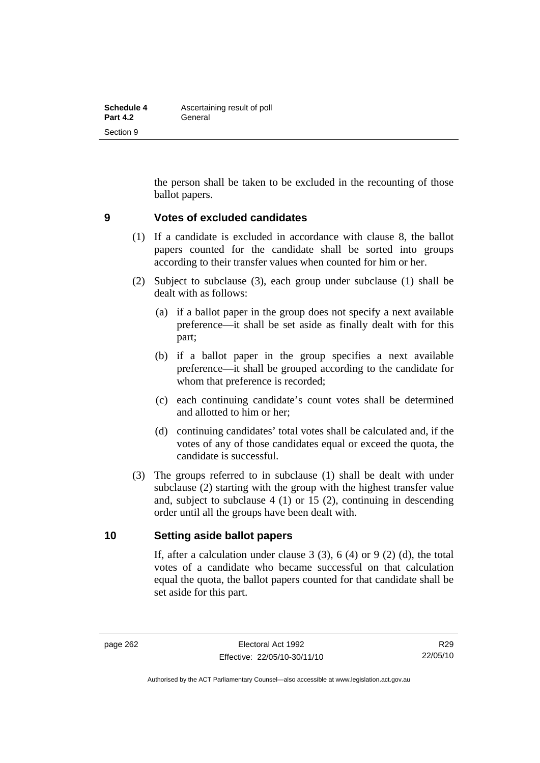| Schedule 4      | Ascertaining result of poll |
|-----------------|-----------------------------|
| <b>Part 4.2</b> | General                     |
| Section 9       |                             |

the person shall be taken to be excluded in the recounting of those ballot papers.

#### **9 Votes of excluded candidates**

- (1) If a candidate is excluded in accordance with clause 8, the ballot papers counted for the candidate shall be sorted into groups according to their transfer values when counted for him or her.
- (2) Subject to subclause (3), each group under subclause (1) shall be dealt with as follows:
	- (a) if a ballot paper in the group does not specify a next available preference—it shall be set aside as finally dealt with for this part;
	- (b) if a ballot paper in the group specifies a next available preference—it shall be grouped according to the candidate for whom that preference is recorded;
	- (c) each continuing candidate's count votes shall be determined and allotted to him or her;
	- (d) continuing candidates' total votes shall be calculated and, if the votes of any of those candidates equal or exceed the quota, the candidate is successful.
- (3) The groups referred to in subclause (1) shall be dealt with under subclause (2) starting with the group with the highest transfer value and, subject to subclause 4 (1) or 15 (2), continuing in descending order until all the groups have been dealt with.

#### **10 Setting aside ballot papers**

If, after a calculation under clause  $3(3)$ ,  $6(4)$  or  $9(2)(d)$ , the total votes of a candidate who became successful on that calculation equal the quota, the ballot papers counted for that candidate shall be set aside for this part.

R29 22/05/10

Authorised by the ACT Parliamentary Counsel—also accessible at www.legislation.act.gov.au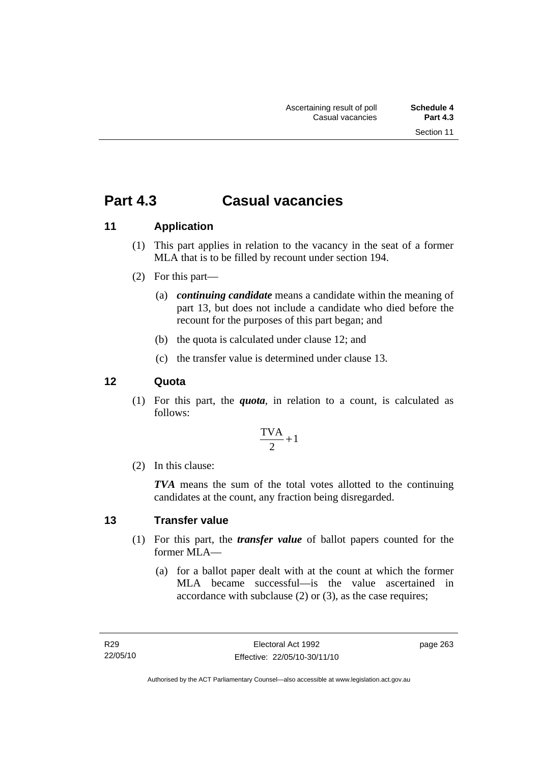# **Part 4.3 Casual vacancies**

# **11 Application**

- (1) This part applies in relation to the vacancy in the seat of a former MLA that is to be filled by recount under section 194.
- (2) For this part—
	- (a) *continuing candidate* means a candidate within the meaning of part 13, but does not include a candidate who died before the recount for the purposes of this part began; and
	- (b) the quota is calculated under clause 12; and
	- (c) the transfer value is determined under clause 13.

## **12 Quota**

 (1) For this part, the *quota*, in relation to a count, is calculated as follows:

$$
\frac{\text{TVA}}{2} + 1
$$

(2) In this clause:

*TVA* means the sum of the total votes allotted to the continuing candidates at the count, any fraction being disregarded.

## **13 Transfer value**

- (1) For this part, the *transfer value* of ballot papers counted for the former MLA—
	- (a) for a ballot paper dealt with at the count at which the former MLA became successful—is the value ascertained in accordance with subclause (2) or (3), as the case requires;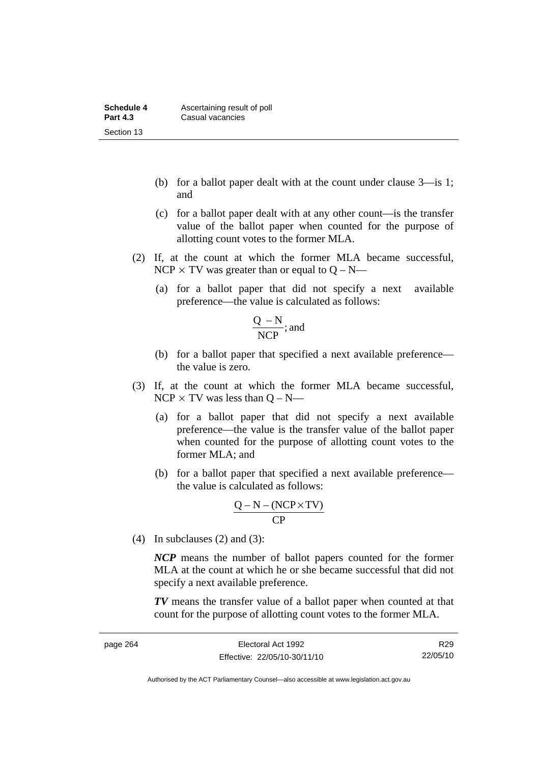| Schedule 4      | Ascertaining result of poll |
|-----------------|-----------------------------|
| <b>Part 4.3</b> | Casual vacancies            |
| Section 13      |                             |

- (b) for a ballot paper dealt with at the count under clause 3—is 1; and
- (c) for a ballot paper dealt with at any other count—is the transfer value of the ballot paper when counted for the purpose of allotting count votes to the former MLA.
- (2) If, at the count at which the former MLA became successful, NCP  $\times$  TV was greater than or equal to Q – N—
	- (a) for a ballot paper that did not specify a next available preference—the value is calculated as follows:

$$
\frac{Q-N}{NCP}; \text{and}
$$

- (b) for a ballot paper that specified a next available preference the value is zero.
- (3) If, at the count at which the former MLA became successful,  $NCP \times TV$  was less than  $O - N$ —
	- (a) for a ballot paper that did not specify a next available preference—the value is the transfer value of the ballot paper when counted for the purpose of allotting count votes to the former MLA; and
	- (b) for a ballot paper that specified a next available preference the value is calculated as follows:

$$
\frac{Q-N-(NCP \times TV)}{CP}
$$

(4) In subclauses  $(2)$  and  $(3)$ :

*NCP* means the number of ballot papers counted for the former MLA at the count at which he or she became successful that did not specify a next available preference.

*TV* means the transfer value of a ballot paper when counted at that count for the purpose of allotting count votes to the former MLA.

R29 22/05/10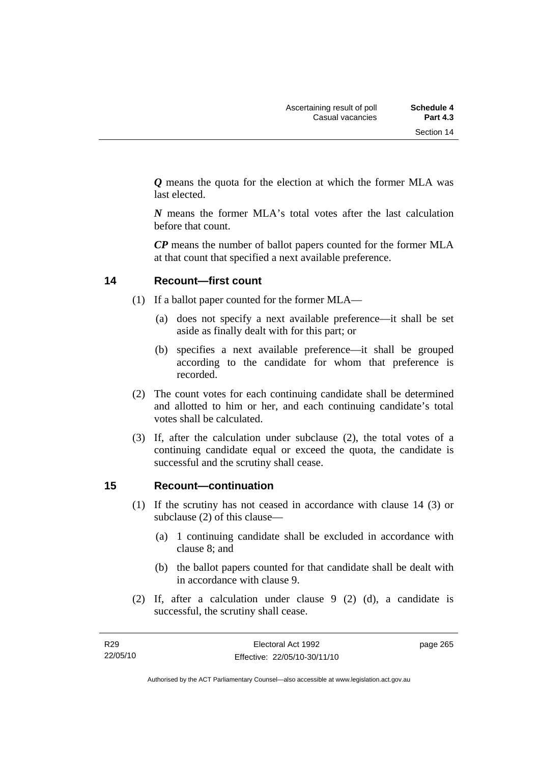*Q* means the quota for the election at which the former MLA was last elected.

*N* means the former MLA's total votes after the last calculation before that count.

*CP* means the number of ballot papers counted for the former MLA at that count that specified a next available preference.

## **14 Recount—first count**

- (1) If a ballot paper counted for the former MLA—
	- (a) does not specify a next available preference—it shall be set aside as finally dealt with for this part; or
	- (b) specifies a next available preference—it shall be grouped according to the candidate for whom that preference is recorded.
- (2) The count votes for each continuing candidate shall be determined and allotted to him or her, and each continuing candidate's total votes shall be calculated.
- (3) If, after the calculation under subclause (2), the total votes of a continuing candidate equal or exceed the quota, the candidate is successful and the scrutiny shall cease.

## **15 Recount—continuation**

- (1) If the scrutiny has not ceased in accordance with clause 14 (3) or subclause (2) of this clause—
	- (a) 1 continuing candidate shall be excluded in accordance with clause 8; and
	- (b) the ballot papers counted for that candidate shall be dealt with in accordance with clause 9.
- (2) If, after a calculation under clause 9 (2) (d), a candidate is successful, the scrutiny shall cease.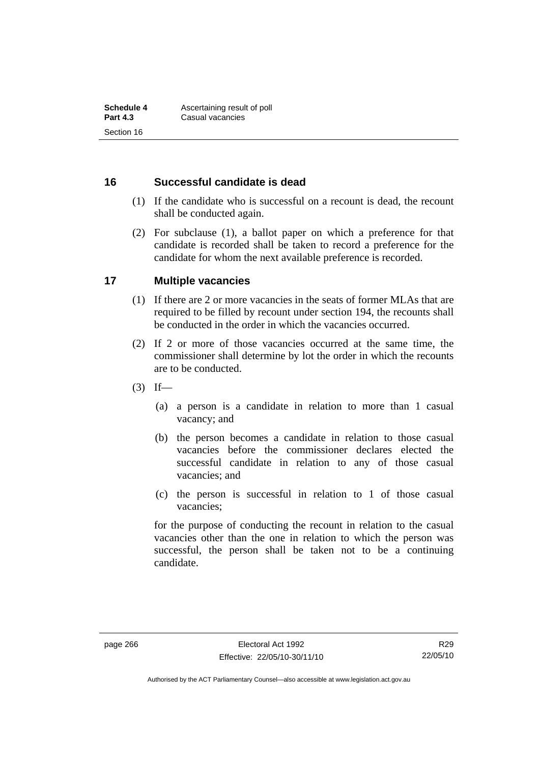#### **16 Successful candidate is dead**

- (1) If the candidate who is successful on a recount is dead, the recount shall be conducted again.
- (2) For subclause (1), a ballot paper on which a preference for that candidate is recorded shall be taken to record a preference for the candidate for whom the next available preference is recorded.

#### **17 Multiple vacancies**

- (1) If there are 2 or more vacancies in the seats of former MLAs that are required to be filled by recount under section 194, the recounts shall be conducted in the order in which the vacancies occurred.
- (2) If 2 or more of those vacancies occurred at the same time, the commissioner shall determine by lot the order in which the recounts are to be conducted.
- $(3)$  If—
	- (a) a person is a candidate in relation to more than 1 casual vacancy; and
	- (b) the person becomes a candidate in relation to those casual vacancies before the commissioner declares elected the successful candidate in relation to any of those casual vacancies; and
	- (c) the person is successful in relation to 1 of those casual vacancies;

for the purpose of conducting the recount in relation to the casual vacancies other than the one in relation to which the person was successful, the person shall be taken not to be a continuing candidate.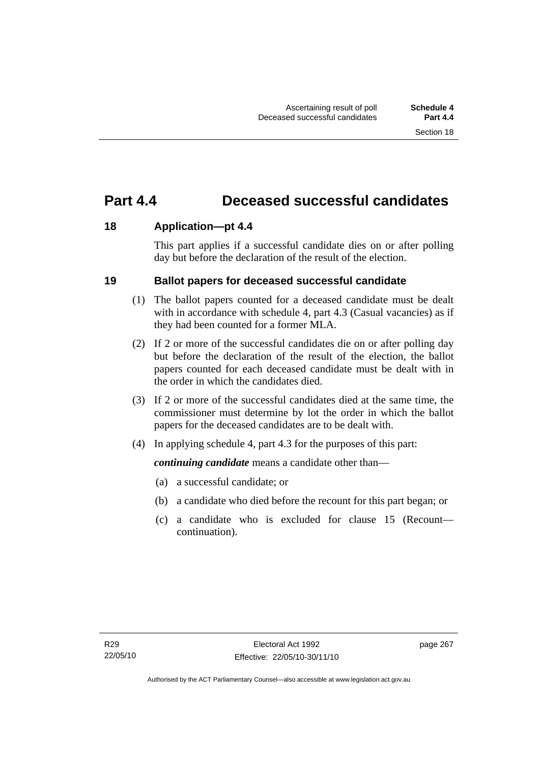# **Part 4.4 Deceased successful candidates**

## **18 Application—pt 4.4**

This part applies if a successful candidate dies on or after polling day but before the declaration of the result of the election.

## **19 Ballot papers for deceased successful candidate**

- (1) The ballot papers counted for a deceased candidate must be dealt with in accordance with schedule 4, part 4.3 (Casual vacancies) as if they had been counted for a former MLA.
- (2) If 2 or more of the successful candidates die on or after polling day but before the declaration of the result of the election, the ballot papers counted for each deceased candidate must be dealt with in the order in which the candidates died.
- (3) If 2 or more of the successful candidates died at the same time, the commissioner must determine by lot the order in which the ballot papers for the deceased candidates are to be dealt with.
- (4) In applying schedule 4, part 4.3 for the purposes of this part:

*continuing candidate* means a candidate other than—

- (a) a successful candidate; or
- (b) a candidate who died before the recount for this part began; or
- (c) a candidate who is excluded for clause 15 (Recount continuation).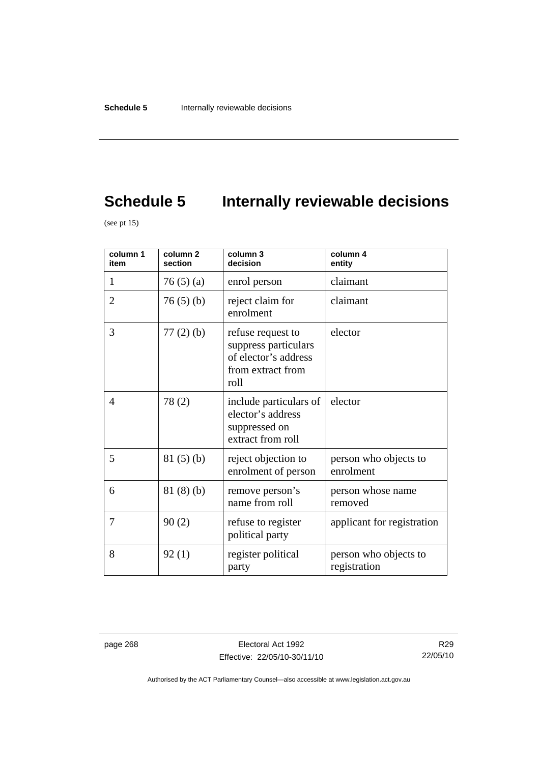# **Schedule 5** Internally reviewable decisions

(see pt  $15$ )

| column 1<br>item | column <sub>2</sub><br>section | column 3<br>decision                                                                           | column 4<br>entity                    |
|------------------|--------------------------------|------------------------------------------------------------------------------------------------|---------------------------------------|
| 1                | 76(5)(a)                       | enrol person                                                                                   | claimant                              |
| $\overline{2}$   | 76(5)(b)                       | reject claim for<br>enrolment                                                                  | claimant                              |
| 3                | $77(2)$ (b)                    | refuse request to<br>suppress particulars<br>of elector's address<br>from extract from<br>roll | elector                               |
| $\overline{4}$   | 78(2)                          | include particulars of<br>elector's address<br>suppressed on<br>extract from roll              | elector                               |
| 5                | 81(5)(b)                       | reject objection to<br>enrolment of person                                                     | person who objects to<br>enrolment    |
| 6                | 81(8)(b)                       | remove person's<br>name from roll                                                              | person whose name<br>removed          |
| 7                | 90(2)                          | refuse to register<br>political party                                                          | applicant for registration            |
| 8                | 92(1)                          | register political<br>party                                                                    | person who objects to<br>registration |

page 268 Electoral Act 1992 Effective: 22/05/10-30/11/10

R29 22/05/10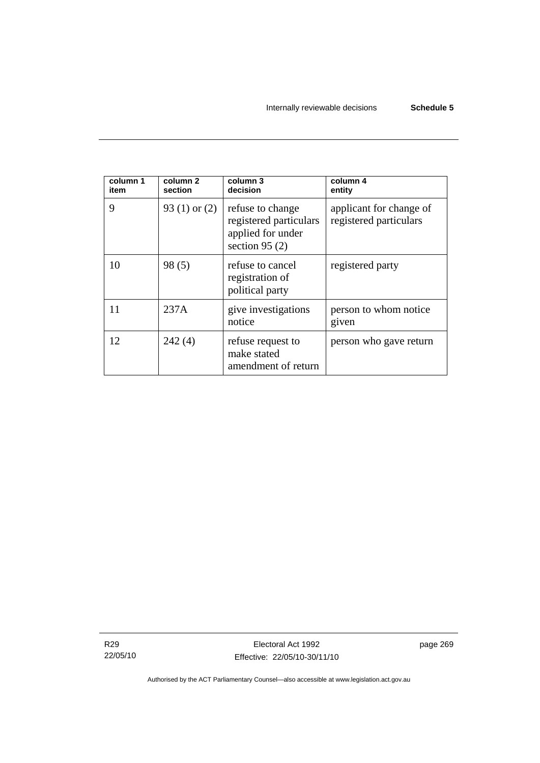| column 1<br>item | column 2<br>section | column 3<br>decision                                                                | column 4<br>entity                                |
|------------------|---------------------|-------------------------------------------------------------------------------------|---------------------------------------------------|
| 9                | 93 (1) or $(2)$     | refuse to change<br>registered particulars<br>applied for under<br>section 95 $(2)$ | applicant for change of<br>registered particulars |
| 10               | 98(5)               | refuse to cancel<br>registration of<br>political party                              | registered party                                  |
| 11               | 237A                | give investigations<br>notice                                                       | person to whom notice<br>given                    |
| 12               | 242(4)              | refuse request to<br>make stated<br>amendment of return                             | person who gave return                            |

R29 22/05/10

Electoral Act 1992 Effective: 22/05/10-30/11/10 page 269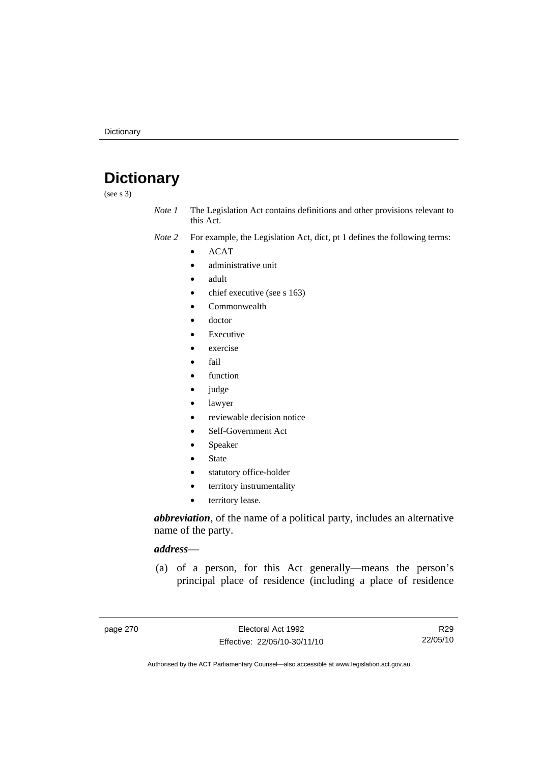# **Dictionary**

(see s 3)

*Note 1* The Legislation Act contains definitions and other provisions relevant to this Act.

*Note 2* For example, the Legislation Act, dict, pt 1 defines the following terms:

- ACAT
	- administrative unit
	- adult
	- chief executive (see s 163)
	- Commonwealth
	- doctor
	- **Executive**
	- exercise
	- fail
	- function
	- judge
	- lawyer
	- reviewable decision notice
	- Self-Government Act
	- **Speaker**
	- **State**
	- statutory office-holder
	- territory instrumentality
	- territory lease.

*abbreviation*, of the name of a political party, includes an alternative name of the party.

#### *address*—

 (a) of a person, for this Act generally—means the person's principal place of residence (including a place of residence

R29 22/05/10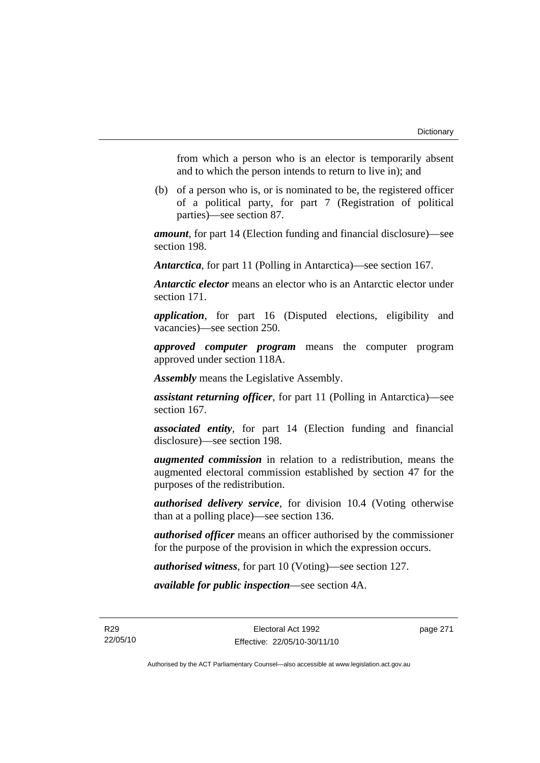from which a person who is an elector is temporarily absent and to which the person intends to return to live in); and

 (b) of a person who is, or is nominated to be, the registered officer of a political party, for part 7 (Registration of political parties)—see section 87.

*amount*, for part 14 (Election funding and financial disclosure)—see section 198.

*Antarctica*, for part 11 (Polling in Antarctica)—see section 167.

*Antarctic elector* means an elector who is an Antarctic elector under section 171.

*application*, for part 16 (Disputed elections, eligibility and vacancies)—see section 250.

*approved computer program* means the computer program approved under section 118A.

*Assembly* means the Legislative Assembly.

*assistant returning officer*, for part 11 (Polling in Antarctica)—see section 167.

*associated entity*, for part 14 (Election funding and financial disclosure)—see section 198.

*augmented commission* in relation to a redistribution, means the augmented electoral commission established by section 47 for the purposes of the redistribution.

*authorised delivery service*, for division 10.4 (Voting otherwise than at a polling place)—see section 136.

*authorised officer* means an officer authorised by the commissioner for the purpose of the provision in which the expression occurs.

*authorised witness*, for part 10 (Voting)—see section 127.

*available for public inspection*—see section 4A.

R29 22/05/10 page 271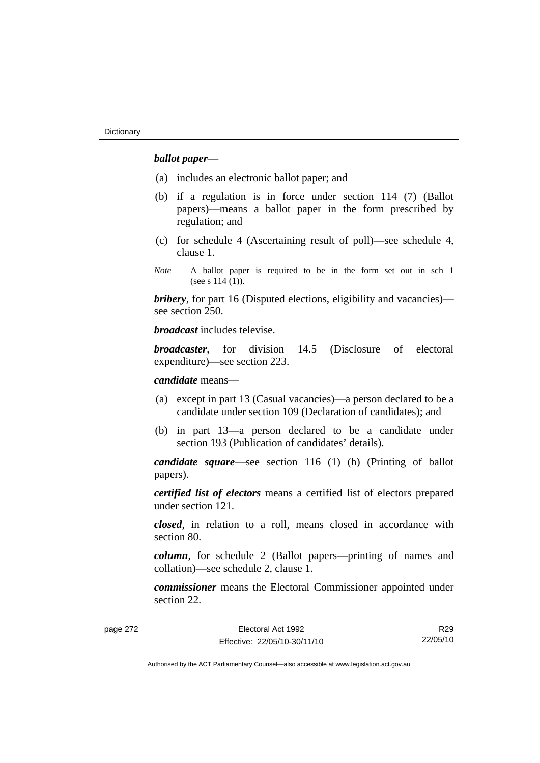## *ballot paper*—

- (a) includes an electronic ballot paper; and
- (b) if a regulation is in force under section 114 (7) (Ballot papers)—means a ballot paper in the form prescribed by regulation; and
- (c) for schedule 4 (Ascertaining result of poll)—see schedule 4, clause 1.
- *Note* A ballot paper is required to be in the form set out in sch 1 (see s 114 (1)).

*bribery*, for part 16 (Disputed elections, eligibility and vacancies) see section 250.

*broadcast* includes televise.

*broadcaster*, for division 14.5 (Disclosure of electoral expenditure)—see section 223.

*candidate* means—

- (a) except in part 13 (Casual vacancies)—a person declared to be a candidate under section 109 (Declaration of candidates); and
- (b) in part 13—a person declared to be a candidate under section 193 (Publication of candidates' details).

*candidate square*—see section 116 (1) (h) (Printing of ballot papers).

*certified list of electors* means a certified list of electors prepared under section 121.

*closed*, in relation to a roll, means closed in accordance with section 80.

*column*, for schedule 2 (Ballot papers—printing of names and collation)—see schedule 2, clause 1.

*commissioner* means the Electoral Commissioner appointed under section 22.

page 272 Electoral Act 1992 Effective: 22/05/10-30/11/10

R29 22/05/10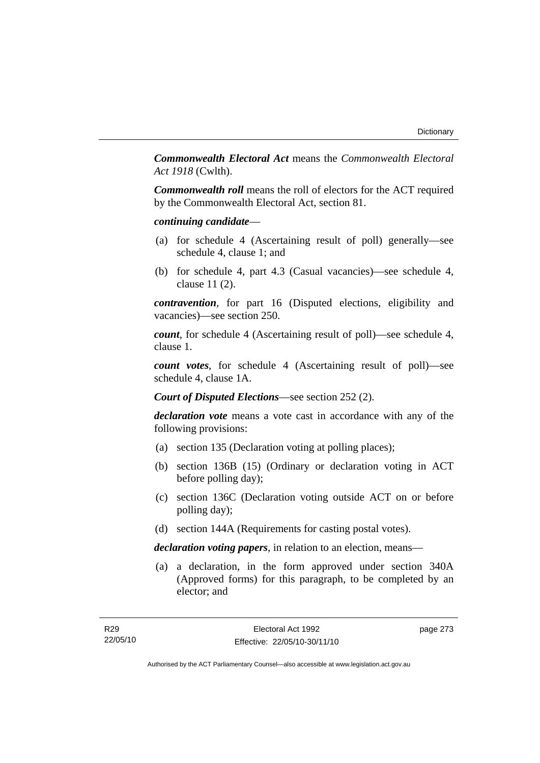*Commonwealth Electoral Act* means the *Commonwealth Electoral Act 1918* (Cwlth).

*Commonwealth roll* means the roll of electors for the ACT required by the Commonwealth Electoral Act, section 81.

### *continuing candidate*—

- (a) for schedule 4 (Ascertaining result of poll) generally—see schedule 4, clause 1; and
- (b) for schedule 4, part 4.3 (Casual vacancies)—see schedule 4, clause 11 (2).

*contravention*, for part 16 (Disputed elections, eligibility and vacancies)—see section 250.

*count*, for schedule 4 (Ascertaining result of poll)—see schedule 4, clause 1.

*count votes*, for schedule 4 (Ascertaining result of poll)—see schedule 4, clause 1A.

*Court of Disputed Elections*—see section 252 (2).

*declaration vote* means a vote cast in accordance with any of the following provisions:

- (a) section 135 (Declaration voting at polling places);
- (b) section 136B (15) (Ordinary or declaration voting in ACT before polling day);
- (c) section 136C (Declaration voting outside ACT on or before polling day);
- (d) section 144A (Requirements for casting postal votes).

*declaration voting papers*, in relation to an election, means—

 (a) a declaration, in the form approved under section 340A (Approved forms) for this paragraph, to be completed by an elector; and

page 273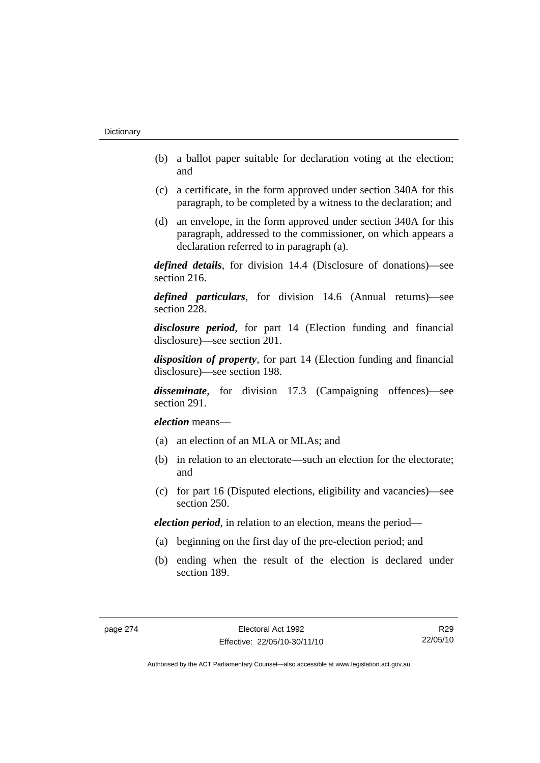- (b) a ballot paper suitable for declaration voting at the election; and
- (c) a certificate, in the form approved under section 340A for this paragraph, to be completed by a witness to the declaration; and
- (d) an envelope, in the form approved under section 340A for this paragraph, addressed to the commissioner, on which appears a declaration referred to in paragraph (a).

*defined details*, for division 14.4 (Disclosure of donations)—see section 216.

*defined particulars*, for division 14.6 (Annual returns)—see section 228.

*disclosure period*, for part 14 (Election funding and financial disclosure)—see section 201.

*disposition of property*, for part 14 (Election funding and financial disclosure)—see section 198.

*disseminate*, for division 17.3 (Campaigning offences)—see section 291.

*election* means—

- (a) an election of an MLA or MLAs; and
- (b) in relation to an electorate—such an election for the electorate; and
- (c) for part 16 (Disputed elections, eligibility and vacancies)—see section 250.

*election period*, in relation to an election, means the period—

- (a) beginning on the first day of the pre-election period; and
- (b) ending when the result of the election is declared under section 189.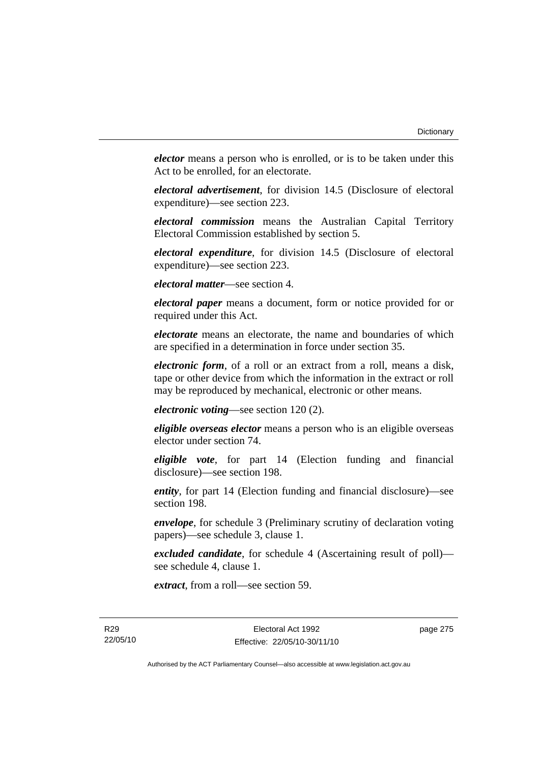*elector* means a person who is enrolled, or is to be taken under this Act to be enrolled, for an electorate.

*electoral advertisement*, for division 14.5 (Disclosure of electoral expenditure)—see section 223.

*electoral commission* means the Australian Capital Territory Electoral Commission established by section 5.

*electoral expenditure*, for division 14.5 (Disclosure of electoral expenditure)—see section 223.

*electoral matter*—see section 4.

*electoral paper* means a document, form or notice provided for or required under this Act.

*electorate* means an electorate, the name and boundaries of which are specified in a determination in force under section 35.

*electronic form*, of a roll or an extract from a roll, means a disk, tape or other device from which the information in the extract or roll may be reproduced by mechanical, electronic or other means.

*electronic voting*—see section 120 (2).

*eligible overseas elector* means a person who is an eligible overseas elector under section 74.

*eligible vote*, for part 14 (Election funding and financial disclosure)—see section 198.

*entity*, for part 14 (Election funding and financial disclosure)—see section 198.

*envelope*, for schedule 3 (Preliminary scrutiny of declaration voting papers)—see schedule 3, clause 1.

*excluded candidate*, for schedule 4 (Ascertaining result of poll) see schedule 4, clause 1.

*extract*, from a roll—see section 59.

page 275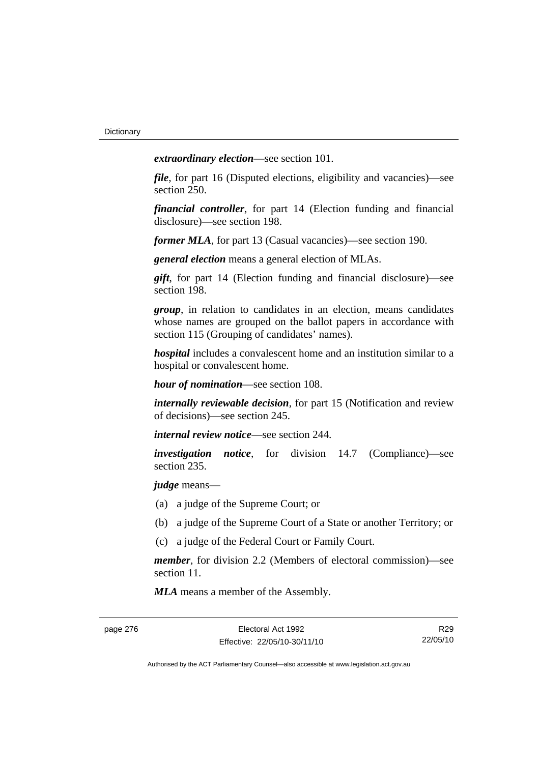*extraordinary election*—see section 101.

*file*, for part 16 (Disputed elections, eligibility and vacancies)—see section 250.

*financial controller*, for part 14 (Election funding and financial disclosure)—see section 198.

*former MLA*, for part 13 (Casual vacancies)—see section 190.

*general election* means a general election of MLAs.

*gift*, for part 14 (Election funding and financial disclosure)—see section 198.

*group*, in relation to candidates in an election, means candidates whose names are grouped on the ballot papers in accordance with section 115 (Grouping of candidates' names).

*hospital* includes a convalescent home and an institution similar to a hospital or convalescent home.

*hour of nomination*—see section 108.

*internally reviewable decision*, for part 15 (Notification and review of decisions)—see section 245.

*internal review notice*—see section 244.

*investigation notice*, for division 14.7 (Compliance)—see section 235.

*judge* means—

- (a) a judge of the Supreme Court; or
- (b) a judge of the Supreme Court of a State or another Territory; or
- (c) a judge of the Federal Court or Family Court.

*member*, for division 2.2 (Members of electoral commission)—see section 11.

*MLA* means a member of the Assembly.

R29 22/05/10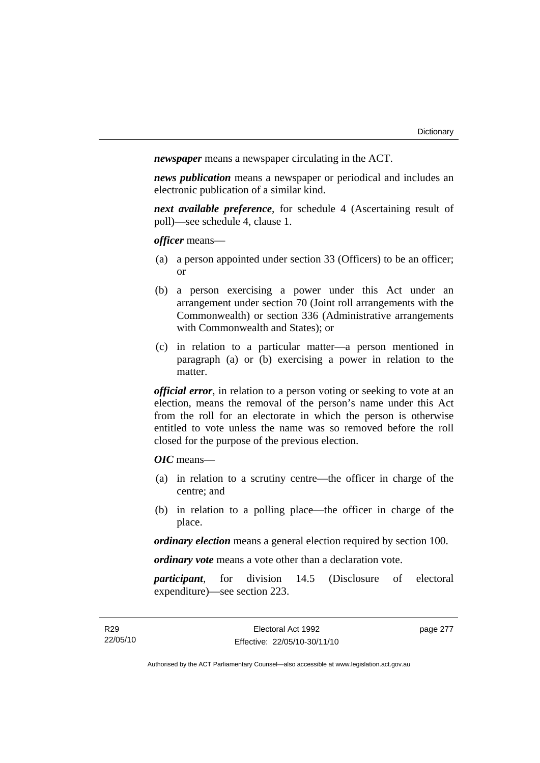*newspaper* means a newspaper circulating in the ACT.

*news publication* means a newspaper or periodical and includes an electronic publication of a similar kind.

*next available preference*, for schedule 4 (Ascertaining result of poll)—see schedule 4, clause 1.

*officer* means—

- (a) a person appointed under section 33 (Officers) to be an officer; or
- (b) a person exercising a power under this Act under an arrangement under section 70 (Joint roll arrangements with the Commonwealth) or section 336 (Administrative arrangements with Commonwealth and States); or
- (c) in relation to a particular matter—a person mentioned in paragraph (a) or (b) exercising a power in relation to the matter.

*official error*, in relation to a person voting or seeking to vote at an election, means the removal of the person's name under this Act from the roll for an electorate in which the person is otherwise entitled to vote unless the name was so removed before the roll closed for the purpose of the previous election.

*OIC* means—

- (a) in relation to a scrutiny centre—the officer in charge of the centre; and
- (b) in relation to a polling place—the officer in charge of the place.

*ordinary election* means a general election required by section 100.

*ordinary vote* means a vote other than a declaration vote.

*participant*, for division 14.5 (Disclosure of electoral expenditure)—see section 223.

page 277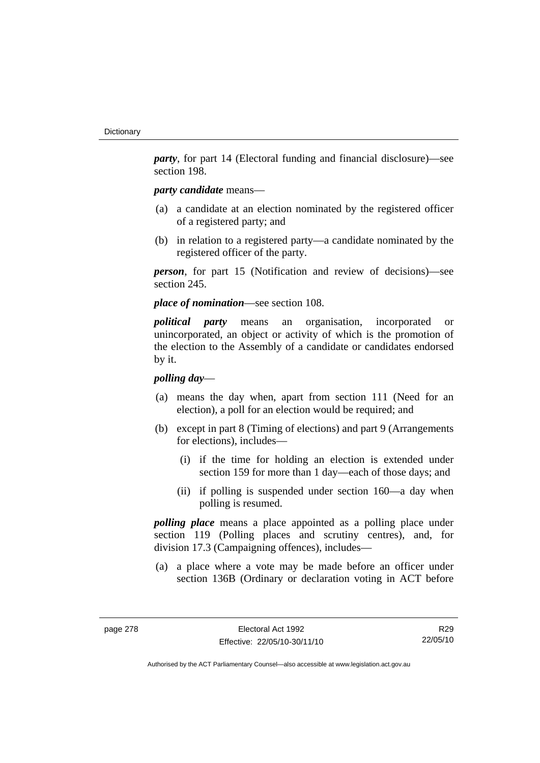*party*, for part 14 (Electoral funding and financial disclosure)—see section 198.

## *party candidate* means—

- (a) a candidate at an election nominated by the registered officer of a registered party; and
- (b) in relation to a registered party—a candidate nominated by the registered officer of the party.

*person*, for part 15 (Notification and review of decisions)—see section 245.

*place of nomination*—see section 108.

*political party* means an organisation, incorporated or unincorporated, an object or activity of which is the promotion of the election to the Assembly of a candidate or candidates endorsed by it.

### *polling day*—

- (a) means the day when, apart from section 111 (Need for an election), a poll for an election would be required; and
- (b) except in part 8 (Timing of elections) and part 9 (Arrangements for elections), includes—
	- (i) if the time for holding an election is extended under section 159 for more than 1 day—each of those days; and
	- (ii) if polling is suspended under section 160—a day when polling is resumed.

*polling place* means a place appointed as a polling place under section 119 (Polling places and scrutiny centres), and, for division 17.3 (Campaigning offences), includes—

 (a) a place where a vote may be made before an officer under section 136B (Ordinary or declaration voting in ACT before

R29 22/05/10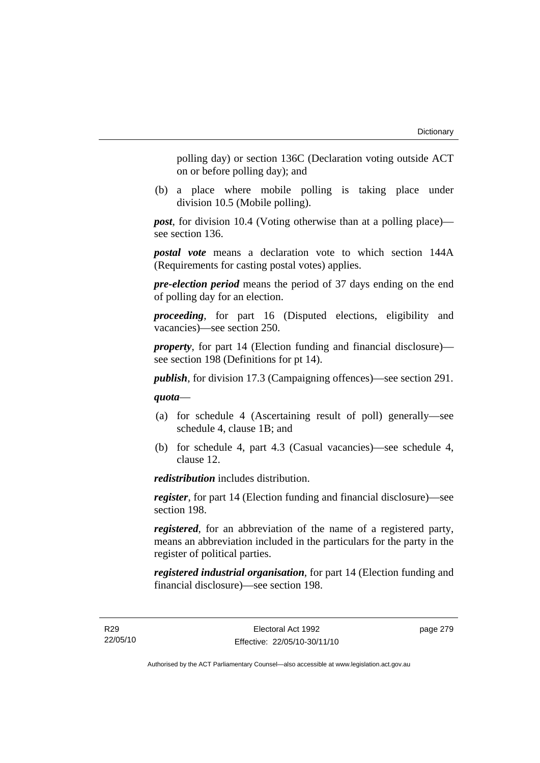polling day) or section 136C (Declaration voting outside ACT on or before polling day); and

 (b) a place where mobile polling is taking place under division 10.5 (Mobile polling).

*post*, for division 10.4 (Voting otherwise than at a polling place) see section 136.

*postal vote* means a declaration vote to which section 144A (Requirements for casting postal votes) applies.

*pre-election period* means the period of 37 days ending on the end of polling day for an election.

*proceeding*, for part 16 (Disputed elections, eligibility and vacancies)—see section 250.

*property*, for part 14 (Election funding and financial disclosure) see section 198 (Definitions for pt 14).

*publish*, for division 17.3 (Campaigning offences)—see section 291.

*quota*—

- (a) for schedule 4 (Ascertaining result of poll) generally—see schedule 4, clause 1B; and
- (b) for schedule 4, part 4.3 (Casual vacancies)—see schedule 4, clause 12.

*redistribution* includes distribution.

*register*, for part 14 (Election funding and financial disclosure)—see section 198.

*registered*, for an abbreviation of the name of a registered party, means an abbreviation included in the particulars for the party in the register of political parties.

*registered industrial organisation*, for part 14 (Election funding and financial disclosure)—see section 198.

R29 22/05/10 page 279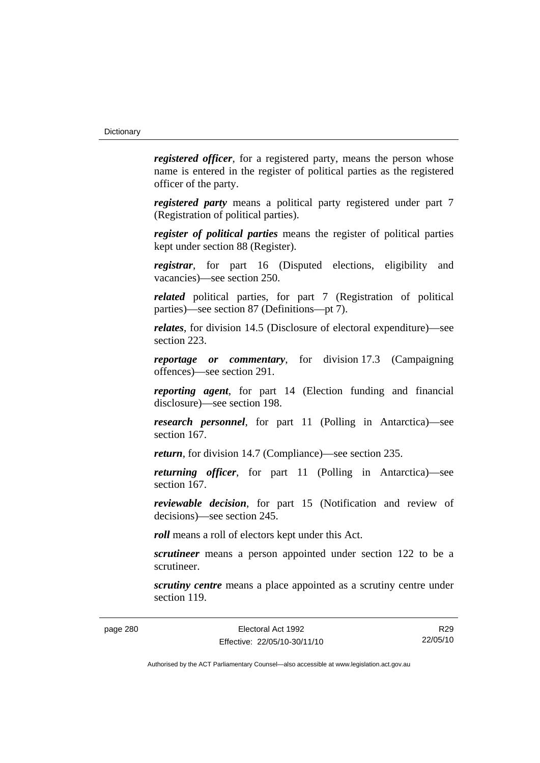*registered officer*, for a registered party, means the person whose name is entered in the register of political parties as the registered officer of the party.

*registered party* means a political party registered under part 7 (Registration of political parties).

*register of political parties* means the register of political parties kept under section 88 (Register).

*registrar*, for part 16 (Disputed elections, eligibility and vacancies)—see section 250.

*related* political parties, for part 7 (Registration of political parties)—see section 87 (Definitions—pt 7).

*relates*, for division 14.5 (Disclosure of electoral expenditure)—see section 223.

*reportage or commentary*, for division 17.3 (Campaigning offences)—see section 291.

*reporting agent*, for part 14 (Election funding and financial disclosure)—see section 198.

*research personnel*, for part 11 (Polling in Antarctica)—see section 167.

*return*, for division 14.7 (Compliance)—see section 235.

*returning officer*, for part 11 (Polling in Antarctica)—see section 167.

*reviewable decision*, for part 15 (Notification and review of decisions)—see section 245.

*roll* means a roll of electors kept under this Act.

*scrutineer* means a person appointed under section 122 to be a scrutineer.

*scrutiny centre* means a place appointed as a scrutiny centre under section 119.

R29 22/05/10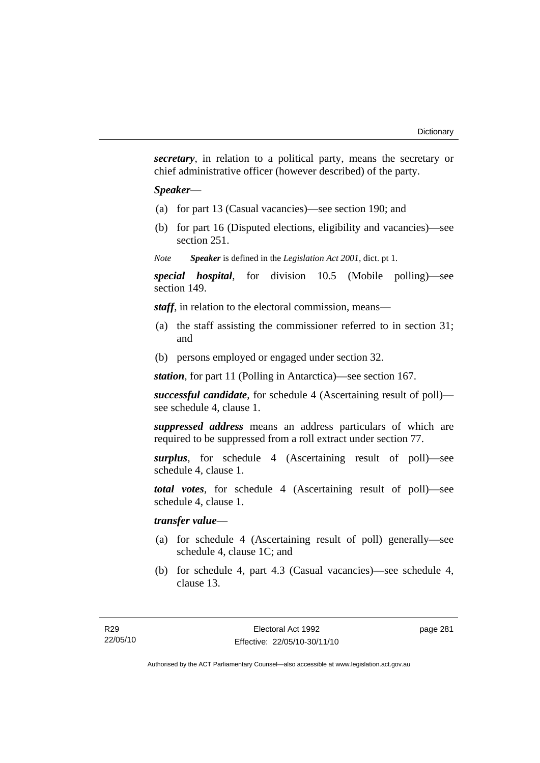*secretary*, in relation to a political party, means the secretary or chief administrative officer (however described) of the party.

#### *Speaker*—

- (a) for part 13 (Casual vacancies)—see section 190; and
- (b) for part 16 (Disputed elections, eligibility and vacancies)—see section 251.
- *Note Speaker* is defined in the *Legislation Act 2001*, dict. pt 1.

*special hospital*, for division 10.5 (Mobile polling)—see section 149.

*staff*, in relation to the electoral commission, means—

- (a) the staff assisting the commissioner referred to in section 31; and
- (b) persons employed or engaged under section 32.

*station*, for part 11 (Polling in Antarctica)—see section 167.

*successful candidate*, for schedule 4 (Ascertaining result of poll) see schedule 4, clause 1.

*suppressed address* means an address particulars of which are required to be suppressed from a roll extract under section 77.

*surplus*, for schedule 4 (Ascertaining result of poll)—see schedule 4, clause 1.

*total votes*, for schedule 4 (Ascertaining result of poll)—see schedule 4, clause 1.

# *transfer value*—

- (a) for schedule 4 (Ascertaining result of poll) generally—see schedule 4, clause 1C; and
- (b) for schedule 4, part 4.3 (Casual vacancies)—see schedule 4, clause 13.

page 281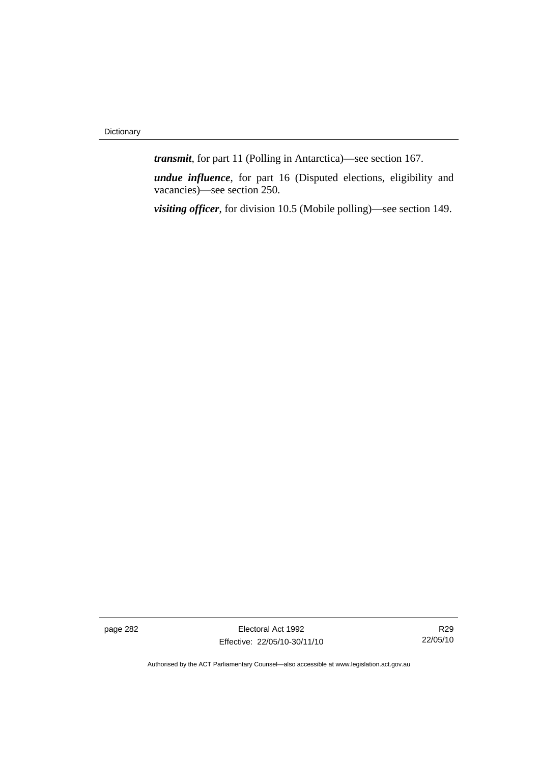*transmit*, for part 11 (Polling in Antarctica)—see section 167.

*undue influence*, for part 16 (Disputed elections, eligibility and vacancies)—see section 250.

*visiting officer*, for division 10.5 (Mobile polling)—see section 149.

page 282 Electoral Act 1992 Effective: 22/05/10-30/11/10

R29 22/05/10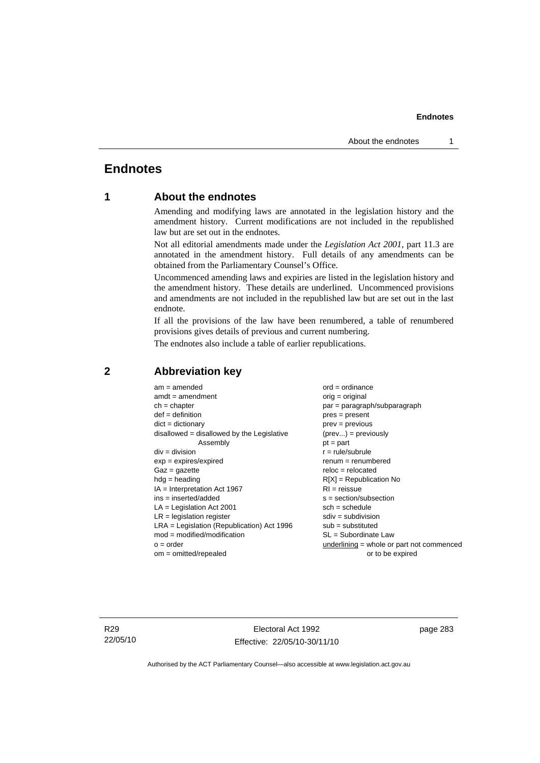# **Endnotes**

# **1 About the endnotes**

Amending and modifying laws are annotated in the legislation history and the amendment history. Current modifications are not included in the republished law but are set out in the endnotes.

Not all editorial amendments made under the *Legislation Act 2001*, part 11.3 are annotated in the amendment history. Full details of any amendments can be obtained from the Parliamentary Counsel's Office.

Uncommenced amending laws and expiries are listed in the legislation history and the amendment history. These details are underlined. Uncommenced provisions and amendments are not included in the republished law but are set out in the last endnote.

If all the provisions of the law have been renumbered, a table of renumbered provisions gives details of previous and current numbering.

The endnotes also include a table of earlier republications.

| $am = amended$                               | $ord = ordinance$                         |
|----------------------------------------------|-------------------------------------------|
| $amdt = amendment$                           | $orig = original$                         |
| $ch = chapter$                               | $par = paragraph/subparagraph$            |
| $def = definition$                           | $pres = present$                          |
| $dict = dictionary$                          | $prev = previous$                         |
| disallowed = disallowed by the Legislative   | $(\text{prev}) = \text{previously}$       |
| Assembly                                     | $pt = part$                               |
| $div = division$                             | $r = rule/subrule$                        |
| $exp = expires/expired$                      | $renum = renumbered$                      |
| $Gaz = gazette$                              | $reloc = relocated$                       |
| $hdg =$ heading                              | $R[X]$ = Republication No                 |
| $IA = Interpretation Act 1967$               | $RI = reissue$                            |
| $ins = inserted/added$                       | $s = section/subsection$                  |
| $LA =$ Legislation Act 2001                  | $sch = schedule$                          |
| $LR =$ legislation register                  | $sdiv = subdivision$                      |
| $LRA =$ Legislation (Republication) Act 1996 | $sub =$ substituted                       |
| $mod = modified/modification$                | SL = Subordinate Law                      |
| $o = order$                                  | underlining = whole or part not commenced |
| $om = omitted/repealed$                      | or to be expired                          |
|                                              |                                           |

# **2 Abbreviation key**

R29 22/05/10

Electoral Act 1992 Effective: 22/05/10-30/11/10 page 283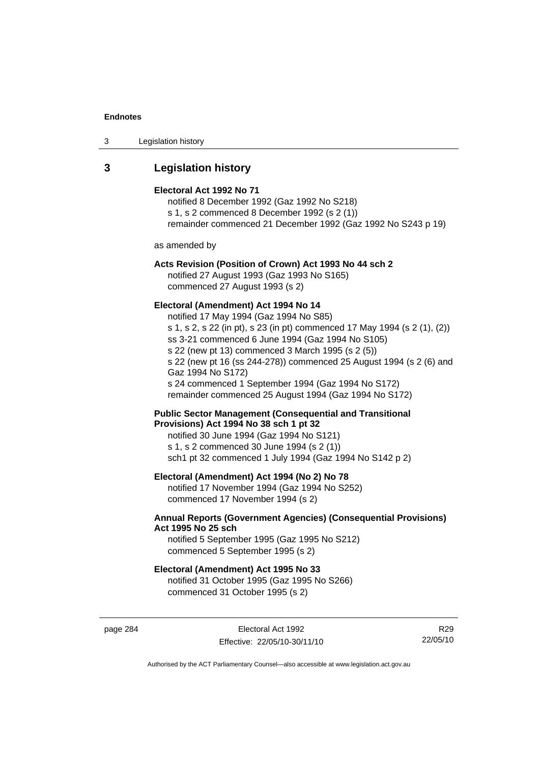| 3 | Legislation history |  |
|---|---------------------|--|
|---|---------------------|--|

# **3 Legislation history**

#### **Electoral Act 1992 No 71**

notified 8 December 1992 (Gaz 1992 No S218) s 1, s 2 commenced 8 December 1992 (s 2 (1)) remainder commenced 21 December 1992 (Gaz 1992 No S243 p 19)

as amended by

# **Acts Revision (Position of Crown) Act 1993 No 44 sch 2**

notified 27 August 1993 (Gaz 1993 No S165) commenced 27 August 1993 (s 2)

### **Electoral (Amendment) Act 1994 No 14**

notified 17 May 1994 (Gaz 1994 No S85) s 1, s 2, s 22 (in pt), s 23 (in pt) commenced 17 May 1994 (s 2 (1), (2)) ss 3-21 commenced 6 June 1994 (Gaz 1994 No S105) s 22 (new pt 13) commenced 3 March 1995 (s 2 (5)) s 22 (new pt 16 (ss 244-278)) commenced 25 August 1994 (s 2 (6) and Gaz 1994 No S172) s 24 commenced 1 September 1994 (Gaz 1994 No S172) remainder commenced 25 August 1994 (Gaz 1994 No S172)

**Public Sector Management (Consequential and Transitional Provisions) Act 1994 No 38 sch 1 pt 32** 

notified 30 June 1994 (Gaz 1994 No S121) s 1, s 2 commenced 30 June 1994 (s 2 (1)) sch1 pt 32 commenced 1 July 1994 (Gaz 1994 No S142 p 2)

### **Electoral (Amendment) Act 1994 (No 2) No 78**

notified 17 November 1994 (Gaz 1994 No S252) commenced 17 November 1994 (s 2)

### **Annual Reports (Government Agencies) (Consequential Provisions) Act 1995 No 25 sch**

notified 5 September 1995 (Gaz 1995 No S212) commenced 5 September 1995 (s 2)

### **Electoral (Amendment) Act 1995 No 33**

notified 31 October 1995 (Gaz 1995 No S266) commenced 31 October 1995 (s 2)

page 284 **Electoral Act 1992** Effective: 22/05/10-30/11/10

R29 22/05/10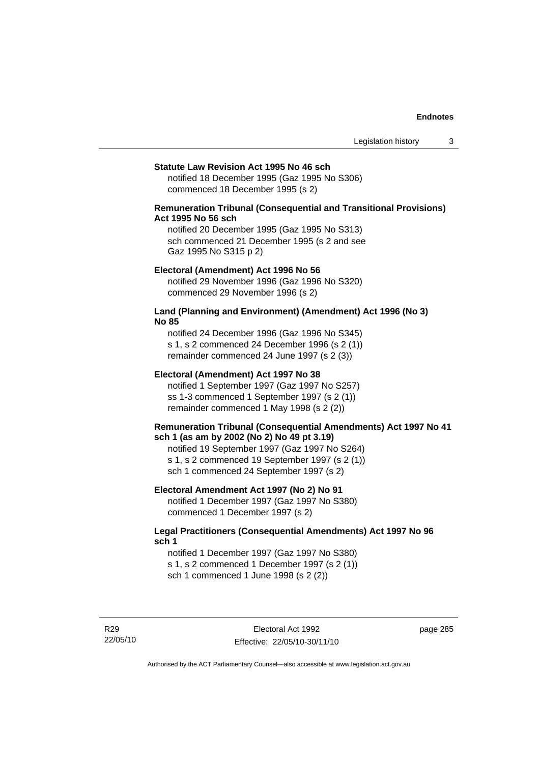#### **Statute Law Revision Act 1995 No 46 sch**

notified 18 December 1995 (Gaz 1995 No S306) commenced 18 December 1995 (s 2)

### **Remuneration Tribunal (Consequential and Transitional Provisions) Act 1995 No 56 sch**

notified 20 December 1995 (Gaz 1995 No S313) sch commenced 21 December 1995 (s 2 and see Gaz 1995 No S315 p 2)

#### **Electoral (Amendment) Act 1996 No 56**

notified 29 November 1996 (Gaz 1996 No S320) commenced 29 November 1996 (s 2)

### **Land (Planning and Environment) (Amendment) Act 1996 (No 3) No 85**

notified 24 December 1996 (Gaz 1996 No S345) s 1, s 2 commenced 24 December 1996 (s 2 (1)) remainder commenced 24 June 1997 (s 2 (3))

#### **Electoral (Amendment) Act 1997 No 38**

notified 1 September 1997 (Gaz 1997 No S257) ss 1-3 commenced 1 September 1997 (s 2 (1)) remainder commenced 1 May 1998 (s 2 (2))

### **Remuneration Tribunal (Consequential Amendments) Act 1997 No 41 sch 1 (as am by 2002 (No 2) No 49 pt 3.19)**

notified 19 September 1997 (Gaz 1997 No S264) s 1, s 2 commenced 19 September 1997 (s 2 (1)) sch 1 commenced 24 September 1997 (s 2)

### **Electoral Amendment Act 1997 (No 2) No 91**

notified 1 December 1997 (Gaz 1997 No S380) commenced 1 December 1997 (s 2)

### **Legal Practitioners (Consequential Amendments) Act 1997 No 96 sch 1**

notified 1 December 1997 (Gaz 1997 No S380) s 1, s 2 commenced 1 December 1997 (s 2 (1)) sch 1 commenced 1 June 1998 (s 2 (2))

R29 22/05/10 page 285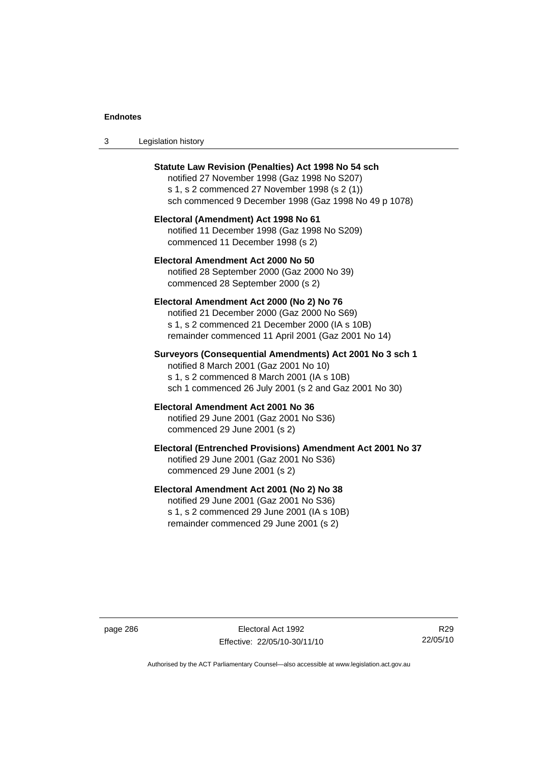| Legislation history<br>-3 |  |
|---------------------------|--|
|---------------------------|--|

| <b>Statute Law Revision (Penalties) Act 1998 No 54 sch</b><br>notified 27 November 1998 (Gaz 1998 No S207)<br>s 1, s 2 commenced 27 November 1998 (s 2 (1))<br>sch commenced 9 December 1998 (Gaz 1998 No 49 p 1078) |
|----------------------------------------------------------------------------------------------------------------------------------------------------------------------------------------------------------------------|
| Electoral (Amendment) Act 1998 No 61<br>notified 11 December 1998 (Gaz 1998 No S209)<br>commenced 11 December 1998 (s 2)                                                                                             |
| Electoral Amendment Act 2000 No 50<br>notified 28 September 2000 (Gaz 2000 No 39)<br>commenced 28 September 2000 (s 2)                                                                                               |
| Electoral Amendment Act 2000 (No 2) No 76<br>notified 21 December 2000 (Gaz 2000 No S69)<br>s 1, s 2 commenced 21 December 2000 (IA s 10B)<br>remainder commenced 11 April 2001 (Gaz 2001 No 14)                     |
| Surveyors (Consequential Amendments) Act 2001 No 3 sch 1<br>notified 8 March 2001 (Gaz 2001 No 10)<br>s 1, s 2 commenced 8 March 2001 (IA s 10B)<br>sch 1 commenced 26 July 2001 (s 2 and Gaz 2001 No 30)            |
| Electoral Amendment Act 2001 No 36<br>notified 29 June 2001 (Gaz 2001 No S36)<br>commenced 29 June 2001 (s 2)                                                                                                        |
| Electoral (Entrenched Provisions) Amendment Act 2001 No 37<br>notified 29 June 2001 (Gaz 2001 No S36)<br>commenced 29 June 2001 (s 2)                                                                                |
| Electoral Amendment Act 2001 (No 2) No 38<br>notified 29 June 2001 (Gaz 2001 No S36)<br>s 1, s 2 commenced 29 June 2001 (IA s 10B)<br>remainder commenced 29 June 2001 (s 2)                                         |

page 286 Electoral Act 1992 Effective: 22/05/10-30/11/10

R29 22/05/10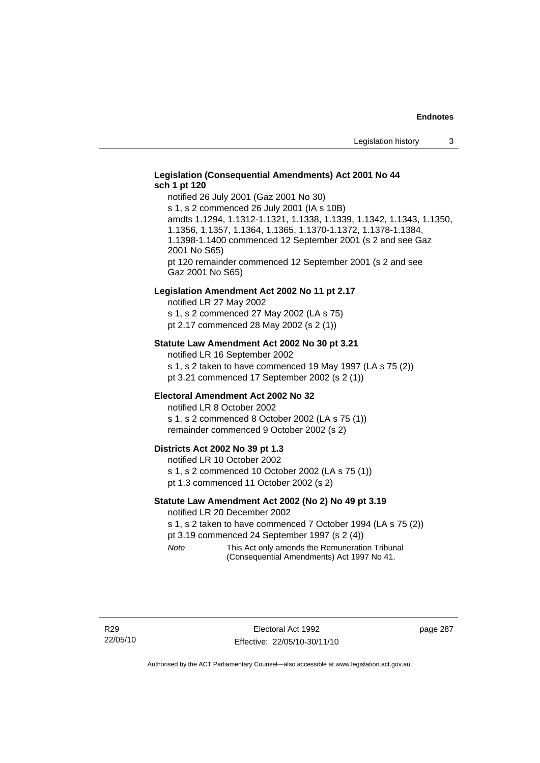### **Legislation (Consequential Amendments) Act 2001 No 44 sch 1 pt 120**

notified 26 July 2001 (Gaz 2001 No 30) s 1, s 2 commenced 26 July 2001 (IA s 10B) amdts 1.1294, 1.1312-1.1321, 1.1338, 1.1339, 1.1342, 1.1343, 1.1350, 1.1356, 1.1357, 1.1364, 1.1365, 1.1370-1.1372, 1.1378-1.1384, 1.1398-1.1400 commenced 12 September 2001 (s 2 and see Gaz 2001 No S65) pt 120 remainder commenced 12 September 2001 (s 2 and see Gaz 2001 No S65)

#### **Legislation Amendment Act 2002 No 11 pt 2.17**

notified LR 27 May 2002 s 1, s 2 commenced 27 May 2002 (LA s 75) pt 2.17 commenced 28 May 2002 (s 2 (1))

### **Statute Law Amendment Act 2002 No 30 pt 3.21**

notified LR 16 September 2002 s 1, s 2 taken to have commenced 19 May 1997 (LA s 75 (2)) pt 3.21 commenced 17 September 2002 (s 2 (1))

#### **Electoral Amendment Act 2002 No 32**

notified LR 8 October 2002 s 1, s 2 commenced 8 October 2002 (LA s 75 (1)) remainder commenced 9 October 2002 (s 2)

#### **Districts Act 2002 No 39 pt 1.3**

notified LR 10 October 2002 s 1, s 2 commenced 10 October 2002 (LA s 75 (1)) pt 1.3 commenced 11 October 2002 (s 2)

#### **Statute Law Amendment Act 2002 (No 2) No 49 pt 3.19**

notified LR 20 December 2002

s 1, s 2 taken to have commenced 7 October 1994 (LA s 75 (2)) pt 3.19 commenced 24 September 1997 (s 2 (4))

*Note* This Act only amends the Remuneration Tribunal (Consequential Amendments) Act 1997 No 41.

page 287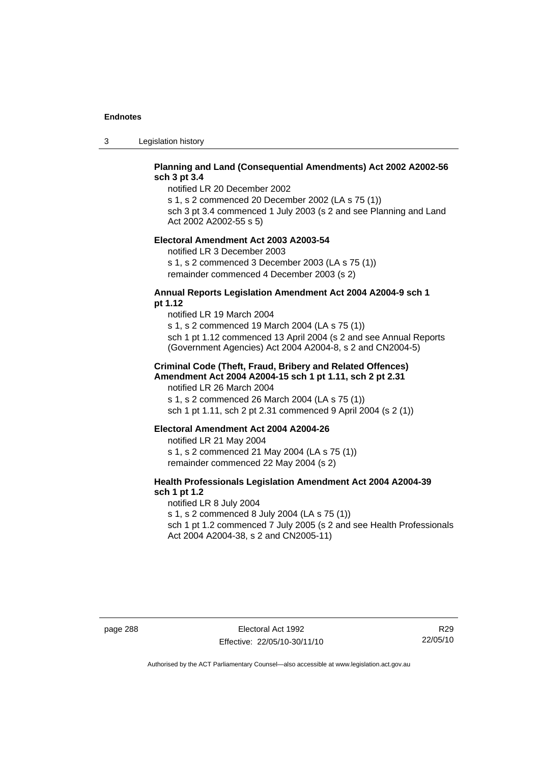3 Legislation history

## **Planning and Land (Consequential Amendments) Act 2002 A2002-56 sch 3 pt 3.4**

notified LR 20 December 2002

s 1, s 2 commenced 20 December 2002 (LA s 75 (1)) sch 3 pt 3.4 commenced 1 July 2003 (s 2 and see Planning and Land

Act 2002 A2002-55 s 5)

### **Electoral Amendment Act 2003 A2003-54**

notified LR 3 December 2003 s 1, s 2 commenced 3 December 2003 (LA s 75 (1)) remainder commenced 4 December 2003 (s 2)

### **Annual Reports Legislation Amendment Act 2004 A2004-9 sch 1 pt 1.12**

notified LR 19 March 2004 s 1, s 2 commenced 19 March 2004 (LA s 75 (1)) sch 1 pt 1.12 commenced 13 April 2004 (s 2 and see Annual Reports (Government Agencies) Act 2004 A2004-8, s 2 and CN2004-5)

### **Criminal Code (Theft, Fraud, Bribery and Related Offences) Amendment Act 2004 A2004-15 sch 1 pt 1.11, sch 2 pt 2.31**

notified LR 26 March 2004 s 1, s 2 commenced 26 March 2004 (LA s 75 (1)) sch 1 pt 1.11, sch 2 pt 2.31 commenced 9 April 2004 (s 2 (1))

#### **Electoral Amendment Act 2004 A2004-26**

notified LR 21 May 2004 s 1, s 2 commenced 21 May 2004 (LA s 75 (1)) remainder commenced 22 May 2004 (s 2)

## **Health Professionals Legislation Amendment Act 2004 A2004-39 sch 1 pt 1.2**

notified LR 8 July 2004 s 1, s 2 commenced 8 July 2004 (LA s 75 (1)) sch 1 pt 1.2 commenced 7 July 2005 (s 2 and see Health Professionals Act 2004 A2004-38, s 2 and CN2005-11)

page 288 Electoral Act 1992 Effective: 22/05/10-30/11/10

R29 22/05/10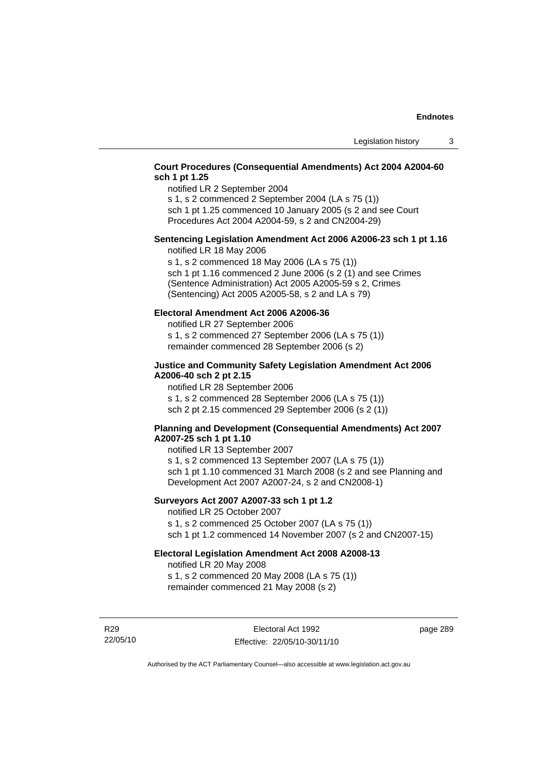## **Court Procedures (Consequential Amendments) Act 2004 A2004-60 sch 1 pt 1.25**

notified LR 2 September 2004

s 1, s 2 commenced 2 September 2004 (LA s 75 (1)) sch 1 pt 1.25 commenced 10 January 2005 (s 2 and see Court

Procedures Act 2004 A2004-59, s 2 and CN2004-29)

# **Sentencing Legislation Amendment Act 2006 A2006-23 sch 1 pt 1.16**

notified LR 18 May 2006

s 1, s 2 commenced 18 May 2006 (LA s 75 (1)) sch 1 pt 1.16 commenced 2 June 2006 (s 2 (1) and see Crimes (Sentence Administration) Act 2005 A2005-59 s 2, Crimes (Sentencing) Act 2005 A2005-58, s 2 and LA s 79)

## **Electoral Amendment Act 2006 A2006-36**

notified LR 27 September 2006 s 1, s 2 commenced 27 September 2006 (LA s 75 (1)) remainder commenced 28 September 2006 (s 2)

### **Justice and Community Safety Legislation Amendment Act 2006 A2006-40 sch 2 pt 2.15**

notified LR 28 September 2006 s 1, s 2 commenced 28 September 2006 (LA s 75 (1)) sch 2 pt 2.15 commenced 29 September 2006 (s 2 (1))

### **Planning and Development (Consequential Amendments) Act 2007 A2007-25 sch 1 pt 1.10**

notified LR 13 September 2007 s 1, s 2 commenced 13 September 2007 (LA s 75 (1)) sch 1 pt 1.10 commenced 31 March 2008 (s 2 and see Planning and Development Act 2007 A2007-24, s 2 and CN2008-1)

# **Surveyors Act 2007 A2007-33 sch 1 pt 1.2**

notified LR 25 October 2007 s 1, s 2 commenced 25 October 2007 (LA s 75 (1)) sch 1 pt 1.2 commenced 14 November 2007 (s 2 and CN2007-15)

# **Electoral Legislation Amendment Act 2008 A2008-13**

notified LR 20 May 2008 s 1, s 2 commenced 20 May 2008 (LA s 75 (1)) remainder commenced 21 May 2008 (s 2)

R29 22/05/10 page 289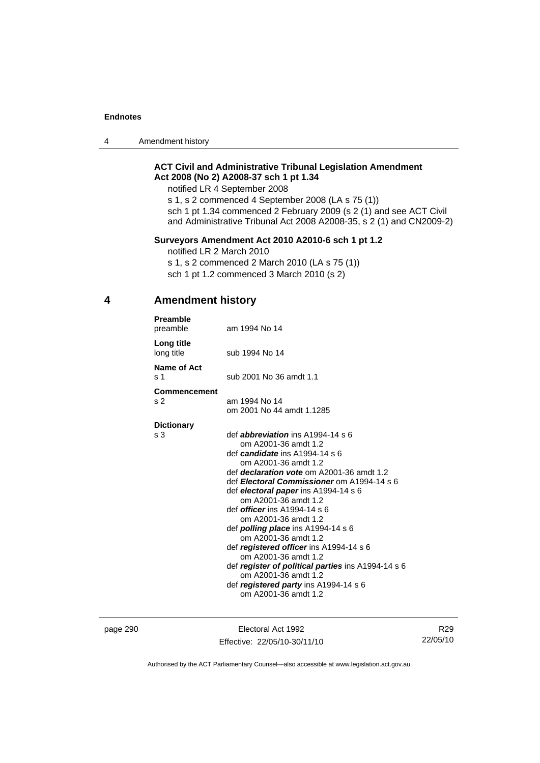4 Amendment history

# **ACT Civil and Administrative Tribunal Legislation Amendment Act 2008 (No 2) A2008-37 sch 1 pt 1.34**

notified LR 4 September 2008

s 1, s 2 commenced 4 September 2008 (LA s 75 (1)) sch 1 pt 1.34 commenced 2 February 2009 (s 2 (1) and see ACT Civil and Administrative Tribunal Act 2008 A2008-35, s 2 (1) and CN2009-2)

# **Surveyors Amendment Act 2010 A2010-6 sch 1 pt 1.2**

notified LR 2 March 2010

s 1, s 2 commenced 2 March 2010 (LA s 75 (1)) sch 1 pt 1.2 commenced 3 March 2010 (s 2)

# **4 Amendment history**

| Preamble<br>preamble                  | am 1994 No 14                                                                                                                                                                                                                                                                                                                                                                                                                                                                                                                                                                                                                                                |
|---------------------------------------|--------------------------------------------------------------------------------------------------------------------------------------------------------------------------------------------------------------------------------------------------------------------------------------------------------------------------------------------------------------------------------------------------------------------------------------------------------------------------------------------------------------------------------------------------------------------------------------------------------------------------------------------------------------|
| Long title<br>long title              | sub 1994 No 14                                                                                                                                                                                                                                                                                                                                                                                                                                                                                                                                                                                                                                               |
| Name of Act<br>s 1                    | sub 2001 No 36 amdt 1.1                                                                                                                                                                                                                                                                                                                                                                                                                                                                                                                                                                                                                                      |
| <b>Commencement</b><br>s <sub>2</sub> | am 1994 No 14<br>om 2001 No 44 amdt 1.1285                                                                                                                                                                                                                                                                                                                                                                                                                                                                                                                                                                                                                   |
| <b>Dictionary</b><br>s 3              | def <i>abbreviation</i> ins A1994-14 s 6<br>om A2001-36 amdt 1.2<br>def <i>candidate</i> ins A1994-14 s 6<br>om A2001-36 amdt 1.2<br>def <i>declaration vote</i> om A2001-36 amdt 1.2<br>def Electoral Commissioner om A1994-14 s 6<br>def electoral paper ins A1994-14 s 6<br>om A2001-36 amdt 1.2<br>def <i>officer</i> ins $A1994-14 s6$<br>om A2001-36 amdt 1.2<br>def <b>polling place</b> ins $A1994-14 s 6$<br>om A2001-36 amdt 1.2<br>def registered officer ins A1994-14 s 6<br>om A2001-36 amdt 1.2<br>def register of political parties ins A1994-14 s 6<br>om A2001-36 amdt 1.2<br>def registered party ins A1994-14 s 6<br>om A2001-36 amdt 1.2 |

page 290 Electoral Act 1992 Effective: 22/05/10-30/11/10

R29 22/05/10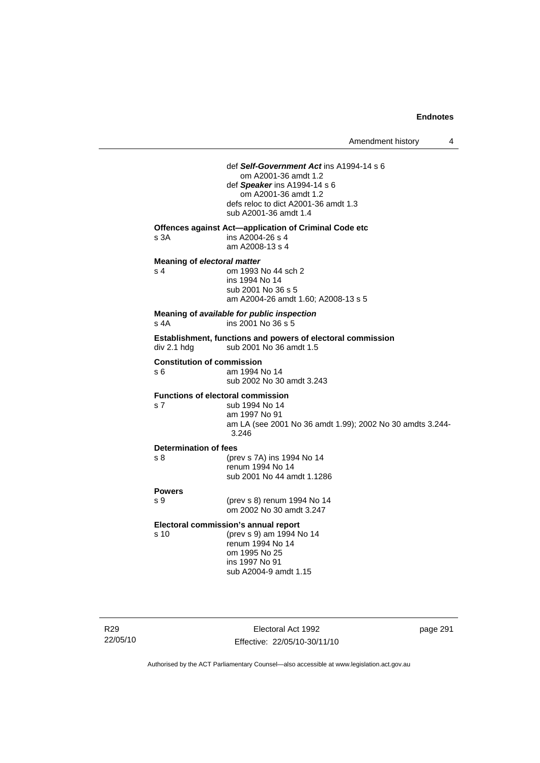# Electoral Act 1992 Effective: 22/05/10-30/11/10 page 291 def *Self-Government Act* ins A1994-14 s 6 om A2001-36 amdt 1.2 def *Speaker* ins A1994-14 s 6 om A2001-36 amdt 1.2 defs reloc to dict A2001-36 amdt 1.3 sub A2001-36 amdt 1.4 **Offences against Act—application of Criminal Code etc**  s 3A ins A2004-26 s 4 am A2008-13 s 4 **Meaning of** *electoral matter* s 4 om 1993 No 44 sch 2 ins 1994 No 14 sub 2001 No 36 s 5 am A2004-26 amdt 1.60; A2008-13 s 5 **Meaning of** *available for public inspection* ins 2001 No  $36 s 5$ **Establishment, functions and powers of electoral commission**  div 2.1 hdg sub 2001 No 36 amdt 1.5 **Constitution of commission**  am 1994 No 14 sub 2002 No 30 amdt 3.243 **Functions of electoral commission**  s 7 sub 1994 No 14 am 1997 No 91 am LA (see 2001 No 36 amdt 1.99); 2002 No 30 amdts 3.244- 3.246 **Determination of fees**  s 8 (prev s 7A) ins 1994 No 14 renum 1994 No 14 sub 2001 No 44 amdt 1.1286 **Powers**  s 9 (prev s 8) renum 1994 No 14 om 2002 No 30 amdt 3.247 **Electoral commission's annual report**  s 10 (prev s 9) am 1994 No 14 renum 1994 No 14 om 1995 No 25 ins 1997 No 91 sub A2004-9 amdt 1.15

Authorised by the ACT Parliamentary Counsel—also accessible at www.legislation.act.gov.au

R29 22/05/10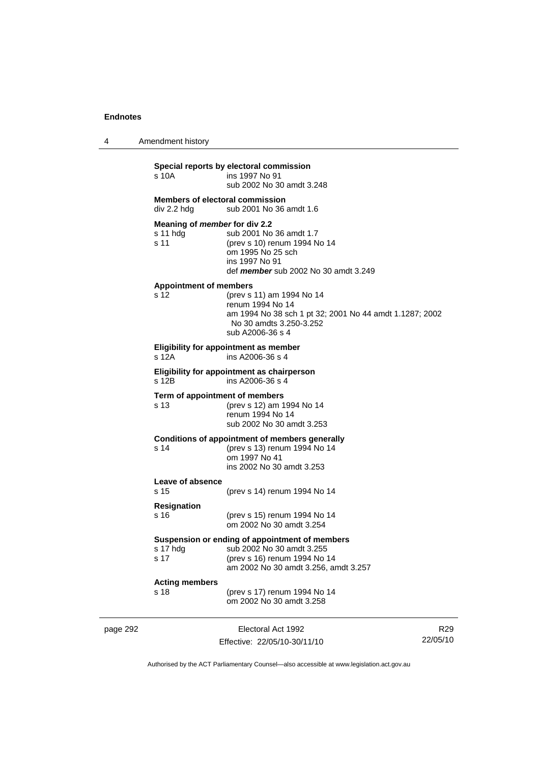4 Amendment history

# **Special reports by electoral commission**  s 10A ins 1997 No 91 sub 2002 No 30 amdt 3.248 **Members of electoral commission**  div 2.2 hdg sub 2001 No 36 amdt 1.6 **Meaning of** *member* **for div 2.2**  s 11 hdg sub 2001 No 36 amdt 1.7 s 11 (prev s 10) renum 1994 No 14 om 1995 No 25 sch ins 1997 No 91 def *member* sub 2002 No 30 amdt 3.249 **Appointment of members**  s 12 (prev s 11) am 1994 No 14 renum 1994 No 14 am 1994 No 38 sch 1 pt 32; 2001 No 44 amdt 1.1287; 2002 No 30 amdts 3.250-3.252 sub A2006-36 s 4 **Eligibility for appointment as member**  s 12A ins A2006-36 s 4 **Eligibility for appointment as chairperson**  s 12B ins A2006-36 s 4 **Term of appointment of members**  s 13 (prev s 12) am 1994 No 14 renum 1994 No 14 sub 2002 No 30 amdt 3.253 **Conditions of appointment of members generally**  s 14 (prev s 13) renum 1994 No 14 om 1997 No 41 ins 2002 No 30 amdt 3.253 **Leave of absence**  (prev s 14) renum 1994 No 14 **Resignation**  s 16 (prev s 15) renum 1994 No 14 om 2002 No 30 amdt 3.254 **Suspension or ending of appointment of members**  s 17 hdg sub 2002 No 30 amdt 3.255 s 17 (prev s 16) renum 1994 No 14 am 2002 No 30 amdt 3.256, amdt 3.257 **Acting members**  s 18 (prev s 17) renum 1994 No 14 om 2002 No 30 amdt 3.258

page 292 **Electoral Act 1992** Effective: 22/05/10-30/11/10

R29 22/05/10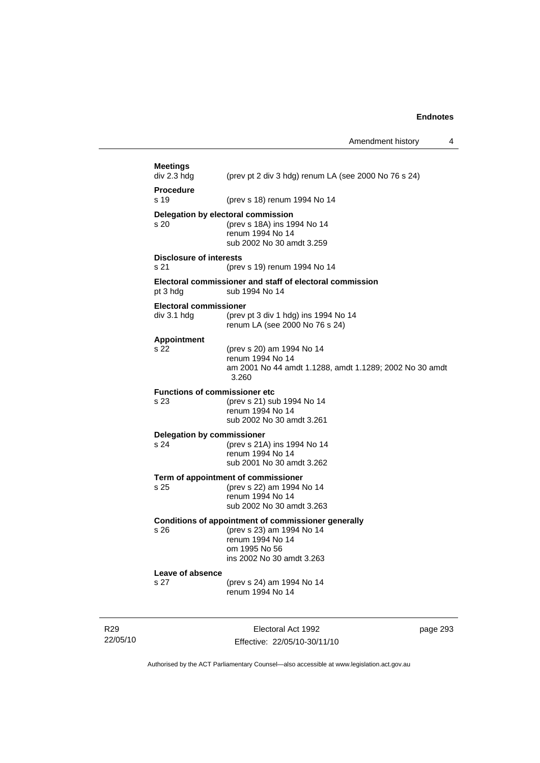Amendment history 4

| <b>Meetings</b><br>div 2.3 hdg               | (prev pt 2 div 3 hdg) renum LA (see 2000 No 76 s 24)                                                                                               |
|----------------------------------------------|----------------------------------------------------------------------------------------------------------------------------------------------------|
| <b>Procedure</b><br>s 19                     | (prev s 18) renum 1994 No 14                                                                                                                       |
| Delegation by electoral commission<br>s 20   | (prev s 18A) ins 1994 No 14<br>renum 1994 No 14<br>sub 2002 No 30 amdt 3.259                                                                       |
| <b>Disclosure of interests</b><br>s 21       | (prev s 19) renum 1994 No 14                                                                                                                       |
| pt 3 hdg                                     | Electoral commissioner and staff of electoral commission<br>sub 1994 No 14                                                                         |
| <b>Electoral commissioner</b><br>div 3.1 hdg | (prev pt 3 div 1 hdg) ins 1994 No 14<br>renum LA (see 2000 No 76 s 24)                                                                             |
| <b>Appointment</b><br>s 22                   | (prev s 20) am 1994 No 14<br>renum 1994 No 14<br>am 2001 No 44 amdt 1.1288, amdt 1.1289; 2002 No 30 amdt<br>3.260                                  |
| <b>Functions of commissioner etc</b><br>s 23 | (prev s 21) sub 1994 No 14<br>renum 1994 No 14<br>sub 2002 No 30 amdt 3.261                                                                        |
| <b>Delegation by commissioner</b><br>s 24    | (prev s 21A) ins 1994 No 14<br>renum 1994 No 14<br>sub 2001 No 30 amdt 3.262                                                                       |
| s 25                                         | Term of appointment of commissioner<br>(prev s 22) am 1994 No 14<br>renum 1994 No 14<br>sub 2002 No 30 amdt 3.263                                  |
| s 26                                         | Conditions of appointment of commissioner generally<br>(prev s 23) am 1994 No 14<br>renum 1994 No 14<br>om 1995 No 56<br>ins 2002 No 30 amdt 3.263 |
| Leave of absence<br>s 27                     | (prev s 24) am 1994 No 14<br>renum 1994 No 14                                                                                                      |
|                                              |                                                                                                                                                    |

R29 22/05/10

L

Electoral Act 1992 Effective: 22/05/10-30/11/10 page 293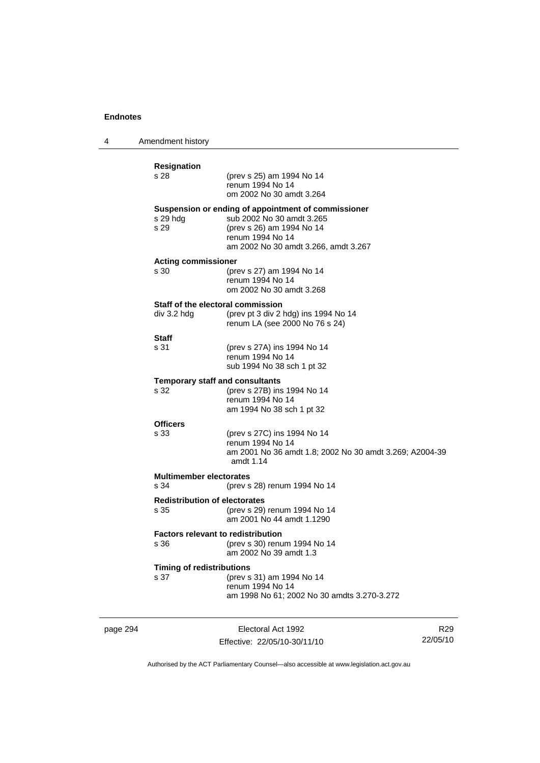4 Amendment history

| <b>Resignation</b><br>s 28                   | (prev s 25) am 1994 No 14<br>renum 1994 No 14<br>om 2002 No 30 amdt 3.264                                                                                                 |
|----------------------------------------------|---------------------------------------------------------------------------------------------------------------------------------------------------------------------------|
| s 29 hdg<br>s 29                             | Suspension or ending of appointment of commissioner<br>sub 2002 No 30 amdt 3.265<br>(prev s 26) am 1994 No 14<br>renum 1994 No 14<br>am 2002 No 30 amdt 3.266, amdt 3.267 |
| <b>Acting commissioner</b><br>s 30           | (prev s 27) am 1994 No 14<br>renum 1994 No 14<br>om 2002 No 30 amdt 3.268                                                                                                 |
| div 3.2 hdg                                  | Staff of the electoral commission<br>(prev pt 3 div 2 hdg) ins 1994 No 14<br>renum LA (see 2000 No 76 s 24)                                                               |
| Staff<br>s 31                                | (prev s 27A) ins 1994 No 14<br>renum 1994 No 14<br>sub 1994 No 38 sch 1 pt 32                                                                                             |
| s 32                                         | <b>Temporary staff and consultants</b><br>(prev s 27B) ins 1994 No 14<br>renum 1994 No 14<br>am 1994 No 38 sch 1 pt 32                                                    |
| <b>Officers</b><br>s 33                      | (prev s 27C) ins 1994 No 14<br>renum 1994 No 14<br>am 2001 No 36 amdt 1.8; 2002 No 30 amdt 3.269; A2004-39<br>amdt $1.14$                                                 |
| <b>Multimember electorates</b><br>s 34       | (prev s 28) renum 1994 No 14                                                                                                                                              |
| <b>Redistribution of electorates</b><br>s 35 | (prev s 29) renum 1994 No 14<br>am 2001 No 44 amdt 1.1290                                                                                                                 |
| s 36                                         | <b>Factors relevant to redistribution</b><br>(prev s 30) renum 1994 No 14<br>am 2002 No 39 amdt 1.3                                                                       |
| <b>Timing of redistributions</b><br>s 37     | (prev s 31) am 1994 No 14<br>renum 1994 No 14<br>am 1998 No 61; 2002 No 30 amdts 3.270-3.272                                                                              |

page 294 Electoral Act 1992 Effective: 22/05/10-30/11/10

R29 22/05/10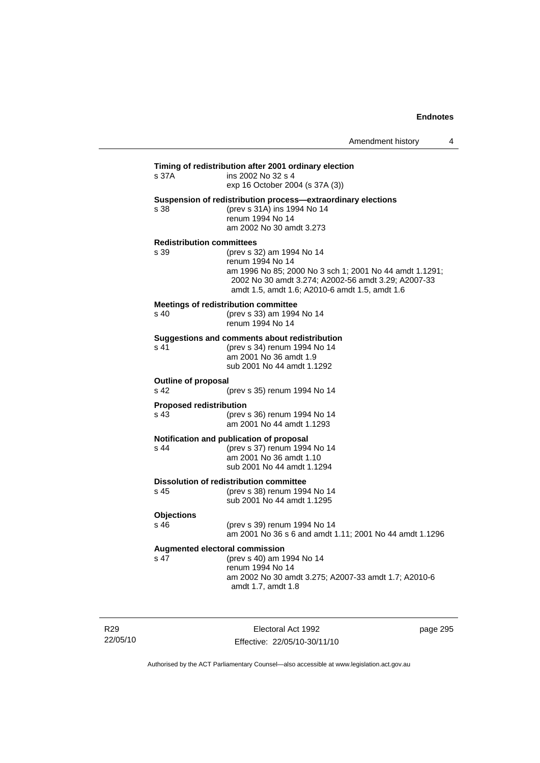| s 37A                                  | ins 2002 No 32 s 4<br>exp 16 October 2004 (s 37A (3))                                                                                                                                                             |
|----------------------------------------|-------------------------------------------------------------------------------------------------------------------------------------------------------------------------------------------------------------------|
| s 38                                   | Suspension of redistribution process—extraordinary elections<br>(prev s 31A) ins 1994 No 14<br>renum 1994 No 14<br>am 2002 No 30 amdt 3.273                                                                       |
| <b>Redistribution committees</b>       |                                                                                                                                                                                                                   |
| s 39                                   | (prev s 32) am 1994 No 14<br>renum 1994 No 14<br>am 1996 No 85; 2000 No 3 sch 1; 2001 No 44 amdt 1.1291;<br>2002 No 30 amdt 3.274; A2002-56 amdt 3.29; A2007-33<br>amdt 1.5, amdt 1.6; A2010-6 amdt 1.5, amdt 1.6 |
| s 40                                   | Meetings of redistribution committee<br>(prev s 33) am 1994 No 14<br>renum 1994 No 14                                                                                                                             |
| s 41                                   | Suggestions and comments about redistribution<br>(prev s 34) renum 1994 No 14<br>am 2001 No 36 amdt 1.9<br>sub 2001 No 44 amdt 1.1292                                                                             |
| <b>Outline of proposal</b><br>s 42     | (prev s 35) renum 1994 No 14                                                                                                                                                                                      |
| <b>Proposed redistribution</b><br>s 43 | (prev s 36) renum 1994 No 14<br>am 2001 No 44 amdt 1.1293                                                                                                                                                         |
| s <sub>44</sub>                        | Notification and publication of proposal<br>(prev s 37) renum 1994 No 14<br>am 2001 No 36 amdt 1.10<br>sub 2001 No 44 amdt 1.1294                                                                                 |
| s 45                                   | <b>Dissolution of redistribution committee</b><br>(prev s 38) renum 1994 No 14<br>sub 2001 No 44 amdt 1.1295                                                                                                      |
| <b>Objections</b>                      |                                                                                                                                                                                                                   |
| s <sub>46</sub>                        | (prev s 39) renum 1994 No 14<br>am 2001 No 36 s 6 and amdt 1.11; 2001 No 44 amdt 1.1296                                                                                                                           |
|                                        | <b>Augmented electoral commission</b>                                                                                                                                                                             |
| s 47                                   | (prev s 40) am 1994 No 14<br>renum 1994 No 14<br>am 2002 No 30 amdt 3.275; A2007-33 amdt 1.7; A2010-6<br>amdt 1.7, amdt 1.8                                                                                       |

R29 22/05/10

Electoral Act 1992 Effective: 22/05/10-30/11/10 page 295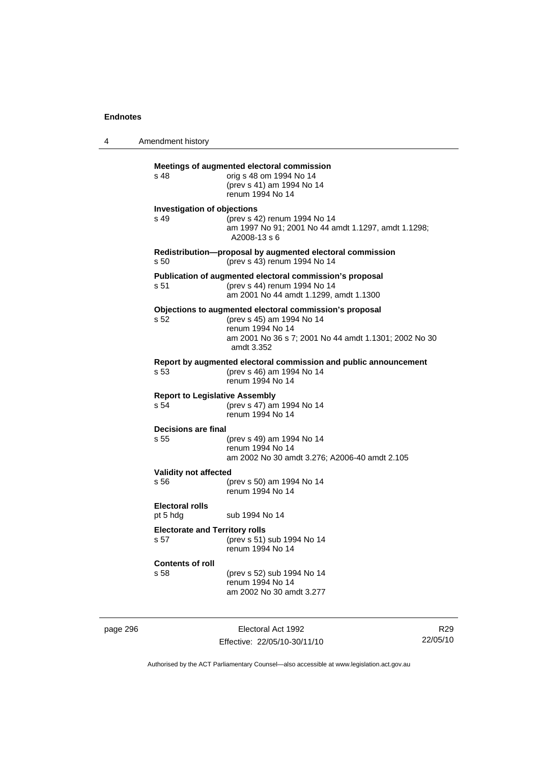4 Amendment history **Meetings of augmented electoral commission**  s 48 orig s 48 om 1994 No 14 (prev s 41) am 1994 No 14 renum 1994 No 14 **Investigation of objections**  s 49 (prev s 42) renum 1994 No 14 am 1997 No 91; 2001 No 44 amdt 1.1297, amdt 1.1298; A2008-13 s 6 **Redistribution—proposal by augmented electoral commission**  s 50 (prev s 43) renum 1994 No 14 **Publication of augmented electoral commission's proposal**  s 51 (prev s 44) renum 1994 No 14 am 2001 No 44 amdt 1.1299, amdt 1.1300 **Objections to augmented electoral commission's proposal**  s 52 (prev s 45) am 1994 No 14 renum 1994 No 14 am 2001 No 36 s 7; 2001 No 44 amdt 1.1301; 2002 No 30 amdt 3.352 **Report by augmented electoral commission and public announcement**  (prev s 46) am 1994 No 14 renum 1994 No 14 **Report to Legislative Assembly**  s 54 (prev s 47) am 1994 No 14 renum 1994 No 14 **Decisions are final**  s 55 (prev s 49) am 1994 No 14 renum 1994 No 14 am 2002 No 30 amdt 3.276; A2006-40 amdt 2.105 **Validity not affected**<br>s 56 (r s 56 (prev s 50) am 1994 No 14 renum 1994 No 14 **Electoral rolls**  pt 5 hdg sub 1994 No 14 **Electorate and Territory rolls**  s 57 (prev s 51) sub 1994 No 14 renum 1994 No 14 **Contents of roll**  (prev s 52) sub 1994 No 14 renum 1994 No 14 am 2002 No 30 amdt 3.277

page 296 Electoral Act 1992 Effective: 22/05/10-30/11/10

R29 22/05/10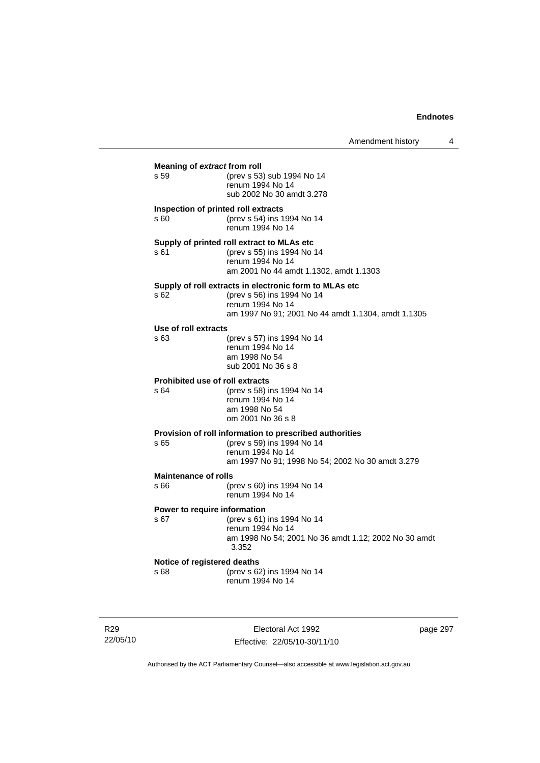| Meaning of extract from roll                  |                                                                      |  |  |
|-----------------------------------------------|----------------------------------------------------------------------|--|--|
| s 59                                          | (prev s 53) sub 1994 No 14<br>renum 1994 No 14                       |  |  |
|                                               | sub 2002 No 30 amdt 3.278                                            |  |  |
| Inspection of printed roll extracts           |                                                                      |  |  |
| s 60                                          | (prev s 54) ins 1994 No 14<br>renum 1994 No 14                       |  |  |
|                                               | Supply of printed roll extract to MLAs etc                           |  |  |
| s 61                                          | (prev s 55) ins 1994 No 14<br>renum 1994 No 14                       |  |  |
|                                               | am 2001 No 44 amdt 1.1302, amdt 1.1303                               |  |  |
|                                               | Supply of roll extracts in electronic form to MLAs etc               |  |  |
| s 62                                          | (prev s 56) ins 1994 No 14<br>renum 1994 No 14                       |  |  |
|                                               | am 1997 No 91; 2001 No 44 amdt 1.1304, amdt 1.1305                   |  |  |
| Use of roll extracts                          |                                                                      |  |  |
| s 63                                          | (prev s 57) ins 1994 No 14<br>renum 1994 No 14                       |  |  |
|                                               | am 1998 No 54                                                        |  |  |
|                                               | sub 2001 No 36 s 8                                                   |  |  |
| <b>Prohibited use of roll extracts</b><br>s64 | (prev s 58) ins 1994 No 14                                           |  |  |
|                                               | renum 1994 No 14                                                     |  |  |
|                                               | am 1998 No 54<br>om 2001 No 36 s 8                                   |  |  |
|                                               | Provision of roll information to prescribed authorities              |  |  |
| s 65                                          | (prev s 59) ins 1994 No 14                                           |  |  |
|                                               | renum 1994 No 14<br>am 1997 No 91; 1998 No 54; 2002 No 30 amdt 3.279 |  |  |
| <b>Maintenance of rolls</b>                   |                                                                      |  |  |
| s 66                                          | (prev s 60) ins 1994 No 14                                           |  |  |
|                                               | renum 1994 No 14                                                     |  |  |
| Power to require information<br>s 67          | (prev s 61) ins 1994 No 14                                           |  |  |
|                                               | renum 1994 No 14                                                     |  |  |
|                                               | am 1998 No 54; 2001 No 36 amdt 1.12; 2002 No 30 amdt<br>3.352        |  |  |
| Notice of registered deaths                   |                                                                      |  |  |
| s 68                                          | (prev s 62) ins 1994 No 14<br>renum 1994 No 14                       |  |  |
|                                               |                                                                      |  |  |
|                                               |                                                                      |  |  |

R29 22/05/10

Electoral Act 1992 Effective: 22/05/10-30/11/10 page 297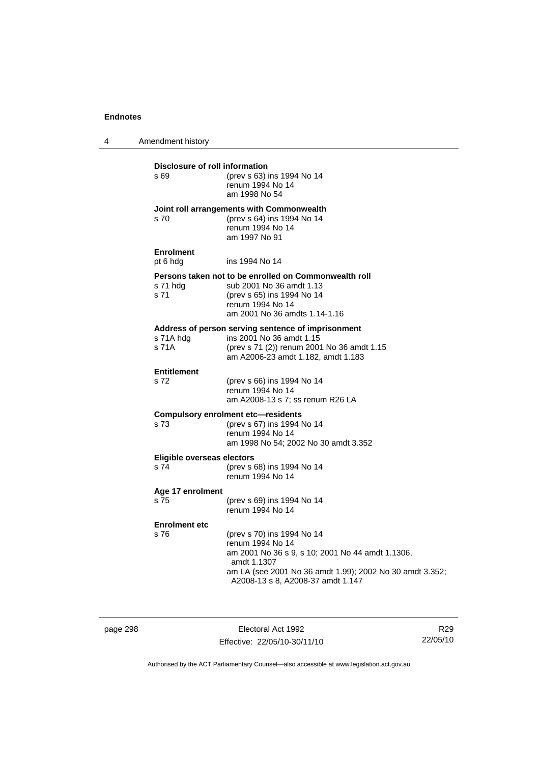4 Amendment history **Disclosure of roll information**<br>  $\frac{1}{2}$  **SO** (prev s 63) s 69 (prev s 63) ins 1994 No 14 renum 1994 No 14 am 1998 No 54 **Joint roll arrangements with Commonwealth**  s 70 (prev s 64) ins 1994 No 14 renum 1994 No 14 am 1997 No 91 **Enrolment**  pt 6 hdg ins 1994 No 14 **Persons taken not to be enrolled on Commonwealth roll** s 71 hdg sub 2001 No 36 amdt 1.13 s 71 hdg sub 2001 No 36 amdt 1.13<br>s 71 (prev s 65) ins 1994 No 14 (prev s 65) ins 1994 No 14 renum 1994 No 14 am 2001 No 36 amdts 1.14-1.16 **Address of person serving sentence of imprisonment**  s 71A hdg ins 2001 No 36 amdt 1.15 s 71A (prev s 71 (2)) renum 2001 No 36 amdt 1.15 am A2006-23 amdt 1.182, amdt 1.183 **Entitlement**  s 72 (prev s 66) ins 1994 No 14 renum 1994 No 14 am A2008-13 s 7; ss renum R26 LA **Compulsory enrolment etc—residents**  s 73 (prev s 67) ins 1994 No 14 renum 1994 No 14 am 1998 No 54; 2002 No 30 amdt 3.352 **Eligible overseas electors**  s 74 (prev s 68) ins 1994 No 14 renum 1994 No 14 **Age 17 enrolment**  s 75 (prev s 69) ins 1994 No 14 renum 1994 No 14 **Enrolment etc**  s 76 (prev s 70) ins 1994 No 14 renum 1994 No 14 am 2001 No 36 s 9, s 10; 2001 No 44 amdt 1.1306, amdt 1.1307 am LA (see 2001 No 36 amdt 1.99); 2002 No 30 amdt 3.352; A2008-13 s 8, A2008-37 amdt 1.147

page 298 Electoral Act 1992 Effective: 22/05/10-30/11/10

R29 22/05/10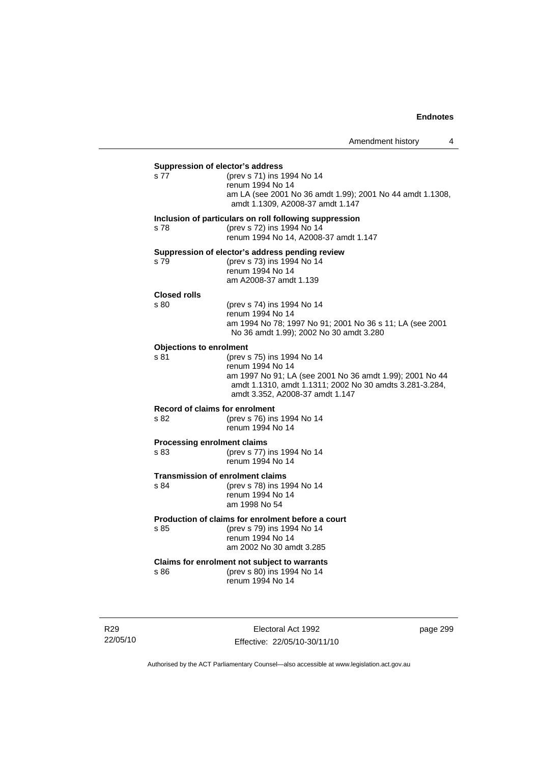# **Suppression of elector's address**  s 77 (prev s 71) ins 1994 No 14 renum 1994 No 14 am LA (see 2001 No 36 amdt 1.99); 2001 No 44 amdt 1.1308, amdt 1.1309, A2008-37 amdt 1.147 **Inclusion of particulars on roll following suppression**  s 78 (prev s 72) ins 1994 No 14 renum 1994 No 14, A2008-37 amdt 1.147 **Suppression of elector's address pending review**  s 79 (prev s 73) ins 1994 No 14 renum 1994 No 14 am A2008-37 amdt 1.139 **Closed rolls**  s 80 (prev s 74) ins 1994 No 14 renum 1994 No 14 am 1994 No 78; 1997 No 91; 2001 No 36 s 11; LA (see 2001 No 36 amdt 1.99); 2002 No 30 amdt 3.280 **Objections to enrolment**  s 81 (prev s 75) ins 1994 No 14 renum 1994 No 14 am 1997 No 91; LA (see 2001 No 36 amdt 1.99); 2001 No 44 amdt 1.1310, amdt 1.1311; 2002 No 30 amdts 3.281-3.284, amdt 3.352, A2008-37 amdt 1.147 **Record of claims for enrolment**  s 82 (prev s 76) ins 1994 No 14 renum 1994 No 14 **Processing enrolment claims**  s 83 (prev s 77) ins 1994 No 14 renum 1994 No 14 **Transmission of enrolment claims**  s 84 (prev s 78) ins 1994 No 14 renum 1994 No 14 am 1998 No 54 **Production of claims for enrolment before a court**  s 85 (prev s 79) ins 1994 No 14 renum 1994 No 14 am 2002 No 30 amdt 3.285 **Claims for enrolment not subject to warrants**  s 86 (prev s 80) ins 1994 No 14 renum 1994 No 14

R29 22/05/10

Electoral Act 1992 Effective: 22/05/10-30/11/10 page 299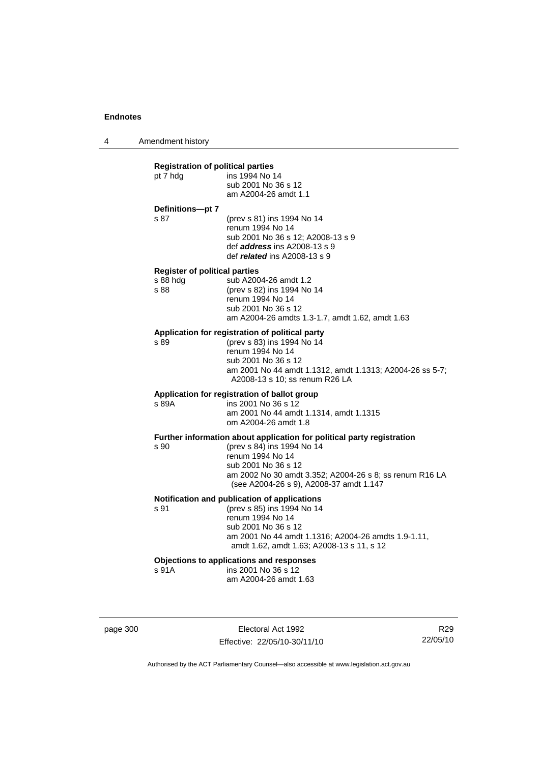4 Amendment history

### **Registration of political parties**  pt 7 hdg ins 1994 No 14 sub 2001 No 36 s 12 am A2004-26 amdt 1.1 **Definitions—pt 7**  s 87 (prev s 81) ins 1994 No 14 renum 1994 No 14 sub 2001 No 36 s 12; A2008-13 s 9 def *address* ins A2008-13 s 9 def *related* ins A2008-13 s 9 **Register of political parties**  s 88 hdg sub A2004-26 amdt 1.2 s 88 (prev s 82) ins 1994 No 14 renum 1994 No 14 sub 2001 No 36 s 12 am A2004-26 amdts 1.3-1.7, amdt 1.62, amdt 1.63 **Application for registration of political party**  s 89 (prev s 83) ins 1994 No 14 renum 1994 No 14 sub 2001 No 36 s 12 am 2001 No 44 amdt 1.1312, amdt 1.1313; A2004-26 ss 5-7; A2008-13 s 10; ss renum R26 LA **Application for registration of ballot group**  s 89A ins 2001 No 36 s 12 am 2001 No 44 amdt 1.1314, amdt 1.1315 om A2004-26 amdt 1.8 **Further information about application for political party registration**  s 90 (prev s 84) ins 1994 No 14 renum 1994 No 14 sub 2001 No 36 s 12 am 2002 No 30 amdt 3.352; A2004-26 s 8; ss renum R16 LA (see A2004-26 s 9), A2008-37 amdt 1.147 **Notification and publication of applications**  s 91 (prev s 85) ins 1994 No 14 renum 1994 No 14 sub 2001 No 36 s 12 am 2001 No 44 amdt 1.1316; A2004-26 amdts 1.9-1.11, amdt 1.62, amdt 1.63; A2008-13 s 11, s 12 **Objections to applications and responses**  ins 2001 No 36 s 12 am A2004-26 amdt 1.63

page 300 Electoral Act 1992 Effective: 22/05/10-30/11/10

R29 22/05/10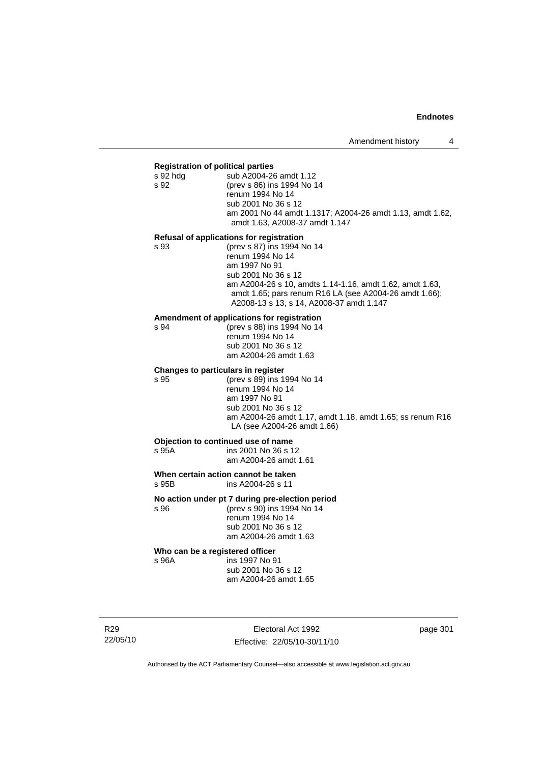#### **Registration of political parties**

| s 92 hda | sub A2004-26 amdt 1.12                                    |  |  |
|----------|-----------------------------------------------------------|--|--|
| s 92     | (prev s 86) ins 1994 No 14                                |  |  |
|          | renum 1994 No 14                                          |  |  |
|          | sub 2001 No 36 s 12                                       |  |  |
|          | am 2001 No 44 amdt 1.1317; A2004-26 amdt 1.13, amdt 1.62, |  |  |
|          | amdt 1.63, A2008-37 amdt 1.147                            |  |  |
|          |                                                           |  |  |

#### **Refusal of applications for registration**

| s 93 | (prev s 87) ins 1994 No 14                               |
|------|----------------------------------------------------------|
|      | renum 1994 No 14                                         |
|      | am 1997 No 91                                            |
|      | sub 2001 No 36 s 12                                      |
|      | am A2004-26 s 10, amdts 1.14-1.16, amdt 1.62, amdt 1.63, |
|      | amdt 1.65; pars renum R16 LA (see A2004-26 amdt 1.66);   |
|      | A2008-13 s 13, s 14, A2008-37 amdt 1.147                 |

#### **Amendment of applications for registration**

s 94 (prev s 88) ins 1994 No 14 renum 1994 No 14 sub 2001 No 36 s 12 am A2004-26 amdt 1.63

#### **Changes to particulars in register**

s 95 (prev s 89) ins 1994 No 14 renum 1994 No 14 am 1997 No 91 sub 2001 No 36 s 12 am A2004-26 amdt 1.17, amdt 1.18, amdt 1.65; ss renum R16 LA (see A2004-26 amdt 1.66)

#### **Objection to continued use of name**<br>s 95A ins 2001 No 36 s 1 ins 2001 No 36 s 12

am A2004-26 amdt 1.61

#### **When certain action cannot be taken**<br>
s 95B ins A2004-26 s 11 ins A2004-26 s 11

### **No action under pt 7 during pre-election period**

s 96 (prev s 90) ins 1994 No 14 renum 1994 No 14 sub 2001 No 36 s 12 am A2004-26 amdt 1.63

# **Who can be a registered officer s** 96A **ins 1997** No 9

ins 1997 No 91 sub 2001 No 36 s 12 am A2004-26 amdt 1.65

R29 22/05/10

Electoral Act 1992 Effective: 22/05/10-30/11/10 page 301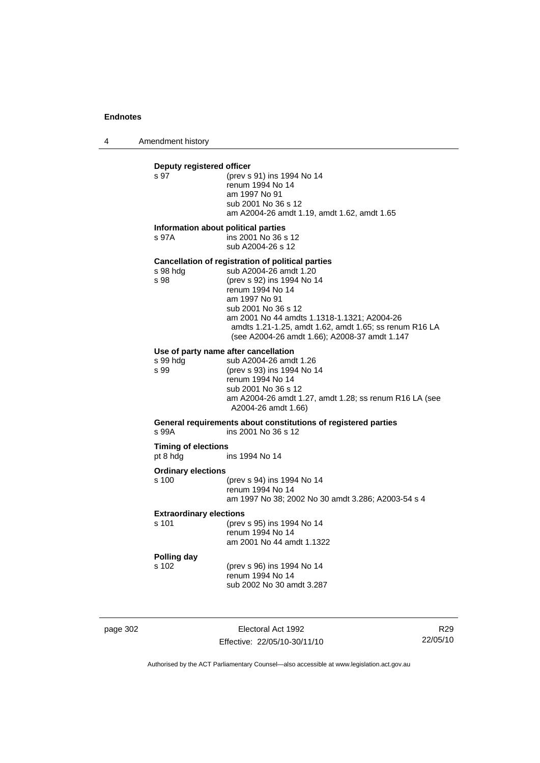4 Amendment history

# **Deputy registered officer**<br>s 97 (prev s (prev s 91) ins 1994 No 14 renum 1994 No 14 am 1997 No 91 sub 2001 No 36 s 12 am A2004-26 amdt 1.19, amdt 1.62, amdt 1.65 **Information about political parties**  s 97A ins 2001 No 36 s 12 sub A2004-26 s 12 **Cancellation of registration of political parties**  sub A2004-26 amdt 1.20 s 98 (prev s 92) ins 1994 No 14 renum 1994 No 14 am 1997 No 91 sub 2001 No 36 s 12 am 2001 No 44 amdts 1.1318-1.1321; A2004-26 amdts 1.21-1.25, amdt 1.62, amdt 1.65; ss renum R16 LA (see A2004-26 amdt 1.66); A2008-37 amdt 1.147 **Use of party name after cancellation**  s 99 hdg sub A2004-26 amdt 1.26<br>s 99 (prev s 93) ins 1994 No 1 (prev s 93) ins 1994 No 14 renum 1994 No 14 sub 2001 No 36 s 12 am A2004-26 amdt 1.27, amdt 1.28; ss renum R16 LA (see A2004-26 amdt 1.66) **General requirements about constitutions of registered parties**  s 99A ins 2001 No 36 s 12 **Timing of elections**  pt 8 hdg ins 1994 No 14 **Ordinary elections**  s 100 (prev s 94) ins 1994 No 14 renum 1994 No 14 am 1997 No 38; 2002 No 30 amdt 3.286; A2003-54 s 4 **Extraordinary elections**  s 101 (prev s 95) ins 1994 No 14 renum 1994 No 14 am 2001 No 44 amdt 1.1322 **Polling day**  s 102 (prev s 96) ins 1994 No 14 renum 1994 No 14 sub 2002 No 30 amdt 3.287

page 302 Electoral Act 1992 Effective: 22/05/10-30/11/10

R29 22/05/10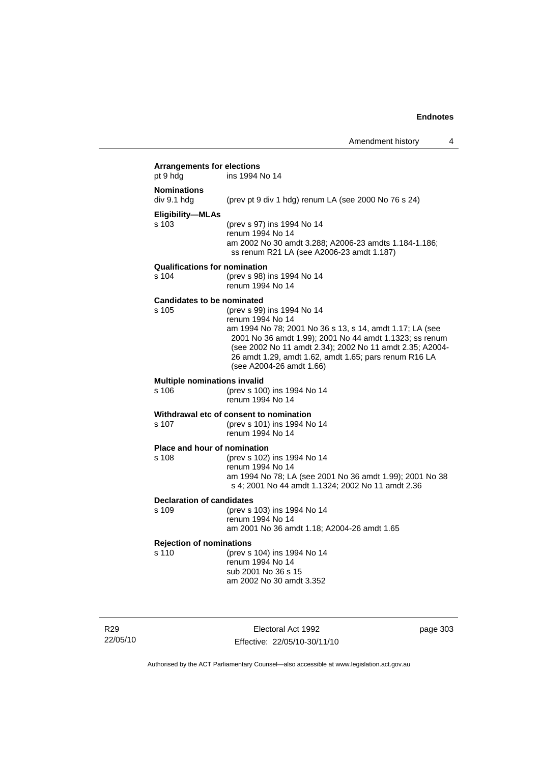| <b>Arrangements for elections</b><br>pt 9 hdg | ins 1994 No 14                                                                                                                                                                                                                                                                                                         |
|-----------------------------------------------|------------------------------------------------------------------------------------------------------------------------------------------------------------------------------------------------------------------------------------------------------------------------------------------------------------------------|
| <b>Nominations</b><br>div 9.1 hdg             | (prev pt 9 div 1 hdg) renum LA (see 2000 No 76 s 24)                                                                                                                                                                                                                                                                   |
| Eligibility-MLAs<br>s 103                     | (prev s 97) ins 1994 No 14<br>renum 1994 No 14<br>am 2002 No 30 amdt 3.288; A2006-23 amdts 1.184-1.186;<br>ss renum R21 LA (see A2006-23 amdt 1.187)                                                                                                                                                                   |
| <b>Qualifications for nomination</b><br>s 104 | (prev s 98) ins 1994 No 14<br>renum 1994 No 14                                                                                                                                                                                                                                                                         |
| <b>Candidates to be nominated</b><br>s 105    | (prev s 99) ins 1994 No 14<br>renum 1994 No 14<br>am 1994 No 78; 2001 No 36 s 13, s 14, amdt 1.17; LA (see<br>2001 No 36 amdt 1.99); 2001 No 44 amdt 1.1323; ss renum<br>(see 2002 No 11 amdt 2.34); 2002 No 11 amdt 2.35; A2004-<br>26 amdt 1.29, amdt 1.62, amdt 1.65; pars renum R16 LA<br>(see A2004-26 amdt 1.66) |
| <b>Multiple nominations invalid</b><br>s 106  | (prev s 100) ins 1994 No 14<br>renum 1994 No 14                                                                                                                                                                                                                                                                        |
| s 107                                         | Withdrawal etc of consent to nomination<br>(prev s 101) ins 1994 No 14<br>renum 1994 No 14                                                                                                                                                                                                                             |
| Place and hour of nomination<br>s 108         | (prev s 102) ins 1994 No 14<br>renum 1994 No 14<br>am 1994 No 78; LA (see 2001 No 36 amdt 1.99); 2001 No 38<br>s 4; 2001 No 44 amdt 1.1324; 2002 No 11 amdt 2.36                                                                                                                                                       |
| <b>Declaration of candidates</b><br>s 109     | (prev s 103) ins 1994 No 14<br>renum 1994 No 14<br>am 2001 No 36 amdt 1.18; A2004-26 amdt 1.65                                                                                                                                                                                                                         |
| <b>Rejection of nominations</b><br>s 110      | (prev s 104) ins 1994 No 14<br>renum 1994 No 14<br>sub 2001 No 36 s 15<br>am 2002 No 30 amdt 3.352                                                                                                                                                                                                                     |

R29 22/05/10

Electoral Act 1992 Effective: 22/05/10-30/11/10 page 303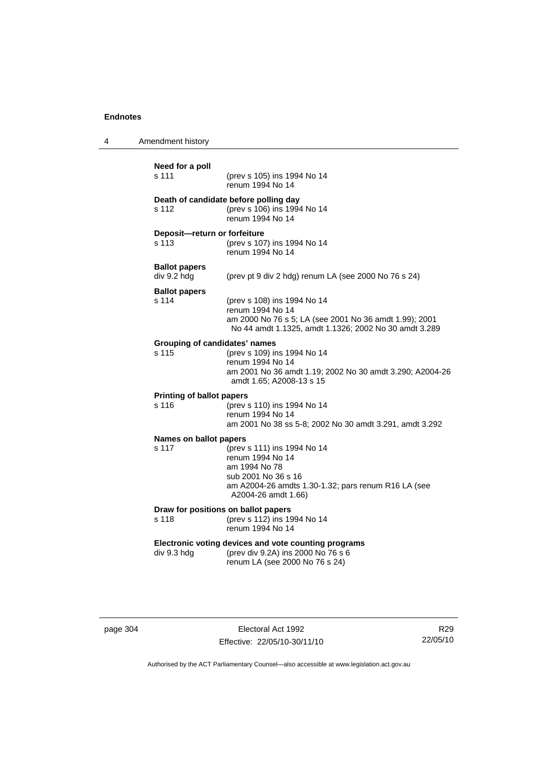| 4 | Amendment history                             |                                                                                                                                                                       |  |
|---|-----------------------------------------------|-----------------------------------------------------------------------------------------------------------------------------------------------------------------------|--|
|   | Need for a poll<br>s 111                      | (prev s 105) ins 1994 No 14<br>renum 1994 No 14                                                                                                                       |  |
|   | s 112                                         | Death of candidate before polling day<br>(prev s 106) ins 1994 No 14<br>renum 1994 No 14                                                                              |  |
|   | Deposit-return or forfeiture<br>s 113         | (prev s 107) ins 1994 No 14<br>renum 1994 No 14                                                                                                                       |  |
|   | <b>Ballot papers</b><br>div 9.2 hdg           | (prev pt 9 div 2 hdg) renum LA (see 2000 No 76 s 24)                                                                                                                  |  |
|   | <b>Ballot papers</b><br>s 114                 | (prev s 108) ins 1994 No 14<br>renum 1994 No 14<br>am 2000 No 76 s 5; LA (see 2001 No 36 amdt 1.99); 2001<br>No 44 amdt 1.1325, amdt 1.1326; 2002 No 30 amdt 3.289    |  |
|   | <b>Grouping of candidates' names</b><br>s 115 | (prev s 109) ins 1994 No 14<br>renum 1994 No 14<br>am 2001 No 36 amdt 1.19; 2002 No 30 amdt 3.290; A2004-26<br>amdt 1.65; A2008-13 s 15                               |  |
|   | <b>Printing of ballot papers</b><br>s 116     | (prev s 110) ins 1994 No 14<br>renum 1994 No 14<br>am 2001 No 38 ss 5-8; 2002 No 30 amdt 3.291, amdt 3.292                                                            |  |
|   | Names on ballot papers<br>s 117               | (prev s 111) ins 1994 No 14<br>renum 1994 No 14<br>am 1994 No 78<br>sub 2001 No 36 s 16<br>am A2004-26 amdts 1.30-1.32; pars renum R16 LA (see<br>A2004-26 amdt 1.66) |  |
|   | s 118                                         | Draw for positions on ballot papers<br>(prev s 112) ins 1994 No 14<br>renum 1994 No 14                                                                                |  |
|   | div 9.3 hdg                                   | Electronic voting devices and vote counting programs<br>(prev div 9.2A) ins 2000 No 76 s 6<br>renum LA (see 2000 No 76 s 24)                                          |  |
|   |                                               |                                                                                                                                                                       |  |

page 304 Electoral Act 1992 Effective: 22/05/10-30/11/10

R29 22/05/10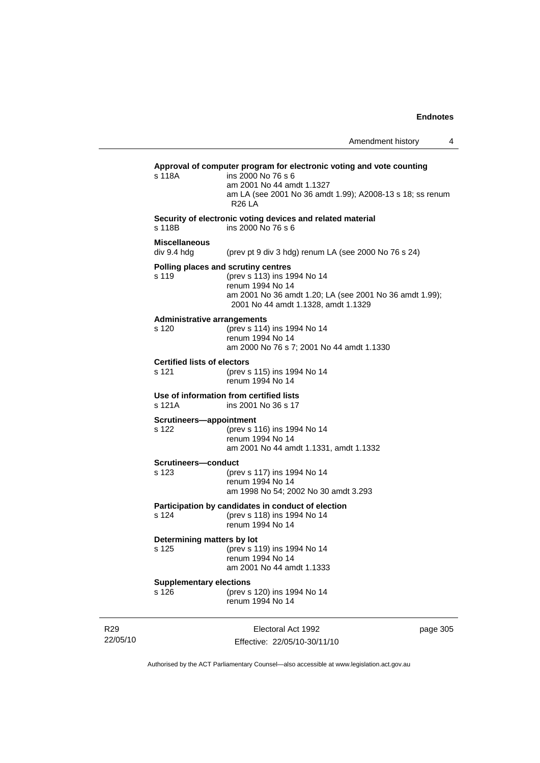| Approval of computer program for electronic voting and vote counting<br>s 118A<br>ins 2000 No 76 s 6<br>am 2001 No 44 amdt 1.1327<br>am LA (see 2001 No 36 amdt 1.99); A2008-13 s 18; ss renum<br>R <sub>26</sub> LA<br>Security of electronic voting devices and related material<br>s 118B<br>ins 2000 No 76 s 6<br><b>Miscellaneous</b><br>div 9.4 hda<br>(prev pt 9 div 3 hdg) renum LA (see 2000 No 76 s 24)<br>Polling places and scrutiny centres<br>s 119<br>(prev s 113) ins 1994 No 14<br>renum 1994 No 14<br>am 2001 No 36 amdt 1.20; LA (see 2001 No 36 amdt 1.99);<br>2001 No 44 amdt 1.1328, amdt 1.1329<br><b>Administrative arrangements</b><br>s 120<br>(prev s 114) ins 1994 No 14<br>renum 1994 No 14<br>am 2000 No 76 s 7; 2001 No 44 amdt 1.1330<br><b>Certified lists of electors</b><br>s 121<br>(prev s 115) ins 1994 No 14<br>renum 1994 No 14<br>Use of information from certified lists<br>s 121A<br>ins 2001 No 36 s 17<br>Scrutineers-appointment<br>(prev s 116) ins 1994 No 14<br>s 122<br>renum 1994 No 14<br>am 2001 No 44 amdt 1.1331, amdt 1.1332<br><b>Scrutineers—conduct</b><br>s 123<br>(prev s 117) ins 1994 No 14<br>renum 1994 No 14<br>am 1998 No 54; 2002 No 30 amdt 3.293<br>Participation by candidates in conduct of election<br>s 124<br>(prev s 118) ins 1994 No 14<br>renum 1994 No 14<br>Determining matters by lot<br>s 125<br>(prev s 119) ins 1994 No 14<br>renum 1994 No 14<br>am 2001 No 44 amdt 1.1333<br><b>Supplementary elections</b><br>s 126<br>(prev s 120) ins 1994 No 14<br>renum 1994 No 14 |  |  |
|---------------------------------------------------------------------------------------------------------------------------------------------------------------------------------------------------------------------------------------------------------------------------------------------------------------------------------------------------------------------------------------------------------------------------------------------------------------------------------------------------------------------------------------------------------------------------------------------------------------------------------------------------------------------------------------------------------------------------------------------------------------------------------------------------------------------------------------------------------------------------------------------------------------------------------------------------------------------------------------------------------------------------------------------------------------------------------------------------------------------------------------------------------------------------------------------------------------------------------------------------------------------------------------------------------------------------------------------------------------------------------------------------------------------------------------------------------------------------------------------------------------------------------------------------------------|--|--|
|                                                                                                                                                                                                                                                                                                                                                                                                                                                                                                                                                                                                                                                                                                                                                                                                                                                                                                                                                                                                                                                                                                                                                                                                                                                                                                                                                                                                                                                                                                                                                               |  |  |
|                                                                                                                                                                                                                                                                                                                                                                                                                                                                                                                                                                                                                                                                                                                                                                                                                                                                                                                                                                                                                                                                                                                                                                                                                                                                                                                                                                                                                                                                                                                                                               |  |  |
|                                                                                                                                                                                                                                                                                                                                                                                                                                                                                                                                                                                                                                                                                                                                                                                                                                                                                                                                                                                                                                                                                                                                                                                                                                                                                                                                                                                                                                                                                                                                                               |  |  |
|                                                                                                                                                                                                                                                                                                                                                                                                                                                                                                                                                                                                                                                                                                                                                                                                                                                                                                                                                                                                                                                                                                                                                                                                                                                                                                                                                                                                                                                                                                                                                               |  |  |
|                                                                                                                                                                                                                                                                                                                                                                                                                                                                                                                                                                                                                                                                                                                                                                                                                                                                                                                                                                                                                                                                                                                                                                                                                                                                                                                                                                                                                                                                                                                                                               |  |  |
|                                                                                                                                                                                                                                                                                                                                                                                                                                                                                                                                                                                                                                                                                                                                                                                                                                                                                                                                                                                                                                                                                                                                                                                                                                                                                                                                                                                                                                                                                                                                                               |  |  |
|                                                                                                                                                                                                                                                                                                                                                                                                                                                                                                                                                                                                                                                                                                                                                                                                                                                                                                                                                                                                                                                                                                                                                                                                                                                                                                                                                                                                                                                                                                                                                               |  |  |
|                                                                                                                                                                                                                                                                                                                                                                                                                                                                                                                                                                                                                                                                                                                                                                                                                                                                                                                                                                                                                                                                                                                                                                                                                                                                                                                                                                                                                                                                                                                                                               |  |  |
|                                                                                                                                                                                                                                                                                                                                                                                                                                                                                                                                                                                                                                                                                                                                                                                                                                                                                                                                                                                                                                                                                                                                                                                                                                                                                                                                                                                                                                                                                                                                                               |  |  |
|                                                                                                                                                                                                                                                                                                                                                                                                                                                                                                                                                                                                                                                                                                                                                                                                                                                                                                                                                                                                                                                                                                                                                                                                                                                                                                                                                                                                                                                                                                                                                               |  |  |
|                                                                                                                                                                                                                                                                                                                                                                                                                                                                                                                                                                                                                                                                                                                                                                                                                                                                                                                                                                                                                                                                                                                                                                                                                                                                                                                                                                                                                                                                                                                                                               |  |  |
|                                                                                                                                                                                                                                                                                                                                                                                                                                                                                                                                                                                                                                                                                                                                                                                                                                                                                                                                                                                                                                                                                                                                                                                                                                                                                                                                                                                                                                                                                                                                                               |  |  |

Authorised by the ACT Parliamentary Counsel—also accessible at www.legislation.act.gov.au

Effective: 22/05/10-30/11/10

R29 22/05/10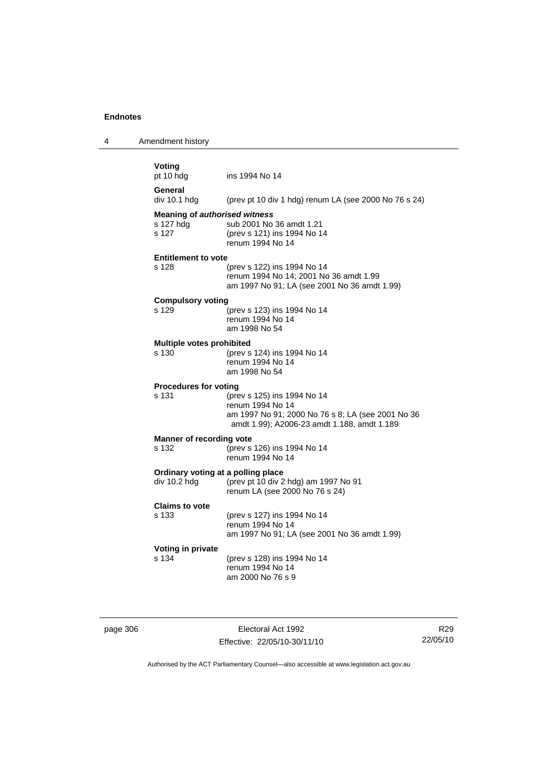4 Amendment history

| Voting<br>pt 10 hdg                  | ins 1994 No 14                                                                                                                                      |
|--------------------------------------|-----------------------------------------------------------------------------------------------------------------------------------------------------|
| General<br>div 10.1 hdg              | (prev pt 10 div 1 hdg) renum LA (see 2000 No 76 s 24)                                                                                               |
| <b>Meaning of authorised witness</b> |                                                                                                                                                     |
| s 127 hdg<br>s 127                   | sub 2001 No 36 amdt 1.21<br>(prev s 121) ins 1994 No 14<br>renum 1994 No 14                                                                         |
| <b>Entitlement to vote</b>           |                                                                                                                                                     |
| s 128                                | (prev s 122) ins 1994 No 14<br>renum 1994 No 14; 2001 No 36 amdt 1.99<br>am 1997 No 91; LA (see 2001 No 36 amdt 1.99)                               |
| <b>Compulsory voting</b>             |                                                                                                                                                     |
| s 129                                | (prev s 123) ins 1994 No 14<br>renum 1994 No 14<br>am 1998 No 54                                                                                    |
| <b>Multiple votes prohibited</b>     |                                                                                                                                                     |
| s 130                                | (prev s 124) ins 1994 No 14<br>renum 1994 No 14<br>am 1998 No 54                                                                                    |
| <b>Procedures for voting</b>         |                                                                                                                                                     |
| s 131                                | (prev s 125) ins 1994 No 14<br>renum 1994 No 14<br>am 1997 No 91; 2000 No 76 s 8; LA (see 2001 No 36<br>amdt 1.99); A2006-23 amdt 1.188, amdt 1.189 |
| <b>Manner of recording vote</b>      |                                                                                                                                                     |
| s 132                                | (prev s 126) ins 1994 No 14<br>renum 1994 No 14                                                                                                     |
| Ordinary voting at a polling place   |                                                                                                                                                     |
| div 10.2 hdg                         | (prev pt 10 div 2 hdg) am 1997 No 91<br>renum LA (see 2000 No 76 s 24)                                                                              |
| <b>Claims to vote</b>                |                                                                                                                                                     |
| s 133                                | (prev s 127) ins 1994 No 14<br>renum 1994 No 14<br>am 1997 No 91; LA (see 2001 No 36 amdt 1.99)                                                     |
| Voting in private                    |                                                                                                                                                     |
|                                      | (prev s 128) ins 1994 No 14                                                                                                                         |

page 306 Electoral Act 1992 Effective: 22/05/10-30/11/10

R29 22/05/10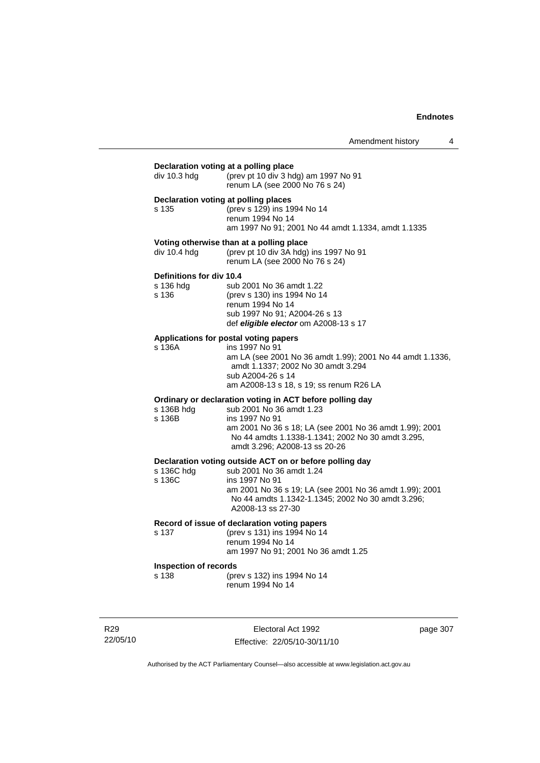| div 10.3 hdg<br>s 135<br>div 10.4 hdg<br>Definitions for div 10.4<br>s 136 hdg<br>s 136<br>s 136A | (prev pt 10 div 3 hdg) am 1997 No 91<br>renum LA (see 2000 No 76 s 24)<br>Declaration voting at polling places<br>(prev s 129) ins 1994 No 14<br>renum 1994 No 14<br>am 1997 No 91; 2001 No 44 amdt 1.1334, amdt 1.1335<br>Voting otherwise than at a polling place<br>(prev pt 10 div 3A hdg) ins 1997 No 91<br>renum LA (see 2000 No 76 s 24)<br>sub 2001 No 36 amdt 1.22<br>(prev s 130) ins 1994 No 14<br>renum 1994 No 14<br>sub 1997 No 91; A2004-26 s 13<br>def eligible elector om A2008-13 s 17<br>Applications for postal voting papers<br>ins 1997 No 91 |
|---------------------------------------------------------------------------------------------------|---------------------------------------------------------------------------------------------------------------------------------------------------------------------------------------------------------------------------------------------------------------------------------------------------------------------------------------------------------------------------------------------------------------------------------------------------------------------------------------------------------------------------------------------------------------------|
|                                                                                                   |                                                                                                                                                                                                                                                                                                                                                                                                                                                                                                                                                                     |
|                                                                                                   |                                                                                                                                                                                                                                                                                                                                                                                                                                                                                                                                                                     |
|                                                                                                   |                                                                                                                                                                                                                                                                                                                                                                                                                                                                                                                                                                     |
|                                                                                                   |                                                                                                                                                                                                                                                                                                                                                                                                                                                                                                                                                                     |
|                                                                                                   |                                                                                                                                                                                                                                                                                                                                                                                                                                                                                                                                                                     |
|                                                                                                   |                                                                                                                                                                                                                                                                                                                                                                                                                                                                                                                                                                     |
|                                                                                                   |                                                                                                                                                                                                                                                                                                                                                                                                                                                                                                                                                                     |
|                                                                                                   |                                                                                                                                                                                                                                                                                                                                                                                                                                                                                                                                                                     |
|                                                                                                   |                                                                                                                                                                                                                                                                                                                                                                                                                                                                                                                                                                     |
|                                                                                                   |                                                                                                                                                                                                                                                                                                                                                                                                                                                                                                                                                                     |
|                                                                                                   |                                                                                                                                                                                                                                                                                                                                                                                                                                                                                                                                                                     |
|                                                                                                   |                                                                                                                                                                                                                                                                                                                                                                                                                                                                                                                                                                     |
|                                                                                                   | am LA (see 2001 No 36 amdt 1.99); 2001 No 44 amdt 1.1336,                                                                                                                                                                                                                                                                                                                                                                                                                                                                                                           |
|                                                                                                   | amdt 1.1337; 2002 No 30 amdt 3.294                                                                                                                                                                                                                                                                                                                                                                                                                                                                                                                                  |
|                                                                                                   | sub A2004-26 s 14<br>am A2008-13 s 18, s 19; ss renum R26 LA                                                                                                                                                                                                                                                                                                                                                                                                                                                                                                        |
|                                                                                                   |                                                                                                                                                                                                                                                                                                                                                                                                                                                                                                                                                                     |
| s 136B hdg                                                                                        | Ordinary or declaration voting in ACT before polling day<br>sub 2001 No 36 amdt 1.23                                                                                                                                                                                                                                                                                                                                                                                                                                                                                |
| s 136B                                                                                            | ins 1997 No 91                                                                                                                                                                                                                                                                                                                                                                                                                                                                                                                                                      |
|                                                                                                   | am 2001 No 36 s 18; LA (see 2001 No 36 amdt 1.99); 2001<br>No 44 amdts 1.1338-1.1341; 2002 No 30 amdt 3.295,<br>amdt 3.296; A2008-13 ss 20-26                                                                                                                                                                                                                                                                                                                                                                                                                       |
|                                                                                                   |                                                                                                                                                                                                                                                                                                                                                                                                                                                                                                                                                                     |
| s 136C hdg                                                                                        | Declaration voting outside ACT on or before polling day<br>sub 2001 No 36 amdt 1.24                                                                                                                                                                                                                                                                                                                                                                                                                                                                                 |
| s 136C                                                                                            | ins 1997 No 91                                                                                                                                                                                                                                                                                                                                                                                                                                                                                                                                                      |
|                                                                                                   | am 2001 No 36 s 19; LA (see 2001 No 36 amdt 1.99); 2001                                                                                                                                                                                                                                                                                                                                                                                                                                                                                                             |
|                                                                                                   | No 44 amdts 1.1342-1.1345; 2002 No 30 amdt 3.296;<br>A2008-13 ss 27-30                                                                                                                                                                                                                                                                                                                                                                                                                                                                                              |
|                                                                                                   | Record of issue of declaration voting papers                                                                                                                                                                                                                                                                                                                                                                                                                                                                                                                        |
| s 137                                                                                             | (prev s 131) ins 1994 No 14<br>renum 1994 No 14                                                                                                                                                                                                                                                                                                                                                                                                                                                                                                                     |
|                                                                                                   | am 1997 No 91; 2001 No 36 amdt 1.25                                                                                                                                                                                                                                                                                                                                                                                                                                                                                                                                 |
| <b>Inspection of records</b>                                                                      |                                                                                                                                                                                                                                                                                                                                                                                                                                                                                                                                                                     |
| s 138                                                                                             | (prev s 132) ins 1994 No 14<br>renum 1994 No 14                                                                                                                                                                                                                                                                                                                                                                                                                                                                                                                     |

R29 22/05/10

Electoral Act 1992 Effective: 22/05/10-30/11/10 page 307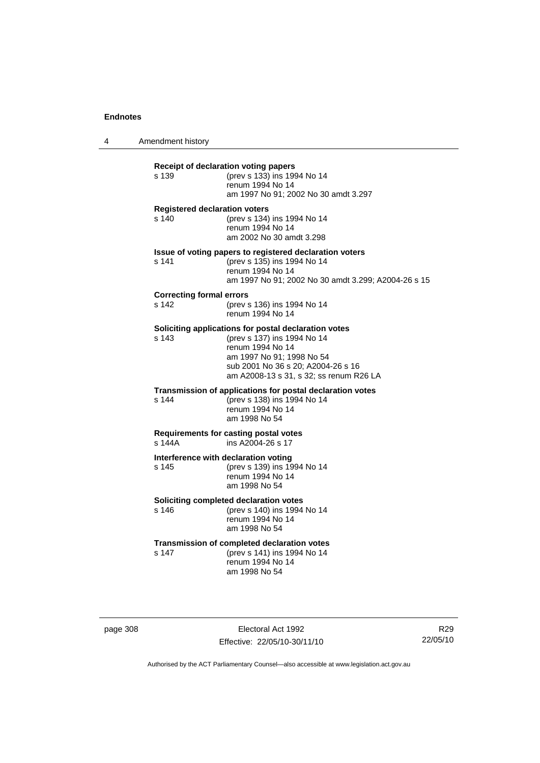4 Amendment history

| $s$ 140<br>s 141<br><b>Correcting formal errors</b><br>s <sub>142</sub><br>$s$ 143<br>s 144 | <b>Registered declaration voters</b><br>(prev s 134) ins 1994 No 14<br>renum 1994 No 14<br>am 2002 No 30 amdt 3.298                                                                                                   |
|---------------------------------------------------------------------------------------------|-----------------------------------------------------------------------------------------------------------------------------------------------------------------------------------------------------------------------|
|                                                                                             |                                                                                                                                                                                                                       |
|                                                                                             | Issue of voting papers to registered declaration voters<br>(prev s 135) ins 1994 No 14<br>renum 1994 No 14<br>am 1997 No 91; 2002 No 30 amdt 3.299; A2004-26 s 15                                                     |
|                                                                                             | (prev s 136) ins 1994 No 14<br>renum 1994 No 14                                                                                                                                                                       |
|                                                                                             | Soliciting applications for postal declaration votes<br>(prev s 137) ins 1994 No 14<br>renum 1994 No 14<br>am 1997 No 91; 1998 No 54<br>sub 2001 No 36 s 20; A2004-26 s 16<br>am A2008-13 s 31, s 32; ss renum R26 LA |
|                                                                                             | Transmission of applications for postal declaration votes<br>(prev s 138) ins 1994 No 14<br>renum 1994 No 14<br>am 1998 No 54                                                                                         |
| s 144A                                                                                      | Requirements for casting postal votes<br>ins A2004-26 s 17                                                                                                                                                            |
| s 145                                                                                       | Interference with declaration voting<br>(prev s 139) ins 1994 No 14<br>renum 1994 No 14<br>am 1998 No 54                                                                                                              |
| s 146                                                                                       | Soliciting completed declaration votes<br>(prev s 140) ins 1994 No 14<br>renum 1994 No 14<br>am 1998 No 54                                                                                                            |
| s 147                                                                                       | Transmission of completed declaration votes<br>(prev s 141) ins 1994 No 14<br>renum 1994 No 14<br>am 1998 No 54                                                                                                       |

page 308 Electoral Act 1992 Effective: 22/05/10-30/11/10

R29 22/05/10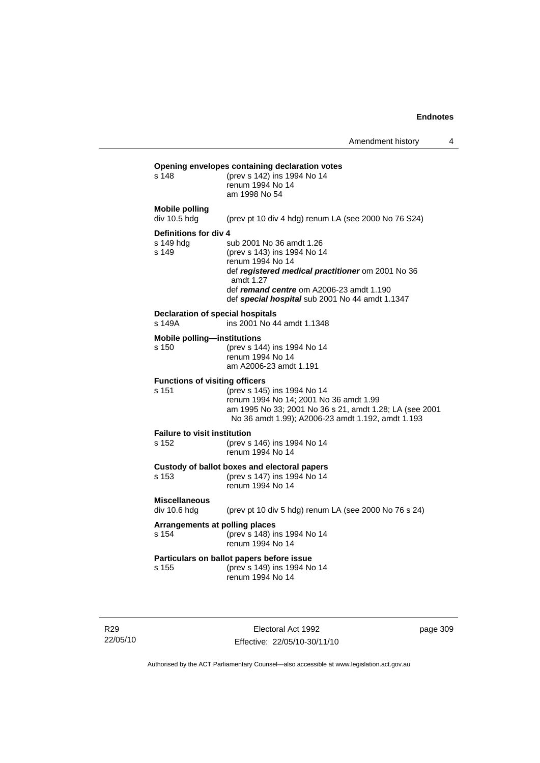| s 148                                             | Opening envelopes containing declaration votes<br>(prev s 142) ins 1994 No 14<br>renum 1994 No 14<br>am 1998 No 54                                                                                                                           |
|---------------------------------------------------|----------------------------------------------------------------------------------------------------------------------------------------------------------------------------------------------------------------------------------------------|
| <b>Mobile polling</b><br>div 10.5 hdg             | (prev pt 10 div 4 hdg) renum LA (see 2000 No 76 S24)                                                                                                                                                                                         |
| Definitions for div 4<br>s 149 hda<br>s 149       | sub 2001 No 36 amdt 1.26<br>(prev s 143) ins 1994 No 14<br>renum 1994 No 14<br>def registered medical practitioner om 2001 No 36<br>amdt 1.27<br>def remand centre om A2006-23 amdt 1.190<br>def special hospital sub 2001 No 44 amdt 1.1347 |
| <b>Declaration of special hospitals</b><br>s 149A | ins 2001 No 44 amdt 1.1348                                                                                                                                                                                                                   |
| <b>Mobile polling-institutions</b><br>s 150       | (prev s 144) ins 1994 No 14<br>renum 1994 No 14<br>am A2006-23 amdt 1.191                                                                                                                                                                    |
| <b>Functions of visiting officers</b><br>s 151    | (prev s 145) ins 1994 No 14<br>renum 1994 No 14; 2001 No 36 amdt 1.99<br>am 1995 No 33; 2001 No 36 s 21, amdt 1.28; LA (see 2001<br>No 36 amdt 1.99); A2006-23 amdt 1.192, amdt 1.193                                                        |
| <b>Failure to visit institution</b><br>s 152      | (prev s 146) ins 1994 No 14<br>renum 1994 No 14                                                                                                                                                                                              |
| s 153                                             | Custody of ballot boxes and electoral papers<br>(prev s 147) ins 1994 No 14<br>renum 1994 No 14                                                                                                                                              |
| <b>Miscellaneous</b><br>div 10.6 hda              | (prev pt 10 div 5 hdg) renum LA (see 2000 No 76 s 24)                                                                                                                                                                                        |
| Arrangements at polling places<br>s 154           | (prev s 148) ins 1994 No 14<br>renum 1994 No 14                                                                                                                                                                                              |
| s 155                                             | Particulars on ballot papers before issue<br>(prev s 149) ins 1994 No 14<br>renum 1994 No 14                                                                                                                                                 |
|                                                   |                                                                                                                                                                                                                                              |

R29 22/05/10

Electoral Act 1992 Effective: 22/05/10-30/11/10 page 309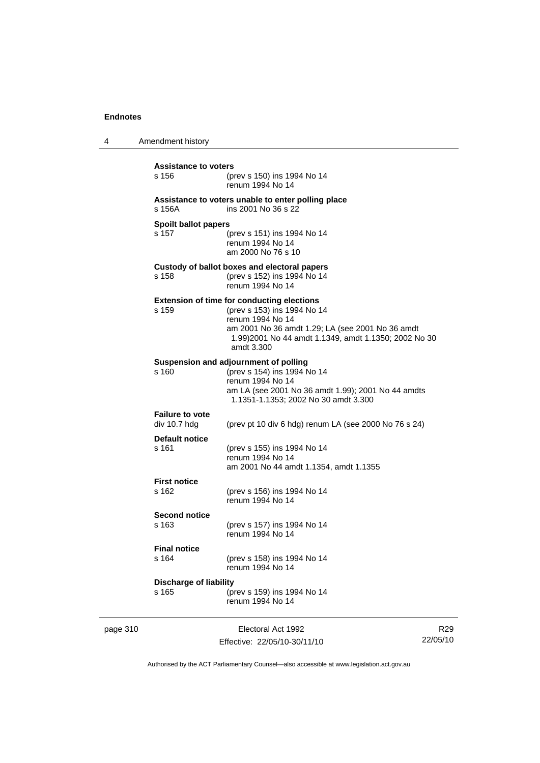4 Amendment history page 310 **Electoral Act 1992** R29 **Assistance to voters** s 156 (prev s 150) ins 1994 No 14 renum 1994 No 14 **Assistance to voters unable to enter polling place** s 156A ins 2001 No 36 s 22 **Spoilt ballot papers** s 157 (prev s 151) ins 1994 No 14 renum 1994 No 14 am 2000 No 76 s 10 **Custody of ballot boxes and electoral papers** s 158 (prev s 152) ins 1994 No 14 renum 1994 No 14 **Extension of time for conducting elections** s 159 (prev s 153) ins 1994 No 14 renum 1994 No 14 am 2001 No 36 amdt 1.29; LA (see 2001 No 36 amdt 1.99)2001 No 44 amdt 1.1349, amdt 1.1350; 2002 No 30 amdt 3.300 **Suspension and adjournment of polling**<br>s 160 (prev s 154) ins 1994 s 160 (prev s 154) ins 1994 No 14 renum 1994 No 14 am LA (see 2001 No 36 amdt 1.99); 2001 No 44 amdts 1.1351-1.1353; 2002 No 30 amdt 3.300 **Failure to vote**  div 10.7 hdg (prev pt 10 div 6 hdg) renum LA (see 2000 No 76 s 24) **Default notice** s 161 (prev s 155) ins 1994 No 14 renum 1994 No 14 am 2001 No 44 amdt 1.1354, amdt 1.1355 **First notice** (prev s 156) ins 1994 No 14 renum 1994 No 14 **Second notice** s 163 (prev s 157) ins 1994 No 14 renum 1994 No 14 **Final notice** s 164 (prev s 158) ins 1994 No 14 renum 1994 No 14 **Discharge of liability** s 165 (prev s 159) ins 1994 No 14 renum 1994 No 14

Authorised by the ACT Parliamentary Counsel—also accessible at www.legislation.act.gov.au

22/05/10

Effective: 22/05/10-30/11/10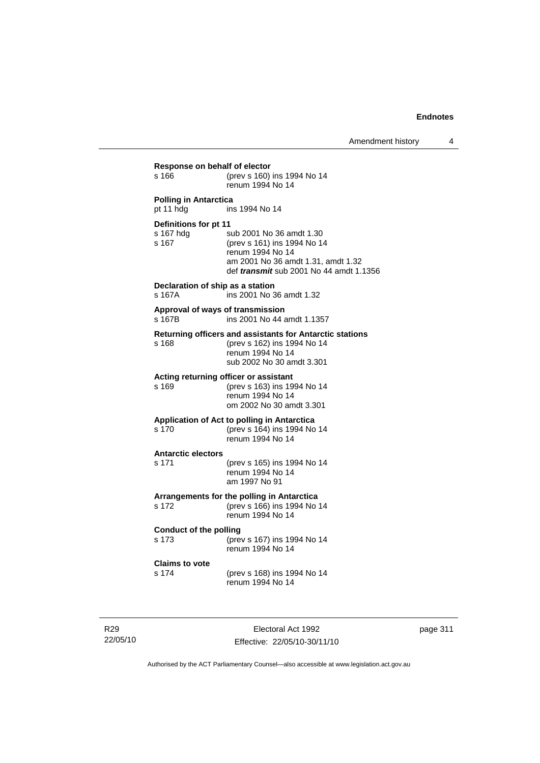| s 166                                       | (prev s 160) ins 1994 No 14<br>renum 1994 No 14                                                                                                                     |
|---------------------------------------------|---------------------------------------------------------------------------------------------------------------------------------------------------------------------|
| <b>Polling in Antarctica</b><br>pt 11 hdg   | ins 1994 No 14                                                                                                                                                      |
| Definitions for pt 11<br>s 167 hdg<br>s 167 | sub 2001 No 36 amdt 1.30<br>(prev s 161) ins 1994 No 14<br>renum 1994 No 14<br>am 2001 No 36 amdt 1.31, amdt 1.32<br>def <i>transmit</i> sub 2001 No 44 amdt 1.1356 |
| Declaration of ship as a station<br>s 167A  | ins 2001 No 36 amdt 1.32                                                                                                                                            |
| Approval of ways of transmission<br>s 167B  | ins 2001 No 44 amdt 1.1357                                                                                                                                          |
| s 168                                       | Returning officers and assistants for Antarctic stations<br>(prev s 162) ins 1994 No 14<br>renum 1994 No 14<br>sub 2002 No 30 amdt 3.301                            |
| s 169                                       | Acting returning officer or assistant<br>(prev s 163) ins 1994 No 14<br>renum 1994 No 14<br>om 2002 No 30 amdt 3.301                                                |
| s 170                                       | Application of Act to polling in Antarctica<br>(prev s 164) ins 1994 No 14<br>renum 1994 No 14                                                                      |
| <b>Antarctic electors</b><br>s 171          | (prev s 165) ins 1994 No 14<br>renum 1994 No 14<br>am 1997 No 91                                                                                                    |
| s 172                                       | Arrangements for the polling in Antarctica<br>(prev s 166) ins 1994 No 14<br>renum 1994 No 14                                                                       |
| <b>Conduct of the polling</b><br>s 173      | (prev s 167) ins 1994 No 14<br>renum 1994 No 14                                                                                                                     |
| <b>Claims to vote</b><br>s 174              | (prev s 168) ins 1994 No 14<br>renum 1994 No 14                                                                                                                     |

R29 22/05/10

Electoral Act 1992 Effective: 22/05/10-30/11/10 page 311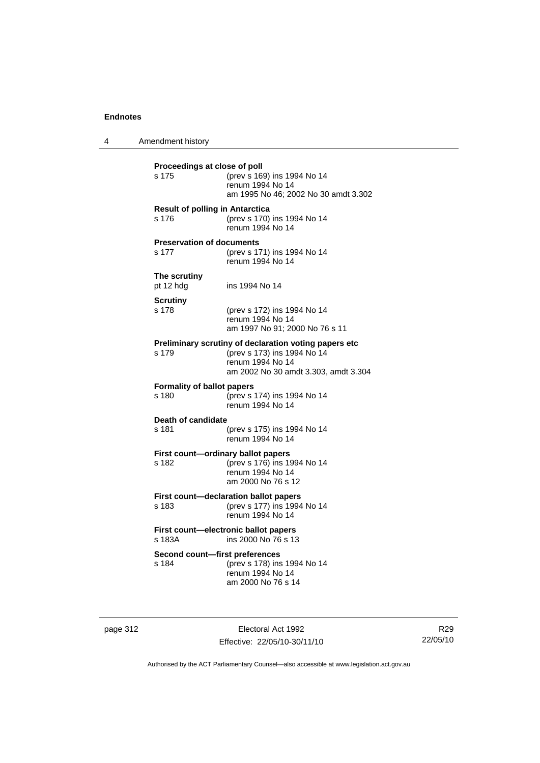4 Amendment history **Proceedings at close of poll** s 175 (prev s 169) ins 1994 No 14 renum 1994 No 14 am 1995 No 46; 2002 No 30 amdt 3.302 **Result of polling in Antarctica** s 176 (prev s 170) ins 1994 No 14 renum 1994 No 14 **Preservation of documents** s 177 (prev s 171) ins 1994 No 14 renum 1994 No 14 **The scrutiny** pt 12 hdg ins 1994 No 14 **Scrutiny** s 178 (prev s 172) ins 1994 No 14 renum 1994 No 14 am 1997 No 91; 2000 No 76 s 11 **Preliminary scrutiny of declaration voting papers etc** s 179 (prev s 173) ins 1994 No 14 renum 1994 No 14 am 2002 No 30 amdt 3.303, amdt 3.304 **Formality of ballot papers** s 180 (prev s 174) ins 1994 No 14 renum 1994 No 14 **Death of candidate** s 181 (prev s 175) ins 1994 No 14 renum 1994 No 14 **First count—ordinary ballot papers**<br>s 182 (prev s 176) ins 19 (prev s 176) ins 1994 No 14 renum 1994 No 14 am 2000 No 76 s 12 **First count—declaration ballot papers** s 183 (prev s 177) ins 1994 No 14 renum 1994 No 14 **First count—electronic ballot papers**<br>s 183A **ins 2000 No 76 s** 13 ins 2000 No 76 s 13 **Second count—first preferences** s 184 (prev s 178) ins 1994 No 14 renum 1994 No 14 am 2000 No 76 s 14

page 312 **Electoral Act 1992** Effective: 22/05/10-30/11/10

R29 22/05/10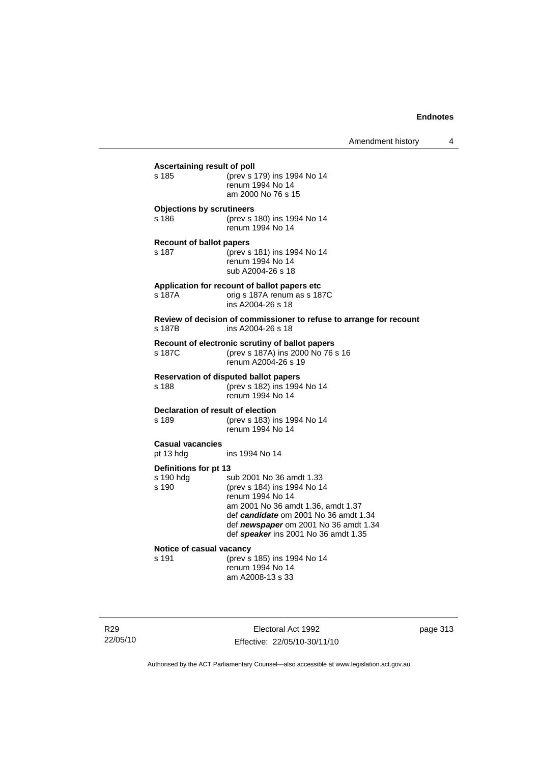| Ascertaining result of poll       |                                                                                                             |
|-----------------------------------|-------------------------------------------------------------------------------------------------------------|
| s 185                             | (prev s 179) ins 1994 No 14<br>renum 1994 No 14<br>am 2000 No 76 s 15                                       |
| <b>Objections by scrutineers</b>  |                                                                                                             |
| s 186                             | (prev s 180) ins 1994 No 14<br>renum 1994 No 14                                                             |
| <b>Recount of ballot papers</b>   |                                                                                                             |
| s 187                             | (prev s 181) ins 1994 No 14<br>renum 1994 No 14<br>sub A2004-26 s 18                                        |
|                                   | Application for recount of ballot papers etc.                                                               |
| s 187A                            | orig s 187A renum as s 187C<br>ins A2004-26 s 18                                                            |
| s 187B                            | Review of decision of commissioner to refuse to arrange for recount<br>ins A2004-26 s 18                    |
| s 187C                            | Recount of electronic scrutiny of ballot papers<br>(prev s 187A) ins 2000 No 76 s 16<br>renum A2004-26 s 19 |
|                                   | <b>Reservation of disputed ballot papers</b>                                                                |
| s 188                             | (prev s 182) ins 1994 No 14<br>renum 1994 No 14                                                             |
| Declaration of result of election |                                                                                                             |
| s 189                             | (prev s 183) ins 1994 No 14<br>renum 1994 No 14                                                             |
| <b>Casual vacancies</b>           |                                                                                                             |
| pt 13 hdg                         | ins 1994 No 14                                                                                              |
| Definitions for pt 13             |                                                                                                             |
| s 190 hdg<br>s 190                | sub 2001 No 36 amdt 1.33<br>(prev s 184) ins 1994 No 14                                                     |
|                                   | renum 1994 No 14                                                                                            |
|                                   | am 2001 No 36 amdt 1.36, amdt 1.37<br>def candidate om 2001 No 36 amdt 1.34                                 |
|                                   | def newspaper om 2001 No 36 amdt 1.34                                                                       |
|                                   | def speaker ins 2001 No 36 amdt 1.35                                                                        |
| Notice of casual vacancy<br>s 191 | (prev s 185) ins 1994 No 14                                                                                 |
|                                   | renum 1994 No 14                                                                                            |
|                                   | am A2008-13 s 33                                                                                            |
|                                   |                                                                                                             |

R29 22/05/10

Electoral Act 1992 Effective: 22/05/10-30/11/10 page 313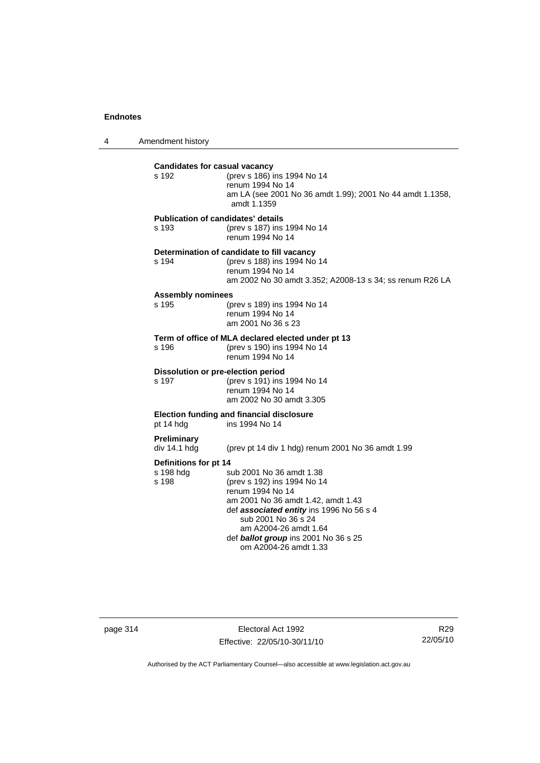4 Amendment history

| s 192                              | <b>Candidates for casual vacancy</b><br>(prev s 186) ins 1994 No 14<br>renum 1994 No 14<br>am LA (see 2001 No 36 amdt 1.99); 2001 No 44 amdt 1.1358,<br>amdt 1.1359                                                                                                                                     |
|------------------------------------|---------------------------------------------------------------------------------------------------------------------------------------------------------------------------------------------------------------------------------------------------------------------------------------------------------|
| s 193                              | <b>Publication of candidates' details</b><br>(prev s 187) ins 1994 No 14<br>renum 1994 No 14                                                                                                                                                                                                            |
| s 194                              | Determination of candidate to fill vacancy<br>(prev s 188) ins 1994 No 14<br>renum 1994 No 14<br>am 2002 No 30 amdt 3.352; A2008-13 s 34; ss renum R26 LA                                                                                                                                               |
| s 195                              | <b>Assembly nominees</b><br>(prev s 189) ins 1994 No 14<br>renum 1994 No 14<br>am 2001 No 36 s 23                                                                                                                                                                                                       |
| s 196                              | Term of office of MLA declared elected under pt 13<br>(prev s 190) ins 1994 No 14<br>renum 1994 No 14                                                                                                                                                                                                   |
| s 197                              | Dissolution or pre-election period<br>(prev s 191) ins 1994 No 14<br>renum 1994 No 14<br>am 2002 No 30 amdt 3.305                                                                                                                                                                                       |
| pt 14 hdg                          | <b>Election funding and financial disclosure</b><br>ins 1994 No 14                                                                                                                                                                                                                                      |
| <b>Preliminary</b><br>div 14.1 hdg | (prev pt 14 div 1 hdg) renum 2001 No 36 amdt 1.99                                                                                                                                                                                                                                                       |
| s 198 hdg<br>s 198                 | Definitions for pt 14<br>sub 2001 No 36 amdt 1.38<br>(prev s 192) ins 1994 No 14<br>renum 1994 No 14<br>am 2001 No 36 amdt 1.42, amdt 1.43<br>def associated entity ins 1996 No 56 s 4<br>sub 2001 No 36 s 24<br>am A2004-26 amdt 1.64<br>def ballot group ins 2001 No 36 s 25<br>om A2004-26 amdt 1.33 |

page 314 Electoral Act 1992 Effective: 22/05/10-30/11/10

R29 22/05/10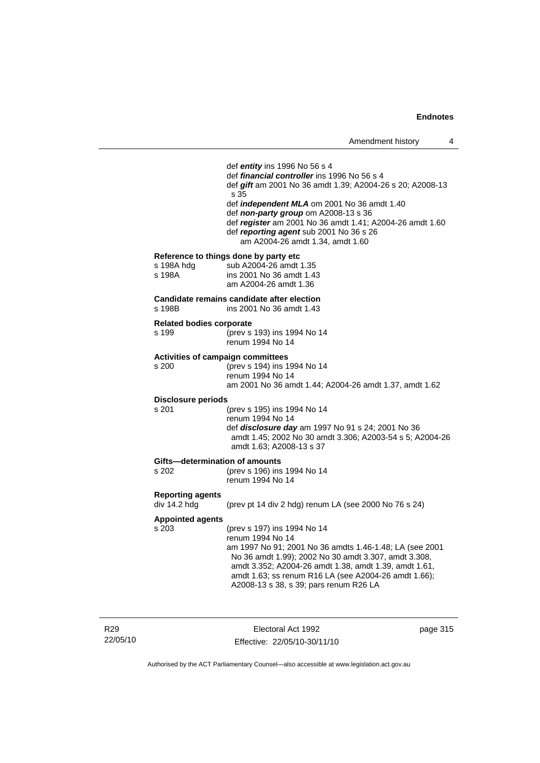| s 198A hdg                                 | def entity ins 1996 No 56 s 4<br>def <i>financial controller</i> ins 1996 No 56 s 4<br>def gift am 2001 No 36 amdt 1.39; A2004-26 s 20; A2008-13<br>s 35<br>def <i>independent MLA</i> om 2001 No 36 amdt 1.40<br>def non-party group om A2008-13 s 36<br>def register am 2001 No 36 amdt 1.41; A2004-26 amdt 1.60<br>def reporting agent sub 2001 No 36 s 26<br>am A2004-26 amdt 1.34, amdt 1.60<br>Reference to things done by party etc<br>sub A2004-26 amdt 1.35 |
|--------------------------------------------|----------------------------------------------------------------------------------------------------------------------------------------------------------------------------------------------------------------------------------------------------------------------------------------------------------------------------------------------------------------------------------------------------------------------------------------------------------------------|
| s 198A                                     | ins 2001 No 36 amdt 1.43<br>am A2004-26 amdt 1.36                                                                                                                                                                                                                                                                                                                                                                                                                    |
| s 198B                                     | Candidate remains candidate after election<br>ins 2001 No 36 amdt 1.43                                                                                                                                                                                                                                                                                                                                                                                               |
| <b>Related bodies corporate</b><br>s 199   | (prev s 193) ins 1994 No 14<br>renum 1994 No 14                                                                                                                                                                                                                                                                                                                                                                                                                      |
| Activities of campaign committees<br>s 200 | (prev s 194) ins 1994 No 14<br>renum 1994 No 14<br>am 2001 No 36 amdt 1.44; A2004-26 amdt 1.37, amdt 1.62                                                                                                                                                                                                                                                                                                                                                            |
| <b>Disclosure periods</b><br>s 201         | (prev s 195) ins 1994 No 14<br>renum 1994 No 14<br>def <i>disclosure day</i> am 1997 No 91 s 24; 2001 No 36<br>amdt 1.45; 2002 No 30 amdt 3.306; A2003-54 s 5; A2004-26<br>amdt 1.63; A2008-13 s 37                                                                                                                                                                                                                                                                  |
| Gifts-determination of amounts<br>s 202    | (prev s 196) ins 1994 No 14<br>renum 1994 No 14                                                                                                                                                                                                                                                                                                                                                                                                                      |
| <b>Reporting agents</b><br>div 14.2 hdg    | (prev pt 14 div 2 hdg) renum LA (see 2000 No 76 s 24)                                                                                                                                                                                                                                                                                                                                                                                                                |
| <b>Appointed agents</b><br>s 203           | (prev s 197) ins 1994 No 14<br>renum 1994 No 14<br>am 1997 No 91; 2001 No 36 amdts 1.46-1.48; LA (see 2001<br>No 36 amdt 1.99); 2002 No 30 amdt 3.307, amdt 3.308,<br>amdt 3.352; A2004-26 amdt 1.38, amdt 1.39, amdt 1.61,<br>amdt 1.63; ss renum R16 LA (see A2004-26 amdt 1.66);<br>A2008-13 s 38, s 39; pars renum R26 LA                                                                                                                                        |

R29 22/05/10 J.

Electoral Act 1992 Effective: 22/05/10-30/11/10 page 315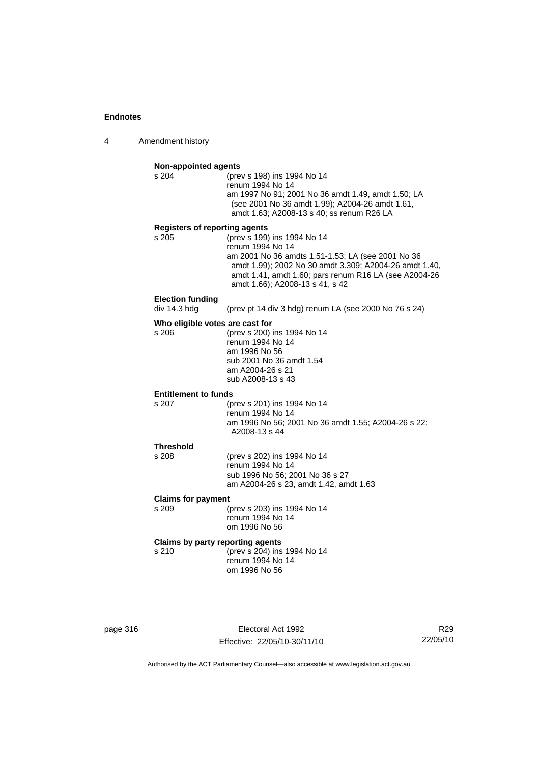4 Amendment history

| <b>Non-appointed agents</b><br>s 204 | (prev s 198) ins 1994 No 14                                           |
|--------------------------------------|-----------------------------------------------------------------------|
|                                      | renum 1994 No 14                                                      |
|                                      | am 1997 No 91; 2001 No 36 amdt 1.49, amdt 1.50; LA                    |
|                                      | (see 2001 No 36 amdt 1.99); A2004-26 amdt 1.61,                       |
|                                      | amdt 1.63; A2008-13 s 40; ss renum R26 LA                             |
| <b>Registers of reporting agents</b> |                                                                       |
| s 205                                | (prev s 199) ins 1994 No 14                                           |
|                                      | renum 1994 No 14<br>am 2001 No 36 amdts 1.51-1.53; LA (see 2001 No 36 |
|                                      | amdt 1.99); 2002 No 30 amdt 3.309; A2004-26 amdt 1.40,                |
|                                      | amdt 1.41, amdt 1.60; pars renum R16 LA (see A2004-26                 |
|                                      | amdt 1.66); A2008-13 s 41, s 42                                       |
| <b>Election funding</b>              |                                                                       |
| div 14.3 hdg                         | (prev pt 14 div 3 hdg) renum LA (see 2000 No 76 s 24)                 |
| Who eligible votes are cast for      |                                                                       |
| s 206                                | (prev s 200) ins 1994 No 14                                           |
|                                      | renum 1994 No 14<br>am 1996 No 56                                     |
|                                      | sub 2001 No 36 amdt 1.54                                              |
|                                      | am A2004-26 s 21                                                      |
|                                      | sub A2008-13 s 43                                                     |
| <b>Entitlement to funds</b>          |                                                                       |
| s 207                                | (prev s 201) ins 1994 No 14                                           |
|                                      | renum 1994 No 14                                                      |
|                                      | am 1996 No 56; 2001 No 36 amdt 1.55; A2004-26 s 22;<br>A2008-13 s 44  |
|                                      |                                                                       |
| <b>Threshold</b><br>s 208            | (prev s 202) ins 1994 No 14                                           |
|                                      | renum 1994 No 14                                                      |
|                                      | sub 1996 No 56; 2001 No 36 s 27                                       |
|                                      | am A2004-26 s 23, amdt 1.42, amdt 1.63                                |
| <b>Claims for payment</b>            |                                                                       |
| s 209                                | (prev s 203) ins 1994 No 14                                           |
|                                      | renum 1994 No 14                                                      |
|                                      | om 1996 No 56                                                         |
|                                      |                                                                       |
|                                      | Claims by party reporting agents                                      |
| s 210                                | (prev s 204) ins 1994 No 14<br>renum 1994 No 14                       |

| page 316 |  |
|----------|--|
|----------|--|

page 316 Electoral Act 1992 Effective: 22/05/10-30/11/10

R29 22/05/10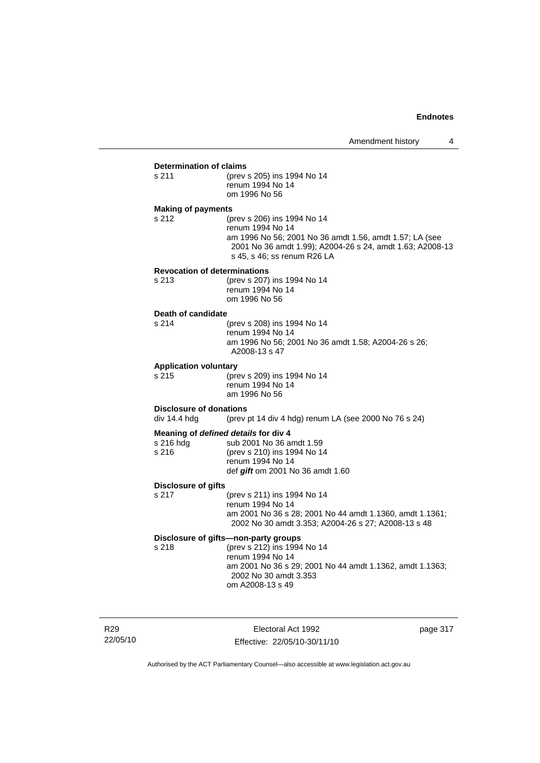#### **Determination of claims**

s 211 (prev s 205) ins 1994 No 14 renum 1994 No 14 om 1996 No 56

#### **Making of payments**

s 212 (prev s 206) ins 1994 No 14 renum 1994 No 14 am 1996 No 56; 2001 No 36 amdt 1.56, amdt 1.57; LA (see 2001 No 36 amdt 1.99); A2004-26 s 24, amdt 1.63; A2008-13 s 45, s 46; ss renum R26 LA

#### **Revocation of determinations**

s 213 (prev s 207) ins 1994 No 14 renum 1994 No 14 om 1996 No 56

# **Death of candidate**

(prev s 208) ins 1994 No 14 renum 1994 No 14 am 1996 No 56; 2001 No 36 amdt 1.58; A2004-26 s 26; A2008-13 s 47

#### **Application voluntary**

s 215 (prev s 209) ins 1994 No 14 renum 1994 No 14 am 1996 No 56

#### **Disclosure of donations**

div 14.4 hdg (prev pt 14 div 4 hdg) renum LA (see 2000 No 76 s 24)

### **Meaning of** *defined details* **for div 4**

| s 216 hda | sub 2001 No 36 amdt 1.59         |
|-----------|----------------------------------|
| s 216     | (prev s 210) ins 1994 No 14      |
|           | renum 1994 No 14                 |
|           | def gift om 2001 No 36 amdt 1.60 |

#### **Disclosure of gifts**

s 217 (prev s 211) ins 1994 No 14 renum 1994 No 14 am 2001 No 36 s 28; 2001 No 44 amdt 1.1360, amdt 1.1361; 2002 No 30 amdt 3.353; A2004-26 s 27; A2008-13 s 48

### **Disclosure of gifts—non-party groups**

s 218 (prev s 212) ins 1994 No 14 renum 1994 No 14 am 2001 No 36 s 29; 2001 No 44 amdt 1.1362, amdt 1.1363; 2002 No 30 amdt 3.353 om A2008-13 s 49

R29 22/05/10

Electoral Act 1992 Effective: 22/05/10-30/11/10 page 317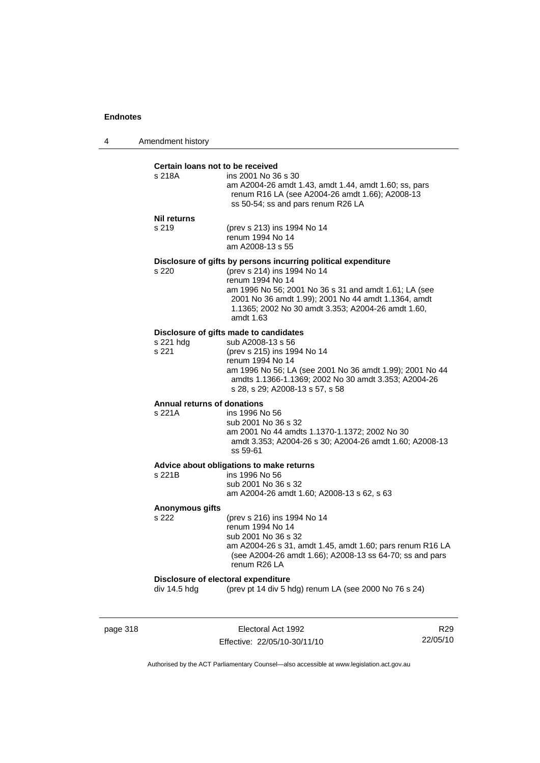| 4 | Amendment history |
|---|-------------------|
|---|-------------------|

#### **Certain loans not to be received**

| s 218A | ins 2001 No 36 s 30                                                                                      |
|--------|----------------------------------------------------------------------------------------------------------|
|        | am A2004-26 amdt 1.43, amdt 1.44, amdt 1.60; ss, pars<br>renum R16 LA (see A2004-26 amdt 1.66); A2008-13 |
|        | ss 50-54; ss and pars renum R26 LA                                                                       |

#### **Nil returns**

s 219 (prev s 213) ins 1994 No 14 renum 1994 No 14 am A2008-13 s 55

### **Disclosure of gifts by persons incurring political expenditure**

s 220 (prev s 214) ins 1994 No 14 renum 1994 No 14 am 1996 No 56; 2001 No 36 s 31 and amdt 1.61; LA (see 2001 No 36 amdt 1.99); 2001 No 44 amdt 1.1364, amdt 1.1365; 2002 No 30 amdt 3.353; A2004-26 amdt 1.60, amdt 1.63

### **Disclosure of gifts made to candidates**

| s 221 hdg | sub A2008-13 s 56                                        |
|-----------|----------------------------------------------------------|
| s 221     | (prev s 215) ins 1994 No 14                              |
|           | renum 1994 No 14                                         |
|           | am 1996 No 56; LA (see 2001 No 36 amdt 1.99); 2001 No 44 |
|           | amdts 1.1366-1.1369: 2002 No 30 amdt 3.353: A2004-26     |
|           | s 28, s 29; A2008-13 s 57, s 58                          |
|           |                                                          |

## **Annual returns of donations**

ins 1996 No 56 sub 2001 No 36 s 32 am 2001 No 44 amdts 1.1370-1.1372; 2002 No 30 amdt 3.353; A2004-26 s 30; A2004-26 amdt 1.60; A2008-13 ss 59-61

### **Advice about obligations to make returns**

| s 221B | ins 1996 No 56                             |
|--------|--------------------------------------------|
|        | sub 2001 No 36 s 32                        |
|        | am A2004-26 amdt 1.60: A2008-13 s 62, s 63 |
|        |                                            |

#### **Anonymous gifts**

s 222 (prev s 216) ins 1994 No 14 renum 1994 No 14 sub 2001 No 36 s 32 am A2004-26 s 31, amdt 1.45, amdt 1.60; pars renum R16 LA (see A2004-26 amdt 1.66); A2008-13 ss 64-70; ss and pars renum R26 LA

#### **Disclosure of electoral expenditure**

div 14.5 hdg (prev pt 14 div 5 hdg) renum LA (see 2000 No 76 s 24)

page 318 **Electoral Act 1992** Effective: 22/05/10-30/11/10

R29 22/05/10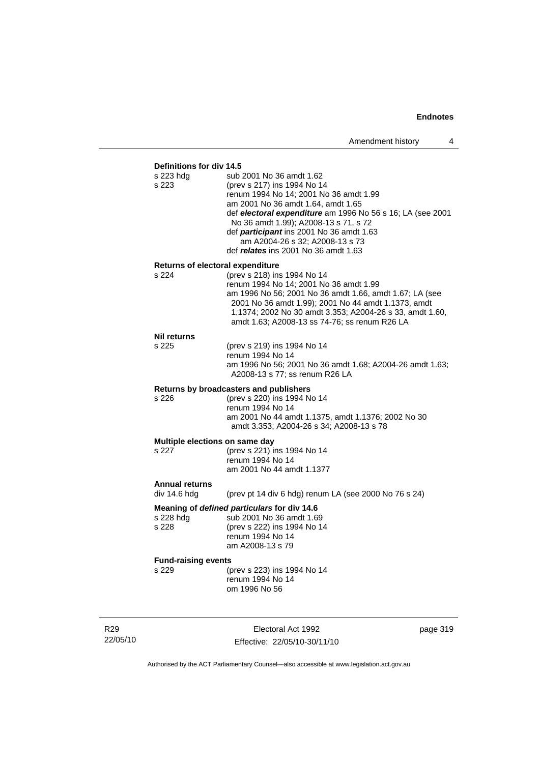### **Definitions for div 14.5**

| s 223 hdg<br>s 223                    | sub 2001 No 36 amdt 1.62<br>(prev s 217) ins 1994 No 14<br>renum 1994 No 14; 2001 No 36 amdt 1.99<br>am 2001 No 36 amdt 1.64, amdt 1.65<br>def electoral expenditure am 1996 No 56 s 16; LA (see 2001<br>No 36 amdt 1.99); A2008-13 s 71, s 72<br>def participant ins 2001 No 36 amdt 1.63<br>am A2004-26 s 32; A2008-13 s 73<br>def relates ins 2001 No 36 amdt 1.63 |
|---------------------------------------|-----------------------------------------------------------------------------------------------------------------------------------------------------------------------------------------------------------------------------------------------------------------------------------------------------------------------------------------------------------------------|
| Returns of electoral expenditure      |                                                                                                                                                                                                                                                                                                                                                                       |
| s 224                                 | (prev s 218) ins 1994 No 14<br>renum 1994 No 14; 2001 No 36 amdt 1.99<br>am 1996 No 56; 2001 No 36 amdt 1.66, amdt 1.67; LA (see<br>2001 No 36 amdt 1.99); 2001 No 44 amdt 1.1373, amdt<br>1.1374; 2002 No 30 amdt 3.353; A2004-26 s 33, amdt 1.60,<br>amdt 1.63; A2008-13 ss 74-76; ss renum R26 LA                                                                  |
| Nil returns                           |                                                                                                                                                                                                                                                                                                                                                                       |
| s 225                                 | (prev s 219) ins 1994 No 14<br>renum 1994 No 14<br>am 1996 No 56; 2001 No 36 amdt 1.68; A2004-26 amdt 1.63;<br>A2008-13 s 77; ss renum R26 LA                                                                                                                                                                                                                         |
|                                       | Returns by broadcasters and publishers                                                                                                                                                                                                                                                                                                                                |
| s 226                                 | (prev s 220) ins 1994 No 14<br>renum 1994 No 14<br>am 2001 No 44 amdt 1.1375, amdt 1.1376; 2002 No 30<br>amdt 3.353; A2004-26 s 34; A2008-13 s 78                                                                                                                                                                                                                     |
| Multiple elections on same day        |                                                                                                                                                                                                                                                                                                                                                                       |
| s 227                                 | (prev s 221) ins 1994 No 14<br>renum 1994 No 14<br>am 2001 No 44 amdt 1.1377                                                                                                                                                                                                                                                                                          |
| <b>Annual returns</b><br>div 14.6 hdg | (prev pt 14 div 6 hdg) renum LA (see 2000 No 76 s 24)                                                                                                                                                                                                                                                                                                                 |
| s 228 hdg<br>s 228                    | Meaning of defined particulars for div 14.6<br>sub 2001 No 36 amdt 1.69<br>(prev s 222) ins 1994 No 14<br>renum 1994 No 14<br>am A2008-13 s 79                                                                                                                                                                                                                        |
| <b>Fund-raising events</b>            |                                                                                                                                                                                                                                                                                                                                                                       |
| s 229                                 | (prev s 223) ins 1994 No 14<br>renum 1994 No 14<br>om 1996 No 56                                                                                                                                                                                                                                                                                                      |
|                                       |                                                                                                                                                                                                                                                                                                                                                                       |

R29 22/05/10

Electoral Act 1992 Effective: 22/05/10-30/11/10 page 319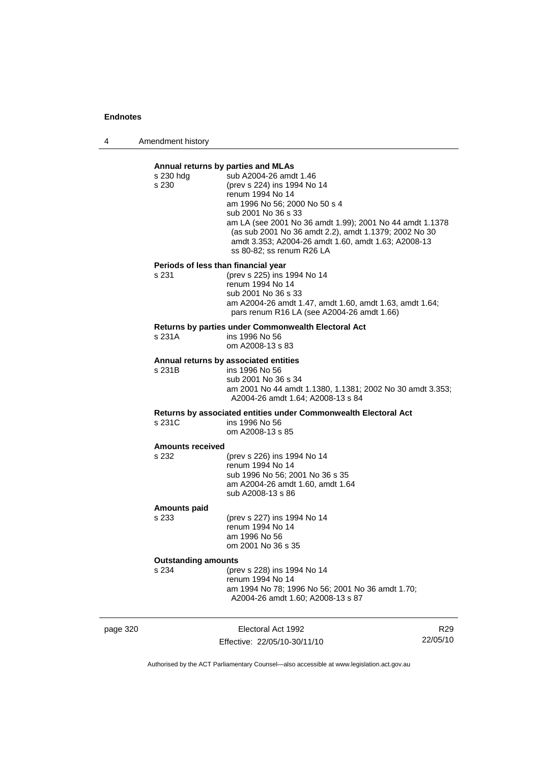4 Amendment history

### **Annual returns by parties and MLAs**  s 230 hdg sub A2004-26 amdt 1.46 s 230 (prev s 224) ins 1994 No 14 renum 1994 No 14 am 1996 No 56; 2000 No 50 s 4 sub 2001 No 36 s 33 am LA (see 2001 No 36 amdt 1.99); 2001 No 44 amdt 1.1378 (as sub 2001 No 36 amdt 2.2), amdt 1.1379; 2002 No 30 amdt 3.353; A2004-26 amdt 1.60, amdt 1.63; A2008-13 ss 80-82; ss renum R26 LA **Periods of less than financial year** s 231 (prev s 225) ins 1994 No 14 renum 1994 No 14 sub 2001 No 36 s 33 am A2004-26 amdt 1.47, amdt 1.60, amdt 1.63, amdt 1.64; pars renum R16 LA (see A2004-26 amdt 1.66) **Returns by parties under Commonwealth Electoral Act** s 231A ins 1996 No 56 om A2008-13 s 83 **Annual returns by associated entities** s 231B ins 1996 No 56 sub 2001 No 36 s 34 am 2001 No 44 amdt 1.1380, 1.1381; 2002 No 30 amdt 3.353; A2004-26 amdt 1.64; A2008-13 s 84 **Returns by associated entities under Commonwealth Electoral Act** ins 1996 No 56 om A2008-13 s 85 **Amounts received**  s 232 (prev s 226) ins 1994 No 14 renum 1994 No 14 sub 1996 No 56; 2001 No 36 s 35 am A2004-26 amdt 1.60, amdt 1.64 sub A2008-13 s 86 **Amounts paid**  s 233 (prev s 227) ins 1994 No 14 renum 1994 No 14 am 1996 No 56 om 2001 No 36 s 35 **Outstanding amounts**<br>s 234 (pre s 234 (prev s 228) ins 1994 No 14 renum 1994 No 14 am 1994 No 78; 1996 No 56; 2001 No 36 amdt 1.70; A2004-26 amdt 1.60; A2008-13 s 87

page 320 **Electoral Act 1992** Effective: 22/05/10-30/11/10

R29 22/05/10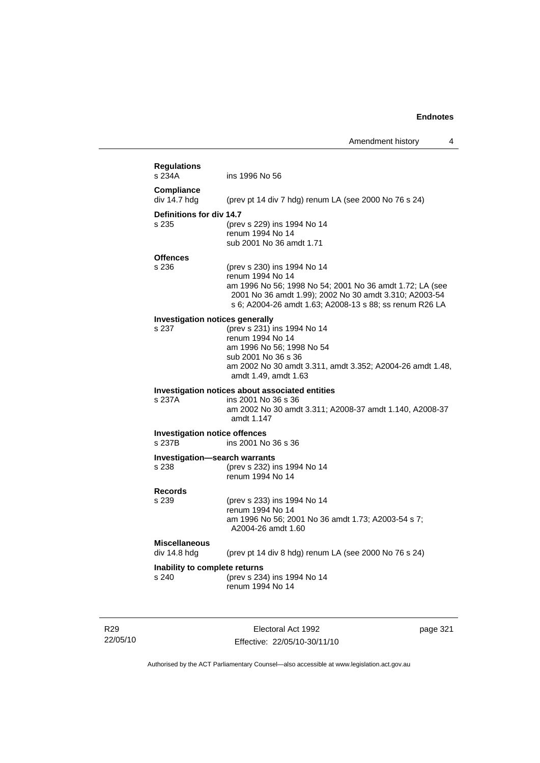| <b>Regulations</b>                                                                                               |                                                                                                                                                                                                                                  |
|------------------------------------------------------------------------------------------------------------------|----------------------------------------------------------------------------------------------------------------------------------------------------------------------------------------------------------------------------------|
| s 234A                                                                                                           | ins 1996 No 56                                                                                                                                                                                                                   |
| Compliance<br>div 14.7 hdg                                                                                       | (prev pt 14 div 7 hdg) renum LA (see 2000 No 76 s 24)                                                                                                                                                                            |
| Definitions for div 14.7<br>s 235                                                                                | (prev s 229) ins 1994 No 14<br>renum 1994 No 14<br>sub 2001 No 36 amdt 1.71                                                                                                                                                      |
| <b>Offences</b>                                                                                                  |                                                                                                                                                                                                                                  |
| s 236                                                                                                            | (prev s 230) ins 1994 No 14<br>renum 1994 No 14<br>am 1996 No 56; 1998 No 54; 2001 No 36 amdt 1.72; LA (see<br>2001 No 36 amdt 1.99); 2002 No 30 amdt 3.310; A2003-54<br>s 6; A2004-26 amdt 1.63; A2008-13 s 88; ss renum R26 LA |
| <b>Investigation notices generally</b>                                                                           |                                                                                                                                                                                                                                  |
| s 237                                                                                                            | (prev s 231) ins 1994 No 14<br>renum 1994 No 14<br>am 1996 No 56; 1998 No 54<br>sub 2001 No 36 s 36<br>am 2002 No 30 amdt 3.311, amdt 3.352; A2004-26 amdt 1.48,                                                                 |
|                                                                                                                  | amdt 1.49, amdt 1.63                                                                                                                                                                                                             |
| s 237A                                                                                                           | Investigation notices about associated entities<br>ins 2001 No 36 s 36<br>amdt 1.147                                                                                                                                             |
|                                                                                                                  | ins 2001 No 36 s 36                                                                                                                                                                                                              |
| <b>Investigation notice offences</b><br>s 237B                                                                   | am 2002 No 30 amdt 3.311; A2008-37 amdt 1.140, A2008-37                                                                                                                                                                          |
|                                                                                                                  | (prev s 232) ins 1994 No 14<br>renum 1994 No 14                                                                                                                                                                                  |
|                                                                                                                  | (prev s 233) ins 1994 No 14<br>renum 1994 No 14<br>am 1996 No 56; 2001 No 36 amdt 1.73; A2003-54 s 7;<br>A2004-26 amdt 1.60                                                                                                      |
| <b>Investigation-search warrants</b><br>s 238<br><b>Records</b><br>s 239<br><b>Miscellaneous</b><br>div 14.8 hdg | (prev pt 14 div 8 hdg) renum LA (see 2000 No 76 s 24)                                                                                                                                                                            |

R29 22/05/10

Electoral Act 1992 Effective: 22/05/10-30/11/10 page 321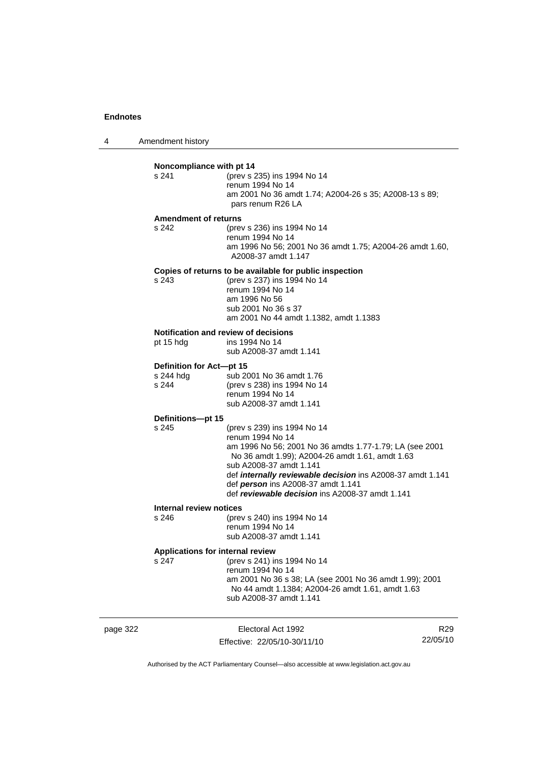4 Amendment history

|          | Noncompliance with pt 14                         |                                                                                                                                                                                                                                                                                                                                                        |                 |
|----------|--------------------------------------------------|--------------------------------------------------------------------------------------------------------------------------------------------------------------------------------------------------------------------------------------------------------------------------------------------------------------------------------------------------------|-----------------|
|          | s 241                                            | (prev s 235) ins 1994 No 14<br>renum 1994 No 14<br>am 2001 No 36 amdt 1.74; A2004-26 s 35; A2008-13 s 89;<br>pars renum R26 LA                                                                                                                                                                                                                         |                 |
|          | <b>Amendment of returns</b>                      |                                                                                                                                                                                                                                                                                                                                                        |                 |
|          | s 242                                            | (prev s 236) ins 1994 No 14<br>renum 1994 No 14<br>am 1996 No 56; 2001 No 36 amdt 1.75; A2004-26 amdt 1.60,<br>A2008-37 amdt 1.147                                                                                                                                                                                                                     |                 |
|          | s 243                                            | Copies of returns to be available for public inspection<br>(prev s 237) ins 1994 No 14<br>renum 1994 No 14<br>am 1996 No 56<br>sub 2001 No 36 s 37<br>am 2001 No 44 amdt 1.1382, amdt 1.1383                                                                                                                                                           |                 |
|          | pt 15 hdg                                        | Notification and review of decisions<br>ins 1994 No 14<br>sub A2008-37 amdt 1.141                                                                                                                                                                                                                                                                      |                 |
|          | Definition for Act-pt 15<br>s 244 hdg<br>s 244   | sub 2001 No 36 amdt 1.76<br>(prev s 238) ins 1994 No 14<br>renum 1994 No 14<br>sub A2008-37 amdt 1.141                                                                                                                                                                                                                                                 |                 |
|          | Definitions-pt 15                                |                                                                                                                                                                                                                                                                                                                                                        |                 |
|          | s 245                                            | (prev s 239) ins 1994 No 14<br>renum 1994 No 14<br>am 1996 No 56; 2001 No 36 amdts 1.77-1.79; LA (see 2001<br>No 36 amdt 1.99); A2004-26 amdt 1.61, amdt 1.63<br>sub A2008-37 amdt 1.141<br>def <i>internally reviewable decision</i> ins A2008-37 amdt 1.141<br>def person ins A2008-37 amdt 1.141<br>def reviewable decision ins A2008-37 amdt 1.141 |                 |
|          | Internal review notices                          |                                                                                                                                                                                                                                                                                                                                                        |                 |
|          | s 246                                            | (prev s 240) ins 1994 No 14<br>renum 1994 No 14<br>sub A2008-37 amdt 1.141                                                                                                                                                                                                                                                                             |                 |
|          | <b>Applications for internal review</b><br>s 247 | (prev s 241) ins 1994 No 14<br>renum 1994 No 14<br>am 2001 No 36 s 38; LA (see 2001 No 36 amdt 1.99); 2001<br>No 44 amdt 1.1384; A2004-26 amdt 1.61, amdt 1.63<br>sub A2008-37 amdt 1.141                                                                                                                                                              |                 |
| page 322 |                                                  | Electoral Act 1992                                                                                                                                                                                                                                                                                                                                     | R <sub>29</sub> |

Authorised by the ACT Parliamentary Counsel—also accessible at www.legislation.act.gov.au

22/05/10

Effective: 22/05/10-30/11/10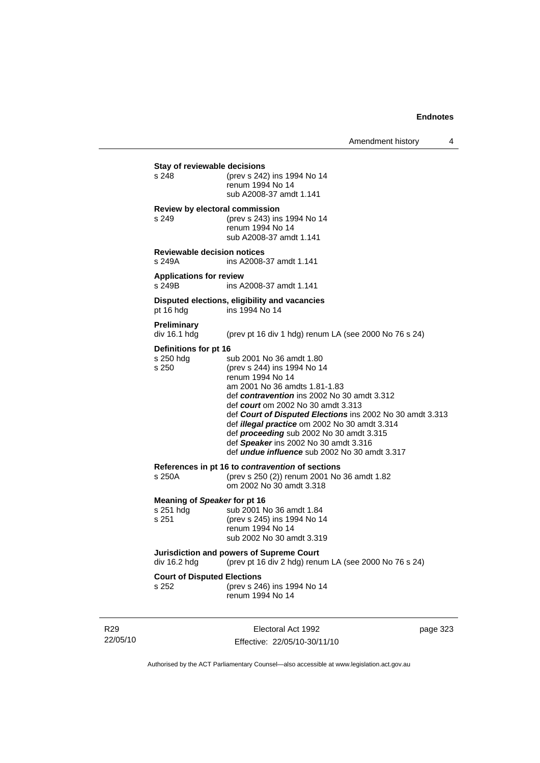| Amendment history |  |  |
|-------------------|--|--|
|-------------------|--|--|

**Stay of reviewable decisions**<br>s 248 (prev s 242) (prev s 242) ins 1994 No 14 renum 1994 No 14 sub A2008-37 amdt 1.141 **Review by electoral commission** s 249 (prev s 243) ins 1994 No 14 renum 1994 No 14 sub A2008-37 amdt 1.141 **Reviewable decision notices**  s 249A ins A2008-37 amdt 1.141 **Applications for review**  s 249B ins A2008-37 amdt 1.141 **Disputed elections, eligibility and vacancies** pt 16 hdg ins 1994 No 14 **Preliminary**  (prev pt 16 div 1 hdg) renum LA (see 2000 No 76 s 24) **Definitions for pt 16** s 250 hdg sub 2001 No 36 amdt 1.80 s 250 (prev s 244) ins 1994 No 14 renum 1994 No 14 am 2001 No 36 amdts 1.81-1.83 def *contravention* ins 2002 No 30 amdt 3.312 def *court* om 2002 No 30 amdt 3.313 def *Court of Disputed Elections* ins 2002 No 30 amdt 3.313 def *illegal practice* om 2002 No 30 amdt 3.314 def *proceeding* sub 2002 No 30 amdt 3.315 def *Speaker* ins 2002 No 30 amdt 3.316 def *undue influence* sub 2002 No 30 amdt 3.317 **References in pt 16 to** *contravention* **of sections** s 250A (prev s 250 (2)) renum 2001 No 36 amdt 1.82 om 2002 No 30 amdt 3.318 **Meaning of Speaker for pt 16**<br>s 251 hdg sub 2001 N sub 2001 No 36 amdt 1.84 s 251 (prev s 245) ins 1994 No 14 renum 1994 No 14 sub 2002 No 30 amdt 3.319 **Jurisdiction and powers of Supreme Court**  div 16.2 hdg (prev pt 16 div 2 hdg) renum LA (see 2000 No 76 s 24) **Court of Disputed Elections** s 252 (prev s 246) ins 1994 No 14 renum 1994 No 14

R29 22/05/10

Electoral Act 1992 Effective: 22/05/10-30/11/10 page 323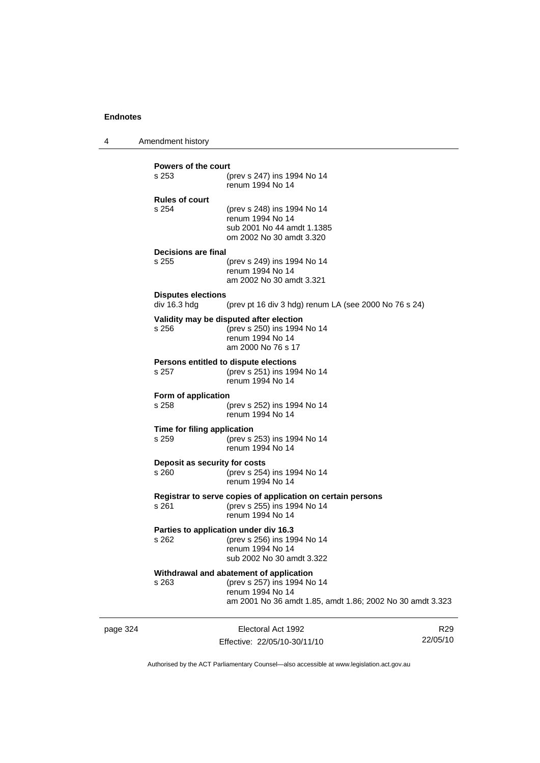4 Amendment history

| s 253<br>(prev s 247) ins 1994 No 14<br>renum 1994 No 14<br><b>Rules of court</b><br>s 254<br>(prev s 248) ins 1994 No 14<br>renum 1994 No 14<br>sub 2001 No 44 amdt 1.1385<br>om 2002 No 30 amdt 3.320<br>Decisions are final<br>s 255<br>(prev s 249) ins 1994 No 14<br>renum 1994 No 14<br>am 2002 No 30 amdt 3.321<br><b>Disputes elections</b><br>div 16.3 hdg<br>(prev pt 16 div 3 hdg) renum LA (see 2000 No 76 s 24)<br>Validity may be disputed after election<br>(prev s 250) ins 1994 No 14<br>s 256<br>renum 1994 No 14<br>am 2000 No 76 s 17<br>Persons entitled to dispute elections<br>s 257<br>(prev s 251) ins 1994 No 14<br>renum 1994 No 14<br>Form of application<br>s 258<br>(prev s 252) ins 1994 No 14<br>renum 1994 No 14<br>Time for filing application<br>s 259<br>(prev s 253) ins 1994 No 14<br>renum 1994 No 14<br>Deposit as security for costs<br>s 260<br>(prev s 254) ins 1994 No 14<br>renum 1994 No 14<br>Registrar to serve copies of application on certain persons<br>(prev s 255) ins 1994 No 14<br>s 261<br>renum 1994 No 14<br>Parties to application under div 16.3<br>s 262<br>(prev s 256) ins 1994 No 14<br>renum 1994 No 14<br>sub 2002 No 30 amdt 3.322<br>Withdrawal and abatement of application<br>s 263<br>(prev s 257) ins 1994 No 14<br>renum 1994 No 14 | <b>Powers of the court</b> |                                                           |  |  |
|---------------------------------------------------------------------------------------------------------------------------------------------------------------------------------------------------------------------------------------------------------------------------------------------------------------------------------------------------------------------------------------------------------------------------------------------------------------------------------------------------------------------------------------------------------------------------------------------------------------------------------------------------------------------------------------------------------------------------------------------------------------------------------------------------------------------------------------------------------------------------------------------------------------------------------------------------------------------------------------------------------------------------------------------------------------------------------------------------------------------------------------------------------------------------------------------------------------------------------------------------------------------------------------------------------------|----------------------------|-----------------------------------------------------------|--|--|
|                                                                                                                                                                                                                                                                                                                                                                                                                                                                                                                                                                                                                                                                                                                                                                                                                                                                                                                                                                                                                                                                                                                                                                                                                                                                                                               |                            |                                                           |  |  |
|                                                                                                                                                                                                                                                                                                                                                                                                                                                                                                                                                                                                                                                                                                                                                                                                                                                                                                                                                                                                                                                                                                                                                                                                                                                                                                               |                            |                                                           |  |  |
|                                                                                                                                                                                                                                                                                                                                                                                                                                                                                                                                                                                                                                                                                                                                                                                                                                                                                                                                                                                                                                                                                                                                                                                                                                                                                                               |                            |                                                           |  |  |
|                                                                                                                                                                                                                                                                                                                                                                                                                                                                                                                                                                                                                                                                                                                                                                                                                                                                                                                                                                                                                                                                                                                                                                                                                                                                                                               |                            |                                                           |  |  |
|                                                                                                                                                                                                                                                                                                                                                                                                                                                                                                                                                                                                                                                                                                                                                                                                                                                                                                                                                                                                                                                                                                                                                                                                                                                                                                               |                            |                                                           |  |  |
|                                                                                                                                                                                                                                                                                                                                                                                                                                                                                                                                                                                                                                                                                                                                                                                                                                                                                                                                                                                                                                                                                                                                                                                                                                                                                                               |                            |                                                           |  |  |
|                                                                                                                                                                                                                                                                                                                                                                                                                                                                                                                                                                                                                                                                                                                                                                                                                                                                                                                                                                                                                                                                                                                                                                                                                                                                                                               |                            |                                                           |  |  |
|                                                                                                                                                                                                                                                                                                                                                                                                                                                                                                                                                                                                                                                                                                                                                                                                                                                                                                                                                                                                                                                                                                                                                                                                                                                                                                               |                            |                                                           |  |  |
|                                                                                                                                                                                                                                                                                                                                                                                                                                                                                                                                                                                                                                                                                                                                                                                                                                                                                                                                                                                                                                                                                                                                                                                                                                                                                                               |                            |                                                           |  |  |
|                                                                                                                                                                                                                                                                                                                                                                                                                                                                                                                                                                                                                                                                                                                                                                                                                                                                                                                                                                                                                                                                                                                                                                                                                                                                                                               |                            |                                                           |  |  |
|                                                                                                                                                                                                                                                                                                                                                                                                                                                                                                                                                                                                                                                                                                                                                                                                                                                                                                                                                                                                                                                                                                                                                                                                                                                                                                               |                            |                                                           |  |  |
|                                                                                                                                                                                                                                                                                                                                                                                                                                                                                                                                                                                                                                                                                                                                                                                                                                                                                                                                                                                                                                                                                                                                                                                                                                                                                                               |                            |                                                           |  |  |
|                                                                                                                                                                                                                                                                                                                                                                                                                                                                                                                                                                                                                                                                                                                                                                                                                                                                                                                                                                                                                                                                                                                                                                                                                                                                                                               |                            | am 2001 No 36 amdt 1.85, amdt 1.86; 2002 No 30 amdt 3.323 |  |  |

page 324 Electoral Act 1992 Effective: 22/05/10-30/11/10

R29 22/05/10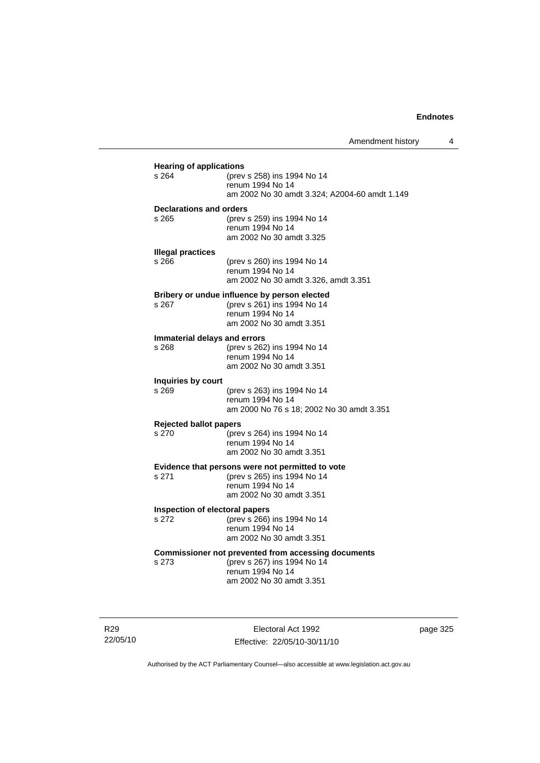| s 264                                 | (prev s 258) ins 1994 No 14<br>renum 1994 No 14<br>am 2002 No 30 amdt 3.324; A2004-60 amdt 1.149                            |
|---------------------------------------|-----------------------------------------------------------------------------------------------------------------------------|
| Declarations and orders               |                                                                                                                             |
| s 265                                 | (prev s 259) ins 1994 No 14<br>renum 1994 No 14<br>am 2002 No 30 amdt 3.325                                                 |
| <b>Illegal practices</b>              |                                                                                                                             |
| s 266                                 | (prev s 260) ins 1994 No 14<br>renum 1994 No 14                                                                             |
|                                       | am 2002 No 30 amdt 3.326, amdt 3.351                                                                                        |
| $s$ 267                               | Bribery or undue influence by person elected<br>(prev s 261) ins 1994 No 14<br>renum 1994 No 14<br>am 2002 No 30 amdt 3.351 |
|                                       |                                                                                                                             |
| Immaterial delays and errors<br>s 268 | (prev s 262) ins 1994 No 14<br>renum 1994 No 14                                                                             |
|                                       | am 2002 No 30 amdt 3.351                                                                                                    |
| Inquiries by court                    |                                                                                                                             |
| s 269                                 | (prev s 263) ins 1994 No 14<br>renum 1994 No 14                                                                             |
|                                       | am 2000 No 76 s 18; 2002 No 30 amdt 3.351                                                                                   |
| <b>Rejected ballot papers</b>         |                                                                                                                             |
| s 270                                 | (prev s 264) ins 1994 No 14<br>renum 1994 No 14                                                                             |
|                                       | am 2002 No 30 amdt 3.351                                                                                                    |
|                                       | Evidence that persons were not permitted to vote                                                                            |
| s 271                                 | (prev s 265) ins 1994 No 14                                                                                                 |
|                                       | renum 1994 No 14<br>am 2002 No 30 amdt 3.351                                                                                |
| Inspection of electoral papers        |                                                                                                                             |
| s 272                                 | (prev s 266) ins 1994 No 14                                                                                                 |
|                                       | renum 1994 No 14<br>am 2002 No 30 amdt 3.351                                                                                |
|                                       | Commissioner not prevented from accessing documents                                                                         |
| s 273                                 | (prev s 267) ins 1994 No 14<br>renum 1994 No 14                                                                             |

R29 22/05/10

Electoral Act 1992 Effective: 22/05/10-30/11/10 page 325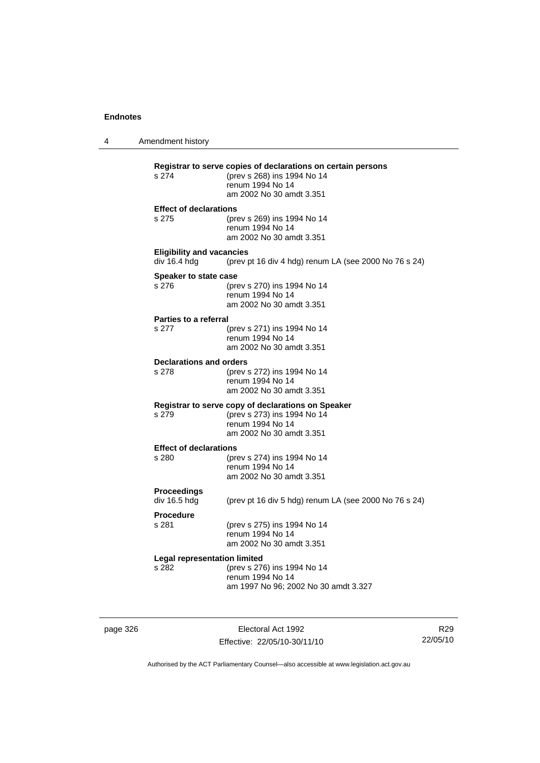4 Amendment history **Registrar to serve copies of declarations on certain persons** (prev s 268) ins 1994 No 14 renum 1994 No 14 am 2002 No 30 amdt 3.351 **Effect of declarations** s 275 (prev s 269) ins 1994 No 14 renum 1994 No 14 am 2002 No 30 amdt 3.351 **Eligibility and vacancies**  div 16.4 hdg (prev pt 16 div 4 hdg) renum LA (see 2000 No 76 s 24) **Speaker to state case** s 276 (prev s 270) ins 1994 No 14 renum 1994 No 14 am 2002 No 30 amdt 3.351 **Parties to a referral** s 277 (prev s 271) ins 1994 No 14 renum 1994 No 14 am 2002 No 30 amdt 3.351 **Declarations and orders**<br>s 278 (prev) s 278 (prev s 272) ins 1994 No 14 renum 1994 No 14 am 2002 No 30 amdt 3.351 **Registrar to serve copy of declarations on Speaker** s 279 (prev s 273) ins 1994 No 14 renum 1994 No 14 am 2002 No 30 amdt 3.351 **Effect of declarations** s 280 (prev s 274) ins 1994 No 14 renum 1994 No 14 am 2002 No 30 amdt 3.351 **Proceedings**  (prev pt 16 div 5 hdg) renum LA (see 2000 No 76 s 24) **Procedure** s 281 (prev s 275) ins 1994 No 14 renum 1994 No 14 am 2002 No 30 amdt 3.351 **Legal representation limited** s 282 (prev s 276) ins 1994 No 14 renum 1994 No 14 am 1997 No 96; 2002 No 30 amdt 3.327

page 326 **Electoral Act 1992** Effective: 22/05/10-30/11/10

R29 22/05/10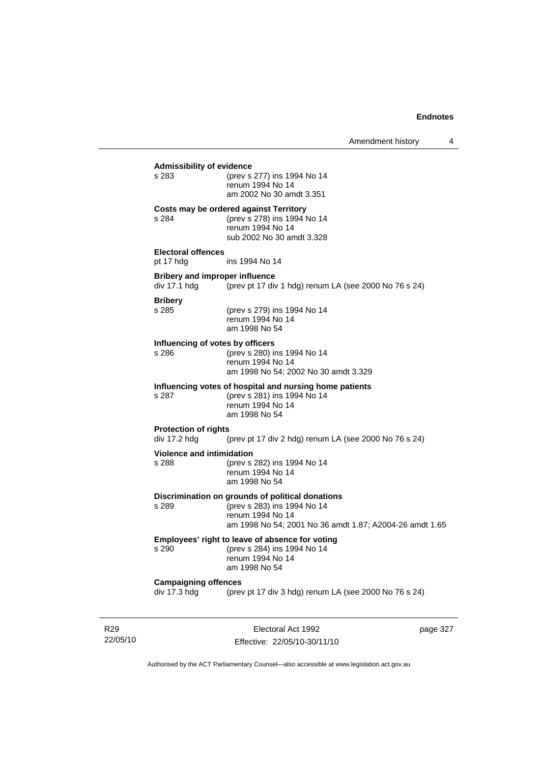### **Admissibility of evidence** s 283 (prev s 277) ins 1994 No 14 renum 1994 No 14 am 2002 No 30 amdt 3.351 **Costs may be ordered against Territory** s 284 (prev s 278) ins 1994 No 14 renum 1994 No 14 sub 2002 No 30 amdt 3.328 **Electoral offences** pt 17 hdg ins 1994 No 14 **Bribery and improper influence**<br>div 17.1 hdg (prev pt 17 div (prev pt 17 div 1 hdg) renum LA (see 2000 No 76 s 24) **Bribery** s 285 (prev s 279) ins 1994 No 14 renum 1994 No 14 am 1998 No 54 **Influencing of votes by officers** s 286 (prev s 280) ins 1994 No 14 renum 1994 No 14 am 1998 No 54; 2002 No 30 amdt 3.329 **Influencing votes of hospital and nursing home patients** s 287 (prev s 281) ins 1994 No 14 renum 1994 No 14 am 1998 No 54 **Protection of rights**  div 17.2 hdg (prev pt 17 div 2 hdg) renum LA (see 2000 No 76 s 24) **Violence and intimidation**<br>s 288 (prev s (prev s 282) ins 1994 No 14 renum 1994 No 14 am 1998 No 54 **Discrimination on grounds of political donations** s 289 (prev s 283) ins 1994 No 14 renum 1994 No 14 am 1998 No 54; 2001 No 36 amdt 1.87; A2004-26 amdt 1.65 **Employees' right to leave of absence for voting** s 290 (prev s 284) ins 1994 No 14 renum 1994 No 14 am 1998 No 54 **Campaigning offences**  div 17.3 hdg (prev pt 17 div 3 hdg) renum LA (see 2000 No 76 s 24)

R29 22/05/10

Electoral Act 1992 Effective: 22/05/10-30/11/10 page 327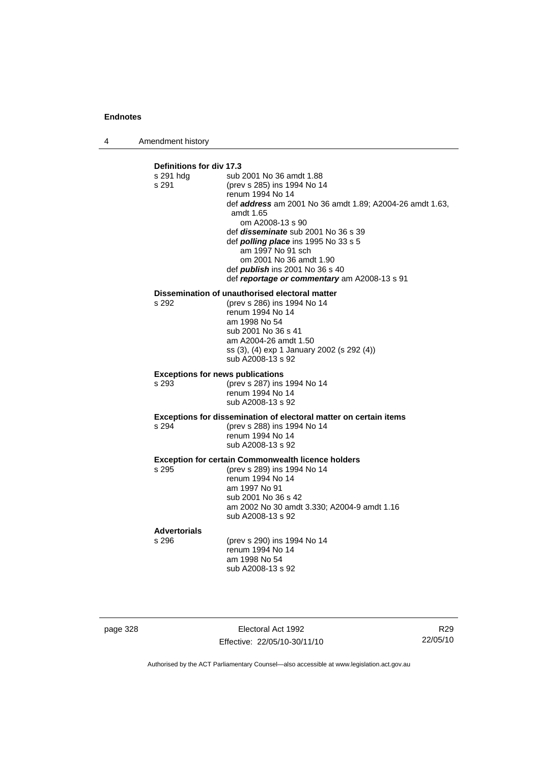4 Amendment history

### **Definitions for div 17.3** sub 2001 No 36 amdt 1.88 s 291 (prev s 285) ins 1994 No 14 renum 1994 No 14 def *address* am 2001 No 36 amdt 1.89; A2004-26 amdt 1.63, amdt 1.65 om A2008-13 s 90 def *disseminate* sub 2001 No 36 s 39 def *polling place* ins 1995 No 33 s 5 am 1997 No 91 sch om 2001 No 36 amdt 1.90 def *publish* ins 2001 No 36 s 40 def *reportage or commentary* am A2008-13 s 91 **Dissemination of unauthorised electoral matter**<br>s 292 (prev s 286) ins 1994 No 14 (prev s 286) ins 1994 No 14 renum 1994 No 14 am 1998 No 54 sub 2001 No 36 s 41 am A2004-26 amdt 1.50 ss (3), (4) exp 1 January 2002 (s 292 (4)) sub A2008-13 s 92 **Exceptions for news publications** s 293 (prev s 287) ins 1994 No 14 renum 1994 No 14 sub A2008-13 s 92 **Exceptions for dissemination of electoral matter on certain items** s 294 (prev s 288) ins 1994 No 14 renum 1994 No 14 sub A2008-13 s 92 **Exception for certain Commonwealth licence holders** s 295 (prev s 289) ins 1994 No 14 renum 1994 No 14 am 1997 No 91 sub 2001 No 36 s 42 am 2002 No 30 amdt 3.330; A2004-9 amdt 1.16 sub A2008-13 s 92 **Advertorials** (prev s 290) ins 1994 No 14 renum 1994 No 14 am 1998 No 54 sub A2008-13 s 92

page 328 Electoral Act 1992 Effective: 22/05/10-30/11/10

R29 22/05/10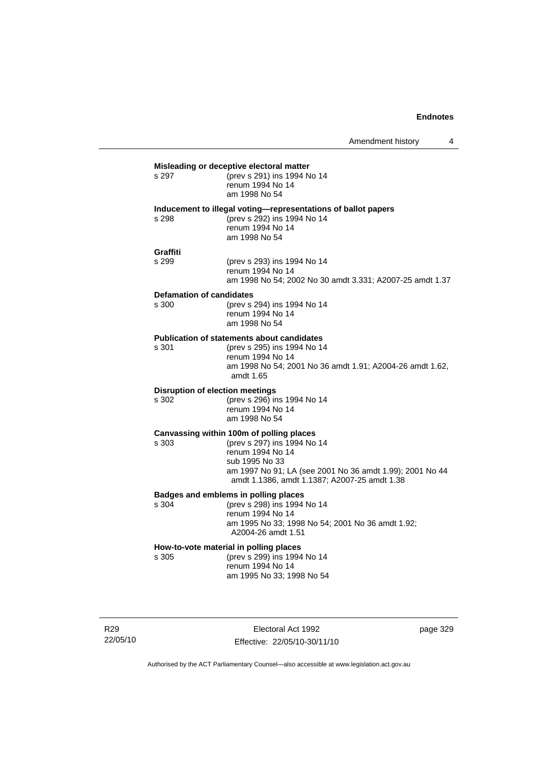|                                          | Misleading or deceptive electoral matter                                                                                                                                                                                  |
|------------------------------------------|---------------------------------------------------------------------------------------------------------------------------------------------------------------------------------------------------------------------------|
| s 297                                    | (prev s 291) ins 1994 No 14<br>renum 1994 No 14<br>am 1998 No 54                                                                                                                                                          |
| s 298                                    | Inducement to illegal voting-representations of ballot papers<br>(prev s 292) ins 1994 No 14<br>renum 1994 No 14<br>am 1998 No 54                                                                                         |
| Graffiti<br>s 299                        | (prev s 293) ins 1994 No 14<br>renum 1994 No 14<br>am 1998 No 54; 2002 No 30 amdt 3.331; A2007-25 amdt 1.37                                                                                                               |
| <b>Defamation of candidates</b><br>s 300 | (prev s 294) ins 1994 No 14<br>renum 1994 No 14<br>am 1998 No 54                                                                                                                                                          |
| s 301                                    | <b>Publication of statements about candidates</b><br>(prev s 295) ins 1994 No 14<br>renum 1994 No 14<br>am 1998 No 54; 2001 No 36 amdt 1.91; A2004-26 amdt 1.62,<br>amdt 1.65                                             |
| s 302                                    | <b>Disruption of election meetings</b><br>(prev s 296) ins 1994 No 14<br>renum 1994 No 14<br>am 1998 No 54                                                                                                                |
| s 303                                    | Canvassing within 100m of polling places<br>(prev s 297) ins 1994 No 14<br>renum 1994 No 14<br>sub 1995 No 33<br>am 1997 No 91; LA (see 2001 No 36 amdt 1.99); 2001 No 44<br>amdt 1.1386, amdt 1.1387; A2007-25 amdt 1.38 |
| s 304                                    | Badges and emblems in polling places<br>(prev s 298) ins 1994 No 14<br>renum 1994 No 14<br>am 1995 No 33; 1998 No 54; 2001 No 36 amdt 1.92;<br>A2004-26 amdt 1.51                                                         |
| s 305                                    | How-to-vote material in polling places<br>(prev s 299) ins 1994 No 14<br>renum 1994 No 14<br>am 1995 No 33; 1998 No 54                                                                                                    |
|                                          |                                                                                                                                                                                                                           |

R29 22/05/10

Electoral Act 1992 Effective: 22/05/10-30/11/10 page 329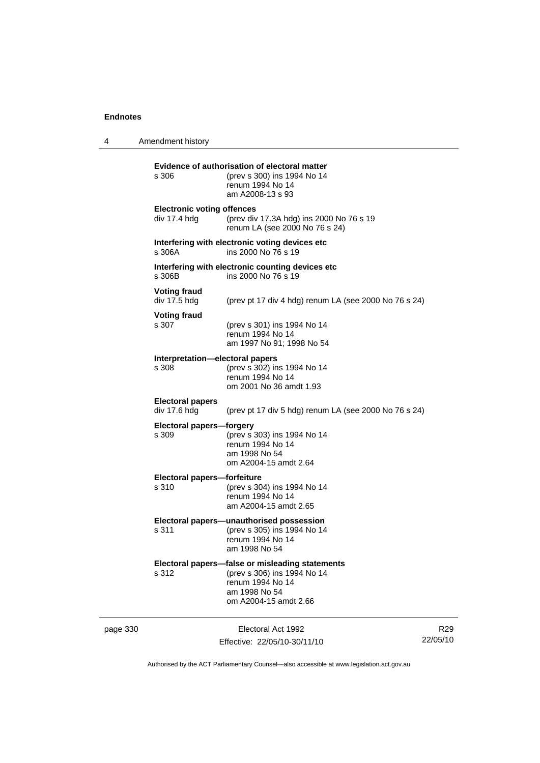4 Amendment history page 330 Electoral Act 1992 Effective: 22/05/10-30/11/10 22/05/10 **Evidence of authorisation of electoral matter**<br>s 306 (prev s 300) ins 1994 No 14 s 306 (prev s 300) ins 1994 No 14 renum 1994 No 14 am A2008-13 s 93 **Electronic voting offences** div 17.4 hdg (prev div 17.3A hdg) ins 2000 No 76 s 19 renum LA (see 2000 No 76 s 24) **Interfering with electronic voting devices etc** s 306A ins 2000 No 76 s 19 **Interfering with electronic counting devices etc** s 306B ins 2000 No 76 s 19 **Voting fraud**  div 17.5 hdg (prev pt 17 div 4 hdg) renum LA (see 2000 No 76 s 24) **Voting fraud** s 307 (prev s 301) ins 1994 No 14 renum 1994 No 14 am 1997 No 91; 1998 No 54 **Interpretation—electoral papers**  s 308 (prev s 302) ins 1994 No 14 renum 1994 No 14 om 2001 No 36 amdt 1.93 **Electoral papers**  (prev pt 17 div 5 hdg) renum LA (see 2000 No 76 s 24) **Electoral papers—forgery** s 309 (prev s 303) ins 1994 No 14 renum 1994 No 14 am 1998 No 54 om A2004-15 amdt 2.64 **Electoral papers—forfeiture** s 310 (prev s 304) ins 1994 No 14 renum 1994 No 14 am A2004-15 amdt 2.65 **Electoral papers—unauthorised possession** s 311 (prev s 305) ins 1994 No 14 renum 1994 No 14 am 1998 No 54 **Electoral papers—false or misleading statements** (prev s 306) ins 1994 No 14 renum 1994 No 14 am 1998 No 54 om A2004-15 amdt 2.66

Authorised by the ACT Parliamentary Counsel—also accessible at www.legislation.act.gov.au

R29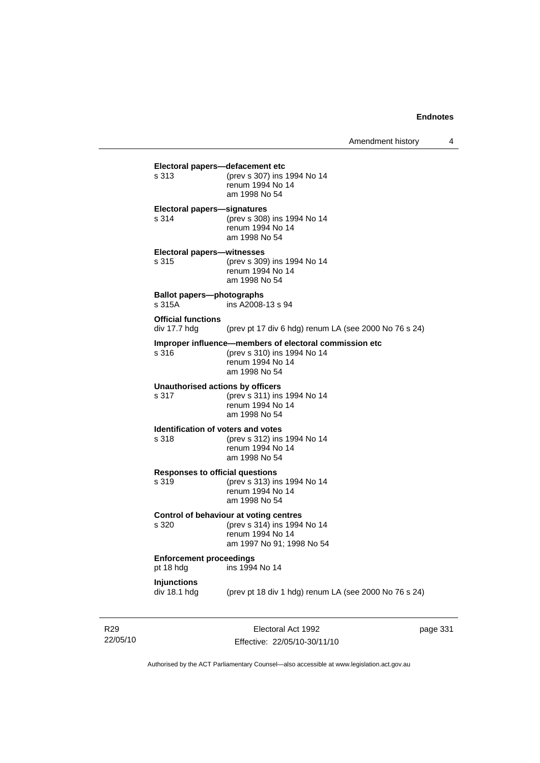**Electoral papers—defacement etc**<br>s 313 (prev s 307) ins (prev s 307) ins 1994 No 14 renum 1994 No 14 am 1998 No 54 **Electoral papers—signatures** s 314 (prev s 308) ins 1994 No 14 renum 1994 No 14 am 1998 No 54 **Electoral papers—witnesses** s 315 (prev s 309) ins 1994 No 14 renum 1994 No 14 am 1998 No 54 **Ballot papers—photographs**  s 315A ins A2008-13 s 94 **Official functions**  div 17.7 hdg (prev pt 17 div 6 hdg) renum LA (see 2000 No 76 s 24) **Improper influence—members of electoral commission etc** s 316 (prev s 310) ins 1994 No 14 renum 1994 No 14 am 1998 No 54 **Unauthorised actions by officers** s 317 (prev s 311) ins 1994 No 14 renum 1994 No 14 am 1998 No 54 **Identification of voters and votes** s 318 (prev s 312) ins 1994 No 14 renum 1994 No 14 am 1998 No 54 **Responses to official questions**<br>s 319 (prev s 313) in s 319 (prev s 313) ins 1994 No 14 renum 1994 No 14 am 1998 No 54 **Control of behaviour at voting centres** s 320 (prev s 314) ins 1994 No 14 renum 1994 No 14 am 1997 No 91; 1998 No 54 **Enforcement proceedings** pt 18 hdg ins 1994 No 14 **Injunctions**  div 18.1 hdg (prev pt 18 div 1 hdg) renum LA (see 2000 No 76 s 24)

R29 22/05/10

Electoral Act 1992 Effective: 22/05/10-30/11/10 page 331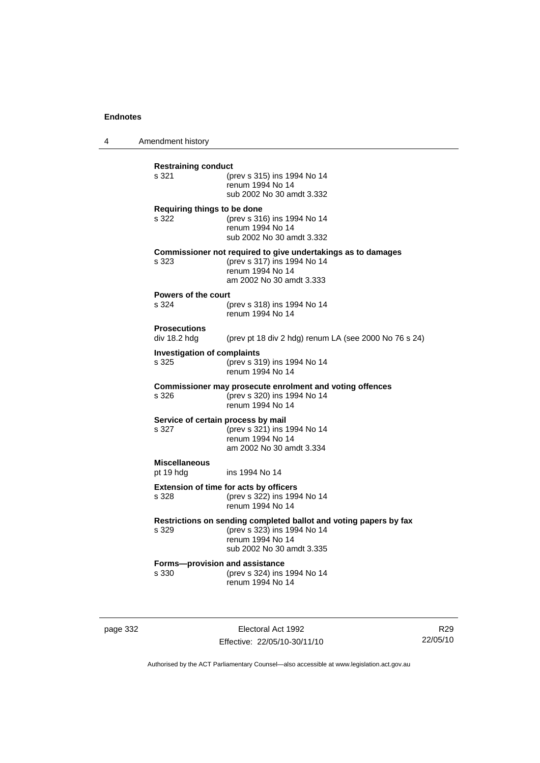4 Amendment history

**Restraining conduct** s 321 (prev s 315) ins 1994 No 14 renum 1994 No 14 sub 2002 No 30 amdt 3.332 **Requiring things to be done** s 322 (prev s 316) ins 1994 No 14 renum 1994 No 14 sub 2002 No 30 amdt 3.332 **Commissioner not required to give undertakings as to damages** s 323 (prev s 317) ins 1994 No 14 renum 1994 No 14 am 2002 No 30 amdt 3.333 **Powers of the court** s 324 (prev s 318) ins 1994 No 14 renum 1994 No 14 **Prosecutions**  div 18.2 hdg (prev pt 18 div 2 hdg) renum LA (see 2000 No 76 s 24) **Investigation of complaints** s 325 (prev s 319) ins 1994 No 14 renum 1994 No 14 **Commissioner may prosecute enrolment and voting offences** s 326 (prev s 320) ins 1994 No 14 renum 1994 No 14 **Service of certain process by mail** s 327 (prev s 321) ins 1994 No 14 renum 1994 No 14 am 2002 No 30 amdt 3.334 **Miscellaneous** pt 19 hdg ins 1994 No 14 **Extension of time for acts by officers** s 328 (prev s 322) ins 1994 No 14 renum 1994 No 14 **Restrictions on sending completed ballot and voting papers by fax** s 329 (prev s 323) ins 1994 No 14 renum 1994 No 14 sub 2002 No 30 amdt 3.335 **Forms—provision and assistance**<br>s 330 (prev s 324) ins (prev s 324) ins 1994 No 14 renum 1994 No 14

page 332 Electoral Act 1992 Effective: 22/05/10-30/11/10

R29 22/05/10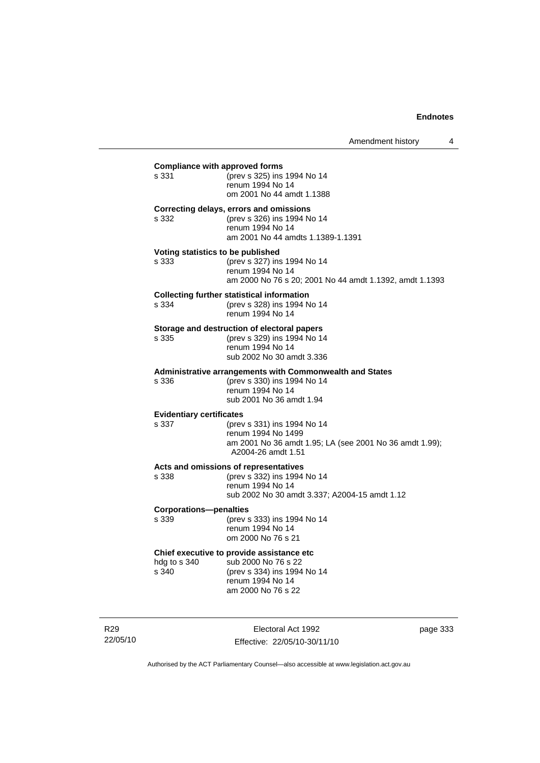| <b>Compliance with approved forms</b>      |                                                                                                                                           |
|--------------------------------------------|-------------------------------------------------------------------------------------------------------------------------------------------|
| s 331                                      | (prev s 325) ins 1994 No 14<br>renum 1994 No 14<br>om 2001 No 44 amdt 1.1388                                                              |
| s 332                                      | Correcting delays, errors and omissions<br>(prev s 326) ins 1994 No 14<br>renum 1994 No 14<br>am 2001 No 44 amdts 1.1389-1.1391           |
| Voting statistics to be published<br>s 333 | (prev s 327) ins 1994 No 14<br>renum 1994 No 14<br>am 2000 No 76 s 20; 2001 No 44 amdt 1.1392, amdt 1.1393                                |
| s 334                                      | <b>Collecting further statistical information</b><br>(prev s 328) ins 1994 No 14<br>renum 1994 No 14                                      |
| s 335                                      | Storage and destruction of electoral papers<br>(prev s 329) ins 1994 No 14<br>renum 1994 No 14<br>sub 2002 No 30 amdt 3.336               |
| s 336                                      | Administrative arrangements with Commonwealth and States<br>(prev s 330) ins 1994 No 14<br>renum 1994 No 14<br>sub 2001 No 36 amdt 1.94   |
| <b>Evidentiary certificates</b><br>s 337   | (prev s 331) ins 1994 No 14<br>renum 1994 No 1499<br>am 2001 No 36 amdt 1.95; LA (see 2001 No 36 amdt 1.99);<br>A2004-26 amdt 1.51        |
| s 338                                      | Acts and omissions of representatives<br>(prev s 332) ins 1994 No 14<br>renum 1994 No 14<br>sub 2002 No 30 amdt 3.337; A2004-15 amdt 1.12 |
| <b>Corporations-penalties</b><br>s 339     | (prev s 333) ins 1994 No 14<br>renum 1994 No 14<br>om 2000 No 76 s 21                                                                     |
| hdg to s 340<br>s 340                      | Chief executive to provide assistance etc<br>sub 2000 No 76 s 22<br>(prev s 334) ins 1994 No 14<br>renum 1994 No 14<br>am 2000 No 76 s 22 |

R29 22/05/10

Electoral Act 1992 Effective: 22/05/10-30/11/10 page 333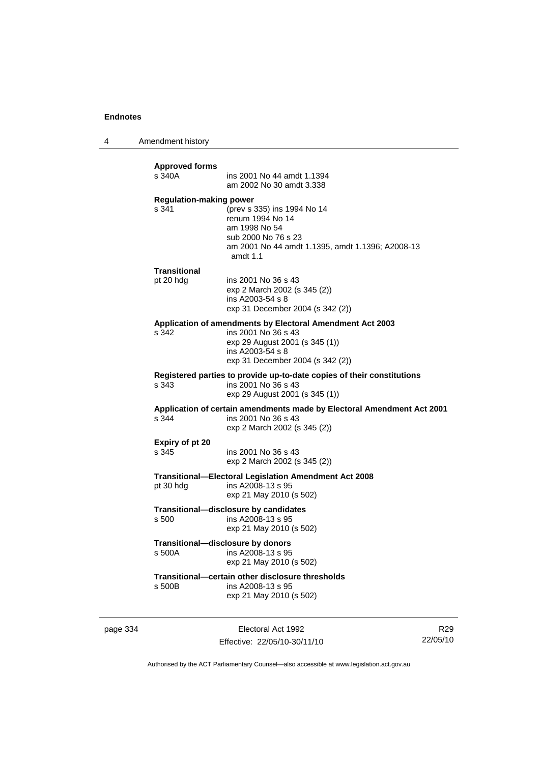4 Amendment history

|          | <b>Regulation-making power</b><br>s 341 | (prev s 335) ins 1994 No 14<br>renum 1994 No 14<br>am 1998 No 54                                                                                                           |                |
|----------|-----------------------------------------|----------------------------------------------------------------------------------------------------------------------------------------------------------------------------|----------------|
|          |                                         | sub 2000 No 76 s 23<br>am 2001 No 44 amdt 1.1395, amdt 1.1396; A2008-13<br>amdt 1.1                                                                                        |                |
|          | <b>Transitional</b><br>pt 20 hdg        | ins 2001 No 36 s 43<br>exp 2 March 2002 (s 345 (2))<br>ins A2003-54 s 8<br>exp 31 December 2004 (s 342 (2))                                                                |                |
|          | s 342                                   | Application of amendments by Electoral Amendment Act 2003<br>ins 2001 No 36 s 43<br>exp 29 August 2001 (s 345 (1))<br>ins A2003-54 s 8<br>exp 31 December 2004 (s 342 (2)) |                |
|          | s 343                                   | Registered parties to provide up-to-date copies of their constitutions<br>ins 2001 No 36 s 43<br>exp 29 August 2001 (s 345 (1))                                            |                |
|          | s 344                                   | Application of certain amendments made by Electoral Amendment Act 2001<br>ins 2001 No 36 s 43<br>exp 2 March 2002 (s 345 (2))                                              |                |
|          | Expiry of pt 20<br>s 345                | ins 2001 No 36 s 43<br>exp 2 March 2002 (s 345 (2))                                                                                                                        |                |
|          | pt 30 hdg                               | <b>Transitional-Electoral Legislation Amendment Act 2008</b><br>ins A2008-13 s 95<br>exp 21 May 2010 (s 502)                                                               |                |
|          | s 500                                   | Transitional-disclosure by candidates<br>ins A2008-13 s 95<br>exp 21 May 2010 (s 502)                                                                                      |                |
|          | s 500A                                  | Transitional-disclosure by donors<br>ins A2008-13 s 95<br>exp 21 May 2010 (s 502)                                                                                          |                |
|          | s 500B                                  | Transitional-certain other disclosure thresholds<br>ins A2008-13 s 95<br>exp 21 May 2010 (s 502)                                                                           |                |
| page 334 |                                         | Electoral Act 1992                                                                                                                                                         | R <sub>2</sub> |

Effective: 22/05/10-30/11/10

R29 22/05/10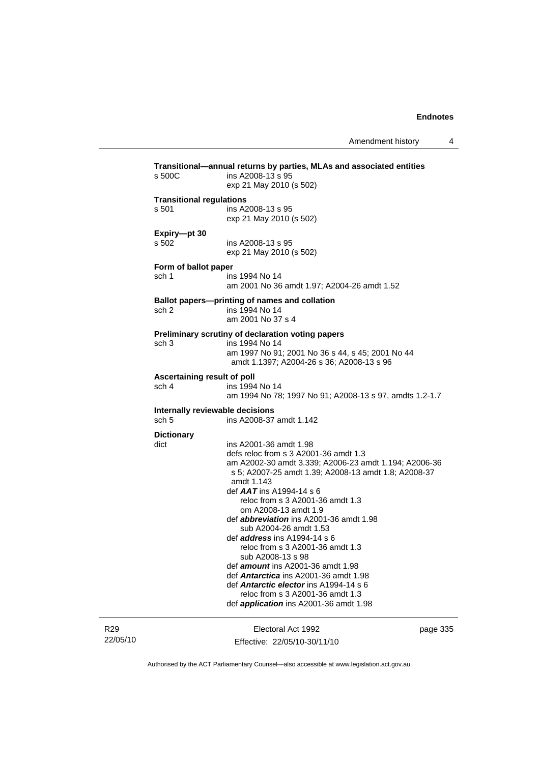R29 22/05/10

Electoral Act 1992 Effective: 22/05/10-30/11/10 page 335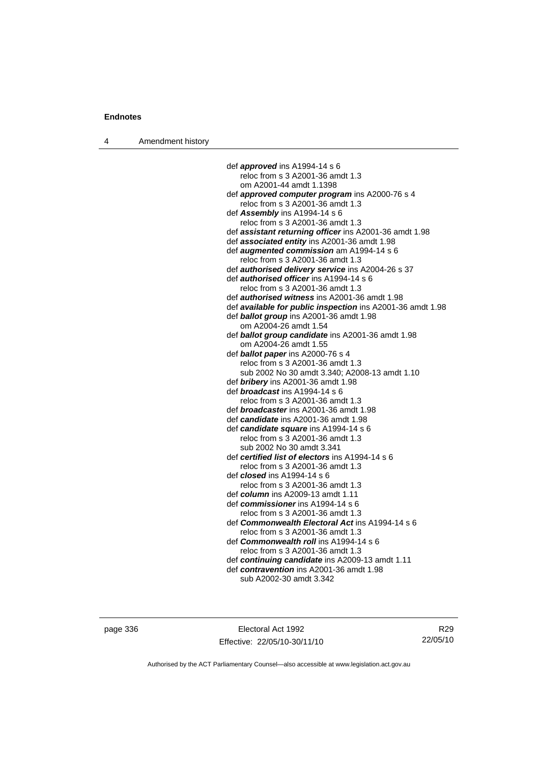4 Amendment history

def *approved* ins A1994-14 s 6 reloc from s 3 A2001-36 amdt 1.3 om A2001-44 amdt 1.1398 def *approved computer program* ins A2000-76 s 4 reloc from s 3 A2001-36 amdt 1.3 def *Assembly* ins A1994-14 s 6 reloc from s 3 A2001-36 amdt 1.3 def *assistant returning officer* ins A2001-36 amdt 1.98 def *associated entity* ins A2001-36 amdt 1.98 def *augmented commission* am A1994-14 s 6 reloc from s 3 A2001-36 amdt 1.3 def *authorised delivery service* ins A2004-26 s 37 def *authorised officer* ins A1994-14 s 6 reloc from s 3 A2001-36 amdt 1.3 def *authorised witness* ins A2001-36 amdt 1.98 def *available for public inspection* ins A2001-36 amdt 1.98 def *ballot group* ins A2001-36 amdt 1.98 om A2004-26 amdt 1.54 def *ballot group candidate* ins A2001-36 amdt 1.98 om A2004-26 amdt 1.55 def *ballot paper* ins A2000-76 s 4 reloc from s 3 A2001-36 amdt 1.3 sub 2002 No 30 amdt 3.340; A2008-13 amdt 1.10 def *bribery* ins A2001-36 amdt 1.98 def *broadcast* ins A1994-14 s 6 reloc from s 3 A2001-36 amdt 1.3 def *broadcaster* ins A2001-36 amdt 1.98 def *candidate* ins A2001-36 amdt 1.98 def *candidate square* ins A1994-14 s 6 reloc from s 3 A2001-36 amdt 1.3 sub 2002 No 30 amdt 3.341 def *certified list of electors* ins A1994-14 s 6 reloc from s 3 A2001-36 amdt 1.3 def *closed* ins A1994-14 s 6 reloc from s 3 A2001-36 amdt 1.3 def *column* ins A2009-13 amdt 1.11 def *commissioner* ins A1994-14 s 6 reloc from s 3 A2001-36 amdt 1.3 def *Commonwealth Electoral Act* ins A1994-14 s 6 reloc from s 3 A2001-36 amdt 1.3 def *Commonwealth roll* ins A1994-14 s 6 reloc from s 3 A2001-36 amdt 1.3 def *continuing candidate* ins A2009-13 amdt 1.11 def *contravention* ins A2001-36 amdt 1.98 sub A2002-30 amdt 3.342

page 336 Electoral Act 1992 Effective: 22/05/10-30/11/10

R29 22/05/10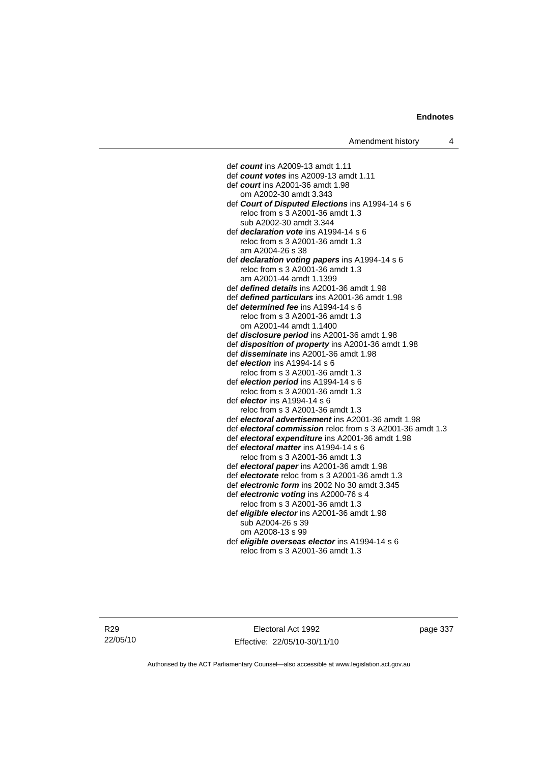def *count* ins A2009-13 amdt 1.11 def *count votes* ins A2009-13 amdt 1.11 def *court* ins A2001-36 amdt 1.98 om A2002-30 amdt 3.343 def *Court of Disputed Elections* ins A1994-14 s 6 reloc from s 3 A2001-36 amdt 1.3 sub A2002-30 amdt 3.344 def *declaration vote* ins A1994-14 s 6 reloc from s 3 A2001-36 amdt 1.3 am A2004-26 s 38 def *declaration voting papers* ins A1994-14 s 6 reloc from s 3 A2001-36 amdt 1.3 am A2001-44 amdt 1.1399 def *defined details* ins A2001-36 amdt 1.98 def *defined particulars* ins A2001-36 amdt 1.98 def *determined fee* ins A1994-14 s 6 reloc from s 3 A2001-36 amdt 1.3 om A2001-44 amdt 1.1400 def *disclosure period* ins A2001-36 amdt 1.98 def *disposition of property* ins A2001-36 amdt 1.98 def *disseminate* ins A2001-36 amdt 1.98 def *election* ins A1994-14 s 6 reloc from s 3 A2001-36 amdt 1.3 def *election period* ins A1994-14 s 6 reloc from s 3 A2001-36 amdt 1.3 def *elector* ins A1994-14 s 6 reloc from s 3 A2001-36 amdt 1.3 def *electoral advertisement* ins A2001-36 amdt 1.98 def *electoral commission* reloc from s 3 A2001-36 amdt 1.3 def *electoral expenditure* ins A2001-36 amdt 1.98 def *electoral matter* ins A1994-14 s 6 reloc from s 3 A2001-36 amdt 1.3 def *electoral paper* ins A2001-36 amdt 1.98 def *electorate* reloc from s 3 A2001-36 amdt 1.3 def *electronic form* ins 2002 No 30 amdt 3.345 def *electronic voting* ins A2000-76 s 4 reloc from s 3 A2001-36 amdt 1.3 def *eligible elector* ins A2001-36 amdt 1.98 sub A2004-26 s 39 om A2008-13 s 99 def *eligible overseas elector* ins A1994-14 s 6 reloc from s 3 A2001-36 amdt 1.3

R29 22/05/10

Electoral Act 1992 Effective: 22/05/10-30/11/10 page 337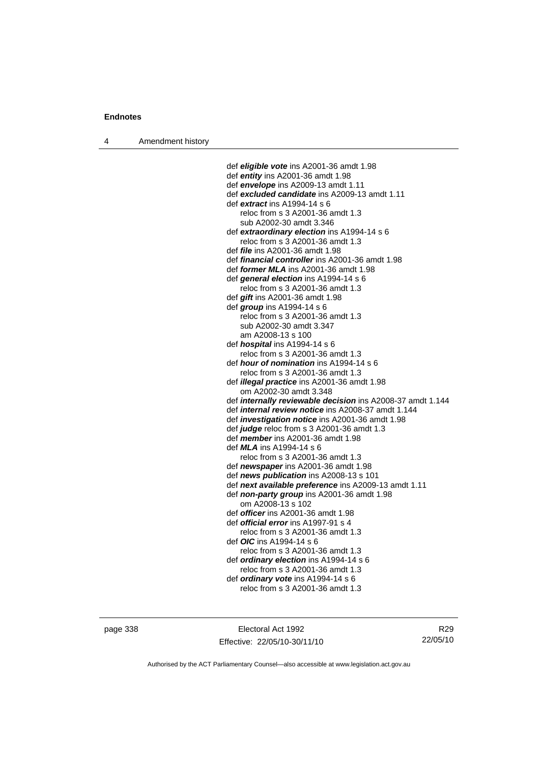4 Amendment history

 def *eligible vote* ins A2001-36 amdt 1.98 def *entity* ins A2001-36 amdt 1.98 def *envelope* ins A2009-13 amdt 1.11 def *excluded candidate* ins A2009-13 amdt 1.11 def *extract* ins A1994-14 s 6 reloc from s 3 A2001-36 amdt 1.3 sub A2002-30 amdt 3.346 def *extraordinary election* ins A1994-14 s 6 reloc from s 3 A2001-36 amdt 1.3 def *file* ins A2001-36 amdt 1.98 def *financial controller* ins A2001-36 amdt 1.98 def *former MLA* ins A2001-36 amdt 1.98 def *general election* ins A1994-14 s 6 reloc from s 3 A2001-36 amdt 1.3 def *gift* ins A2001-36 amdt 1.98 def *group* ins A1994-14 s 6 reloc from s 3 A2001-36 amdt 1.3 sub A2002-30 amdt 3.347 am A2008-13 s 100 def *hospital* ins A1994-14 s 6 reloc from s 3 A2001-36 amdt 1.3 def *hour of nomination* ins A1994-14 s 6 reloc from s 3 A2001-36 amdt 1.3 def *illegal practice* ins A2001-36 amdt 1.98 om A2002-30 amdt 3.348 def *internally reviewable decision* ins A2008-37 amdt 1.144 def *internal review notice* ins A2008-37 amdt 1.144 def *investigation notice* ins A2001-36 amdt 1.98 def *judge* reloc from s 3 A2001-36 amdt 1.3 def *member* ins A2001-36 amdt 1.98 def *MLA* ins A1994-14 s 6 reloc from s 3 A2001-36 amdt 1.3 def *newspaper* ins A2001-36 amdt 1.98 def *news publication* ins A2008-13 s 101 def *next available preference* ins A2009-13 amdt 1.11 def *non-party group* ins A2001-36 amdt 1.98 om A2008-13 s 102 def *officer* ins A2001-36 amdt 1.98 def *official error* ins A1997-91 s 4 reloc from s 3 A2001-36 amdt 1.3 def *OIC* ins A1994-14 s 6 reloc from s 3 A2001-36 amdt 1.3 def *ordinary election* ins A1994-14 s 6 reloc from s 3 A2001-36 amdt 1.3 def *ordinary vote* ins A1994-14 s 6 reloc from s 3 A2001-36 amdt 1.3

page 338 Electoral Act 1992 Effective: 22/05/10-30/11/10

R29 22/05/10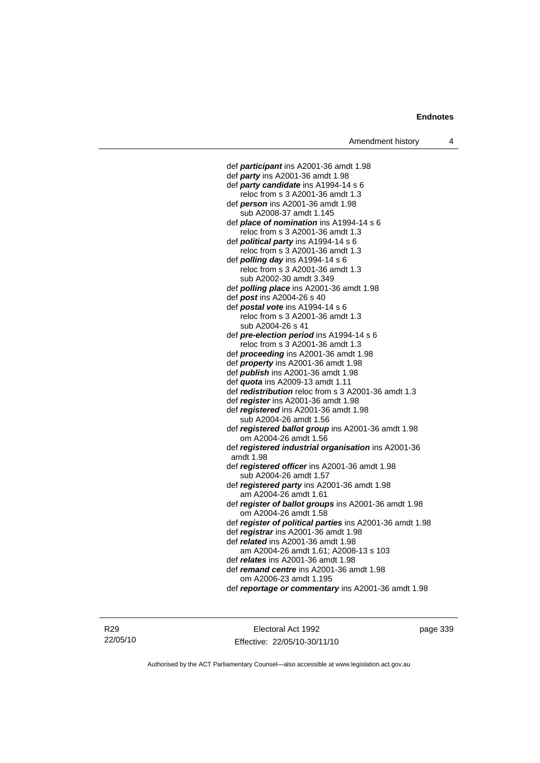def *participant* ins A2001-36 amdt 1.98 def *party* ins A2001-36 amdt 1.98 def *party candidate* ins A1994-14 s 6 reloc from s 3 A2001-36 amdt 1.3 def *person* ins A2001-36 amdt 1.98 sub A2008-37 amdt 1.145 def *place of nomination* ins A1994-14 s 6 reloc from s 3 A2001-36 amdt 1.3 def *political party* ins A1994-14 s 6 reloc from s 3 A2001-36 amdt 1.3 def *polling day* ins A1994-14 s 6 reloc from s 3 A2001-36 amdt 1.3 sub A2002-30 amdt 3.349 def *polling place* ins A2001-36 amdt 1.98 def *post* ins A2004-26 s 40 def *postal vote* ins A1994-14 s 6 reloc from s 3 A2001-36 amdt 1.3 sub A2004-26 s 41 def *pre-election period* ins A1994-14 s 6 reloc from s 3 A2001-36 amdt 1.3 def *proceeding* ins A2001-36 amdt 1.98 def *property* ins A2001-36 amdt 1.98 def *publish* ins A2001-36 amdt 1.98 def *quota* ins A2009-13 amdt 1.11 def *redistribution* reloc from s 3 A2001-36 amdt 1.3 def *register* ins A2001-36 amdt 1.98 def *registered* ins A2001-36 amdt 1.98 sub A2004-26 amdt 1.56 def *registered ballot group* ins A2001-36 amdt 1.98 om A2004-26 amdt 1.56 def *registered industrial organisation* ins A2001-36 amdt 1.98 def *registered officer* ins A2001-36 amdt 1.98 sub A2004-26 amdt 1.57 def *registered party* ins A2001-36 amdt 1.98 am A2004-26 amdt 1.61 def *register of ballot groups* ins A2001-36 amdt 1.98 om A2004-26 amdt 1.58 def *register of political parties* ins A2001-36 amdt 1.98 def *registrar* ins A2001-36 amdt 1.98 def *related* ins A2001-36 amdt 1.98 am A2004-26 amdt 1.61; A2008-13 s 103 def *relates* ins A2001-36 amdt 1.98 def *remand centre* ins A2001-36 amdt 1.98 om A2006-23 amdt 1.195

def *reportage or commentary* ins A2001-36 amdt 1.98

R29 22/05/10

Electoral Act 1992 Effective: 22/05/10-30/11/10 page 339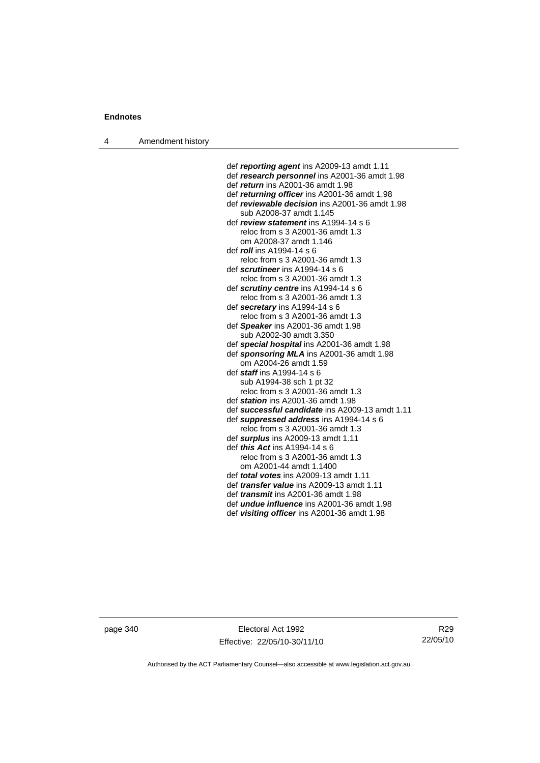4 Amendment history

def *reporting agent* ins A2009-13 amdt 1.11 def *research personnel* ins A2001-36 amdt 1.98 def *return* ins A2001-36 amdt 1.98 def *returning officer* ins A2001-36 amdt 1.98 def *reviewable decision* ins A2001-36 amdt 1.98 sub A2008-37 amdt 1.145 def *review statement* ins A1994-14 s 6 reloc from s 3 A2001-36 amdt 1.3 om A2008-37 amdt 1.146 def *roll* ins A1994-14 s 6 reloc from s 3 A2001-36 amdt 1.3 def *scrutineer* ins A1994-14 s 6 reloc from s 3 A2001-36 amdt 1.3 def *scrutiny centre* ins A1994-14 s 6 reloc from s 3 A2001-36 amdt 1.3 def *secretary* ins A1994-14 s 6 reloc from s 3 A2001-36 amdt 1.3 def *Speaker* ins A2001-36 amdt 1.98 sub A2002-30 amdt 3.350 def *special hospital* ins A2001-36 amdt 1.98 def *sponsoring MLA* ins A2001-36 amdt 1.98 om A2004-26 amdt 1.59 def *staff* ins A1994-14 s 6 sub A1994-38 sch 1 pt 32 reloc from s 3 A2001-36 amdt 1.3 def *station* ins A2001-36 amdt 1.98 def *successful candidate* ins A2009-13 amdt 1.11 def *suppressed address* ins A1994-14 s 6 reloc from s 3 A2001-36 amdt 1.3 def *surplus* ins A2009-13 amdt 1.11 def *this Act* ins A1994-14 s 6 reloc from s 3 A2001-36 amdt 1.3 om A2001-44 amdt 1.1400 def *total votes* ins A2009-13 amdt 1.11 def *transfer value* ins A2009-13 amdt 1.11 def *transmit* ins A2001-36 amdt 1.98 def *undue influence* ins A2001-36 amdt 1.98 def *visiting officer* ins A2001-36 amdt 1.98

page 340 Electoral Act 1992 Effective: 22/05/10-30/11/10

R29 22/05/10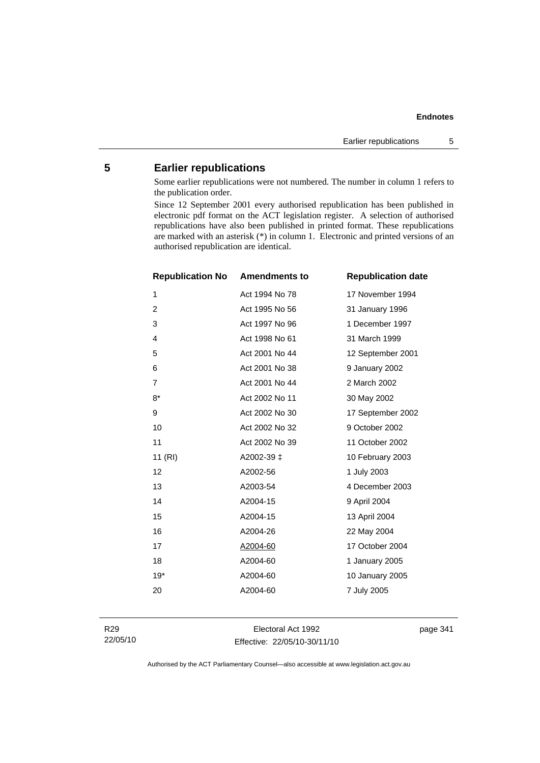## **5 Earlier republications**

Some earlier republications were not numbered. The number in column 1 refers to the publication order.

Since 12 September 2001 every authorised republication has been published in electronic pdf format on the ACT legislation register. A selection of authorised republications have also been published in printed format. These republications are marked with an asterisk (\*) in column 1. Electronic and printed versions of an authorised republication are identical.

| <b>Republication No</b> | <b>Amendments to</b> | <b>Republication date</b> |
|-------------------------|----------------------|---------------------------|
| 1                       | Act 1994 No 78       | 17 November 1994          |
| $\overline{2}$          | Act 1995 No 56       | 31 January 1996           |
| 3                       | Act 1997 No 96       | 1 December 1997           |
| 4                       | Act 1998 No 61       | 31 March 1999             |
| 5                       | Act 2001 No 44       | 12 September 2001         |
| 6                       | Act 2001 No 38       | 9 January 2002            |
| $\overline{7}$          | Act 2001 No 44       | 2 March 2002              |
| $8*$                    | Act 2002 No 11       | 30 May 2002               |
| 9                       | Act 2002 No 30       | 17 September 2002         |
| 10                      | Act 2002 No 32       | 9 October 2002            |
| 11                      | Act 2002 No 39       | 11 October 2002           |
| 11 (RI)                 | A2002-39 ±           | 10 February 2003          |
| 12                      | A2002-56             | 1 July 2003               |
| 13                      | A2003-54             | 4 December 2003           |
| 14                      | A2004-15             | 9 April 2004              |
| 15                      | A2004-15             | 13 April 2004             |
| 16                      | A2004-26             | 22 May 2004               |
| 17                      | A2004-60             | 17 October 2004           |
| 18                      | A2004-60             | 1 January 2005            |
| $19*$                   | A2004-60             | 10 January 2005           |
| 20                      | A2004-60             | 7 July 2005               |
|                         |                      |                           |

R29 22/05/10

Electoral Act 1992 Effective: 22/05/10-30/11/10 page 341